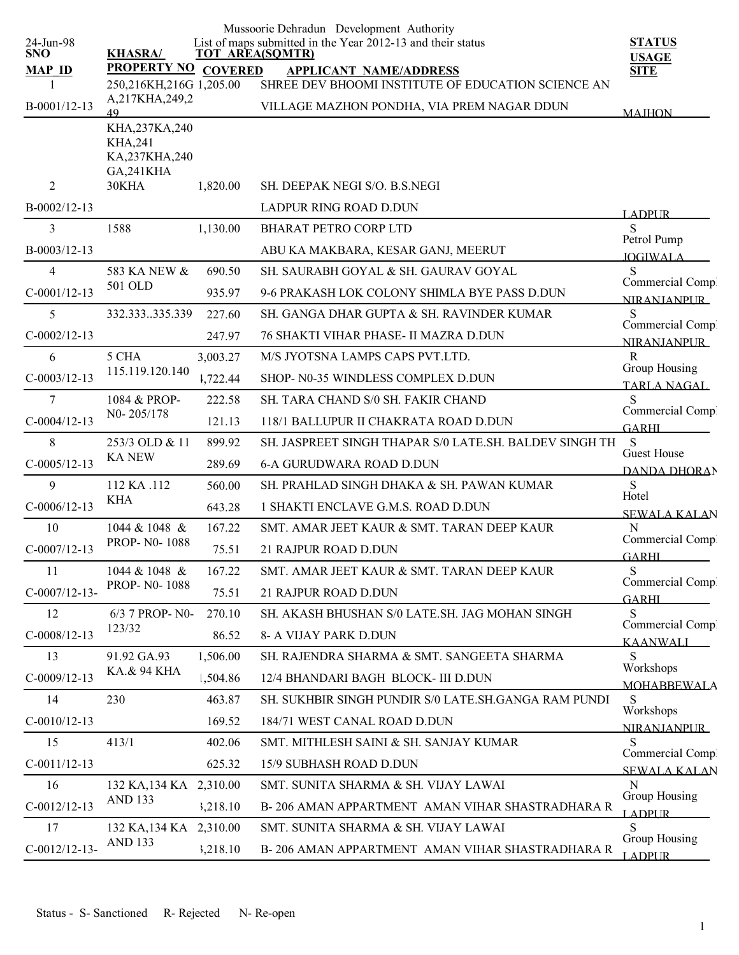|                         |                                           |          | Mussoorie Dehradun Development Authority                                       |                                        |
|-------------------------|-------------------------------------------|----------|--------------------------------------------------------------------------------|----------------------------------------|
| 24-Jun-98<br><b>SNO</b> | <b>KHASRA/</b>                            |          | List of maps submitted in the Year 2012-13 and their status<br>TOT AREA(SQMTR) | <b>STATUS</b>                          |
| <b>MAP ID</b>           | PROPERTY NO COVERED                       |          | <b>APPLICANT NAME/ADDRESS</b>                                                  | <b>USAGE</b><br><b>SITE</b>            |
|                         | 250,216KH,216G 1,205.00                   |          | SHREE DEV BHOOMI INSTITUTE OF EDUCATION SCIENCE AN                             |                                        |
| B-0001/12-13            | A,217KHA,249,2<br>49                      |          | VILLAGE MAZHON PONDHA, VIA PREM NAGAR DDUN                                     | <b>MAJHON</b>                          |
|                         | KHA,237KA,240                             |          |                                                                                |                                        |
|                         | <b>KHA,241</b><br>KA,237KHA,240           |          |                                                                                |                                        |
|                         | <b>GA,241KHA</b>                          |          |                                                                                |                                        |
| 2                       | 30KHA                                     | 1,820.00 | SH. DEEPAK NEGI S/O. B.S.NEGI                                                  |                                        |
| $B-0002/12-13$          |                                           |          | LADPUR RING ROAD D.DUN                                                         | <b>LADPUR</b>                          |
| 3                       | 1588                                      | 1,130.00 | <b>BHARAT PETRO CORP LTD</b>                                                   | S                                      |
| B-0003/12-13            |                                           |          | ABU KA MAKBARA, KESAR GANJ, MEERUT                                             | Petrol Pump<br><b>IOGIWALA</b>         |
| 4                       | 583 KA NEW &                              | 690.50   | SH. SAURABH GOYAL & SH. GAURAV GOYAL                                           | S                                      |
| $C-0001/12-13$          | 501 OLD                                   | 935.97   | 9-6 PRAKASH LOK COLONY SHIMLA BYE PASS D.DUN                                   | Commercial Comp.<br><b>NIRANIANPUR</b> |
| 5                       | 332.333335.339                            | 227.60   | SH. GANGA DHAR GUPTA & SH. RAVINDER KUMAR                                      | S                                      |
| $C-0002/12-13$          |                                           | 247.97   | <b>76 SHAKTI VIHAR PHASE- II MAZRA D.DUN</b>                                   | Commercial Comp.<br><b>NIRANIANPUR</b> |
| 6                       | 5 CHA                                     | 3,003.27 | M/S JYOTSNA LAMPS CAPS PVT.LTD.                                                | $\mathbb{R}$                           |
| $C-0003/12-13$          | 115.119.120.140                           | 1,722.44 | SHOP- N0-35 WINDLESS COMPLEX D.DUN                                             | Group Housing                          |
| 7                       | 1084 & PROP-                              | 222.58   | <b>SH. TARA CHAND S/0 SH. FAKIR CHAND</b>                                      | <b>TARLA NAGAL</b><br>S                |
| $C-0004/12-13$          | N0-205/178                                | 121.13   | 118/1 BALLUPUR II CHAKRATA ROAD D.DUN                                          | Commercial Comp.                       |
| 8                       | 253/3 OLD & 11                            | 899.92   | SH. JASPREET SINGH THAPAR S/0 LATE.SH. BALDEV SINGH TH                         | <b>GARHI</b><br><sub>S</sub>           |
| $C-0005/12-13$          | <b>KANEW</b>                              | 289.69   | <b>6-A GURUDWARA ROAD D.DUN</b>                                                | Guest House                            |
| 9                       | 112 KA .112                               | 560.00   | SH. PRAHLAD SINGH DHAKA & SH. PAWAN KUMAR                                      | <b>DANDA DHORAN</b><br>S               |
| $C-0006/12-13$          | <b>KHA</b>                                | 643.28   | 1 SHAKTI ENCLAVE G.M.S. ROAD D.DUN                                             | Hotel                                  |
| 10                      | 1044 & 1048 &                             | 167.22   | SMT. AMAR JEET KAUR & SMT. TARAN DEEP KAUR                                     | <b>SEWALA KALAN</b><br>N               |
| $C-0007/12-13$          | PROP-N0-1088                              | 75.51    | 21 RAJPUR ROAD D.DUN                                                           | Commercial Comp.                       |
| 11                      | 1044 & 1048 &                             | 167.22   | SMT. AMAR JEET KAUR & SMT. TARAN DEEP KAUR                                     | <b>GARHL</b><br>S                      |
| $C-0007/12-13-$         | PROP-N0-1088                              | 75.51    | 21 RAJPUR ROAD D.DUN                                                           | Commercial Comp.                       |
| 12                      | 6/3 7 PROP- N0-                           | 270.10   | SH. AKASH BHUSHAN S/0 LATE.SH. JAG MOHAN SINGH                                 | <b>GARHI</b><br>S                      |
| $C-0008/12-13$          | 123/32                                    |          |                                                                                | Commercial Comp.                       |
|                         |                                           | 86.52    | 8- A VIJAY PARK D.DUN<br>SH. RAJENDRA SHARMA & SMT. SANGEETA SHARMA            | <b>KAANWALI</b>                        |
| 13                      | 91.92 GA.93<br>KA.& 94 KHA                | 1,506.00 |                                                                                | S<br>Workshops                         |
| $C-0009/12-13$          |                                           | 1,504.86 | 12/4 BHANDARI BAGH BLOCK- III D.DUN                                            | <b>MOHABBEWALA</b>                     |
| 14                      | 230                                       | 463.87   | SH. SUKHBIR SINGH PUNDIR S/0 LATE.SH.GANGA RAM PUNDI                           | S<br>Workshops                         |
| $C-0010/12-13$          |                                           | 169.52   | 184/71 WEST CANAL ROAD D.DUN                                                   | NIRANJANPUR_                           |
| 15                      | 413/1                                     | 402.06   | SMT. MITHLESH SAINI & SH. SANJAY KUMAR                                         | S<br>Commercial Comp.                  |
| $C-0011/12-13$          |                                           | 625.32   | 15/9 SUBHASH ROAD D.DUN                                                        | SEWALA KALAN                           |
| 16                      | 132 KA, 134 KA 2,310.00<br><b>AND 133</b> |          | SMT. SUNITA SHARMA & SH. VIJAY LAWAI                                           | N<br>Group Housing                     |
| $C-0012/12-13$          |                                           | 3,218.10 | B-206 AMAN APPARTMENT AMAN VIHAR SHASTRADHARA R                                | <b>LADPLIR</b>                         |
| 17                      | 132 KA, 134 KA                            | 2,310.00 | SMT. SUNITA SHARMA & SH. VIJAY LAWAI                                           | S<br>Group Housing                     |
| $C-0012/12-13-$         | <b>AND 133</b>                            | 3,218.10 | B-206 AMAN APPARTMENT AMAN VIHAR SHASTRADHARA R                                | <b>LADPUR</b>                          |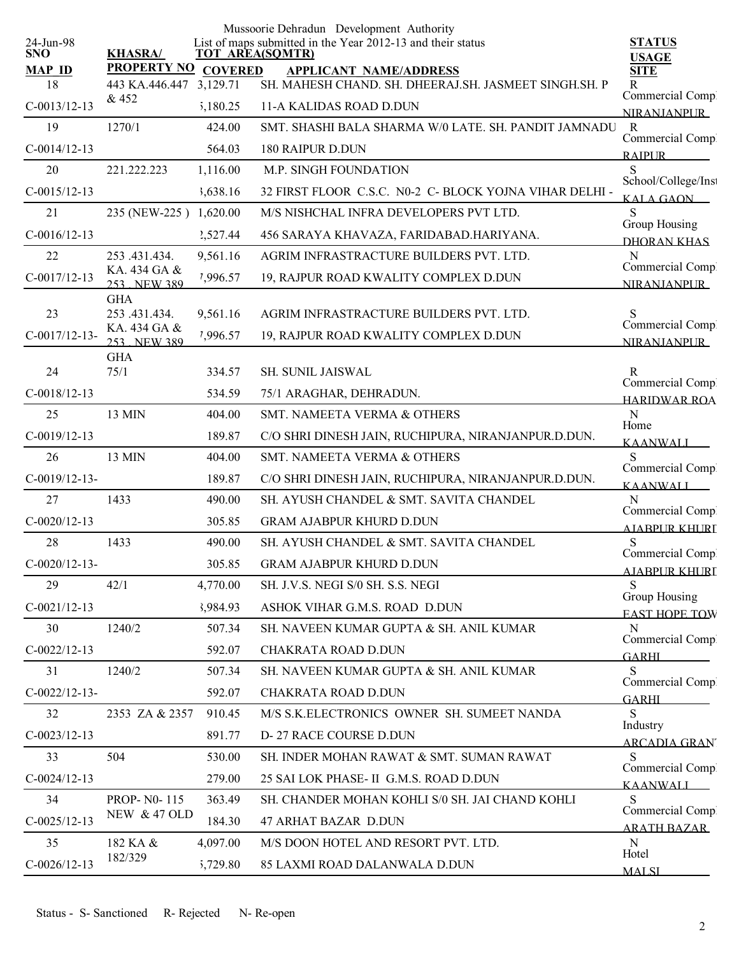| 24-Jun-98           |                                                |          | Mussoorie Dehradun Development Authority<br>List of maps submitted in the Year 2012-13 and their status | <b>STATUS</b>             |
|---------------------|------------------------------------------------|----------|---------------------------------------------------------------------------------------------------------|---------------------------|
| <b>SNO</b>          | <b>KHASRA/</b>                                 |          | <b>TOT AREA(SQMTR)</b>                                                                                  | <b>USAGE</b>              |
| <b>MAP ID</b><br>18 | PROPERTY NO COVERED<br>443 KA.446.447 3,129.71 |          | <b>APPLICANT NAME/ADDRESS</b><br>SH. MAHESH CHAND. SH. DHEERAJ.SH. JASMEET SINGH.SH. P                  | <b>SITE</b><br>R          |
| $C-0013/12-13$      | & 452                                          |          | 11-A KALIDAS ROAD D.DUN                                                                                 | Commercial Compl          |
|                     |                                                | 5,180.25 | SMT. SHASHI BALA SHARMA W/0 LATE. SH. PANDIT JAMNADU                                                    | <b>NIRANIANPUR</b>        |
| 19                  | 1270/1                                         | 424.00   |                                                                                                         | R<br>Commercial Compl     |
| $C-0014/12-13$      |                                                | 564.03   | <b>180 RAIPUR D.DUN</b>                                                                                 | <b>RAIPUR</b>             |
| 20                  | 221.222.223                                    | 1,116.00 | M.P. SINGH FOUNDATION                                                                                   | S<br>School/College/Inst  |
| $C-0015/12-13$      |                                                | 3,638.16 | 32 FIRST FLOOR C.S.C. N0-2 C- BLOCK YOJNA VIHAR DELHI -                                                 | KALA GAON                 |
| 21                  | 235 (NEW-225) 1,620.00                         |          | M/S NISHCHAL INFRA DEVELOPERS PVT LTD.                                                                  | S<br>Group Housing        |
| $C-0016/12-13$      |                                                | 2,527.44 | 456 SARAYA KHAVAZA, FARIDABAD.HARIYANA.                                                                 | <b>DHORAN KHAS</b>        |
| 22                  | 253 .431.434.<br>KA. 434 GA &                  | 9,561.16 | AGRIM INFRASTRACTURE BUILDERS PVT. LTD.                                                                 | N<br>Commercial Compl     |
| $C-0017/12-13$      | 253 NEW 389                                    | 7,996.57 | 19, RAJPUR ROAD KWALITY COMPLEX D.DUN                                                                   | <b>NIRANIANPUR</b>        |
| 23                  | <b>GHA</b><br>253 .431.434.                    |          | AGRIM INFRASTRACTURE BUILDERS PVT. LTD.                                                                 | S                         |
|                     | KA. 434 GA &                                   | 9,561.16 |                                                                                                         | Commercial Comp           |
| $C-0017/12-13-$     | 253 NEW 389                                    | 7,996.57 | 19, RAJPUR ROAD KWALITY COMPLEX D.DUN                                                                   | <b>NIRANIANPLIR</b>       |
| 24                  | <b>GHA</b><br>75/1                             | 334.57   | <b>SH. SUNIL JAISWAL</b>                                                                                | R                         |
| $C-0018/12-13$      |                                                | 534.59   | 75/1 ARAGHAR, DEHRADUN.                                                                                 | Commercial Compl          |
| 25                  | 13 MIN                                         | 404.00   | SMT. NAMEETA VERMA & OTHERS                                                                             | <b>HARIDWAR ROA</b><br>N  |
| $C-0019/12-13$      |                                                | 189.87   | C/O SHRI DINESH JAIN, RUCHIPURA, NIRANJANPUR.D.DUN.                                                     | Home                      |
| 26                  | 13 MIN                                         | 404.00   | SMT. NAMEETA VERMA & OTHERS                                                                             | <b>KAANWALL</b><br>S      |
| $C-0019/12-13-$     |                                                | 189.87   | C/O SHRI DINESH JAIN, RUCHIPURA, NIRANJANPUR.D.DUN.                                                     | Commercial Comp           |
| 27                  | 1433                                           | 490.00   | SH. AYUSH CHANDEL & SMT. SAVITA CHANDEL                                                                 | <b>KAANWALI</b><br>N      |
| $C-0020/12-13$      |                                                | 305.85   | <b>GRAM AJABPUR KHURD D.DUN</b>                                                                         | Commercial Comp.          |
| 28                  | 1433                                           | 490.00   | SH. AYUSH CHANDEL & SMT. SAVITA CHANDEL                                                                 | AIARPUR KHURI<br>S        |
| $C-0020/12-13-$     |                                                | 305.85   | <b>GRAM AJABPUR KHURD D.DUN</b>                                                                         | Commercial Comp           |
| 29                  | 42/1                                           | 4,770.00 | SH. J.V.S. NEGI S/0 SH. S.S. NEGI                                                                       | <b>AJABPUR KHURI</b><br>S |
| $C-0021/12-13$      |                                                | 3,984.93 | ASHOK VIHAR G.M.S. ROAD D.DUN                                                                           | Group Housing             |
| 30                  | 1240/2                                         | 507.34   | SH. NAVEEN KUMAR GUPTA & SH. ANIL KUMAR                                                                 | <b>EAST HOPE TOW</b><br>N |
|                     |                                                |          |                                                                                                         | Commercial Comp.          |
| $C-0022/12-13$      |                                                | 592.07   | CHAKRATA ROAD D.DUN                                                                                     | <b>GARHL</b>              |
| 31                  | 1240/2                                         | 507.34   | SH. NAVEEN KUMAR GUPTA & SH. ANIL KUMAR                                                                 | S<br>Commercial Compl     |
| $C-0022/12-13-$     |                                                | 592.07   | CHAKRATA ROAD D.DUN                                                                                     | <b>GARHL</b>              |
| 32                  | 2353 ZA & 2357                                 | 910.45   | M/S S.K.ELECTRONICS OWNER SH. SUMEET NANDA                                                              | S<br>Industry             |
| $C-0023/12-13$      |                                                | 891.77   | D-27 RACE COURSE D.DUN                                                                                  | <b>ARCADIA GRAN</b>       |
| 33                  | 504                                            | 530.00   | SH. INDER MOHAN RAWAT & SMT. SUMAN RAWAT                                                                | S<br>Commercial Compl     |
| $C-0024/12-13$      |                                                | 279.00   | 25 SAI LOK PHASE- II G.M.S. ROAD D.DUN                                                                  | <b>KAANWALI</b>           |
| 34                  | PROP-N0-115                                    | 363.49   | SH. CHANDER MOHAN KOHLI S/0 SH. JAI CHAND KOHLI                                                         | S<br>Commercial Comp.     |
| $C-0025/12-13$      | <b>NEW &amp; 47 OLD</b>                        | 184.30   | 47 ARHAT BAZAR D.DUN                                                                                    | <b>ARATH BAZAR</b>        |
| 35                  | 182 KA &                                       | 4,097.00 | M/S DOON HOTEL AND RESORT PVT. LTD.                                                                     | N<br>Hotel                |
| $C-0026/12-13$      | 182/329                                        | 5,729.80 | 85 LAXMI ROAD DALANWALA D.DUN                                                                           | <b>MALSI</b>              |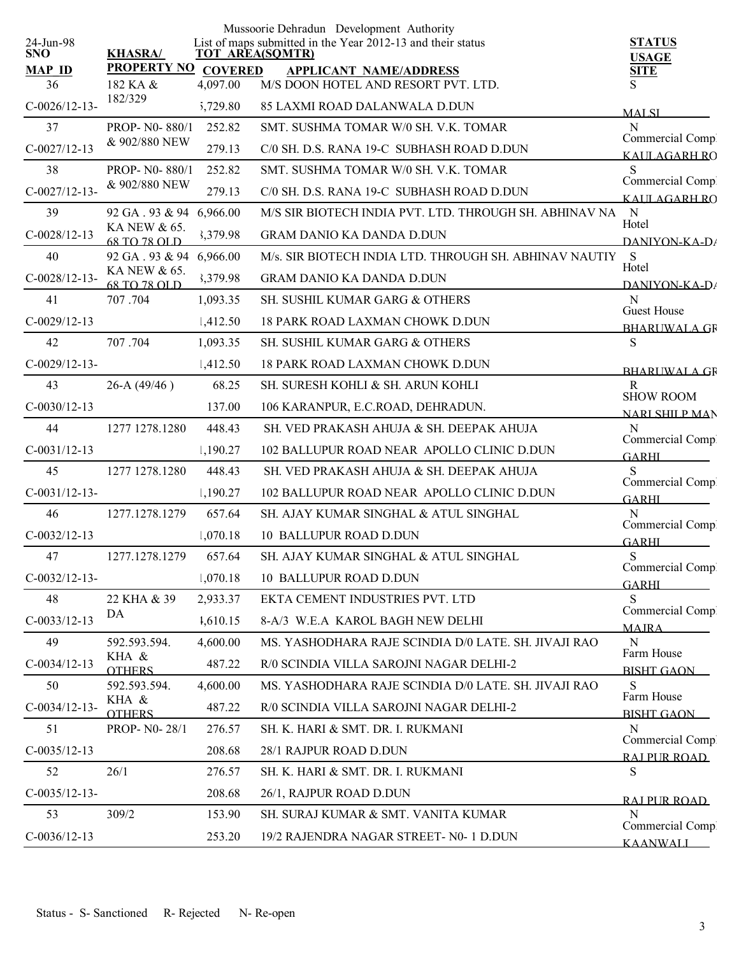|                         |                                |                | Mussoorie Dehradun Development Authority                                       |                                           |
|-------------------------|--------------------------------|----------------|--------------------------------------------------------------------------------|-------------------------------------------|
| 24-Jun-98<br><b>SNO</b> | <b>KHASRA/</b>                 |                | List of maps submitted in the Year 2012-13 and their status<br>TOT AREA(SQMTR) | <b>STATUS</b><br><b>USAGE</b>             |
| <b>MAP ID</b>           | <b>PROPERTY NO</b>             | <b>COVERED</b> | <b>APPLICANT NAME/ADDRESS</b>                                                  | <b>SITE</b>                               |
| 36                      | 182 KA &<br>182/329            | 4,097.00       | M/S DOON HOTEL AND RESORT PVT. LTD.                                            | S                                         |
| $C-0026/12-13$ -        |                                | 5,729.80       | 85 LAXMI ROAD DALANWALA D.DUN                                                  | <b>MALSI</b>                              |
| 37                      | PROP- N0-880/1                 | 252.82         | SMT. SUSHMA TOMAR W/0 SH. V.K. TOMAR                                           | N<br>Commercial Comp!                     |
| $C-0027/12-13$          | & 902/880 NEW                  | 279.13         | C/0 SH, D.S. RANA 19-C SUBHASH ROAD D.DUN                                      | KAIILAGARH RO                             |
| 38                      | PROP-N0-880/1<br>& 902/880 NEW | 252.82         | SMT. SUSHMA TOMAR W/0 SH. V.K. TOMAR                                           | S<br>Commercial Compl                     |
| $C-0027/12-13-$         |                                | 279.13         | C/0 SH. D.S. RANA 19-C SUBHASH ROAD D.DUN                                      | KAILAGARH RO                              |
| 39                      | 92 GA. 93 & 94 6,966.00        |                | M/S SIR BIOTECH INDIA PVT. LTD. THROUGH SH. ABHINAV NA                         | $\mathbf N$<br>Hotel                      |
| $C-0028/12-13$          | KA NEW & 65.<br>68 TO 78 OLD   | 3,379.98       | <b>GRAM DANIO KA DANDA D.DUN</b>                                               | DANIYON-KA-D/                             |
| 40                      | 92 GA. 93 & 94 6,966.00        |                | M/s. SIR BIOTECH INDIA LTD. THROUGH SH. ABHINAV NAUTIY                         | S<br>Hotel                                |
| $C-0028/12-13-$         | KA NEW & 65.<br>68 TO 78 OLD   | 3,379.98       | <b>GRAM DANIO KA DANDA D.DUN</b>                                               | $DANIYON-KA-D$                            |
| 41                      | 707.704                        | 1,093.35       | SH. SUSHIL KUMAR GARG & OTHERS                                                 | N<br><b>Guest House</b>                   |
| $C-0029/12-13$          |                                | 1,412.50       | <b>18 PARK ROAD LAXMAN CHOWK D.DUN</b>                                         | <b>BHARLWALA GR</b>                       |
| 42                      | 707.704                        | 1,093.35       | SH. SUSHIL KUMAR GARG & OTHERS                                                 | $\mathbf S$                               |
| $C-0029/12-13-$         |                                | 1,412.50       | <b>18 PARK ROAD LAXMAN CHOWK D.DUN</b>                                         | <b>BHARLWALA GR</b>                       |
| 43                      | $26-A(49/46)$                  | 68.25          | SH. SURESH KOHLI & SH. ARUN KOHLI                                              | $\mathbf{R}$                              |
| $C-0030/12-13$          |                                | 137.00         | 106 KARANPUR, E.C.ROAD, DEHRADUN.                                              | <b>SHOW ROOM</b><br><b>NARI SHILP MAN</b> |
| 44                      | 1277 1278.1280                 | 448.43         | SH. VED PRAKASH AHUJA & SH. DEEPAK AHUJA                                       | N                                         |
| $C-0031/12-13$          |                                | 1,190.27       | 102 BALLUPUR ROAD NEAR APOLLO CLINIC D.DUN                                     | Commercial Comp.<br><b>GARHI</b>          |
| 45                      | 1277 1278.1280                 | 448.43         | SH. VED PRAKASH AHUJA & SH. DEEPAK AHUJA                                       | S                                         |
| $C-0031/12-13-$         |                                | 1,190.27       | 102 BALLUPUR ROAD NEAR APOLLO CLINIC D.DUN                                     | Commercial Comp<br><b>GARHI</b>           |
| 46                      | 1277.1278.1279                 | 657.64         | SH. AJAY KUMAR SINGHAL & ATUL SINGHAL                                          | N                                         |
| $C-0032/12-13$          |                                | 1,070.18       | 10 BALLUPUR ROAD D.DUN                                                         | Commercial Compl<br><b>GARHI</b>          |
| 47                      | 1277.1278.1279                 | 657.64         | SH. AJAY KUMAR SINGHAL & ATUL SINGHAL                                          | S                                         |
| $C-0032/12-13-$         |                                | 1,070.18       | 10 BALLUPUR ROAD D.DUN                                                         | Commercial Comp<br><b>GARHL</b>           |
| 48                      | 22 KHA & 39                    | 2,933.37       | EKTA CEMENT INDUSTRIES PVT. LTD                                                | S                                         |
| $C-0033/12-13$          | DA                             | 1,610.15       | 8-A/3 W.E.A KAROL BAGH NEW DELHI                                               | Commercial Comp.<br><b>MAJRA</b>          |
| 49                      | 592.593.594.                   | 4,600.00       | MS. YASHODHARA RAJE SCINDIA D/0 LATE. SH. JIVAJI RAO                           | N                                         |
| $C-0034/12-13$          | KHA &<br><b>OTHERS</b>         | 487.22         | R/0 SCINDIA VILLA SAROJNI NAGAR DELHI-2                                        | Farm House<br><b>BISHT GAON</b>           |
| 50                      | 592.593.594.                   | 4,600.00       | MS. YASHODHARA RAJE SCINDIA D/0 LATE. SH. JIVAJI RAO                           | S                                         |
| $C-0034/12-13-$         | KHA &<br><b>OTHERS</b>         | 487.22         | R/0 SCINDIA VILLA SAROJNI NAGAR DELHI-2                                        | Farm House<br><b>BISHT GAON</b>           |
| 51                      | PROP- N0-28/1                  | 276.57         | SH. K. HARI & SMT. DR. I. RUKMANI                                              | N                                         |
| $C-0035/12-13$          |                                | 208.68         | 28/1 RAJPUR ROAD D.DUN                                                         | Commercial Comp.                          |
| 52                      | 26/1                           | 276.57         | SH. K. HARI & SMT. DR. I. RUKMANI                                              | RAI PUR ROAD<br>S                         |
| $C-0035/12-13-$         |                                | 208.68         | 26/1, RAJPUR ROAD D.DUN                                                        |                                           |
| 53                      | 309/2                          | 153.90         | SH. SURAJ KUMAR & SMT. VANITA KUMAR                                            | RAI PUR ROAD<br>N                         |
| $C-0036/12-13$          |                                | 253.20         | 19/2 RAJENDRA NAGAR STREET- N0- 1 D.DUN                                        | Commercial Comp.                          |
|                         |                                |                |                                                                                | <b>KAANWALI</b>                           |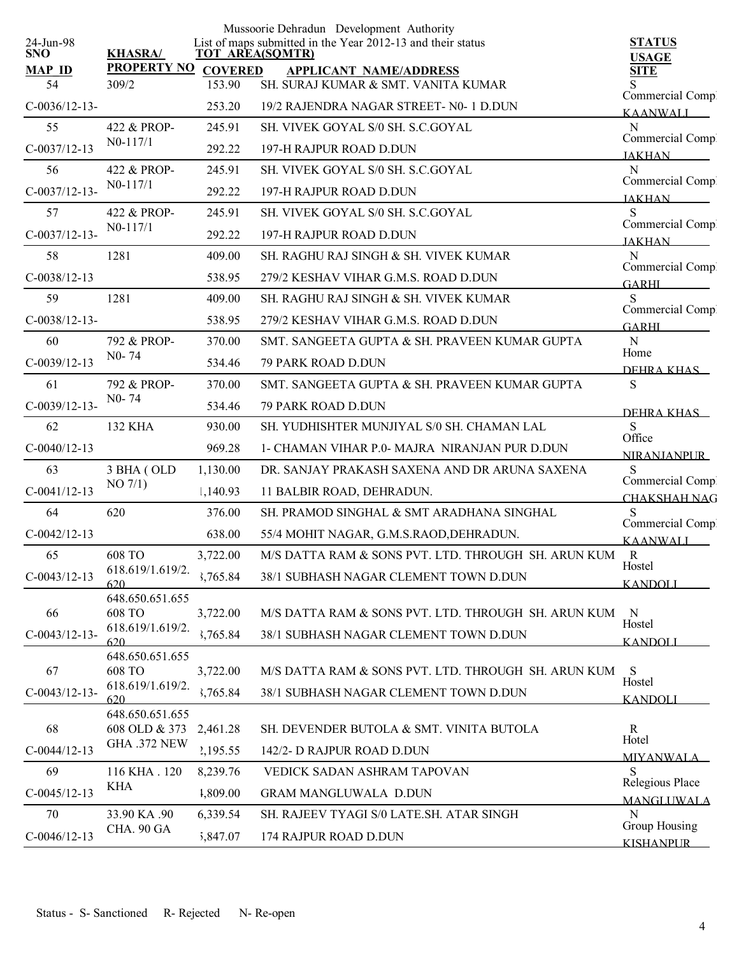| 24-Jun-98       |                                      |                | Mussoorie Dehradun Development Authority<br>List of maps submitted in the Year 2012-13 and their status |                                         |
|-----------------|--------------------------------------|----------------|---------------------------------------------------------------------------------------------------------|-----------------------------------------|
| <b>SNO</b>      | <b>KHASRA/</b>                       |                | <b>TOT AREA(SQMTR)</b>                                                                                  | <b>STATUS</b><br><b>USAGE</b>           |
| <b>MAP ID</b>   | <b>PROPERTY NO</b>                   | <b>COVERED</b> | <b>APPLICANT NAME/ADDRESS</b>                                                                           | <b>SITE</b>                             |
| 54              | 309/2                                | 153.90         | SH. SURAJ KUMAR & SMT. VANITA KUMAR                                                                     | S<br>Commercial Comp                    |
| $C-0036/12-13-$ |                                      | 253.20         | 19/2 RAJENDRA NAGAR STREET- N0-1 D.DUN                                                                  | <b>KAANWALL</b>                         |
| 55              | 422 & PROP-                          | 245.91         | SH. VIVEK GOYAL S/0 SH. S.C.GOYAL                                                                       | N<br>Commercial Compl                   |
| $C-0037/12-13$  | $N0-117/1$                           | 292.22         | 197-H RAJPUR ROAD D.DUN                                                                                 | <b>JAKHAN</b>                           |
| 56              | 422 & PROP-                          | 245.91         | SH. VIVEK GOYAL S/0 SH. S.C.GOYAL                                                                       | N<br>Commercial Comp.                   |
| $C-0037/12-13-$ | $N0-117/1$                           | 292.22         | 197-H RAJPUR ROAD D.DUN                                                                                 | <b>JAKHAN</b>                           |
| 57              | 422 & PROP-                          | 245.91         | SH. VIVEK GOYAL S/0 SH. S.C.GOYAL                                                                       | S                                       |
| $C-0037/12-13-$ | $N0-117/1$                           | 292.22         | 197-H RAJPUR ROAD D.DUN                                                                                 | Commercial Comp.<br><b>JAKHAN</b>       |
| 58              | 1281                                 | 409.00         | SH. RAGHU RAJ SINGH & SH. VIVEK KUMAR                                                                   | N                                       |
| $C-0038/12-13$  |                                      | 538.95         | 279/2 KESHAV VIHAR G.M.S. ROAD D.DUN                                                                    | Commercial Compl<br><b>GARHI</b>        |
| 59              | 1281                                 | 409.00         | SH. RAGHU RAJ SINGH & SH. VIVEK KUMAR                                                                   | S                                       |
| $C-0038/12-13-$ |                                      | 538.95         | 279/2 KESHAV VIHAR G.M.S. ROAD D.DUN                                                                    | Commercial Comp<br><b>GARHL</b>         |
| 60              | 792 & PROP-                          | 370.00         | SMT. SANGEETA GUPTA & SH. PRAVEEN KUMAR GUPTA                                                           | ${\bf N}$                               |
| $C-0039/12-13$  | $N0 - 74$                            | 534.46         | 79 PARK ROAD D.DUN                                                                                      | Home<br>DEHRA KHAS                      |
| 61              | 792 & PROP-                          | 370.00         | SMT. SANGEETA GUPTA & SH. PRAVEEN KUMAR GUPTA                                                           | ${\bf S}$                               |
| $C-0039/12-13-$ | $N0 - 74$                            | 534.46         | 79 PARK ROAD D.DUN                                                                                      | DEHRA KHAS                              |
| 62              | 132 KHA                              | 930.00         | SH. YUDHISHTER MUNJIYAL S/0 SH. CHAMAN LAL                                                              | S                                       |
| $C-0040/12-13$  |                                      | 969.28         | 1- CHAMAN VIHAR P.0- MAJRA NIRANJAN PUR D.DUN                                                           | Office<br><b>NIRANJANPUR</b>            |
| 63              | 3 BHA (OLD                           | 1,130.00       | DR. SANJAY PRAKASH SAXENA AND DR ARUNA SAXENA                                                           | S                                       |
| $C-0041/12-13$  | $NO$ $7/1)$                          | 1,140.93       | 11 BALBIR ROAD, DEHRADUN.                                                                               | Commercial Compl<br><b>CHAKSHAH NAG</b> |
| 64              | 620                                  | 376.00         | SH. PRAMOD SINGHAL & SMT ARADHANA SINGHAL                                                               | S                                       |
| $C-0042/12-13$  |                                      | 638.00         | 55/4 MOHIT NAGAR, G.M.S.RAOD, DEHRADUN.                                                                 | Commercial Comp.<br><b>KAANWALI</b>     |
| 65              | 608 TO                               | 3,722.00       | M/S DATTA RAM & SONS PVT. LTD. THROUGH SH. ARUN KUM                                                     | R                                       |
| $C-0043/12-13$  | 618.619/1.619/2.                     | 3,765.84       | 38/1 SUBHASH NAGAR CLEMENT TOWN D.DUN                                                                   | Hostel                                  |
|                 | 620<br>648.650.651.655               |                |                                                                                                         | <b>KANDOLI</b>                          |
| 66              | <b>608 TO</b>                        | 3,722.00       | M/S DATTA RAM & SONS PVT. LTD. THROUGH SH. ARUN KUM                                                     | $\mathbf N$<br>Hostel                   |
| $C-0043/12-13-$ | 618.619/1.619/2.<br>620              | 3,765.84       | 38/1 SUBHASH NAGAR CLEMENT TOWN D.DUN                                                                   | <b>KANDOLI</b>                          |
|                 | 648.650.651.655                      |                |                                                                                                         |                                         |
| 67              | 608 TO<br>618.619/1.619/2.           | 3,722.00       | M/S DATTA RAM & SONS PVT. LTD. THROUGH SH. ARUN KUM                                                     | <sub>S</sub><br>Hostel                  |
| $C-0043/12-13-$ | 620                                  | 3,765.84       | 38/1 SUBHASH NAGAR CLEMENT TOWN D.DUN                                                                   | <b>KANDOLI</b>                          |
|                 | 648.650.651.655                      |                |                                                                                                         |                                         |
| 68              | 608 OLD & 373<br><b>GHA .372 NEW</b> | 2,461.28       | SH. DEVENDER BUTOLA & SMT. VINITA BUTOLA                                                                | $\mathbf{R}$<br>Hotel                   |
| $C-0044/12-13$  |                                      | 2,195.55       | 142/2- D RAJPUR ROAD D.DUN                                                                              | <b>MIYANWALA</b>                        |
| 69              | 116 KHA . 120<br><b>KHA</b>          | 8,239.76       | VEDICK SADAN ASHRAM TAPOVAN                                                                             | S<br>Relegious Place                    |
| $C-0045/12-13$  |                                      | 1,809.00       | <b>GRAM MANGLUWALA D.DUN</b>                                                                            | <b>MANGLUWALA</b>                       |
| 70              | 33.90 KA .90<br>CHA. 90 GA           | 6,339.54       | SH. RAJEEV TYAGI S/0 LATE.SH. ATAR SINGH                                                                | N<br>Group Housing                      |
| $C-0046/12-13$  |                                      | 5,847.07       | 174 RAJPUR ROAD D.DUN                                                                                   | <b>KISHANPLIR</b>                       |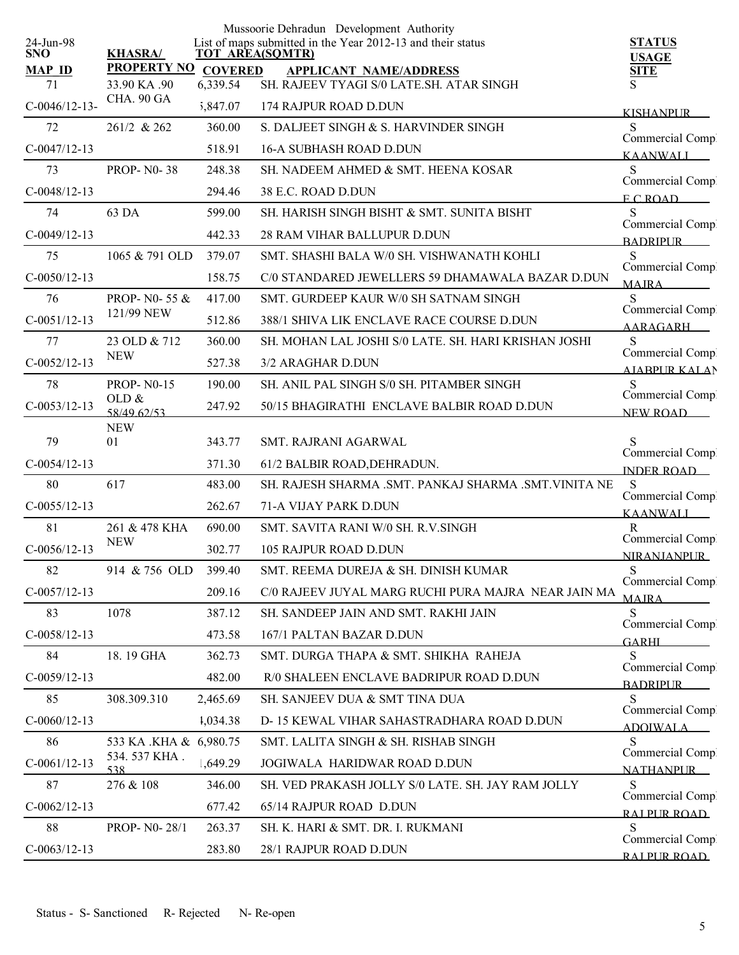|                   |                        |                | Mussoorie Dehradun Development Authority                                              |                                         |
|-------------------|------------------------|----------------|---------------------------------------------------------------------------------------|-----------------------------------------|
| 24-Jun-98<br>SNO. | <b>KHASRA/</b>         |                | List of maps submitted in the Year 2012-13 and their status<br><b>TOT AREA(SQMTR)</b> | <b>STATUS</b>                           |
| <b>MAP ID</b>     | <b>PROPERTY NO</b>     | <b>COVERED</b> | <b>APPLICANT NAME/ADDRESS</b>                                                         | <b>USAGE</b><br><b>SITE</b>             |
| 71                | 33.90 KA .90           | 6,339.54       | SH. RAJEEV TYAGI S/0 LATE.SH. ATAR SINGH                                              | S                                       |
| $C-0046/12-13-$   | CHA. 90 GA             | 5,847.07       | 174 RAJPUR ROAD D.DUN                                                                 | <b>KISHANPUR</b>                        |
| 72                | 261/2 & 262            | 360.00         | S. DALJEET SINGH & S. HARVINDER SINGH                                                 | S                                       |
| $C-0047/12-13$    |                        | 518.91         | <b>16-A SUBHASH ROAD D.DUN</b>                                                        | Commercial Comp.<br><b>KAANWALI</b>     |
| 73                | <b>PROP-N0-38</b>      | 248.38         | SH. NADEEM AHMED & SMT. HEENA KOSAR                                                   | S<br>Commercial Comp.                   |
| $C-0048/12-13$    |                        | 294.46         | 38 E.C. ROAD D.DUN                                                                    | ECROAD                                  |
| 74                | 63 DA                  | 599.00         | SH. HARISH SINGH BISHT & SMT. SUNITA BISHT                                            | S                                       |
| $C-0049/12-13$    |                        | 442.33         | 28 RAM VIHAR BALLUPUR D.DUN                                                           | Commercial Comp.<br><b>BADRIPLIR</b>    |
| 75                | 1065 & 791 OLD         | 379.07         | SMT. SHASHI BALA W/0 SH. VISHWANATH KOHLI                                             | S                                       |
| $C-0050/12-13$    |                        | 158.75         | C/0 STANDARED JEWELLERS 59 DHAMAWALA BAZAR D.DUN                                      | Commercial Comp.<br><b>MAIRA</b>        |
| 76                | PROP- N0-55 &          | 417.00         | SMT. GURDEEP KAUR W/0 SH SATNAM SINGH                                                 | S                                       |
| $C-0051/12-13$    | 121/99 NEW             | 512.86         | 388/1 SHIVA LIK ENCLAVE RACE COURSE D.DUN                                             | Commercial Comp.<br>AARAGARH            |
| 77                | 23 OLD & 712           | 360.00         | SH. MOHAN LAL JOSHI S/0 LATE. SH. HARI KRISHAN JOSHI                                  | S                                       |
| $C-0052/12-13$    | <b>NEW</b>             | 527.38         | 3/2 ARAGHAR D.DUN                                                                     | Commercial Compl<br><b>AIABPURKALAN</b> |
| 78                | <b>PROP-N0-15</b>      | 190.00         | SH. ANIL PAL SINGH S/0 SH. PITAMBER SINGH                                             | S                                       |
| $C-0053/12-13$    | OLD $&$<br>58/49 62/53 | 247.92         | 50/15 BHAGIRATHI ENCLAVE BALBIR ROAD D.DUN                                            | Commercial Compl<br>NEW ROAD            |
|                   | <b>NEW</b>             |                |                                                                                       |                                         |
| 79                | 01                     | 343.77         | <b>SMT. RAJRANI AGARWAL</b>                                                           | Commercial Compl                        |
| $C-0054/12-13$    |                        | 371.30         | 61/2 BALBIR ROAD, DEHRADUN.                                                           | <b>INDER ROAD</b>                       |
| 80                | 617                    | 483.00         | SH. RAJESH SHARMA .SMT. PANKAJ SHARMA .SMT. VINITA NE                                 | S<br>Commercial Comp.                   |
| $C-0055/12-13$    |                        | 262.67         | 71-A VIJAY PARK D.DUN                                                                 | <b>KAANWALI</b>                         |
| 81                | 261 & 478 KHA          | 690.00         | SMT. SAVITA RANI W/0 SH. R.V.SINGH                                                    | R<br>Commercial Comp                    |
| $C-0056/12-13$    | <b>NEW</b>             | 302.77         | 105 RAJPUR ROAD D.DUN                                                                 | <b>NIRANJANPUR</b>                      |
| 82                | 914 & 756 OLD          | 399.40         | SMT. REEMA DUREJA & SH. DINISH KUMAR                                                  | S.                                      |
| $C-0057/12-13$    |                        | 209.16         | C/0 RAJEEV JUYAL MARG RUCHI PURA MAJRA NEAR JAIN MA                                   | Commercial Compl<br><b>MAJRA</b>        |
| 83                | 1078                   | 387.12         | SH. SANDEEP JAIN AND SMT. RAKHI JAIN                                                  | <sub>S</sub>                            |
| $C-0058/12-13$    |                        | 473.58         | 167/1 PALTAN BAZAR D.DUN                                                              | Commercial Compl<br><b>GARHL</b>        |
| 84                | 18.19 GHA              | 362.73         | SMT. DURGA THAPA & SMT. SHIKHA RAHEJA                                                 | S                                       |
| $C-0059/12-13$    |                        | 482.00         | R/0 SHALEEN ENCLAVE BADRIPUR ROAD D.DUN                                               | Commercial Comp.<br><b>BADRIPUR</b>     |
| 85                | 308.309.310            | 2,465.69       | SH. SANJEEV DUA & SMT TINA DUA                                                        | S                                       |
| $C-0060/12-13$    |                        | 1,034.38       | D-15 KEWAL VIHAR SAHASTRADHARA ROAD D.DUN                                             | Commercial Comp.<br>ADOIWALA            |
| 86                | 533 KA .KHA & 6,980.75 |                | SMT. LALITA SINGH & SH. RISHAB SINGH                                                  | S                                       |
| $C-0061/12-13$    | 534.537 KHA.<br>538    | 1,649.29       | JOGIWALA HARIDWAR ROAD D.DUN                                                          | Commercial Comp.<br><b>NATHANPUR</b>    |
| 87                | 276 & 108              | 346.00         | SH. VED PRAKASH JOLLY S/0 LATE. SH. JAY RAM JOLLY                                     | S                                       |
| $C-0062/12-13$    |                        | 677.42         | 65/14 RAJPUR ROAD D.DUN                                                               | Commercial Comp.<br>RAJ PUR ROAD        |
| 88                | PROP- N0-28/1          | 263.37         | SH. K. HARI & SMT. DR. I. RUKMANI                                                     | S                                       |
| $C-0063/12-13$    |                        | 283.80         | 28/1 RAJPUR ROAD D.DUN                                                                | Commercial Comp.<br>RAI PUR ROAD        |
|                   |                        |                |                                                                                       |                                         |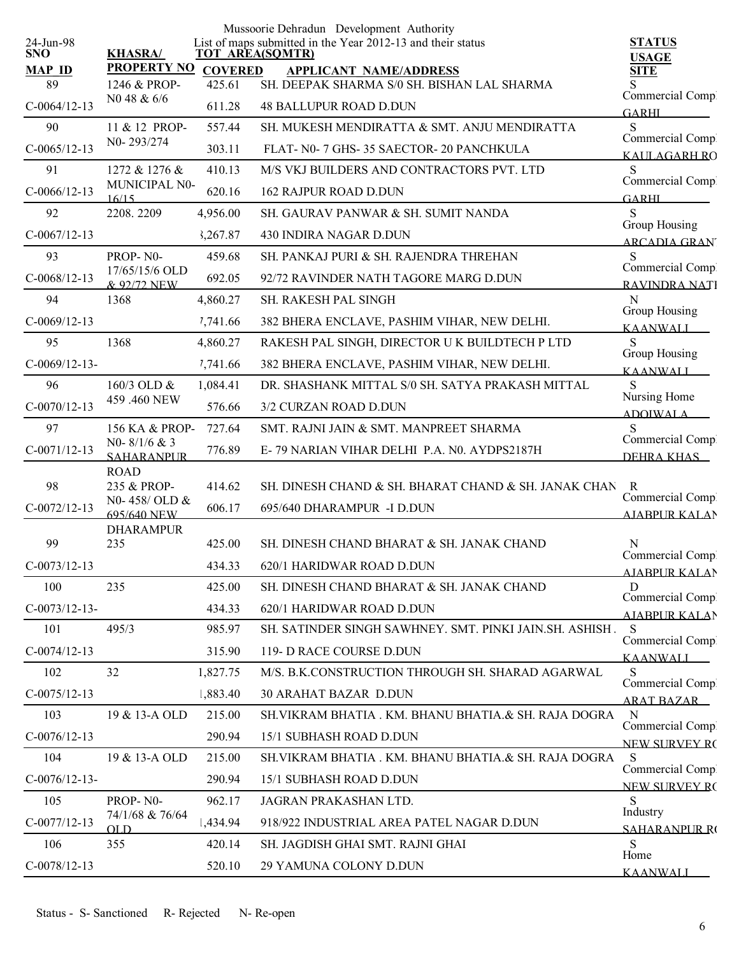|                         |                                      |                | Mussoorie Dehradun Development Authority                                              |                                      |
|-------------------------|--------------------------------------|----------------|---------------------------------------------------------------------------------------|--------------------------------------|
| 24-Jun-98<br><b>SNO</b> | <b>KHASRA/</b>                       |                | List of maps submitted in the Year 2012-13 and their status<br><b>TOT AREA(SQMTR)</b> | <b>STATUS</b><br><b>USAGE</b>        |
| <b>MAP ID</b>           | <b>PROPERTY NO</b>                   | <b>COVERED</b> | <b>APPLICANT NAME/ADDRESS</b>                                                         | <b>SITE</b>                          |
| 89                      | 1246 & PROP-                         | 425.61         | SH. DEEPAK SHARMA S/0 SH. BISHAN LAL SHARMA                                           | Commercial Compl                     |
| $C-0064/12-13$          | N0 48 & 6/6                          | 611.28         | <b>48 BALLUPUR ROAD D.DUN</b>                                                         | <b>GARHI</b>                         |
| 90                      | 11 & 12 PROP-                        | 557.44         | SH. MUKESH MENDIRATTA & SMT. ANJU MENDIRATTA                                          | S<br>Commercial Comp.                |
| $C-0065/12-13$          | N0-293/274                           | 303.11         | FLAT- N0-7 GHS-35 SAECTOR-20 PANCHKULA                                                | KALILAGARH RO                        |
| 91                      | 1272 & 1276 &                        | 410.13         | M/S VKJ BUILDERS AND CONTRACTORS PVT. LTD                                             | S<br>Commercial Comp.                |
| $C-0066/12-13$          | MUNICIPAL N0-<br>16/15               | 620.16         | <b>162 RAJPUR ROAD D.DUN</b>                                                          | <b>GARHI</b>                         |
| 92                      | 2208.2209                            | 4,956.00       | SH. GAURAV PANWAR & SH. SUMIT NANDA                                                   | S                                    |
| $C-0067/12-13$          |                                      | 3,267.87       | 430 INDIRA NAGAR D.DUN                                                                | Group Housing<br><b>ARCADIA GRAN</b> |
| 93                      | PROP-N0-                             | 459.68         | SH. PANKAJ PURI & SH. RAJENDRA THREHAN                                                | S<br>Commercial Comp                 |
| $C-0068/12-13$          | 17/65/15/6 OLD<br>& 92/72 NEW        | 692.05         | 92/72 RAVINDER NATH TAGORE MARG D.DUN                                                 | RAVINDRA NATI                        |
| 94                      | 1368                                 | 4,860.27       | <b>SH. RAKESH PAL SINGH</b>                                                           | N                                    |
| $C-0069/12-13$          |                                      | 7,741.66       | 382 BHERA ENCLAVE, PASHIM VIHAR, NEW DELHI.                                           | Group Housing<br><b>KAANWALI</b>     |
| 95                      | 1368                                 | 4,860.27       | RAKESH PAL SINGH, DIRECTOR U K BUILDTECH P LTD                                        | S                                    |
| $C-0069/12-13-$         |                                      | 7,741.66       | 382 BHERA ENCLAVE, PASHIM VIHAR, NEW DELHI.                                           | Group Housing<br><b>KAANWALI</b>     |
| 96                      | 160/3 OLD &                          | 1,084.41       | DR. SHASHANK MITTAL S/0 SH. SATYA PRAKASH MITTAL                                      |                                      |
| $C-0070/12-13$          | 459 .460 NEW                         | 576.66         | 3/2 CURZAN ROAD D.DUN                                                                 | Nursing Home<br><b>ADOIWALA</b>      |
| 97                      | 156 KA & PROP-                       | 727.64         | SMT. RAJNI JAIN & SMT. MANPREET SHARMA                                                | S                                    |
| $C-0071/12-13$          | NO- $8/1/6$ & 3<br><b>SAHARANPUR</b> | 776.89         | E-79 NARIAN VIHAR DELHI P.A. N0. AYDPS2187H                                           | Commercial Comp<br>DEHRA KHAS        |
|                         | <b>ROAD</b>                          |                |                                                                                       |                                      |
| 98                      | 235 & PROP-<br>N0-458/OLD &          | 414.62         | SH. DINESH CHAND & SH. BHARAT CHAND & SH. JANAK CHAN                                  | R<br>Commercial Comp.                |
| $C-0072/12-13$          | 695/640 NEW                          | 606.17         | 695/640 DHARAMPUR -I D.DUN                                                            | <b>AIARPUR KALAN</b>                 |
| 99                      | <b>DHARAMPUR</b><br>235              | 425.00         | SH. DINESH CHAND BHARAT & SH. JANAK CHAND                                             | N                                    |
| $C-0073/12-13$          |                                      | 434.33         | 620/1 HARIDWAR ROAD D.DUN                                                             | Commercial Compl                     |
| 100                     | 235                                  | 425.00         | SH. DINESH CHAND BHARAT & SH. JANAK CHAND                                             | <b>AIABPUR KALAN</b><br>D            |
| $C-0073/12-13-$         |                                      | 434.33         | 620/1 HARIDWAR ROAD D.DUN                                                             | Commercial Compl                     |
| 101                     | 495/3                                | 985.97         | SH. SATINDER SINGH SAWHNEY. SMT. PINKI JAIN.SH. ASHISH.                               | <b>AIABPUR KALAN</b><br>S            |
| $C-0074/12-13$          |                                      | 315.90         | 119- D RACE COURSE D.DUN                                                              | Commercial Comp                      |
| 102                     | 32                                   | 1,827.75       | M/S. B.K.CONSTRUCTION THROUGH SH. SHARAD AGARWAL                                      | <b>KAANWALI</b><br>S                 |
| $C-0075/12-13$          |                                      | 1,883.40       | <b>30 ARAHAT BAZAR D.DUN</b>                                                          | Commercial Comp.                     |
| 103                     | 19 & 13-A OLD                        | 215.00         | SH. VIKRAM BHATIA . KM. BHANU BHATIA. & SH. RAJA DOGRA                                | <b>ARAT BAZAR</b><br>N               |
| $C-0076/12-13$          |                                      | 290.94         | 15/1 SUBHASH ROAD D.DUN                                                               | Commercial Comp.                     |
| 104                     | 19 & 13-A OLD                        | 215.00         | SH. VIKRAM BHATIA . KM. BHANU BHATIA.& SH. RAJA DOGRA                                 | NEW SURVEY RO<br>S                   |
| $C-0076/12-13-$         |                                      | 290.94         | 15/1 SUBHASH ROAD D.DUN                                                               | Commercial Comp.                     |
|                         | PROP-N0-                             | 962.17         |                                                                                       | <b>NEW SURVEY RC</b><br><sub>S</sub> |
| 105                     | 74/1/68 & 76/64                      |                | JAGRAN PRAKASHAN LTD.                                                                 | Industry                             |
| $C-0077/12-13$          | OL D                                 | 1,434.94       | 918/922 INDUSTRIAL AREA PATEL NAGAR D.DUN                                             | <b>SAHARANPUR RO</b>                 |
| 106                     | 355                                  | 420.14         | SH. JAGDISH GHAI SMT. RAJNI GHAI                                                      | S<br>Home                            |
| $C-0078/12-13$          |                                      | 520.10         | 29 YAMUNA COLONY D.DUN                                                                | <b>KAANWALI</b>                      |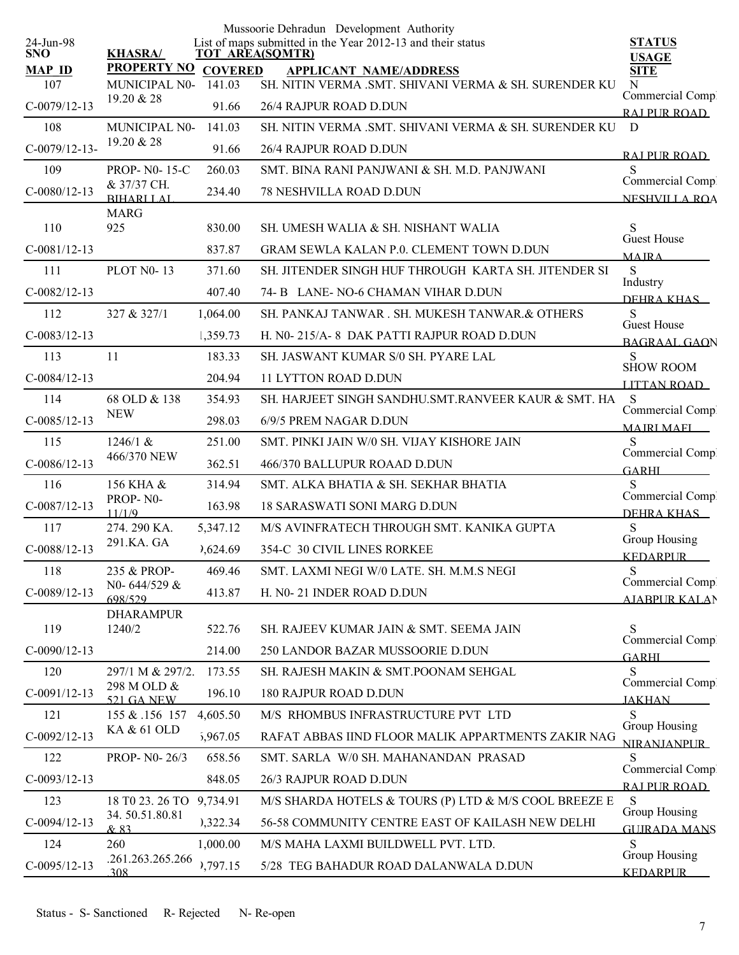|                         |                                            |                  | Mussoorie Dehradun Development Authority                                                                  |                                           |
|-------------------------|--------------------------------------------|------------------|-----------------------------------------------------------------------------------------------------------|-------------------------------------------|
| 24-Jun-98<br><b>SNO</b> | <b>KHASRA/</b>                             |                  | List of maps submitted in the Year 2012-13 and their status<br><b>TOT AREA(SQMTR)</b>                     | <b>STATUS</b><br><b>USAGE</b>             |
| <b>MAP ID</b>           | <b>PROPERTY NO</b>                         | <b>COVERED</b>   | <b>APPLICANT NAME/ADDRESS</b>                                                                             | <b>SITE</b>                               |
| 107<br>$C-0079/12-13$   | <b>MUNICIPAL N0-</b><br>19.20 & 28         | 141.03<br>91.66  | SH. NITIN VERMA .SMT. SHIVANI VERMA & SH. SURENDER KU<br>26/4 RAJPUR ROAD D.DUN                           | N<br>Commercial Compl                     |
| 108                     | MUNICIPAL N0-                              | 141.03           | SH. NITIN VERMA .SMT. SHIVANI VERMA & SH. SURENDER KU                                                     | RAI PUR ROAD<br>D                         |
| $C-0079/12-13-$         | 19.20 & 28                                 | 91.66            | 26/4 RAJPUR ROAD D.DUN                                                                                    |                                           |
| 109                     | <b>PROP-NO-15-C</b>                        | 260.03           | SMT. BINA RANI PANJWANI & SH. M.D. PANJWANI                                                               | RAI PUR ROAD<br>S                         |
| $C-0080/12-13$          | & 37/37 CH.                                | 234.40           | <b>78 NESHVILLA ROAD D.DUN</b>                                                                            | Commercial Comp.                          |
|                         | <b>BIHARLLAL</b><br><b>MARG</b>            |                  |                                                                                                           | <b>NESHVILLA ROA</b>                      |
| 110                     | 925                                        | 830.00           | SH. UMESH WALIA & SH. NISHANT WALIA                                                                       | S                                         |
| $C-0081/12-13$          |                                            | 837.87           | <b>GRAM SEWLA KALAN P.0. CLEMENT TOWN D.DUN</b>                                                           | Guest House<br><b>MAIRA</b>               |
| 111                     | <b>PLOT N0-13</b>                          | 371.60           | SH. JITENDER SINGH HUF THROUGH KARTA SH. JITENDER SI                                                      | S                                         |
| $C-0082/12-13$          |                                            | 407.40           | 74- B LANE-NO-6 CHAMAN VIHAR D.DUN                                                                        | Industry<br>DEHRA KHAS                    |
| 112                     | 327 & 327/1                                | 1,064.00         | SH. PANKAJ TANWAR. SH. MUKESH TANWAR. & OTHERS                                                            | S                                         |
| $C-0083/12-13$          |                                            | 1,359.73         | H. N0-215/A-8 DAK PATTI RAJPUR ROAD D.DUN                                                                 | <b>Guest House</b><br><b>BAGRAAL GAON</b> |
| 113                     | 11                                         | 183.33           | SH. JASWANT KUMAR S/0 SH. PYARE LAL                                                                       | S<br><b>SHOW ROOM</b>                     |
| $C-0084/12-13$          |                                            | 204.94           | <b>11 LYTTON ROAD D.DUN</b>                                                                               | <b>LITTAN ROAD</b>                        |
| 114                     | 68 OLD & 138                               | 354.93           | SH. HARJEET SINGH SANDHU.SMT.RANVEER KAUR & SMT. HA                                                       | <sub>S</sub>                              |
| $C-0085/12-13$          | <b>NEW</b>                                 | 298.03           | 6/9/5 PREM NAGAR D.DUN                                                                                    | Commercial Comp.<br><b>MAIRI MAFI</b>     |
| 115                     | 1246/1 &                                   | 251.00           | SMT. PINKI JAIN W/0 SH. VIJAY KISHORE JAIN                                                                | S                                         |
| $C-0086/12-13$          | 466/370 NEW                                | 362.51           | 466/370 BALLUPUR ROAAD D.DUN                                                                              | Commercial Comp.<br><b>GARHI</b>          |
| 116                     | 156 KHA &                                  | 314.94           | SMT. ALKA BHATIA & SH. SEKHAR BHATIA                                                                      | S<br>Commercial Compl                     |
| $C-0087/12-13$          | PROP-N0-<br>11/1/9                         | 163.98           | <b>18 SARASWATI SONI MARG D.DUN</b>                                                                       | DEHRA KHAS                                |
| 117                     | 274.290 KA.                                | 5,347.12         | M/S AVINFRATECH THROUGH SMT. KANIKA GUPTA                                                                 | S<br>Group Housing                        |
| $C-0088/12-13$          | 291.KA. GA                                 | 7,624.69         | 354-C 30 CIVIL LINES RORKEE                                                                               | <b>KEDARPUR</b>                           |
| 118                     | 235 & PROP-                                | 469.46           | SMT. LAXMI NEGI W/0 LATE. SH. M.M.S NEGI                                                                  | S<br>Commercial Comp.                     |
| $C-0089/12-13$          | N0-644/529 &<br>698/529                    | 413.87           | H. N0-21 INDER ROAD D.DUN                                                                                 | <b>AJABPUR KALAN</b>                      |
|                         | <b>DHARAMPUR</b>                           |                  |                                                                                                           |                                           |
| 119                     | 1240/2                                     | 522.76           | SH. RAJEEV KUMAR JAIN & SMT. SEEMA JAIN                                                                   | S<br>Commercial Compl                     |
| $C-0090/12-13$<br>120   | 297/1 M & 297/2.                           | 214.00<br>173.55 | 250 LANDOR BAZAR MUSSOORIE D.DUN<br>SH. RAJESH MAKIN & SMT.POONAM SEHGAL                                  | <b>GARHI</b><br>S                         |
|                         | 298 M OLD &                                |                  |                                                                                                           | Commercial Compl                          |
| $C-0091/12-13$          | <b>521 GA NEW</b>                          | 196.10           | 180 RAJPUR ROAD D.DUN                                                                                     | <b>JAKHAN</b>                             |
| 121                     | 155 & 156 157<br>KA & 61 OLD               | 4,605.50         | M/S RHOMBUS INFRASTRUCTURE PVT LTD                                                                        | S<br>Group Housing                        |
| $C-0092/12-13$          |                                            | 5,967.05         | RAFAT ABBAS IIND FLOOR MALIK APPARTMENTS ZAKIR NAG                                                        | <b>NIRANJANPUR</b><br>S                   |
| 122                     | PROP- N0-26/3                              | 658.56           | SMT. SARLA W/0 SH. MAHANANDAN PRASAD                                                                      | Commercial Comp.                          |
| $C-0093/12-13$          |                                            | 848.05           | 26/3 RAJPUR ROAD D.DUN                                                                                    | RAI PUR ROAD                              |
| 123<br>$C-0094/12-13$   | 18 T0 23. 26 TO 9,734.91<br>34.50.51.80.81 | 0,322.34         | M/S SHARDA HOTELS & TOURS (P) LTD & M/S COOL BREEZE E<br>56-58 COMMUNITY CENTRE EAST OF KAILASH NEW DELHI | S<br>Group Housing                        |
|                         | & 83                                       |                  |                                                                                                           | <b>GUIRADA MANS</b>                       |
| 124                     | 260<br>.261.263.265.266                    | 1,000.00         | M/S MAHA LAXMI BUILDWELL PVT. LTD.                                                                        | S<br>Group Housing                        |
| $C-0095/12-13$          | 308                                        | 1,797.15         | 5/28 TEG BAHADUR ROAD DALANWALA D.DUN                                                                     | <b>KEDARPUR</b>                           |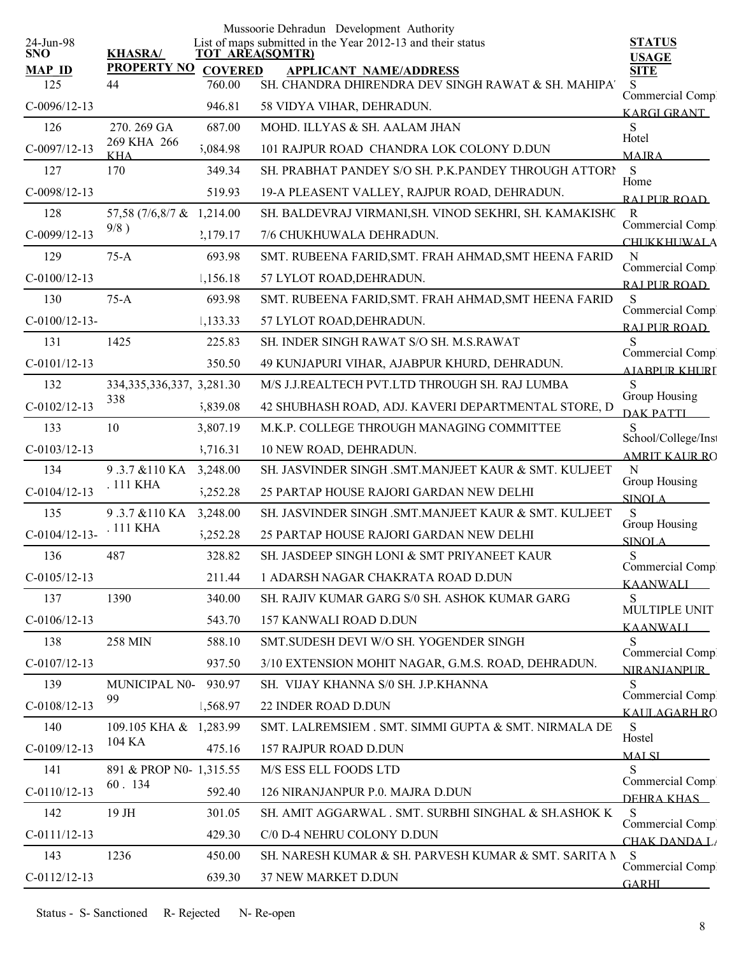|                         |                                |                | Mussoorie Dehradun Development Authority                                              |                                              |
|-------------------------|--------------------------------|----------------|---------------------------------------------------------------------------------------|----------------------------------------------|
| 24-Jun-98<br><b>SNO</b> | <b>KHASRA/</b>                 |                | List of maps submitted in the Year 2012-13 and their status<br><b>TOT AREA(SQMTR)</b> | <b>STATUS</b><br><b>USAGE</b>                |
| <b>MAP ID</b>           | <b>PROPERTY NO</b>             | <b>COVERED</b> | <b>APPLICANT NAME/ADDRESS</b>                                                         | <b>SITE</b>                                  |
| 125                     | 44                             | 760.00         | SH. CHANDRA DHIRENDRA DEV SINGH RAWAT & SH. MAHIPA'                                   | S<br>Commercial Comp.                        |
| $C-0096/12-13$          |                                | 946.81         | 58 VIDYA VIHAR, DEHRADUN.                                                             | <b>KARGI GRANT</b>                           |
| 126                     | 270.269 GA                     | 687.00         | MOHD. ILLYAS & SH. AALAM JHAN                                                         | S                                            |
| $C-0097/12-13$          | 269 KHA 266<br><b>KHA</b>      | 5,084.98       | 101 RAJPUR ROAD CHANDRA LOK COLONY D.DUN                                              | Hotel<br><b>MAIRA</b>                        |
| 127                     | 170                            | 349.34         | SH. PRABHAT PANDEY S/O SH. P.K.PANDEY THROUGH ATTORN                                  | S                                            |
| $C-0098/12-13$          |                                | 519.93         | 19-A PLEASENT VALLEY, RAJPUR ROAD, DEHRADUN.                                          | Home<br>RAI PUR ROAD                         |
| 128                     | 57,58 (7/6,8/7 & 1,214.00)     |                | SH. BALDEVRAJ VIRMANI, SH. VINOD SEKHRI, SH. KAMAKISHC                                | $\mathbb{R}$                                 |
| $C-0099/12-13$          | 9/8)                           | 2,179.17       | 7/6 CHUKHUWALA DEHRADUN.                                                              | Commercial Comp.<br><b>CHUKKHUWALA</b>       |
| 129                     | $75-A$                         | 693.98         | SMT. RUBEENA FARID, SMT. FRAH AHMAD, SMT HEENA FARID                                  | N<br>Commercial Compl                        |
| $C-0100/12-13$          |                                | 1,156.18       | 57 LYLOT ROAD, DEHRADUN.                                                              | RAI PUR ROAD                                 |
| 130                     | $75-A$                         | 693.98         | SMT. RUBEENA FARID, SMT. FRAH AHMAD, SMT HEENA FARID                                  | S                                            |
| $C-0100/12-13-$         |                                | 1,133.33       | 57 LYLOT ROAD, DEHRADUN.                                                              | Commercial Comp.<br>RAI PUR ROAD             |
| 131                     | 1425                           | 225.83         | SH. INDER SINGH RAWAT S/O SH. M.S.RAWAT                                               | S                                            |
| $C-0101/12-13$          |                                | 350.50         | 49 KUNJAPURI VIHAR, AJABPUR KHURD, DEHRADUN.                                          | Commercial Compl<br>AJABPUR KHURI            |
| 132                     | 334, 335, 336, 337, 3, 281. 30 |                | M/S J.J.REALTECH PVT.LTD THROUGH SH. RAJ LUMBA                                        | S                                            |
| $C-0102/12-13$          | 338                            | 5,839.08       | 42 SHUBHASH ROAD, ADJ. KAVERI DEPARTMENTAL STORE, D                                   | Group Housing<br><b>DAK PATTI</b>            |
| 133                     | 10                             | 3,807.19       | M.K.P. COLLEGE THROUGH MANAGING COMMITTEE                                             |                                              |
| $C-0103/12-13$          |                                | 3,716.31       | 10 NEW ROAD, DEHRADUN.                                                                | School/College/Inst<br><b>AMRIT KALIR RO</b> |
| 134                     | 9.3.7 & 110 KA                 | 3,248.00       | SH. JASVINDER SINGH .SMT.MANJEET KAUR & SMT. KULJEET                                  | N                                            |
| $C-0104/12-13$          | . 111 KHA                      | 5,252.28       | 25 PARTAP HOUSE RAJORI GARDAN NEW DELHI                                               | Group Housing<br><b>SINOLA</b>               |
| 135                     | 9.3.7 & 110 KA                 | 3,248.00       | SH. JASVINDER SINGH .SMT.MANJEET KAUR & SMT. KULJEET                                  | S                                            |
| $C-0104/12-13-$         | . 111 KHA                      | 5,252.28       | 25 PARTAP HOUSE RAJORI GARDAN NEW DELHI                                               | Group Housing<br><b>SINOLA</b>               |
| 136                     | 487                            | 328.82         | SH. JASDEEP SINGH LONI & SMT PRIYANEET KAUR                                           | ${\bf S}$                                    |
| $C-0105/12-13$          |                                | 211.44         | 1 ADARSH NAGAR CHAKRATA ROAD D.DUN                                                    | Commercial Compl<br><b>KAANWALI</b>          |
| 137                     | 1390                           | 340.00         | SH. RAJIV KUMAR GARG S/0 SH. ASHOK KUMAR GARG                                         | S                                            |
| $C-0106/12-13$          |                                | 543.70         | 157 KANWALI ROAD D.DUN                                                                | MULTIPLE UNIT<br>KAANWALI                    |
| 138                     | 258 MIN                        | 588.10         | SMT.SUDESH DEVI W/O SH. YOGENDER SINGH                                                | S                                            |
| $C-0107/12-13$          |                                | 937.50         | 3/10 EXTENSION MOHIT NAGAR, G.M.S. ROAD, DEHRADUN.                                    | Commercial Comp.<br><b>NIRANJANPUR</b>       |
| 139                     | MUNICIPAL N0-                  | 930.97         | SH. VIJAY KHANNA S/0 SH. J.P.KHANNA                                                   | S                                            |
| $C-0108/12-13$          | 99                             | 1,568.97       | 22 INDER ROAD D.DUN                                                                   | Commercial Comp.<br>KALILAGARH RO            |
| 140                     | 109.105 KHA & 1,283.99         |                | SMT. LALREMSIEM. SMT. SIMMI GUPTA & SMT. NIRMALA DE                                   | S                                            |
| $C-0109/12-13$          | 104 KA                         | 475.16         | 157 RAJPUR ROAD D.DUN                                                                 | Hostel<br><b>MALSI</b>                       |
| 141                     | 891 & PROP N0- 1,315.55        |                | M/S ESS ELL FOODS LTD                                                                 | S                                            |
| $C-0110/12-13$          | 60.134                         | 592.40         | 126 NIRANJANPUR P.0. MAJRA D.DUN                                                      | Commercial Comp.<br>DEHRA KHAS               |
| 142                     | 19 JH                          | 301.05         | SH. AMIT AGGARWAL . SMT. SURBHI SINGHAL & SH.ASHOK K                                  | <sup>S</sup>                                 |
| $C-0111/12-13$          |                                | 429.30         | C/0 D-4 NEHRU COLONY D.DUN                                                            | Commercial Comp.<br><b>CHAK DANDA L</b>      |
| 143                     | 1236                           | 450.00         | SH. NARESH KUMAR & SH. PARVESH KUMAR & SMT. SARITA N                                  | -S                                           |
| $C-0112/12-13$          |                                | 639.30         | 37 NEW MARKET D.DUN                                                                   | Commercial Comp.<br><b>GARHI</b>             |
|                         |                                |                |                                                                                       |                                              |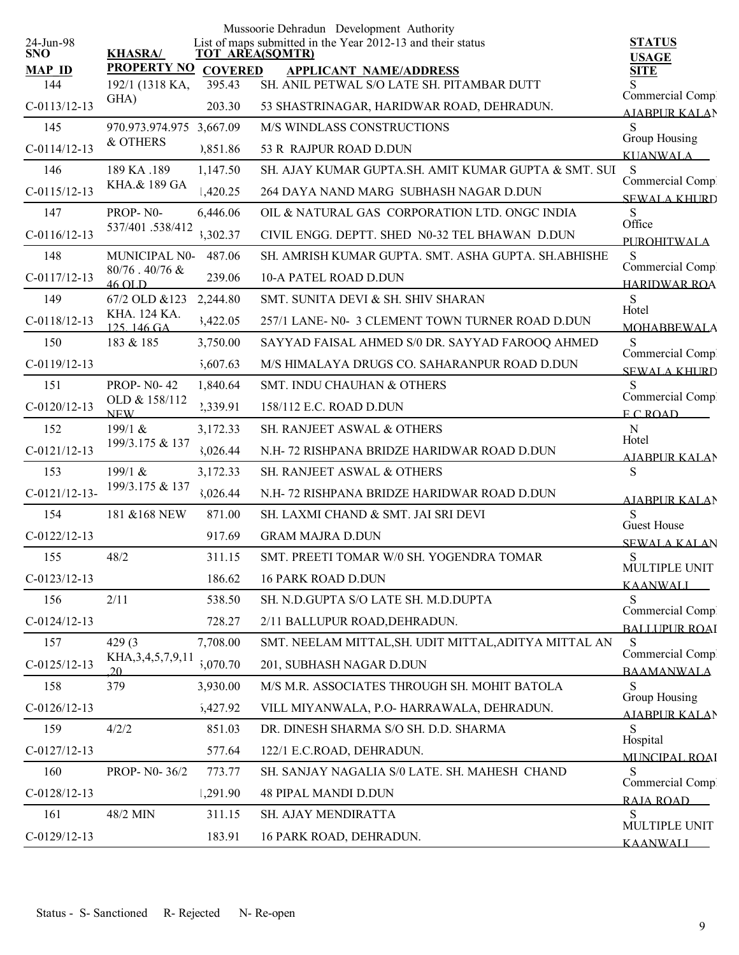|                         |                               |                | Mussoorie Dehradun Development Authority                                              |                                         |
|-------------------------|-------------------------------|----------------|---------------------------------------------------------------------------------------|-----------------------------------------|
| 24-Jun-98<br><b>SNO</b> | <b>KHASRA/</b>                |                | List of maps submitted in the Year 2012-13 and their status<br><b>TOT AREA(SQMTR)</b> | <b>STATUS</b>                           |
| $MAP$ ID                | <b>PROPERTY NO</b>            | <b>COVERED</b> | <b>APPLICANT NAME/ADDRESS</b>                                                         | <b>USAGE</b><br><b>SITE</b>             |
| 144                     | 192/1 (1318 KA,               | 395.43         | SH. ANIL PETWAL S/O LATE SH. PITAMBAR DUTT                                            |                                         |
| $C-0113/12-13$          | GHA)                          | 203.30         | 53 SHASTRINAGAR, HARIDWAR ROAD, DEHRADUN.                                             | Commercial Comp.<br>AJABPUR KALAN       |
| 145                     | 970.973.974.975               | 3,667.09       | M/S WINDLASS CONSTRUCTIONS                                                            | S<br>Group Housing                      |
| $C-0114/12-13$          | & OTHERS                      | 0,851.86       | 53 R RAJPUR ROAD D.DUN                                                                | <b>KUANWALA</b>                         |
| 146                     | 189 KA .189                   | 1,147.50       | SH. AJAY KUMAR GUPTA.SH. AMIT KUMAR GUPTA & SMT. SUI                                  | S                                       |
| $C-0115/12-13$          | KHA.& 189 GA                  | 1,420.25       | 264 DAYA NAND MARG SUBHASH NAGAR D.DUN                                                | Commercial Comp.<br><b>SEWALA KHURD</b> |
| 147                     | PROP-N0-                      | 6,446.06       | OIL & NATURAL GAS CORPORATION LTD. ONGC INDIA                                         | S                                       |
| $C-0116/12-13$          | 537/401.538/412               | 3,302.37       | CIVIL ENGG. DEPTT. SHED N0-32 TEL BHAWAN D.DUN                                        | Office<br><b>PUROHITWALA</b>            |
| 148                     | MUNICIPAL N0-                 | 487.06         | SH. AMRISH KUMAR GUPTA. SMT. ASHA GUPTA. SH.ABHISHE                                   | S                                       |
| $C-0117/12-13$          | $80/76$ . $40/76$ &<br>46 OLD | 239.06         | <b>10-A PATEL ROAD D.DUN</b>                                                          | Commercial Comp.<br><b>HARIDWAR ROA</b> |
| 149                     | 67/2 OLD &123                 | 2,244.80       | SMT. SUNITA DEVI & SH. SHIV SHARAN                                                    | S                                       |
| $C-0118/12-13$          | KHA. 124 KA.<br>$125$ 146 GA  | 3,422.05       | 257/1 LANE- N0- 3 CLEMENT TOWN TURNER ROAD D.DUN                                      | Hotel<br><b>MOHARREWALA</b>             |
| 150                     | 183 & 185                     | 3,750.00       | SAYYAD FAISAL AHMED S/0 DR. SAYYAD FAROOQ AHMED                                       | S                                       |
| $C-0119/12-13$          |                               | 5,607.63       | M/S HIMALAYA DRUGS CO. SAHARANPUR ROAD D.DUN                                          | Commercial Comp.<br><b>SEWALA KHURD</b> |
| 151                     | <b>PROP-N0-42</b>             | 1,840.64       | SMT. INDU CHAUHAN & OTHERS                                                            | S                                       |
| $C-0120/12-13$          | OLD & 158/112<br><b>NEW</b>   | 2,339.91       | 158/112 E.C. ROAD D.DUN                                                               | Commercial Comp.<br>E C ROAD            |
| 152                     | 199/1 &                       | 3,172.33       | SH. RANJEET ASWAL & OTHERS                                                            | $\mathbf N$                             |
| $C-0121/12-13$          | 199/3.175 & 137               | 3,026.44       | N.H - 72 RISHPANA BRIDZE HARIDWAR ROAD D.DUN                                          | Hotel<br>AJABPUR KALAN                  |
| 153                     | 199/1 &                       | 3,172.33       | SH. RANJEET ASWAL & OTHERS                                                            | S                                       |
| $C-0121/12-13-$         | 199/3.175 & 137               | 3,026.44       | N.H - 72 RISHPANA BRIDZE HARIDWAR ROAD D.DUN                                          | <b>AIABPUR KALAN</b>                    |
| 154                     | 181 & 168 NEW                 | 871.00         | SH. LAXMI CHAND & SMT. JAI SRI DEVI                                                   | S<br><b>Guest House</b>                 |
| $C-0122/12-13$          |                               | 917.69         | <b>GRAM MAJRA D.DUN</b>                                                               | <b>SEWALA KALAN</b>                     |
| 155                     | 48/2                          | 311.15         | SMT. PREETI TOMAR W/0 SH. YOGENDRA TOMAR                                              | S<br>MULTIPLE UNIT                      |
| $C-0123/12-13$          |                               | 186.62         | <b>16 PARK ROAD D.DUN</b>                                                             | <b>KAANWALI</b>                         |
| 156                     | 2/11                          | 538.50         | SH. N.D.GUPTA S/O LATE SH. M.D.DUPTA                                                  | S<br>Commercial Comp.                   |
| $C-0124/12-13$          |                               | 728.27         | 2/11 BALLUPUR ROAD, DEHRADUN.                                                         | <b>BALLUPUR ROAI</b>                    |
| 157                     | 429(3)                        | 7,708.00       | SMT. NEELAM MITTAL, SH. UDIT MITTAL, ADITYA MITTAL AN                                 | S<br>Commercial Comp                    |
| $C-0125/12-13$          | KHA, 3, 4, 5, 7, 9, 11<br>20  | 5,070.70       | 201, SUBHASH NAGAR D.DUN                                                              | <b>BAAMANWALA</b>                       |
| 158                     | 379                           | 3,930.00       | M/S M.R. ASSOCIATES THROUGH SH. MOHIT BATOLA                                          | S                                       |
| $C-0126/12-13$          |                               | 5,427.92       | VILL MIYANWALA, P.O- HARRAWALA, DEHRADUN.                                             | Group Housing<br><b>AIABPUR KALAN</b>   |
| 159                     | 4/2/2                         | 851.03         | DR. DINESH SHARMA S/O SH. D.D. SHARMA                                                 | S<br>Hospital                           |
| $C-0127/12-13$          |                               | 577.64         | 122/1 E.C.ROAD, DEHRADUN.                                                             | MUNCIPAL ROAI                           |
| 160                     | PROP- N0-36/2                 | 773.77         | SH. SANJAY NAGALIA S/0 LATE. SH. MAHESH CHAND                                         | S<br>Commercial Comp.                   |
| $C-0128/12-13$          |                               | 1,291.90       | <b>48 PIPAL MANDI D.DUN</b>                                                           | RAJA ROAD                               |
| 161                     | 48/2 MIN                      | 311.15         | SH. AJAY MENDIRATTA                                                                   | S<br>MULTIPLE UNIT                      |
| $C-0129/12-13$          |                               | 183.91         | 16 PARK ROAD, DEHRADUN.                                                               | <b>KAANWALL</b>                         |
|                         |                               |                |                                                                                       |                                         |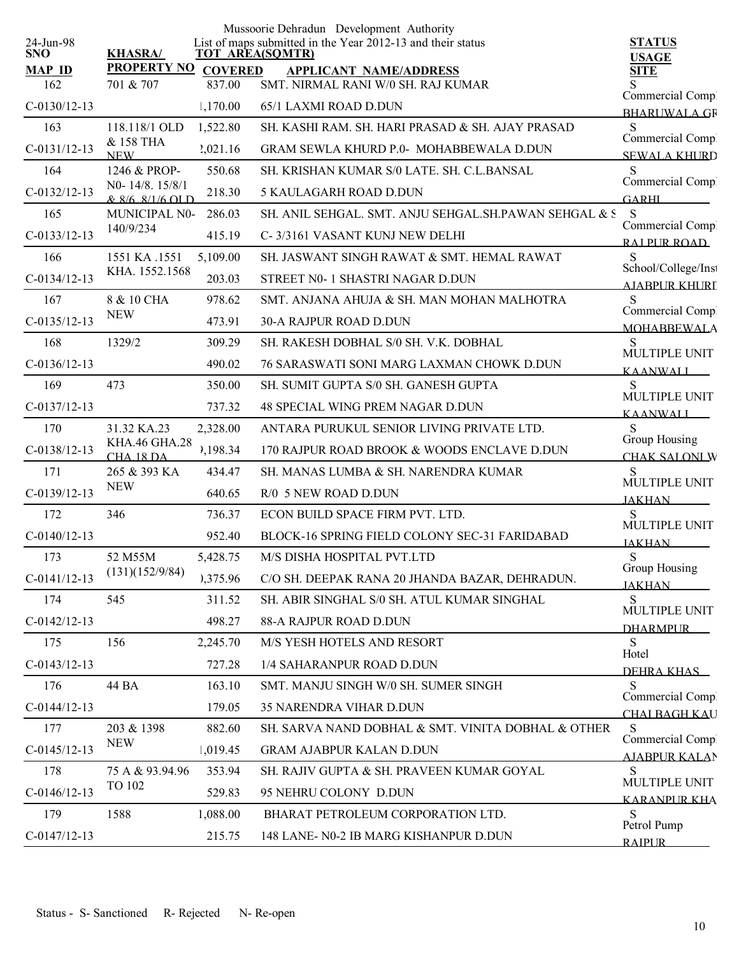|                         |                                   |                | Mussoorie Dehradun Development Authority                                              |                                          |
|-------------------------|-----------------------------------|----------------|---------------------------------------------------------------------------------------|------------------------------------------|
| 24-Jun-98<br><b>SNO</b> | <b>KHASRA/</b>                    |                | List of maps submitted in the Year 2012-13 and their status<br><b>TOT AREA(SQMTR)</b> | <b>STATUS</b><br><b>USAGE</b>            |
| <b>MAP ID</b>           | <b>PROPERTY NO</b>                | <b>COVERED</b> | <b>APPLICANT NAME/ADDRESS</b>                                                         | <b>SITE</b>                              |
| 162                     | 701 & 707                         | 837.00         | SMT. NIRMAL RANI W/0 SH. RAJ KUMAR                                                    | Commercial Comp.                         |
| $C-0130/12-13$          |                                   | 1,170.00       | 65/1 LAXMI ROAD D.DUN                                                                 | <b>BHARUWALA GR</b>                      |
| 163                     | 118.118/1 OLD                     | 1,522.80       | SH. KASHI RAM. SH. HARI PRASAD & SH. AJAY PRASAD                                      | S<br>Commercial Comp.                    |
| $C-0131/12-13$          | & 158 THA<br><b>NEW</b>           | 2,021.16       | <b>GRAM SEWLA KHURD P.0- MOHABBEWALA D.DUN</b>                                        | <b>SEWALA KHURD</b>                      |
| 164                     | 1246 & PROP-                      | 550.68         | SH. KRISHAN KUMAR S/0 LATE. SH. C.L.BANSAL                                            | S                                        |
| $C-0132/12-13$          | NO-14/8.15/8/1<br>& 8/6 8/1/6 OLD | 218.30         | 5 KAULAGARH ROAD D.DUN                                                                | Commercial Comp.<br><b>GARHI</b>         |
| 165                     | <b>MUNICIPAL N0-</b>              | 286.03         | SH. ANIL SEHGAL. SMT. ANJU SEHGAL. SH.PAWAN SEHGAL & S                                | S                                        |
| $C-0133/12-13$          | 140/9/234                         | 415.19         | C-3/3161 VASANT KUNJ NEW DELHI                                                        | Commercial Comp.<br>RAI PUR ROAD         |
| 166                     | 1551 KA .1551                     | 5,109.00       | SH. JASWANT SINGH RAWAT & SMT. HEMAL RAWAT                                            | S                                        |
| $C-0134/12-13$          | KHA. 1552.1568                    | 203.03         | STREET N0-1 SHASTRI NAGAR D.DUN                                                       | School/College/Inst<br>A JABPUR KHURI    |
| 167                     | 8 & 10 CHA                        | 978.62         | SMT. ANJANA AHUJA & SH. MAN MOHAN MALHOTRA                                            | S                                        |
| $C-0135/12-13$          | <b>NEW</b>                        | 473.91         | <b>30-A RAJPUR ROAD D.DUN</b>                                                         | Commercial Comp.<br><b>MOHABBEWALA</b>   |
| 168                     | 1329/2                            | 309.29         | SH. RAKESH DOBHAL S/0 SH. V.K. DOBHAL                                                 | S<br>MULTIPLE UNIT                       |
| $C-0136/12-13$          |                                   | 490.02         | 76 SARASWATI SONI MARG LAXMAN CHOWK D.DUN                                             | <b>KAANWALI</b>                          |
| 169                     | 473                               | 350.00         | SH. SUMIT GUPTA S/0 SH. GANESH GUPTA                                                  | S                                        |
| $C-0137/12-13$          |                                   | 737.32         | 48 SPECIAL WING PREM NAGAR D.DUN                                                      | MULTIPLE UNIT<br><b>KAANWALL</b>         |
| 170                     | 31.32 KA.23                       | 2,328.00       | ANTARA PURUKUL SENIOR LIVING PRIVATE LTD.                                             | S                                        |
| $C-0138/12-13$          | KHA.46 GHA.28<br>CHA 18 DA        | 1,198.34       | 170 RAJPUR ROAD BROOK & WOODS ENCLAVE D.DUN                                           | Group Housing<br>CHAK SALONLW            |
| 171                     | 265 & 393 KA                      | 434.47         | SH. MANAS LUMBA & SH. NARENDRA KUMAR                                                  | S                                        |
| $C-0139/12-13$          | <b>NEW</b>                        | 640.65         | R/0 5 NEW ROAD D.DUN                                                                  | MULTIPLE UNIT<br><b>JAKHAN</b>           |
| 172                     | 346                               | 736.37         | ECON BUILD SPACE FIRM PVT. LTD.                                                       | S                                        |
| $C-0140/12-13$          |                                   | 952.40         | BLOCK-16 SPRING FIELD COLONY SEC-31 FARIDABAD                                         | MULTIPLE UNIT<br><b>JAKHAN</b>           |
| 173                     | 52 M55M                           | 5,428.75       | M/S DISHA HOSPITAL PVT.LTD                                                            | ${\bf S}$                                |
| $C-0141/12-13$          | (131)(152/9/84)                   | 0,375.96       | C/O SH. DEEPAK RANA 20 JHANDA BAZAR, DEHRADUN.                                        | Group Housing<br><b>JAKHAN</b>           |
| 174                     | 545                               | 311.52         | SH. ABIR SINGHAL S/0 SH. ATUL KUMAR SINGHAL                                           | S                                        |
| $C-0142/12-13$          |                                   | 498.27         | 88-A RAJPUR ROAD D.DUN                                                                | MULTIPLE UNIT<br><b>DHARMPUR</b>         |
| 175                     | 156                               | 2,245.70       | M/S YESH HOTELS AND RESORT                                                            | S                                        |
| $C-0143/12-13$          |                                   | 727.28         | 1/4 SAHARANPUR ROAD D.DUN                                                             | Hotel<br>DEHRA KHAS                      |
| 176                     | 44 BA                             | 163.10         | SMT. MANJU SINGH W/0 SH. SUMER SINGH                                                  | S                                        |
| $C-0144/12-13$          |                                   | 179.05         | 35 NARENDRA VIHAR D.DUN                                                               | Commercial Comp<br>CHAI BAGH KAU         |
| 177                     | 203 & 1398                        | 882.60         | SH. SARVA NAND DOBHAL & SMT. VINITA DOBHAL & OTHER                                    | S                                        |
| $C-0145/12-13$          | <b>NEW</b>                        | 1,019.45       | <b>GRAM AJABPUR KALAN D.DUN</b>                                                       | Commercial Comp.<br><b>AJABPUR KALAN</b> |
| 178                     | 75 A & 93.94.96                   | 353.94         | SH. RAJIV GUPTA & SH. PRAVEEN KUMAR GOYAL                                             | S                                        |
| $C-0146/12-13$          | TO 102                            | 529.83         | 95 NEHRU COLONY D.DUN                                                                 | MULTIPLE UNIT<br>KARANPUR KHA            |
| 179                     | 1588                              | 1,088.00       | BHARAT PETROLEUM CORPORATION LTD.                                                     | S                                        |
| $C-0147/12-13$          |                                   | 215.75         | 148 LANE- N0-2 IB MARG KISHANPUR D.DUN                                                | Petrol Pump<br><b>RAIPLIR</b>            |
|                         |                                   |                |                                                                                       |                                          |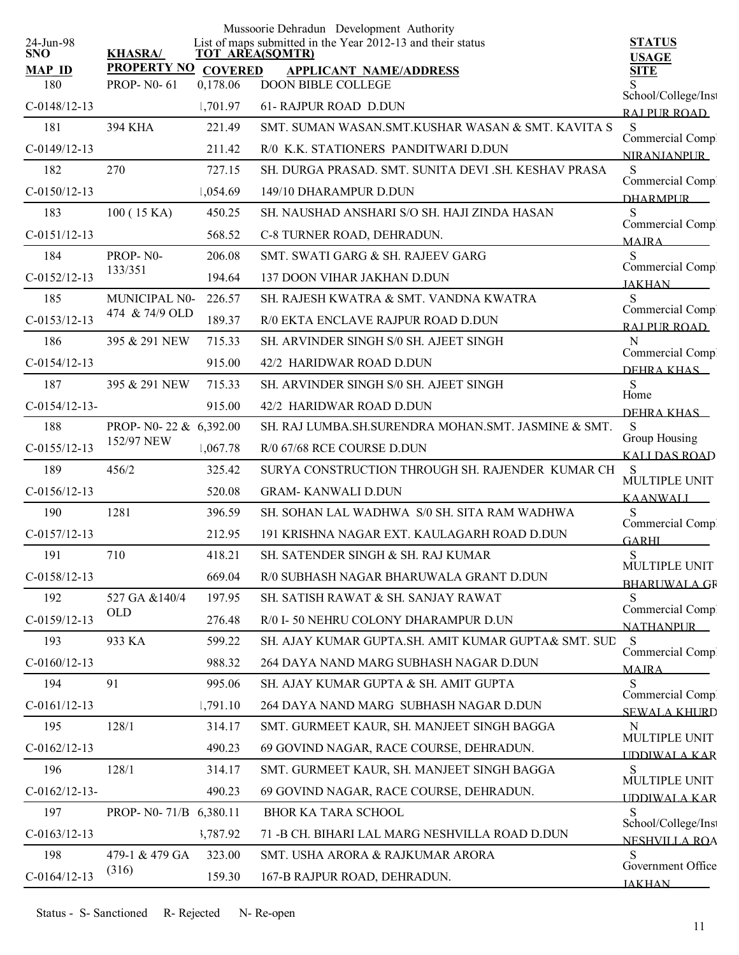|                         |                        |                  | Mussoorie Dehradun Development Authority                                              |                                        |
|-------------------------|------------------------|------------------|---------------------------------------------------------------------------------------|----------------------------------------|
| 24-Jun-98<br><b>SNO</b> | <b>KHASRA/</b>         |                  | List of maps submitted in the Year 2012-13 and their status<br><b>TOT AREA(SQMTR)</b> | <b>STATUS</b><br><b>USAGE</b>          |
| <b>MAP ID</b>           | PROPERTY NO COVERED    |                  | <b>APPLICANT NAME/ADDRESS</b>                                                         | <b>SITE</b>                            |
| 180                     | <b>PROP-N0-61</b>      | 0,178.06         | <b>DOON BIBLE COLLEGE</b>                                                             | School/College/Inst                    |
| $C-0148/12-13$          |                        | 1,701.97         | 61- RAJPUR ROAD D.DUN                                                                 | RAI PUR ROAD                           |
| 181                     | 394 KHA                | 221.49           | SMT. SUMAN WASAN.SMT.KUSHAR WASAN & SMT. KAVITA S                                     | S                                      |
| $C-0149/12-13$          |                        | 211.42           | R/0 K.K. STATIONERS PANDITWARI D.DUN                                                  | Commercial Comp.<br><b>NIRANIANPUR</b> |
| 182                     | 270                    | 727.15           | SH. DURGA PRASAD. SMT. SUNITA DEVI .SH. KESHAV PRASA                                  | S<br>Commercial Comp.                  |
| $C-0150/12-13$          |                        | 1,054.69         | 149/10 DHARAMPUR D.DUN                                                                | <b>DHARMPLIR</b>                       |
| 183                     | 100 (15 KA)            | 450.25           | SH. NAUSHAD ANSHARI S/O SH. HAJI ZINDA HASAN                                          | S                                      |
| $C-0151/12-13$          |                        | 568.52           | C-8 TURNER ROAD, DEHRADUN.                                                            | Commercial Comp.<br><b>MAIRA</b>       |
| 184                     | PROP-N0-               | 206.08           | SMT. SWATI GARG & SH. RAJEEV GARG                                                     | S                                      |
| $C-0152/12-13$          | 133/351                | 194.64           | <b>137 DOON VIHAR JAKHAN D.DUN</b>                                                    | Commercial Comp.<br><b>JAKHAN</b>      |
| 185                     | MUNICIPAL N0-          | 226.57           | SH. RAJESH KWATRA & SMT. VANDNA KWATRA                                                | S                                      |
| $C-0153/12-13$          | 474 & 74/9 OLD         | 189.37           | R/0 EKTA ENCLAVE RAJPUR ROAD D.DUN                                                    | Commercial Compl<br>RAJ PUR ROAD       |
| 186                     | 395 & 291 NEW          | 715.33           | SH. ARVINDER SINGH S/0 SH. AJEET SINGH                                                | N                                      |
| $C-0154/12-13$          |                        | 915.00           | 42/2 HARIDWAR ROAD D.DUN                                                              | Commercial Compl<br>DEHRA KHAS         |
| 187                     | 395 & 291 NEW          | 715.33           | SH. ARVINDER SINGH S/0 SH. AJEET SINGH                                                | S                                      |
| $C-0154/12-13-$         |                        | 915.00           | 42/2 HARIDWAR ROAD D.DUN                                                              | Home                                   |
| 188                     | PROP- N0-22 & 6,392.00 |                  | SH. RAJ LUMBA.SH.SURENDRA MOHAN.SMT. JASMINE & SMT.                                   | DEHRA KHAS<br>S                        |
| $C-0155/12-13$          | 152/97 NEW             | 1,067.78         | R/0 67/68 RCE COURSE D.DUN                                                            | Group Housing                          |
| 189                     | 456/2                  | 325.42           | SURYA CONSTRUCTION THROUGH SH. RAJENDER KUMAR CH                                      | <b>KALLDAS ROAD</b><br>S               |
| $C-0156/12-13$          |                        | 520.08           | <b>GRAM-KANWALI D.DUN</b>                                                             | MULTIPLE UNIT                          |
| 190                     | 1281                   | 396.59           | SH. SOHAN LAL WADHWA S/0 SH. SITA RAM WADHWA                                          | <b>KAANWALI</b><br>S                   |
| $C-0157/12-13$          |                        | 212.95           | 191 KRISHNA NAGAR EXT. KAULAGARH ROAD D.DUN                                           | Commercial Comp.                       |
| 191                     | 710                    | 418.21           | SH. SATENDER SINGH & SH. RAJ KUMAR                                                    | <b>GARHL</b><br>${\bf S}$              |
| $C-0158/12-13$          |                        | 669.04           | R/0 SUBHASH NAGAR BHARUWALA GRANT D.DUN                                               | MULTIPLE UNIT                          |
| 192                     | 527 GA &140/4          | 197.95           | SH. SATISH RAWAT & SH. SANJAY RAWAT                                                   | <b>BHARUWALA GF</b><br>S               |
| $C-0159/12-13$          | OLD                    | 276.48           | R/0 I- 50 NEHRU COLONY DHARAMPUR D.UN                                                 | Commercial Comp.                       |
| 193                     | 933 KA                 | 599.22           | SH. AJAY KUMAR GUPTA.SH. AMIT KUMAR GUPTA& SMT. SUD                                   | <b>NATHANPUR</b><br>S                  |
|                         |                        |                  | 264 DAYA NAND MARG SUBHASH NAGAR D.DUN                                                | Commercial Comp!                       |
| $C-0160/12-13$<br>194   | 91                     | 988.32<br>995.06 |                                                                                       | <b>MAIRA</b><br>S                      |
|                         |                        |                  | SH. AJAY KUMAR GUPTA & SH. AMIT GUPTA                                                 | Commercial Compl                       |
| $C-0161/12-13$          |                        | 1,791.10         | 264 DAYA NAND MARG SUBHASH NAGAR D.DUN                                                | <b>SEWALA KHURD</b>                    |
| 195                     | 128/1                  | 314.17           | SMT. GURMEET KAUR, SH. MANJEET SINGH BAGGA                                            | N<br>MULTIPLE UNIT                     |
| $C-0162/12-13$          |                        | 490.23           | 69 GOVIND NAGAR, RACE COURSE, DEHRADUN.                                               | <b>UDDIWALA KAR</b>                    |
| 196                     | 128/1                  | 314.17           | SMT. GURMEET KAUR, SH. MANJEET SINGH BAGGA                                            | S<br>MULTIPLE UNIT                     |
| $C-0162/12-13-$         |                        | 490.23           | 69 GOVIND NAGAR, RACE COURSE, DEHRADUN.                                               | <b>UDDIWALA KAR</b>                    |
| 197                     | PROP- N0-71/B 6,380.11 |                  | <b>BHOR KA TARA SCHOOL</b>                                                            | S<br>School/College/Inst               |
| $C-0163/12-13$          |                        | 3,787.92         | 71 - B CH. BIHARI LAL MARG NESHVILLA ROAD D.DUN                                       | <b>NESHVILLA ROA</b>                   |
| 198                     | 479-1 & 479 GA         | 323.00           | SMT. USHA ARORA & RAJKUMAR ARORA                                                      | S<br>Government Office                 |
| $C-0164/12-13$          | (316)                  | 159.30           | 167-B RAJPUR ROAD, DEHRADUN.                                                          | <b>JAKHAN</b>                          |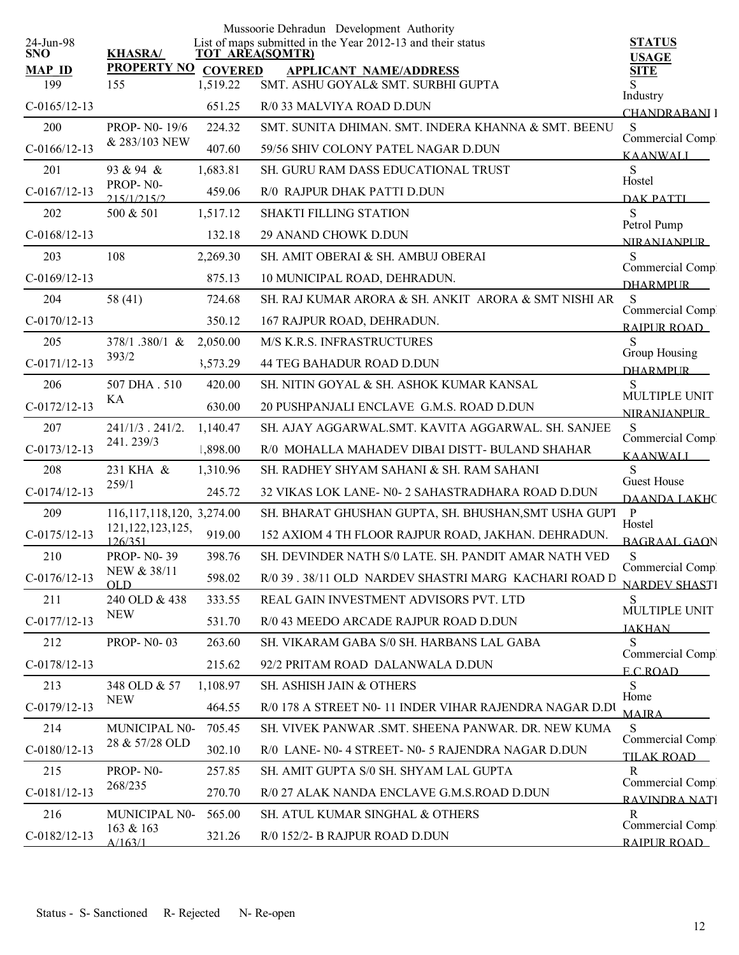|                         |                                |          | Mussoorie Dehradun Development Authority                                              |                                      |
|-------------------------|--------------------------------|----------|---------------------------------------------------------------------------------------|--------------------------------------|
| 24-Jun-98<br><b>SNO</b> | <b>KHASRA/</b>                 |          | List of maps submitted in the Year 2012-13 and their status<br><b>TOT AREA(SQMTR)</b> | <b>STATUS</b>                        |
| <b>MAP ID</b>           | PROPERTY NO COVERED            |          | <b>APPLICANT NAME/ADDRESS</b>                                                         | <b>USAGE</b><br><b>SITE</b>          |
| 199                     | 155                            | 1,519.22 | SMT. ASHU GOYAL& SMT. SURBHI GUPTA                                                    | Industry                             |
| $C-0165/12-13$          |                                | 651.25   | R/0 33 MALVIYA ROAD D.DUN                                                             | CHANDRABANI I                        |
| 200                     | PROP-N0-19/6                   | 224.32   | SMT. SUNITA DHIMAN. SMT. INDERA KHANNA & SMT. BEENU                                   | S<br>Commercial Comp.                |
| $C-0166/12-13$          | & 283/103 NEW                  | 407.60   | 59/56 SHIV COLONY PATEL NAGAR D.DUN                                                   | <b>KAANWALI</b>                      |
| 201                     | 93 & 94 &                      | 1,683.81 | SH. GURU RAM DASS EDUCATIONAL TRUST                                                   | S<br>Hostel                          |
| $C-0167/12-13$          | PROP-N0-<br>215/1/215/2        | 459.06   | R/0 RAJPUR DHAK PATTI D.DUN                                                           | <b>DAK PATTI</b>                     |
| 202                     | 500 & 501                      | 1,517.12 | <b>SHAKTI FILLING STATION</b>                                                         | S<br>Petrol Pump                     |
| $C-0168/12-13$          |                                | 132.18   | 29 ANAND CHOWK D.DUN                                                                  | <b>NIRANIANPUR</b>                   |
| 203                     | 108                            | 2,269.30 | SH. AMIT OBERAI & SH. AMBUJ OBERAI                                                    | S                                    |
| $C-0169/12-13$          |                                | 875.13   | 10 MUNICIPAL ROAD, DEHRADUN.                                                          | Commercial Comp.<br><b>DHARMPLIR</b> |
| 204                     | 58 (41)                        | 724.68   | SH. RAJ KUMAR ARORA & SH. ANKIT ARORA & SMT NISHI AR                                  | <sub>S</sub>                         |
| $C-0170/12-13$          |                                | 350.12   | 167 RAJPUR ROAD, DEHRADUN.                                                            | Commercial Comp.<br>RAIPUR ROAD      |
| 205                     | 378/1.380/1 &                  | 2,050.00 | M/S K.R.S. INFRASTRUCTURES                                                            | S                                    |
| $C-0171/12-13$          | 393/2                          | 3,573.29 | 44 TEG BAHADUR ROAD D.DUN                                                             | Group Housing<br><b>DHARMPUR</b>     |
| 206                     | 507 DHA . 510                  | 420.00   | SH. NITIN GOYAL & SH. ASHOK KUMAR KANSAL                                              | <sub>S</sub><br>MULTIPLE UNIT        |
| $C-0172/12-13$          | KA                             | 630.00   | 20 PUSHPANJALI ENCLAVE G.M.S. ROAD D.DUN                                              | <b>NIRANIANPLIR</b>                  |
| 207                     | $241/1/3$ . $241/2$ .          | 1,140.47 | SH. AJAY AGGARWAL.SMT. KAVITA AGGARWAL. SH. SANJEE                                    | S                                    |
| $C-0173/12-13$          | 241.239/3                      | 1,898.00 | R/0 MOHALLA MAHADEV DIBAI DISTT- BULAND SHAHAR                                        | Commercial Comp.<br><b>KAANWALI</b>  |
| 208                     | 231 KHA &                      | 1,310.96 | SH. RADHEY SHYAM SAHANI & SH. RAM SAHANI                                              | S                                    |
| $C-0174/12-13$          | 259/1                          | 245.72   | 32 VIKAS LOK LANE- N0-2 SAHASTRADHARA ROAD D.DUN                                      | Guest House<br><b>DAANDA LAKHC</b>   |
| 209                     | 116, 117, 118, 120, 3, 274.00  |          | SH. BHARAT GHUSHAN GUPTA, SH. BHUSHAN, SMT USHA GUPT P                                | Hostel                               |
| $C-0175/12-13$          | 121, 122, 123, 125,<br>126/351 | 919.00   | 152 AXIOM 4 TH FLOOR RAJPUR ROAD, JAKHAN. DEHRADUN.                                   | <b>BAGRAAL GAON</b>                  |
| 210                     | <b>PROP-N0-39</b>              | 398.76   | SH. DEVINDER NATH S/0 LATE. SH. PANDIT AMAR NATH VED                                  | S<br>Commercial Comp                 |
| $C-0176/12-13$          | NEW & 38/11<br>OLD             | 598.02   | R/0 39 . 38/11 OLD NARDEV SHASTRI MARG KACHARI ROAD D                                 | <b>NARDEV SHASTI</b>                 |
| 211                     | 240 OLD & 438                  | 333.55   | REAL GAIN INVESTMENT ADVISORS PVT. LTD                                                | S                                    |
| $C-0177/12-13$          | <b>NEW</b>                     | 531.70   | R/0 43 MEEDO ARCADE RAJPUR ROAD D.DUN                                                 | MULTIPLE UNIT<br><b>JAKHAN</b>       |
| 212                     | <b>PROP-N0-03</b>              | 263.60   | SH. VIKARAM GABA S/0 SH. HARBANS LAL GABA                                             | S                                    |
| $C-0178/12-13$          |                                | 215.62   | 92/2 PRITAM ROAD DALANWALA D.DUN                                                      | Commercial Comp.<br>E C ROAD         |
| 213                     | 348 OLD & 57                   | 1,108.97 | SH. ASHISH JAIN & OTHERS                                                              | S                                    |
| $C-0179/12-13$          | <b>NEW</b>                     | 464.55   | R/0 178 A STREET N0-11 INDER VIHAR RAJENDRA NAGAR D.DU                                | Home<br><b>MAJRA</b>                 |
| 214                     | MUNICIPAL N0-                  | 705.45   | SH. VIVEK PANWAR .SMT. SHEENA PANWAR. DR. NEW KUMA                                    | S                                    |
| $C-0180/12-13$          | 28 & 57/28 OLD                 | 302.10   | R/0 LANE- N0- 4 STREET- N0- 5 RAJENDRA NAGAR D.DUN                                    | Commercial Comp.<br>TILAK ROAD       |
| 215                     | PROP-N0-                       | 257.85   | SH. AMIT GUPTA S/0 SH. SHYAM LAL GUPTA                                                | R                                    |
| $C-0181/12-13$          | 268/235                        | 270.70   | R/0 27 ALAK NANDA ENCLAVE G.M.S.ROAD D.DUN                                            | Commercial Comp.<br>RAVINDRA NATI    |
| 216                     | MUNICIPAL N0-                  | 565.00   | SH. ATUL KUMAR SINGHAL & OTHERS                                                       | R<br>Commercial Comp                 |
| $C-0182/12-13$          | 163 & 163<br>A/163/1           | 321.26   | R/0 152/2- B RAJPUR ROAD D.DUN                                                        | RAIPUR ROAD                          |
|                         |                                |          |                                                                                       |                                      |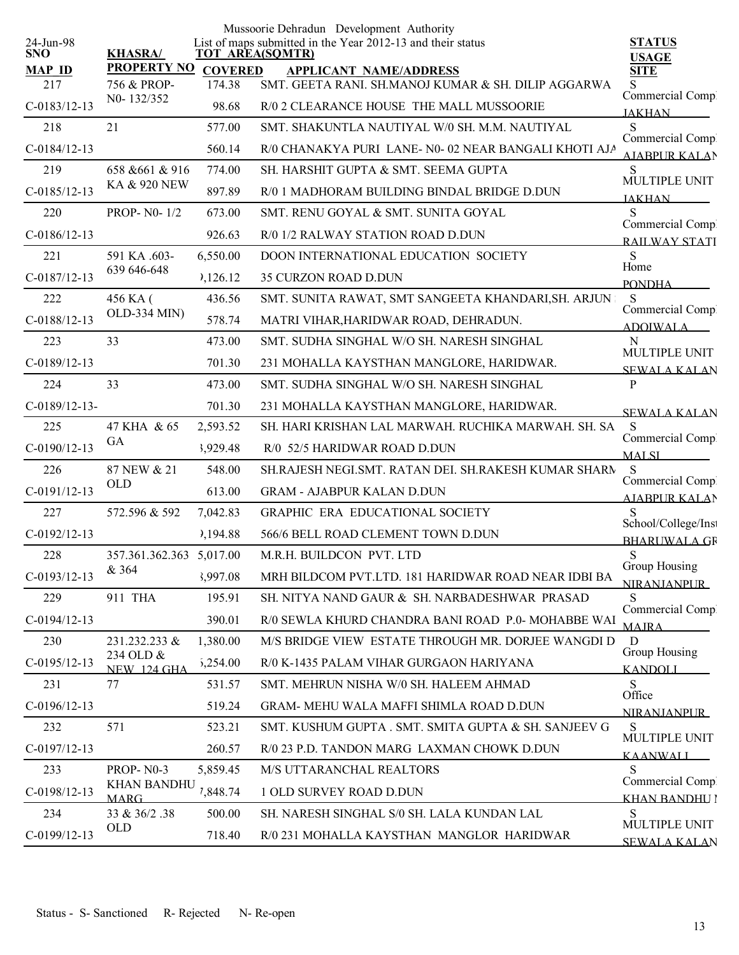|                         |                                   |                | Mussoorie Dehradun Development Authority                                              |                                            |
|-------------------------|-----------------------------------|----------------|---------------------------------------------------------------------------------------|--------------------------------------------|
| 24-Jun-98<br><b>SNO</b> | <b>KHASRA/</b>                    |                | List of maps submitted in the Year 2012-13 and their status<br><b>TOT AREA(SQMTR)</b> | <b>STATUS</b><br><b>USAGE</b>              |
| <b>MAP ID</b>           | <b>PROPERTY NO</b>                | <b>COVERED</b> | <b>APPLICANT NAME/ADDRESS</b>                                                         | <b>SITE</b>                                |
| 217                     | 756 & PROP-<br>N0-132/352         | 174.38         | SMT. GEETA RANI. SH.MANOJ KUMAR & SH. DILIP AGGARWA                                   | S<br>Commercial Compl                      |
| $C-0183/12-13$          |                                   | 98.68          | R/0 2 CLEARANCE HOUSE THE MALL MUSSOORIE                                              | <b>JAKHAN</b>                              |
| 218                     | 21                                | 577.00         | SMT. SHAKUNTLA NAUTIYAL W/0 SH. M.M. NAUTIYAL                                         | S<br>Commercial Comp.                      |
| $C-0184/12-13$          |                                   | 560.14         | R/0 CHANAKYA PURI LANE- N0-02 NEAR BANGALI KHOTI AJA                                  | <b>AIABPUR KALAN</b>                       |
| 219                     | 658 & 661 & 916                   | 774.00         | SH. HARSHIT GUPTA & SMT. SEEMA GUPTA                                                  | S<br>MULTIPLE UNIT                         |
| $C-0185/12-13$          | KA & 920 NEW                      | 897.89         | R/0 1 MADHORAM BUILDING BINDAL BRIDGE D.DUN                                           | <b>JAKHAN</b>                              |
| 220                     | <b>PROP-N0-1/2</b>                | 673.00         | SMT. RENU GOYAL & SMT. SUNITA GOYAL                                                   | Commercial Comp.                           |
| $C-0186/12-13$          |                                   | 926.63         | R/0 1/2 RALWAY STATION ROAD D.DUN                                                     | <b>RAILWAY STATI</b>                       |
| 221                     | 591 KA .603-                      | 6,550.00       | <b>DOON INTERNATIONAL EDUCATION SOCIETY</b>                                           | S<br>Home                                  |
| $C-0187/12-13$          | 639 646-648                       | 3,126.12       | <b>35 CURZON ROAD D.DUN</b>                                                           | <b>PONDHA</b>                              |
| 222                     | 456 KA (                          | 436.56         | SMT. SUNITA RAWAT, SMT SANGEETA KHANDARI, SH. ARJUN                                   | S                                          |
| $C-0188/12-13$          | OLD-334 MIN)                      | 578.74         | MATRI VIHAR, HARIDWAR ROAD, DEHRADUN.                                                 | Commercial Compl<br><b>ADOIWALA</b>        |
| 223                     | 33                                | 473.00         | SMT. SUDHA SINGHAL W/O SH. NARESH SINGHAL                                             | N                                          |
| $C-0189/12-13$          |                                   | 701.30         | 231 MOHALLA KAYSTHAN MANGLORE, HARIDWAR.                                              | MULTIPLE UNIT<br><b>SEWALA KALAN</b>       |
| 224                     | 33                                | 473.00         | SMT. SUDHA SINGHAL W/O SH. NARESH SINGHAL                                             | P                                          |
| $C-0189/12-13-$         |                                   | 701.30         | 231 MOHALLA KAYSTHAN MANGLORE, HARIDWAR.                                              | <b>SEWALA KALAN</b>                        |
| 225                     | 47 KHA & 65                       | 2,593.52       | SH. HARI KRISHAN LAL MARWAH. RUCHIKA MARWAH. SH. SA                                   | S                                          |
| $C-0190/12-13$          | GA                                | 3,929.48       | R/0 52/5 HARIDWAR ROAD D.DUN                                                          | Commercial Comp.<br><b>MALSI</b>           |
| 226                     | 87 NEW & 21                       | 548.00         | SH.RAJESH NEGI.SMT. RATAN DEI. SH.RAKESH KUMAR SHARN                                  | S                                          |
| $C-0191/12-13$          | <b>OLD</b>                        | 613.00         | <b>GRAM - AJABPUR KALAN D.DUN</b>                                                     | Commercial Comp<br><b>AIABPUR KALAN</b>    |
| 227                     | 572.596 & 592                     | 7,042.83       | GRAPHIC ERA EDUCATIONAL SOCIETY                                                       | S                                          |
| $C-0192/12-13$          |                                   | ),194.88       | 566/6 BELL ROAD CLEMENT TOWN D.DUN                                                    | School/College/Inst<br><b>BHARUWALA GR</b> |
| 228                     | 357.361.362.363 5,017.00          |                | M.R.H. BUILDCON PVT. LTD                                                              | ${\bf S}$                                  |
| $C-0193/12-13$          | & 364                             | 3,997.08       | MRH BILDCOM PVT.LTD. 181 HARIDWAR ROAD NEAR IDBI BA                                   | Group Housing<br><b>NIRANJANPUR</b>        |
| 229                     | 911 THA                           | 195.91         | SH. NITYA NAND GAUR & SH. NARBADESHWAR PRASAD                                         | S                                          |
| $C-0194/12-13$          |                                   | 390.01         | R/0 SEWLA KHURD CHANDRA BANI ROAD P.0- MOHABBE WAI                                    | Commercial Comp<br><b>MAJRA</b>            |
| 230                     | 231.232.233 &                     | 1,380.00       | M/S BRIDGE VIEW ESTATE THROUGH MR. DORJEE WANGDI D                                    | D                                          |
| $C-0195/12-13$          | 234 OLD &<br><b>NEW 124 GHA</b>   | 5,254.00       | R/0 K-1435 PALAM VIHAR GURGAON HARIYANA                                               | Group Housing<br><b>KANDOLL</b>            |
| 231                     | 77                                | 531.57         | SMT. MEHRUN NISHA W/0 SH. HALEEM AHMAD                                                | S.                                         |
| $C-0196/12-13$          |                                   | 519.24         | GRAM- MEHU WALA MAFFI SHIMLA ROAD D.DUN                                               | Office<br><b>NIRANIANPLIR</b>              |
| 232                     | 571                               | 523.21         | SMT. KUSHUM GUPTA . SMT. SMITA GUPTA & SH. SANJEEV G                                  | S                                          |
| $C-0197/12-13$          |                                   | 260.57         | R/0 23 P.D. TANDON MARG LAXMAN CHOWK D.DUN                                            | MULTIPLE UNIT<br><b>KAANWALI</b>           |
| 233                     | <b>PROP-N0-3</b>                  | 5,859.45       | M/S UTTARANCHAL REALTORS                                                              | S                                          |
| C-0198/12-13            | <b>KHAN BANDHU</b><br><b>MARG</b> | 7,848.74       | 1 OLD SURVEY ROAD D.DUN                                                               | Commercial Comp.<br><b>KHAN BANDHU I</b>   |
| 234                     | 33 & 36/2.38                      | 500.00         | SH. NARESH SINGHAL S/0 SH. LALA KUNDAN LAL                                            | S                                          |
| $C-0199/12-13$          | <b>OLD</b>                        | 718.40         | R/0 231 MOHALLA KAYSTHAN MANGLOR HARIDWAR                                             | MULTIPLE UNIT<br>SEWALA KALAN              |
|                         |                                   |                |                                                                                       |                                            |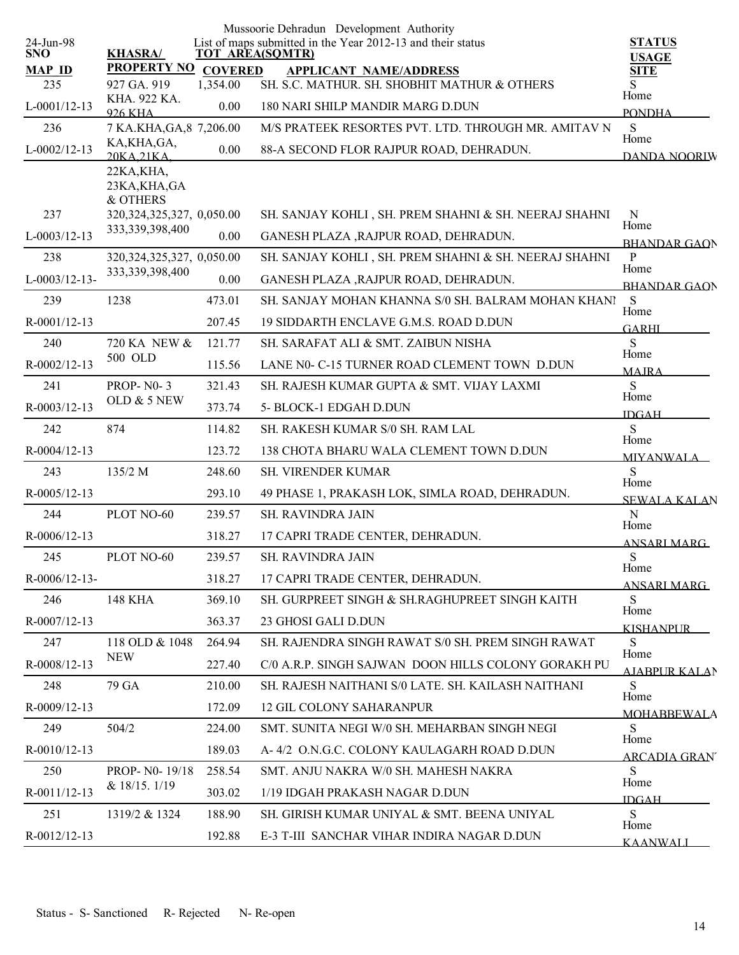|                         |                                         |                | Mussoorie Dehradun Development Authority                                              |                               |
|-------------------------|-----------------------------------------|----------------|---------------------------------------------------------------------------------------|-------------------------------|
| 24-Jun-98<br><b>SNO</b> | <b>KHASRA/</b>                          |                | List of maps submitted in the Year 2012-13 and their status<br><b>TOT AREA(SQMTR)</b> | <b>STATUS</b><br><b>USAGE</b> |
| <b>MAP ID</b>           | <b>PROPERTY NO</b>                      | <b>COVERED</b> | <b>APPLICANT NAME/ADDRESS</b>                                                         | <b>SITE</b>                   |
| 235                     | 927 GA. 919                             | 1,354.00       | SH. S.C. MATHUR. SH. SHOBHIT MATHUR & OTHERS                                          | S<br>Home                     |
| $L-0001/12-13$          | KHA. 922 KA.<br><b>926 KHA</b>          | 0.00           | 180 NARI SHILP MANDIR MARG D.DUN                                                      | <b>PONDHA</b>                 |
| 236                     | 7 KA.KHA, GA, 8 7, 206.00               |                | M/S PRATEEK RESORTES PVT. LTD. THROUGH MR. AMITAV N                                   | S<br>Home                     |
| $L-0002/12-13$          | KA, KHA, GA,<br>20KA 21KA               | 0.00           | 88-A SECOND FLOR RAJPUR ROAD, DEHRADUN.                                               | DANDA NOORIW                  |
|                         | 22KA, KHA,<br>23KA, KHA, GA<br>& OTHERS |                |                                                                                       |                               |
| 237                     | 320, 324, 325, 327, 0, 050.00           |                | SH. SANJAY KOHLI, SH. PREM SHAHNI & SH. NEERAJ SHAHNI                                 | N<br>Home                     |
| $L-0003/12-13$          | 333, 339, 398, 400                      | 0.00           | GANESH PLAZA , RAJPUR ROAD, DEHRADUN.                                                 | <b>BHANDAR GAON</b>           |
| 238                     | 320, 324, 325, 327, 0, 050.00           |                | SH. SANJAY KOHLI, SH. PREM SHAHNI & SH. NEERAJ SHAHNI                                 | P<br>Home                     |
| $L-0003/12-13-$         | 333, 339, 398, 400                      | 0.00           | GANESH PLAZA , RAJPUR ROAD, DEHRADUN.                                                 | <b>BHANDAR GAON</b>           |
| 239                     | 1238                                    | 473.01         | SH. SANJAY MOHAN KHANNA S/0 SH. BALRAM MOHAN KHANI                                    | S<br>Home                     |
| R-0001/12-13            |                                         | 207.45         | 19 SIDDARTH ENCLAVE G.M.S. ROAD D.DUN                                                 | <b>GARHI</b>                  |
| 240                     | 720 KA NEW &                            | 121.77         | SH. SARAFAT ALI & SMT. ZAIBUN NISHA                                                   | S                             |
| R-0002/12-13            | 500 OLD                                 | 115.56         | LANE N0- C-15 TURNER ROAD CLEMENT TOWN D.DUN                                          | Home<br><b>MAIRA</b>          |
| 241                     | <b>PROP-N0-3</b>                        | 321.43         | SH. RAJESH KUMAR GUPTA & SMT. VIJAY LAXMI                                             | S                             |
| R-0003/12-13            | OLD & 5 NEW                             | 373.74         | 5- BLOCK-1 EDGAH D.DUN                                                                | Home<br><b>IDGAH</b>          |
| 242                     | 874                                     | 114.82         | SH. RAKESH KUMAR S/0 SH. RAM LAL                                                      | S                             |
| R-0004/12-13            |                                         | 123.72         | 138 CHOTA BHARU WALA CLEMENT TOWN D.DUN                                               | Home<br><b>MIYANWALA</b>      |
| 243                     | 135/2 M                                 | 248.60         | <b>SH. VIRENDER KUMAR</b>                                                             | S                             |
| $R-0005/12-13$          |                                         | 293.10         | 49 PHASE 1, PRAKASH LOK, SIMLA ROAD, DEHRADUN.                                        | Home<br><b>SEWALA KALAN</b>   |
| 244                     | PLOT NO-60                              | 239.57         | SH. RAVINDRA JAIN                                                                     | $\mathbf N$                   |
| $R-0006/12-13$          |                                         | 318.27         | 17 CAPRI TRADE CENTER, DEHRADUN.                                                      | Home<br><b>ANSARI MARG</b>    |
| 245                     | PLOT NO-60                              | 239.57         | SH. RAVINDRA JAIN                                                                     | S                             |
| R-0006/12-13-           |                                         | 318.27         | 17 CAPRI TRADE CENTER, DEHRADUN.                                                      | Home<br><b>ANSARI MARG</b>    |
| 246                     | <b>148 KHA</b>                          | 369.10         | SH. GURPREET SINGH & SH.RAGHUPREET SINGH KAITH                                        | S                             |
| R-0007/12-13            |                                         | 363.37         | 23 GHOSI GALI D.DUN                                                                   | Home<br><b>KISHANPUR</b>      |
| 247                     | 118 OLD & 1048                          | 264.94         | SH. RAJENDRA SINGH RAWAT S/0 SH. PREM SINGH RAWAT                                     | S                             |
| R-0008/12-13            | <b>NEW</b>                              | 227.40         | C/0 A.R.P. SINGH SAJWAN DOON HILLS COLONY GORAKH PU                                   | Home<br><b>AJABPUR KALAN</b>  |
| 248                     | 79 GA                                   | 210.00         | SH. RAJESH NAITHANI S/0 LATE. SH. KAILASH NAITHANI                                    | S                             |
| R-0009/12-13            |                                         | 172.09         | <b>12 GIL COLONY SAHARANPUR</b>                                                       | Home<br><b>MOHABBEWALA</b>    |
| 249                     | 504/2                                   | 224.00         | SMT. SUNITA NEGI W/0 SH. MEHARBAN SINGH NEGI                                          | S                             |
| R-0010/12-13            |                                         | 189.03         | A-4/2 O.N.G.C. COLONY KAULAGARH ROAD D.DUN                                            | Home<br><b>ARCADIA GRAN</b>   |
| 250                     | PROP- N0-19/18                          | 258.54         | SMT. ANJU NAKRA W/0 SH. MAHESH NAKRA                                                  | S.                            |
| R-0011/12-13            | & 18/15.1/19                            | 303.02         | 1/19 IDGAH PRAKASH NAGAR D.DUN                                                        | Home<br><b>IDGAH</b>          |
| 251                     | 1319/2 & 1324                           | 188.90         | SH. GIRISH KUMAR UNIYAL & SMT. BEENA UNIYAL                                           | S                             |
| R-0012/12-13            |                                         | 192.88         | E-3 T-III SANCHAR VIHAR INDIRA NAGAR D.DUN                                            | Home<br><b>KAANWALI</b>       |
|                         |                                         |                |                                                                                       |                               |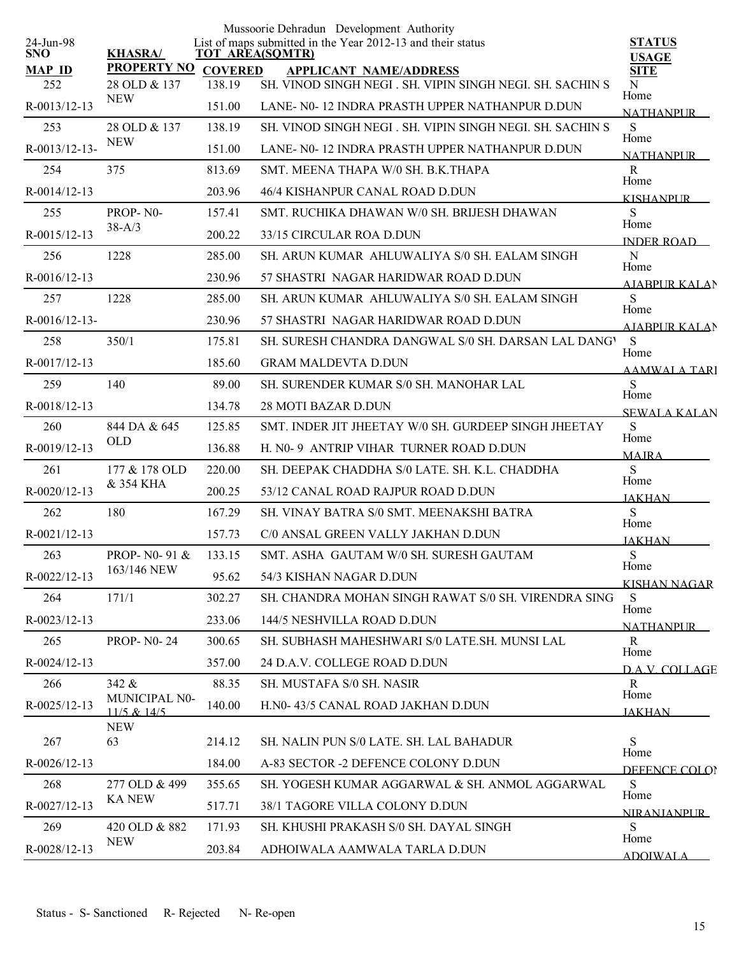| 24-Jun-98<br><b>SNO</b><br><b>MAP ID</b><br>252 | <b>KHASRA/</b><br><b>PROPERTY NO</b><br>28 OLD & 137 | <b>COVERED</b><br>138.19 | Mussoorie Dehradun Development Authority<br>List of maps submitted in the Year 2012-13 and their status<br>TOT AREA(SQMTR)<br><b>APPLICANT NAME/ADDRESS</b><br>SH. VINOD SINGH NEGI . SH. VIPIN SINGH NEGI. SH. SACHIN S | <b>STATUS</b><br><b>USAGE</b><br><b>SITE</b><br>N |
|-------------------------------------------------|------------------------------------------------------|--------------------------|--------------------------------------------------------------------------------------------------------------------------------------------------------------------------------------------------------------------------|---------------------------------------------------|
| R-0013/12-13                                    | <b>NEW</b>                                           | 151.00                   | LANE- N0-12 INDRA PRASTH UPPER NATHANPUR D.DUN                                                                                                                                                                           | Home<br><b>NATHANPUR</b>                          |
| 253                                             | 28 OLD & 137                                         | 138.19                   | SH. VINOD SINGH NEGI . SH. VIPIN SINGH NEGI. SH. SACHIN S                                                                                                                                                                | S                                                 |
| R-0013/12-13-                                   | <b>NEW</b>                                           | 151.00                   | LANE- N0-12 INDRA PRASTH UPPER NATHANPUR D.DUN                                                                                                                                                                           | Home<br><b>NATHANPLIR</b>                         |
| 254                                             | 375                                                  | 813.69                   | SMT. MEENA THAPA W/0 SH. B.K.THAPA                                                                                                                                                                                       | R                                                 |
| $R - 0014/12 - 13$                              |                                                      | 203.96                   | 46/4 KISHANPUR CANAL ROAD D.DUN                                                                                                                                                                                          | Home<br><b>KISHANPUR</b>                          |
| 255                                             | PROP-N0-                                             | 157.41                   | SMT. RUCHIKA DHAWAN W/0 SH. BRIJESH DHAWAN                                                                                                                                                                               | S<br>Home                                         |
| R-0015/12-13                                    | $38 - A/3$                                           | 200.22                   | 33/15 CIRCULAR ROA D.DUN                                                                                                                                                                                                 | INDER ROAD                                        |
| 256                                             | 1228                                                 | 285.00                   | SH. ARUN KUMAR AHLUWALIYA S/0 SH. EALAM SINGH                                                                                                                                                                            | N                                                 |
| $R-0016/12-13$                                  |                                                      | 230.96                   | 57 SHASTRI NAGAR HARIDWAR ROAD D.DUN                                                                                                                                                                                     | Home<br><b>AIABPURKALAN</b>                       |
| 257                                             | 1228                                                 | 285.00                   | SH. ARUN KUMAR AHLUWALIYA S/0 SH. EALAM SINGH                                                                                                                                                                            | S                                                 |
| $R - 0016/12 - 13$                              |                                                      | 230.96                   | 57 SHASTRI NAGAR HARIDWAR ROAD D.DUN                                                                                                                                                                                     | Home<br><b>AJABPUR KALAN</b>                      |
| 258                                             | 350/1                                                | 175.81                   | SH. SURESH CHANDRA DANGWAL S/0 SH. DARSAN LAL DANGY                                                                                                                                                                      | S                                                 |
| R-0017/12-13                                    |                                                      | 185.60                   | <b>GRAM MALDEVTA D.DUN</b>                                                                                                                                                                                               | Home<br><b>AAMWALA TARI</b>                       |
| 259                                             | 140                                                  | 89.00                    | SH. SURENDER KUMAR S/0 SH. MANOHAR LAL                                                                                                                                                                                   | S                                                 |
| R-0018/12-13                                    |                                                      | 134.78                   | 28 MOTI BAZAR D.DUN                                                                                                                                                                                                      | Home<br><b>SEWALA KALAN</b>                       |
| 260                                             | 844 DA & 645                                         | 125.85                   | SMT. INDER JIT JHEETAY W/0 SH. GURDEEP SINGH JHEETAY                                                                                                                                                                     | S                                                 |
| R-0019/12-13                                    | <b>OLD</b>                                           | 136.88                   | H. N0-9 ANTRIP VIHAR TURNER ROAD D.DUN                                                                                                                                                                                   | Home<br><b>MAJRA</b>                              |
| 261                                             | 177 & 178 OLD                                        | 220.00                   | SH. DEEPAK CHADDHA S/0 LATE. SH. K.L. CHADDHA                                                                                                                                                                            | S                                                 |
| R-0020/12-13                                    | & 354 KHA                                            | 200.25                   | 53/12 CANAL ROAD RAJPUR ROAD D.DUN                                                                                                                                                                                       | Home<br><b>JAKHAN</b>                             |
| 262                                             | 180                                                  | 167.29                   | SH. VINAY BATRA S/0 SMT. MEENAKSHI BATRA                                                                                                                                                                                 | <sub>S</sub>                                      |
| $R - 0021/12 - 13$                              |                                                      | 157.73                   | C/0 ANSAL GREEN VALLY JAKHAN D.DUN                                                                                                                                                                                       | Home<br><b>JAKHAN</b>                             |
| 263                                             | PROP- N0-91 &                                        | 133.15                   | SMT. ASHA GAUTAM W/0 SH. SURESH GAUTAM                                                                                                                                                                                   | S                                                 |
| R-0022/12-13                                    | 163/146 NEW                                          | 95.62                    | 54/3 KISHAN NAGAR D.DUN                                                                                                                                                                                                  | Home<br><b>KISHAN NAGAR</b>                       |
| 264                                             | 171/1                                                | 302.27                   | SH. CHANDRA MOHAN SINGH RAWAT S/0 SH. VIRENDRA SING                                                                                                                                                                      | S                                                 |
| R-0023/12-13                                    |                                                      | 233.06                   | 144/5 NESHVILLA ROAD D.DUN                                                                                                                                                                                               | Home<br><b>NATHANPUR</b>                          |
| 265                                             | <b>PROP-N0-24</b>                                    | 300.65                   | SH. SUBHASH MAHESHWARI S/0 LATE.SH. MUNSI LAL                                                                                                                                                                            | R                                                 |
| $R - 0024/12 - 13$                              |                                                      | 357.00                   | 24 D.A.V. COLLEGE ROAD D.DUN                                                                                                                                                                                             | Home<br><b>DAV COLLAGE</b>                        |
| 266                                             | 342 &                                                | 88.35                    | SH. MUSTAFA S/0 SH. NASIR                                                                                                                                                                                                | R                                                 |
| R-0025/12-13                                    | MUNICIPAL N0-<br>$11/5$ & $14/5$                     | 140.00                   | H.N0-43/5 CANAL ROAD JAKHAN D.DUN                                                                                                                                                                                        | Home<br><b>JAKHAN</b>                             |
| 267                                             | <b>NEW</b><br>63                                     | 214.12                   | SH. NALIN PUN S/0 LATE. SH. LAL BAHADUR                                                                                                                                                                                  | ${\bf S}$                                         |
| R-0026/12-13                                    |                                                      | 184.00                   | A-83 SECTOR -2 DEFENCE COLONY D.DUN                                                                                                                                                                                      | Home                                              |
| 268                                             | 277 OLD & 499                                        | 355.65                   | SH. YOGESH KUMAR AGGARWAL & SH. ANMOL AGGARWAL                                                                                                                                                                           | DEFENCE COLOR<br>S                                |
| R-0027/12-13                                    | <b>KA NEW</b>                                        | 517.71                   | 38/1 TAGORE VILLA COLONY D.DUN                                                                                                                                                                                           | Home                                              |
| 269                                             | 420 OLD & 882                                        | 171.93                   | SH. KHUSHI PRAKASH S/0 SH. DAYAL SINGH                                                                                                                                                                                   | <u>NIRANIANPUR</u><br>S.                          |
| R-0028/12-13                                    | <b>NEW</b>                                           | 203.84                   | ADHOIWALA AAMWALA TARLA D.DUN                                                                                                                                                                                            | Home                                              |
|                                                 |                                                      |                          |                                                                                                                                                                                                                          | <b>ADOIWALA</b>                                   |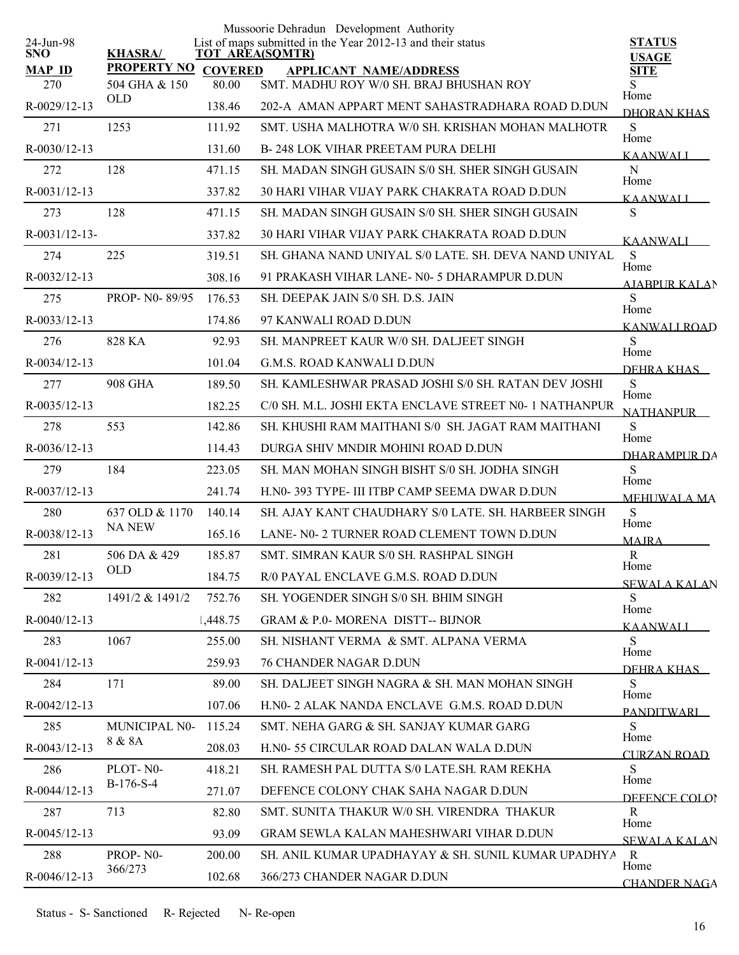|                         |                      |                | Mussoorie Dehradun Development Authority                                              |                               |
|-------------------------|----------------------|----------------|---------------------------------------------------------------------------------------|-------------------------------|
| 24-Jun-98<br><b>SNO</b> | <b>KHASRA/</b>       |                | List of maps submitted in the Year 2012-13 and their status<br><b>TOT AREA(SQMTR)</b> | <b>STATUS</b><br><b>USAGE</b> |
| <b>MAP ID</b>           | <b>PROPERTY NO</b>   | <b>COVERED</b> | <b>APPLICANT NAME/ADDRESS</b>                                                         | <b>SITE</b>                   |
| 270                     | 504 GHA & 150<br>OLD | 80.00          | SMT. MADHU ROY W/0 SH. BRAJ BHUSHAN ROY                                               | S<br>Home                     |
| R-0029/12-13            |                      | 138.46         | 202-A AMAN APPART MENT SAHASTRADHARA ROAD D.DUN                                       | DHORAN KHAS                   |
| 271                     | 1253                 | 111.92         | SMT. USHA MALHOTRA W/0 SH. KRISHAN MOHAN MALHOTR                                      | ${\bf S}$<br>Home             |
| $R - 0030/12 - 13$      |                      | 131.60         | <b>B-248 LOK VIHAR PREETAM PURA DELHI</b>                                             | <b>KAANWALI</b>               |
| 272                     | 128                  | 471.15         | SH. MADAN SINGH GUSAIN S/0 SH. SHER SINGH GUSAIN                                      | ${\bf N}$<br>Home             |
| R-0031/12-13            |                      | 337.82         | <b>30 HARI VIHAR VIJAY PARK CHAKRATA ROAD D.DUN</b>                                   | <b>KAANWALI</b>               |
| 273                     | 128                  | 471.15         | SH. MADAN SINGH GUSAIN S/0 SH. SHER SINGH GUSAIN                                      | ${\bf S}$                     |
| $R - 0031/12 - 13$      |                      | 337.82         | <b>30 HARI VIHAR VIJAY PARK CHAKRATA ROAD D.DUN</b>                                   | <b>KAANWALI</b>               |
| 274                     | 225                  | 319.51         | SH. GHANA NAND UNIYAL S/0 LATE. SH. DEVA NAND UNIYAL                                  | S<br>Home                     |
| R-0032/12-13            |                      | 308.16         | 91 PRAKASH VIHAR LANE- N0- 5 DHARAMPUR D.DUN                                          | <b>AJABPUR KALAN</b>          |
| 275                     | PROP- N0-89/95       | 176.53         | SH. DEEPAK JAIN S/0 SH. D.S. JAIN                                                     | S<br>Home                     |
| $R - 0033/12 - 13$      |                      | 174.86         | 97 KANWALI ROAD D.DUN                                                                 | KANWALI ROAD                  |
| 276                     | 828 KA               | 92.93          | SH. MANPREET KAUR W/0 SH. DALJEET SINGH                                               | S<br>Home                     |
| $R - 0034/12 - 13$      |                      | 101.04         | <b>G.M.S. ROAD KANWALI D.DUN</b>                                                      | DEHRA KHAS                    |
| 277                     | <b>908 GHA</b>       | 189.50         | SH. KAMLESHWAR PRASAD JOSHI S/0 SH. RATAN DEV JOSHI                                   | ${\bf S}$                     |
| R-0035/12-13            |                      | 182.25         | C/0 SH. M.L. JOSHI EKTA ENCLAVE STREET N0- 1 NATHANPUR                                | Home<br><b>NATHANPUR</b>      |
| 278                     | 553                  | 142.86         | SH. KHUSHI RAM MAITHANI S/0 SH. JAGAT RAM MAITHANI                                    | S                             |
| $R - 0036/12 - 13$      |                      | 114.43         | DURGA SHIV MNDIR MOHINI ROAD D.DUN                                                    | Home<br>DHARAMPUR DA          |
| 279                     | 184                  | 223.05         | SH. MAN MOHAN SINGH BISHT S/0 SH. JODHA SINGH                                         | S                             |
| R-0037/12-13            |                      | 241.74         | H.NO-393 TYPE- III ITBP CAMP SEEMA DWAR D.DUN                                         | Home<br><b>MEHUWALA MA</b>    |
| 280                     | 637 OLD & 1170       | 140.14         | SH. AJAY KANT CHAUDHARY S/0 LATE. SH. HARBEER SINGH                                   | ${\bf S}$                     |
| R-0038/12-13            | <b>NA NEW</b>        | 165.16         | LANE- N0-2 TURNER ROAD CLEMENT TOWN D.DUN                                             | Home<br><b>MAIRA</b>          |
| 281                     | 506 DA & 429         | 185.87         | SMT. SIMRAN KAUR S/0 SH. RASHPAL SINGH                                                | $\mathbb{R}$                  |
| R-0039/12-13            | <b>OLD</b>           | 184.75         | R/0 PAYAL ENCLAVE G.M.S. ROAD D.DUN                                                   | Home<br><b>SEWALA KALAN</b>   |
| 282                     | 1491/2 & 1491/2      | 752.76         | SH. YOGENDER SINGH S/0 SH. BHIM SINGH                                                 | S                             |
| R-0040/12-13            |                      | 1,448.75       | <b>GRAM &amp; P.0- MORENA DISTT-- BIJNOR</b>                                          | Home<br><b>KAANWALI</b>       |
| 283                     | 1067                 | 255.00         | SH NISHANT VERMA & SMT. ALPANA VERMA                                                  | S.                            |
| $R - 0041/12 - 13$      |                      | 259.93         | <b>76 CHANDER NAGAR D.DUN</b>                                                         | Home<br>DEHRA KHAS            |
| 284                     | 171                  | 89.00          | SH. DALJEET SINGH NAGRA & SH. MAN MOHAN SINGH                                         | S                             |
| R-0042/12-13            |                      | 107.06         | H.NO- 2 ALAK NANDA ENCLAVE G.M.S. ROAD D.DUN                                          | Home<br><b>PANDITWARI</b>     |
| 285                     | MUNICIPAL N0-        | 115.24         | SMT. NEHA GARG & SH. SANJAY KUMAR GARG                                                | S                             |
| R-0043/12-13            | 8 & 8A               | 208.03         | H.N0- 55 CIRCULAR ROAD DALAN WALA D.DUN                                               | Home<br><b>CURZAN ROAD</b>    |
| 286                     | PLOT-N0-             | 418.21         | SH. RAMESH PAL DUTTA S/0 LATE SH. RAM REKHA                                           | S                             |
| R-0044/12-13            | $B-176-S-4$          | 271.07         | DEFENCE COLONY CHAK SAHA NAGAR D.DUN                                                  | Home<br>DEFENCE COLOR         |
| 287                     | 713                  | 82.80          | SMT. SUNITA THAKUR W/0 SH. VIRENDRA THAKUR                                            | R                             |
| R-0045/12-13            |                      | 93.09          | <b>GRAM SEWLA KALAN MAHESHWARI VIHAR D.DUN</b>                                        | Home<br><b>SEWALA KALAN</b>   |
| 288                     | PROP-N0-             | 200.00         | SH. ANIL KUMAR UPADHAYAY & SH. SUNIL KUMAR UPADHYA                                    | R                             |
| R-0046/12-13            | 366/273              | 102.68         | 366/273 CHANDER NAGAR D.DUN                                                           | Home<br><b>CHANDER NAGA</b>   |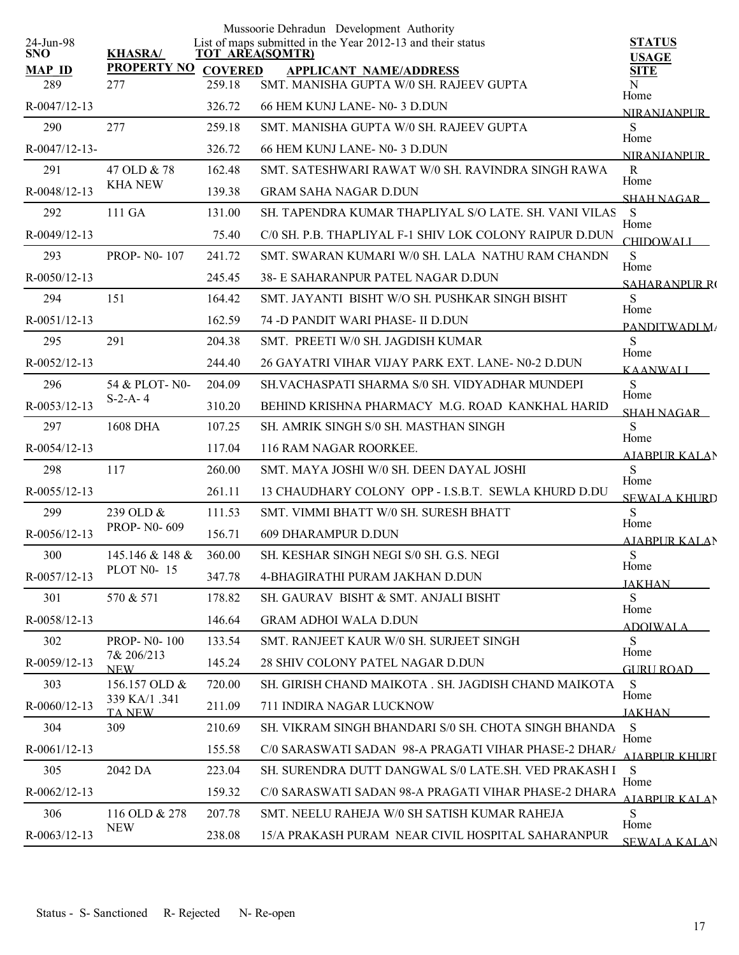| 24-Jun-98            |                           |                          | Mussoorie Dehradun Development Authority<br>List of maps submitted in the Year 2012-13 and their status | <b>STATUS</b>                      |
|----------------------|---------------------------|--------------------------|---------------------------------------------------------------------------------------------------------|------------------------------------|
| <b>SNO</b>           | <b>KHASRA/</b>            | <b>TOT AREA(SQMTR)</b>   |                                                                                                         | <b>USAGE</b>                       |
| <b>MAP ID</b><br>289 | <b>PROPERTY NO</b><br>277 | <b>COVERED</b><br>259.18 | <b>APPLICANT NAME/ADDRESS</b><br>SMT. MANISHA GUPTA W/0 SH. RAJEEV GUPTA                                | <b>SITE</b><br>N                   |
| R-0047/12-13         |                           | 326.72                   | 66 HEM KUNJ LANE-N0-3 D.DUN                                                                             | Home                               |
| 290                  | 277                       | 259.18                   | SMT. MANISHA GUPTA W/0 SH. RAJEEV GUPTA                                                                 | <b>NIRANJANPUR</b><br>S            |
| R-0047/12-13-        |                           | 326.72                   | 66 HEM KUNJ LANE-N0-3 D.DUN                                                                             | Home                               |
| 291                  | 47 OLD & 78               | 162.48                   | SMT. SATESHWARI RAWAT W/0 SH. RAVINDRA SINGH RAWA                                                       | <b>NIRANIANPLIR</b><br>$\mathbf R$ |
| R-0048/12-13         | <b>KHA NEW</b>            | 139.38                   | <b>GRAM SAHA NAGAR D.DUN</b>                                                                            | Home<br><b>SHAH NAGAR</b>          |
| 292                  | 111 GA                    | 131.00                   | SH. TAPENDRA KUMAR THAPLIYAL S/O LATE. SH. VANI VILAS                                                   | S                                  |
| R-0049/12-13         |                           | 75.40                    | C/0 SH. P.B. THAPLIYAL F-1 SHIV LOK COLONY RAIPUR D.DUN                                                 | Home<br><b>CHIDOWALI</b>           |
| 293                  | PROP-N0-107               | 241.72                   | SMT. SWARAN KUMARI W/0 SH. LALA NATHU RAM CHANDN                                                        | S                                  |
| R-0050/12-13         |                           | 245.45                   | 38- E SAHARANPUR PATEL NAGAR D.DUN                                                                      | Home<br><b>SAHARANPLIR RO</b>      |
| 294                  | 151                       | 164.42                   | SMT. JAYANTI BISHT W/O SH. PUSHKAR SINGH BISHT                                                          | S                                  |
| $R-0051/12-13$       |                           | 162.59                   | 74 - D PANDIT WARI PHASE - II D DUN                                                                     | Home<br>PANDITWADLM/               |
| 295                  | 291                       | 204.38                   | SMT. PREETI W/0 SH. JAGDISH KUMAR                                                                       | S<br>Home                          |
| R-0052/12-13         |                           | 244.40                   | 26 GAYATRI VIHAR VIJAY PARK EXT. LANE-N0-2 D.DUN                                                        | <b>KAANWALL</b>                    |
| 296                  | 54 & PLOT-N0-             | 204.09                   | SH.VACHASPATI SHARMA S/0 SH. VIDYADHAR MUNDEPI                                                          | S<br>Home                          |
| $R - 0053/12 - 13$   | $S-2-A-4$                 | 310.20                   | BEHIND KRISHNA PHARMACY M.G. ROAD KANKHAL HARID                                                         | <b>SHAH NAGAR</b>                  |
| 297                  | 1608 DHA                  | 107.25                   | SH. AMRIK SINGH S/0 SH. MASTHAN SINGH                                                                   | S<br>Home                          |
| $R - 0054/12 - 13$   |                           | 117.04                   | 116 RAM NAGAR ROORKEE.                                                                                  | <b>AJABPUR KALAN</b>               |
| 298                  | 117                       | 260.00                   | SMT. MAYA JOSHI W/0 SH. DEEN DAYAL JOSHI                                                                | S<br>Home                          |
| $R - 0055/12 - 13$   |                           | 261.11                   | 13 CHAUDHARY COLONY OPP - I.S.B.T. SEWLA KHURD D.DU                                                     | <b>SEWALA KHURD</b>                |
| 299                  | 239 OLD &                 | 111.53                   | SMT. VIMMI BHATT W/0 SH. SURESH BHATT                                                                   | S<br>Home                          |
| $R-0056/12-13$       | PROP-N0-609               | 156.71                   | 609 DHARAMPUR D.DUN                                                                                     | AJABPUR KALAN                      |
| 300                  | 145.146 & 148 &           | 360.00                   | SH. KESHAR SINGH NEGI S/0 SH. G.S. NEGI                                                                 | ${\bf S}$<br>Home                  |
| R-0057/12-13         | <b>PLOT N0-15</b>         | 347.78                   | 4-BHAGIRATHI PURAM JAKHAN D.DUN                                                                         | <b>JAKHAN</b>                      |
| 301                  | 570 & 571                 | 178.82                   | SH. GAURAV BISHT & SMT. ANJALI BISHT                                                                    | S<br>Home                          |
| R-0058/12-13         |                           | 146.64                   | <b>GRAM ADHOI WALA D.DUN</b>                                                                            | <b>ADOIWALA</b>                    |
| 302                  | <b>PROP-NO-100</b>        | 133.54                   | SMT. RANJEET KAUR W/0 SH. SURJEET SINGH                                                                 | S                                  |
| R-0059/12-13         | 7& 206/213<br><b>NEW</b>  | 145.24                   | 28 SHIV COLONY PATEL NAGAR D.DUN                                                                        | Home<br>GURU ROAD                  |
| 303                  | 156.157 OLD &             | 720.00                   | SH. GIRISH CHAND MAIKOTA . SH. JAGDISH CHAND MAIKOTA                                                    | -S                                 |
| R-0060/12-13         | 339 KA/1 .341<br>TA NEW   | 211.09                   | 711 INDIRA NAGAR LUCKNOW                                                                                | Home<br><b>JAKHAN</b>              |
| 304                  | 309                       | 210.69                   | SH. VIKRAM SINGH BHANDARI S/0 SH. CHOTA SINGH BHANDA                                                    | -S                                 |
| R-0061/12-13         |                           | 155.58                   | C/0 SARASWATI SADAN 98-A PRAGATI VIHAR PHASE-2 DHAR/                                                    | Home<br>AIABPUR KHURI              |
| 305                  | 2042 DA                   | 223.04                   | SH. SURENDRA DUTT DANGWAL S/0 LATE.SH. VED PRAKASH I                                                    | S                                  |
| R-0062/12-13         |                           | 159.32                   | C/0 SARASWATI SADAN 98-A PRAGATI VIHAR PHASE-2 DHARA                                                    | Home<br>AIABPUR KALAN              |
| 306                  | 116 OLD & 278             | 207.78                   | SMT. NEELU RAHEJA W/0 SH SATISH KUMAR RAHEJA                                                            | S<br>Home                          |
| R-0063/12-13         | <b>NEW</b>                | 238.08                   | 15/A PRAKASH PURAM NEAR CIVIL HOSPITAL SAHARANPUR                                                       | <b>SEWALA KALAN</b>                |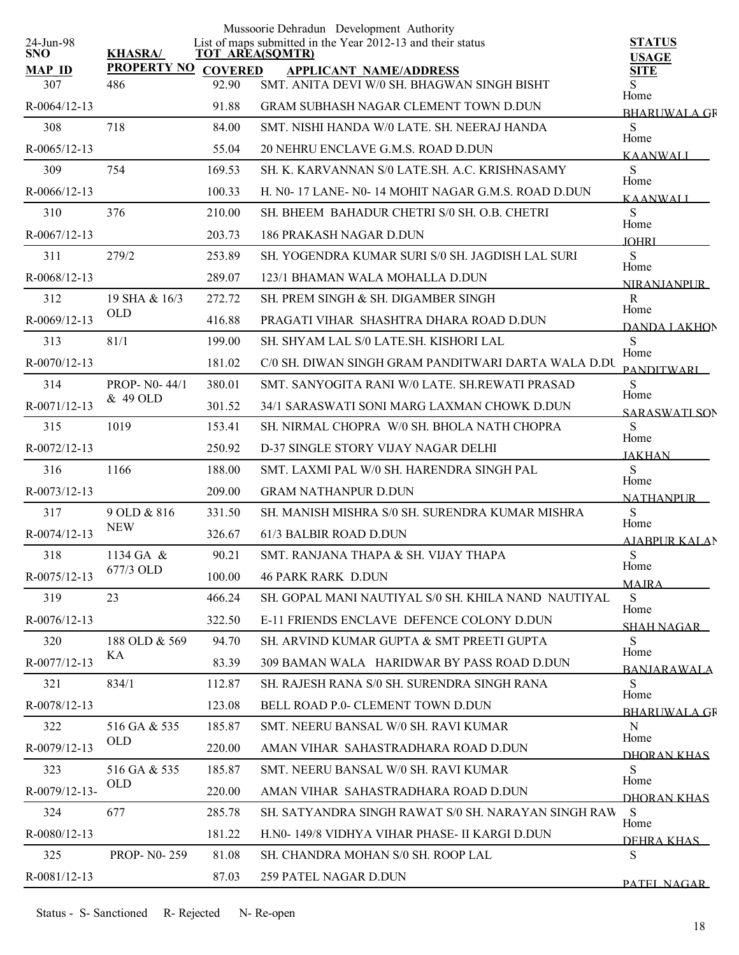|                         |                     |        | Mussoorie Dehradun Development Authority                                                   |                               |
|-------------------------|---------------------|--------|--------------------------------------------------------------------------------------------|-------------------------------|
| 24-Jun-98<br><b>SNO</b> | <b>KHASRA/</b>      |        | List of maps submitted in the Year 2012-13 and their status<br><b>TOT AREA(SQMTR)</b>      | <b>STATUS</b><br><b>USAGE</b> |
| <b>MAP ID</b>           | PROPERTY NO COVERED |        | <b>APPLICANT NAME/ADDRESS</b>                                                              | <b>SITE</b>                   |
| 307                     | 486                 | 92.90  | SMT. ANITA DEVI W/0 SH. BHAGWAN SINGH BISHT                                                | S<br>Home                     |
| R-0064/12-13            |                     | 91.88  | <b>GRAM SUBHASH NAGAR CLEMENT TOWN D.DUN</b>                                               | <b>BHARUWALA GR</b>           |
| 308                     | 718                 | 84.00  | SMT. NISHI HANDA W/0 LATE. SH. NEERAJ HANDA                                                | S<br>Home                     |
| $R-0065/12-13$          |                     | 55.04  | 20 NEHRU ENCLAVE G.M.S. ROAD D.DUN                                                         | <b>KAANWALI</b>               |
| 309                     | 754                 | 169.53 | SH. K. KARVANNAN S/0 LATE.SH. A.C. KRISHNASAMY                                             | S<br>Home                     |
| R-0066/12-13            |                     | 100.33 | H. NO-17 LANE- NO-14 MOHIT NAGAR G.M.S. ROAD D.DUN                                         | <b>KAANWALI</b>               |
| 310                     | 376                 | 210.00 | SH. BHEEM BAHADUR CHETRI S/0 SH. O.B. CHETRI                                               | S<br>Home                     |
| R-0067/12-13            |                     | 203.73 | 186 PRAKASH NAGAR D.DUN                                                                    | <b>TOHRI</b>                  |
| 311                     | 279/2               | 253.89 | SH. YOGENDRA KUMAR SURI S/0 SH. JAGDISH LAL SURI                                           | S                             |
| R-0068/12-13            |                     | 289.07 | 123/1 BHAMAN WALA MOHALLA D.DUN                                                            | Home<br><b>NIRANIANPUR</b>    |
| 312                     | 19 SHA & 16/3       | 272.72 | SH. PREM SINGH & SH. DIGAMBER SINGH                                                        | $\mathbf R$                   |
| R-0069/12-13            | <b>OLD</b>          | 416.88 | PRAGATI VIHAR SHASHTRA DHARA ROAD D.DUN                                                    | Home<br>DANDA LAKHON          |
| 313                     | 81/1                | 199.00 | SH. SHYAM LAL S/0 LATE. SH. KISHORI LAL                                                    | S                             |
| $R-0070/12-13$          |                     | 181.02 | C/0 SH. DIWAN SINGH GRAM PANDITWARI DARTA WALA D.DU                                        | Home<br><b>PANDITWARI</b>     |
| 314                     | PROP- N0-44/1       | 380.01 | SMT. SANYOGITA RANI W/0 LATE. SH.REWATI PRASAD                                             | S                             |
| R-0071/12-13            | & 49 OLD            | 301.52 | 34/1 SARASWATI SONI MARG LAXMAN CHOWK D.DUN                                                | Home<br>SARASWATI SON         |
| 315                     | 1019                | 153.41 | SH. NIRMAL CHOPRA W/0 SH. BHOLA NATH CHOPRA                                                | S                             |
| $R - 0072/12 - 13$      |                     | 250.92 | D-37 SINGLE STORY VIJAY NAGAR DELHI                                                        | Home                          |
| 316                     | 1166                | 188.00 | SMT. LAXMI PAL W/0 SH. HARENDRA SINGH PAL                                                  | <b>JAKHAN</b><br>S            |
| R-0073/12-13            |                     | 209.00 | <b>GRAM NATHANPUR D.DUN</b>                                                                | Home                          |
| 317                     | 9 OLD & 816         | 331.50 | SH. MANISH MISHRA S/0 SH. SURENDRA KUMAR MISHRA                                            | <b>NATHANPUR</b><br>S         |
| R-0074/12-13            | <b>NEW</b>          | 326.67 | 61/3 BALBIR ROAD D.DUN                                                                     | Home                          |
| 318                     | 1134 GA &           | 90.21  | SMT. RANJANA THAPA & SH. VIJAY THAPA                                                       | AJABPUR KALAN<br>S            |
| R-0075/12-13            | 677/3 OLD           | 100.00 | <b>46 PARK RARK D.DUN</b>                                                                  | Home                          |
| 319                     | 23                  | 466.24 | SH. GOPAL MANI NAUTIYAL S/0 SH. KHILA NAND NAUTIYAL                                        | <b>MAJRA</b><br>S             |
| $R-0076/12-13$          |                     | 322.50 | E-11 FRIENDS ENCLAVE DEFENCE COLONY D.DUN                                                  | Home                          |
| 320                     | 188 OLD & 569       | 94.70  | SH. ARVIND KUMAR GUPTA & SMT PREETI GUPTA                                                  | <b>SHAH NAGAR</b><br>S        |
| R-0077/12-13            | KA                  | 83.39  | 309 BAMAN WALA HARIDWAR BY PASS ROAD D.DUN                                                 | Home                          |
| 321                     | 834/1               | 112.87 | SH. RAJESH RANA S/0 SH. SURENDRA SINGH RANA                                                | <b>BANIARAWALA</b><br>S       |
| R-0078/12-13            |                     | 123.08 | BELL ROAD P.0- CLEMENT TOWN D.DUN                                                          | Home                          |
| 322                     | 516 GA & 535        | 185.87 | SMT. NEERU BANSAL W/0 SH. RAVI KUMAR                                                       | <b>BHARLIWALA GR</b><br>N     |
| R-0079/12-13            | <b>OLD</b>          | 220.00 | AMAN VIHAR SAHASTRADHARA ROAD D.DUN                                                        | Home                          |
| 323                     | 516 GA & 535        | 185.87 | SMT. NEERU BANSAL W/0 SH. RAVI KUMAR                                                       | DHORAN KHAS<br>S              |
| R-0079/12-13-           | <b>OLD</b>          |        |                                                                                            | Home                          |
|                         | 677                 | 220.00 | AMAN VIHAR SAHASTRADHARA ROAD D.DUN<br>SH. SATYANDRA SINGH RAWAT S/0 SH. NARAYAN SINGH RAW | DHORAN KHAS<br><sub>S</sub>   |
| 324                     |                     | 285.78 |                                                                                            | Home                          |
| $R - 0080/12 - 13$      |                     | 181.22 | H.NO-149/8 VIDHYA VIHAR PHASE-II KARGI D.DUN                                               | DEHRA KHAS                    |
| 325                     | PROP-N0-259         | 81.08  | SH. CHANDRA MOHAN S/0 SH. ROOP LAL                                                         | S                             |
| R-0081/12-13            |                     | 87.03  | 259 PATEL NAGAR D.DUN                                                                      | PATEL NAGAR                   |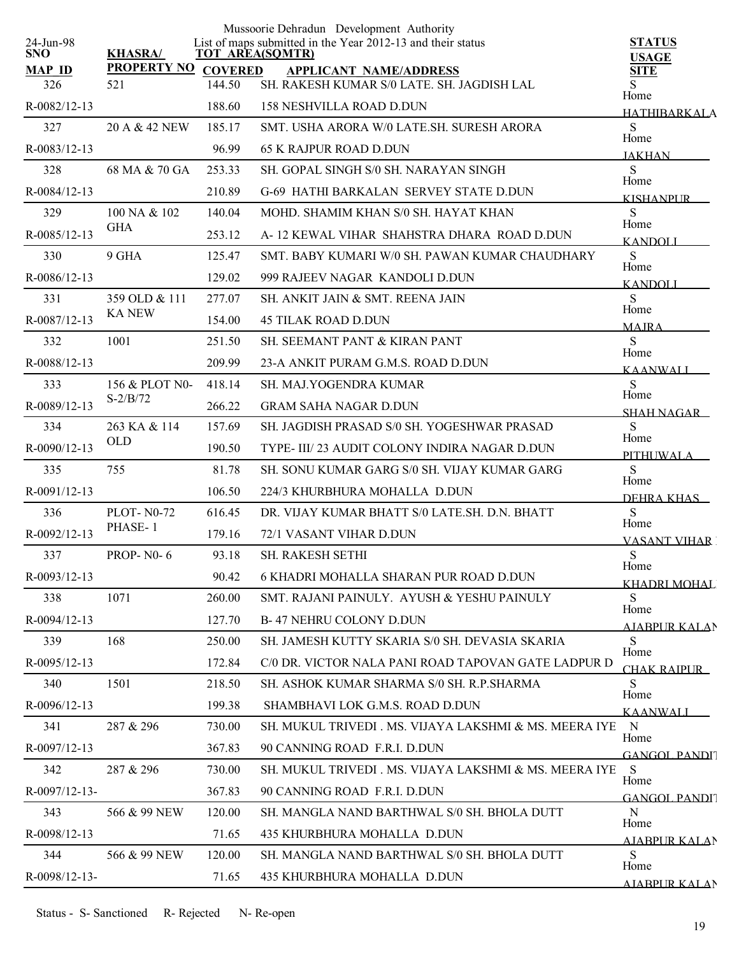| 24-Jun-98            |                           |                          | Mussoorie Dehradun Development Authority<br>List of maps submitted in the Year 2012-13 and their status | <b>STATUS</b>               |
|----------------------|---------------------------|--------------------------|---------------------------------------------------------------------------------------------------------|-----------------------------|
| <b>SNO</b>           | <b>KHASRA/</b>            |                          | <b>TOT AREA(SQMTR)</b>                                                                                  | <b>USAGE</b>                |
| <b>MAP ID</b><br>326 | <b>PROPERTY NO</b><br>521 | <b>COVERED</b><br>144.50 | <b>APPLICANT NAME/ADDRESS</b><br>SH. RAKESH KUMAR S/0 LATE. SH. JAGDISH LAL                             | <b>SITE</b>                 |
| R-0082/12-13         |                           | 188.60                   | <b>158 NESHVILLA ROAD D.DUN</b>                                                                         | Home<br><b>HATHIBARKALA</b> |
| 327                  | 20 A & 42 NEW             | 185.17                   | SMT. USHA ARORA W/0 LATE SH. SURESH ARORA                                                               | S                           |
| R-0083/12-13         |                           | 96.99                    | <b>65 K RAJPUR ROAD D.DUN</b>                                                                           | Home<br><b>JAKHAN</b>       |
| 328                  | 68 MA & 70 GA             | 253.33                   | SH. GOPAL SINGH S/0 SH. NARAYAN SINGH                                                                   | S                           |
| R-0084/12-13         |                           | 210.89                   | G-69 HATHI BARKALAN SERVEY STATE D.DUN                                                                  | Home<br>KISHANPUR.          |
| 329                  | 100 NA & 102              | 140.04                   | MOHD. SHAMIM KHAN S/0 SH. HAYAT KHAN                                                                    | S                           |
| R-0085/12-13         | <b>GHA</b>                | 253.12                   | A-12 KEWAL VIHAR SHAHSTRA DHARA ROAD D.DUN                                                              | Home<br><b>KANDOLI</b>      |
| 330                  | 9 GHA                     | 125.47                   | SMT. BABY KUMARI W/0 SH. PAWAN KUMAR CHAUDHARY                                                          | S                           |
| R-0086/12-13         |                           | 129.02                   | 999 RAJEEV NAGAR KANDOLI D.DUN                                                                          | Home<br><b>KANDOLI</b>      |
| 331                  | 359 OLD & 111             | 277.07                   | SH. ANKIT JAIN & SMT. REENA JAIN                                                                        | S                           |
| R-0087/12-13         | <b>KA NEW</b>             | 154.00                   | <b>45 TILAK ROAD D.DUN</b>                                                                              | Home<br><b>MAJRA</b>        |
| 332                  | 1001                      | 251.50                   | SH. SEEMANT PANT & KIRAN PANT                                                                           | S                           |
| R-0088/12-13         |                           | 209.99                   | 23-A ANKIT PURAM G.M.S. ROAD D.DUN                                                                      | Home<br><b>KAANWALI</b>     |
| 333                  | 156 & PLOT N0-            | 418.14                   | SH. MAJ.YOGENDRA KUMAR                                                                                  | S                           |
| R-0089/12-13         | $S-2/B/72$                | 266.22                   | <b>GRAM SAHA NAGAR D.DUN</b>                                                                            | Home<br><b>SHAH NAGAR</b>   |
| 334                  | 263 KA & 114              | 157.69                   | SH. JAGDISH PRASAD S/0 SH. YOGESHWAR PRASAD                                                             | S                           |
| R-0090/12-13         | <b>OLD</b>                | 190.50                   | TYPE- III/23 AUDIT COLONY INDIRA NAGAR D.DUN                                                            | Home<br>PITHUWALA           |
| 335                  | 755                       | 81.78                    | SH. SONU KUMAR GARG S/0 SH. VIJAY KUMAR GARG                                                            | S                           |
| R-0091/12-13         |                           | 106.50                   | 224/3 KHURBHURA MOHALLA D.DUN                                                                           | Home<br>DEHRA KHAS          |
| 336                  | <b>PLOT-N0-72</b>         | 616.45                   | DR. VIJAY KUMAR BHATT S/0 LATE SH. D.N. BHATT                                                           | S                           |
| R-0092/12-13         | PHASE-1                   | 179.16                   | 72/1 VASANT VIHAR D.DUN                                                                                 | Home<br><b>VASANT VIHAR</b> |
| 337                  | <b>PROP-N0-6</b>          | 93.18                    | SH. RAKESH SETHI                                                                                        | S                           |
| R-0093/12-13         |                           | 90.42                    | <b>6 KHADRI MOHALLA SHARAN PUR ROAD D.DUN</b>                                                           | Home<br>KHADRI MOHAL        |
| 338                  | 1071                      | 260.00                   | SMT. RAJANI PAINULY. AYUSH & YESHU PAINULY                                                              | <sub>S</sub>                |
| R-0094/12-13         |                           | 127.70                   | <b>B-47 NEHRU COLONY D.DUN</b>                                                                          | Home<br>AJABPUR KALAN       |
| 339                  | 168                       | 250.00                   | SH. JAMESH KUTTY SKARIA S/0 SH. DEVASIA SKARIA                                                          | S                           |
| $R - 0095/12 - 13$   |                           | 172.84                   | C/0 DR. VICTOR NALA PANI ROAD TAPOVAN GATE LADPUR D                                                     | Home<br>CHAK RAIPUR         |
| 340                  | 1501                      | 218.50                   | SH. ASHOK KUMAR SHARMA S/0 SH. R.P.SHARMA                                                               | S                           |
| $R-0096/12-13$       |                           | 199.38                   | SHAMBHAVI LOK G.M.S. ROAD D.DUN                                                                         | Home<br><b>KAANWALI</b>     |
| 341                  | 287 & 296                 | 730.00                   | SH. MUKUL TRIVEDI . MS. VIJAYA LAKSHMI & MS. MEERA IYE                                                  | $\mathbf N$                 |
| R-0097/12-13         |                           | 367.83                   | 90 CANNING ROAD F.R.I. D.DUN                                                                            | Home<br><b>GANGOL PANDI</b> |
| 342                  | 287 & 296                 | 730.00                   | SH. MUKUL TRIVEDI . MS. VIJAYA LAKSHMI & MS. MEERA IYE                                                  | <sub>S</sub>                |
| R-0097/12-13-        |                           | 367.83                   | 90 CANNING ROAD F.R.I. D.DUN                                                                            | Home                        |
| 343                  | 566 & 99 NEW              | 120.00                   | SH. MANGLA NAND BARTHWAL S/0 SH. BHOLA DUTT                                                             | GANGOL PANDIT<br>N          |
| R-0098/12-13         |                           | 71.65                    | 435 KHURBHURA MOHALLA D.DUN                                                                             | Home                        |
| 344                  | 566 & 99 NEW              | 120.00                   | SH. MANGLA NAND BARTHWAL S/0 SH. BHOLA DUTT                                                             | <b>AJABPUR KALAN</b><br>S   |
| R-0098/12-13-        |                           | 71.65                    | 435 KHURBHURA MOHALLA D.DUN                                                                             | Home                        |
|                      |                           |                          |                                                                                                         | <b>AIARPUR KALAN</b>        |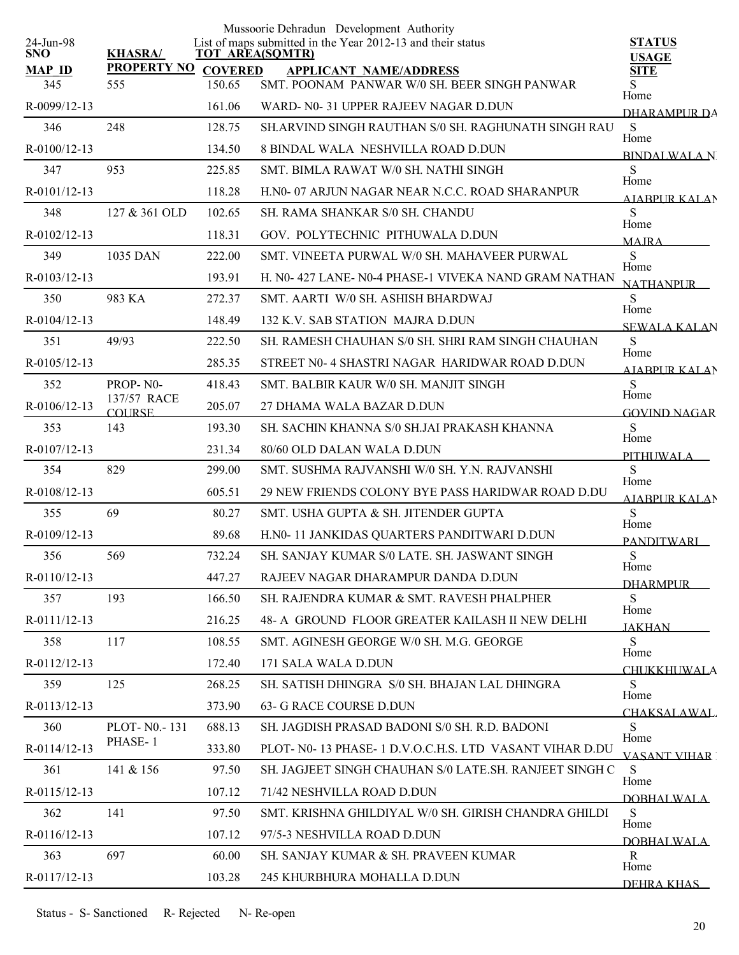|                         |                              |                | Mussoorie Dehradun Development Authority                                              |                                     |
|-------------------------|------------------------------|----------------|---------------------------------------------------------------------------------------|-------------------------------------|
| 24-Jun-98<br><b>SNO</b> | <b>KHASRA/</b>               |                | List of maps submitted in the Year 2012-13 and their status<br><b>TOT AREA(SQMTR)</b> | <b>STATUS</b>                       |
| <b>MAP ID</b>           | <b>PROPERTY NO</b>           | <b>COVERED</b> | <b>APPLICANT NAME/ADDRESS</b>                                                         | <b>USAGE</b><br><b>SITE</b>         |
| 345                     | 555                          | 150.65         | SMT. POONAM PANWAR W/0 SH. BEER SINGH PANWAR                                          | S.<br>Home                          |
| R-0099/12-13            |                              | 161.06         | WARD- N0-31 UPPER RAJEEV NAGAR D.DUN                                                  | DHARAMPUR DA                        |
| 346                     | 248                          | 128.75         | SH.ARVIND SINGH RAUTHAN S/0 SH. RAGHUNATH SINGH RAU                                   | S                                   |
| $R-0100/12-13$          |                              | 134.50         | 8 BINDAL WALA NESHVILLA ROAD D.DUN                                                    | Home<br><b>BINDALWALAN</b>          |
| 347                     | 953                          | 225.85         | SMT. BIMLA RAWAT W/0 SH. NATHI SINGH                                                  | S                                   |
| R-0101/12-13            |                              | 118.28         | H.NO- 07 ARJUN NAGAR NEAR N.C.C. ROAD SHARANPUR                                       | Home<br>AIABPUR KALAN               |
| 348                     | 127 & 361 OLD                | 102.65         | SH. RAMA SHANKAR S/0 SH. CHANDU                                                       | S                                   |
| R-0102/12-13            |                              | 118.31         | GOV. POLYTECHNIC PITHUWALA D.DUN                                                      | Home<br><b>MAIRA</b>                |
| 349                     | 1035 DAN                     | 222.00         | SMT. VINEETA PURWAL W/0 SH. MAHAVEER PURWAL                                           | <sub>S</sub>                        |
| R-0103/12-13            |                              | 193.91         | H. N0-427 LANE-N0-4 PHASE-1 VIVEKA NAND GRAM NATHAN                                   | Home<br><b>NATHANPUR</b>            |
| 350                     | 983 KA                       | 272.37         | SMT. AARTI W/0 SH. ASHISH BHARDWAJ                                                    | S                                   |
| R-0104/12-13            |                              | 148.49         | 132 K.V. SAB STATION MAJRA D.DUN                                                      | Home<br><b>SEWALA KALAN</b>         |
| 351                     | 49/93                        | 222.50         | SH. RAMESH CHAUHAN S/0 SH. SHRI RAM SINGH CHAUHAN                                     | S                                   |
| R-0105/12-13            |                              | 285.35         | STREET NO- 4 SHASTRI NAGAR HARIDWAR ROAD D.DUN                                        | Home<br><b>AIABPURKALAN</b>         |
| 352                     | PROP-N0-                     | 418.43         | SMT. BALBIR KAUR W/0 SH. MANJIT SINGH                                                 | S                                   |
| $R-0106/12-13$          | 137/57 RACE<br><b>COURSE</b> | 205.07         | 27 DHAMA WALA BAZAR D.DUN                                                             | Home<br><b>GOVIND NAGAR</b>         |
| 353                     | 143                          | 193.30         | SH. SACHIN KHANNA S/0 SH.JAI PRAKASH KHANNA                                           | S                                   |
| R-0107/12-13            |                              | 231.34         | 80/60 OLD DALAN WALA D.DUN                                                            | Home                                |
| 354                     | 829                          | 299.00         | SMT. SUSHMA RAJVANSHI W/0 SH. Y.N. RAJVANSHI                                          | PITHI IWALA<br>S                    |
| R-0108/12-13            |                              | 605.51         | 29 NEW FRIENDS COLONY BYE PASS HARIDWAR ROAD D.DU                                     | Home                                |
| 355                     | 69                           | 80.27          | SMT. USHA GUPTA & SH. JITENDER GUPTA                                                  | <b>AJABPUR KALAN</b><br>S           |
| R-0109/12-13            |                              | 89.68          | H.N0-11 JANKIDAS QUARTERS PANDITWARI D.DUN                                            | Home                                |
| 356                     | 569                          | 732.24         | SH. SANJAY KUMAR S/0 LATE. SH. JASWANT SINGH                                          | <b>PANDITWARI</b><br>S              |
| $R-0110/12-13$          |                              | 447.27         | RAJEEV NAGAR DHARAMPUR DANDA D.DUN                                                    | Home                                |
| 357                     | 193                          | 166.50         | SH. RAJENDRA KUMAR & SMT. RAVESH PHALPHER                                             | <b>DHARMPUR</b><br>S                |
| R-0111/12-13            |                              | 216.25         | 48- A GROUND FLOOR GREATER KAILASH II NEW DELHI                                       | Home                                |
| 358                     | 117                          | 108.55         | SMT. AGINESH GEORGE W/0 SH. M.G. GEORGE                                               | <b>JAKHAN</b><br>S                  |
| R-0112/12-13            |                              | 172.40         | 171 SALA WALA D.DUN                                                                   | Home                                |
| 359                     | 125                          | 268.25         | SH. SATISH DHINGRA S/0 SH. BHAJAN LAL DHINGRA                                         | <b>CHUKKHUWALA</b><br>S.            |
| R-0113/12-13            |                              | 373.90         | 63- G RACE COURSE D.DUN                                                               | Home                                |
| 360                     | PLOT-N0.-131                 | 688.13         | SH. JAGDISH PRASAD BADONI S/0 SH. R.D. BADONI                                         | CHAKSALAWAL.<br>S                   |
| R-0114/12-13            | PHASE-1                      | 333.80         | PLOT- N0-13 PHASE-1 D.V.O.C.H.S. LTD VASANT VIHAR D.DU                                | Home                                |
| 361                     | 141 & 156                    | 97.50          | SH. JAGJEET SINGH CHAUHAN S/0 LATE.SH. RANJEET SINGH C                                | <b>VASANT VIHAR</b><br><sub>S</sub> |
| R-0115/12-13            |                              | 107.12         | 71/42 NESHVILLA ROAD D.DUN                                                            | Home                                |
|                         |                              |                |                                                                                       | DOBHALWALA                          |
| 362                     | 141                          | 97.50          | SMT. KRISHNA GHILDIYAL W/0 SH. GIRISH CHANDRA GHILDI                                  | S<br>Home                           |
| R-0116/12-13            |                              | 107.12         | 97/5-3 NESHVILLA ROAD D.DUN                                                           | <b>DOBHALWALA</b>                   |
| 363                     | 697                          | 60.00          | SH. SANJAY KUMAR & SH. PRAVEEN KUMAR                                                  | $\mathbf{R}$<br>Home                |
| R-0117/12-13            |                              | 103.28         | 245 KHURBHURA MOHALLA D.DUN                                                           | DEHRA KHAS                          |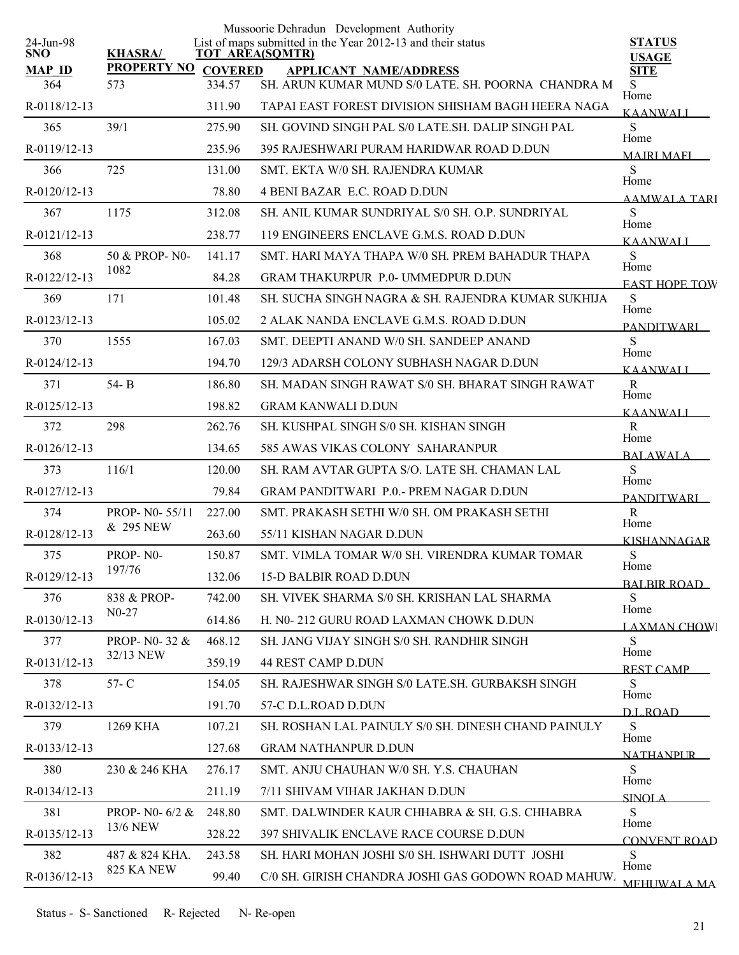| 24-Jun-98            |                            |        | Mussoorie Dehradun Development Authority<br>List of maps submitted in the Year 2012-13 and their status | <b>STATUS</b>                |
|----------------------|----------------------------|--------|---------------------------------------------------------------------------------------------------------|------------------------------|
| <b>SNO</b>           | <b>KHASRA/</b>             |        | TOT AREA(SQMTR)                                                                                         | <b>USAGE</b>                 |
| <b>MAP ID</b><br>364 | PROPERTY NO COVERED<br>573 | 334.57 | <b>APPLICANT NAME/ADDRESS</b><br>SH. ARUN KUMAR MUND S/0 LATE. SH. POORNA CHANDRA M                     | <b>SITE</b><br>S.            |
| R-0118/12-13         |                            | 311.90 | TAPAI EAST FOREST DIVISION SHISHAM BAGH HEERA NAGA                                                      | Home<br><b>KAANWALI</b>      |
| 365                  | 39/1                       | 275.90 | SH. GOVIND SINGH PAL S/0 LATE SH. DALIP SINGH PAL                                                       | S                            |
| R-0119/12-13         |                            | 235.96 | 395 RAJESHWARI PURAM HARIDWAR ROAD D.DUN                                                                | Home<br><b>MAIRI MAFI</b>    |
| 366                  | 725                        | 131.00 | SMT. EKTA W/0 SH. RAJENDRA KUMAR                                                                        | S                            |
| R-0120/12-13         |                            | 78.80  | <b>4 BENI BAZAR E.C. ROAD D.DUN</b>                                                                     | Home<br>AAMWALA TARI         |
| 367                  | 1175                       | 312.08 | SH. ANIL KUMAR SUNDRIYAL S/0 SH. O.P. SUNDRIYAL                                                         | S                            |
| R-0121/12-13         |                            | 238.77 | 119 ENGINEERS ENCLAVE G.M.S. ROAD D.DUN                                                                 | Home<br><b>KAANWALI</b>      |
| 368                  | 50 & PROP-N0-              | 141.17 | SMT. HARI MAYA THAPA W/0 SH. PREM BAHADUR THAPA                                                         | S                            |
| R-0122/12-13         | 1082                       | 84.28  | <b>GRAM THAKURPUR P.0- UMMEDPUR D.DUN</b>                                                               | Home<br><b>EAST HOPE TOW</b> |
| 369                  | 171                        | 101.48 | SH. SUCHA SINGH NAGRA & SH. RAJENDRA KUMAR SUKHIJA                                                      | S                            |
| R-0123/12-13         |                            | 105.02 | 2 ALAK NANDA ENCLAVE G.M.S. ROAD D.DUN                                                                  | Home<br><b>PANDITWARI</b>    |
| 370                  | 1555                       | 167.03 | SMT. DEEPTI ANAND W/0 SH. SANDEEP ANAND                                                                 | S                            |
| R-0124/12-13         |                            | 194.70 | 129/3 ADARSH COLONY SUBHASH NAGAR D.DUN                                                                 | Home<br><b>KAANWALI</b>      |
| 371                  | 54-B                       | 186.80 | SH. MADAN SINGH RAWAT S/0 SH. BHARAT SINGH RAWAT                                                        | R                            |
| R-0125/12-13         |                            | 198.82 | <b>GRAM KANWALI D.DUN</b>                                                                               | Home<br><b>KAANWALI</b>      |
| 372                  | 298                        | 262.76 | SH. KUSHPAL SINGH S/0 SH. KISHAN SINGH                                                                  | $\mathbf R$<br>Home          |
| $R-0126/12-13$       |                            | 134.65 | 585 AWAS VIKAS COLONY SAHARANPUR                                                                        | <b>BALAWALA</b>              |
| 373                  | 116/1                      | 120.00 | SH. RAM AVTAR GUPTA S/O. LATE SH. CHAMAN LAL                                                            | S<br>Home                    |
| R-0127/12-13         |                            | 79.84  | <b>GRAM PANDITWARI P.O.- PREM NAGAR D.DUN</b>                                                           | <b>PANDITWARI</b>            |
| 374                  | PROP- N0-55/11             | 227.00 | SMT. PRAKASH SETHI W/0 SH. OM PRAKASH SETHI                                                             | R<br>Home                    |
| R-0128/12-13         | & 295 NEW                  | 263.60 | 55/11 KISHAN NAGAR D.DUN                                                                                | <b>KISHANNAGAR</b>           |
| 375                  | PROP-N0-                   | 150.87 | SMT. VIMLA TOMAR W/0 SH. VIRENDRA KUMAR TOMAR                                                           | S<br>Home                    |
| R-0129/12-13         | 197/76                     | 132.06 | <b>15-D BALBIR ROAD D.DUN</b>                                                                           | <b>BALBIR ROAD</b>           |
| 376                  | 838 & PROP-                | 742.00 | SH. VIVEK SHARMA S/0 SH. KRISHAN LAL SHARMA                                                             | S<br>Home                    |
| R-0130/12-13         | $N0-27$                    | 614.86 | H. N0-212 GURU ROAD LAXMAN CHOWK D.DUN                                                                  | <b>LAXMAN CHOW</b>           |
| 377                  | PROP-N0-32 &               | 468.12 | SH. JANG VIJAY SINGH S/0 SH. RANDHIR SINGH                                                              | S<br>Home                    |
| R-0131/12-13         | 32/13 NEW                  | 359.19 | 44 REST CAMP D.DUN                                                                                      | <b>REST CAMP</b>             |
| 378                  | $57 - C$                   | 154.05 | SH. RAJESHWAR SINGH S/0 LATE.SH. GURBAKSH SINGH                                                         | S                            |
| R-0132/12-13         |                            | 191.70 | 57-C D.L.ROAD D.DUN                                                                                     | Home<br>D.L.ROAD             |
| 379                  | 1269 KHA                   | 107.21 | SH. ROSHAN LAL PAINULY S/0 SH. DINESH CHAND PAINULY                                                     | S<br>Home                    |
| R-0133/12-13         |                            | 127.68 | <b>GRAM NATHANPUR D.DUN</b>                                                                             | <b>NATHANPUR</b>             |
| 380                  | 230 & 246 KHA              | 276.17 | SMT. ANJU CHAUHAN W/0 SH. Y.S. CHAUHAN                                                                  | S                            |
| R-0134/12-13         |                            | 211.19 | 7/11 SHIVAM VIHAR JAKHAN D.DUN                                                                          | Home<br><b>SINOLA</b>        |
| 381                  | PROP- N0- 6/2 &            | 248.80 | SMT. DALWINDER KAUR CHHABRA & SH. G.S. CHHABRA                                                          | S                            |
| R-0135/12-13         | 13/6 NEW                   | 328.22 | 397 SHIVALIK ENCLAVE RACE COURSE D.DUN                                                                  | Home<br><b>CONVENT ROAD</b>  |
| 382                  | 487 & 824 KHA.             | 243.58 | SH. HARI MOHAN JOSHI S/0 SH. ISHWARI DUTT JOSHI                                                         | S                            |
| R-0136/12-13         | 825 KA NEW                 | 99.40  | C/0 SH. GIRISH CHANDRA JOSHI GAS GODOWN ROAD MAHUW.                                                     | Home<br><b>MEHI WALA MA</b>  |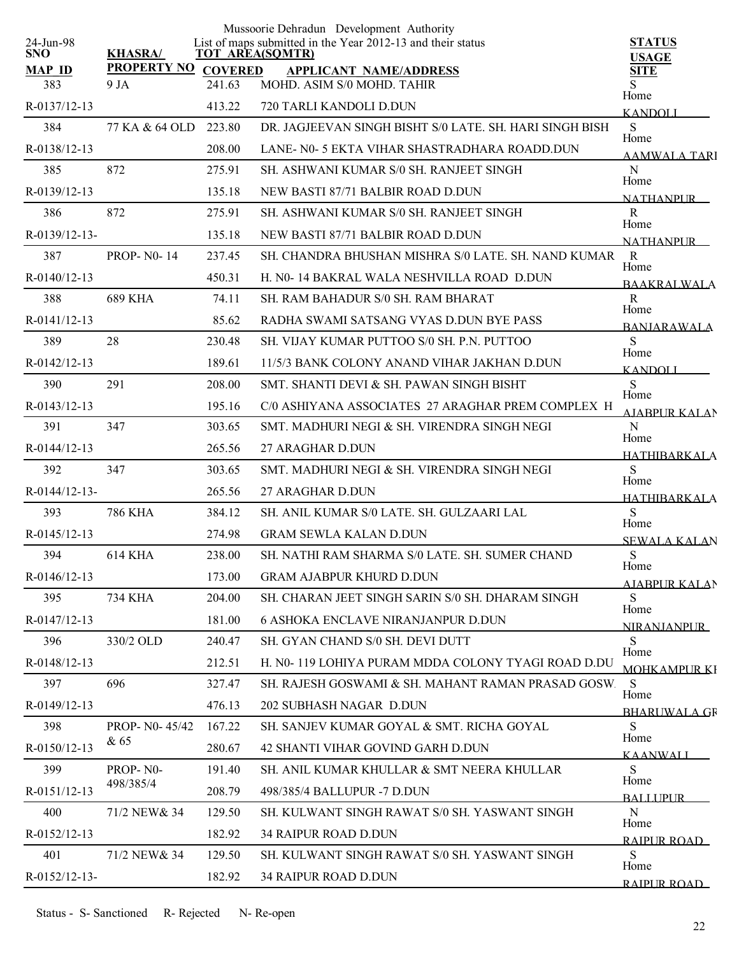|                         |                    |                | Mussoorie Dehradun Development Authority                                       |                                  |
|-------------------------|--------------------|----------------|--------------------------------------------------------------------------------|----------------------------------|
| 24-Jun-98<br><b>SNO</b> | <b>KHASRA/</b>     |                | List of maps submitted in the Year 2012-13 and their status<br>TOT AREA(SQMTR) | <b>STATUS</b><br><b>USAGE</b>    |
| <b>MAP ID</b>           | <b>PROPERTY NO</b> | <b>COVERED</b> | <b>APPLICANT NAME/ADDRESS</b>                                                  | <b>SITE</b>                      |
| 383                     | 9 JA               | 241.63         | MOHD. ASIM S/0 MOHD. TAHIR                                                     | S<br>Home                        |
| R-0137/12-13            |                    | 413.22         | 720 TARLI KANDOLI D.DUN                                                        | <b>KANDOLI</b>                   |
| 384                     | 77 KA & 64 OLD     | 223.80         | DR. JAGJEEVAN SINGH BISHT S/0 LATE. SH. HARI SINGH BISH                        | S<br>Home                        |
| R-0138/12-13            |                    | 208.00         | LANE- N0-5 EKTA VIHAR SHASTRADHARA ROADD.DUN                                   | <b>AAMWALA TARI</b>              |
| 385                     | 872                | 275.91         | SH. ASHWANI KUMAR S/0 SH. RANJEET SINGH                                        | $\mathbf N$<br>Home              |
| R-0139/12-13            |                    | 135.18         | NEW BASTI 87/71 BALBIR ROAD D.DUN                                              | <b>NATHANPLIR</b>                |
| 386                     | 872                | 275.91         | SH. ASHWANI KUMAR S/0 SH. RANJEET SINGH                                        | $\mathbf R$<br>Home              |
| R-0139/12-13-           |                    | 135.18         | NEW BASTI 87/71 BALBIR ROAD D.DUN                                              | <b>NATHANPUR</b>                 |
| 387                     | <b>PROP-N0-14</b>  | 237.45         | SH. CHANDRA BHUSHAN MISHRA S/0 LATE, SH. NAND KUMAR                            | $\mathbf R$<br>Home              |
| $R - 0140/12 - 13$      |                    | 450.31         | H. N0-14 BAKRAL WALA NESHVILLA ROAD D.DUN                                      | <b>BAAKRALWALA</b>               |
| 388                     | 689 KHA            | 74.11          | SH. RAM BAHADUR S/0 SH. RAM BHARAT                                             | $\mathbf R$                      |
| R-0141/12-13            |                    | 85.62          | RADHA SWAMI SATSANG VYAS D.DUN BYE PASS                                        | Home<br><b>BANJARAWALA</b>       |
| 389                     | 28                 | 230.48         | SH. VIJAY KUMAR PUTTOO S/0 SH. P.N. PUTTOO                                     | S                                |
| R-0142/12-13            |                    | 189.61         | 11/5/3 BANK COLONY ANAND VIHAR JAKHAN D.DUN                                    | Home<br><b>KANDOLI</b>           |
| 390                     | 291                | 208.00         | SMT. SHANTI DEVI & SH. PAWAN SINGH BISHT                                       | S                                |
| $R - 0143/12 - 13$      |                    | 195.16         | C/0 ASHIYANA ASSOCIATES 27 ARAGHAR PREM COMPLEX H                              | Home<br><b>AIABPUR KALAN</b>     |
| 391                     | 347                | 303.65         | SMT. MADHURI NEGI & SH. VIRENDRA SINGH NEGI                                    | N                                |
| $R - 0144/12 - 13$      |                    | 265.56         | 27 ARAGHAR D.DUN                                                               | Home<br>HATHIBARKALA             |
| 392                     | 347                | 303.65         | SMT. MADHURI NEGI & SH. VIRENDRA SINGH NEGI                                    | ${\bf S}$                        |
| R-0144/12-13-           |                    | 265.56         | 27 ARAGHAR D.DUN                                                               | Home<br>HATHIBARKALA             |
| 393                     | <b>786 KHA</b>     | 384.12         | SH. ANIL KUMAR S/0 LATE. SH. GULZAARI LAL                                      | S                                |
| R-0145/12-13            |                    | 274.98         | <b>GRAM SEWLA KALAN D.DUN</b>                                                  | Home                             |
| 394                     | <b>614 KHA</b>     | 238.00         | SH. NATHI RAM SHARMA S/0 LATE. SH. SUMER CHAND                                 | <b>SEWALA KALAN</b><br>${\bf S}$ |
| R-0146/12-13            |                    | 173.00         | <b>GRAM AJABPUR KHURD D.DUN</b>                                                | Home                             |
| 395                     | 734 KHA            | 204.00         | SH. CHARAN JEET SINGH SARIN S/0 SH. DHARAM SINGH                               | <b>AJABPUR KALAN</b><br>S        |
| R-0147/12-13            |                    | 181.00         | <b>6 ASHOKA ENCLAVE NIRANJANPUR D.DUN</b>                                      | Home                             |
| 396                     | 330/2 OLD          | 240.47         | SH. GYAN CHAND S/0 SH. DEVI DUTT                                               | <b>NIRANJANPUR</b><br>S          |
| R-0148/12-13            |                    | 212.51         | H. N0-119 LOHIYA PURAM MDDA COLONY TYAGI ROAD D.DU                             | Home                             |
| 397                     | 696                | 327.47         | SH. RAJESH GOSWAMI & SH. MAHANT RAMAN PRASAD GOSW.                             | <b>MOHK AMPLIR KI</b><br>S       |
| $R - 0149/12 - 13$      |                    | 476.13         | 202 SUBHASH NAGAR D.DUN                                                        | Home                             |
| 398                     | PROP- N0-45/42     | 167.22         | SH. SANJEV KUMAR GOYAL & SMT. RICHA GOYAL                                      | <b>BHARLWALA GR</b><br>S         |
| R-0150/12-13            | & 65               | 280.67         | 42 SHANTI VIHAR GOVIND GARH D.DUN                                              | Home                             |
| 399                     | PROP-N0-           | 191.40         | SH. ANIL KUMAR KHULLAR & SMT NEERA KHULLAR                                     | KAANWALI<br>S                    |
| R-0151/12-13            | 498/385/4          | 208.79         | 498/385/4 BALLUPUR -7 D.DUN                                                    | Home                             |
| 400                     | 71/2 NEW & 34      | 129.50         | SH. KULWANT SINGH RAWAT S/0 SH. YASWANT SINGH                                  | <b>BALLIPUR</b><br>$\mathbf N$   |
|                         |                    |                |                                                                                | Home                             |
| R-0152/12-13            |                    | 182.92         | <b>34 RAIPUR ROAD D.DUN</b>                                                    | RAIPUR ROAD                      |
| 401                     | 71/2 NEW & 34      | 129.50         | SH. KULWANT SINGH RAWAT S/0 SH. YASWANT SINGH                                  | S<br>Home                        |
| R-0152/12-13-           |                    | 182.92         | 34 RAIPUR ROAD D.DUN                                                           | RAIPUR ROAD                      |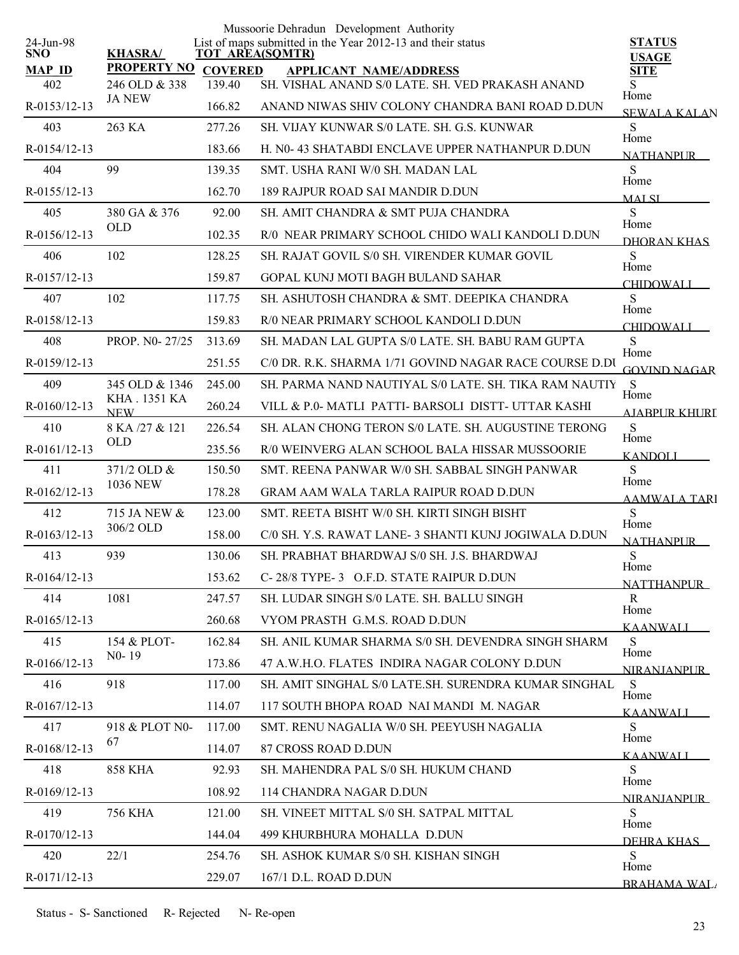|                         |                             |                | Mussoorie Dehradun Development Authority                                              |                               |
|-------------------------|-----------------------------|----------------|---------------------------------------------------------------------------------------|-------------------------------|
| 24-Jun-98<br><b>SNO</b> | <b>KHASRA/</b>              |                | List of maps submitted in the Year 2012-13 and their status<br><b>TOT AREA(SQMTR)</b> | <b>STATUS</b><br><b>USAGE</b> |
| <b>MAP ID</b>           | <b>PROPERTY NO</b>          | <b>COVERED</b> | <b>APPLICANT NAME/ADDRESS</b>                                                         | <b>SITE</b>                   |
| 402                     | 246 OLD & 338               | 139.40         | SH. VISHAL ANAND S/0 LATE. SH. VED PRAKASH ANAND                                      | S<br>Home                     |
| R-0153/12-13            | <b>JA NEW</b>               | 166.82         | ANAND NIWAS SHIV COLONY CHANDRA BANI ROAD D.DUN                                       | <b>SEWALA KALAN</b>           |
| 403                     | 263 KA                      | 277.26         | SH. VIJAY KUNWAR S/0 LATE, SH. G.S. KUNWAR                                            | S<br>Home                     |
| R-0154/12-13            |                             | 183.66         | H. N0-43 SHATABDI ENCLAVE UPPER NATHANPUR D.DUN                                       | <b>NATHANPUR</b>              |
| 404                     | 99                          | 139.35         | SMT. USHA RANI W/0 SH. MADAN LAL                                                      | S<br>Home                     |
| R-0155/12-13            |                             | 162.70         | 189 RAJPUR ROAD SAI MANDIR D.DUN                                                      | <b>MALSI</b>                  |
| 405                     | 380 GA & 376                | 92.00          | SH. AMIT CHANDRA & SMT PUJA CHANDRA                                                   | S<br>Home                     |
| R-0156/12-13            | <b>OLD</b>                  | 102.35         | R/0 NEAR PRIMARY SCHOOL CHIDO WALI KANDOLI D.DUN                                      | DHORAN KHAS                   |
| 406                     | 102                         | 128.25         | SH. RAJAT GOVIL S/0 SH. VIRENDER KUMAR GOVIL                                          | S<br>Home                     |
| R-0157/12-13            |                             | 159.87         | GOPAL KUNJ MOTI BAGH BULAND SAHAR                                                     | CHIDOWALI_                    |
| 407                     | 102                         | 117.75         | SH. ASHUTOSH CHANDRA & SMT. DEEPIKA CHANDRA                                           | S<br>Home                     |
| R-0158/12-13            |                             | 159.83         | R/0 NEAR PRIMARY SCHOOL KANDOLI D.DUN                                                 | <b>CHIDOWALI</b>              |
| 408                     | PROP. NO- 27/25             | 313.69         | SH. MADAN LAL GUPTA S/0 LATE. SH. BABU RAM GUPTA                                      | S<br>Home                     |
| R-0159/12-13            |                             | 251.55         | C/0 DR. R.K. SHARMA 1/71 GOVIND NAGAR RACE COURSE D.DU                                | <b>GOVIND NAGAR</b>           |
| 409                     | 345 OLD & 1346              | 245.00         | SH. PARMA NAND NAUTIYAL S/0 LATE, SH, TIKA RAM NAUTIY                                 | <sub>S</sub><br>Home          |
| R-0160/12-13            | KHA . 1351 KA<br><b>NEW</b> | 260.24         | VILL & P.O. MATLI PATTI- BARSOLI DISTT - UTTAR KASHI                                  | <b>AIABPUR KHURI</b>          |
| 410                     | 8 KA /27 & 121              | 226.54         | SH. ALAN CHONG TERON S/0 LATE. SH. AUGUSTINE TERONG                                   | S<br>Home                     |
| R-0161/12-13            | <b>OLD</b>                  | 235.56         | R/0 WEINVERG ALAN SCHOOL BALA HISSAR MUSSOORIE                                        | <b>KANDOLI</b>                |
| 411                     | 371/2 OLD &                 | 150.50         | SMT. REENA PANWAR W/0 SH. SABBAL SINGH PANWAR                                         | S<br>Home                     |
| R-0162/12-13            | <b>1036 NEW</b>             | 178.28         | <b>GRAM AAM WALA TARLA RAIPUR ROAD D.DUN</b>                                          | <b>AAMWALA TARI</b>           |
| 412                     | 715 JA NEW &                | 123.00         | SMT. REETA BISHT W/0 SH. KIRTI SINGH BISHT                                            | S<br>Home                     |
| $R - 0163/12 - 13$      | 306/2 OLD                   | 158.00         | C/0 SH, Y.S. RAWAT LANE- 3 SHANTI KUNJ JOGIWALA D.DUN                                 | <b>NATHANPUR</b>              |
| 413                     | 939                         | 130.06         | SH. PRABHAT BHARDWAJ S/0 SH. J.S. BHARDWAJ                                            | ${\bf S}$<br>Home             |
| R-0164/12-13            |                             | 153.62         | C-28/8 TYPE-3 O.F.D. STATE RAIPUR D.DUN                                               | <b>NATTHANPUR</b>             |
| 414                     | 1081                        | 247.57         | SH. LUDAR SINGH S/0 LATE. SH. BALLU SINGH                                             | R<br>Home                     |
| R-0165/12-13            |                             | 260.68         | VYOM PRASTH G.M.S. ROAD D.DUN                                                         | KAANWALI                      |
| 415                     | 154 & PLOT-                 | 162.84         | SH. ANIL KUMAR SHARMA S/0 SH. DEVENDRA SINGH SHARM                                    | S<br>Home                     |
| R-0166/12-13            | $N0-19$                     | 173.86         | 47 A.W.H.O. FLATES INDIRA NAGAR COLONY D.DUN                                          | <b>NIRANIANPUR</b>            |
| 416                     | 918                         | 117.00         | SH. AMIT SINGHAL S/0 LATE.SH. SURENDRA KUMAR SINGHAL                                  | S<br>Home                     |
| R-0167/12-13            |                             | 114.07         | 117 SOUTH BHOPA ROAD NAI MANDI M. NAGAR                                               | KAANWALI                      |
| 417                     | 918 & PLOT N0-              | 117.00         | SMT. RENU NAGALIA W/0 SH. PEEYUSH NAGALIA                                             | S                             |
| R-0168/12-13            | 67                          | 114.07         | 87 CROSS ROAD D.DUN                                                                   | Home<br><b>KAANWALI</b>       |
| 418                     | <b>858 KHA</b>              | 92.93          | SH. MAHENDRA PAL S/0 SH. HUKUM CHAND                                                  | S                             |
| R-0169/12-13            |                             | 108.92         | 114 CHANDRA NAGAR D.DUN                                                               | Home<br><b>NIRANIANPUR</b>    |
| 419                     | <b>756 KHA</b>              | 121.00         | SH. VINEET MITTAL S/0 SH. SATPAL MITTAL                                               | S                             |
| R-0170/12-13            |                             | 144.04         | 499 KHURBHURA MOHALLA D.DUN                                                           | Home<br>DEHRA KHAS            |
| 420                     | 22/1                        | 254.76         | SH. ASHOK KUMAR S/0 SH. KISHAN SINGH                                                  | S<br>Home                     |
| R-0171/12-13            |                             | 229.07         | 167/1 D.L. ROAD D.DUN                                                                 | <b>BRAHAMA WAL</b>            |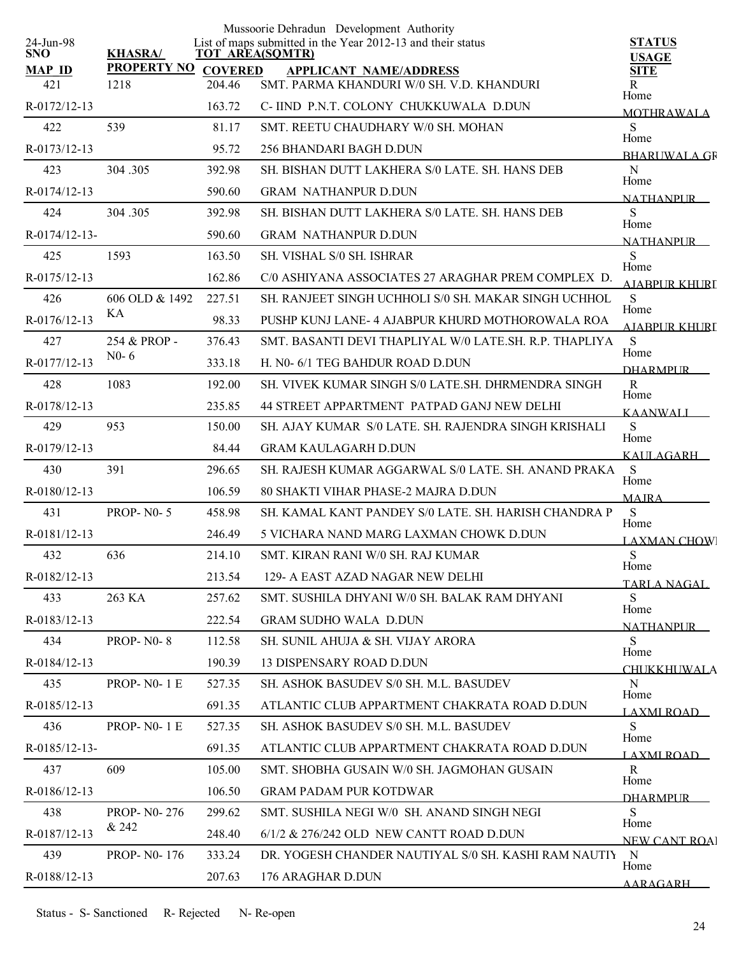|                         |                             |                | Mussoorie Dehradun Development Authority                                              |                               |
|-------------------------|-----------------------------|----------------|---------------------------------------------------------------------------------------|-------------------------------|
| 24-Jun-98<br><b>SNO</b> | <b>KHASRA/</b>              |                | List of maps submitted in the Year 2012-13 and their status<br><b>TOT AREA(SQMTR)</b> | <b>STATUS</b><br><b>USAGE</b> |
| <b>MAP ID</b>           | <b>PROPERTY NO</b>          | <b>COVERED</b> | <b>APPLICANT NAME/ADDRESS</b>                                                         | <b>SITE</b>                   |
| 421                     | 1218                        | 204.46         | SMT. PARMA KHANDURI W/0 SH. V.D. KHANDURI                                             | R<br>Home                     |
| R-0172/12-13            |                             | 163.72         | C- IIND P.N.T. COLONY CHUKKUWALA D.DUN                                                | <b>MOTHRAWALA</b>             |
| 422                     | 539                         | 81.17          | SMT. REETU CHAUDHARY W/0 SH. MOHAN                                                    | S<br>Home                     |
| R-0173/12-13            |                             | 95.72          | 256 BHANDARI BAGH D.DUN                                                               | <b>BHARLIWAL A GR</b>         |
| 423                     | 304.305                     | 392.98         | SH. BISHAN DUTT LAKHERA S/0 LATE. SH. HANS DEB                                        | N<br>Home                     |
| R-0174/12-13            |                             | 590.60         | <b>GRAM NATHANPUR D.DUN</b>                                                           | <b>NATHANPLIR</b>             |
| 424                     | 304.305                     | 392.98         | SH. BISHAN DUTT LAKHERA S/0 LATE. SH. HANS DEB                                        | S<br>Home                     |
| R-0174/12-13-           |                             | 590.60         | <b>GRAM NATHANPUR D.DUN</b>                                                           | <b>NATHANPUR</b>              |
| 425                     | 1593                        | 163.50         | <b>SH. VISHAL S/0 SH. ISHRAR</b>                                                      | S                             |
| R-0175/12-13            |                             | 162.86         | C/0 ASHIYANA ASSOCIATES 27 ARAGHAR PREM COMPLEX D.                                    | Home<br><b>AIARPUR KHURI</b>  |
| 426                     | 606 OLD & 1492              | 227.51         | SH. RANJEET SINGH UCHHOLI S/0 SH. MAKAR SINGH UCHHOL                                  | S                             |
| $R-0176/12-13$          | KА                          | 98.33          | PUSHP KUNJ LANE-4 AJABPUR KHURD MOTHOROWALA ROA                                       | Home<br><b>AJABPUR KHURI</b>  |
| 427                     | 254 & PROP -                | 376.43         | SMT BASANTI DEVI THAPLIYAL W/0 LATE SH R P THAPLIYA                                   | S                             |
| R-0177/12-13            | $N0-6$                      | 333.18         | H. N0- 6/1 TEG BAHDUR ROAD D.DUN                                                      | Home<br><b>DHARMPLIR</b>      |
| 428                     | 1083                        | 192.00         | SH. VIVEK KUMAR SINGH S/0 LATE.SH. DHRMENDRA SINGH                                    | $\mathbf R$                   |
| R-0178/12-13            |                             | 235.85         | 44 STREET APPARTMENT PATPAD GANJ NEW DELHI                                            | Home<br><b>KAANWALI</b>       |
| 429                     | 953                         | 150.00         | SH. AJAY KUMAR S/0 LATE. SH. RAJENDRA SINGH KRISHALI                                  | S                             |
| R-0179/12-13            |                             | 84.44          | <b>GRAM KAULAGARH D.DUN</b>                                                           | Home                          |
| 430                     | 391                         | 296.65         | SH. RAJESH KUMAR AGGARWAL S/0 LATE. SH. ANAND PRAKA                                   | KAULAGARH<br>S                |
| R-0180/12-13            |                             | 106.59         | 80 SHAKTI VIHAR PHASE-2 MAJRA D.DUN                                                   | Home                          |
| 431                     | <b>PROP-N0-5</b>            | 458.98         | SH. KAMAL KANT PANDEY S/0 LATE. SH. HARISH CHANDRA P                                  | <b>MAJRA</b><br>S             |
| R-0181/12-13            |                             | 246.49         | 5 VICHARA NAND MARG LAXMAN CHOWK D.DUN                                                | Home                          |
| 432                     | 636                         | 214.10         | SMT, KIRAN RANI W/0 SH, RAJ KUMAR                                                     | <b>LAXMAN CHOW</b><br>S       |
| R-0182/12-13            |                             | 213.54         | 129- A EAST AZAD NAGAR NEW DELHI                                                      | Home                          |
| 433                     | 263 KA                      | 257.62         | SMT. SUSHILA DHYANI W/0 SH. BALAK RAM DHYANI                                          | TARLA NAGAL<br>S.             |
| $R - 0183/12 - 13$      |                             | 222.54         | <b>GRAM SUDHO WALA D.DUN</b>                                                          | Home                          |
| 434                     | <b>PROP-N0-8</b>            | 112.58         | SH. SUNIL AHUJA & SH. VIJAY ARORA                                                     | <b>NATHANPUR</b><br>S.        |
| R-0184/12-13            |                             | 190.39         | <b>13 DISPENSARY ROAD D.DUN</b>                                                       | Home                          |
| 435                     | <b>PROP-N0-1E</b>           | 527.35         | <b>SH. ASHOK BASUDEV S/0 SH. M.L. BASUDEV</b>                                         | <b>CHUKKHUWALA</b><br>N       |
| $R - 0185/12 - 13$      |                             | 691.35         | ATLANTIC CLUB APPARTMENT CHAKRATA ROAD D.DUN                                          | Home                          |
| 436                     | <b>PROP-N0-1E</b>           | 527.35         | SH. ASHOK BASUDEV S/0 SH. M.L. BASUDEV                                                | LAXMI ROAD<br>S               |
|                         |                             |                |                                                                                       | Home                          |
| $R - 0185/12 - 13$      |                             | 691.35         | ATLANTIC CLUB APPARTMENT CHAKRATA ROAD D.DUN                                          | LAXMI ROAD_                   |
| 437                     | 609                         | 105.00         | SMT. SHOBHA GUSAIN W/0 SH. JAGMOHAN GUSAIN                                            | R<br>Home                     |
| $R-0186/12-13$          |                             | 106.50         | <b>GRAM PADAM PUR KOTDWAR</b>                                                         | <b>DHARMPLIR</b>              |
| 438                     | <b>PROP-NO-276</b><br>& 242 | 299.62         | SMT. SUSHILA NEGI W/0 SH. ANAND SINGH NEGI                                            | S<br>Home                     |
| R-0187/12-13            |                             | 248.40         | 6/1/2 & 276/242 OLD NEW CANTT ROAD D.DUN                                              | <b>NEW CANT ROA</b>           |
| 439                     | PROP- N0-176                | 333.24         | DR. YOGESH CHANDER NAUTIYAL S/0 SH. KASHI RAM NAUTIY                                  | - N<br>Home                   |
| R-0188/12-13            |                             | 207.63         | 176 ARAGHAR D.DUN                                                                     | AARAGARH                      |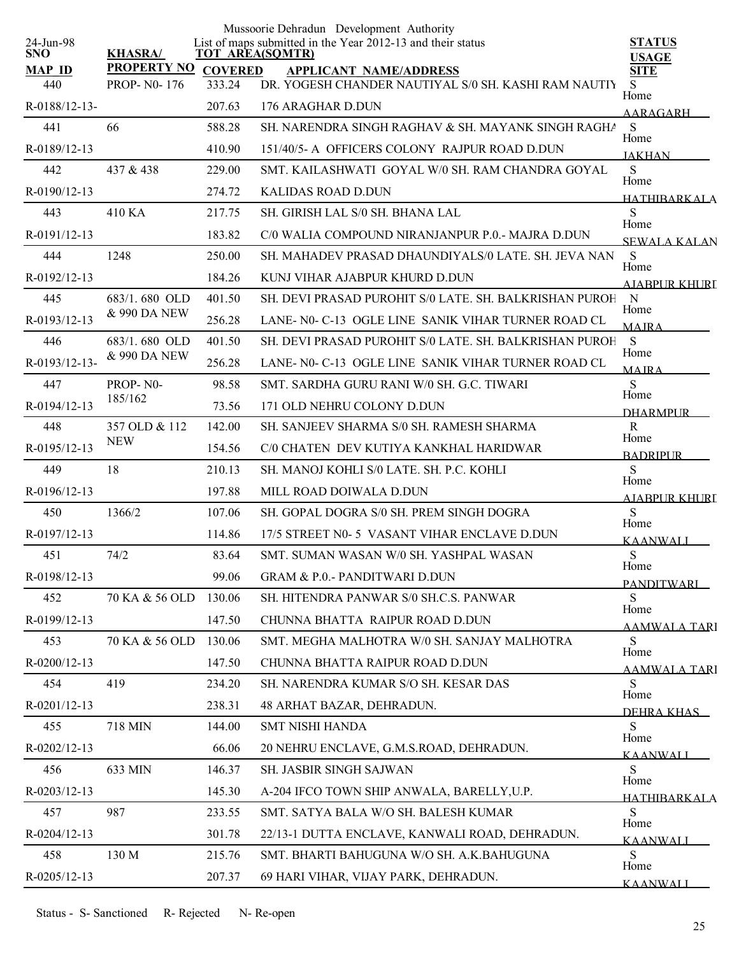|                         |                     |        | Mussoorie Dehradun Development Authority                                              |                               |
|-------------------------|---------------------|--------|---------------------------------------------------------------------------------------|-------------------------------|
| 24-Jun-98<br><b>SNO</b> | <b>KHASRA/</b>      |        | List of maps submitted in the Year 2012-13 and their status<br><b>TOT AREA(SQMTR)</b> | <b>STATUS</b><br><b>USAGE</b> |
| <b>MAP ID</b>           | PROPERTY NO COVERED |        | <b>APPLICANT NAME/ADDRESS</b>                                                         | <b>SITE</b>                   |
| 440                     | <b>PROP-NO-176</b>  | 333.24 | DR. YOGESH CHANDER NAUTIYAL S/0 SH. KASHI RAM NAUTIY                                  | S<br>Home                     |
| R-0188/12-13-           |                     | 207.63 | 176 ARAGHAR D.DUN                                                                     | AARAGARH                      |
| 441                     | 66                  | 588.28 | SH, NARENDRA SINGH RAGHAV & SH, MAYANK SINGH RAGHA                                    | S<br>Home                     |
| R-0189/12-13            |                     | 410.90 | 151/40/5- A OFFICERS COLONY RAJPUR ROAD D.DUN                                         | <b>JAKHAN</b>                 |
| 442                     | 437 & 438           | 229.00 | SMT. KAILASHWATI GOYAL W/0 SH. RAM CHANDRA GOYAL                                      | ${\bf S}$<br>Home             |
| R-0190/12-13            |                     | 274.72 | <b>KALIDAS ROAD D.DUN</b>                                                             | <b>HATHIBARKALA</b>           |
| 443                     | 410 KA              | 217.75 | SH. GIRISH LAL S/0 SH. BHANA LAL                                                      | S<br>Home                     |
| R-0191/12-13            |                     | 183.82 | C/0 WALIA COMPOUND NIRANJANPUR P.0.- MAJRA D.DUN                                      | SEWALA KALAN                  |
| 444                     | 1248                | 250.00 | SH. MAHADEV PRASAD DHAUNDIYALS/0 LATE. SH. JEVA NAN                                   | S<br>Home                     |
| R-0192/12-13            |                     | 184.26 | KUNJ VIHAR AJABPUR KHURD D.DUN                                                        | AIABPUR KHURT                 |
| 445                     | 683/1.680 OLD       | 401.50 | SH. DEVI PRASAD PUROHIT S/0 LATE. SH. BALKRISHAN PUROH                                | $\mathbf N$<br>Home           |
| R-0193/12-13            | & 990 DA NEW        | 256.28 | LANE-N0-C-13 OGLE LINE SANIK VIHAR TURNER ROAD CL                                     | <b>MAJRA</b>                  |
| 446                     | 683/1, 680 OLD      | 401.50 | SH. DEVI PRASAD PUROHIT S/0 LATE. SH. BALKRISHAN PUROH                                | S<br>Home                     |
| R-0193/12-13-           | & 990 DA NEW        | 256.28 | LANE-N0-C-13 OGLE LINE SANIK VIHAR TURNER ROAD CL                                     | MAIRA                         |
| 447                     | PROP-NO-            | 98.58  | SMT. SARDHA GURU RANI W/0 SH. G.C. TIWARI                                             | S                             |
| R-0194/12-13            | 185/162             | 73.56  | 171 OLD NEHRU COLONY D.DUN                                                            | Home<br><b>DHARMPLIR</b>      |
| 448                     | 357 OLD & 112       | 142.00 | SH. SANJEEV SHARMA S/0 SH. RAMESH SHARMA                                              | R<br>Home                     |
| R-0195/12-13            | <b>NEW</b>          | 154.56 | C/0 CHATEN DEV KUTIYA KANKHAL HARIDWAR                                                | <b>BADRIPUR</b>               |
| 449                     | 18                  | 210.13 | SH. MANOJ KOHLI S/0 LATE. SH. P.C. KOHLI                                              | S<br>Home                     |
| R-0196/12-13            |                     | 197.88 | MILL ROAD DOIWALA D.DUN                                                               | AJABPUR KHURL                 |
| 450                     | 1366/2              | 107.06 | SH. GOPAL DOGRA S/0 SH. PREM SINGH DOGRA                                              | S                             |
| R-0197/12-13            |                     | 114.86 | 17/5 STREET N0-5 VASANT VIHAR ENCLAVE D.DUN                                           | Home<br>KAANWALI              |
| 451                     | 74/2                | 83.64  | SMT. SUMAN WASAN W/0 SH. YASHPAL WASAN                                                | S                             |
| R-0198/12-13            |                     | 99.06  | <b>GRAM &amp; P.O.- PANDITWARI D.DUN</b>                                              | Home<br><b>PANDITWARI</b>     |
| 452                     | 70 KA & 56 OLD      | 130.06 | SH. HITENDRA PANWAR S/0 SH.C.S. PANWAR                                                | S                             |
| R-0199/12-13            |                     | 147.50 | CHUNNA BHATTA RAIPUR ROAD D.DUN                                                       | Home<br>AAMWALA TARI          |
| 453                     | 70 KA & 56 OLD      | 130.06 | SMT. MEGHA MALHOTRA W/0 SH. SANJAY MALHOTRA                                           | S                             |
| R-0200/12-13            |                     | 147.50 | CHUNNA BHATTA RAIPUR ROAD D.DUN                                                       | Home<br>AAMWALA TARI          |
| 454                     | 419                 | 234.20 | SH. NARENDRA KUMAR S/O SH. KESAR DAS                                                  | S                             |
| R-0201/12-13            |                     | 238.31 | 48 ARHAT BAZAR, DEHRADUN.                                                             | Home<br>DEHRA KHAS            |
| 455                     | 718 MIN             | 144.00 | <b>SMT NISHI HANDA</b>                                                                | S                             |
| R-0202/12-13            |                     | 66.06  | 20 NEHRU ENCLAVE, G.M.S.ROAD, DEHRADUN.                                               | Home<br>K A ANWAL I           |
| 456                     | 633 MIN             | 146.37 | <b>SH. JASBIR SINGH SAJWAN</b>                                                        | S                             |
| R-0203/12-13            |                     | 145.30 | A-204 IFCO TOWN SHIP ANWALA, BARELLY, U.P.                                            | Home<br><b>HATHIRARKALA</b>   |
| 457                     | 987                 | 233.55 | SMT. SATYA BALA W/O SH. BALESH KUMAR                                                  | S                             |
| R-0204/12-13            |                     | 301.78 | 22/13-1 DUTTA ENCLAVE, KANWALI ROAD, DEHRADUN.                                        | Home<br>KAANWALI              |
| 458                     | 130 M               | 215.76 | SMT. BHARTI BAHUGUNA W/O SH. A.K.BAHUGUNA                                             | S                             |
| R-0205/12-13            |                     | 207.37 | 69 HARI VIHAR, VIJAY PARK, DEHRADUN.                                                  | Home<br><b>KAANWALI</b>       |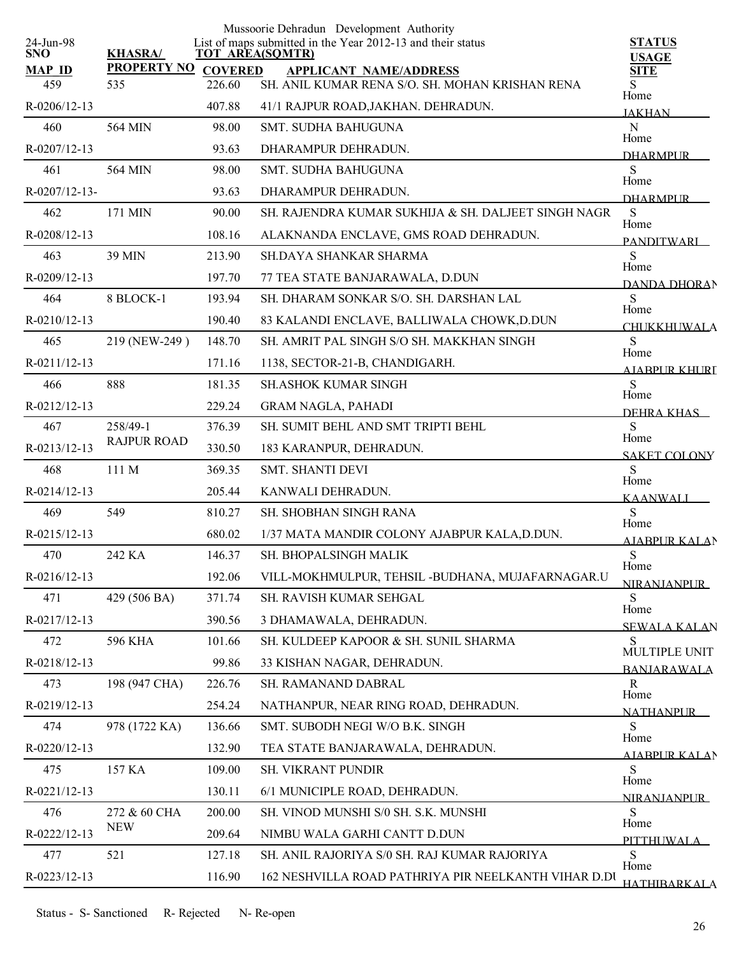| 24-Jun-98            |                                |                          | Mussoorie Dehradun Development Authority<br>List of maps submitted in the Year 2012-13 and their status | <b>STATUS</b>              |
|----------------------|--------------------------------|--------------------------|---------------------------------------------------------------------------------------------------------|----------------------------|
| <b>SNO</b>           | <b>KHASRA/</b>                 |                          | <b>TOT AREA(SQMTR)</b>                                                                                  | <b>USAGE</b>               |
| <b>MAP ID</b><br>459 | <b>PROPERTY NO</b><br>535      | <b>COVERED</b><br>226.60 | <b>APPLICANT NAME/ADDRESS</b><br>SH. ANIL KUMAR RENA S/O. SH. MOHAN KRISHAN RENA                        | <b>SITE</b><br>S           |
| R-0206/12-13         |                                | 407.88                   | 41/1 RAJPUR ROAD, JAKHAN. DEHRADUN.                                                                     | Home                       |
| 460                  | 564 MIN                        | 98.00                    | <b>SMT. SUDHA BAHUGUNA</b>                                                                              | <b>JAKHAN</b><br>${\bf N}$ |
| R-0207/12-13         |                                | 93.63                    | DHARAMPUR DEHRADUN.                                                                                     | Home                       |
| 461                  | 564 MIN                        | 98.00                    | <b>SMT. SUDHA BAHUGUNA</b>                                                                              | <b>DHARMPLIR</b><br>S      |
| R-0207/12-13-        |                                | 93.63                    | DHARAMPUR DEHRADUN.                                                                                     | Home                       |
| 462                  | 171 MIN                        | 90.00                    | SH. RAJENDRA KUMAR SUKHIJA & SH. DALJEET SINGH NAGR                                                     | <b>DHARMPLIR</b><br>S      |
| R-0208/12-13         |                                | 108.16                   | ALAKNANDA ENCLAVE, GMS ROAD DEHRADUN.                                                                   | Home                       |
| 463                  | 39 MIN                         | 213.90                   | <b>SH.DAYA SHANKAR SHARMA</b>                                                                           | <b>PANDITWARI</b><br>S     |
|                      |                                |                          |                                                                                                         | Home                       |
| R-0209/12-13         |                                | 197.70                   | 77 TEA STATE BANJARAWALA, D.DUN                                                                         | <b>DANDA DHORAN</b><br>S   |
| 464                  | 8 BLOCK-1                      | 193.94                   | SH. DHARAM SONKAR S/O. SH. DARSHAN LAL                                                                  | Home                       |
| R-0210/12-13         |                                | 190.40                   | 83 KALANDI ENCLAVE, BALLIWALA CHOWK, D.DUN                                                              | <b>CHUKKHUWALA</b>         |
| 465                  | 219 (NEW-249)                  | 148.70                   | SH. AMRIT PAL SINGH S/O SH. MAKKHAN SINGH                                                               | S<br>Home                  |
| R-0211/12-13         |                                | 171.16                   | 1138, SECTOR-21-B, CHANDIGARH.                                                                          | A JARPUR KHURI             |
| 466                  | 888                            | 181.35                   | <b>SH.ASHOK KUMAR SINGH</b>                                                                             | S<br>Home                  |
| R-0212/12-13         |                                | 229.24                   | <b>GRAM NAGLA, PAHADI</b>                                                                               | DEHRA KHAS                 |
| 467                  | 258/49-1<br><b>RAJPUR ROAD</b> | 376.39                   | SH. SUMIT BEHL AND SMT TRIPTI BEHL                                                                      | S<br>Home                  |
| R-0213/12-13         |                                | 330.50                   | 183 KARANPUR, DEHRADUN.                                                                                 | <b>SAKET COLONY</b>        |
| 468                  | 111 M                          | 369.35                   | <b>SMT. SHANTI DEVI</b>                                                                                 | S<br>Home                  |
| R-0214/12-13         |                                | 205.44                   | KANWALI DEHRADUN.                                                                                       | <b>KAANWALI</b>            |
| 469                  | 549                            | 810.27                   | <b>SH. SHOBHAN SINGH RANA</b>                                                                           | S<br>Home                  |
| R-0215/12-13         |                                | 680.02                   | 1/37 MATA MANDIR COLONY AJABPUR KALA, D.DUN.                                                            | AJABPUR KALAN              |
| 470                  | 242 KA                         | 146.37                   | SH. BHOPALSINGH MALIK                                                                                   | S<br>Home                  |
| R-0216/12-13         |                                | 192.06                   | VILL-MOKHMULPUR, TEHSIL -BUDHANA, MUJAFARNAGAR.U                                                        | <b>NIRANJANPUR</b>         |
| 471                  | 429 (506 BA)                   | 371.74                   | SH. RAVISH KUMAR SEHGAL                                                                                 | S<br>Home                  |
| R-0217/12-13         |                                | 390.56                   | 3 DHAMAWALA, DEHRADUN.                                                                                  | <b>SEWALA KALAN</b>        |
| 472                  | <b>596 KHA</b>                 | 101.66                   | SH. KULDEEP KAPOOR & SH. SUNIL SHARMA                                                                   | S<br>MULTIPLE UNIT         |
| R-0218/12-13         |                                | 99.86                    | 33 KISHAN NAGAR, DEHRADUN.                                                                              | <b>BANJARAWALA</b>         |
| 473                  | 198 (947 CHA)                  | 226.76                   | SH. RAMANAND DABRAL                                                                                     | $\mathbf R$                |
| R-0219/12-13         |                                | 254.24                   | NATHANPUR, NEAR RING ROAD, DEHRADUN.                                                                    | Home<br><b>NATHANPLIR</b>  |
| 474                  | 978 (1722 KA)                  | 136.66                   | SMT. SUBODH NEGI W/O B.K. SINGH                                                                         | S                          |
| R-0220/12-13         |                                | 132.90                   | TEA STATE BANJARAWALA, DEHRADUN.                                                                        | Home<br>AIABPUR KALAN      |
| 475                  | 157 KA                         | 109.00                   | SH. VIKRANT PUNDIR                                                                                      | S                          |
| R-0221/12-13         |                                | 130.11                   | 6/1 MUNICIPLE ROAD, DEHRADUN.                                                                           | Home<br><b>NIRANIANPUR</b> |
| 476                  | 272 & 60 CHA                   | 200.00                   | SH. VINOD MUNSHI S/0 SH. S.K. MUNSHI                                                                    | S                          |
| R-0222/12-13         | <b>NEW</b>                     | 209.64                   | NIMBU WALA GARHI CANTT D.DUN                                                                            | Home                       |
| 477                  | 521                            | 127.18                   | SH. ANIL RAJORIYA S/0 SH. RAJ KUMAR RAJORIYA                                                            | PITTHUWALA<br>S            |
| R-0223/12-13         |                                | 116.90                   | 162 NESHVILLA ROAD PATHRIYA PIR NEELKANTH VIHAR D.DI                                                    | Home                       |
|                      |                                |                          |                                                                                                         | HATHIBARKALA               |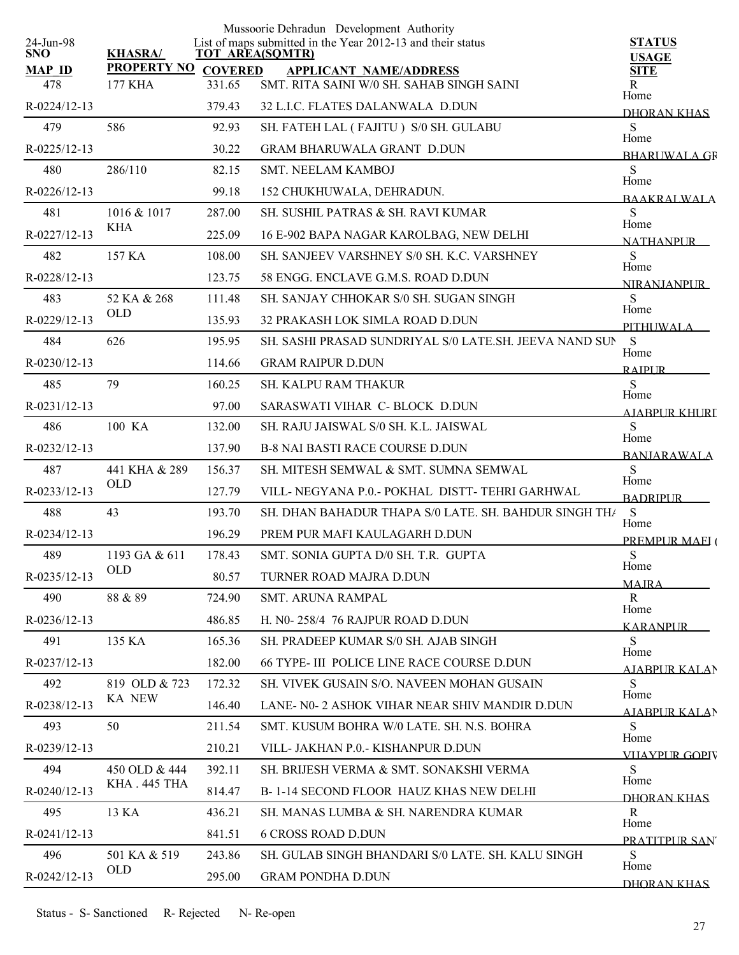| 24-Jun-98            |                               |                          | Mussoorie Dehradun Development Authority<br>List of maps submitted in the Year 2012-13 and their status | <b>STATUS</b>             |
|----------------------|-------------------------------|--------------------------|---------------------------------------------------------------------------------------------------------|---------------------------|
| <b>SNO</b>           | <b>KHASRA/</b>                |                          | <b>TOT AREA(SQMTR)</b>                                                                                  | <b>USAGE</b>              |
| <b>MAP ID</b><br>478 | <b>PROPERTY NO</b><br>177 KHA | <b>COVERED</b><br>331.65 | <b>APPLICANT NAME/ADDRESS</b><br>SMT. RITA SAINI W/0 SH. SAHAB SINGH SAINI                              | <b>SITE</b><br>R          |
|                      |                               |                          |                                                                                                         | Home                      |
| R-0224/12-13         |                               | 379.43                   | 32 L.I.C. FLATES DALANWALA D.DUN                                                                        | <b>DHORAN KHAS</b>        |
| 479                  | 586                           | 92.93                    | SH. FATEH LAL (FAJITU) S/0 SH. GULABU                                                                   | S<br>Home                 |
| R-0225/12-13         |                               | 30.22                    | <b>GRAM BHARUWALA GRANT D.DUN</b>                                                                       | <b>BHARIWALA GR</b>       |
| 480                  | 286/110                       | 82.15                    | <b>SMT. NEELAM KAMBOJ</b>                                                                               | S<br>Home                 |
| R-0226/12-13         |                               | 99.18                    | 152 CHUKHUWALA, DEHRADUN.                                                                               | <b>BAAKRALWALA</b>        |
| 481                  | 1016 & 1017                   | 287.00                   | SH. SUSHIL PATRAS & SH. RAVI KUMAR                                                                      | S<br>Home                 |
| R-0227/12-13         | KHA                           | 225.09                   | 16 E-902 BAPA NAGAR KAROLBAG, NEW DELHI                                                                 | <b>NATHANPUR</b>          |
| 482                  | 157 KA                        | 108.00                   | SH. SANJEEV VARSHNEY S/0 SH. K.C. VARSHNEY                                                              | <sub>S</sub><br>Home      |
| R-0228/12-13         |                               | 123.75                   | 58 ENGG. ENCLAVE G.M.S. ROAD D.DUN                                                                      | <b>NIRANIANPLIR</b>       |
| 483                  | 52 KA & 268                   | 111.48                   | SH. SANJAY CHHOKAR S/0 SH. SUGAN SINGH                                                                  | S                         |
| R-0229/12-13         | <b>OLD</b>                    | 135.93                   | 32 PRAKASH LOK SIMLA ROAD D.DUN                                                                         | Home<br>PITHUWALA         |
| 484                  | 626                           | 195.95                   | SH. SASHI PRASAD SUNDRIYAL S/0 LATE.SH. JEEVA NAND SUN                                                  | S                         |
| R-0230/12-13         |                               | 114.66                   | <b>GRAM RAIPUR D.DUN</b>                                                                                | Home<br><b>RAIPUR</b>     |
| 485                  | 79                            | 160.25                   | <b>SH. KALPU RAM THAKUR</b>                                                                             | S                         |
| $R - 0231/12 - 13$   |                               | 97.00                    | SARASWATI VIHAR C- BLOCK D.DUN                                                                          | Home                      |
| 486                  | 100 KA                        | 132.00                   | SH. RAJU JAISWAL S/0 SH. K.L. JAISWAL                                                                   | <b>AIABPUR KHURI</b><br>S |
| R-0232/12-13         |                               | 137.90                   | <b>B-8 NAI BASTI RACE COURSE D.DUN</b>                                                                  | Home                      |
| 487                  | 441 KHA & 289                 | 156.37                   | SH. MITESH SEMWAL & SMT. SUMNA SEMWAL                                                                   | <b>BANJARAWALA</b><br>S   |
| R-0233/12-13         | <b>OLD</b>                    | 127.79                   | VILL- NEGYANA P.O.- POKHAL DISTT- TEHRI GARHWAL                                                         | Home                      |
| 488                  | 43                            | 193.70                   | SH. DHAN BAHADUR THAPA S/0 LATE. SH. BAHDUR SINGH TH/                                                   | <b>BADRIPUR</b><br>S      |
| R-0234/12-13         |                               | 196.29                   | PREM PUR MAFI KAULAGARH D.DUN                                                                           | Home                      |
|                      |                               |                          |                                                                                                         | PREMPUR MAEI (            |
| 489                  | 1193 GA & 611<br><b>OLD</b>   | 178.43                   | SMT. SONIA GUPTA D/0 SH. T.R. GUPTA                                                                     | S<br>Home                 |
| R-0235/12-13         |                               | 80.57                    | TURNER ROAD MAJRA D.DUN                                                                                 | <b>MAJRA</b>              |
| 490                  | 88 & 89                       | 724.90                   | <b>SMT. ARUNA RAMPAL</b>                                                                                | R<br>Home                 |
| $R - 0236/12 - 13$   |                               | 486.85                   | H. N0-258/4 76 RAJPUR ROAD D.DUN                                                                        | <b>KARANPUR</b>           |
| 491                  | 135 KA                        | 165.36                   | SH. PRADEEP KUMAR S/0 SH. AJAB SINGH                                                                    | S<br>Home                 |
| R-0237/12-13         |                               | 182.00                   | 66 TYPE- III POLICE LINE RACE COURSE D.DUN                                                              | AIABPUR KALAN             |
| 492                  | 819 OLD & 723                 | 172.32                   | SH. VIVEK GUSAIN S/O. NAVEEN MOHAN GUSAIN                                                               | S<br>Home                 |
| R-0238/12-13         | <b>KA NEW</b>                 | 146.40                   | LANE- N0- 2 ASHOK VIHAR NEAR SHIV MANDIR D.DUN                                                          | <b>AIABPURKALAN</b>       |
| 493                  | 50                            | 211.54                   | SMT. KUSUM BOHRA W/0 LATE, SH. N.S. BOHRA                                                               | S.                        |
| R-0239/12-13         |                               | 210.21                   | VILL- JAKHAN P.0.- KISHANPUR D.DUN                                                                      | Home<br>VIIAYPUR GOPIV    |
| 494                  | 450 OLD & 444                 | 392.11                   | SH. BRIJESH VERMA & SMT. SONAKSHI VERMA                                                                 | <sub>S</sub>              |
| R-0240/12-13         | KHA . 445 THA                 | 814.47                   | B-1-14 SECOND FLOOR HAUZ KHAS NEW DELHI                                                                 | Home                      |
| 495                  | 13 KA                         | 436.21                   | SH. MANAS LUMBA & SH. NARENDRA KUMAR                                                                    | DHORAN KHAS<br>R          |
| R-0241/12-13         |                               | 841.51                   | <b>6 CROSS ROAD D.DUN</b>                                                                               | Home                      |
| 496                  | 501 KA & 519                  | 243.86                   | SH. GULAB SINGH BHANDARI S/0 LATE. SH. KALU SINGH                                                       | PRATITPUR SAN<br>S        |
| R-0242/12-13         | <b>OLD</b>                    | 295.00                   | <b>GRAM PONDHA D.DUN</b>                                                                                | Home                      |
|                      |                               |                          |                                                                                                         | DHORAN KHAS               |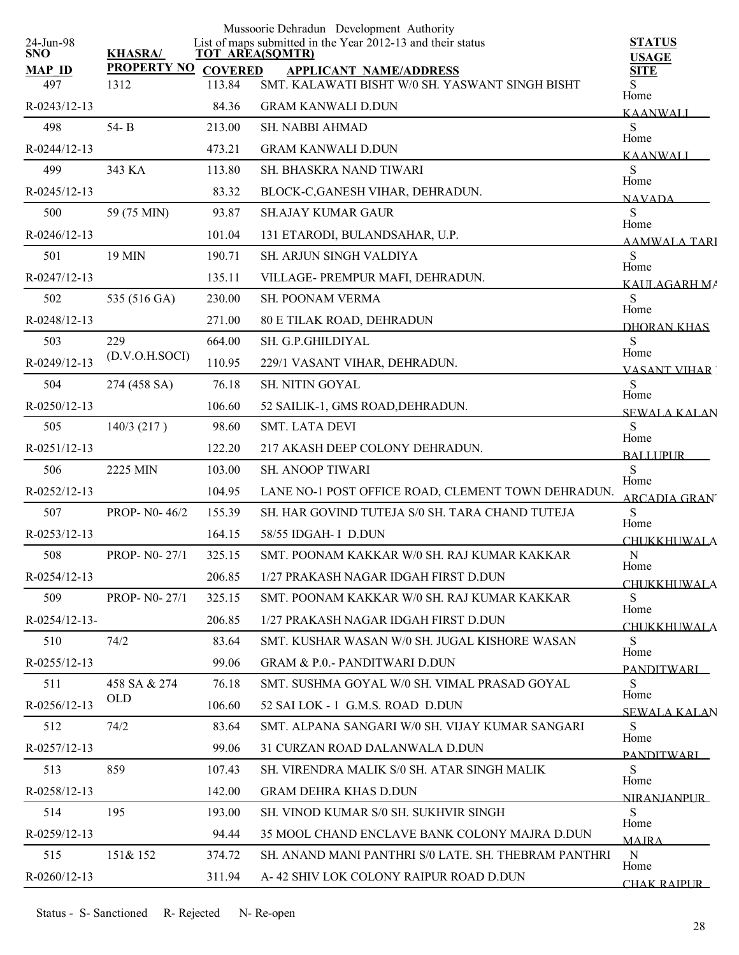|                         |                            |        | Mussoorie Dehradun Development Authority                                              |                               |
|-------------------------|----------------------------|--------|---------------------------------------------------------------------------------------|-------------------------------|
| 24-Jun-98<br><b>SNO</b> | <b>KHASRA/</b>             |        | List of maps submitted in the Year 2012-13 and their status<br><b>TOT AREA(SQMTR)</b> | <b>STATUS</b><br><b>USAGE</b> |
| <b>MAP ID</b>           | <b>PROPERTY NO COVERED</b> |        | <b>APPLICANT NAME/ADDRESS</b>                                                         | <b>SITE</b>                   |
| 497                     | 1312                       | 113.84 | SMT. KALAWATI BISHT W/0 SH. YASWANT SINGH BISHT                                       | S<br>Home                     |
| R-0243/12-13            |                            | 84.36  | <b>GRAM KANWALI D.DUN</b>                                                             | <b>KAANWALI</b>               |
| 498                     | $54 - B$                   | 213.00 | <b>SH. NABBI AHMAD</b>                                                                | S<br>Home                     |
| $R - 0244/12 - 13$      |                            | 473.21 | <b>GRAM KANWALI D.DUN</b>                                                             | <b>KAANWALI</b>               |
| 499                     | 343 KA                     | 113.80 | SH. BHASKRA NAND TIWARI                                                               | S<br>Home                     |
| R-0245/12-13            |                            | 83.32  | BLOCK-C, GANESH VIHAR, DEHRADUN.                                                      | <b>NAVADA</b>                 |
| 500                     | 59 (75 MIN)                | 93.87  | <b>SH.AJAY KUMAR GAUR</b>                                                             | S                             |
| R-0246/12-13            |                            | 101.04 | 131 ETARODI, BULANDSAHAR, U.P.                                                        | Home<br><b>AAMWALA TARI</b>   |
| 501                     | 19 MIN                     | 190.71 | SH. ARJUN SINGH VALDIYA                                                               | S                             |
| R-0247/12-13            |                            | 135.11 | VILLAGE- PREMPUR MAFI, DEHRADUN.                                                      | Home<br>KAULAGARH MA          |
| 502                     | 535 (516 GA)               | 230.00 | <b>SH. POONAM VERMA</b>                                                               | S                             |
| R-0248/12-13            |                            | 271.00 | <b>80 E TILAK ROAD, DEHRADUN</b>                                                      | Home<br>DHORAN KHAS           |
| 503                     | 229                        | 664.00 | SH. G.P.GHILDIYAL                                                                     | S                             |
| R-0249/12-13            | (D.V.O.H.SOCI)             | 110.95 | 229/1 VASANT VIHAR, DEHRADUN.                                                         | Home<br><b>VASANT VIHAR</b>   |
| 504                     | 274 (458 SA)               | 76.18  | SH. NITIN GOYAL                                                                       | S                             |
| R-0250/12-13            |                            | 106.60 | 52 SAILIK-1, GMS ROAD, DEHRADUN.                                                      | Home                          |
| 505                     | 140/3(217)                 | 98.60  | <b>SMT. LATA DEVI</b>                                                                 | <b>SEWALA KALAN</b><br>S      |
| R-0251/12-13            |                            | 122.20 | 217 AKASH DEEP COLONY DEHRADUN.                                                       | Home                          |
| 506                     | 2225 MIN                   | 103.00 | SH. ANOOP TIWARI                                                                      | <b>BALLUPUR</b><br>S          |
| R-0252/12-13            |                            | 104.95 | LANE NO-1 POST OFFICE ROAD, CLEMENT TOWN DEHRADUN.                                    | Home                          |
| 507                     | PROP- N0-46/2              | 155.39 | SH. HAR GOVIND TUTEJA S/0 SH. TARA CHAND TUTEJA                                       | <b>ARCADIA GRAN</b><br>S      |
| R-0253/12-13            |                            | 164.15 | 58/55 IDGAH- I D.DUN                                                                  | Home                          |
| 508                     | <b>PROP-N0-27/1</b>        | 325.15 | SMT. POONAM KAKKAR W/0 SH. RAJ KUMAR KAKKAR                                           | <b>CHUKKHUWALA</b><br>N       |
| $R - 0254/12 - 13$      |                            | 206.85 | 1/27 PRAKASH NAGAR IDGAH FIRST D.DUN                                                  | Home                          |
| 509                     | <b>PROP-N0-27/1</b>        | 325.15 | SMT. POONAM KAKKAR W/0 SH. RAJ KUMAR KAKKAR                                           | <b>CHUKKHUWALA</b><br>S       |
| $R - 0254/12 - 13 -$    |                            | 206.85 | 1/27 PRAKASH NAGAR IDGAH FIRST D.DUN                                                  | Home                          |
| 510                     | 74/2                       | 83.64  | SMT, KUSHAR WASAN W/0 SH, JUGAL KISHORE WASAN                                         | <b>CHUKKHUWALA</b><br>S       |
| $R - 0255/12 - 13$      |                            | 99.06  | <b>GRAM &amp; P.O.- PANDITWARI D.DUN</b>                                              | Home                          |
| 511                     | 458 SA & 274               | 76.18  | SMT. SUSHMA GOYAL W/0 SH. VIMAL PRASAD GOYAL                                          | <b>PANDITWARI</b><br>S        |
| R-0256/12-13            | OLD                        | 106.60 | 52 SAI LOK - 1 G.M.S. ROAD D.DUN                                                      | Home                          |
| 512                     | 74/2                       | 83.64  | SMT. ALPANA SANGARI W/0 SH. VIJAY KUMAR SANGARI                                       | <b>SEWALA KALAN</b><br>S      |
| R-0257/12-13            |                            | 99.06  | 31 CURZAN ROAD DALANWALA D.DUN                                                        | Home                          |
| 513                     | 859                        | 107.43 | SH. VIRENDRA MALIK S/0 SH. ATAR SINGH MALIK                                           | PANDITWARI<br>S.              |
| R-0258/12-13            |                            | 142.00 | <b>GRAM DEHRA KHAS D.DUN</b>                                                          | Home                          |
| 514                     | 195                        | 193.00 | SH. VINOD KUMAR S/0 SH. SUKHVIR SINGH                                                 | <b>NIRANIANPLIR</b><br>S      |
|                         |                            |        |                                                                                       | Home                          |
| $R - 0259/12 - 13$      |                            | 94.44  | 35 MOOL CHAND ENCLAVE BANK COLONY MAJRA D.DUN                                         | <b>MAJRA</b>                  |
| 515                     | 151& 152                   | 374.72 | SH. ANAND MANI PANTHRI S/0 LATE, SH. THEBRAM PANTHRI                                  | $\mathbf N$<br>Home           |
| R-0260/12-13            |                            | 311.94 | A-42 SHIV LOK COLONY RAIPUR ROAD D.DUN                                                | <b>CHAK RAIPUR</b>            |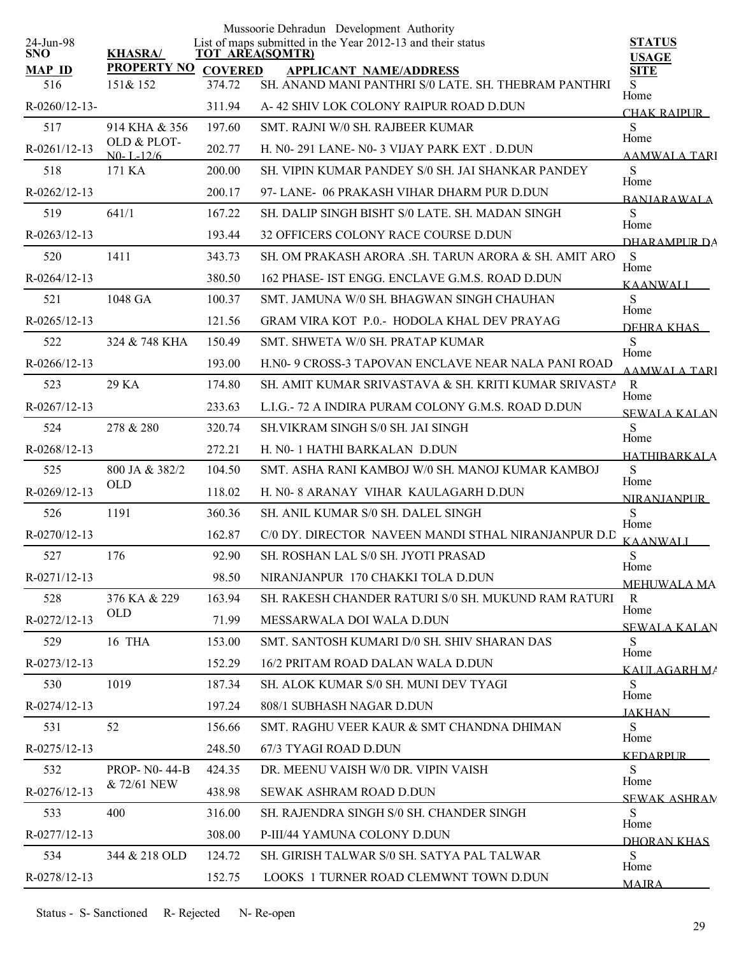|                         |                              |                | Mussoorie Dehradun Development Authority                                       |                               |
|-------------------------|------------------------------|----------------|--------------------------------------------------------------------------------|-------------------------------|
| 24-Jun-98<br><b>SNO</b> | <b>KHASRA/</b>               |                | List of maps submitted in the Year 2012-13 and their status<br>TOT AREA(SQMTR) | <b>STATUS</b><br><b>USAGE</b> |
| <b>MAP ID</b>           | <b>PROPERTY NO</b>           | <b>COVERED</b> | <b>APPLICANT NAME/ADDRESS</b>                                                  | <b>SITE</b>                   |
| 516                     | 151& 152                     | 374.72         | SH. ANAND MANI PANTHRI S/0 LATE. SH. THEBRAM PANTHRI                           | S<br>Home                     |
| $R - 0260/12 - 13$      |                              | 311.94         | A-42 SHIV LOK COLONY RAIPUR ROAD D.DUN                                         | <b>CHAK RAIPUR</b>            |
| 517                     | 914 KHA & 356<br>OLD & PLOT- | 197.60         | SMT. RAJNI W/0 SH. RAJBEER KUMAR                                               | S<br>Home                     |
| R-0261/12-13            | $N0 - L - 12/6$              | 202.77         | H. N0-291 LANE- N0-3 VIJAY PARK EXT. D.DUN                                     | AAMWALA TARI                  |
| 518                     | 171 KA                       | 200.00         | SH. VIPIN KUMAR PANDEY S/0 SH. JAI SHANKAR PANDEY                              | S<br>Home                     |
| R-0262/12-13            |                              | 200.17         | 97- LANE- 06 PRAKASH VIHAR DHARM PUR D.DUN                                     | <b>BANJARAWALA</b>            |
| 519                     | 641/1                        | 167.22         | SH. DALIP SINGH BISHT S/0 LATE. SH. MADAN SINGH                                | S<br>Home                     |
| R-0263/12-13            |                              | 193.44         | 32 OFFICERS COLONY RACE COURSE D.DUN                                           | DHARAMPLIR DA                 |
| 520                     | 1411                         | 343.73         | SH. OM PRAKASH ARORA .SH. TARUN ARORA & SH. AMIT ARO                           | S<br>Home                     |
| R-0264/12-13            |                              | 380.50         | 162 PHASE- IST ENGG. ENCLAVE G.M.S. ROAD D.DUN                                 | <b>KAANWALI</b>               |
| 521                     | 1048 GA                      | 100.37         | SMT. JAMUNA W/0 SH. BHAGWAN SINGH CHAUHAN                                      | S                             |
| $R - 0265/12 - 13$      |                              | 121.56         | GRAM VIRA KOT P.0.- HODOLA KHAL DEV PRAYAG                                     | Home<br>DEHRA KHAS            |
| 522                     | 324 & 748 KHA                | 150.49         | SMT. SHWETA W/0 SH. PRATAP KUMAR                                               | S                             |
| $R - 0266/12 - 13$      |                              | 193.00         | H.NO- 9 CROSS-3 TAPOVAN ENCLAVE NEAR NALA PANI ROAD                            | Home<br><b>AAMWALA TARI</b>   |
| 523                     | 29 KA                        | 174.80         | SH. AMIT KUMAR SRIVASTAVA & SH. KRITI KUMAR SRIVASTA                           | $\mathbf{R}$                  |
| $R - 0267/12 - 13$      |                              | 233.63         | L.I.G.-72 A INDIRA PURAM COLONY G.M.S. ROAD D.DUN                              | Home<br>SEWALA KALAN          |
| 524                     | 278 & 280                    | 320.74         | <b>SH. VIKRAM SINGH S/0 SH. JAI SINGH</b>                                      | S                             |
| R-0268/12-13            |                              | 272.21         | H. N0- 1 HATHI BARKALAN D.DUN                                                  | Home<br><b>HATHIRARKALA</b>   |
| 525                     | 800 JA & 382/2               | 104.50         | SMT. ASHA RANI KAMBOJ W/0 SH. MANOJ KUMAR KAMBOJ                               | S                             |
| R-0269/12-13            | <b>OLD</b>                   | 118.02         | H. N0- 8 ARANAY VIHAR KAULAGARH D.DUN                                          | Home<br><b>NIRANJANPUR</b>    |
| 526                     | 1191                         | 360.36         | SH. ANIL KUMAR S/0 SH. DALEL SINGH                                             | S                             |
| R-0270/12-13            |                              | 162.87         | C/0 DY. DIRECTOR NAVEEN MANDI STHAL NIRANJANPUR D.D                            | Home                          |
| 527                     | 176                          | 92.90          | SH. ROSHAN LAL S/0 SH. JYOTI PRASAD                                            | KAANWALI<br>S                 |
| R-0271/12-13            |                              | 98.50          | NIRANJANPUR 170 CHAKKI TOLA D.DUN                                              | Home                          |
| 528                     | 376 KA & 229                 | 163.94         | SH. RAKESH CHANDER RATURI S/0 SH. MUKUND RAM RATURI                            | <b>MEHUWALA MA</b><br>R       |
| R-0272/12-13            | <b>OLD</b>                   | 71.99          | MESSARWALA DOI WALA D.DUN                                                      | Home                          |
| 529                     | 16 THA                       | 153.00         | SMT. SANTOSH KUMARI D/0 SH. SHIV SHARAN DAS                                    | <b>SEWALA KALAN</b><br>S      |
| R-0273/12-13            |                              | 152.29         | 16/2 PRITAM ROAD DALAN WALA D.DUN                                              | Home                          |
| 530                     | 1019                         | 187.34         | SH. ALOK KUMAR S/0 SH. MUNI DEV TYAGI                                          | KAULAGARH MA<br>S             |
| R-0274/12-13            |                              | 197.24         | 808/1 SUBHASH NAGAR D.DUN                                                      | Home                          |
| 531                     | 52                           | 156.66         | SMT. RAGHU VEER KAUR & SMT CHANDNA DHIMAN                                      | <b>JAKHAN</b><br>S            |
| R-0275/12-13            |                              | 248.50         | 67/3 TYAGI ROAD D.DUN                                                          | Home                          |
| 532                     | <b>PROP-NO-44-B</b>          | 424.35         | DR. MEENU VAISH W/0 DR. VIPIN VAISH                                            | <b>KEDARPUR</b><br>S          |
| R-0276/12-13            | & 72/61 NEW                  | 438.98         | <b>SEWAK ASHRAM ROAD D.DUN</b>                                                 | Home                          |
| 533                     | 400                          | 316.00         | SH. RAJENDRA SINGH S/0 SH. CHANDER SINGH                                       | <b>SEWAK ASHRAN</b><br>S      |
| R-0277/12-13            |                              | 308.00         | P-III/44 YAMUNA COLONY D.DUN                                                   | Home                          |
| 534                     | 344 & 218 OLD                | 124.72         | SH. GIRISH TALWAR S/0 SH. SATYA PAL TALWAR                                     | DHORAN KHAS<br><sub>S</sub>   |
| R-0278/12-13            |                              | 152.75         | LOOKS 1 TURNER ROAD CLEMWNT TOWN D.DUN                                         | Home                          |
|                         |                              |                |                                                                                | <b>MAIRA</b>                  |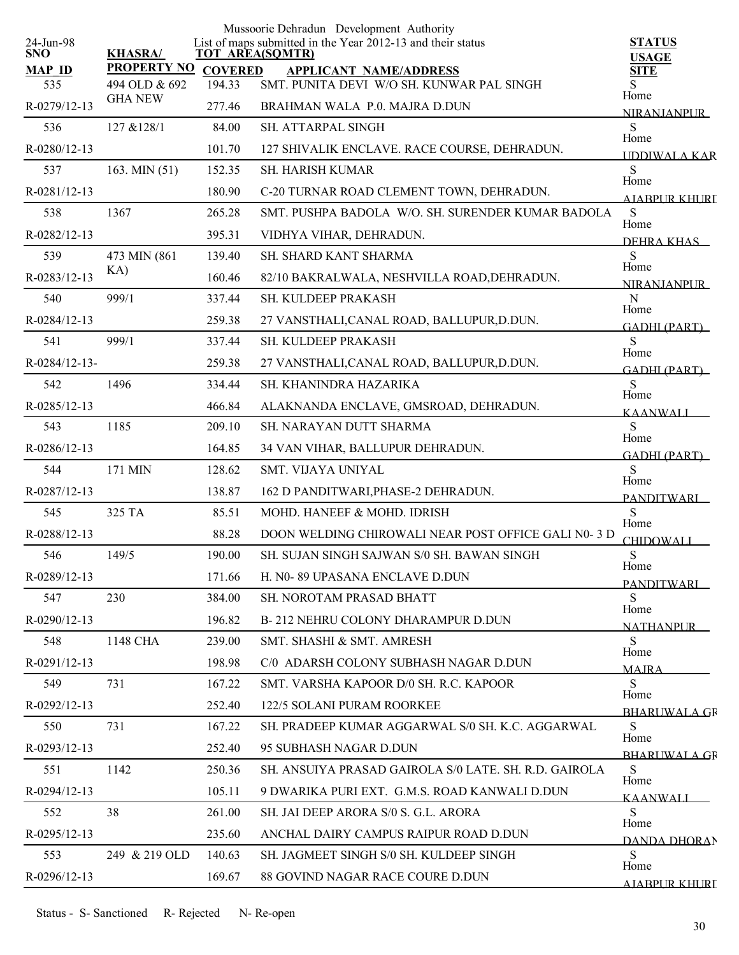|                         |                    |                | Mussoorie Dehradun Development Authority                                              |                                   |
|-------------------------|--------------------|----------------|---------------------------------------------------------------------------------------|-----------------------------------|
| 24-Jun-98<br><b>SNO</b> | <b>KHASRA/</b>     |                | List of maps submitted in the Year 2012-13 and their status<br><b>TOT AREA(SQMTR)</b> | <b>STATUS</b>                     |
| <b>MAP ID</b>           | <b>PROPERTY NO</b> | <b>COVERED</b> | <b>APPLICANT NAME/ADDRESS</b>                                                         | <b>USAGE</b><br><b>SITE</b>       |
| 535                     | 494 OLD & 692      | 194.33         | SMT. PUNITA DEVI W/O SH. KUNWAR PAL SINGH                                             | S<br>Home                         |
| R-0279/12-13            | <b>GHA NEW</b>     | 277.46         | BRAHMAN WALA P.0. MAJRA D.DUN                                                         | <b>NIRANIANPUR</b>                |
| 536                     | 127 & 128/1        | 84.00          | SH. ATTARPAL SINGH                                                                    | ${\bf S}$<br>Home                 |
| R-0280/12-13            |                    | 101.70         | 127 SHIVALIK ENCLAVE. RACE COURSE, DEHRADUN.                                          | <b>IDDIWALA KAR</b>               |
| 537                     | 163. MIN (51)      | 152.35         | <b>SH. HARISH KUMAR</b>                                                               | S<br>Home                         |
| R-0281/12-13            |                    | 180.90         | C-20 TURNAR ROAD CLEMENT TOWN, DEHRADUN.                                              | AIARPUR KHURI                     |
| 538                     | 1367               | 265.28         | SMT. PUSHPA BADOLA W/O. SH. SURENDER KUMAR BADOLA                                     | ${\bf S}$<br>Home                 |
| R-0282/12-13            |                    | 395.31         | VIDHYA VIHAR, DEHRADUN.                                                               | DEHRA KHAS                        |
| 539                     | 473 MIN (861)      | 139.40         | SH. SHARD KANT SHARMA                                                                 | ${\bf S}$                         |
| R-0283/12-13            | KA)                | 160.46         | 82/10 BAKRALWALA, NESHVILLA ROAD, DEHRADUN.                                           | Home<br><b>NIRANIANPUR</b>        |
| 540                     | 999/1              | 337.44         | SH. KULDEEP PRAKASH                                                                   | N                                 |
| R-0284/12-13            |                    | 259.38         | 27 VANSTHALI, CANAL ROAD, BALLUPUR, D.DUN.                                            | Home<br><b>GADHI (PART)</b>       |
| 541                     | 999/1              | 337.44         | SH. KULDEEP PRAKASH                                                                   | S                                 |
| R-0284/12-13-           |                    | 259.38         | 27 VANSTHALI, CANAL ROAD, BALLUPUR, D.DUN.                                            | Home<br><b>GADHI (PART)</b>       |
| 542                     | 1496               | 334.44         | SH. KHANINDRA HAZARIKA                                                                | ${\bf S}$                         |
| R-0285/12-13            |                    | 466.84         | ALAKNANDA ENCLAVE, GMSROAD, DEHRADUN.                                                 | Home<br><b>KAANWALI</b>           |
| 543                     | 1185               | 209.10         | SH. NARAYAN DUTT SHARMA                                                               | S                                 |
| R-0286/12-13            |                    | 164.85         | 34 VAN VIHAR, BALLUPUR DEHRADUN.                                                      | Home<br><b>GADHI (PART)</b>       |
| 544                     | 171 MIN            | 128.62         | SMT. VIJAYA UNIYAL                                                                    | S                                 |
| R-0287/12-13            |                    | 138.87         | 162 D PANDITWARI, PHASE-2 DEHRADUN.                                                   | Home<br><b>PANDITWARI</b>         |
| 545                     | 325 TA             | 85.51          | MOHD. HANEEF & MOHD. IDRISH                                                           | S                                 |
| R-0288/12-13            |                    | 88.28          | DOON WELDING CHIROWALI NEAR POST OFFICE GALI N0- 3 D                                  | Home<br><b>CHIDOWALI</b>          |
| 546                     | 149/5              | 190.00         | SH. SUJAN SINGH SAJWAN S/0 SH. BAWAN SINGH                                            | ${\bf S}$                         |
| R-0289/12-13            |                    | 171.66         | H. N0-89 UPASANA ENCLAVE D.DUN                                                        | Home<br><b>PANDITWARI</b>         |
| 547                     | 230                | 384.00         | <b>SH. NOROTAM PRASAD BHATT</b>                                                       | S                                 |
| $R - 0290/12 - 13$      |                    | 196.82         | B-212 NEHRU COLONY DHARAMPUR D.DUN                                                    | Home<br><b>NATHANPUR</b>          |
| 548                     | 1148 CHA           | 239.00         | SMT. SHASHI & SMT. AMRESH                                                             | S                                 |
| R-0291/12-13            |                    | 198.98         | C/0 ADARSH COLONY SUBHASH NAGAR D.DUN                                                 | Home<br><b>MAIRA</b>              |
| 549                     | 731                | 167.22         | SMT. VARSHA KAPOOR D/0 SH. R.C. KAPOOR                                                | S                                 |
| R-0292/12-13            |                    | 252.40         | 122/5 SOLANI PURAM ROORKEE                                                            | Home                              |
| 550                     | 731                | 167.22         | SH. PRADEEP KUMAR AGGARWAL S/0 SH. K.C. AGGARWAL                                      | <b>BHARLIWALA GR</b><br>S         |
| R-0293/12-13            |                    | 252.40         | 95 SUBHASH NAGAR D.DUN                                                                | Home                              |
| 551                     | 1142               | 250.36         | SH. ANSUIYA PRASAD GAIROLA S/0 LATE. SH. R.D. GAIROLA                                 | <b>BHARLIWALA GR</b><br>${\bf S}$ |
| R-0294/12-13            |                    | 105.11         | 9 DWARIKA PURI EXT. G.M.S. ROAD KANWALI D.DUN                                         | Home                              |
| 552                     | 38                 | 261.00         | SH. JAI DEEP ARORA S/0 S. G.L. ARORA                                                  | <b>KAANWALI</b><br>S              |
| R-0295/12-13            |                    | 235.60         | ANCHAL DAIRY CAMPUS RAIPUR ROAD D.DUN                                                 | Home                              |
| 553                     | 249 & 219 OLD      | 140.63         | SH. JAGMEET SINGH S/0 SH. KULDEEP SINGH                                               | DANDA DHORAN<br>S                 |
| R-0296/12-13            |                    | 169.67         | 88 GOVIND NAGAR RACE COURE D.DUN                                                      | Home                              |
|                         |                    |                |                                                                                       | AJARPUR KHURI                     |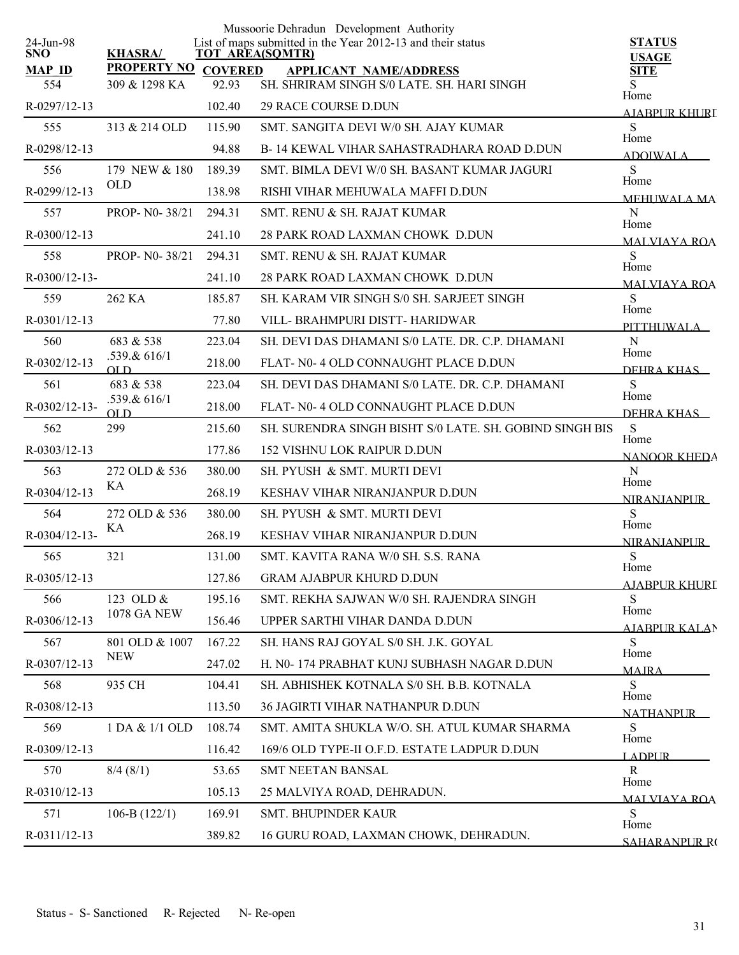| 24-Jun-98            |                                             |        | Mussoorie Dehradun Development Authority<br>List of maps submitted in the Year 2012-13 and their status | <b>STATUS</b>                |
|----------------------|---------------------------------------------|--------|---------------------------------------------------------------------------------------------------------|------------------------------|
| <b>SNO</b>           | <b>KHASRA/</b>                              |        | <b>TOT AREA(SQMTR)</b>                                                                                  | <b>USAGE</b>                 |
| <b>MAP ID</b><br>554 | <b>PROPERTY NO COVERED</b><br>309 & 1298 KA | 92.93  | <b>APPLICANT NAME/ADDRESS</b><br>SH. SHRIRAM SINGH S/0 LATE. SH. HARI SINGH                             | <b>SITE</b><br>S             |
| R-0297/12-13         |                                             | 102.40 | 29 RACE COURSE D.DUN                                                                                    | Home                         |
| 555                  | 313 & 214 OLD                               | 115.90 | SMT. SANGITA DEVI W/0 SH. AJAY KUMAR                                                                    | AJABPUR KHURL<br>S           |
|                      |                                             |        |                                                                                                         | Home                         |
| R-0298/12-13         |                                             | 94.88  | B-14 KEWAL VIHAR SAHASTRADHARA ROAD D.DUN                                                               | <b>ADOIWALA</b>              |
| 556                  | 179 NEW & 180<br><b>OLD</b>                 | 189.39 | SMT. BIMLA DEVI W/0 SH. BASANT KUMAR JAGURI                                                             | S<br>Home                    |
| R-0299/12-13         |                                             | 138.98 | RISHI VIHAR MEHUWALA MAFFI D.DUN                                                                        | <b>MEHUWALA MA</b>           |
| 557                  | PROP- N0-38/21                              | 294.31 | SMT. RENU & SH. RAJAT KUMAR                                                                             | N<br>Home                    |
| R-0300/12-13         |                                             | 241.10 | 28 PARK ROAD LAXMAN CHOWK D.DUN                                                                         | <b>MALVIAYA ROA</b>          |
| 558                  | PROP- N0-38/21                              | 294.31 | SMT, RENU & SH, RAJAT KUMAR                                                                             | S<br>Home                    |
| $R-0300/12-13-$      |                                             | 241.10 | 28 PARK ROAD LAXMAN CHOWK D.DUN                                                                         | <b>MALVIAYA ROA</b>          |
| 559                  | 262 KA                                      | 185.87 | SH. KARAM VIR SINGH S/0 SH. SARJEET SINGH                                                               | S<br>Home                    |
| R-0301/12-13         |                                             | 77.80  | VILL- BRAHMPURI DISTT- HARIDWAR                                                                         | PITTHUWALA                   |
| 560                  | 683 & 538                                   | 223.04 | SH. DEVI DAS DHAMANI S/0 LATE, DR, C.P. DHAMANI                                                         | $\mathbf N$<br>Home          |
| R-0302/12-13         | .539.& 616/1<br>$_{\text{OLD}}$             | 218.00 | FLAT- N0-4 OLD CONNAUGHT PLACE D.DUN                                                                    | DEHRA KHAS                   |
| 561                  | 683 & 538                                   | 223.04 | SH. DEVI DAS DHAMANI S/0 LATE. DR. C.P. DHAMANI                                                         | S<br>Home                    |
| R-0302/12-13-        | .539.& 616/1<br>OL D                        | 218.00 | FLAT- N0-4 OLD CONNAUGHT PLACE D.DUN                                                                    | DEHRA KHAS                   |
| 562                  | 299                                         | 215.60 | SH. SURENDRA SINGH BISHT S/0 LATE. SH. GOBIND SINGH BIS                                                 | S                            |
| R-0303/12-13         |                                             | 177.86 | <b>152 VISHNU LOK RAIPUR D.DUN</b>                                                                      | Home<br>NANOOR KHEDA         |
| 563                  | 272 OLD & 536                               | 380.00 | SH. PYUSH & SMT. MURTI DEVI                                                                             | N                            |
| R-0304/12-13         | KА                                          | 268.19 | KESHAV VIHAR NIRANJANPUR D.DUN                                                                          | Home<br><b>NIRANIANPLIR</b>  |
| 564                  | 272 OLD & 536                               | 380.00 | SH. PYUSH & SMT. MURTI DEVI                                                                             | S<br>Home                    |
| R-0304/12-13-        | KА                                          | 268.19 | KESHAV VIHAR NIRANJANPUR D.DUN                                                                          | <b>NIRANJANPUR</b>           |
| 565                  | 321                                         | 131.00 | SMT, KAVITA RANA W/0 SH, S.S. RANA                                                                      | $\mathbf S$                  |
| R-0305/12-13         |                                             | 127.86 | <b>GRAM AJABPUR KHURD D.DUN</b>                                                                         | Home<br><b>AJABPUR KHURI</b> |
| 566                  | 123 OLD &                                   | 195.16 | SMT. REKHA SAJWAN W/0 SH. RAJENDRA SINGH                                                                | S                            |
| R-0306/12-13         | <b>1078 GA NEW</b>                          | 156.46 | UPPER SARTHI VIHAR DANDA D.DUN                                                                          | Home<br><b>AJABPUR KALAN</b> |
| 567                  | 801 OLD & 1007                              | 167.22 | SH. HANS RAJ GOYAL S/0 SH. J.K. GOYAL                                                                   | S                            |
| R-0307/12-13         | <b>NEW</b>                                  | 247.02 | H. N0-174 PRABHAT KUNJ SUBHASH NAGAR D.DUN                                                              | Home<br><b>MAJRA</b>         |
| 568                  | 935 CH                                      | 104.41 | SH. ABHISHEK KOTNALA S/0 SH. B.B. KOTNALA                                                               | S                            |
| R-0308/12-13         |                                             | 113.50 | 36 JAGIRTI VIHAR NATHANPUR D.DUN                                                                        | Home<br><b>NATHANPUR</b>     |
| 569                  | 1 DA & 1/1 OLD                              | 108.74 | SMT. AMITA SHUKLA W/O. SH. ATUL KUMAR SHARMA                                                            | S                            |
| R-0309/12-13         |                                             | 116.42 | 169/6 OLD TYPE-II O.F.D. ESTATE LADPUR D.DUN                                                            | Home<br><b>LADPUR</b>        |
| 570                  | 8/4(8/1)                                    | 53.65  | <b>SMT NEETAN BANSAL</b>                                                                                | R                            |
| R-0310/12-13         |                                             | 105.13 | 25 MALVIYA ROAD, DEHRADUN.                                                                              | Home<br><b>MALVIAYA ROA</b>  |
| 571                  | 106-B $(122/1)$                             | 169.91 | <b>SMT. BHUPINDER KAUR</b>                                                                              | S                            |
| R-0311/12-13         |                                             | 389.82 | 16 GURU ROAD, LAXMAN CHOWK, DEHRADUN.                                                                   | Home<br>SAHARANPUR RO        |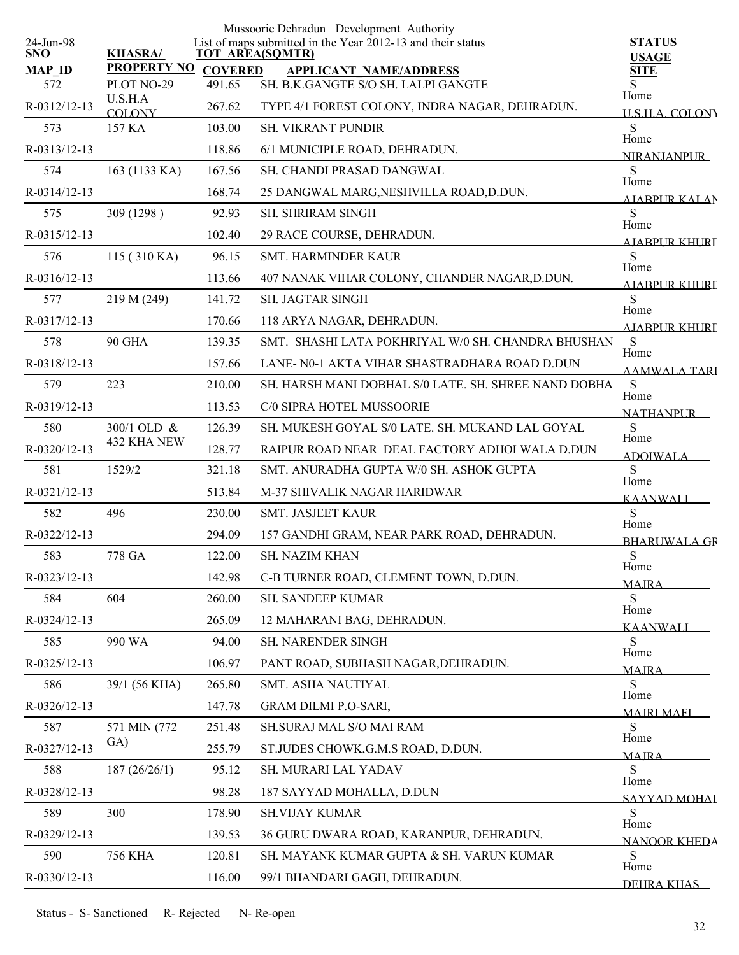|                         |                       |                | Mussoorie Dehradun Development Authority                                              |                                  |
|-------------------------|-----------------------|----------------|---------------------------------------------------------------------------------------|----------------------------------|
| 24-Jun-98<br><b>SNO</b> | <b>KHASRA/</b>        |                | List of maps submitted in the Year 2012-13 and their status<br><b>TOT AREA(SQMTR)</b> | <b>STATUS</b><br><b>USAGE</b>    |
| <b>MAP ID</b>           | <b>PROPERTY NO</b>    | <b>COVERED</b> | <b>APPLICANT NAME/ADDRESS</b>                                                         | <b>SITE</b>                      |
| 572                     | PLOT NO-29<br>U.S.H.A | 491.65         | SH. B.K.GANGTE S/O SH. LALPI GANGTE                                                   | S<br>Home                        |
| R-0312/12-13            | <b>COLONY</b>         | 267.62         | TYPE 4/1 FOREST COLONY, INDRA NAGAR, DEHRADUN.                                        | USHA COLONY                      |
| 573                     | 157 KA                | 103.00         | SH. VIKRANT PUNDIR                                                                    | S<br>Home                        |
| R-0313/12-13            |                       | 118.86         | 6/1 MUNICIPLE ROAD, DEHRADUN.                                                         | <b>NIRANJANPUR</b>               |
| 574                     | 163 (1133 KA)         | 167.56         | SH. CHANDI PRASAD DANGWAL                                                             | S<br>Home                        |
| R-0314/12-13            |                       | 168.74         | 25 DANGWAL MARG, NESHVILLA ROAD, D.DUN.                                               | AIARPUR KALAN                    |
| 575                     | 309 (1298)            | 92.93          | <b>SH. SHRIRAM SINGH</b>                                                              | S                                |
| R-0315/12-13            |                       | 102.40         | 29 RACE COURSE, DEHRADUN.                                                             | Home<br>AIABPUR KHURT            |
| 576                     | 115 (310 KA)          | 96.15          | SMT. HARMINDER KAUR                                                                   | S                                |
| R-0316/12-13            |                       | 113.66         | 407 NANAK VIHAR COLONY, CHANDER NAGAR, D.DUN.                                         | Home<br>AIARPUR KHURI            |
| 577                     | 219 M (249)           | 141.72         | SH. JAGTAR SINGH                                                                      | S                                |
| R-0317/12-13            |                       | 170.66         | 118 ARYA NAGAR, DEHRADUN.                                                             | Home<br>AIABPUR KHURI            |
| 578                     | <b>90 GHA</b>         | 139.35         | SMT. SHASHI LATA POKHRIYAL W/0 SH. CHANDRA BHUSHAN                                    | S                                |
| R-0318/12-13            |                       | 157.66         | LANE- N0-1 AKTA VIHAR SHASTRADHARA ROAD D.DUN                                         | Home<br><b>AAMWALA TARI</b>      |
| 579                     | 223                   | 210.00         | SH. HARSH MANI DOBHAL S/0 LATE. SH. SHREE NAND DOBHA                                  | S                                |
| R-0319/12-13            |                       | 113.53         | C/0 SIPRA HOTEL MUSSOORIE                                                             | Home                             |
| 580                     | 300/1 OLD &           | 126.39         | SH. MUKESH GOYAL S/0 LATE. SH. MUKAND LAL GOYAL                                       | <b>NATHANPLIR</b><br>S           |
| R-0320/12-13            | 432 KHA NEW           | 128.77         | RAIPUR ROAD NEAR DEAL FACTORY ADHOI WALA D.DUN                                        | Home                             |
| 581                     | 1529/2                | 321.18         | SMT. ANURADHA GUPTA W/0 SH. ASHOK GUPTA                                               | <b>ADOIWALA</b><br>${\bf S}$     |
| R-0321/12-13            |                       | 513.84         | M-37 SHIVALIK NAGAR HARIDWAR                                                          | Home                             |
| 582                     | 496                   | 230.00         | SMT. JASJEET KAUR                                                                     | <b>KAANWALL</b><br>S             |
| R-0322/12-13            |                       | 294.09         | 157 GANDHI GRAM, NEAR PARK ROAD, DEHRADUN.                                            | Home                             |
| 583                     | 778 GA                | 122.00         | SH. NAZIM KHAN                                                                        | <b>BHARUWALA GF</b><br>${\bf S}$ |
| R-0323/12-13            |                       | 142.98         | C-B TURNER ROAD, CLEMENT TOWN, D.DUN.                                                 | Home                             |
| 584                     | 604                   | 260.00         | SH. SANDEEP KUMAR                                                                     | <b>MAJRA</b><br>S                |
| R-0324/12-13            |                       | 265.09         | 12 MAHARANI BAG, DEHRADUN.                                                            | Home                             |
| 585                     | 990 WA                | 94.00          | SH. NARENDER SINGH                                                                    | <b>KAANWALI</b><br>S             |
| R-0325/12-13            |                       | 106.97         | PANT ROAD, SUBHASH NAGAR, DEHRADUN.                                                   | Home                             |
| 586                     | 39/1 (56 KHA)         | 265.80         | SMT. ASHA NAUTIYAL                                                                    | <b>MAJRA</b><br>S                |
| R-0326/12-13            |                       | 147.78         | GRAM DILMI P.O-SARI,                                                                  | Home                             |
| 587                     | 571 MIN (772)         | 251.48         | SH.SURAJ MAL S/O MAI RAM                                                              | <b>MAIRI MAFI</b><br>S           |
| R-0327/12-13            | GA)                   | 255.79         | ST.JUDES CHOWK, G.M.S ROAD, D.DUN.                                                    | Home                             |
| 588                     | 187 (26/26/1)         | 95.12          | SH. MURARI LAL YADAV                                                                  | <b>MAIRA</b><br>${\bf S}$        |
|                         |                       |                |                                                                                       | Home                             |
| R-0328/12-13            |                       | 98.28          | 187 SAYYAD MOHALLA, D.DUN                                                             | SAYYAD MOHAI                     |
| 589                     | 300                   | 178.90         | <b>SH.VIJAY KUMAR</b>                                                                 | S<br>Home                        |
| R-0329/12-13            |                       | 139.53         | 36 GURU DWARA ROAD, KARANPUR, DEHRADUN.                                               | <b>NANOOR KHEDA</b>              |
| 590                     | <b>756 KHA</b>        | 120.81         | SH. MAYANK KUMAR GUPTA & SH. VARUN KUMAR                                              | S<br>Home                        |
| R-0330/12-13            |                       | 116.00         | 99/1 BHANDARI GAGH, DEHRADUN.                                                         | DEHRA KHAS                       |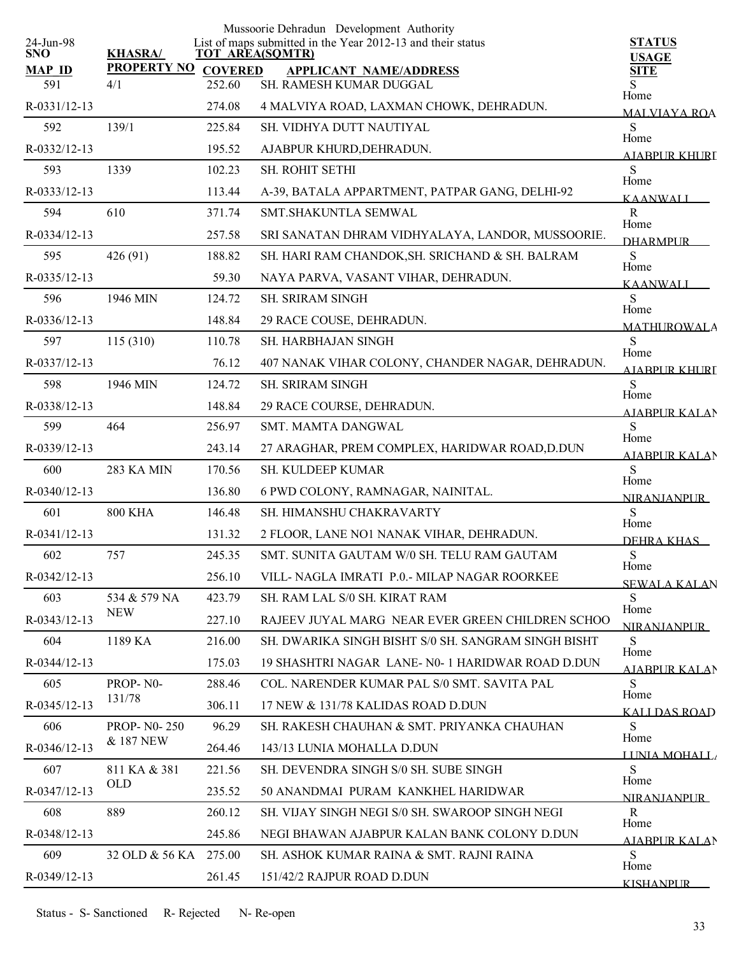| 24-Jun-98            |                                      |                          | Mussoorie Dehradun Development Authority<br>List of maps submitted in the Year 2012-13 and their status | <b>STATUS</b>                |
|----------------------|--------------------------------------|--------------------------|---------------------------------------------------------------------------------------------------------|------------------------------|
| <b>SNO</b>           | <b>KHASRA/</b><br><b>PROPERTY NO</b> |                          | <b>TOT AREA(SQMTR)</b>                                                                                  | <b>USAGE</b>                 |
| <b>MAP ID</b><br>591 | 4/1                                  | <b>COVERED</b><br>252.60 | <b>APPLICANT NAME/ADDRESS</b><br>SH. RAMESH KUMAR DUGGAL                                                | <b>SITE</b><br>Home          |
| R-0331/12-13         |                                      | 274.08                   | 4 MALVIYA ROAD, LAXMAN CHOWK, DEHRADUN.                                                                 | <b>MALVIAYA ROA</b>          |
| 592                  | 139/1                                | 225.84                   | SH. VIDHYA DUTT NAUTIYAL                                                                                | S                            |
| R-0332/12-13         |                                      | 195.52                   | AJABPUR KHURD, DEHRADUN.                                                                                | Home<br><u>AJARPUR KHURI</u> |
| 593                  | 1339                                 | 102.23                   | <b>SH. ROHIT SETHI</b>                                                                                  | S<br>Home                    |
| R-0333/12-13         |                                      | 113.44                   | A-39, BATALA APPARTMENT, PATPAR GANG, DELHI-92                                                          | <b>KAANWALI</b>              |
| 594                  | 610                                  | 371.74                   | SMT.SHAKUNTLA SEMWAL                                                                                    | $\mathbf R$<br>Home          |
| R-0334/12-13         |                                      | 257.58                   | SRI SANATAN DHRAM VIDHYALAYA, LANDOR, MUSSOORIE.                                                        | <b>DHARMPLIR</b>             |
| 595                  | 426 (91)                             | 188.82                   | SH. HARI RAM CHANDOK, SH. SRICHAND & SH. BALRAM                                                         | S                            |
| R-0335/12-13         |                                      | 59.30                    | NAYA PARVA, VASANT VIHAR, DEHRADUN.                                                                     | Home<br>KAANWALI             |
| 596                  | 1946 MIN                             | 124.72                   | <b>SH. SRIRAM SINGH</b>                                                                                 | S                            |
| R-0336/12-13         |                                      | 148.84                   | 29 RACE COUSE, DEHRADUN.                                                                                | Home<br><b>MATHUROWALA</b>   |
| 597                  | 115 (310)                            | 110.78                   | <b>SH. HARBHAJAN SINGH</b>                                                                              | S                            |
| R-0337/12-13         |                                      | 76.12                    | 407 NANAK VIHAR COLONY, CHANDER NAGAR, DEHRADUN.                                                        | Home<br>AIARPUR KHURI        |
| 598                  | 1946 MIN                             | 124.72                   | <b>SH. SRIRAM SINGH</b>                                                                                 | S                            |
| R-0338/12-13         |                                      | 148.84                   | 29 RACE COURSE, DEHRADUN.                                                                               | Home<br>AIABPUR KALAN        |
| 599                  | 464                                  | 256.97                   | SMT. MAMTA DANGWAL                                                                                      | S                            |
| R-0339/12-13         |                                      | 243.14                   | 27 ARAGHAR, PREM COMPLEX, HARIDWAR ROAD, D.DUN                                                          | Home<br><b>AIABPUR KALAN</b> |
| 600                  | 283 KA MIN                           | 170.56                   | SH. KULDEEP KUMAR                                                                                       | S                            |
| R-0340/12-13         |                                      | 136.80                   | 6 PWD COLONY, RAMNAGAR, NAINITAL.                                                                       | Home<br><b>NIRANIANPUR</b>   |
| 601                  | <b>800 KHA</b>                       | 146.48                   | SH. HIMANSHU CHAKRAVARTY                                                                                | S                            |
| R-0341/12-13         |                                      | 131.32                   | 2 FLOOR, LANE NO1 NANAK VIHAR, DEHRADUN.                                                                | Home<br>DEHRA KHAS           |
| 602                  | 757                                  | 245.35                   | SMT. SUNITA GAUTAM W/0 SH. TELU RAM GAUTAM                                                              | ${\bf S}$                    |
| R-0342/12-13         |                                      | 256.10                   | VILL- NAGLA IMRATI P.0.- MILAP NAGAR ROORKEE                                                            | Home<br><b>SEWALA KALAN</b>  |
| 603                  | 534 & 579 NA                         | 423.79                   | SH. RAM LAL S/0 SH. KIRAT RAM                                                                           | S                            |
| R-0343/12-13         | <b>NEW</b>                           | 227.10                   | RAJEEV JUYAL MARG NEAR EVER GREEN CHILDREN SCHOO                                                        | Home<br><b>NIRANIANPUR</b>   |
| 604                  | 1189 KA                              | 216.00                   | SH. DWARIKA SINGH BISHT S/0 SH. SANGRAM SINGH BISHT                                                     | S                            |
| $R - 0344/12 - 13$   |                                      | 175.03                   | 19 SHASHTRI NAGAR LANE- N0-1 HARIDWAR ROAD D.DUN                                                        | Home<br><b>AIABPUR KALAN</b> |
| 605                  | PROP-N0-                             | 288.46                   | COL. NARENDER KUMAR PAL S/0 SMT. SAVITA PAL                                                             | S.                           |
| R-0345/12-13         | 131/78                               | 306.11                   | 17 NEW & 131/78 KALIDAS ROAD D.DUN                                                                      | Home<br><u>KALI DAS ROAD</u> |
| 606                  | <b>PROP-N0-250</b>                   | 96.29                    | SH. RAKESH CHAUHAN & SMT. PRIYANKA CHAUHAN                                                              | S                            |
| R-0346/12-13         | & 187 NEW                            | 264.46                   | 143/13 LUNIA MOHALLA D.DUN                                                                              | Home<br>LUNIA MOHALL         |
| 607                  | 811 KA & 381                         | 221.56                   | SH. DEVENDRA SINGH S/0 SH. SUBE SINGH                                                                   | S                            |
| R-0347/12-13         | <b>OLD</b>                           | 235.52                   | 50 ANANDMAI PURAM KANKHEL HARIDWAR                                                                      | Home<br><b>NIRANIANPUR</b>   |
| 608                  | 889                                  | 260.12                   | SH. VIJAY SINGH NEGI S/0 SH. SWAROOP SINGH NEGI                                                         | R                            |
| R-0348/12-13         |                                      | 245.86                   | NEGI BHAWAN AJABPUR KALAN BANK COLONY D.DUN                                                             | Home<br><b>AJABPUR KALAN</b> |
| 609                  | 32 OLD & 56 KA 275.00                |                          | SH. ASHOK KUMAR RAINA & SMT. RAJNI RAINA                                                                | S<br>Home                    |
| R-0349/12-13         |                                      | 261.45                   | 151/42/2 RAJPUR ROAD D.DUN                                                                              | <b>KISHANPUR</b>             |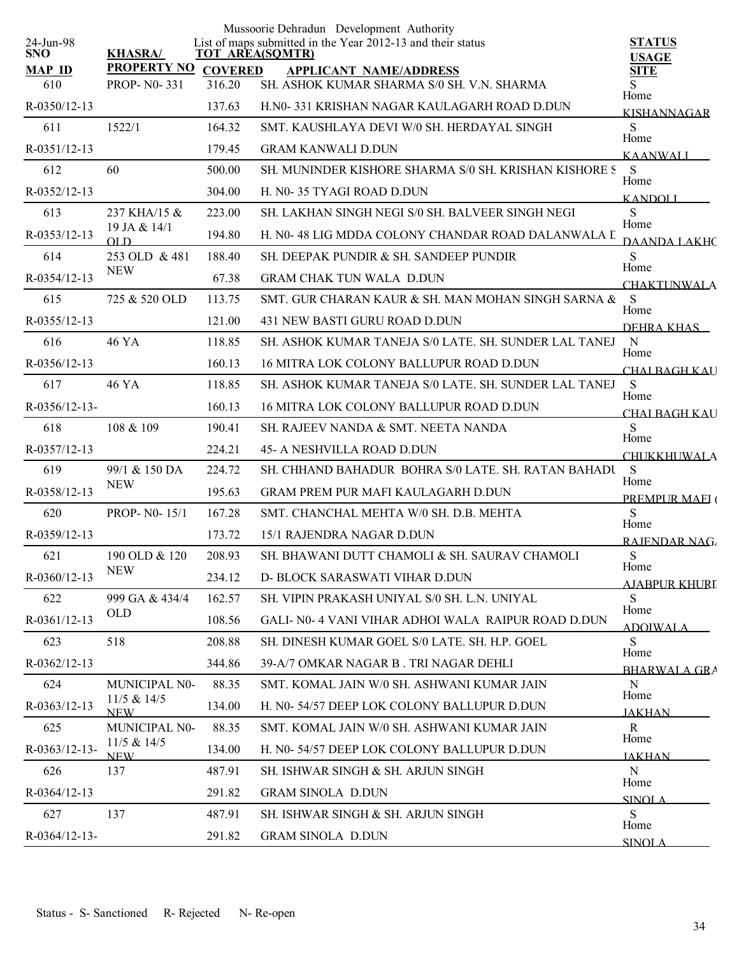|                         |                                 |                | Mussoorie Dehradun Development Authority                                       |                               |
|-------------------------|---------------------------------|----------------|--------------------------------------------------------------------------------|-------------------------------|
| 24-Jun-98<br><b>SNO</b> | <b>KHASRA/</b>                  |                | List of maps submitted in the Year 2012-13 and their status<br>TOT AREA(SQMTR) | <b>STATUS</b><br><b>USAGE</b> |
| <b>MAP ID</b>           | <b>PROPERTY NO</b>              | <b>COVERED</b> | <b>APPLICANT NAME/ADDRESS</b>                                                  | <b>SITE</b>                   |
| 610                     | <b>PROP-N0-331</b>              | 316.20         | SH. ASHOK KUMAR SHARMA S/0 SH. V.N. SHARMA                                     | S<br>Home                     |
| R-0350/12-13            |                                 | 137.63         | H.NO-331 KRISHAN NAGAR KAULAGARH ROAD D.DUN                                    | KISHANNAGAR                   |
| 611                     | 1522/1                          | 164.32         | SMT. KAUSHLAYA DEVI W/0 SH. HERDAYAL SINGH                                     | S<br>Home                     |
| R-0351/12-13            |                                 | 179.45         | <b>GRAM KANWALI D.DUN</b>                                                      | <b>KAANWALI</b>               |
| 612                     | 60                              | 500.00         | SH. MUNINDER KISHORE SHARMA S/0 SH. KRISHAN KISHORE S                          | S<br>Home                     |
| R-0352/12-13            |                                 | 304.00         | H. NO-35 TYAGI ROAD D.DUN                                                      | <b>KANDOLL</b>                |
| 613                     | 237 KHA/15 &                    | 223.00         | SH. LAKHAN SINGH NEGI S/0 SH. BALVEER SINGH NEGI                               | S<br>Home                     |
| R-0353/12-13            | 19 JA & 14/1<br>$_{\text{OLD}}$ | 194.80         | H. N0-48 LIG MDDA COLONY CHANDAR ROAD DALANWALA L                              | DAANDA LAKHC                  |
| 614                     | 253 OLD & 481                   | 188.40         | SH. DEEPAK PUNDIR & SH. SANDEEP PUNDIR                                         | S                             |
| R-0354/12-13            | <b>NEW</b>                      | 67.38          | <b>GRAM CHAK TUN WALA D.DUN</b>                                                | Home<br><b>CHAKTUNWALA</b>    |
| 615                     | 725 & 520 OLD                   | 113.75         | SMT. GUR CHARAN KAUR & SH. MAN MOHAN SINGH SARNA &                             | S                             |
| R-0355/12-13            |                                 | 121.00         | 431 NEW BASTI GURU ROAD D.DUN                                                  | Home<br>DEHRA KHAS            |
| 616                     | 46 YA                           | 118.85         | SH. ASHOK KUMAR TANEJA S/0 LATE. SH. SUNDER LAL TANEJ                          | $\mathbf N$                   |
| R-0356/12-13            |                                 | 160.13         | 16 MITRA LOK COLONY BALLUPUR ROAD D.DUN                                        | Home<br>CHAI BAGH KAU         |
| 617                     | 46 YA                           | 118.85         | SH. ASHOK KUMAR TANEJA S/0 LATE. SH. SUNDER LAL TANEJ                          | <sub>S</sub>                  |
| $R - 0356/12 - 13 -$    |                                 | 160.13         | 16 MITRA LOK COLONY BALLUPUR ROAD D.DUN                                        | Home<br><b>CHALBAGH KAU</b>   |
| 618                     | 108 & 109                       | 190.41         | SH. RAJEEV NANDA & SMT. NEETA NANDA                                            | S                             |
| R-0357/12-13            |                                 | 224.21         | 45- A NESHVILLA ROAD D.DUN                                                     | Home<br><b>CHUKKHUWALA</b>    |
| 619                     | 99/1 & 150 DA                   | 224.72         | SH. CHHAND BAHADUR BOHRA S/0 LATE. SH. RATAN BAHADU                            | S                             |
| R-0358/12-13            | <b>NEW</b>                      | 195.63         | <b>GRAM PREM PUR MAFI KAULAGARH D.DUN</b>                                      | Home<br>PREMPUR MAEI (        |
| 620                     | <b>PROP-N0-15/1</b>             | 167.28         | SMT. CHANCHAL MEHTA W/0 SH. D.B. MEHTA                                         | S                             |
| R-0359/12-13            |                                 | 173.72         | 15/1 RAJENDRA NAGAR D.DUN                                                      | Home<br>RAJENDAR NAG          |
| 621                     | 190 OLD & 120                   | 208.93         | SH. BHAWANI DUTT CHAMOLI & SH. SAURAV CHAMOLI                                  | S                             |
| R-0360/12-13            | <b>NEW</b>                      | 234.12         | D- BLOCK SARASWATI VIHAR D.DUN                                                 | Home                          |
| 622                     | 999 GA & 434/4                  | 162.57         | SH. VIPIN PRAKASH UNIYAL S/0 SH. L.N. UNIYAL                                   | AJABPUR KHURI<br>S            |
| R-0361/12-13            | <b>OLD</b>                      | 108.56         | GALI-N0-4 VANI VIHAR ADHOI WALA RAIPUR ROAD D.DUN                              | Home<br><b>ADOIWALA</b>       |
| 623                     | 518                             | 208.88         | SH. DINESH KUMAR GOEL S/0 LATE, SH. H.P. GOEL                                  | S                             |
| R-0362/12-13            |                                 | 344.86         | 39-A/7 OMKAR NAGAR B. TRI NAGAR DEHLI                                          | Home                          |
| 624                     | <b>MUNICIPAL N0-</b>            | 88.35          | SMT. KOMAL JAIN W/0 SH. ASHWANI KUMAR JAIN                                     | BHARWALA GRA<br>N             |
| R-0363/12-13            | 11/5 & 14/5<br><b>NEW</b>       | 134.00         | H. N0-54/57 DEEP LOK COLONY BALLUPUR D.DUN                                     | Home                          |
| 625                     | MUNICIPAL N0-                   | 88.35          | SMT. KOMAL JAIN W/0 SH. ASHWANI KUMAR JAIN                                     | <b>JAKHAN</b><br>R            |
| R-0363/12-13-           | 11/5 & 14/5                     | 134.00         | H. N0-54/57 DEEP LOK COLONY BALLUPUR D.DUN                                     | Home                          |
| 626                     | <b>NEW</b><br>137               | 487.91         | SH. ISHWAR SINGH & SH. ARJUN SINGH                                             | <b>JAKHAN</b><br>N            |
| R-0364/12-13            |                                 | 291.82         | <b>GRAM SINOLA D.DUN</b>                                                       | Home                          |
| 627                     | 137                             | 487.91         | SH. ISHWAR SINGH & SH. ARJUN SINGH                                             | <b>SINOLA</b><br>S            |
| $R - 0364/12 - 13$      |                                 | 291.82         | <b>GRAM SINOLA D.DUN</b>                                                       | Home                          |
|                         |                                 |                |                                                                                | <b>SINOLA</b>                 |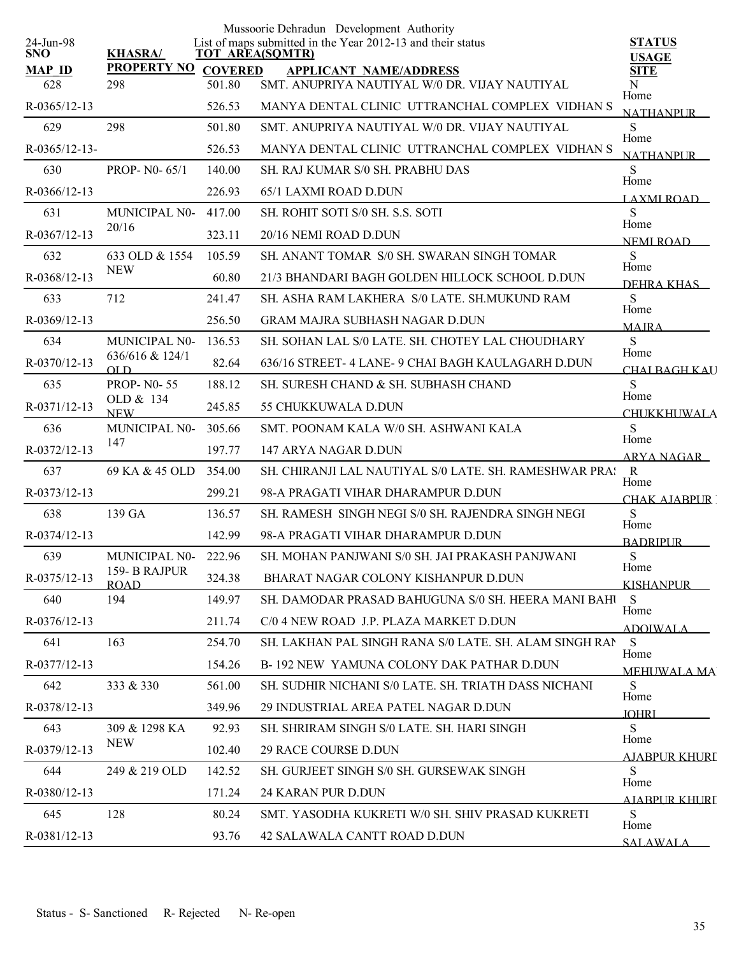|                      |                             |                | Mussoorie Dehradun Development Authority                                       |                              |
|----------------------|-----------------------------|----------------|--------------------------------------------------------------------------------|------------------------------|
| 24-Jun-98<br>SNO.    | <b>KHASRA/</b>              |                | List of maps submitted in the Year 2012-13 and their status<br>TOT AREA(SQMTR) | <b>STATUS</b>                |
| <b>MAP ID</b>        | <b>PROPERTY NO</b>          | <b>COVERED</b> | <b>APPLICANT NAME/ADDRESS</b>                                                  | <b>USAGE</b><br><b>SITE</b>  |
| 628                  | 298                         | 501.80         | SMT. ANUPRIYA NAUTIYAL W/0 DR. VIJAY NAUTIYAL                                  | N                            |
| R-0365/12-13         |                             | 526.53         | MANYA DENTAL CLINIC UTTRANCHAL COMPLEX VIDHAN S                                | Home<br><b>NATHANPUR</b>     |
| 629                  | 298                         | 501.80         | SMT. ANUPRIYA NAUTIYAL W/0 DR. VIJAY NAUTIYAL                                  | S<br>Home                    |
| $R - 0365/12 - 13 -$ |                             | 526.53         | MANYA DENTAL CLINIC UTTRANCHAL COMPLEX VIDHAN S                                | <b>NATHANPLIR</b>            |
| 630                  | PROP-N0-65/1                | 140.00         | <b>SH. RAJ KUMAR S/0 SH. PRABHU DAS</b>                                        | S<br>Home                    |
| R-0366/12-13         |                             | 226.93         | 65/1 LAXMI ROAD D.DUN                                                          | <b>LAXMI ROAD</b>            |
| 631                  | MUNICIPAL N0-               | 417.00         | SH. ROHIT SOTI S/0 SH. S.S. SOTI                                               | S<br>Home                    |
| R-0367/12-13         | 20/16                       | 323.11         | 20/16 NEMI ROAD D.DUN                                                          | NEMI ROAD                    |
| 632                  | 633 OLD & 1554              | 105.59         | SH. ANANT TOMAR S/0 SH. SWARAN SINGH TOMAR                                     | S                            |
| R-0368/12-13         | <b>NEW</b>                  | 60.80          | 21/3 BHANDARI BAGH GOLDEN HILLOCK SCHOOL D.DUN                                 | Home<br>DEHRA KHAS           |
| 633                  | 712                         | 241.47         | SH. ASHA RAM LAKHERA S/0 LATE, SH.MUKUND RAM                                   | S                            |
| R-0369/12-13         |                             | 256.50         | <b>GRAM MAJRA SUBHASH NAGAR D.DUN</b>                                          | Home<br><b>MAJRA</b>         |
| 634                  | MUNICIPAL N0-               | 136.53         | SH. SOHAN LAL S/0 LATE. SH. CHOTEY LAL CHOUDHARY                               | S                            |
| R-0370/12-13         | 636/616 & 124/1<br>OLD      | 82.64          | 636/16 STREET- 4 LANE- 9 CHAI BAGH KAULAGARH D.DUN                             | Home<br>CHAI BAGH KAU        |
| 635                  | <b>PROP-N0-55</b>           | 188.12         | SH. SURESH CHAND & SH. SUBHASH CHAND                                           | S                            |
| R-0371/12-13         | OLD & 134<br><b>NEW</b>     | 245.85         | 55 CHUKKUWALA D.DUN                                                            | Home<br><b>CHUKKHUWALA</b>   |
| 636                  | MUNICIPAL N0-               | 305.66         | SMT. POONAM KALA W/0 SH. ASHWANI KALA                                          | S                            |
| R-0372/12-13         | 147                         | 197.77         | 147 ARYA NAGAR D.DUN                                                           | Home<br><b>ARYA NAGAR</b>    |
| 637                  | 69 KA & 45 OLD              | 354.00         | SH. CHIRANJI LAL NAUTIYAL S/0 LATE. SH. RAMESHWAR PRA!                         | $\mathbb{R}$                 |
| R-0373/12-13         |                             | 299.21         | 98-A PRAGATI VIHAR DHARAMPUR D.DUN                                             | Home<br>CHAK AIARPUR [       |
| 638                  | 139 GA                      | 136.57         | SH. RAMESH SINGH NEGI S/0 SH. RAJENDRA SINGH NEGI                              | S                            |
| R-0374/12-13         |                             | 142.99         | 98-A PRAGATI VIHAR DHARAMPUR D.DUN                                             | Home<br><b>BADRIPUR</b>      |
| 639                  | MUNICIPAL N0-222.96         |                | SH. MOHAN PANJWANI S/0 SH. JAI PRAKASH PANJWANI                                | ${\bf S}$                    |
| R-0375/12-13         | 159-B RAJPUR<br><b>ROAD</b> | 324.38         | BHARAT NAGAR COLONY KISHANPUR D.DUN                                            | Home<br><b>KISHANPUR</b>     |
| 640                  | 194                         | 149.97         | SH. DAMODAR PRASAD BAHUGUNA S/0 SH. HEERA MANI BAHU                            | S                            |
| $R - 0376/12 - 13$   |                             | 211.74         | C/0 4 NEW ROAD J.P. PLAZA MARKET D.DUN                                         | Home<br><b>ADOIWALA</b>      |
| 641                  | 163                         | 254.70         | SH. LAKHAN PAL SINGH RANA S/0 LATE. SH. ALAM SINGH RAN                         | S                            |
| R-0377/12-13         |                             | 154.26         | B-192 NEW YAMUNA COLONY DAK PATHAR D.DUN                                       | Home<br><b>MEHUWALA MA</b>   |
| 642                  | 333 & 330                   | 561.00         | SH. SUDHIR NICHANI S/0 LATE. SH. TRIATH DASS NICHANI                           | S                            |
| R-0378/12-13         |                             | 349.96         | 29 INDUSTRIAL AREA PATEL NAGAR D.DUN                                           | Home<br><b>JOHRI</b>         |
| 643                  | 309 & 1298 KA               | 92.93          | SH. SHRIRAM SINGH S/0 LATE. SH. HARI SINGH                                     | <sub>S</sub>                 |
| R-0379/12-13         | <b>NEW</b>                  | 102.40         | <b>29 RACE COURSE D.DUN</b>                                                    | Home<br><u>AJABPUR KHURI</u> |
| 644                  | 249 & 219 OLD               | 142.52         | SH. GURJEET SINGH S/0 SH. GURSEWAK SINGH                                       | S                            |
| $R - 0380/12 - 13$   |                             | 171.24         | 24 KARAN PUR D.DUN                                                             | Home<br>AJABPUR KHURI        |
| 645                  | 128                         | 80.24          | SMT. YASODHA KUKRETI W/0 SH. SHIV PRASAD KUKRETI                               | S.                           |
| $R - 0381/12 - 13$   |                             | 93.76          | 42 SALAWALA CANTT ROAD D.DUN                                                   | Home<br><b>SALAWALA</b>      |
|                      |                             |                |                                                                                |                              |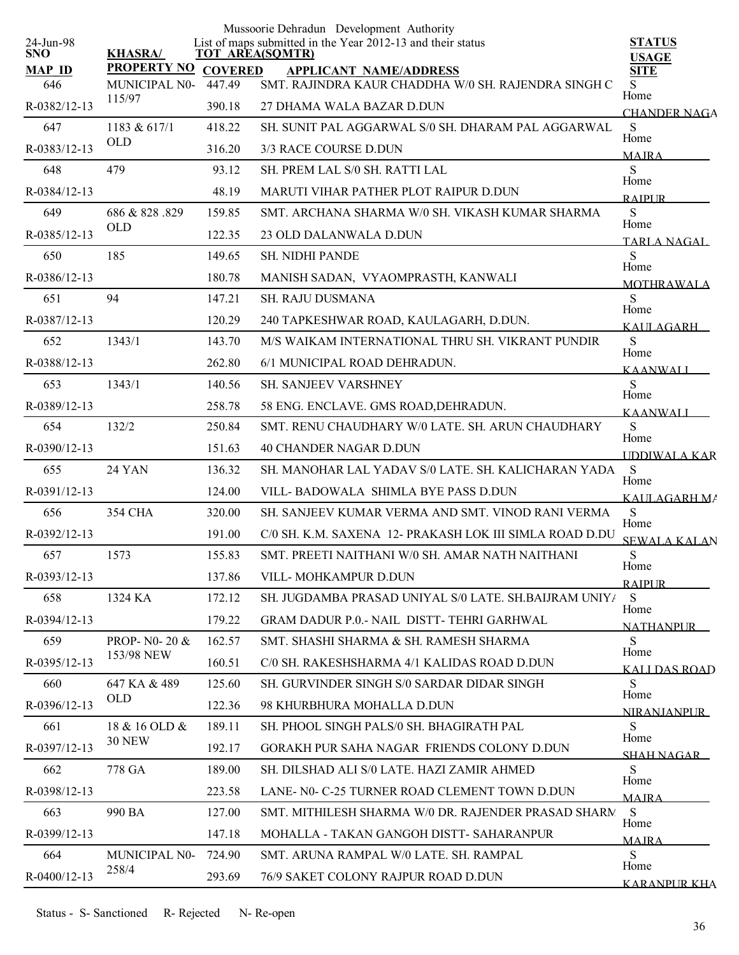|                         |                                     |                          | Mussoorie Dehradun Development Authority                                              |                                   |
|-------------------------|-------------------------------------|--------------------------|---------------------------------------------------------------------------------------|-----------------------------------|
| 24-Jun-98<br><b>SNO</b> | <b>KHASRA/</b>                      |                          | List of maps submitted in the Year 2012-13 and their status<br><b>TOT AREA(SQMTR)</b> | <b>STATUS</b><br><b>USAGE</b>     |
| <b>MAP ID</b><br>646    | <b>PROPERTY NO</b><br>MUNICIPAL N0- | <b>COVERED</b><br>447.49 | <b>APPLICANT NAME/ADDRESS</b><br>SMT. RAJINDRA KAUR CHADDHA W/0 SH. RAJENDRA SINGH C  | <b>SITE</b><br>S                  |
| R-0382/12-13            | 115/97                              | 390.18                   | 27 DHAMA WALA BAZAR D.DUN                                                             | Home                              |
| 647                     | 1183 & 617/1                        | 418.22                   | SH. SUNIT PAL AGGARWAL S/0 SH. DHARAM PAL AGGARWAL                                    | <b>CHANDER NAGA</b><br>S          |
| R-0383/12-13            | <b>OLD</b>                          | 316.20                   | 3/3 RACE COURSE D.DUN                                                                 | Home                              |
| 648                     | 479                                 | 93.12                    | SH. PREM LAL S/0 SH. RATTI LAL                                                        | <b>MAIRA</b><br>S                 |
| R-0384/12-13            |                                     | 48.19                    | MARUTI VIHAR PATHER PLOT RAIPUR D.DUN                                                 | Home                              |
| 649                     | 686 & 828 .829                      | 159.85                   | SMT. ARCHANA SHARMA W/0 SH. VIKASH KUMAR SHARMA                                       | <b>RAIPUR</b><br>S                |
| R-0385/12-13            | <b>OLD</b>                          | 122.35                   | 23 OLD DALANWALA D.DUN                                                                | Home                              |
| 650                     | 185                                 | 149.65                   | <b>SH. NIDHI PANDE</b>                                                                | TARLA NAGAL<br>S                  |
| R-0386/12-13            |                                     | 180.78                   | MANISH SADAN, VYAOMPRASTH, KANWALI                                                    | Home                              |
| 651                     | 94                                  | 147.21                   | <b>SH. RAJU DUSMANA</b>                                                               | <b>MOTHRAWALA</b><br><sub>S</sub> |
| R-0387/12-13            |                                     | 120.29                   | 240 TAPKESHWAR ROAD, KAULAGARH, D.DUN.                                                | Home                              |
| 652                     | 1343/1                              | 143.70                   | M/S WAIKAM INTERNATIONAL THRU SH. VIKRANT PUNDIR                                      | KAULAGARH –<br>S                  |
| R-0388/12-13            |                                     | 262.80                   | 6/1 MUNICIPAL ROAD DEHRADUN.                                                          | Home                              |
| 653                     | 1343/1                              | 140.56                   | <b>SH. SANJEEV VARSHNEY</b>                                                           | <b>KAANWALI</b><br>S              |
| R-0389/12-13            |                                     | 258.78                   | 58 ENG. ENCLAVE. GMS ROAD, DEHRADUN.                                                  | Home<br><b>KAANWALI</b>           |
| 654                     | 132/2                               | 250.84                   | SMT. RENU CHAUDHARY W/0 LATE. SH. ARUN CHAUDHARY                                      | S                                 |
| R-0390/12-13            |                                     | 151.63                   | <b>40 CHANDER NAGAR D.DUN</b>                                                         | Home<br><b>UDDIWALA KAR</b>       |
| 655                     | <b>24 YAN</b>                       | 136.32                   | SH. MANOHAR LAL YADAV S/0 LATE. SH. KALICHARAN YADA                                   | S                                 |
| R-0391/12-13            |                                     | 124.00                   | VILL-BADOWALA SHIMLA BYE PASS D.DUN                                                   | Home<br>KAULAGARH MA              |
| 656                     | 354 CHA                             | 320.00                   | SH. SANJEEV KUMAR VERMA AND SMT. VINOD RANI VERMA                                     | S                                 |
| R-0392/12-13            |                                     | 191.00                   | C/0 SH. K.M. SAXENA 12- PRAKASH LOK III SIMLA ROAD D.DU                               | Home<br><b>SEWALA KALAN</b>       |
| 657                     | 1573                                | 155.83                   | SMT. PREETI NAITHANI W/0 SH. AMAR NATH NAITHANI                                       | ${\bf S}$                         |
| $R - 0393/12 - 13$      |                                     | 137.86                   | VILL-MOHKAMPUR D.DUN                                                                  | Home<br><b>RAIPUR</b>             |
| 658                     | 1324 KA                             | 172.12                   | SH. JUGDAMBA PRASAD UNIYAL S/0 LATE. SH.BAIJRAM UNIY/                                 | S                                 |
| R-0394/12-13            |                                     | 179.22                   | GRAM DADUR P.O.- NAIL DISTT-TEHRI GARHWAL                                             | Home<br><b>NATHANPUR</b>          |
| 659                     | PROP- N0- 20 &                      | 162.57                   | SMT. SHASHI SHARMA & SH. RAMESH SHARMA                                                | S                                 |
| R-0395/12-13            | 153/98 NEW                          | 160.51                   | C/0 SH. RAKESHSHARMA 4/1 KALIDAS ROAD D.DUN                                           | Home<br>KALI DAS ROAD             |
| 660                     | 647 KA & 489                        | 125.60                   | SH. GURVINDER SINGH S/0 SARDAR DIDAR SINGH                                            | S                                 |
| R-0396/12-13            | <b>OLD</b>                          | 122.36                   | 98 KHURBHURA MOHALLA D.DUN                                                            | Home<br><b>NIRANIANPUR</b>        |
| 661                     | 18 & 16 OLD &                       | 189.11                   | SH. PHOOL SINGH PALS/0 SH. BHAGIRATH PAL                                              | S.                                |
| R-0397/12-13            | <b>30 NEW</b>                       | 192.17                   | GORAKH PUR SAHA NAGAR FRIENDS COLONY D.DUN                                            | Home<br>SHAH NAGAR                |
| 662                     | 778 GA                              | 189.00                   | SH. DILSHAD ALI S/0 LATE. HAZI ZAMIR AHMED                                            | S.                                |
| R-0398/12-13            |                                     | 223.58                   | LANE- N0- C-25 TURNER ROAD CLEMENT TOWN D.DUN                                         | Home<br><b>MAIRA</b>              |
| 663                     | 990 BA                              | 127.00                   | SMT. MITHILESH SHARMA W/0 DR. RAJENDER PRASAD SHARN.                                  | S                                 |
| R-0399/12-13            |                                     | 147.18                   | MOHALLA - TAKAN GANGOH DISTT- SAHARANPUR                                              | Home<br><b>MAJRA</b>              |
| 664                     | MUNICIPAL N0-                       | 724.90                   | SMT. ARUNA RAMPAL W/0 LATE, SH. RAMPAL                                                | <sub>S</sub><br>Home              |
| R-0400/12-13            | 258/4                               | 293.69                   | 76/9 SAKET COLONY RAJPUR ROAD D.DUN                                                   | <b>KARANPUR KHA</b>               |
|                         |                                     |                          |                                                                                       |                                   |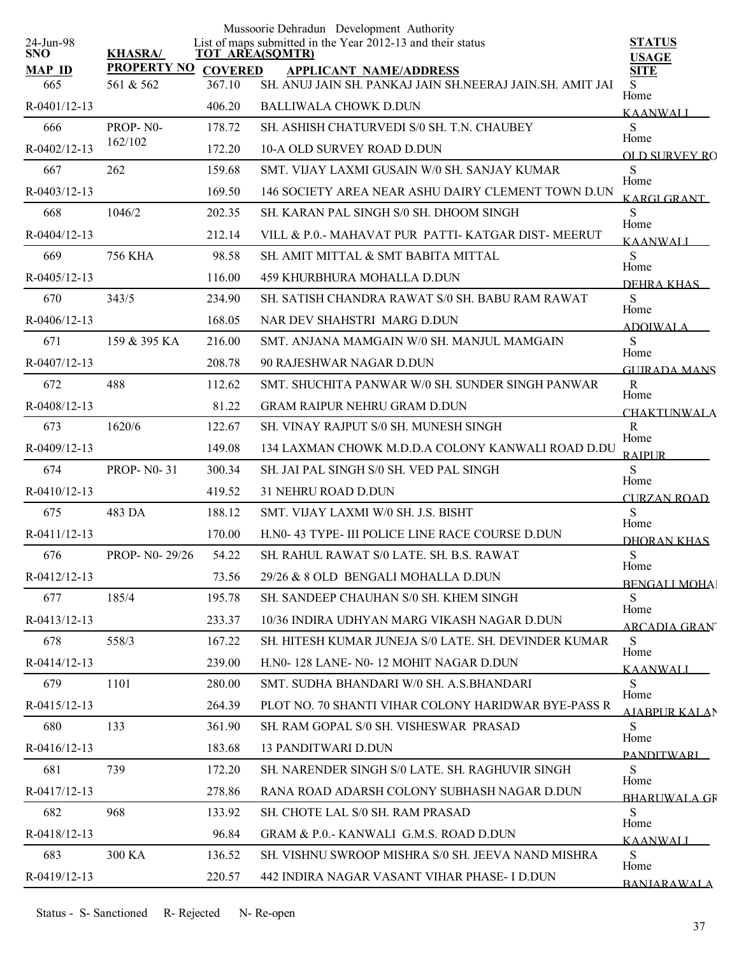| 24-Jun-98            |                                 |                          | Mussoorie Dehradun Development Authority<br>List of maps submitted in the Year 2012-13 and their status | <b>STATUS</b>                      |
|----------------------|---------------------------------|--------------------------|---------------------------------------------------------------------------------------------------------|------------------------------------|
| SNO.                 | <b>KHASRA/</b>                  |                          | <b>TOT AREA(SQMTR)</b>                                                                                  | <b>USAGE</b>                       |
| <b>MAP ID</b><br>665 | <b>PROPERTY NO</b><br>561 & 562 | <b>COVERED</b><br>367.10 | <b>APPLICANT NAME/ADDRESS</b><br>SH. ANUJ JAIN SH. PANKAJ JAIN SH.NEERAJ JAIN.SH. AMIT JAI              | <b>SITE</b><br>S                   |
| R-0401/12-13         |                                 | 406.20                   | <b>BALLIWALA CHOWK D.DUN</b>                                                                            | Home                               |
| 666                  | PROP-N0-                        | 178.72                   | SH. ASHISH CHATURVEDI S/0 SH. T.N. CHAUBEY                                                              | <b>KAANWALI</b><br>S               |
| R-0402/12-13         | 162/102                         | 172.20                   | 10-A OLD SURVEY ROAD D.DUN                                                                              | Home                               |
| 667                  | 262                             | 159.68                   | SMT. VIJAY LAXMI GUSAIN W/0 SH. SANJAY KUMAR                                                            | OLD SURVEY RO<br>S                 |
| R-0403/12-13         |                                 | 169.50                   | 146 SOCIETY AREA NEAR ASHU DAIRY CLEMENT TOWN D.UN                                                      | Home                               |
| 668                  | 1046/2                          | 202.35                   | SH. KARAN PAL SINGH S/0 SH. DHOOM SINGH                                                                 | KARGI GRANT<br>S                   |
| R-0404/12-13         |                                 | 212.14                   | VILL & P.O.- MAHAVAT PUR PATTI- KATGAR DIST- MEERUT                                                     | Home                               |
| 669                  | 756 KHA                         | 98.58                    | SH. AMIT MITTAL & SMT BABITA MITTAL                                                                     | <b>KAANWALI</b><br>S               |
| $R - 0405/12 - 13$   |                                 | 116.00                   | 459 KHURBHURA MOHALLA D.DUN                                                                             | Home                               |
| 670                  | 343/5                           | 234.90                   | SH. SATISH CHANDRA RAWAT S/0 SH. BABU RAM RAWAT                                                         | DEHRA KHAS<br>S                    |
| $R-0406/12-13$       |                                 | 168.05                   | NAR DEV SHAHSTRI MARG D.DUN                                                                             | Home                               |
| 671                  | 159 & 395 KA                    | 216.00                   | SMT. ANJANA MAMGAIN W/0 SH. MANJUL MAMGAIN                                                              | <b>ADOIWALA</b><br>${\bf S}$       |
| R-0407/12-13         |                                 | 208.78                   | 90 RAJESHWAR NAGAR D.DUN                                                                                | Home                               |
| 672                  | 488                             | 112.62                   | SMT. SHUCHITA PANWAR W/0 SH. SUNDER SINGH PANWAR                                                        | <b>GUIRADA MANS</b><br>$\mathbf R$ |
| R-0408/12-13         |                                 | 81.22                    | <b>GRAM RAIPUR NEHRU GRAM D.DUN</b>                                                                     | Home                               |
| 673                  | 1620/6                          | 122.67                   | SH. VINAY RAJPUT S/0 SH. MUNESH SINGH                                                                   | <b>CHAKTUNWALA</b><br>$\mathbf R$  |
| R-0409/12-13         |                                 | 149.08                   | 134 LAXMAN CHOWK M.D.D.A COLONY KANWALI ROAD D.DU                                                       | Home                               |
| 674                  | <b>PROP-N0-31</b>               | 300.34                   | SH. JAI PAL SINGH S/0 SH. VED PAL SINGH                                                                 | <b>RAIPUR</b><br>S                 |
|                      |                                 |                          |                                                                                                         | Home                               |
| R-0410/12-13         |                                 | 419.52                   | <b>31 NEHRU ROAD D.DUN</b>                                                                              | <b>CURZAN ROAD</b>                 |
| 675                  | 483 DA                          | 188.12                   | SMT. VIJAY LAXMI W/0 SH. J.S. BISHT                                                                     | S<br>Home                          |
| $R-0411/12-13$       |                                 | 170.00                   | H.NO- 43 TYPE- III POLICE LINE RACE COURSE D.DUN                                                        | DHORAN KHAS                        |
| 676                  | PROP- N0-29/26                  | 54.22                    | SH. RAHUL RAWAT S/0 LATE, SH. B.S. RAWAT                                                                | ${\bf S}$<br>Home                  |
| R-0412/12-13         |                                 | 73.56                    | 29/26 & 8 OLD BENGALI MOHALLA D.DUN                                                                     | <b>BENGALI MOHA</b>                |
| 677                  | 185/4                           | 195.78                   | SH. SANDEEP CHAUHAN S/0 SH. KHEM SINGH                                                                  | S<br>Home                          |
| R-0413/12-13         |                                 | 233.37                   | 10/36 INDIRA UDHYAN MARG VIKASH NAGAR D.DUN                                                             | <u>ARCADIA GRAN'</u>               |
| 678                  | 558/3                           | 167.22                   | SH. HITESH KUMAR JUNEJA S/0 LATE. SH. DEVINDER KUMAR                                                    | S<br>Home                          |
| R-0414/12-13         |                                 | 239.00                   | H.NO-128 LANE-NO-12 MOHIT NAGAR D.DUN                                                                   | KAANWALI                           |
| 679                  | 1101                            | 280.00                   | SMT. SUDHA BHANDARI W/0 SH. A.S.BHANDARI                                                                | S                                  |
| R-0415/12-13         |                                 | 264.39                   | PLOT NO. 70 SHANTI VIHAR COLONY HARIDWAR BYE-PASS R                                                     | Home<br>A JARPUR KALAN             |
| 680                  | 133                             | 361.90                   | SH. RAM GOPAL S/0 SH. VISHESWAR PRASAD                                                                  | S                                  |
| R-0416/12-13         |                                 | 183.68                   | <b>13 PANDITWARI D.DUN</b>                                                                              | Home<br>PANDITWARI                 |
| 681                  | 739                             | 172.20                   | SH. NARENDER SINGH S/0 LATE. SH. RAGHUVIR SINGH                                                         | S                                  |
| R-0417/12-13         |                                 | 278.86                   | RANA ROAD ADARSH COLONY SUBHASH NAGAR D.DUN                                                             | Home<br><b>BHARLIWALA GR</b>       |
| 682                  | 968                             | 133.92                   | SH. CHOTE LAL S/0 SH. RAM PRASAD                                                                        | S                                  |
| R-0418/12-13         |                                 | 96.84                    | GRAM & P.O.- KANWALI G.M.S. ROAD D.DUN                                                                  | Home<br><b>KAANWALI</b>            |
| 683                  | 300 KA                          | 136.52                   | SH. VISHNU SWROOP MISHRA S/0 SH. JEEVA NAND MISHRA                                                      | S                                  |
| R-0419/12-13         |                                 | 220.57                   | 442 INDIRA NAGAR VASANT VIHAR PHASE- I D.DUN                                                            | Home<br><b>BANIARAWALA</b>         |
|                      |                                 |                          |                                                                                                         |                                    |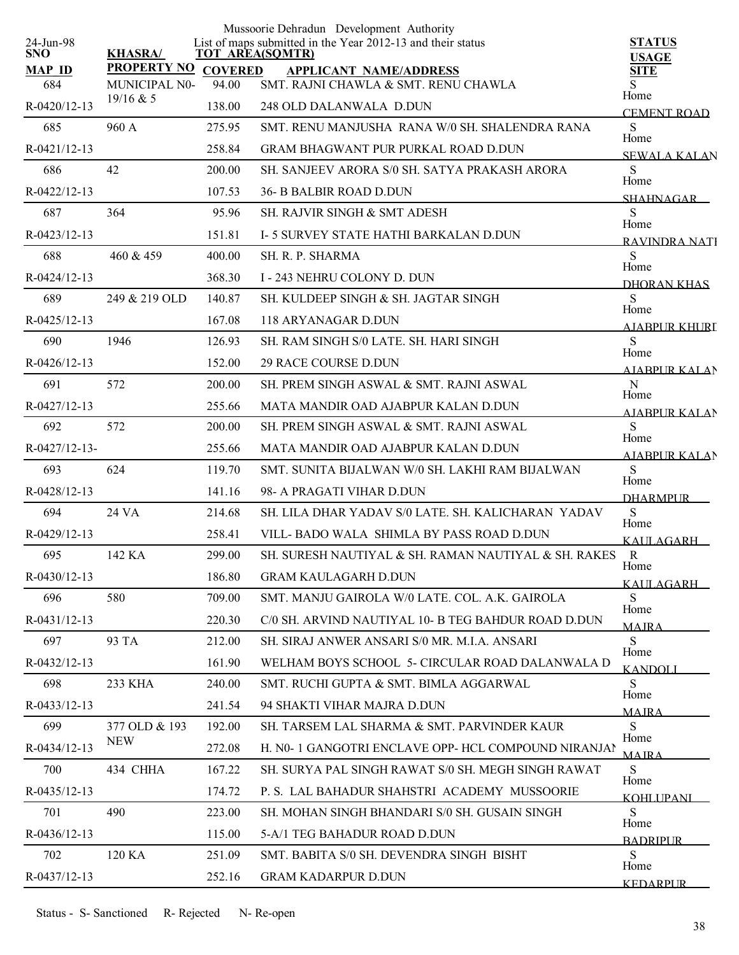|                         |                    |                | Mussoorie Dehradun Development Authority                                              |                               |
|-------------------------|--------------------|----------------|---------------------------------------------------------------------------------------|-------------------------------|
| 24-Jun-98<br><b>SNO</b> | <b>KHASRA/</b>     |                | List of maps submitted in the Year 2012-13 and their status<br><b>TOT AREA(SQMTR)</b> | <b>STATUS</b><br><b>USAGE</b> |
| <b>MAP ID</b>           | <b>PROPERTY NO</b> | <b>COVERED</b> | <b>APPLICANT NAME/ADDRESS</b>                                                         | SITE                          |
| 684                     | MUNICIPAL N0-      | 94.00          | SMT. RAJNI CHAWLA & SMT. RENU CHAWLA                                                  | Home                          |
| R-0420/12-13            | 19/16 & 5          | 138.00         | 248 OLD DALANWALA D.DUN                                                               | <b>CEMENT ROAD</b>            |
| 685                     | 960 A              | 275.95         | SMT. RENU MANJUSHA RANA W/0 SH. SHALENDRA RANA                                        | S<br>Home                     |
| R-0421/12-13            |                    | 258.84         | <b>GRAM BHAGWANT PUR PURKAL ROAD D.DUN</b>                                            | <b>SEWALA KALAN</b>           |
| 686                     | 42                 | 200.00         | SH. SANJEEV ARORA S/0 SH. SATYA PRAKASH ARORA                                         | S                             |
| R-0422/12-13            |                    | 107.53         | <b>36- B BALBIR ROAD D.DUN</b>                                                        | Home<br><b>SHAHNAGAR</b>      |
| 687                     | 364                | 95.96          | SH. RAJVIR SINGH & SMT ADESH                                                          | S                             |
| R-0423/12-13            |                    | 151.81         | I-5 SURVEY STATE HATHI BARKALAN D.DUN                                                 | Home<br>RAVINDRA NATI         |
| 688                     | 460 & 459          | 400.00         | SH. R. P. SHARMA                                                                      | S                             |
| R-0424/12-13            |                    | 368.30         | I - 243 NEHRU COLONY D. DUN                                                           | Home<br>DHORAN KHAS           |
| 689                     | 249 & 219 OLD      | 140.87         | SH. KULDEEP SINGH & SH. JAGTAR SINGH                                                  | S.                            |
| $R - 0425/12 - 13$      |                    | 167.08         | 118 ARYANAGAR D.DUN                                                                   | Home<br><b>AJABPUR KHURL</b>  |
| 690                     | 1946               | 126.93         | SH. RAM SINGH S/0 LATE. SH. HARI SINGH                                                | S                             |
| $R-0426/12-13$          |                    | 152.00         | <b>29 RACE COURSE D.DUN</b>                                                           | Home<br><b>AIABPUR KALAN</b>  |
| 691                     | 572                | 200.00         | SH. PREM SINGH ASWAL & SMT. RAJNI ASWAL                                               | $\mathbf N$                   |
| R-0427/12-13            |                    | 255.66         | MATA MANDIR OAD AJABPUR KALAN D.DUN                                                   | Home<br><b>AIABPUR KALAN</b>  |
| 692                     | 572                | 200.00         | SH. PREM SINGH ASWAL & SMT. RAJNI ASWAL                                               | <sub>S</sub>                  |
| R-0427/12-13-           |                    | 255.66         | MATA MANDIR OAD AJABPUR KALAN D.DUN                                                   | Home                          |
| 693                     | 624                | 119.70         | SMT. SUNITA BIJALWAN W/0 SH. LAKHI RAM BIJALWAN                                       | <b>AJABPUR KALAN</b><br>S     |
| R-0428/12-13            |                    | 141.16         | 98- A PRAGATI VIHAR D.DUN                                                             | Home                          |
| 694                     | 24 VA              | 214.68         | SH. LILA DHAR YADAV S/0 LATE, SH. KALICHARAN YADAV                                    | <b>DHARMPUR</b><br>S          |
| R-0429/12-13            |                    | 258.41         | VILL-BADO WALA SHIMLA BY PASS ROAD D.DUN                                              | Home                          |
| 695                     | 142 KA             | 299.00         | SH. SURESH NAUTIYAL & SH. RAMAN NAUTIYAL & SH. RAKES                                  | KAULAGARH<br>$\mathbb{R}$     |
| $R - 0430/12 - 13$      |                    | 186.80         | <b>GRAM KAULAGARH D.DUN</b>                                                           | Home                          |
| 696                     | 580                | 709.00         | SMT. MANJU GAIROLA W/0 LATE. COL. A.K. GAIROLA                                        | KAULAGARH<br><sub>S</sub>     |
| $R-0431/12-13$          |                    | 220.30         | C/0 SH. ARVIND NAUTIYAL 10- B TEG BAHDUR ROAD D.DUN                                   | Home                          |
| 697                     | 93 TA              | 212.00         | SH. SIRAJ ANWER ANSARI S/0 MR. M.I.A. ANSARI                                          | <b>MAJRA</b><br>S             |
| R-0432/12-13            |                    | 161.90         | WELHAM BOYS SCHOOL 5- CIRCULAR ROAD DALANWALA D                                       | Home                          |
| 698                     | 233 KHA            | 240.00         | SMT. RUCHI GUPTA & SMT. BIMLA AGGARWAL                                                | <b>KANDOLI</b><br>S.          |
| $R - 0433/12 - 13$      |                    | 241.54         | 94 SHAKTI VIHAR MAJRA D.DUN                                                           | Home                          |
| 699                     | 377 OLD & 193      | 192.00         | SH. TARSEM LAL SHARMA & SMT. PARVINDER KAUR                                           | <b>MAIRA</b><br>S             |
| R-0434/12-13            | <b>NEW</b>         | 272.08         | H. N0- 1 GANGOTRI ENCLAVE OPP- HCL COMPOUND NIRANJAN                                  | Home                          |
| 700                     | 434 CHHA           | 167.22         | SH. SURYA PAL SINGH RAWAT S/0 SH. MEGH SINGH RAWAT                                    | <b>MAIRA</b><br>S             |
| R-0435/12-13            |                    | 174.72         | P. S. LAL BAHADUR SHAHSTRI ACADEMY MUSSOORIE                                          | Home                          |
| 701                     | 490                | 223.00         | SH. MOHAN SINGH BHANDARI S/0 SH. GUSAIN SINGH                                         | KOHLIPANI<br>S.               |
| R-0436/12-13            |                    | 115.00         | 5-A/1 TEG BAHADUR ROAD D.DUN                                                          | Home                          |
| 702                     | 120 KA             | 251.09         | SMT. BABITA S/0 SH. DEVENDRA SINGH BISHT                                              | <b>BADRIPUR</b><br>S          |
| R-0437/12-13            |                    | 252.16         | <b>GRAM KADARPUR D.DUN</b>                                                            | Home                          |
|                         |                    |                |                                                                                       | <b>KEDARPLIR</b>              |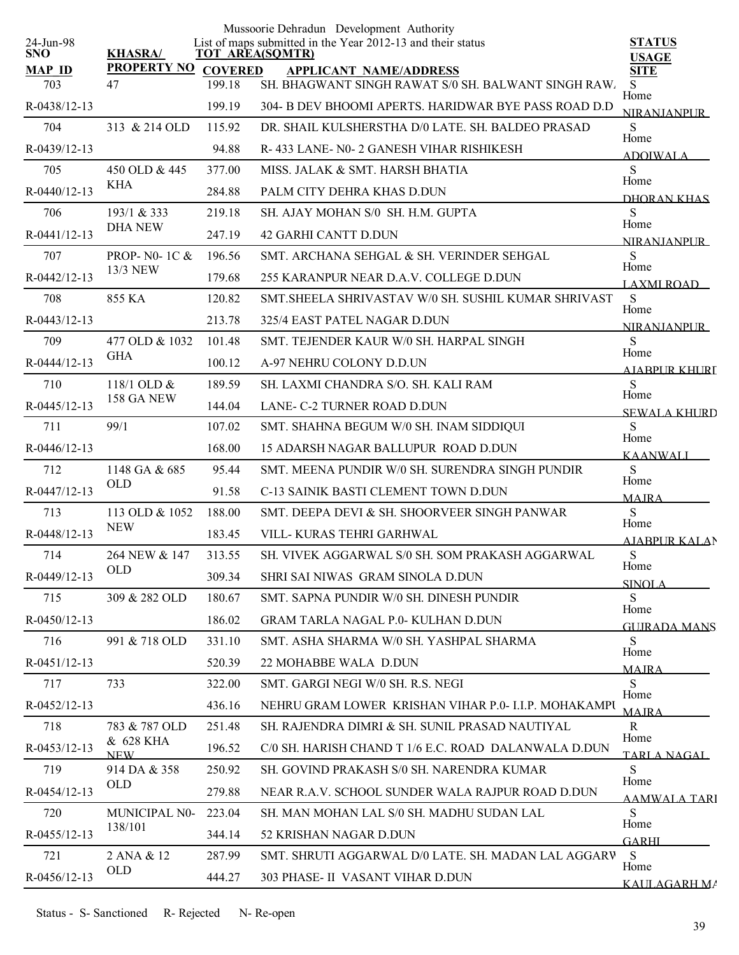|                         |                            |                | Mussoorie Dehradun Development Authority                                              |                               |
|-------------------------|----------------------------|----------------|---------------------------------------------------------------------------------------|-------------------------------|
| 24-Jun-98<br><b>SNO</b> | <b>KHASRA/</b>             |                | List of maps submitted in the Year 2012-13 and their status<br><b>TOT AREA(SQMTR)</b> | <b>STATUS</b><br><b>USAGE</b> |
| <b>MAP ID</b>           | <b>PROPERTY NO</b>         | <b>COVERED</b> | <b>APPLICANT NAME/ADDRESS</b>                                                         | <b>SITE</b>                   |
| 703                     | 47                         | 199.18         | SH. BHAGWANT SINGH RAWAT S/0 SH. BALWANT SINGH RAW.                                   | <sub>S</sub><br>Home          |
| R-0438/12-13            |                            | 199.19         | 304- B DEV BHOOMI APERTS. HARIDWAR BYE PASS ROAD D.D                                  | <b>NIRANIANPUR</b>            |
| 704                     | 313 & 214 OLD              | 115.92         | DR. SHAIL KULSHERSTHA D/0 LATE. SH. BALDEO PRASAD                                     | S<br>Home                     |
| R-0439/12-13            |                            | 94.88          | R-433 LANE- N0-2 GANESH VIHAR RISHIKESH                                               | <b>ADOIWALA</b>               |
| 705                     | 450 OLD & 445              | 377.00         | MISS. JALAK & SMT. HARSH BHATIA                                                       | S                             |
| R-0440/12-13            | KHA                        | 284.88         | PALM CITY DEHRA KHAS D.DUN                                                            | Home<br>DHORAN KHAS           |
| 706                     | 193/1 & 333                | 219.18         | SH. AJAY MOHAN S/0 SH. H.M. GUPTA                                                     | S                             |
| R-0441/12-13            | <b>DHA NEW</b>             | 247.19         | <b>42 GARHI CANTT D.DUN</b>                                                           | Home<br><b>NIRANIANPLIR</b>   |
| 707                     | PROP- $N0-1C$ &            | 196.56         | SMT. ARCHANA SEHGAL & SH. VERINDER SEHGAL                                             | S                             |
| R-0442/12-13            | 13/3 NEW                   | 179.68         | 255 KARANPUR NEAR D.A.V. COLLEGE D.DUN                                                | Home<br>LAXMI ROAD            |
| 708                     | 855 KA                     | 120.82         | SMT. SHEELA SHRIVASTAV W/0 SH. SUSHIL KUMAR SHRIVAST                                  | S                             |
| R-0443/12-13            |                            | 213.78         | 325/4 EAST PATEL NAGAR D.DUN                                                          | Home<br><b>NIRANJANPUR</b>    |
| 709                     | 477 OLD & 1032             | 101.48         | SMT. TEJENDER KAUR W/0 SH. HARPAL SINGH                                               | S                             |
| R-0444/12-13            | <b>GHA</b>                 | 100.12         | A-97 NEHRU COLONY D.D.UN                                                              | Home<br>A JABPUR KHURI        |
| 710                     | 118/1 OLD &                | 189.59         | SH. LAXMI CHANDRA S/O. SH. KALI RAM                                                   | S                             |
| R-0445/12-13            | 158 GA NEW                 | 144.04         | LANE- C-2 TURNER ROAD D.DUN                                                           | Home                          |
| 711                     | 99/1                       | 107.02         | SMT. SHAHNA BEGUM W/0 SH. INAM SIDDIQUI                                               | <b>SEWALA KHURD</b><br>S      |
| R-0446/12-13            |                            | 168.00         | 15 ADARSH NAGAR BALLUPUR ROAD D.DUN                                                   | Home                          |
| 712                     | 1148 GA & 685              | 95.44          | SMT. MEENA PUNDIR W/0 SH. SURENDRA SINGH PUNDIR                                       | <b>KAANWALI</b><br>S          |
| R-0447/12-13            | <b>OLD</b>                 | 91.58          | C-13 SAINIK BASTI CLEMENT TOWN D.DUN                                                  | Home                          |
| 713                     | 113 OLD & 1052             | 188.00         | SMT. DEEPA DEVI & SH. SHOORVEER SINGH PANWAR                                          | <b>MAJRA</b><br>S             |
| R-0448/12-13            | <b>NEW</b>                 | 183.45         | VILL-KURAS TEHRI GARHWAL                                                              | Home                          |
| 714                     | 264 NEW & 147              | 313.55         | SH. VIVEK AGGARWAL S/0 SH. SOM PRAKASH AGGARWAL                                       | <b>AJABPUR KALAN</b><br>S     |
| R-0449/12-13            | <b>OLD</b>                 | 309.34         | SHRI SAI NIWAS GRAM SINOLA D.DUN                                                      | Home                          |
| 715                     | 309 & 282 OLD              | 180.67         | SMT. SAPNA PUNDIR W/0 SH. DINESH PUNDIR                                               | <b>SINOLA</b><br>S            |
| $R-0450/12-13$          |                            | 186.02         | GRAM TARLA NAGAL P.0- KULHAN D.DUN                                                    | Home                          |
| 716                     | 991 & 718 OLD              | 331.10         | SMT. ASHA SHARMA W/0 SH. YASHPAL SHARMA                                               | <b>GUIRADA MANS</b><br>S      |
| $R-0451/12-13$          |                            | 520.39         | 22 MOHABBE WALA D.DUN                                                                 | Home                          |
| 717                     | 733                        | 322.00         | SMT. GARGI NEGI W/0 SH. R.S. NEGI                                                     | <b>MAIRA</b><br>S             |
| R-0452/12-13            |                            | 436.16         | NEHRU GRAM LOWER KRISHAN VIHAR P.0-I.I.P. MOHAKAMPU                                   | Home                          |
| 718                     | 783 & 787 OLD              | 251.48         | SH. RAJENDRA DIMRI & SH. SUNIL PRASAD NAUTIYAL                                        | <b>MAIRA</b><br>$\mathbf{R}$  |
| R-0453/12-13            | & 628 KHA                  | 196.52         | C/0 SH. HARISH CHAND T 1/6 E.C. ROAD DALANWALA D.DUN                                  | Home                          |
| 719                     | <b>NEW</b><br>914 DA & 358 |                | SH. GOVIND PRAKASH S/0 SH. NARENDRA KUMAR                                             | TARLA NAGAL.<br>S             |
|                         | OLD                        | 250.92         |                                                                                       | Home                          |
| R-0454/12-13            |                            | 279.88         | NEAR R.A.V. SCHOOL SUNDER WALA RAJPUR ROAD D.DUN                                      | AAMWALA TARI                  |
| 720                     | MUNICIPAL N0-<br>138/101   | 223.04         | SH. MAN MOHAN LAL S/0 SH. MADHU SUDAN LAL                                             | S<br>Home                     |
| R-0455/12-13            |                            | 344.14         | 52 KRISHAN NAGAR D.DUN                                                                | <b>GARHI</b>                  |
| 721                     | 2 ANA & 12<br>OLD          | 287.99         | SMT. SHRUTI AGGARWAL D/0 LATE. SH. MADAN LAL AGGARV                                   | -S<br>Home                    |
| R-0456/12-13            |                            | 444.27         | 303 PHASE- II VASANT VIHAR D.DUN                                                      | KAULAGARH MA                  |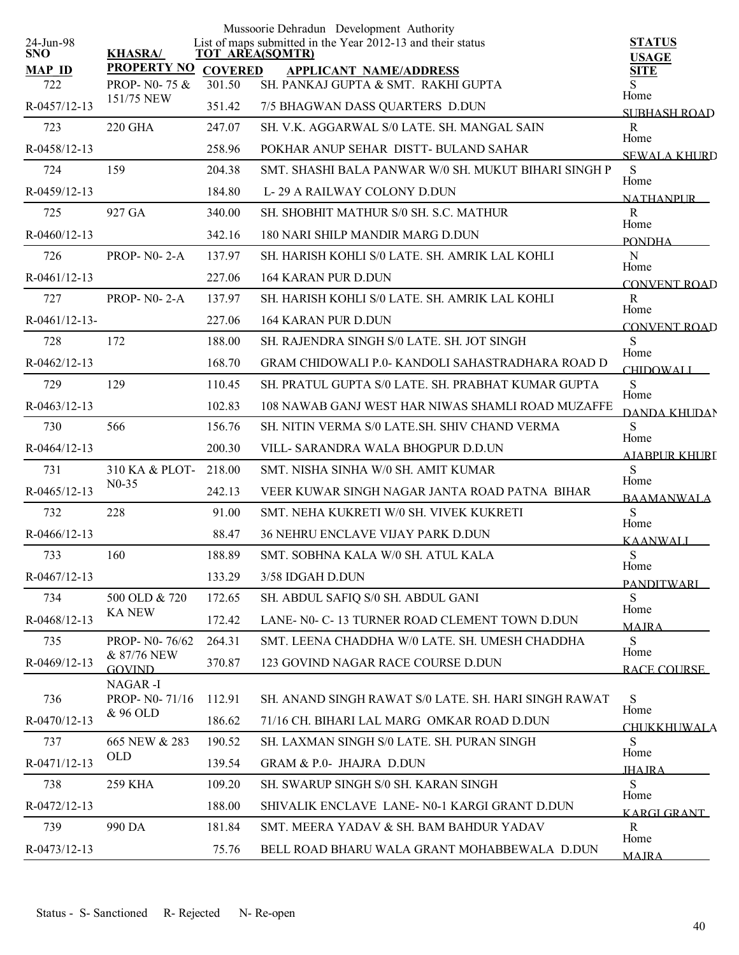|                         |                          |                | Mussoorie Dehradun Development Authority                                              |                                    |
|-------------------------|--------------------------|----------------|---------------------------------------------------------------------------------------|------------------------------------|
| 24-Jun-98<br><b>SNO</b> | <b>KHASRA/</b>           |                | List of maps submitted in the Year 2012-13 and their status<br><b>TOT AREA(SQMTR)</b> | <b>STATUS</b>                      |
| <b>MAP ID</b>           | <b>PROPERTY NO</b>       | <b>COVERED</b> | <b>APPLICANT NAME/ADDRESS</b>                                                         | <b>USAGE</b><br><b>SITE</b>        |
| 722                     | PROP- N0-75 &            | 301.50         | SH. PANKAJ GUPTA & SMT. RAKHI GUPTA                                                   | S<br>Home                          |
| R-0457/12-13            | 151/75 NEW               | 351.42         | 7/5 BHAGWAN DASS QUARTERS D.DUN                                                       | <b>SUBHASH ROAD</b>                |
| 723                     | <b>220 GHA</b>           | 247.07         | SH. V.K. AGGARWAL S/0 LATE. SH. MANGAL SAIN                                           | R                                  |
| R-0458/12-13            |                          | 258.96         | POKHAR ANUP SEHAR DISTT- BULAND SAHAR                                                 | Home<br><b>SEWALA KHURD</b>        |
| 724                     | 159                      | 204.38         | SMT. SHASHI BALA PANWAR W/0 SH. MUKUT BIHARI SINGH P                                  | S                                  |
| R-0459/12-13            |                          | 184.80         | L-29 A RAILWAY COLONY D.DUN                                                           | Home<br><b>NATHANPUR</b>           |
| 725                     | 927 GA                   | 340.00         | SH. SHOBHIT MATHUR S/0 SH. S.C. MATHUR                                                | $\mathbf R$                        |
| R-0460/12-13            |                          | 342.16         | 180 NARI SHILP MANDIR MARG D.DUN                                                      | Home<br><b>PONDHA</b>              |
| 726                     | <b>PROP-N0-2-A</b>       | 137.97         | SH. HARISH KOHLI S/0 LATE. SH. AMRIK LAL KOHLI                                        | ${\bf N}$                          |
| R-0461/12-13            |                          | 227.06         | <b>164 KARAN PUR D.DUN</b>                                                            | Home<br>CONVENT ROAD               |
| 727                     | <b>PROP-N0-2-A</b>       | 137.97         | SH. HARISH KOHLI S/0 LATE. SH. AMRIK LAL KOHLI                                        | $\mathbf R$                        |
| $R-0461/12-13-$         |                          | 227.06         | <b>164 KARAN PUR D.DUN</b>                                                            | Home<br><b>CONVENT ROAD</b>        |
| 728                     | 172                      | 188.00         | SH. RAJENDRA SINGH S/0 LATE. SH. JOT SINGH                                            | S                                  |
| $R - 0462/12 - 13$      |                          | 168.70         | GRAM CHIDOWALI P.0- KANDOLI SAHASTRADHARA ROAD D                                      | Home<br><b>CHIDOWALI</b>           |
| 729                     | 129                      | 110.45         | SH. PRATUL GUPTA S/0 LATE. SH. PRABHAT KUMAR GUPTA                                    | S                                  |
| R-0463/12-13            |                          | 102.83         | 108 NAWAB GANJ WEST HAR NIWAS SHAMLI ROAD MUZAFFE                                     | Home                               |
| 730                     | 566                      | 156.76         | SH. NITIN VERMA S/0 LATE.SH. SHIV CHAND VERMA                                         | DANDA KHUDAN<br>S                  |
| $R-0464/12-13$          |                          | 200.30         | VILL- SARANDRA WALA BHOGPUR D.D.UN                                                    | Home                               |
| 731                     | 310 KA & PLOT-           | 218.00         | SMT. NISHA SINHA W/0 SH. AMIT KUMAR                                                   | AJABPUR KHURI<br>S                 |
| R-0465/12-13            | $N0-35$                  | 242.13         | VEER KUWAR SINGH NAGAR JANTA ROAD PATNA BIHAR                                         | Home                               |
| 732                     | 228                      | 91.00          | SMT. NEHA KUKRETI W/0 SH. VIVEK KUKRETI                                               | <b>BAAMANWALA</b><br>S             |
| $R-0466/12-13$          |                          | 88.47          | <b>36 NEHRU ENCLAVE VIJAY PARK D.DUN</b>                                              | Home                               |
| 733                     | 160                      | 188.89         | SMT. SOBHNA KALA W/0 SH. ATUL KALA                                                    | <b>KAANWALI</b><br>S               |
| R-0467/12-13            |                          | 133.29         | 3/58 IDGAH D.DUN                                                                      | Home                               |
| 734                     | 500 OLD & 720            | 172.65         | SH. ABDUL SAFIQ S/0 SH. ABDUL GANI                                                    | PANDITWARI<br>S                    |
| R-0468/12-13            | <b>KA NEW</b>            | 172.42         | LANE- N0- C-13 TURNER ROAD CLEMENT TOWN D.DUN                                         | Home                               |
| 735                     | PROP- N0-76/62           | 264.31         | SMT. LEENA CHADDHA W/0 LATE. SH. UMESH CHADDHA                                        | <b>MAJRA</b><br>S                  |
| R-0469/12-13            | & 87/76 NEW              | 370.87         | 123 GOVIND NAGAR RACE COURSE D.DUN                                                    | Home                               |
|                         | <b>GOVIND</b><br>NAGAR-I |                |                                                                                       | <b>RACE COURSE</b>                 |
| 736                     | PROP- N0-71/16           | 112.91         | SH. ANAND SINGH RAWAT S/0 LATE. SH. HARI SINGH RAWAT                                  | S                                  |
| R-0470/12-13            | & 96 OLD                 | 186.62         | 71/16 CH. BIHARI LAL MARG OMKAR ROAD D.DUN                                            | Home                               |
| 737                     | 665 NEW & 283            | 190.52         | SH. LAXMAN SINGH S/0 LATE. SH. PURAN SINGH                                            | <b>CHUKKHUWALA</b><br>S            |
| R-0471/12-13            | <b>OLD</b>               | 139.54         | GRAM & P.0- JHAJRA D.DUN                                                              | Home                               |
| 738                     | <b>259 KHA</b>           | 109.20         | SH. SWARUP SINGH S/0 SH. KARAN SINGH                                                  | <b>IHAIRA</b><br>S                 |
| R-0472/12-13            |                          | 188.00         | SHIVALIK ENCLAVE LANE-N0-1 KARGI GRANT D.DUN                                          | Home                               |
| 739                     | 990 DA                   | 181.84         | SMT. MEERA YADAV & SH. BAM BAHDUR YADAV                                               | <b>KARGI GRANT</b><br>$\mathbb{R}$ |
| R-0473/12-13            |                          | 75.76          | BELL ROAD BHARU WALA GRANT MOHABBEWALA D.DUN                                          | Home                               |
|                         |                          |                |                                                                                       | <b>MAIRA</b>                       |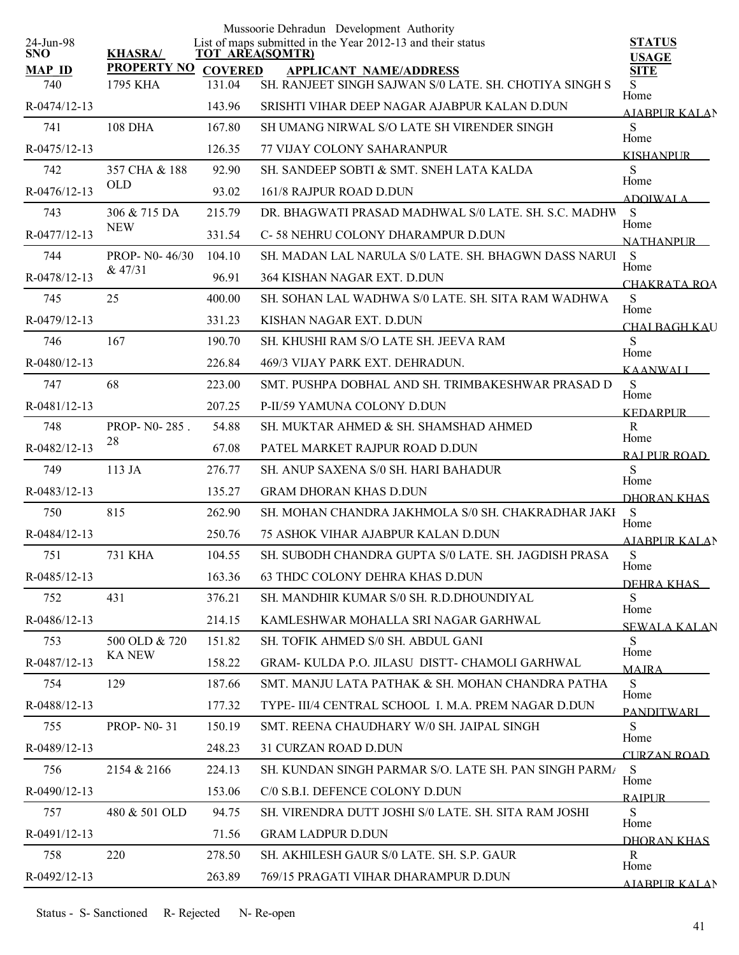|                         |                    |                | Mussoorie Dehradun Development Authority                                       |                               |
|-------------------------|--------------------|----------------|--------------------------------------------------------------------------------|-------------------------------|
| 24-Jun-98<br><b>SNO</b> | <b>KHASRA/</b>     |                | List of maps submitted in the Year 2012-13 and their status<br>TOT AREA(SQMTR) | <b>STATUS</b><br><b>USAGE</b> |
| <b>MAP ID</b>           | <b>PROPERTY NO</b> | <b>COVERED</b> | <b>APPLICANT NAME/ADDRESS</b>                                                  | <b>SITE</b>                   |
| 740                     | 1795 KHA           | 131.04         | SH. RANJEET SINGH SAJWAN S/0 LATE. SH. CHOTIYA SINGH S                         | S<br>Home                     |
| R-0474/12-13            |                    | 143.96         | SRISHTI VIHAR DEEP NAGAR AJABPUR KALAN D.DUN                                   | AJABPUR KALAN                 |
| 741                     | <b>108 DHA</b>     | 167.80         | SH UMANG NIRWAL S/O LATE SH VIRENDER SINGH                                     | S                             |
| R-0475/12-13            |                    | 126.35         | 77 VIJAY COLONY SAHARANPUR                                                     | Home<br><b>KISHANPUR</b>      |
| 742                     | 357 CHA & 188      | 92.90          | SH. SANDEEP SOBTI & SMT. SNEH LATA KALDA                                       | S                             |
| R-0476/12-13            | <b>OLD</b>         | 93.02          | 161/8 RAJPUR ROAD D.DUN                                                        | Home<br><b>ADOIWALA</b>       |
| 743                     | 306 & 715 DA       | 215.79         | DR. BHAGWATI PRASAD MADHWAL S/0 LATE. SH. S.C. MADHW                           | S                             |
| R-0477/12-13            | <b>NEW</b>         | 331.54         | C-58 NEHRU COLONY DHARAMPUR D.DUN                                              | Home<br><b>NATHANPLIR</b>     |
| 744                     | PROP- N0-46/30     | 104.10         | SH. MADAN LAL NARULA S/0 LATE. SH. BHAGWN DASS NARUI                           | S                             |
| R-0478/12-13            | & 47/31            | 96.91          | 364 KISHAN NAGAR EXT. D.DUN                                                    | Home<br>CHAKRATA ROA          |
| 745                     | 25                 | 400.00         | SH. SOHAN LAL WADHWA S/0 LATE. SH. SITA RAM WADHWA                             | S                             |
| R-0479/12-13            |                    | 331.23         | KISHAN NAGAR EXT. D.DUN                                                        | Home<br>CHAI BAGH KAU         |
| 746                     | 167                | 190.70         | SH. KHUSHI RAM S/O LATE SH. JEEVA RAM                                          | S                             |
| R-0480/12-13            |                    | 226.84         | 469/3 VIJAY PARK EXT. DEHRADUN.                                                | Home<br><b>KAANWALI</b>       |
| 747                     | 68                 | 223.00         | SMT. PUSHPA DOBHAL AND SH. TRIMBAKESHWAR PRASAD D                              | S                             |
| R-0481/12-13            |                    | 207.25         | P-II/59 YAMUNA COLONY D.DUN                                                    | Home<br><b>KEDARPLIR</b>      |
| 748                     | PROP-N0-285.       | 54.88          | SH. MUKTAR AHMED & SH. SHAMSHAD AHMED                                          | $\mathbf R$                   |
| R-0482/12-13            | 28                 | 67.08          | PATEL MARKET RAJPUR ROAD D.DUN                                                 | Home                          |
| 749                     | 113 JA             | 276.77         | SH. ANUP SAXENA S/0 SH. HARI BAHADUR                                           | RAI PUR ROAD<br>S             |
| R-0483/12-13            |                    | 135.27         | <b>GRAM DHORAN KHAS D.DUN</b>                                                  | Home                          |
| 750                     | 815                | 262.90         | SH. MOHAN CHANDRA JAKHMOLA S/0 SH. CHAKRADHAR JAKI                             | <b>DHORAN KHAS</b><br>S       |
| R-0484/12-13            |                    | 250.76         | 75 ASHOK VIHAR AJABPUR KALAN D.DUN                                             | Home                          |
| 751                     | <b>731 KHA</b>     | 104.55         | SH. SUBODH CHANDRA GUPTA S/0 LATE. SH. JAGDISH PRASA                           | <b>AJABPUR KALAN</b><br>S     |
| R-0485/12-13            |                    | 163.36         | <b>63 THDC COLONY DEHRA KHAS D.DUN</b>                                         | Home                          |
| 752                     | 431                | 376.21         | SH. MANDHIR KUMAR S/0 SH. R.D.DHOUNDIYAL                                       | DEHRA KHAS<br>S               |
| R-0486/12-13            |                    | 214.15         | KAMLESHWAR MOHALLA SRI NAGAR GARHWAL                                           | Home                          |
| 753                     | 500 OLD & 720      | 151.82         | SH. TOFIK AHMED S/0 SH. ABDUL GANI                                             | <b>SEWALA KALAN</b><br>S.     |
| R-0487/12-13            | <b>KA NEW</b>      | 158.22         | GRAM-KULDA P.O. JILASU DISTT- CHAMOLI GARHWAL                                  | Home                          |
| 754                     | 129                | 187.66         | SMT. MANJU LATA PATHAK & SH. MOHAN CHANDRA PATHA                               | <b>MAIRA</b><br>S             |
| R-0488/12-13            |                    | 177.32         | TYPE- III/4 CENTRAL SCHOOL I. M.A. PREM NAGAR D.DUN                            | Home                          |
| 755                     | <b>PROP-N0-31</b>  | 150.19         | SMT. REENA CHAUDHARY W/0 SH. JAIPAL SINGH                                      | <b>PANDITWARI</b><br>S        |
| R-0489/12-13            |                    | 248.23         | 31 CURZAN ROAD D.DUN                                                           | Home                          |
| 756                     | 2154 & 2166        | 224.13         | SH. KUNDAN SINGH PARMAR S/O. LATE SH. PAN SINGH PARM/                          | <b>CURZAN ROAD</b><br>S       |
| R-0490/12-13            |                    | 153.06         | C/0 S.B.I. DEFENCE COLONY D.DUN                                                | Home                          |
| 757                     | 480 & 501 OLD      | 94.75          | SH. VIRENDRA DUTT JOSHI S/0 LATE. SH. SITA RAM JOSHI                           | <b>RAIPUR</b><br>S            |
| R-0491/12-13            |                    | 71.56          | <b>GRAM LADPUR D.DUN</b>                                                       | Home                          |
| 758                     | 220                | 278.50         | SH. AKHILESH GAUR S/0 LATE. SH. S.P. GAUR                                      | DHORAN KHAS<br>R              |
|                         |                    | 263.89         |                                                                                | Home                          |
| R-0492/12-13            |                    |                | 769/15 PRAGATI VIHAR DHARAMPUR D.DUN                                           | AJARPUR KALAN                 |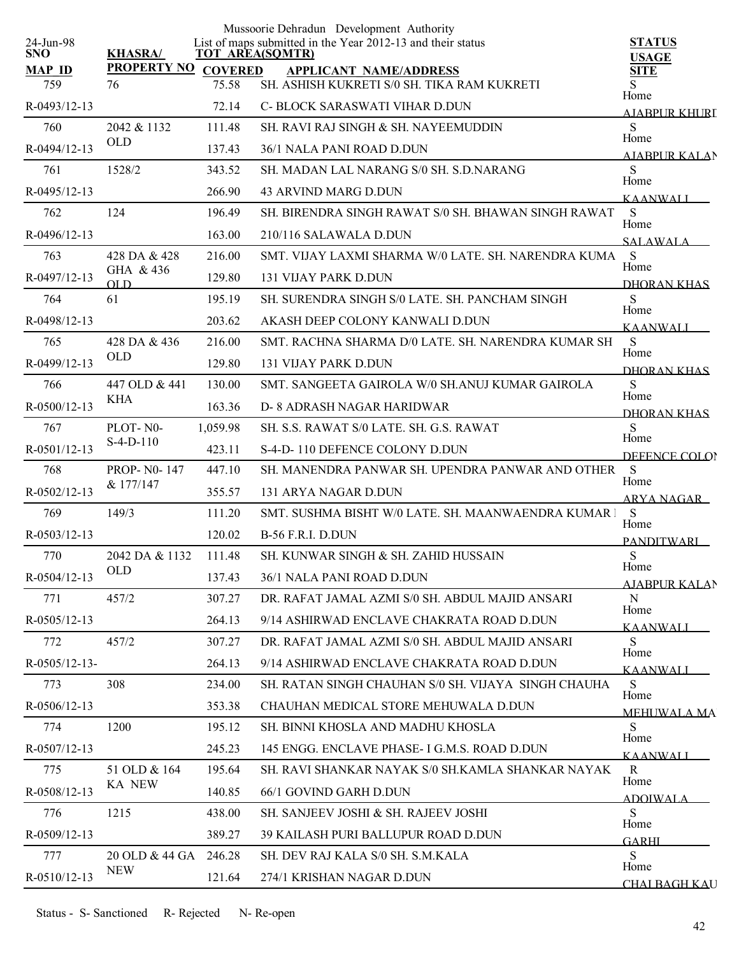|                         |                        |          | Mussoorie Dehradun Development Authority                                              |                               |
|-------------------------|------------------------|----------|---------------------------------------------------------------------------------------|-------------------------------|
| 24-Jun-98<br><b>SNO</b> | <b>KHASRA/</b>         |          | List of maps submitted in the Year 2012-13 and their status<br><b>TOT AREA(SQMTR)</b> | <b>STATUS</b><br><b>USAGE</b> |
| <b>MAP ID</b>           | PROPERTY NO COVERED    |          | <b>APPLICANT NAME/ADDRESS</b>                                                         | <b>SITE</b>                   |
| 759                     | 76                     | 75.58    | SH. ASHISH KUKRETI S/0 SH. TIKA RAM KUKRETI                                           | Home                          |
| R-0493/12-13            |                        | 72.14    | C- BLOCK SARASWATI VIHAR D.DUN                                                        | <b>AJABPUR KHURI</b>          |
| 760                     | 2042 & 1132            | 111.48   | SH. RAVI RAJ SINGH & SH. NAYEEMUDDIN                                                  | S<br>Home                     |
| R-0494/12-13            | <b>OLD</b>             | 137.43   | 36/1 NALA PANI ROAD D.DUN                                                             | <b>AIABPURKALAN</b>           |
| 761                     | 1528/2                 | 343.52   | SH. MADAN LAL NARANG S/0 SH. S.D.NARANG                                               | S                             |
| R-0495/12-13            |                        | 266.90   | 43 ARVIND MARG D.DUN                                                                  | Home<br><b>KAANWALI</b>       |
| 762                     | 124                    | 196.49   | SH, BIRENDRA SINGH RAWAT S/0 SH, BHAWAN SINGH RAWAT                                   | S                             |
| $R-0496/12-13$          |                        | 163.00   | 210/116 SALAWALA D.DUN                                                                | Home<br><b>SALAWALA</b>       |
| 763                     | 428 DA & 428           | 216.00   | SMT. VIJAY LAXMI SHARMA W/0 LATE. SH. NARENDRA KUMA                                   | S                             |
| R-0497/12-13            | GHA & 436<br>OLD       | 129.80   | <b>131 VIJAY PARK D.DUN</b>                                                           | Home<br>DHORAN KHAS           |
| 764                     | 61                     | 195.19   | SH. SURENDRA SINGH S/0 LATE, SH. PANCHAM SINGH                                        | S                             |
| R-0498/12-13            |                        | 203.62   | AKASH DEEP COLONY KANWALI D.DUN                                                       | Home                          |
| 765                     | 428 DA & 436           | 216.00   | SMT. RACHNA SHARMA D/0 LATE. SH. NARENDRA KUMAR SH                                    | <b>KAANWALI</b><br>S          |
| R-0499/12-13            | <b>OLD</b>             | 129.80   | 131 VIJAY PARK D.DUN                                                                  | Home                          |
| 766                     | 447 OLD & 441          | 130.00   | SMT. SANGEETA GAIROLA W/0 SH.ANUJ KUMAR GAIROLA                                       | <b>DHORAN KHAS</b><br>S       |
| R-0500/12-13            | <b>KHA</b>             | 163.36   | D- 8 ADRASH NAGAR HARIDWAR                                                            | Home                          |
| 767                     | PLOT-N0-               | 1,059.98 | SH. S.S. RAWAT S/0 LATE. SH. G.S. RAWAT                                               | DHORAN KHAS<br>S              |
| R-0501/12-13            | $S-4-D-110$            | 423.11   | S-4-D-110 DEFENCE COLONY D.DUN                                                        | Home                          |
| 768                     | <b>PROP-N0-147</b>     | 447.10   | SH. MANENDRA PANWAR SH. UPENDRA PANWAR AND OTHER                                      | DEFENCE COLOR<br>S            |
| $R - 0502/12 - 13$      | & 177/147              | 355.57   | 131 ARYA NAGAR D.DUN                                                                  | Home                          |
| 769                     | 149/3                  | 111.20   | SMT. SUSHMA BISHT W/0 LATE. SH. MAANWAENDRA KUMAR I                                   | <b>ARYA NAGAR</b><br>S        |
| R-0503/12-13            |                        | 120.02   | <b>B-56 F.R.I. D.DUN</b>                                                              | Home                          |
| 770                     | 2042 DA & 1132         | 111.48   | SH. KUNWAR SINGH & SH. ZAHID HUSSAIN                                                  | <b>PANDITWARI</b><br>S        |
| R-0504/12-13            | <b>OLD</b>             | 137.43   | 36/1 NALA PANI ROAD D.DUN                                                             | Home                          |
|                         |                        |          | DR. RAFAT JAMAL AZMI S/0 SH. ABDUL MAJID ANSARI                                       | AJABPUR KALAN<br>N            |
| 771                     | 457/2                  | 307.27   |                                                                                       | Home                          |
| $R-0505/12-13$          |                        | 264.13   | 9/14 ASHIRWAD ENCLAVE CHAKRATA ROAD D.DUN                                             | KAANWALI                      |
| 772                     | 457/2                  | 307.27   | DR. RAFAT JAMAL AZMI S/0 SH. ABDUL MAJID ANSARI                                       | S.<br>Home                    |
| $R-0505/12-13-$         |                        | 264.13   | 9/14 ASHIRWAD ENCLAVE CHAKRATA ROAD D.DUN                                             | <b>KAANWALI</b>               |
| 773                     | 308                    | 234.00   | SH. RATAN SINGH CHAUHAN S/0 SH. VIJAYA SINGH CHAUHA                                   | S<br>Home                     |
| $R-0506/12-13$          |                        | 353.38   | CHAUHAN MEDICAL STORE MEHUWALA D.DUN                                                  | <b>MEHUWALA MA</b>            |
| 774                     | 1200                   | 195.12   | SH. BINNI KHOSLA AND MADHU KHOSLA                                                     | S<br>Home                     |
| R-0507/12-13            |                        | 245.23   | 145 ENGG. ENCLAVE PHASE- I G.M.S. ROAD D.DUN                                          | <b>KAANWALI</b>               |
| 775                     | 51 OLD & 164<br>KA NEW | 195.64   | SH. RAVI SHANKAR NAYAK S/0 SH.KAMLA SHANKAR NAYAK                                     | R<br>Home                     |
| R-0508/12-13            |                        | 140.85   | 66/1 GOVIND GARH D.DUN                                                                | ADOIWALA                      |
| 776                     | 1215                   | 438.00   | SH. SANJEEV JOSHI & SH. RAJEEV JOSHI                                                  | S<br>Home                     |
| $R-0509/12-13$          |                        | 389.27   | <b>39 KAILASH PURI BALLUPUR ROAD D.DUN</b>                                            | <b>GARHI</b>                  |
| 777                     | 20 OLD & 44 GA         | 246.28   | SH. DEV RAJ KALA S/0 SH. S.M.KALA                                                     | S<br>Home                     |
| R-0510/12-13            | <b>NEW</b>             | 121.64   | 274/1 KRISHAN NAGAR D.DUN                                                             | <b>CHAI BAGH KAU</b>          |
|                         |                        |          |                                                                                       |                               |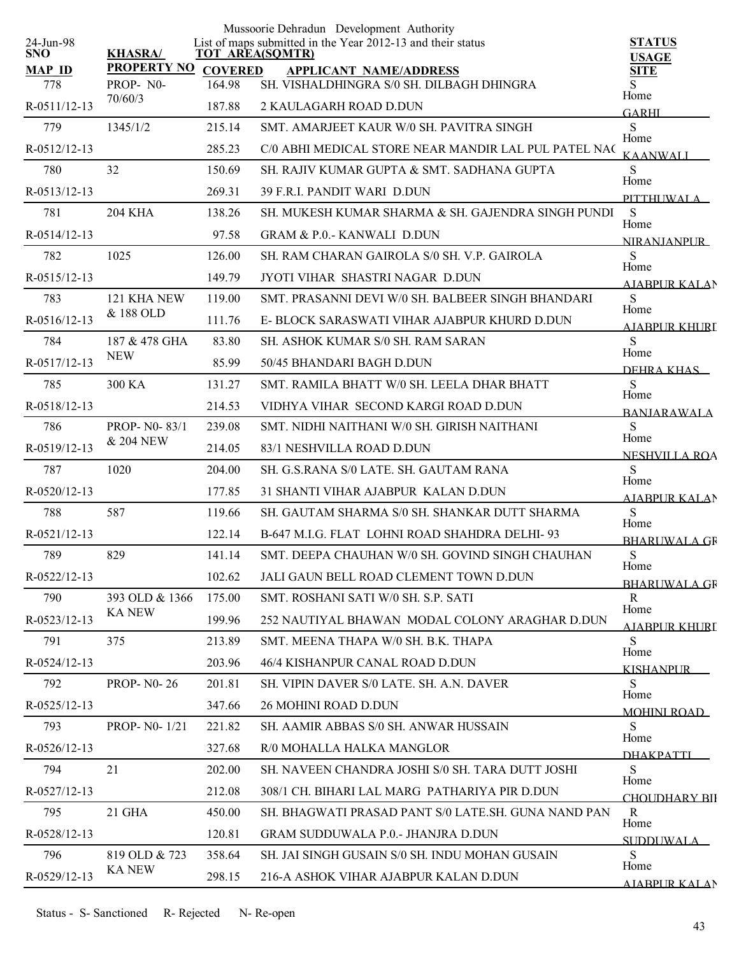|                         |                    |                | Mussoorie Dehradun Development Authority                                              |                              |
|-------------------------|--------------------|----------------|---------------------------------------------------------------------------------------|------------------------------|
| 24-Jun-98<br><b>SNO</b> | <b>KHASRA/</b>     |                | List of maps submitted in the Year 2012-13 and their status<br><b>TOT AREA(SQMTR)</b> | <b>STATUS</b>                |
| <b>MAP ID</b>           | <b>PROPERTY NO</b> | <b>COVERED</b> | <b>APPLICANT NAME/ADDRESS</b>                                                         | <b>USAGE</b><br><b>SITE</b>  |
| 778                     | PROP-N0-           | 164.98         | SH. VISHALDHINGRA S/0 SH. DILBAGH DHINGRA                                             | S<br>Home                    |
| R-0511/12-13            | 70/60/3            | 187.88         | 2 KAULAGARH ROAD D.DUN                                                                | <b>GARHI</b>                 |
| 779                     | 1345/1/2           | 215.14         | SMT. AMARJEET KAUR W/0 SH. PAVITRA SINGH                                              | ${\bf S}$                    |
| R-0512/12-13            |                    | 285.23         | C/0 ABHI MEDICAL STORE NEAR MANDIR LAL PUL PATEL NAC                                  | Home<br><b>KAANWALI</b>      |
| 780                     | 32                 | 150.69         | SH. RAJIV KUMAR GUPTA & SMT. SADHANA GUPTA                                            | S                            |
| R-0513/12-13            |                    | 269.31         | 39 F.R.I. PANDIT WARI D.DUN                                                           | Home<br>PITTHUWALA           |
| 781                     | <b>204 KHA</b>     | 138.26         | SH. MUKESH KUMAR SHARMA & SH. GAJENDRA SINGH PUNDI                                    | S<br>Home                    |
| R-0514/12-13            |                    | 97.58          | <b>GRAM &amp; P.O.- KANWALI D.DUN</b>                                                 | <b>NIRANIANPUR</b>           |
| 782                     | 1025               | 126.00         | SH. RAM CHARAN GAIROLA S/0 SH. V.P. GAIROLA                                           | ${\bf S}$<br>Home            |
| R-0515/12-13            |                    | 149.79         | JYOTI VIHAR SHASTRI NAGAR D.DUN                                                       | AIABPUR KALAN                |
| 783                     | 121 KHA NEW        | 119.00         | SMT. PRASANNI DEVI W/0 SH. BALBEER SINGH BHANDARI                                     | S<br>Home                    |
| R-0516/12-13            | & 188 OLD          | 111.76         | E-BLOCK SARASWATI VIHAR AJABPUR KHURD D.DUN                                           | AJABPUR KHURL                |
| 784                     | 187 & 478 GHA      | 83.80          | <b>SH. ASHOK KUMAR S/0 SH. RAM SARAN</b>                                              | S                            |
| R-0517/12-13            | <b>NEW</b>         | 85.99          | 50/45 BHANDARI BAGH D.DUN                                                             | Home<br>DEHRA KHAS           |
| 785                     | 300 KA             | 131.27         | SMT. RAMILA BHATT W/0 SH. LEELA DHAR BHATT                                            | S                            |
| R-0518/12-13            |                    | 214.53         | VIDHYA VIHAR SECOND KARGI ROAD D.DUN                                                  | Home<br><b>BANIARAWALA</b>   |
| 786                     | PROP-N0-83/1       | 239.08         | SMT. NIDHI NAITHANI W/0 SH. GIRISH NAITHANI                                           | S                            |
| R-0519/12-13            | & 204 NEW          | 214.05         | 83/1 NESHVILLA ROAD D.DUN                                                             | Home<br><b>NESHVILLA ROA</b> |
| 787                     | 1020               | 204.00         | SH. G.S.RANA S/0 LATE. SH. GAUTAM RANA                                                | S                            |
| R-0520/12-13            |                    | 177.85         | 31 SHANTI VIHAR AJABPUR KALAN D.DUN                                                   | Home<br><b>AJABPUR KALAN</b> |
| 788                     | 587                | 119.66         | SH. GAUTAM SHARMA S/0 SH. SHANKAR DUTT SHARMA                                         | S                            |
| R-0521/12-13            |                    | 122.14         | B-647 M.I.G. FLAT LOHNI ROAD SHAHDRA DELHI-93                                         | Home<br>BHARUWALA GR         |
| 789                     | 829                | 141.14         | SMT. DEEPA CHAUHAN W/0 SH. GOVIND SINGH CHAUHAN                                       | S                            |
| R-0522/12-13            |                    | 102.62         | JALI GAUN BELL ROAD CLEMENT TOWN D.DUN                                                | Home<br><b>BHARLIWALA GR</b> |
| 790                     | 393 OLD & 1366     | 175.00         | SMT. ROSHANI SATI W/0 SH. S.P. SATI                                                   | $\mathbf{R}$                 |
| R-0523/12-13            | <b>KA NEW</b>      | 199.96         | 252 NAUTIYAL BHAWAN MODAL COLONY ARAGHAR D.DUN                                        | Home<br><b>AJABPUR KHURI</b> |
| 791                     | 375                | 213.89         | SMT. MEENA THAPA W/0 SH. B.K. THAPA                                                   | S                            |
| R-0524/12-13            |                    | 203.96         | 46/4 KISHANPUR CANAL ROAD D.DUN                                                       | Home<br><b>KISHANPUR</b>     |
| 792                     | <b>PROP-N0-26</b>  | 201.81         | SH. VIPIN DAVER S/0 LATE, SH. A.N. DAVER                                              | S                            |
| R-0525/12-13            |                    | 347.66         | 26 MOHINI ROAD D.DUN                                                                  | Home<br><b>MOHINI ROAD</b>   |
| 793                     | PROP- N0-1/21      | 221.82         | SH. AAMIR ABBAS S/0 SH. ANWAR HUSSAIN                                                 | S                            |
| R-0526/12-13            |                    | 327.68         | R/0 MOHALLA HALKA MANGLOR                                                             | Home<br><b>DHAKPATTI</b>     |
| 794                     | 21                 | 202.00         | SH. NAVEEN CHANDRA JOSHI S/0 SH. TARA DUTT JOSHI                                      | S                            |
| R-0527/12-13            |                    | 212.08         | 308/1 CH. BIHARI LAL MARG PATHARIYA PIR D.DUN                                         | Home<br>CHOLIDHARY BII       |
| 795                     | 21 GHA             | 450.00         | SH. BHAGWATI PRASAD PANT S/0 LATE.SH. GUNA NAND PAN                                   | R                            |
| R-0528/12-13            |                    | 120.81         | <b>GRAM SUDDUWALA P.0.- JHANJRA D.DUN</b>                                             | Home<br><b>SUDDUWALA</b>     |
| 796                     | 819 OLD & 723      | 358.64         | SH. JAI SINGH GUSAIN S/0 SH. INDU MOHAN GUSAIN                                        | S                            |
| R-0529/12-13            | <b>KA NEW</b>      | 298.15         | 216-A ASHOK VIHAR AJABPUR KALAN D.DUN                                                 | Home<br>AJARPUR KALAN        |
|                         |                    |                |                                                                                       |                              |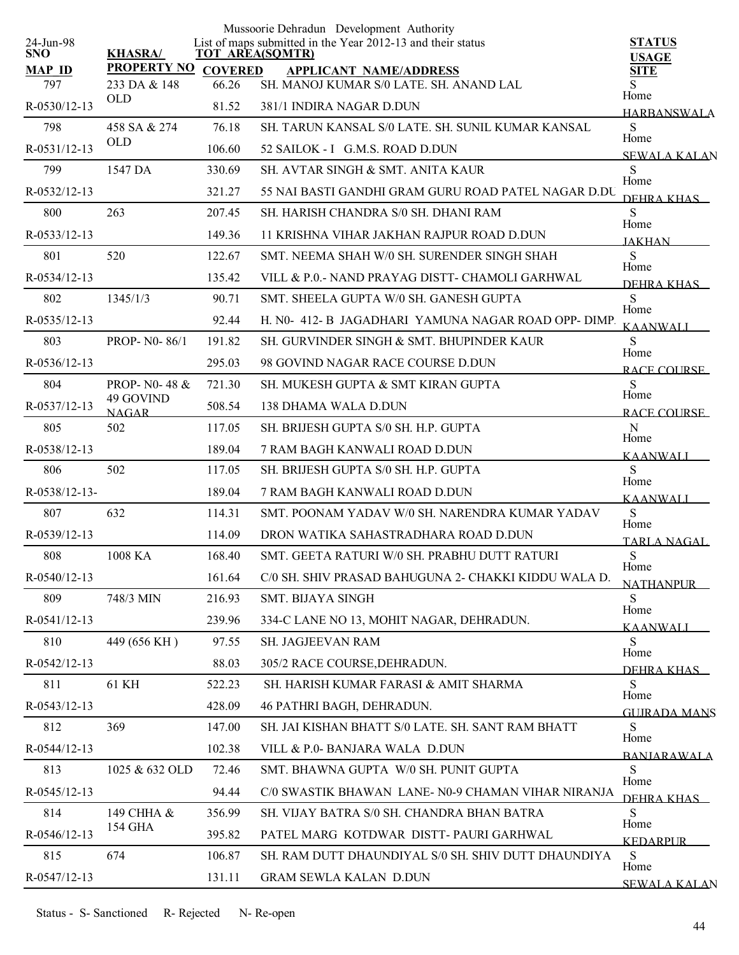|                         |                            |                | Mussoorie Dehradun Development Authority                                              |                               |
|-------------------------|----------------------------|----------------|---------------------------------------------------------------------------------------|-------------------------------|
| 24-Jun-98<br><b>SNO</b> | <b>KHASRA/</b>             |                | List of maps submitted in the Year 2012-13 and their status<br><b>TOT AREA(SQMTR)</b> | <b>STATUS</b><br><b>USAGE</b> |
| <b>MAP ID</b>           | <b>PROPERTY NO</b>         | <b>COVERED</b> | <b>APPLICANT NAME/ADDRESS</b>                                                         | <b>SITE</b>                   |
| 797                     | 233 DA & 148<br><b>OLD</b> | 66.26          | SH. MANOJ KUMAR S/0 LATE. SH. ANAND LAL                                               | S<br>Home                     |
| R-0530/12-13            |                            | 81.52          | 381/1 INDIRA NAGAR D.DUN                                                              | <b>HARBANSWALA</b>            |
| 798                     | 458 SA & 274<br><b>OLD</b> | 76.18          | SH. TARUN KANSAL S/0 LATE. SH. SUNIL KUMAR KANSAL                                     | S<br>Home                     |
| R-0531/12-13            |                            | 106.60         | 52 SAILOK - I G.M.S. ROAD D.DUN                                                       | <b>SEWALA KALAN</b>           |
| 799                     | 1547 DA                    | 330.69         | SH AVTAR SINGH & SMT ANITA KAUR                                                       | S<br>Home                     |
| $R - 0532/12 - 13$      |                            | 321.27         | 55 NAI BASTI GANDHI GRAM GURU ROAD PATEL NAGAR D.DU                                   | DEHRA KHAS                    |
| 800                     | 263                        | 207.45         | SH. HARISH CHANDRA S/0 SH. DHANI RAM                                                  | S<br>Home                     |
| R-0533/12-13            |                            | 149.36         | 11 KRISHNA VIHAR JAKHAN RAJPUR ROAD D.DUN                                             | <b>JAKHAN</b>                 |
| 801                     | 520                        | 122.67         | SMT. NEEMA SHAH W/0 SH. SURENDER SINGH SHAH                                           | S<br>Home                     |
| R-0534/12-13            |                            | 135.42         | VILL & P.O.- NAND PRAYAG DISTT- CHAMOLI GARHWAL                                       | DEHRA KHAS                    |
| 802                     | 1345/1/3                   | 90.71          | SMT. SHEELA GUPTA W/0 SH. GANESH GUPTA                                                | S                             |
| $R - 0535/12 - 13$      |                            | 92.44          | H. N0-412-B JAGADHARI YAMUNA NAGAR ROAD OPP-DIMP.                                     | Home<br><b>KAANWALI</b>       |
| 803                     | PROP-N0-86/1               | 191.82         | SH. GURVINDER SINGH & SMT. BHUPINDER KAUR                                             | S                             |
| $R-0536/12-13$          |                            | 295.03         | 98 GOVIND NAGAR RACE COURSE D.DUN                                                     | Home<br>RACE COURSE           |
| 804                     | PROP- N0-48 &              | 721.30         | SH. MUKESH GUPTA & SMT KIRAN GUPTA                                                    | S                             |
| R-0537/12-13            | 49 GOVIND<br><b>NAGAR</b>  | 508.54         | <b>138 DHAMA WALA D.DUN</b>                                                           | Home<br>RACE COURSE           |
| 805                     | 502                        | 117.05         | SH. BRIJESH GUPTA S/0 SH. H.P. GUPTA                                                  | N                             |
| R-0538/12-13            |                            | 189.04         | 7 RAM BAGH KANWALI ROAD D.DUN                                                         | Home<br><b>KAANWALI</b>       |
| 806                     | 502                        | 117.05         | SH. BRIJESH GUPTA S/0 SH. H.P. GUPTA                                                  | S                             |
| R-0538/12-13-           |                            | 189.04         | 7 RAM BAGH KANWALI ROAD D.DUN                                                         | Home<br><b>KAANWALI</b>       |
| 807                     | 632                        | 114.31         | SMT. POONAM YADAV W/0 SH. NARENDRA KUMAR YADAV                                        | S                             |
| R-0539/12-13            |                            | 114.09         | DRON WATIKA SAHASTRADHARA ROAD D.DUN                                                  | Home<br>TARLA NAGAL           |
| 808                     | 1008 KA                    | 168.40         | SMT. GEETA RATURI W/0 SH. PRABHU DUTT RATURI                                          | S                             |
| R-0540/12-13            |                            | 161.64         | C/0 SH. SHIV PRASAD BAHUGUNA 2- CHAKKI KIDDU WALA D.                                  | Home                          |
| 809                     | 748/3 MIN                  | 216.93         | SMT. BIJAYA SINGH                                                                     | <b>NATHANPUR</b><br>S         |
| R-0541/12-13            |                            | 239.96         | 334-C LANE NO 13, MOHIT NAGAR, DEHRADUN.                                              | Home                          |
| 810                     | 449 (656 KH)               | 97.55          | <b>SH. JAGJEEVAN RAM</b>                                                              | <b>KAANWALI</b><br>S          |
| R-0542/12-13            |                            | 88.03          | 305/2 RACE COURSE, DEHRADUN.                                                          | Home                          |
| 811                     | 61 KH                      | 522.23         | SH. HARISH KUMAR FARASI & AMIT SHARMA                                                 | <b>DEHRA KHAS</b><br>S        |
| R-0543/12-13            |                            | 428.09         | 46 PATHRI BAGH, DEHRADUN.                                                             | Home                          |
| 812                     | 369                        | 147.00         | SH. JAI KISHAN BHATT S/0 LATE. SH. SANT RAM BHATT                                     | <b>GUIRADA MANS</b><br>S      |
| R-0544/12-13            |                            | 102.38         | VILL & P.0- BANJARA WALA D.DUN                                                        | Home                          |
| 813                     | 1025 & 632 OLD             | 72.46          | SMT. BHAWNA GUPTA W/0 SH. PUNIT GUPTA                                                 | <b>BANIARAWALA</b><br>S       |
| R-0545/12-13            |                            | 94.44          | C/0 SWASTIK BHAWAN LANE- N0-9 CHAMAN VIHAR NIRANJA                                    | Home                          |
| 814                     | 149 CHHA &                 | 356.99         | SH. VIJAY BATRA S/0 SH. CHANDRA BHAN BATRA                                            | DEHRA KHAS<br>S               |
|                         | 154 GHA                    |                |                                                                                       | Home                          |
| R-0546/12-13            |                            | 395.82         | PATEL MARG KOTDWAR DISTT-PAURI GARHWAL                                                | <b>KEDARPUR</b>               |
| 815                     | 674                        | 106.87         | SH. RAM DUTT DHAUNDIYAL S/0 SH. SHIV DUTT DHAUNDIYA                                   | S<br>Home                     |
| R-0547/12-13            |                            | 131.11         | <b>GRAM SEWLA KALAN D.DUN</b>                                                         | <b>SEWALA KALAN</b>           |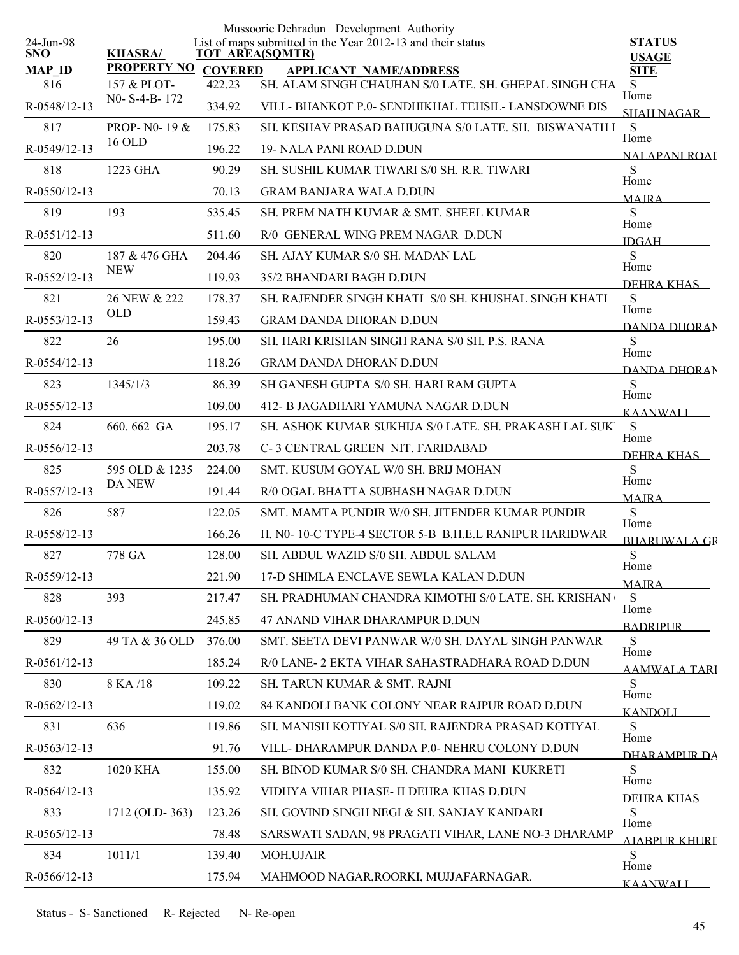| 24-Jun-98            |                            |                          | Mussoorie Dehradun Development Authority<br>List of maps submitted in the Year 2012-13 and their status | <b>STATUS</b>           |
|----------------------|----------------------------|--------------------------|---------------------------------------------------------------------------------------------------------|-------------------------|
| SNO.                 | <b>KHASRA/</b>             | <b>TOT AREA(SQMTR)</b>   |                                                                                                         | <b>USAGE</b>            |
| <b>MAP ID</b><br>816 | PROPERTY NO<br>157 & PLOT- | <b>COVERED</b><br>422.23 | <b>APPLICANT NAME/ADDRESS</b><br>SH. ALAM SINGH CHAUHAN S/0 LATE. SH. GHEPAL SINGH CHA                  | <b>SITE</b><br>S        |
| R-0548/12-13         | N0-S-4-B-172               | 334.92                   | VILL-BHANKOT P.0- SENDHIKHAL TEHSIL-LANSDOWNE DIS                                                       | Home                    |
| 817                  | PROP- N0-19 &              | 175.83                   | SH. KESHAV PRASAD BAHUGUNA S/0 LATE. SH. BISWANATH I                                                    | SHAH NAGAR<br>S         |
| R-0549/12-13         | 16 OLD                     | 196.22                   | 19- NALA PANI ROAD D.DUN                                                                                | Home                    |
| 818                  | 1223 GHA                   | 90.29                    | SH. SUSHIL KUMAR TIWARI S/0 SH. R.R. TIWARI                                                             | NALAPANI ROAJ<br>S      |
| R-0550/12-13         |                            | 70.13                    | <b>GRAM BANJARA WALA D.DUN</b>                                                                          | Home<br><b>MAIRA</b>    |
| 819                  | 193                        | 535.45                   | SH. PREM NATH KUMAR & SMT. SHEEL KUMAR                                                                  | ${\bf S}$               |
| R-0551/12-13         |                            | 511.60                   | R/0 GENERAL WING PREM NAGAR D.DUN                                                                       | Home<br><b>IDGAH</b>    |
| 820                  | 187 & 476 GHA              | 204.46                   | SH. AJAY KUMAR S/0 SH. MADAN LAL                                                                        | S                       |
| R-0552/12-13         | <b>NEW</b>                 | 119.93                   | 35/2 BHANDARI BAGH D.DUN                                                                                | Home<br>DEHRA KHAS      |
| 821                  | 26 NEW & 222               | 178.37                   | SH. RAJENDER SINGH KHATI S/0 SH. KHUSHAL SINGH KHATI                                                    | ${\bf S}$               |
| R-0553/12-13         | <b>OLD</b>                 | 159.43                   | <b>GRAM DANDA DHORAN D.DUN</b>                                                                          | Home<br>DANDA DHORAN    |
| 822                  | 26                         | 195.00                   | SH. HARI KRISHAN SINGH RANA S/0 SH. P.S. RANA                                                           | S                       |
| R-0554/12-13         |                            | 118.26                   | <b>GRAM DANDA DHORAN D.DUN</b>                                                                          | Home<br>DANDA DHORAN    |
| 823                  | 1345/1/3                   | 86.39                    | SH GANESH GUPTA S/0 SH. HARI RAM GUPTA                                                                  | S                       |
| R-0555/12-13         |                            | 109.00                   | 412- B JAGADHARI YAMUNA NAGAR D.DUN                                                                     | Home<br><b>KAANWALI</b> |
| 824                  | 660.662 GA                 | 195.17                   | SH. ASHOK KUMAR SUKHIJA S/0 LATE. SH. PRAKASH LAL SUKI                                                  | S<br>Home               |
| R-0556/12-13         |                            | 203.78                   | C-3 CENTRAL GREEN NIT. FARIDABAD                                                                        | DEHRA KHAS              |
| 825                  | 595 OLD & 1235             | 224.00                   | SMT. KUSUM GOYAL W/0 SH. BRIJ MOHAN                                                                     | S<br>Home               |
| R-0557/12-13         | <b>DA NEW</b>              | 191.44                   | R/0 OGAL BHATTA SUBHASH NAGAR D.DUN                                                                     | <b>MAJRA</b>            |
| 826                  | 587                        | 122.05                   | SMT. MAMTA PUNDIR W/0 SH. JITENDER KUMAR PUNDIR                                                         | S<br>Home               |
| R-0558/12-13         |                            | 166.26                   | H. NO-10-C TYPE-4 SECTOR 5-B B.H.E.L RANIPUR HARIDWAR                                                   | <b>BHARUWALA GR</b>     |
| 827                  | 778 GA                     | 128.00                   | SH. ABDUL WAZID S/0 SH. ABDUL SALAM                                                                     | ${\bf S}$<br>Home       |
| R-0559/12-13         |                            | 221.90                   | 17-D SHIMLA ENCLAVE SEWLA KALAN D.DUN                                                                   | <b>MAJRA</b>            |
| 828                  | 393                        | 217.47                   | SH. PRADHUMAN CHANDRA KIMOTHI S/0 LATE. SH. KRISHAN (                                                   | S<br>Home               |
| R-0560/12-13         |                            | 245.85                   | 47 ANAND VIHAR DHARAMPUR D.DUN                                                                          | <b>BADRIPUR</b>         |
| 829                  | 49 TA & 36 OLD             | 376.00                   | SMT. SEETA DEVI PANWAR W/0 SH. DAYAL SINGH PANWAR                                                       | ${\bf S}$<br>Home       |
| R-0561/12-13         |                            | 185.24                   | R/0 LANE- 2 EKTA VIHAR SAHASTRADHARA ROAD D.DUN                                                         | AAMWALA TARI            |
| 830                  | 8 KA /18                   | 109.22                   | SH. TARUN KUMAR & SMT. RAJNI                                                                            | S<br>Home               |
| R-0562/12-13         |                            | 119.02                   | 84 KANDOLI BANK COLONY NEAR RAJPUR ROAD D.DUN                                                           | <b>KANDOLI</b>          |
| 831                  | 636                        | 119.86                   | SH. MANISH KOTIYAL S/0 SH. RAJENDRA PRASAD KOTIYAL                                                      | S<br>Home               |
| R-0563/12-13         |                            | 91.76                    | VILL-DHARAMPUR DANDA P.0-NEHRU COLONY D.DUN                                                             | DHARAMPUR DA            |
| 832                  | 1020 KHA                   | 155.00                   | SH. BINOD KUMAR S/0 SH. CHANDRA MANI KUKRETI                                                            | S<br>Home               |
| R-0564/12-13         |                            | 135.92                   | VIDHYA VIHAR PHASE- II DEHRA KHAS D.DUN                                                                 | DEHRA KHAS              |
| 833                  | 1712 (OLD-363)             | 123.26                   | SH. GOVIND SINGH NEGI & SH. SANJAY KANDARI                                                              | S<br>Home               |
| R-0565/12-13         |                            | 78.48                    | SARSWATI SADAN, 98 PRAGATI VIHAR, LANE NO-3 DHARAMP                                                     | <b>AJABPUR KHURI</b>    |
| 834                  | 1011/1                     | 139.40                   | <b>MOH.UJAIR</b>                                                                                        | S<br>Home               |
| R-0566/12-13         |                            | 175.94                   | MAHMOOD NAGAR, ROORKI, MUJJAFARNAGAR.                                                                   | <b>KAANWALI</b>         |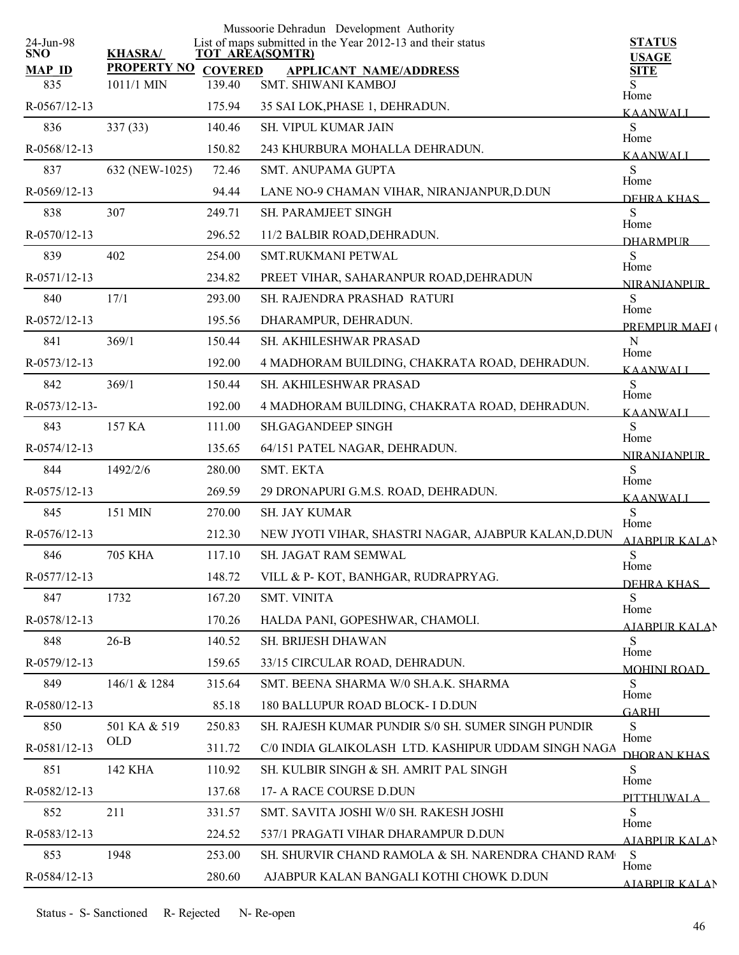| 24-Jun-98            |                                  |                          | Mussoorie Dehradun Development Authority<br>List of maps submitted in the Year 2012-13 and their status | <b>STATUS</b>                     |
|----------------------|----------------------------------|--------------------------|---------------------------------------------------------------------------------------------------------|-----------------------------------|
| <b>SNO</b>           | <b>KHASRA/</b>                   |                          | <b>TOT AREA(SQMTR)</b>                                                                                  | <b>USAGE</b>                      |
| <b>MAP ID</b><br>835 | <b>PROPERTY NO</b><br>1011/1 MIN | <b>COVERED</b><br>139.40 | <b>APPLICANT NAME/ADDRESS</b><br><b>SMT. SHIWANI KAMBOJ</b>                                             | <b>SITE</b>                       |
| R-0567/12-13         |                                  | 175.94                   | 35 SAI LOK, PHASE 1, DEHRADUN.                                                                          | Home                              |
| 836                  | 337(33)                          | 140.46                   | <b>SH. VIPUL KUMAR JAIN</b>                                                                             | <b>KAANWALI</b><br>S              |
| R-0568/12-13         |                                  | 150.82                   | 243 KHURBURA MOHALLA DEHRADUN.                                                                          | Home                              |
| 837                  | 632 (NEW-1025)                   | 72.46                    | <b>SMT. ANUPAMA GUPTA</b>                                                                               | <b>KAANWALI</b><br>S              |
| R-0569/12-13         |                                  | 94.44                    | LANE NO-9 CHAMAN VIHAR, NIRANJANPUR, D.DUN                                                              | Home                              |
| 838                  | 307                              | 249.71                   | SH. PARAMJEET SINGH                                                                                     | DEHRA KHAS<br>S                   |
| R-0570/12-13         |                                  | 296.52                   | 11/2 BALBIR ROAD, DEHRADUN.                                                                             | Home                              |
| 839                  | 402                              | 254.00                   | <b>SMT.RUKMANI PETWAL</b>                                                                               | <b>DHARMPI IR</b><br>S            |
| R-0571/12-13         |                                  | 234.82                   | PREET VIHAR, SAHARANPUR ROAD, DEHRADUN                                                                  | Home                              |
| 840                  | 17/1                             | 293.00                   | SH. RAJENDRA PRASHAD RATURI                                                                             | <b>NIRANIANPI IR</b><br>S         |
| R-0572/12-13         |                                  | 195.56                   | DHARAMPUR, DEHRADUN.                                                                                    | Home                              |
| 841                  | 369/1                            | 150.44                   | SH. AKHILESHWAR PRASAD                                                                                  | PREMPUR MAEI (<br>${\bf N}$       |
| R-0573/12-13         |                                  | 192.00                   | 4 MADHORAM BUILDING, CHAKRATA ROAD, DEHRADUN.                                                           | Home                              |
| 842                  | 369/1                            | 150.44                   | SH. AKHILESHWAR PRASAD                                                                                  | <b>KAANWALL</b><br>S              |
| R-0573/12-13-        |                                  | 192.00                   | 4 MADHORAM BUILDING, CHAKRATA ROAD, DEHRADUN.                                                           | Home                              |
| 843                  | 157 KA                           | 111.00                   | <b>SH.GAGANDEEP SINGH</b>                                                                               | <b>KAANWALI</b><br>S              |
| R-0574/12-13         |                                  | 135.65                   | 64/151 PATEL NAGAR, DEHRADUN.                                                                           | Home                              |
| 844                  | 1492/2/6                         | 280.00                   | SMT. EKTA                                                                                               | <b>NIRANJANPUR</b><br>S           |
| R-0575/12-13         |                                  | 269.59                   | 29 DRONAPURI G.M.S. ROAD, DEHRADUN.                                                                     | Home                              |
| 845                  | 151 MIN                          | 270.00                   | SH. JAY KUMAR                                                                                           | <b>KAANWALI</b><br>S              |
| R-0576/12-13         |                                  | 212.30                   | NEW JYOTI VIHAR, SHASTRI NAGAR, AJABPUR KALAN, D.DUN                                                    | Home                              |
| 846                  | <b>705 KHA</b>                   | 117.10                   | SH. JAGAT RAM SEMWAL                                                                                    | <b>AJABPUR KALAN</b><br>${\bf S}$ |
| R-0577/12-13         |                                  | 148.72                   | VILL & P-KOT, BANHGAR, RUDRAPRYAG.                                                                      | Home                              |
|                      |                                  |                          |                                                                                                         | DEHRA KHAS                        |
| 847                  | 1732                             | 167.20                   | <b>SMT. VINITA</b>                                                                                      | S<br>Home                         |
| R-0578/12-13         |                                  | 170.26                   | HALDA PANI, GOPESHWAR, CHAMOLI.                                                                         | AJABPUR KALAN                     |
| 848                  | $26-B$                           | 140.52                   | SH. BRIJESH DHAWAN                                                                                      | S<br>Home                         |
| R-0579/12-13         |                                  | 159.65                   | 33/15 CIRCULAR ROAD, DEHRADUN.                                                                          | <b>MOHINI ROAD</b>                |
| 849                  | 146/1 & 1284                     | 315.64                   | SMT. BEENA SHARMA W/0 SH.A.K. SHARMA                                                                    | S<br>Home                         |
| R-0580/12-13         |                                  | 85.18                    | 180 BALLUPUR ROAD BLOCK- I D.DUN                                                                        | <b>GARHI</b>                      |
| 850                  | 501 KA & 519<br><b>OLD</b>       | 250.83                   | SH. RAJESH KUMAR PUNDIR S/0 SH. SUMER SINGH PUNDIR                                                      | S<br>Home                         |
| R-0581/12-13         |                                  | 311.72                   | C/0 INDIA GLAIKOLASH LTD. KASHIPUR UDDAM SINGH NAGA                                                     | DHORAN KHAS                       |
| 851                  | 142 KHA                          | 110.92                   | SH. KULBIR SINGH & SH. AMRIT PAL SINGH                                                                  | S<br>Home                         |
| R-0582/12-13         |                                  | 137.68                   | 17- A RACE COURSE D.DUN                                                                                 | PITTHUWALA                        |
| 852                  | 211                              | 331.57                   | SMT. SAVITA JOSHI W/0 SH. RAKESH JOSHI                                                                  | S<br>Home                         |
| R-0583/12-13         |                                  | 224.52                   | 537/1 PRAGATI VIHAR DHARAMPUR D.DUN                                                                     | <b>AJABPUR KALAN</b>              |
| 853                  | 1948                             | 253.00                   | SH. SHURVIR CHAND RAMOLA & SH. NARENDRA CHAND RAM                                                       | S<br>Home                         |
| R-0584/12-13         |                                  | 280.60                   | AJABPUR KALAN BANGALI KOTHI CHOWK D.DUN                                                                 | AJARPUR KALAN                     |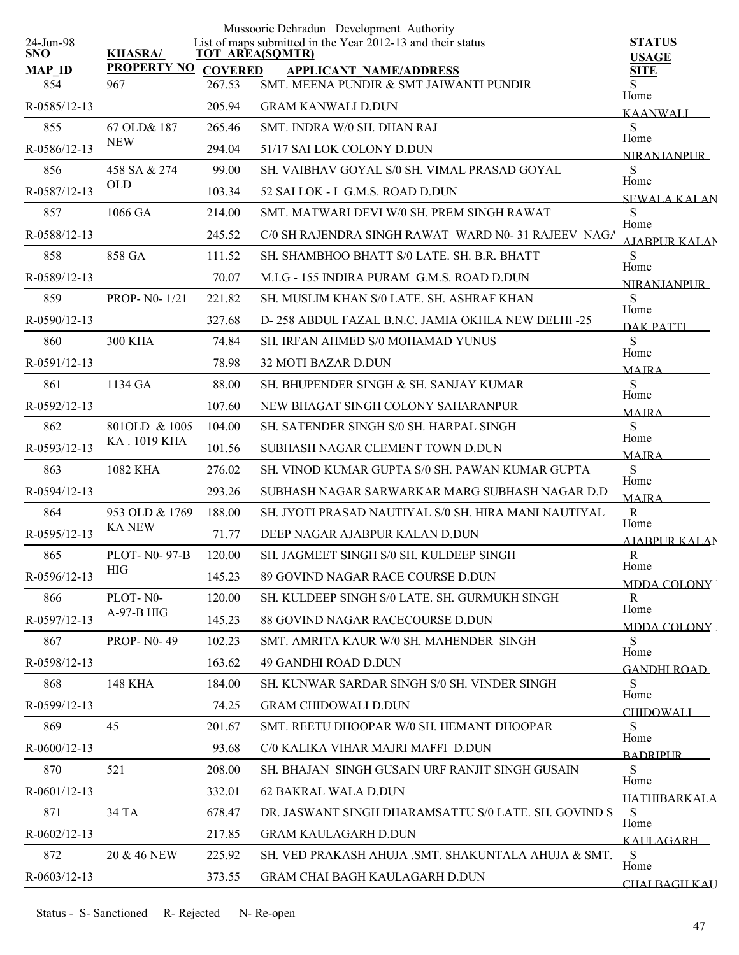|                         |                    |                | Mussoorie Dehradun Development Authority                                              |                                      |
|-------------------------|--------------------|----------------|---------------------------------------------------------------------------------------|--------------------------------------|
| 24-Jun-98<br><b>SNO</b> | <b>KHASRA/</b>     |                | List of maps submitted in the Year 2012-13 and their status<br><b>TOT AREA(SQMTR)</b> | <b>STATUS</b><br><b>USAGE</b>        |
| <b>MAP ID</b>           | <b>PROPERTY NO</b> | <b>COVERED</b> | <b>APPLICANT NAME/ADDRESS</b>                                                         | <b>SITE</b>                          |
| 854                     | 967                | 267.53         | SMT. MEENA PUNDIR & SMT JAIWANTI PUNDIR                                               | S.<br>Home                           |
| R-0585/12-13            |                    | 205.94         | <b>GRAM KANWALI D.DUN</b>                                                             | <b>KAANWALI</b>                      |
| 855                     | 67 OLD& 187        | 265.46         | SMT. INDRA W/0 SH. DHAN RAJ                                                           | S<br>Home                            |
| R-0586/12-13            | <b>NEW</b>         | 294.04         | 51/17 SAI LOK COLONY D.DUN                                                            | <b>NIRANIANPUR</b>                   |
| 856                     | 458 SA & 274       | 99.00          | SH. VAIBHAV GOYAL S/0 SH. VIMAL PRASAD GOYAL                                          | S<br>Home                            |
| R-0587/12-13            | <b>OLD</b>         | 103.34         | 52 SAI LOK - I G.M.S. ROAD D.DUN                                                      | <b>SEWALA KALAN</b>                  |
| 857                     | 1066 GA            | 214.00         | SMT. MATWARI DEVI W/0 SH. PREM SINGH RAWAT                                            | S                                    |
| R-0588/12-13            |                    | 245.52         | C/0 SH RAJENDRA SINGH RAWAT WARD N0-31 RAJEEV NAGA                                    | Home<br><b>AIABPURKALAN</b>          |
| 858                     | 858 GA             | 111.52         | SH. SHAMBHOO BHATT S/0 LATE, SH. B.R. BHATT                                           | S                                    |
| R-0589/12-13            |                    | 70.07          | M.I.G - 155 INDIRA PURAM G.M.S. ROAD D.DUN                                            | Home<br><b>NIRANIANPUR</b>           |
| 859                     | PROP- N0-1/21      | 221.82         | SH. MUSLIM KHAN S/0 LATE. SH. ASHRAF KHAN                                             | S                                    |
| R-0590/12-13            |                    | 327.68         | D-258 ABDUL FAZAL B.N.C. JAMIA OKHLA NEW DELHI -25                                    | Home<br>DAK PATTI                    |
| 860                     | <b>300 KHA</b>     | 74.84          | <b>SH. IRFAN AHMED S/0 MOHAMAD YUNUS</b>                                              | S                                    |
| R-0591/12-13            |                    | 78.98          | 32 MOTI BAZAR D.DUN                                                                   | Home<br><b>MAIRA</b>                 |
| 861                     | 1134 GA            | 88.00          | SH. BHUPENDER SINGH & SH. SANJAY KUMAR                                                | S                                    |
| R-0592/12-13            |                    | 107.60         | NEW BHAGAT SINGH COLONY SAHARANPUR                                                    | Home<br><b>MAIRA</b>                 |
| 862                     | 801OLD & 1005      | 104.00         | SH. SATENDER SINGH S/0 SH. HARPAL SINGH                                               | S                                    |
| R-0593/12-13            | KA. 1019 KHA       | 101.56         | SUBHASH NAGAR CLEMENT TOWN D.DUN                                                      | Home                                 |
| 863                     | 1082 KHA           | 276.02         | SH. VINOD KUMAR GUPTA S/0 SH. PAWAN KUMAR GUPTA                                       | <b>MAJRA</b><br>S                    |
| R-0594/12-13            |                    | 293.26         | SUBHASH NAGAR SARWARKAR MARG SUBHASH NAGAR D.D                                        | Home                                 |
| 864                     | 953 OLD & 1769     | 188.00         | SH. JYOTI PRASAD NAUTIYAL S/0 SH. HIRA MANI NAUTIYAL                                  | <b>MAJRA</b><br>${\bf R}$            |
| R-0595/12-13            | <b>KANEW</b>       | 71.77          | DEEP NAGAR AJABPUR KALAN D.DUN                                                        | Home                                 |
| 865                     | PLOT- N0-97-B      | 120.00         | <b>SH. JAGMEET SINGH S/0 SH. KULDEEP SINGH</b>                                        | <b>AJABPUR KALAN</b><br>$\mathbb{R}$ |
| R-0596/12-13            | <b>HIG</b>         | 145.23         | 89 GOVIND NAGAR RACE COURSE D.DUN                                                     | Home                                 |
| 866                     | PLOT-N0-           | 120.00         | SH. KULDEEP SINGH S/0 LATE. SH. GURMUKH SINGH                                         | MDDA COLONY<br>R                     |
| R-0597/12-13            | A-97-B HIG         | 145.23         | 88 GOVIND NAGAR RACECOURSE D.DUN                                                      | Home                                 |
| 867                     | <b>PROP-N0-49</b>  | 102.23         | SMT. AMRITA KAUR W/0 SH. MAHENDER SINGH                                               | MDDA COLONY<br>S                     |
| R-0598/12-13            |                    | 163.62         | <b>49 GANDHI ROAD D.DUN</b>                                                           | Home                                 |
| 868                     | <b>148 KHA</b>     | 184.00         | SH. KUNWAR SARDAR SINGH S/0 SH. VINDER SINGH                                          | <b>GANDHI ROAD</b><br>S              |
| R-0599/12-13            |                    | 74.25          | <b>GRAM CHIDOWALI D.DUN</b>                                                           | Home                                 |
| 869                     | 45                 | 201.67         | SMT. REETU DHOOPAR W/0 SH. HEMANT DHOOPAR                                             | <b>CHIDOWALI</b><br>S                |
| R-0600/12-13            |                    | 93.68          | C/0 KALIKA VIHAR MAJRI MAFFI D.DUN                                                    | Home                                 |
| 870                     | 521                | 208.00         | SH. BHAJAN SINGH GUSAIN URF RANJIT SINGH GUSAIN                                       | <b>BADRIPLIR</b><br>S                |
| R-0601/12-13            |                    | 332.01         | 62 BAKRAL WALA D.DUN                                                                  | Home                                 |
| 871                     | 34 TA              | 678.47         | DR. JASWANT SINGH DHARAMSATTU S/0 LATE. SH. GOVIND S                                  | HATHIBARKALA<br>S                    |
| R-0602/12-13            |                    | 217.85         | <b>GRAM KAULAGARH D.DUN</b>                                                           | Home                                 |
| 872                     | 20 & 46 NEW        | 225.92         | SH. VED PRAKASH AHUJA .SMT. SHAKUNTALA AHUJA & SMT.                                   | KAULAGARH<br>S                       |
| R-0603/12-13            |                    |                |                                                                                       | Home                                 |
|                         |                    | 373.55         | GRAM CHAI BAGH KAULAGARH D.DUN                                                        | <b>CHAI BAGH KAU</b>                 |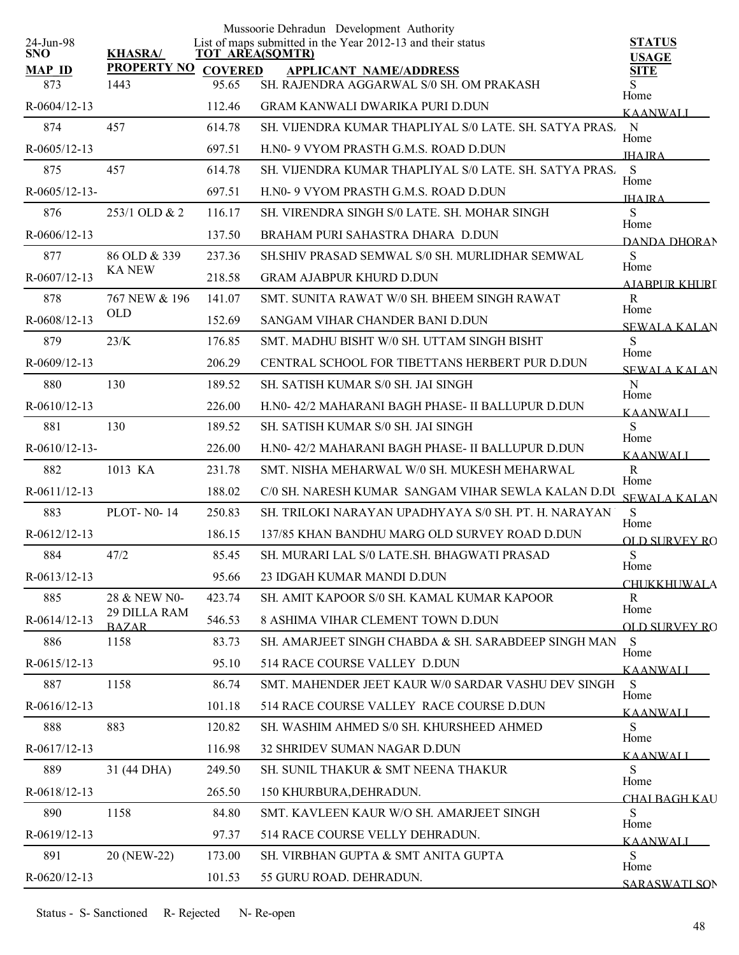|                         |                              |                | Mussoorie Dehradun Development Authority                                              |                               |
|-------------------------|------------------------------|----------------|---------------------------------------------------------------------------------------|-------------------------------|
| 24-Jun-98<br><b>SNO</b> | <b>KHASRA/</b>               |                | List of maps submitted in the Year 2012-13 and their status<br><b>TOT AREA(SQMTR)</b> | <b>STATUS</b><br><b>USAGE</b> |
| <b>MAP ID</b>           | <b>PROPERTY NO</b>           | <b>COVERED</b> | <b>APPLICANT NAME/ADDRESS</b>                                                         | <b>SITE</b>                   |
| 873                     | 1443                         | 95.65          | SH. RAJENDRA AGGARWAL S/0 SH. OM PRAKASH                                              | S.<br>Home                    |
| $R-0604/12-13$          |                              | 112.46         | GRAM KANWALI DWARIKA PURI D.DUN                                                       | <b>KAANWALI</b>               |
| 874                     | 457                          | 614.78         | SH. VIJENDRA KUMAR THAPLIYAL S/0 LATE. SH. SATYA PRAS.                                | N<br>Home                     |
| $R-0605/12-13$          |                              | 697.51         | H.NO- 9 VYOM PRASTH G.M.S. ROAD D.DUN                                                 | <b>IHA IRA</b>                |
| 875                     | 457                          | 614.78         | SH. VIJENDRA KUMAR THAPLIYAL S/0 LATE. SH. SATYA PRAS.                                | S<br>Home                     |
| $R-0605/12-13-$         |                              | 697.51         | H.NO- 9 VYOM PRASTH G.M.S. ROAD D.DUN                                                 | <b>IHA IRA</b>                |
| 876                     | 253/1 OLD & 2                | 116.17         | SH. VIRENDRA SINGH S/0 LATE. SH. MOHAR SINGH                                          | S<br>Home                     |
| $R-0606/12-13$          |                              | 137.50         | BRAHAM PURI SAHASTRA DHARA D.DUN                                                      | DANDA DHORAN                  |
| 877                     | 86 OLD & 339                 | 237.36         | SH. SHIV PRASAD SEMWAL S/0 SH. MURLIDHAR SEMWAL                                       | S                             |
| R-0607/12-13            | <b>KA NEW</b>                | 218.58         | <b>GRAM AJABPUR KHURD D.DUN</b>                                                       | Home<br>AIABPUR KHURT         |
| 878                     | 767 NEW & 196                | 141.07         | SMT. SUNITA RAWAT W/0 SH. BHEEM SINGH RAWAT                                           | $\mathbf R$                   |
| R-0608/12-13            | <b>OLD</b>                   | 152.69         | SANGAM VIHAR CHANDER BANI D.DUN                                                       | Home<br><b>SEWALA KALAN</b>   |
| 879                     | 23/K                         | 176.85         | SMT. MADHU BISHT W/0 SH. UTTAM SINGH BISHT                                            | S                             |
| R-0609/12-13            |                              | 206.29         | CENTRAL SCHOOL FOR TIBETTANS HERBERT PUR D.DUN                                        | Home<br><b>SEWALA KALAN</b>   |
| 880                     | 130                          | 189.52         | SH. SATISH KUMAR S/0 SH. JAI SINGH                                                    | $\mathbf N$                   |
| R-0610/12-13            |                              | 226.00         | H.N0-42/2 MAHARANI BAGH PHASE- II BALLUPUR D.DUN                                      | Home<br><b>KAANWALI</b>       |
| 881                     | 130                          | 189.52         | SH. SATISH KUMAR S/0 SH. JAI SINGH                                                    | S                             |
| $R-0610/12-13-$         |                              | 226.00         | H.N0-42/2 MAHARANI BAGH PHASE- II BALLUPUR D.DUN                                      | Home<br><b>KAANWALI</b>       |
| 882                     | 1013 KA                      | 231.78         | SMT. NISHA MEHARWAL W/0 SH. MUKESH MEHARWAL                                           | $\mathbf R$                   |
| R-0611/12-13            |                              | 188.02         | C/0 SH. NARESH KUMAR SANGAM VIHAR SEWLA KALAN D.DU                                    | Home<br><b>SEWALA KALAN</b>   |
| 883                     | <b>PLOT-N0-14</b>            | 250.83         | SH. TRILOKI NARAYAN UPADHYAYA S/0 SH. PT. H. NARAYAN                                  | <sub>S</sub>                  |
| $R-0612/12-13$          |                              | 186.15         | 137/85 KHAN BANDHU MARG OLD SURVEY ROAD D.DUN                                         | Home<br><b>OLD SURVEY RO</b>  |
| 884                     | 47/2                         | 85.45          | SH. MURARI LAL S/0 LATE.SH. BHAGWATI PRASAD                                           | S                             |
| $R-0613/12-13$          |                              | 95.66          | 23 IDGAH KUMAR MANDI D.DUN                                                            | Home<br><b>CHUKKHUWALA</b>    |
| 885                     | 28 & NEW N0-                 | 423.74         | SH. AMIT KAPOOR S/0 SH. KAMAL KUMAR KAPOOR                                            | R                             |
| R-0614/12-13            | 29 DILLA RAM<br><b>BAZAR</b> | 546.53         | 8 ASHIMA VIHAR CLEMENT TOWN D.DUN                                                     | Home<br><b>OLD SURVEY RO</b>  |
| 886                     | 1158                         | 83.73          | SH. AMARJEET SINGH CHABDA & SH. SARABDEEP SINGH MAN                                   | S                             |
| R-0615/12-13            |                              | 95.10          | 514 RACE COURSE VALLEY D.DUN                                                          | Home<br><b>KAANWALI</b>       |
| 887                     | 1158                         | 86.74          | SMT. MAHENDER JEET KAUR W/0 SARDAR VASHU DEV SINGH                                    | S                             |
| $R-0616/12-13$          |                              | 101.18         | 514 RACE COURSE VALLEY RACE COURSE D.DUN                                              | Home<br><b>KAANWALI</b>       |
| 888                     | 883                          | 120.82         | SH. WASHIM AHMED S/0 SH. KHURSHEED AHMED                                              | S                             |
| R-0617/12-13            |                              | 116.98         | 32 SHRIDEV SUMAN NAGAR D.DUN                                                          | Home<br><b>KAANWALI</b>       |
| 889                     | 31 (44 DHA)                  | 249.50         | SH. SUNIL THAKUR & SMT NEENA THAKUR                                                   | S                             |
| R-0618/12-13            |                              | 265.50         | 150 KHURBURA, DEHRADUN.                                                               | Home                          |
| 890                     | 1158                         | 84.80          | SMT. KAVLEEN KAUR W/O SH. AMARJEET SINGH                                              | CHAI BAGH KAU<br>S            |
| R-0619/12-13            |                              | 97.37          | 514 RACE COURSE VELLY DEHRADUN.                                                       | Home                          |
| 891                     | 20 (NEW-22)                  | 173.00         | SH. VIRBHAN GUPTA & SMT ANITA GUPTA                                                   | <b>KAANWALI</b><br>S          |
| R-0620/12-13            |                              | 101.53         | 55 GURU ROAD. DEHRADUN.                                                               | Home                          |
|                         |                              |                |                                                                                       | SARASWATI SON                 |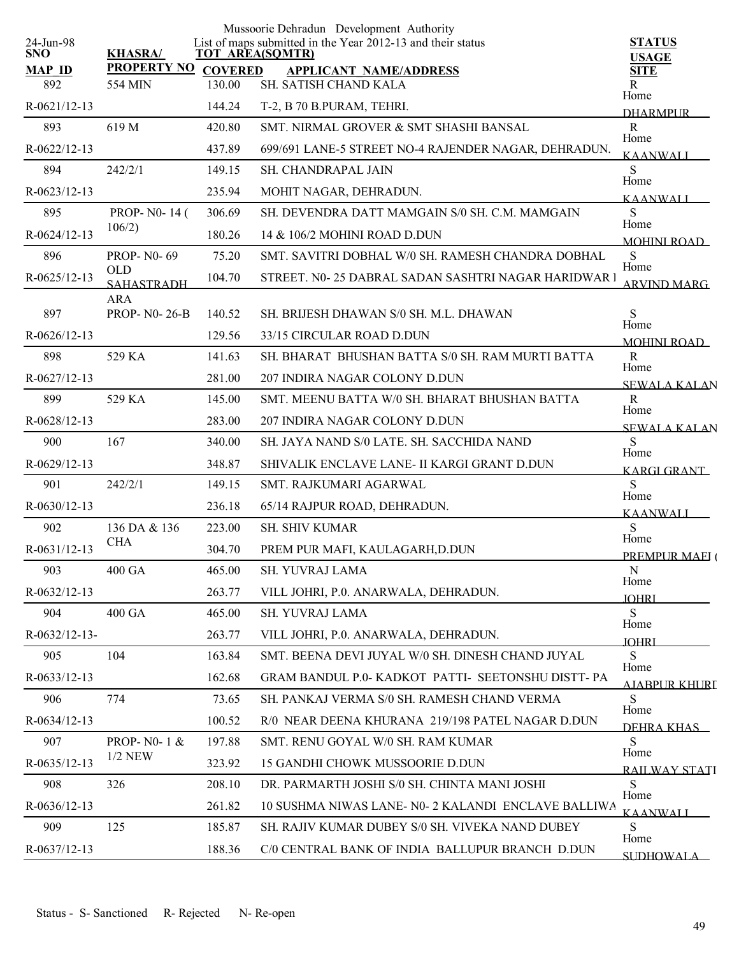| 24-Jun-98            |                                 |                          | Mussoorie Dehradun Development Authority<br>List of maps submitted in the Year 2012-13 and their status | <b>STATUS</b>               |
|----------------------|---------------------------------|--------------------------|---------------------------------------------------------------------------------------------------------|-----------------------------|
| <b>SNO</b>           | <b>KHASRA/</b>                  |                          | <b>TOT AREA(SQMTR)</b>                                                                                  | <b>USAGE</b>                |
| <b>MAP ID</b><br>892 | <b>PROPERTY NO</b><br>554 MIN   | <b>COVERED</b><br>130.00 | <b>APPLICANT NAME/ADDRESS</b><br>SH. SATISH CHAND KALA                                                  | <b>SITE</b><br>R            |
| R-0621/12-13         |                                 | 144.24                   | T-2, B 70 B.PURAM, TEHRI.                                                                               | Home<br><b>DHARMPUR</b>     |
| 893                  | 619 M                           | 420.80                   | SMT. NIRMAL GROVER & SMT SHASHI BANSAL                                                                  | $\mathbf R$                 |
| R-0622/12-13         |                                 | 437.89                   | 699/691 LANE-5 STREET NO-4 RAJENDER NAGAR, DEHRADUN.                                                    | Home<br><b>KAANWALI</b>     |
| 894                  | 242/2/1                         | 149.15                   | <b>SH. CHANDRAPAL JAIN</b>                                                                              | S                           |
| R-0623/12-13         |                                 | 235.94                   | MOHIT NAGAR, DEHRADUN.                                                                                  | Home<br><b>KAANWALI</b>     |
| 895                  | PROP- N0-14 (                   | 306.69                   | SH. DEVENDRA DATT MAMGAIN S/0 SH. C.M. MAMGAIN                                                          | S                           |
| R-0624/12-13         | 106/2)                          | 180.26                   | 14 & 106/2 MOHINI ROAD D.DUN                                                                            | Home<br>MOHINI ROAD         |
| 896                  | <b>PROP-N0-69</b>               | 75.20                    | SMT. SAVITRI DOBHAL W/0 SH. RAMESH CHANDRA DOBHAL                                                       | S                           |
| R-0625/12-13         | <b>OLD</b><br><b>SAHASTRADH</b> | 104.70                   | STREET. N0- 25 DABRAL SADAN SASHTRI NAGAR HARIDWAR I                                                    | Home<br><b>ARVIND MARG</b>  |
|                      | <b>ARA</b>                      |                          |                                                                                                         |                             |
| 897                  | <b>PROP-N0-26-B</b>             | 140.52                   | SH. BRUESH DHAWAN S/0 SH. M.L. DHAWAN                                                                   | S<br>Home                   |
| R-0626/12-13         |                                 | 129.56                   | 33/15 CIRCULAR ROAD D.DUN                                                                               | <b>MOHINI ROAD</b>          |
| 898                  | 529 KA                          | 141.63                   | SH. BHARAT BHUSHAN BATTA S/0 SH. RAM MURTI BATTA                                                        | R<br>Home                   |
| R-0627/12-13         |                                 | 281.00                   | 207 INDIRA NAGAR COLONY D.DUN                                                                           | <b>SEWALA KALAN</b>         |
| 899                  | 529 KA                          | 145.00                   | SMT. MEENU BATTA W/0 SH. BHARAT BHUSHAN BATTA                                                           | $\mathbf R$                 |
| R-0628/12-13         |                                 | 283.00                   | 207 INDIRA NAGAR COLONY D.DUN                                                                           | Home<br><b>SEWALA KALAN</b> |
| 900                  | 167                             | 340.00                   | SH. JAYA NAND S/0 LATE. SH. SACCHIDA NAND                                                               | S                           |
| R-0629/12-13         |                                 | 348.87                   | SHIVALIK ENCLAVE LANE- II KARGI GRANT D.DUN                                                             | Home<br><b>KARGI GRANT</b>  |
| 901                  | 242/2/1                         | 149.15                   | SMT. RAJKUMARI AGARWAL                                                                                  | S                           |
| $R-0630/12-13$       |                                 | 236.18                   | 65/14 RAJPUR ROAD, DEHRADUN.                                                                            | Home<br><b>KAANWALI</b>     |
| 902                  | 136 DA & 136                    | 223.00                   | SH. SHIV KUMAR                                                                                          | S                           |
| R-0631/12-13         | <b>CHA</b>                      | 304.70                   | PREM PUR MAFI, KAULAGARH, D.DUN                                                                         | Home<br>PREMPUR MAEI (      |
| 903                  | 400 GA                          | 465.00                   | SH. YUVRAJ LAMA                                                                                         | N                           |
| $R-0632/12-13$       |                                 | 263.77                   | VILL JOHRI, P.0. ANARWALA, DEHRADUN.                                                                    | Home<br><b>JOHRI</b>        |
| 904                  | 400 GA                          | 465.00                   | SH. YUVRAJ LAMA                                                                                         | S                           |
| $R-0632/12-13-$      |                                 | 263.77                   | VILL JOHRI, P.O. ANARWALA, DEHRADUN.                                                                    | Home<br><b>JOHRI</b>        |
| 905                  | 104                             | 163.84                   | SMT. BEENA DEVI JUYAL W/0 SH. DINESH CHAND JUYAL                                                        | S                           |
| R-0633/12-13         |                                 | 162.68                   | GRAM BANDUL P.0- KADKOT PATTI- SEETONSHU DISTT-PA                                                       | Home<br>AJABPUR KHURI       |
| 906                  | 774                             | 73.65                    | SH. PANKAJ VERMA S/0 SH. RAMESH CHAND VERMA                                                             | S                           |
| R-0634/12-13         |                                 | 100.52                   | R/0 NEAR DEENA KHURANA 219/198 PATEL NAGAR D.DUN                                                        | Home<br>DEHRA KHAS          |
| 907                  | PROP-N0-1&                      | 197.88                   | SMT. RENU GOYAL W/0 SH. RAM KUMAR                                                                       | S                           |
| R-0635/12-13         | $1/2$ NEW                       | 323.92                   | 15 GANDHI CHOWK MUSSOORIE D.DUN                                                                         | Home<br>RAILWAY STATI       |
| 908                  | 326                             | 208.10                   | DR. PARMARTH JOSHI S/0 SH. CHINTA MANI JOSHI                                                            | S.                          |
| R-0636/12-13         |                                 | 261.82                   | 10 SUSHMA NIWAS LANE- N0- 2 KALANDI ENCLAVE BALLIWA                                                     | Home<br><b>KAANWALL</b>     |
| 909                  | 125                             | 185.87                   | SH. RAJIV KUMAR DUBEY S/0 SH. VIVEKA NAND DUBEY                                                         | S                           |
| R-0637/12-13         |                                 | 188.36                   | C/0 CENTRAL BANK OF INDIA BALLUPUR BRANCH D.DUN                                                         | Home                        |
|                      |                                 |                          |                                                                                                         | <b>SUDHOWAL A</b>           |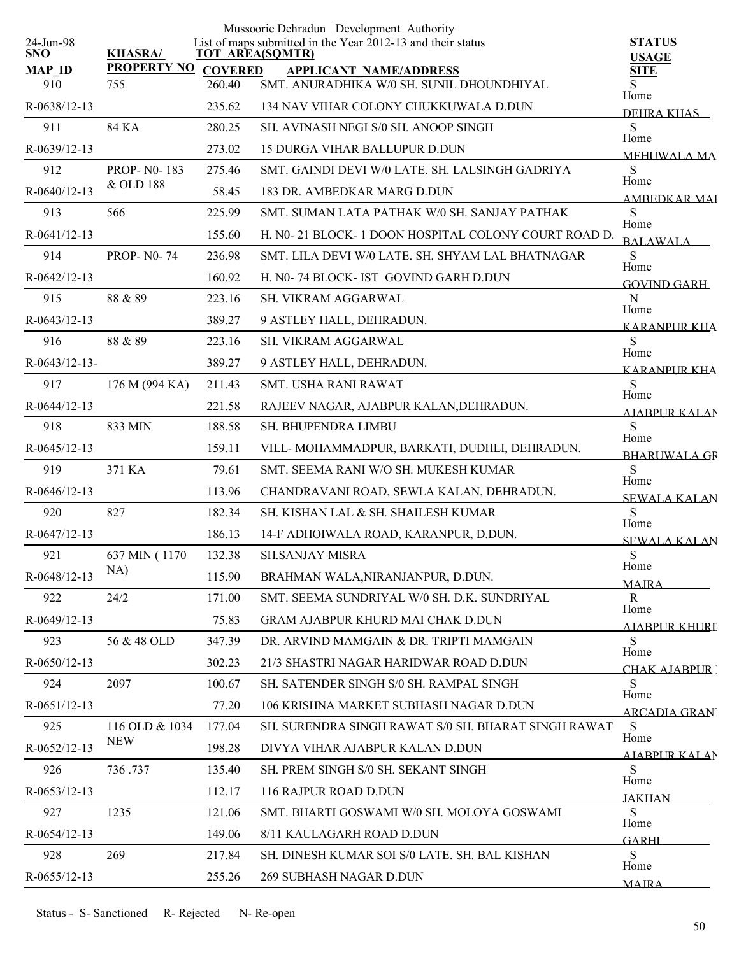|                         |                       |                | Mussoorie Dehradun Development Authority                                              |                               |
|-------------------------|-----------------------|----------------|---------------------------------------------------------------------------------------|-------------------------------|
| 24-Jun-98<br><b>SNO</b> | <b>KHASRA/</b>        |                | List of maps submitted in the Year 2012-13 and their status<br><b>TOT AREA(SQMTR)</b> | <b>STATUS</b><br><b>USAGE</b> |
| <b>MAP ID</b>           | <b>PROPERTY NO</b>    | <b>COVERED</b> | <b>APPLICANT NAME/ADDRESS</b>                                                         | <b>SITE</b>                   |
| 910                     | 755                   | 260.40         | SMT. ANURADHIKA W/0 SH. SUNIL DHOUNDHIYAL                                             | S.<br>Home                    |
| R-0638/12-13            |                       | 235.62         | 134 NAV VIHAR COLONY CHUKKUWALA D.DUN                                                 | DEHRA KHAS                    |
| 911                     | 84 KA                 | 280.25         | SH. AVINASH NEGI S/0 SH. ANOOP SINGH                                                  | S<br>Home                     |
| R-0639/12-13            |                       | 273.02         | <b>15 DURGA VIHAR BALLUPUR D.DUN</b>                                                  | <b>MEHUWALA MA</b>            |
| 912                     | <b>PROP-N0-183</b>    | 275.46         | SMT. GAINDI DEVI W/0 LATE, SH. LALSINGH GADRIYA                                       | S<br>Home                     |
| R-0640/12-13            | & OLD 188             | 58.45          | 183 DR. AMBEDKAR MARG D.DUN                                                           | <b>AMBEDKAR MAI</b>           |
| 913                     | 566                   | 225.99         | SMT. SUMAN LATA PATHAK W/0 SH. SANJAY PATHAK                                          | S                             |
| R-0641/12-13            |                       | 155.60         | H. N0-21 BLOCK-1 DOON HOSPITAL COLONY COURT ROAD D.                                   | Home<br><b>BALAWALA</b>       |
| 914                     | <b>PROP-N0-74</b>     | 236.98         | SMT. LILA DEVI W/0 LATE. SH. SHYAM LAL BHATNAGAR                                      | S                             |
| $R-0642/12-13$          |                       | 160.92         | H. N0-74 BLOCK- IST GOVIND GARH D.DUN                                                 | Home<br><b>GOVIND GARH</b>    |
| 915                     | 88 & 89               | 223.16         | <b>SH. VIKRAM AGGARWAL</b>                                                            | ${\bf N}$                     |
| R-0643/12-13            |                       | 389.27         | 9 ASTLEY HALL, DEHRADUN.                                                              | Home                          |
| 916                     | 88 & 89               | 223.16         | SH. VIKRAM AGGARWAL                                                                   | <b>KARANPUR KHA</b><br>S      |
| R-0643/12-13-           |                       | 389.27         | 9 ASTLEY HALL, DEHRADUN.                                                              | Home                          |
| 917                     | 176 M (994 KA)        | 211.43         | <b>SMT. USHA RANI RAWAT</b>                                                           | <b>KARANPUR KHA</b><br>S      |
| R-0644/12-13            |                       | 221.58         | RAJEEV NAGAR, AJABPUR KALAN, DEHRADUN.                                                | Home                          |
| 918                     | 833 MIN               | 188.58         | SH. BHUPENDRA LIMBU                                                                   | <b>AIABPUR KALAN</b><br>S     |
| R-0645/12-13            |                       | 159.11         | VILL-MOHAMMADPUR, BARKATI, DUDHLI, DEHRADUN.                                          | Home                          |
| 919                     | 371 KA                | 79.61          | SMT. SEEMA RANI W/O SH. MUKESH KUMAR                                                  | <b>BHARUWALA GR</b><br>S      |
| R-0646/12-13            |                       | 113.96         | CHANDRAVANI ROAD, SEWLA KALAN, DEHRADUN.                                              | Home                          |
| 920                     | 827                   | 182.34         | SH. KISHAN LAL & SH. SHAILESH KUMAR                                                   | <b>SEWALA KALAN</b><br>S      |
| $R-0647/12-13$          |                       | 186.13         |                                                                                       | Home                          |
|                         |                       |                | 14-F ADHOIWALA ROAD, KARANPUR, D.DUN.                                                 | <b>SEWALA KALAN</b>           |
| 921                     | 637 MIN (1170)<br>NA) | 132.38         | <b>SH.SANJAY MISRA</b>                                                                | S<br>Home                     |
| R-0648/12-13            |                       | 115.90         | BRAHMAN WALA, NIRANJANPUR, D.DUN.                                                     | <b>MAJRA</b>                  |
| 922                     | 24/2                  | 171.00         | SMT. SEEMA SUNDRIYAL W/0 SH. D.K. SUNDRIYAL                                           | $\mathbf R$<br>Home           |
| R-0649/12-13            |                       | 75.83          | <b>GRAM AJABPUR KHURD MAI CHAK D.DUN</b>                                              | <u>AJABPUR KHURI</u>          |
| 923                     | 56 & 48 OLD           | 347.39         | DR. ARVIND MAMGAIN & DR. TRIPTI MAMGAIN                                               | S.<br>Home                    |
| R-0650/12-13            |                       | 302.23         | 21/3 SHASTRI NAGAR HARIDWAR ROAD D.DUN                                                | CHAK AIABPUR                  |
| 924                     | 2097                  | 100.67         | SH. SATENDER SINGH S/0 SH. RAMPAL SINGH                                               | S<br>Home                     |
| R-0651/12-13            |                       | 77.20          | 106 KRISHNA MARKET SUBHASH NAGAR D.DUN                                                | ARCADIA GRAN                  |
| 925                     | 116 OLD & 1034        | 177.04         | SH. SURENDRA SINGH RAWAT S/0 SH. BHARAT SINGH RAWAT                                   | S<br>Home                     |
| R-0652/12-13            | <b>NEW</b>            | 198.28         | DIVYA VIHAR AJABPUR KALAN D.DUN                                                       | AIABPUR KALAN                 |
| 926                     | 736.737               | 135.40         | SH. PREM SINGH S/0 SH. SEKANT SINGH                                                   | S                             |
| R-0653/12-13            |                       | 112.17         | 116 RAJPUR ROAD D.DUN                                                                 | Home<br><b>JAKHAN</b>         |
| 927                     | 1235                  | 121.06         | SMT. BHARTI GOSWAMI W/0 SH. MOLOYA GOSWAMI                                            | S                             |
| R-0654/12-13            |                       | 149.06         | 8/11 KAULAGARH ROAD D.DUN                                                             | Home<br><b>GARHI</b>          |
| 928                     | 269                   | 217.84         | SH. DINESH KUMAR SOI S/0 LATE. SH. BAL KISHAN                                         | S                             |
| R-0655/12-13            |                       | 255.26         | 269 SUBHASH NAGAR D.DUN                                                               | Home                          |
|                         |                       |                |                                                                                       | <b>MAIRA</b>                  |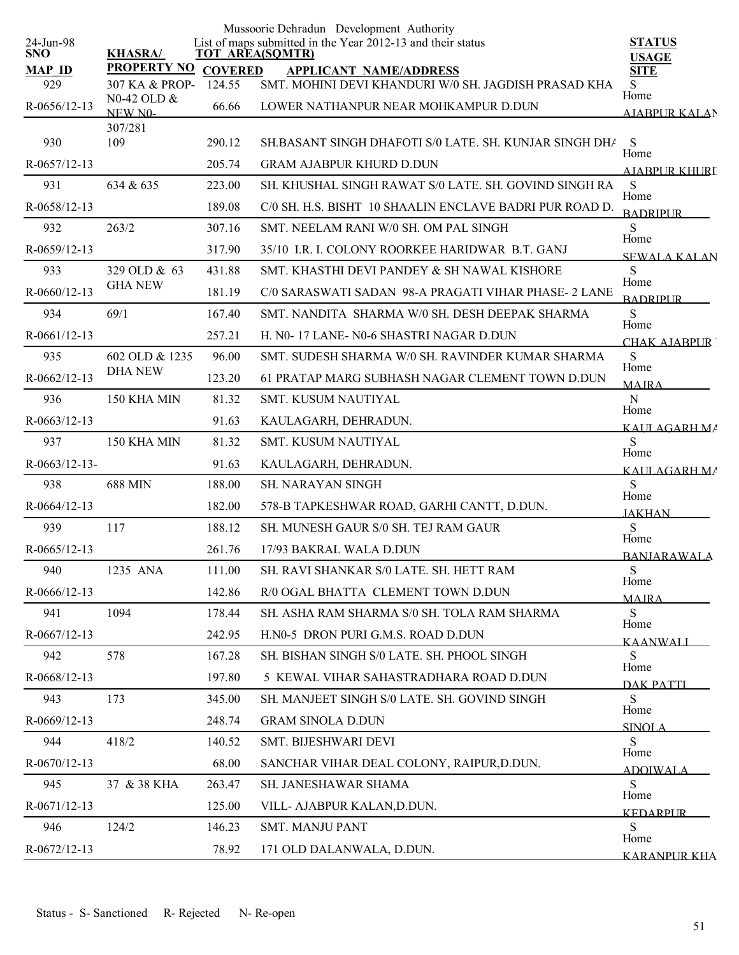|                         |                                  |                | Mussoorie Dehradun Development Authority                                              |                               |
|-------------------------|----------------------------------|----------------|---------------------------------------------------------------------------------------|-------------------------------|
| 24-Jun-98<br><b>SNO</b> | <b>KHASRA/</b>                   |                | List of maps submitted in the Year 2012-13 and their status<br><b>TOT AREA(SQMTR)</b> | <b>STATUS</b><br><b>USAGE</b> |
| <b>MAP ID</b>           | <b>PROPERTY NO</b>               | <b>COVERED</b> | <b>APPLICANT NAME/ADDRESS</b>                                                         | <b>SITE</b>                   |
| 929                     | 307 KA & PROP-<br>N0-42 OLD &    | 124.55         | SMT. MOHINI DEVI KHANDURI W/0 SH. JAGDISH PRASAD KHA                                  | S<br>Home                     |
| R-0656/12-13            | NEW NO-                          | 66.66          | LOWER NATHANPUR NEAR MOHKAMPUR D.DUN                                                  | <b>AJABPUR KALAN</b>          |
| 930                     | 307/281<br>109                   | 290.12         | SH.BASANT SINGH DHAFOTI S/0 LATE. SH. KUNJAR SINGH DHA                                | S                             |
| R-0657/12-13            |                                  | 205.74         | <b>GRAM AJABPUR KHURD D.DUN</b>                                                       | Home                          |
|                         | 634 & 635                        |                | SH. KHUSHAL SINGH RAWAT S/0 LATE. SH. GOVIND SINGH RA                                 | <b>AJABPUR KHURI</b>          |
| 931                     |                                  | 223.00         |                                                                                       | S<br>Home                     |
| $R-0658/12-13$          |                                  | 189.08         | C/0 SH. H.S. BISHT 10 SHAALIN ENCLAVE BADRI PUR ROAD D.                               | <b>BADRIPLIR</b>              |
| 932                     | 263/2                            | 307.16         | SMT. NEELAM RANI W/0 SH. OM PAL SINGH                                                 | S<br>Home                     |
| R-0659/12-13            |                                  | 317.90         | 35/10 I.R. I. COLONY ROORKEE HARIDWAR B.T. GANJ                                       | <b>SEWALA KALAN</b>           |
| 933                     | 329 OLD & 63<br><b>GHA NEW</b>   | 431.88         | SMT. KHASTHI DEVI PANDEY & SH NAWAL KISHORE                                           | S<br>Home                     |
| R-0660/12-13            |                                  | 181.19         | C/0 SARASWATI SADAN 98-A PRAGATI VIHAR PHASE- 2 LANE                                  | <b>BADRIPLIR</b>              |
| 934                     | 69/1                             | 167.40         | SMT. NANDITA SHARMA W/0 SH. DESH DEEPAK SHARMA                                        | S<br>Home                     |
| $R-0661/12-13$          |                                  | 257.21         | H. N0-17 LANE- N0-6 SHASTRI NAGAR D.DUN                                               | CHAK AIARPUR                  |
| 935                     | 602 OLD & 1235<br><b>DHA NEW</b> | 96.00          | SMT. SUDESH SHARMA W/0 SH. RAVINDER KUMAR SHARMA                                      | S<br>Home                     |
| R-0662/12-13            |                                  | 123.20         | 61 PRATAP MARG SUBHASH NAGAR CLEMENT TOWN D.DUN                                       | <b>MAJRA</b>                  |
| 936                     | 150 KHA MIN                      | 81.32          | <b>SMT. KUSUM NAUTIYAL</b>                                                            | $\mathbf N$<br>Home           |
| R-0663/12-13            |                                  | 91.63          | KAULAGARH, DEHRADUN.                                                                  | KALILAGARH MA                 |
| 937                     | 150 KHA MIN                      | 81.32          | SMT. KUSUM NAUTIYAL                                                                   | S<br>Home                     |
| $R-0663/12-13-$         |                                  | 91.63          | KAULAGARH, DEHRADUN.                                                                  | KAULAGARH MA                  |
| 938                     | <b>688 MIN</b>                   | 188.00         | <b>SH. NARAYAN SINGH</b>                                                              | S<br>Home                     |
| R-0664/12-13            |                                  | 182.00         | 578-B TAPKESHWAR ROAD, GARHI CANTT, D.DUN.                                            | <b>JAKHAN</b>                 |
| 939                     | 117                              | 188.12         | SH. MUNESH GAUR S/0 SH. TEJ RAM GAUR                                                  | S                             |
| $R-0665/12-13$          |                                  | 261.76         | 17/93 BAKRAL WALA D.DUN                                                               | Home<br><b>BANJARAWALA</b>    |
| 940                     | 1235 ANA                         | 111.00         | SH. RAVI SHANKAR S/0 LATE. SH. HETT RAM                                               | S                             |
| R-0666/12-13            |                                  | 142.86         | R/0 OGAL BHATTA CLEMENT TOWN D.DUN                                                    | Home<br><b>MAIRA</b>          |
| 941                     | 1094                             | 178.44         | SH. ASHA RAM SHARMA S/0 SH. TOLA RAM SHARMA                                           | S                             |
| R-0667/12-13            |                                  | 242.95         | H.N0-5 DRON PURI G.M.S. ROAD D.DUN                                                    | Home                          |
| 942                     | 578                              | 167.28         | SH. BISHAN SINGH S/0 LATE. SH. PHOOL SINGH                                            | KAANWALL<br>S                 |
| R-0668/12-13            |                                  | 197.80         | 5 KEWAL VIHAR SAHASTRADHARA ROAD D.DUN                                                | Home                          |
| 943                     | 173                              | 345.00         | SH. MANJEET SINGH S/0 LATE. SH. GOVIND SINGH                                          | <b>DAK PATTI</b><br>S         |
| R-0669/12-13            |                                  | 248.74         | <b>GRAM SINOLA D.DUN</b>                                                              | Home                          |
| 944                     | 418/2                            | 140.52         | SMT. BIJESHWARI DEVI                                                                  | <b>SINOLA</b><br>S            |
| R-0670/12-13            |                                  | 68.00          | SANCHAR VIHAR DEAL COLONY, RAIPUR, D.DUN.                                             | Home                          |
| 945                     | 37 & 38 KHA                      | 263.47         | SH. JANESHAWAR SHAMA                                                                  | <b>ADOIWALA</b><br>S          |
| R-0671/12-13            |                                  | 125.00         | VILL- AJABPUR KALAN, D.DUN.                                                           | Home                          |
| 946                     | 124/2                            | 146.23         | <b>SMT. MANJU PANT</b>                                                                | KEDARPUR.<br>S                |
| R-0672/12-13            |                                  | 78.92          | 171 OLD DALANWALA, D.DUN.                                                             | Home                          |
|                         |                                  |                |                                                                                       | KARANPUR KHA                  |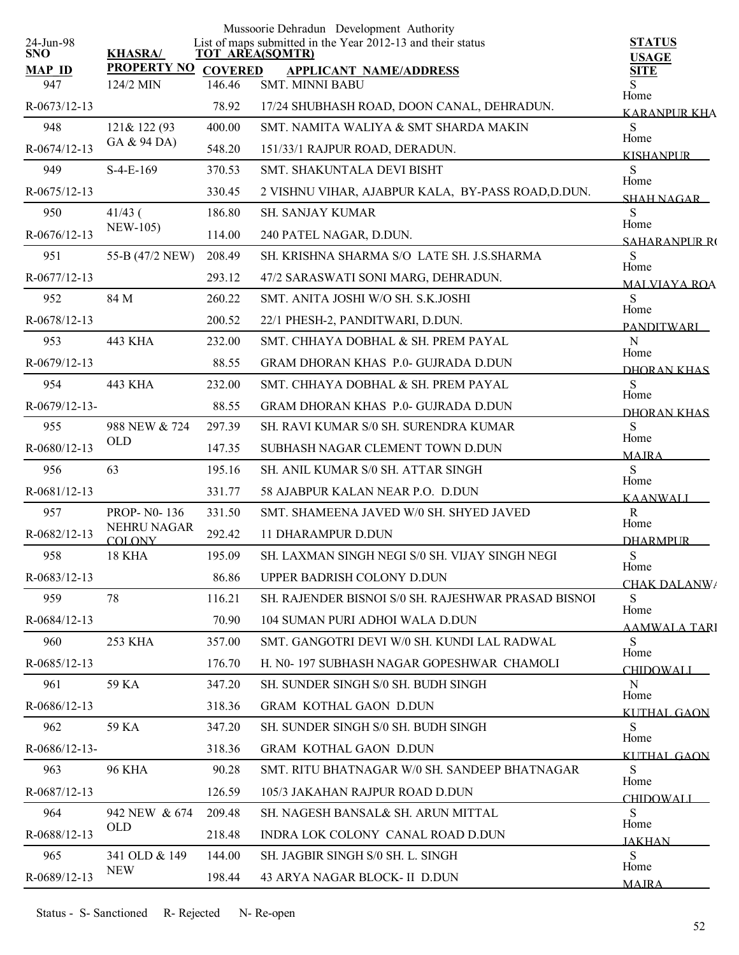|                         |                              |                | Mussoorie Dehradun Development Authority                                              |                               |
|-------------------------|------------------------------|----------------|---------------------------------------------------------------------------------------|-------------------------------|
| 24-Jun-98<br><b>SNO</b> | <b>KHASRA/</b>               |                | List of maps submitted in the Year 2012-13 and their status<br><b>TOT AREA(SQMTR)</b> | <b>STATUS</b><br><b>USAGE</b> |
| <b>MAP ID</b>           | <b>PROPERTY NO</b>           | <b>COVERED</b> | <b>APPLICANT NAME/ADDRESS</b>                                                         | <b>SITE</b>                   |
| 947                     | 124/2 MIN                    | 146.46         | <b>SMT. MINNI BABU</b>                                                                | S<br>Home                     |
| R-0673/12-13            |                              | 78.92          | 17/24 SHUBHASH ROAD, DOON CANAL, DEHRADUN.                                            | <b>KARANPUR KHA</b>           |
| 948                     | 121& 122 (93<br>GA & 94 DA)  | 400.00         | SMT. NAMITA WALIYA & SMT SHARDA MAKIN                                                 | S<br>Home                     |
| R-0674/12-13            |                              | 548.20         | 151/33/1 RAJPUR ROAD, DERADUN.                                                        | <b>KISHANPUR</b>              |
| 949                     | $S-4-E-169$                  | 370.53         | SMT. SHAKUNTALA DEVI BISHT                                                            | S<br>Home                     |
| $R-0675/12-13$          |                              | 330.45         | 2 VISHNU VIHAR, AJABPUR KALA, BY-PASS ROAD, D.DUN.                                    | <b>SHAH NAGAR</b>             |
| 950                     | $41/43$ (<br><b>NEW-105)</b> | 186.80         | <b>SH. SANJAY KUMAR</b>                                                               | S<br>Home                     |
| R-0676/12-13            |                              | 114.00         | 240 PATEL NAGAR, D.DUN.                                                               | <b>SAHARANPLIR RO</b>         |
| 951                     | 55-B (47/2 NEW)              | 208.49         | SH. KRISHNA SHARMA S/O LATE SH. J.S.SHARMA                                            | S<br>Home                     |
| R-0677/12-13            |                              | 293.12         | 47/2 SARASWATI SONI MARG, DEHRADUN.                                                   | <b>MALVIAYA ROA</b>           |
| 952                     | 84 M                         | 260.22         | SMT. ANITA JOSHI W/O SH. S.K.JOSHI                                                    | S<br>Home                     |
| R-0678/12-13            |                              | 200.52         | 22/1 PHESH-2, PANDITWARI, D.DUN.                                                      | <b>PANDITWARI</b>             |
| 953                     | 443 KHA                      | 232.00         | SMT. CHHAYA DOBHAL & SH. PREM PAYAL                                                   | N<br>Home                     |
| R-0679/12-13            |                              | 88.55          | <b>GRAM DHORAN KHAS P.0- GUJRADA D.DUN</b>                                            | DHORAN KHAS                   |
| 954                     | <b>443 KHA</b>               | 232.00         | SMT. CHHAYA DOBHAL & SH. PREM PAYAL                                                   | S                             |
| R-0679/12-13-           |                              | 88.55          | <b>GRAM DHORAN KHAS P.0- GUJRADA D.DUN</b>                                            | Home<br>DHORAN KHAS           |
| 955                     | 988 NEW & 724                | 297.39         | SH. RAVI KUMAR S/0 SH. SURENDRA KUMAR                                                 | S                             |
| R-0680/12-13            | <b>OLD</b>                   | 147.35         | SUBHASH NAGAR CLEMENT TOWN D.DUN                                                      | Home<br><b>MAJRA</b>          |
| 956                     | 63                           | 195.16         | SH. ANIL KUMAR S/0 SH. ATTAR SINGH                                                    | S                             |
| R-0681/12-13            |                              | 331.77         | 58 AJABPUR KALAN NEAR P.O. D.DUN                                                      | Home<br><b>KAANWALI</b>       |
| 957                     | <b>PROP-N0-136</b>           | 331.50         | SMT. SHAMEENA JAVED W/0 SH. SHYED JAVED                                               | $\mathbf R$                   |
| R-0682/12-13            | NEHRU NAGAR<br><b>COLONY</b> | 292.42         | <b>11 DHARAMPUR D.DUN</b>                                                             | Home<br><b>DHARMPUR</b>       |
| 958                     | 18 KHA                       | 195.09         | SH. LAXMAN SINGH NEGI S/0 SH. VIJAY SINGH NEGI                                        | ${\bf S}$                     |
| R-0683/12-13            |                              | 86.86          | UPPER BADRISH COLONY D.DUN                                                            | Home<br>CHAK DALANW/          |
| 959                     | 78                           | 116.21         | SH. RAJENDER BISNOI S/0 SH. RAJESHWAR PRASAD BISNOI                                   | S                             |
| $R-0684/12-13$          |                              | 70.90          | 104 SUMAN PURI ADHOI WALA D.DUN                                                       | Home<br>AAMWALA TARI          |
| 960                     | 253 KHA                      | 357.00         | SMT. GANGOTRI DEVI W/0 SH. KUNDI LAL RADWAL                                           | S                             |
| R-0685/12-13            |                              | 176.70         | H. N0-197 SUBHASH NAGAR GOPESHWAR CHAMOLI                                             | Home<br><b>CHIDOWALI</b>      |
| 961                     | 59 KA                        | 347.20         | <b>SH. SUNDER SINGH S/0 SH. BUDH SINGH</b>                                            | N                             |
| R-0686/12-13            |                              | 318.36         | <b>GRAM KOTHAL GAON D.DUN</b>                                                         | Home<br>KUTHAL GAON           |
| 962                     | 59 KA                        | 347.20         | <b>SH. SUNDER SINGH S/0 SH. BUDH SINGH</b>                                            | S                             |
| $R-0686/12-13-$         |                              | 318.36         | <b>GRAM KOTHAL GAON D.DUN</b>                                                         | Home<br>KUTHAL GAON           |
| 963                     | <b>96 KHA</b>                | 90.28          | SMT. RITU BHATNAGAR W/0 SH. SANDEEP BHATNAGAR                                         | S                             |
| R-0687/12-13            |                              | 126.59         | 105/3 JAKAHAN RAJPUR ROAD D.DUN                                                       | Home<br><b>CHIDOWALI</b>      |
| 964                     | 942 NEW & 674                | 209.48         | SH. NAGESH BANSAL& SH. ARUN MITTAL                                                    | S                             |
| R-0688/12-13            | <b>OLD</b>                   | 218.48         | INDRA LOK COLONY CANAL ROAD D.DUN                                                     | Home<br><b>JAKHAN</b>         |
| 965                     | 341 OLD & 149                | 144.00         | SH. JAGBIR SINGH S/0 SH. L. SINGH                                                     | S                             |
| R-0689/12-13            | <b>NEW</b>                   | 198.44         | 43 ARYA NAGAR BLOCK- II D.DUN                                                         | Home<br><b>MAIRA</b>          |
|                         |                              |                |                                                                                       |                               |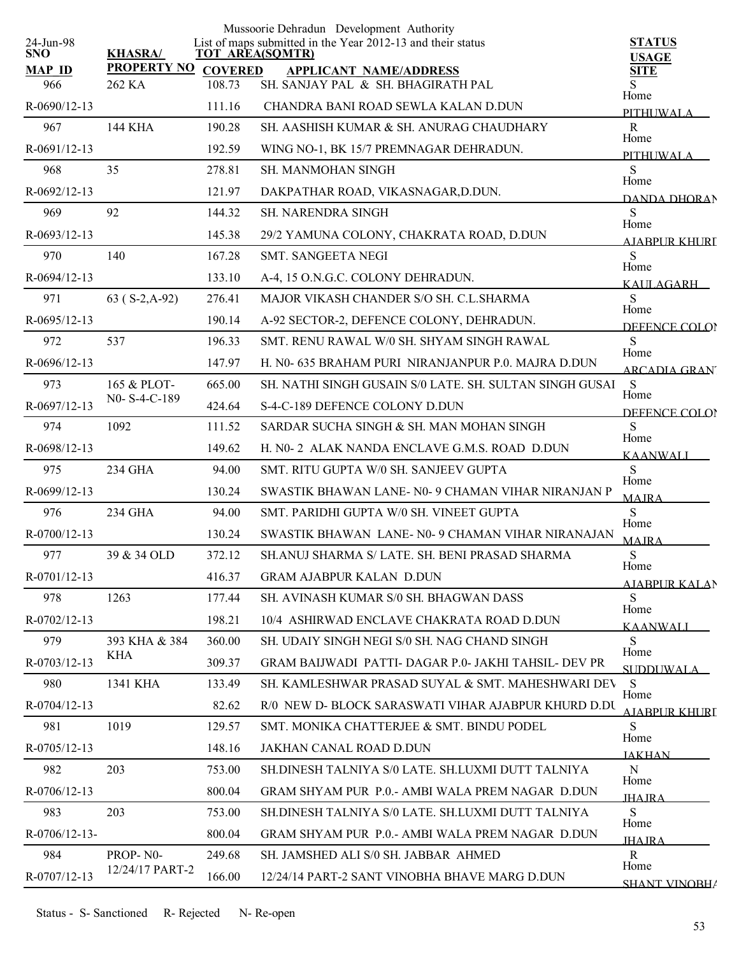|                         |                             |        | Mussoorie Dehradun Development Authority                                              |                               |
|-------------------------|-----------------------------|--------|---------------------------------------------------------------------------------------|-------------------------------|
| 24-Jun-98<br><b>SNO</b> | <b>KHASRA/</b>              |        | List of maps submitted in the Year 2012-13 and their status<br><b>TOT AREA(SQMTR)</b> | <b>STATUS</b><br><b>USAGE</b> |
| <b>MAP ID</b>           | PROPERTY NO COVERED         |        | <b>APPLICANT NAME/ADDRESS</b>                                                         | <b>SITE</b>                   |
| 966                     | 262 KA                      | 108.73 | SH. SANJAY PAL & SH. BHAGIRATH PAL                                                    | Home                          |
| R-0690/12-13            |                             | 111.16 | CHANDRA BANI ROAD SEWLA KALAN D.DUN                                                   | PITHUWALA                     |
| 967                     | 144 KHA                     | 190.28 | SH. AASHISH KUMAR & SH. ANURAG CHAUDHARY                                              | $\mathbf R$                   |
| R-0691/12-13            |                             | 192.59 | WING NO-1, BK 15/7 PREMNAGAR DEHRADUN.                                                | Home<br>PITHI IWALA           |
| 968                     | 35                          | 278.81 | <b>SH. MANMOHAN SINGH</b>                                                             | S                             |
| R-0692/12-13            |                             | 121.97 | DAKPATHAR ROAD, VIKASNAGAR, D.DUN.                                                    | Home<br>DANDA DHORAN          |
| 969                     | 92                          | 144.32 | <b>SH. NARENDRA SINGH</b>                                                             | S                             |
| R-0693/12-13            |                             | 145.38 | 29/2 YAMUNA COLONY, CHAKRATA ROAD, D.DUN                                              | Home<br>AIABPUR KHURT         |
| 970                     | 140                         | 167.28 | SMT. SANGEETA NEGI                                                                    | S                             |
| R-0694/12-13            |                             | 133.10 | A-4, 15 O.N.G.C. COLONY DEHRADUN.                                                     | Home<br>KAULAGARH –           |
| 971                     | $63 (S-2,A-92)$             | 276.41 | MAJOR VIKASH CHANDER S/O SH. C.L.SHARMA                                               | S                             |
| R-0695/12-13            |                             | 190.14 | A-92 SECTOR-2, DEFENCE COLONY, DEHRADUN.                                              | Home<br>DEFENCE COLOR         |
| 972                     | 537                         | 196.33 | SMT. RENU RAWAL W/0 SH. SHYAM SINGH RAWAL                                             | S                             |
| R-0696/12-13            |                             | 147.97 | H. N0- 635 BRAHAM PURI NIRANJANPUR P.0. MAJRA D.DUN                                   | Home                          |
| 973                     | 165 & PLOT-                 | 665.00 | SH. NATHI SINGH GUSAIN S/0 LATE. SH. SULTAN SINGH GUSAI                               | <b>ARCADIA GRAN</b><br>S      |
| R-0697/12-13            | N0-S-4-C-189                | 424.64 | S-4-C-189 DEFENCE COLONY D.DUN                                                        | Home                          |
| 974                     | 1092                        | 111.52 | SARDAR SUCHA SINGH & SH. MAN MOHAN SINGH                                              | DEFENCE COLOR<br>S            |
| R-0698/12-13            |                             | 149.62 | H. N0-2 ALAK NANDA ENCLAVE G.M.S. ROAD D.DUN                                          | Home                          |
| 975                     | 234 GHA                     | 94.00  | SMT. RITU GUPTA W/0 SH. SANJEEV GUPTA                                                 | <b>KAANWALI</b><br>S          |
| R-0699/12-13            |                             | 130.24 | SWASTIK BHAWAN LANE- N0-9 CHAMAN VIHAR NIRANJAN P                                     | Home                          |
| 976                     | 234 GHA                     | 94.00  | SMT. PARIDHI GUPTA W/0 SH. VINEET GUPTA                                               | <b>MAJRA</b><br>S             |
| $R-0700/12-13$          |                             | 130.24 | SWASTIK BHAWAN LANE- N0-9 CHAMAN VIHAR NIRANAJAN                                      | Home                          |
| 977                     | 39 & 34 OLD                 | 372.12 | SH.ANUJ SHARMA S/ LATE. SH. BENI PRASAD SHARMA                                        | <b>MAJRA</b><br>${\bf S}$     |
| R-0701/12-13            |                             | 416.37 | <b>GRAM AJABPUR KALAN D.DUN</b>                                                       | Home                          |
| 978                     | 1263                        | 177.44 | SH. AVINASH KUMAR S/0 SH. BHAGWAN DASS                                                | AJABPUR KALAN<br>S            |
| R-0702/12-13            |                             | 198.21 | 10/4 ASHIRWAD ENCLAVE CHAKRATA ROAD D.DUN                                             | Home                          |
| 979                     | 393 KHA & 384               | 360.00 | SH. UDAIY SINGH NEGI S/0 SH. NAG CHAND SINGH                                          | KAANWALL<br>S.                |
| R-0703/12-13            | KHA                         | 309.37 | GRAM BAIJWADI PATTI-DAGAR P.0- JAKHI TAHSIL- DEV PR                                   | Home                          |
| 980                     | 1341 KHA                    | 133.49 | SH. KAMLESHWAR PRASAD SUYAL & SMT. MAHESHWARI DEV                                     | <b>SUDDUWALA</b><br>S         |
| R-0704/12-13            |                             | 82.62  | R/0 NEW D- BLOCK SARASWATI VIHAR AJABPUR KHURD D.DU                                   | Home                          |
| 981                     | 1019                        | 129.57 | SMT. MONIKA CHATTERJEE & SMT. BINDU PODEL                                             | A JARPUR KHURI<br>S           |
|                         |                             |        |                                                                                       | Home                          |
| R-0705/12-13            |                             | 148.16 | JAKHAN CANAL ROAD D.DUN                                                               | <b>JAKHAN</b>                 |
| 982                     | 203                         | 753.00 | SH.DINESH TALNIYA S/0 LATE. SH.LUXMI DUTT TALNIYA                                     | N<br>Home                     |
| R-0706/12-13            |                             | 800.04 | GRAM SHYAM PUR P.O.- AMBI WALA PREM NAGAR D.DUN                                       | <b>IHAIRA</b>                 |
| 983                     | 203                         | 753.00 | SH.DINESH TALNIYA S/0 LATE, SH.LUXMI DUTT TALNIYA                                     | S<br>Home                     |
| R-0706/12-13-           |                             | 800.04 | GRAM SHYAM PUR P.O.- AMBI WALA PREM NAGAR D.DUN                                       | <b>JHAJRA</b>                 |
| 984                     | PROP-N0-<br>12/24/17 PART-2 | 249.68 | SH. JAMSHED ALI S/0 SH. JABBAR AHMED                                                  | $\mathbf{R}$<br>Home          |
| R-0707/12-13            |                             | 166.00 | 12/24/14 PART-2 SANT VINOBHA BHAVE MARG D.DUN                                         | <b>SHANT VINORHA</b>          |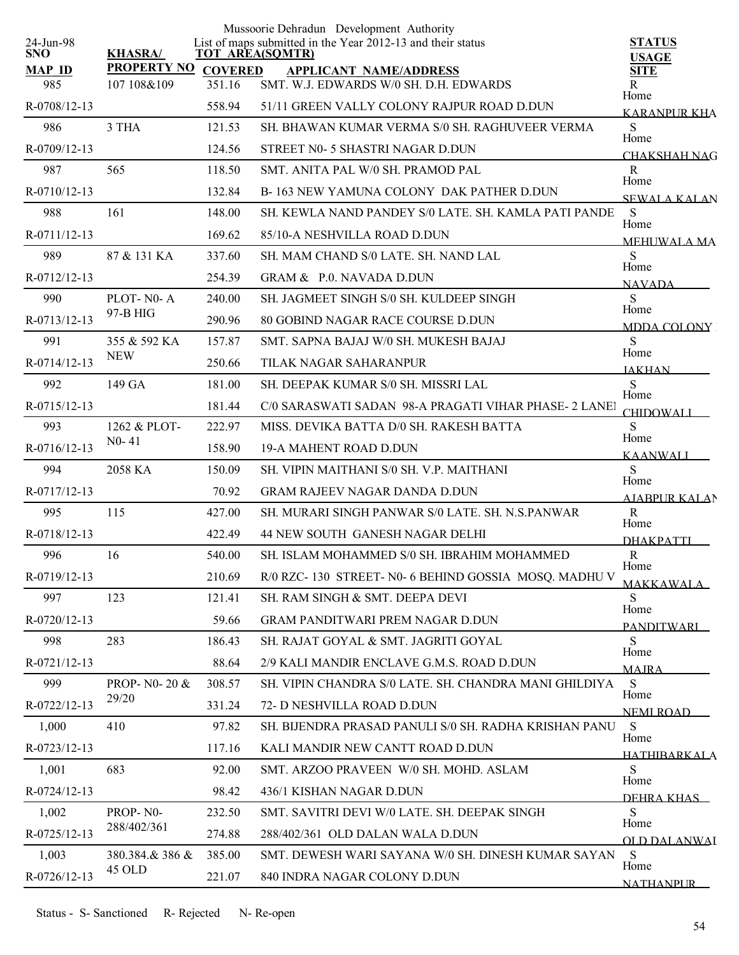|                         |                           |                | Mussoorie Dehradun Development Authority                                              |                                   |
|-------------------------|---------------------------|----------------|---------------------------------------------------------------------------------------|-----------------------------------|
| 24-Jun-98<br><b>SNO</b> | <b>KHASRA/</b>            |                | List of maps submitted in the Year 2012-13 and their status<br><b>TOT AREA(SQMTR)</b> | <b>STATUS</b><br><b>USAGE</b>     |
| <b>MAP ID</b>           | <b>PROPERTY NO</b>        | <b>COVERED</b> | <b>APPLICANT NAME/ADDRESS</b>                                                         | <b>SITE</b>                       |
| 985                     | 107 108&109               | 351.16         | SMT. W.J. EDWARDS W/0 SH. D.H. EDWARDS                                                | R<br>Home                         |
| R-0708/12-13            |                           | 558.94         | 51/11 GREEN VALLY COLONY RAJPUR ROAD D.DUN                                            | <b>KARANPUR KHA</b>               |
| 986                     | 3 THA                     | 121.53         | SH. BHAWAN KUMAR VERMA S/0 SH. RAGHUVEER VERMA                                        | ${\bf S}$<br>Home                 |
| R-0709/12-13            |                           | 124.56         | STREET N0- 5 SHASTRI NAGAR D.DUN                                                      | CHAKSHAH NAG                      |
| 987                     | 565                       | 118.50         | SMT. ANITA PAL W/0 SH. PRAMOD PAL                                                     | $\mathbf R$<br>Home               |
| R-0710/12-13            |                           | 132.84         | B-163 NEW YAMUNA COLONY DAK PATHER D.DUN                                              | <b>SEWALA KALAN</b>               |
| 988                     | 161                       | 148.00         | SH. KEWLA NAND PANDEY S/0 LATE. SH. KAMLA PATI PANDE                                  | S                                 |
| R-0711/12-13            |                           | 169.62         | 85/10-A NESHVILLA ROAD D.DUN                                                          | Home<br><b>MEHUWALA MA</b>        |
| 989                     | 87 & 131 KA               | 337.60         | SH. MAM CHAND S/0 LATE. SH. NAND LAL                                                  | S                                 |
| R-0712/12-13            |                           | 254.39         | GRAM & P.O. NAVADA D.DUN                                                              | Home<br><b>NAVADA</b>             |
| 990                     | PLOT-N0-A                 | 240.00         | SH. JAGMEET SINGH S/0 SH. KULDEEP SINGH                                               | S                                 |
| R-0713/12-13            | 97-B HIG                  | 290.96         | 80 GOBIND NAGAR RACE COURSE D.DUN                                                     | Home<br>MDDA COLONY               |
| 991                     | 355 & 592 KA              | 157.87         | SMT. SAPNA BAJAJ W/0 SH. MUKESH BAJAJ                                                 | S                                 |
| R-0714/12-13            | <b>NEW</b>                | 250.66         | TILAK NAGAR SAHARANPUR                                                                | Home<br><b>JAKHAN</b>             |
| 992                     | 149 GA                    | 181.00         | SH. DEEPAK KUMAR S/0 SH. MISSRI LAL                                                   | S                                 |
| $R-0715/12-13$          |                           | 181.44         | C/0 SARASWATI SADAN 98-A PRAGATI VIHAR PHASE- 2 LANEI                                 | Home                              |
| 993                     | 1262 & PLOT-              | 222.97         | MISS. DEVIKA BATTA D/0 SH. RAKESH BATTA                                               | <b>CHIDOWALL</b><br>S             |
| R-0716/12-13            | $N0-41$                   | 158.90         | <b>19-A MAHENT ROAD D.DUN</b>                                                         | Home                              |
| 994                     | 2058 KA                   | 150.09         | SH. VIPIN MAITHANI S/0 SH. V.P. MAITHANI                                              | <b>KAANWALI</b><br>S              |
| R-0717/12-13            |                           | 70.92          | <b>GRAM RAJEEV NAGAR DANDA D.DUN</b>                                                  | Home                              |
| 995                     | 115                       | 427.00         | SH. MURARI SINGH PANWAR S/0 LATE, SH. N.S.PANWAR                                      | <b>AJABPUR KALAN</b><br>${\bf R}$ |
| R-0718/12-13            |                           | 422.49         | 44 NEW SOUTH GANESH NAGAR DELHI                                                       | Home                              |
| 996                     | 16                        | 540.00         | SH. ISLAM MOHAMMED S/0 SH. IBRAHIM MOHAMMED                                           | <b>DHAKPATTI</b><br>$\mathbb{R}$  |
| R-0719/12-13            |                           | 210.69         | R/0 RZC-130 STREET-N0-6 BEHIND GOSSIA MOSQ. MADHU V                                   | Home                              |
| 997                     | 123                       | 121.41         | SH. RAM SINGH & SMT. DEEPA DEVI                                                       | <b>MAKKAWALA</b><br>S             |
| R-0720/12-13            |                           | 59.66          | <b>GRAM PANDITWARI PREM NAGAR D.DUN</b>                                               | Home                              |
| 998                     | 283                       | 186.43         | SH. RAJAT GOYAL & SMT. JAGRITI GOYAL                                                  | <b>PANDITWARI</b><br>S            |
| R-0721/12-13            |                           | 88.64          | 2/9 KALI MANDIR ENCLAVE G.M.S. ROAD D.DUN                                             | Home                              |
| 999                     | PROP- N0- 20 &            | 308.57         | SH. VIPIN CHANDRA S/0 LATE. SH. CHANDRA MANI GHILDIYA                                 | <b>MAIRA</b><br>S                 |
| R-0722/12-13            | 29/20                     | 331.24         | 72- D NESHVILLA ROAD D.DUN                                                            | Home                              |
| 1,000                   | 410                       | 97.82          | SH. BIJENDRA PRASAD PANULI S/0 SH. RADHA KRISHAN PANU                                 | NEMI ROAD<br>S                    |
| R-0723/12-13            |                           | 117.16         | KALI MANDIR NEW CANTT ROAD D.DUN                                                      | Home                              |
| 1,001                   | 683                       | 92.00          | SMT. ARZOO PRAVEEN W/0 SH. MOHD. ASLAM                                                | <b>HATHIRARKALA</b><br>S          |
| R-0724/12-13            |                           | 98.42          | 436/1 KISHAN NAGAR D.DUN                                                              | Home                              |
| 1,002                   | PROP-NO-                  | 232.50         | SMT. SAVITRI DEVI W/0 LATE. SH. DEEPAK SINGH                                          | DEHRA KHAS<br>S                   |
|                         | 288/402/361               |                |                                                                                       | Home                              |
| R-0725/12-13            |                           | 274.88         | 288/402/361 OLD DALAN WALA D.DUN                                                      | OLD DALANWAI                      |
| 1,003                   | 380.384.& 386 &<br>45 OLD | 385.00         | SMT. DEWESH WARI SAYANA W/0 SH. DINESH KUMAR SAYAN                                    | S<br>Home                         |
| R-0726/12-13            |                           | 221.07         | 840 INDRA NAGAR COLONY D.DUN                                                          | NATHANPUR                         |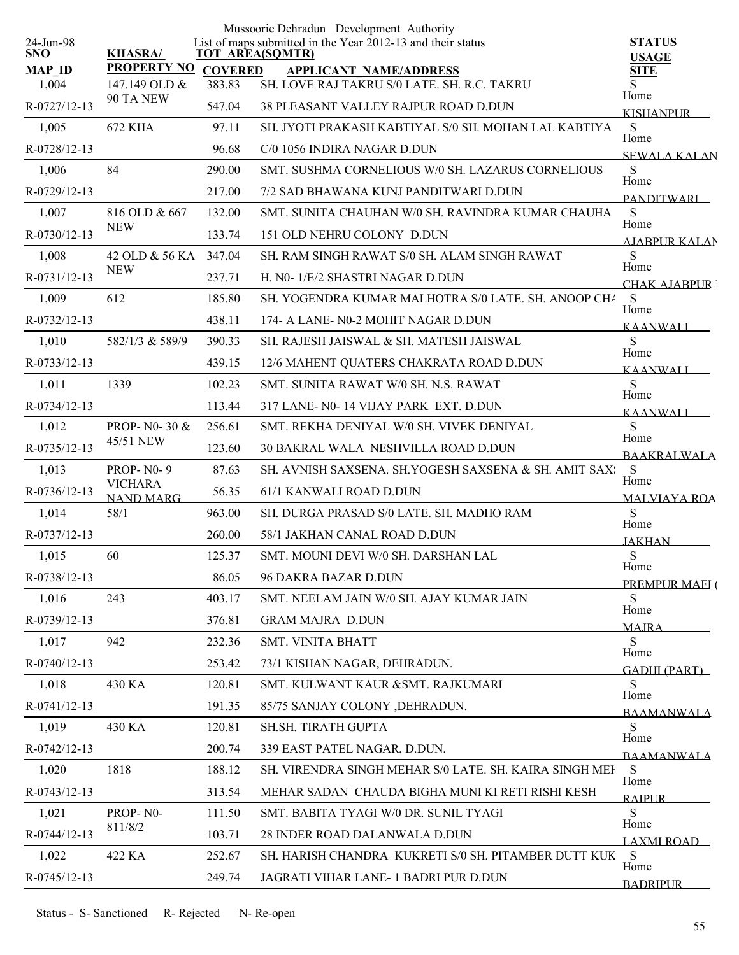| 24-Jun-98      |                                    |                | Mussoorie Dehradun Development Authority<br>List of maps submitted in the Year 2012-13 and their status | <b>STATUS</b>               |
|----------------|------------------------------------|----------------|---------------------------------------------------------------------------------------------------------|-----------------------------|
| <b>SNO</b>     | <b>KHASRA/</b>                     |                | TOT AREA(SQMTR)                                                                                         | <b>USAGE</b>                |
| <b>MAP ID</b>  | <b>PROPERTY NO</b>                 | <b>COVERED</b> | <b>APPLICANT NAME/ADDRESS</b><br>SH. LOVE RAJ TAKRU S/0 LATE. SH. R.C. TAKRU                            | <b>SITE</b>                 |
| 1,004          | 147.149 OLD &<br>90 TA NEW         | 383.83         |                                                                                                         | S<br>Home                   |
| R-0727/12-13   |                                    | 547.04         | <b>38 PLEASANT VALLEY RAJPUR ROAD D.DUN</b>                                                             | <b>KISHANPUR</b>            |
| 1,005          | 672 KHA                            | 97.11          | SH. JYOTI PRAKASH KABTIYAL S/0 SH. MOHAN LAL KABTIYA                                                    | S<br>Home                   |
| R-0728/12-13   |                                    | 96.68          | C/0 1056 INDIRA NAGAR D.DUN                                                                             | <b>SEWALA KALAN</b>         |
| 1,006          | 84                                 | 290.00         | SMT. SUSHMA CORNELIOUS W/0 SH. LAZARUS CORNELIOUS                                                       | S<br>Home                   |
| R-0729/12-13   |                                    | 217.00         | 7/2 SAD BHAWANA KUNJ PANDITWARI D.DUN                                                                   | <b>PANDITWARI</b>           |
| 1,007          | 816 OLD & 667<br><b>NEW</b>        | 132.00         | SMT. SUNITA CHAUHAN W/0 SH. RAVINDRA KUMAR CHAUHA                                                       | ${\bf S}$<br>Home           |
| R-0730/12-13   |                                    | 133.74         | 151 OLD NEHRU COLONY D.DUN                                                                              | <b>AIABPUR KALAN</b>        |
| 1,008          | 42 OLD & 56 KA                     | 347.04         | SH. RAM SINGH RAWAT S/0 SH. ALAM SINGH RAWAT                                                            | S<br>Home                   |
| R-0731/12-13   | <b>NEW</b>                         | 237.71         | H. N0- 1/E/2 SHASTRI NAGAR D.DUN                                                                        | CHAK AJARPUR                |
| 1,009          | 612                                | 185.80         | SH. YOGENDRA KUMAR MALHOTRA S/0 LATE, SH. ANOOP CHA                                                     | S<br>Home                   |
| R-0732/12-13   |                                    | 438.11         | 174- A LANE- N0-2 MOHIT NAGAR D.DUN                                                                     | <b>KAANWALI</b>             |
| 1,010          | 582/1/3 & 589/9                    | 390.33         | SH. RAJESH JAISWAL & SH. MATESH JAISWAL                                                                 | S<br>Home                   |
| R-0733/12-13   |                                    | 439.15         | 12/6 MAHENT QUATERS CHAKRATA ROAD D.DUN                                                                 | <b>KAANWALI</b>             |
| 1,011          | 1339                               | 102.23         | SMT. SUNITA RAWAT W/0 SH. N.S. RAWAT                                                                    | S                           |
| R-0734/12-13   |                                    | 113.44         | 317 LANE- N0-14 VIJAY PARK EXT. D.DUN                                                                   | Home<br><b>KAANWALI</b>     |
| 1,012          | PROP-N0-30 &                       | 256.61         | SMT. REKHA DENIYAL W/0 SH. VIVEK DENIYAL                                                                | S                           |
| R-0735/12-13   | 45/51 NEW                          | 123.60         | <b>30 BAKRAL WALA NESHVILLA ROAD D.DUN</b>                                                              | Home<br><b>BAAKRALWALA</b>  |
| 1,013          | <b>PROP-N0-9</b>                   | 87.63          | SH. AVNISH SAXSENA. SH.YOGESH SAXSENA & SH. AMIT SAX!                                                   | S                           |
| $R-0736/12-13$ | <b>VICHARA</b><br><b>NAND MARG</b> | 56.35          | 61/1 KANWALI ROAD D.DUN                                                                                 | Home<br><b>MALVIAYA ROA</b> |
| 1,014          | 58/1                               | 963.00         | SH. DURGA PRASAD S/0 LATE. SH. MADHO RAM                                                                | S                           |
| R-0737/12-13   |                                    | 260.00         | 58/1 JAKHAN CANAL ROAD D.DUN                                                                            | Home                        |
| 1,015          | 60                                 | 125.37         | SMT. MOUNI DEVI W/0 SH. DARSHAN LAL                                                                     | <b>JAKHAN</b><br>${\bf S}$  |
| R-0738/12-13   |                                    | 86.05          | 96 DAKRA BAZAR D.DUN                                                                                    | Home                        |
| 1,016          | 243                                | 403.17         | SMT. NEELAM JAIN W/0 SH. AJAY KUMAR JAIN                                                                | PREMPUR MAEI (<br>S         |
| R-0739/12-13   |                                    | 376.81         | <b>GRAM MAJRA D.DUN</b>                                                                                 | Home                        |
| 1,017          | 942                                | 232.36         | SMT. VINITA BHATT                                                                                       | <b>MAJRA</b><br>S           |
| R-0740/12-13   |                                    | 253.42         | 73/1 KISHAN NAGAR, DEHRADUN.                                                                            | Home                        |
| 1,018          | 430 KA                             | 120.81         | SMT. KULWANT KAUR & SMT. RAJKUMARI                                                                      | <b>GADHI (PART)</b><br>S.   |
| R-0741/12-13   |                                    | 191.35         | 85/75 SANJAY COLONY , DEHRADUN.                                                                         | Home                        |
| 1,019          | 430 KA                             | 120.81         | SH.SH. TIRATH GUPTA                                                                                     | <b>BAAMANWALA</b><br>S      |
| R-0742/12-13   |                                    | 200.74         | 339 EAST PATEL NAGAR, D.DUN.                                                                            | Home                        |
|                | 1818                               | 188.12         | SH. VIRENDRA SINGH MEHAR S/0 LATE. SH. KAIRA SINGH MEH                                                  | <b>BAAMANWALA</b>           |
| 1,020          |                                    |                |                                                                                                         | S<br>Home                   |
| R-0743/12-13   |                                    | 313.54         | MEHAR SADAN CHAUDA BIGHA MUNI KI RETI RISHI KESH                                                        | <b>RAIPLIR</b>              |
| 1,021          | PROP-N0-<br>811/8/2                | 111.50         | SMT. BABITA TYAGI W/0 DR. SUNIL TYAGI                                                                   | S<br>Home                   |
| R-0744/12-13   |                                    | 103.71         | 28 INDER ROAD DALANWALA D.DUN                                                                           | <u>LAXMI ROAD –</u>         |
| 1,022          | 422 KA                             | 252.67         | SH. HARISH CHANDRA KUKRETI S/0 SH. PITAMBER DUTT KUK S                                                  | Home                        |
| R-0745/12-13   |                                    | 249.74         | JAGRATI VIHAR LANE- 1 BADRI PUR D.DUN                                                                   | <b>BADRIPUR</b>             |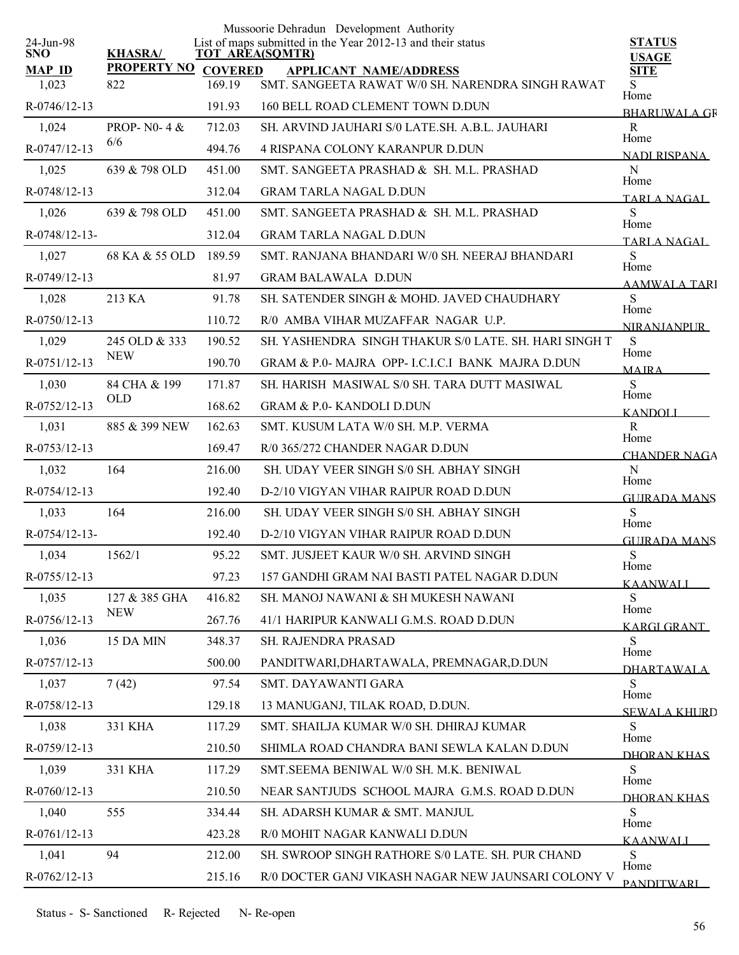| 24-Jun-98      |                       |                | Mussoorie Dehradun Development Authority<br>List of maps submitted in the Year 2012-13 and their status | <b>STATUS</b>               |
|----------------|-----------------------|----------------|---------------------------------------------------------------------------------------------------------|-----------------------------|
| <b>SNO</b>     | <b>KHASRA/</b>        |                | <b>TOT AREA(SQMTR)</b>                                                                                  | <b>USAGE</b>                |
| <b>MAP ID</b>  | <b>PROPERTY NO</b>    | <b>COVERED</b> | <b>APPLICANT NAME/ADDRESS</b>                                                                           | <b>SITE</b>                 |
| 1,023          | 822                   | 169.19         | SMT. SANGEETA RAWAT W/0 SH. NARENDRA SINGH RAWAT                                                        | S<br>Home                   |
| R-0746/12-13   |                       | 191.93         | 160 BELL ROAD CLEMENT TOWN D.DUN                                                                        | <b>BHARUWALA GR</b>         |
| 1,024          | PROP- $N0-4$ &<br>6/6 | 712.03         | SH. ARVIND JAUHARI S/0 LATE SH. A.B.L. JAUHARI                                                          | $\mathbb{R}$<br>Home        |
| R-0747/12-13   |                       | 494.76         | 4 RISPANA COLONY KARANPUR D.DUN                                                                         | NADI RISPANA                |
| 1,025          | 639 & 798 OLD         | 451.00         | SMT. SANGEETA PRASHAD & SH. M.L. PRASHAD                                                                | ${\bf N}$<br>Home           |
| R-0748/12-13   |                       | 312.04         | <b>GRAM TARLA NAGAL D.DUN</b>                                                                           | <b>TARLA NAGAL</b>          |
| 1,026          | 639 & 798 OLD         | 451.00         | SMT. SANGEETA PRASHAD & SH. M.L. PRASHAD                                                                | S<br>Home                   |
| R-0748/12-13-  |                       | 312.04         | <b>GRAM TARLA NAGAL D.DUN</b>                                                                           | TARLA NAGAL                 |
| 1,027          | 68 KA & 55 OLD        | 189.59         | SMT. RANJANA BHANDARI W/0 SH. NEERAJ BHANDARI                                                           | S<br>Home                   |
| R-0749/12-13   |                       | 81.97          | <b>GRAM BALAWALA D.DUN</b>                                                                              | <b>AAMWALA TARI</b>         |
| 1,028          | 213 KA                | 91.78          | SH. SATENDER SINGH & MOHD. JAVED CHAUDHARY                                                              | S<br>Home                   |
| $R-0750/12-13$ |                       | 110.72         | R/0 AMBA VIHAR MUZAFFAR NAGAR U.P.                                                                      | <b>NIRANJANPUR</b>          |
| 1,029          | 245 OLD & 333         | 190.52         | SH. YASHENDRA SINGH THAKUR S/0 LATE, SH. HARI SINGH T                                                   | S<br>Home                   |
| R-0751/12-13   | <b>NEW</b>            | 190.70         | GRAM & P.0-MAJRA OPP- LC.LC.I BANK MAJRA D.DUN                                                          | <b>MAIRA</b>                |
| 1,030          | 84 CHA & 199          | 171.87         | SH. HARISH MASIWAL S/0 SH. TARA DUTT MASIWAL                                                            | S<br>Home                   |
| R-0752/12-13   | <b>OLD</b>            | 168.62         | <b>GRAM &amp; P.0- KANDOLI D.DUN</b>                                                                    | <b>KANDOLI</b>              |
| 1,031          | 885 & 399 NEW         | 162.63         | SMT. KUSUM LATA W/0 SH. M.P. VERMA                                                                      | $\mathbf R$                 |
| R-0753/12-13   |                       | 169.47         | R/0 365/272 CHANDER NAGAR D.DUN                                                                         | Home<br><b>CHANDER NAGA</b> |
| 1,032          | 164                   | 216.00         | SH. UDAY VEER SINGH S/0 SH. ABHAY SINGH                                                                 | ${\bf N}$                   |
| R-0754/12-13   |                       | 192.40         | D-2/10 VIGYAN VIHAR RAIPUR ROAD D.DUN                                                                   | Home<br><b>GUIRADA MANS</b> |
| 1,033          | 164                   | 216.00         | SH. UDAY VEER SINGH S/0 SH. ABHAY SINGH                                                                 | S                           |
| R-0754/12-13-  |                       | 192.40         | D-2/10 VIGYAN VIHAR RAIPUR ROAD D.DUN                                                                   | Home<br><b>GUIRADA MANS</b> |
| 1,034          | 1562/1                | 95.22          | SMT. JUSJEET KAUR W/0 SH. ARVIND SINGH                                                                  | ${\bf S}$                   |
| R-0755/12-13   |                       | 97.23          | 157 GANDHI GRAM NAI BASTI PATEL NAGAR D.DUN                                                             | Home<br><b>KAANWALI</b>     |
| 1,035          | 127 & 385 GHA         | 416.82         | SH. MANOJ NAWANI & SH MUKESH NAWANI                                                                     | S                           |
| R-0756/12-13   | <b>NEW</b>            | 267.76         | 41/1 HARIPUR KANWALI G.M.S. ROAD D.DUN                                                                  | Home<br><b>KARGI GRANT</b>  |
| 1,036          | 15 DA MIN             | 348.37         | <b>SH. RAJENDRA PRASAD</b>                                                                              | S                           |
| R-0757/12-13   |                       | 500.00         | PANDITWARI, DHARTAWALA, PREMNAGAR, D.DUN                                                                | Home<br><b>DHARTAWALA</b>   |
| 1,037          | 7(42)                 | 97.54          | SMT. DAYAWANTI GARA                                                                                     | S                           |
| R-0758/12-13   |                       | 129.18         | 13 MANUGANJ, TILAK ROAD, D.DUN.                                                                         | Home<br><b>SEWALA KHURD</b> |
| 1,038          | 331 KHA               | 117.29         | SMT. SHAILJA KUMAR W/0 SH. DHIRAJ KUMAR                                                                 | S                           |
| R-0759/12-13   |                       | 210.50         | SHIMLA ROAD CHANDRA BANI SEWLA KALAN D.DUN                                                              | Home<br>DHORAN KHAS         |
| 1,039          | 331 KHA               | 117.29         | SMT.SEEMA BENIWAL W/0 SH. M.K. BENIWAL                                                                  | S                           |
| R-0760/12-13   |                       | 210.50         | NEAR SANTJUDS SCHOOL MAJRA G.M.S. ROAD D.DUN                                                            | Home                        |
| 1,040          | 555                   | 334.44         | SH. ADARSH KUMAR & SMT. MANJUL                                                                          | DHORAN KHAS<br>S            |
| R-0761/12-13   |                       | 423.28         | R/0 MOHIT NAGAR KANWALI D.DUN                                                                           | Home                        |
| 1,041          | 94                    | 212.00         | SH. SWROOP SINGH RATHORE S/0 LATE. SH. PUR CHAND                                                        | <b>KAANWALI</b><br>S        |
| R-0762/12-13   |                       | 215.16         | R/0 DOCTER GANJ VIKASH NAGAR NEW JAUNSARI COLONY V                                                      | Home                        |
|                |                       |                |                                                                                                         | <b>PANDITWARI</b>           |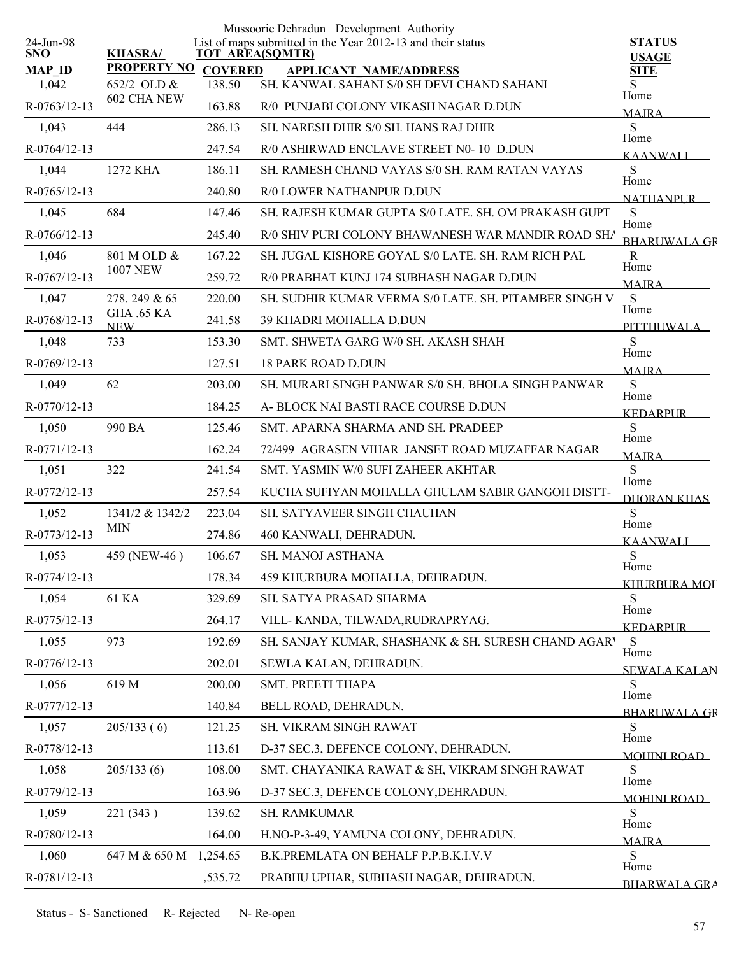| 24-Jun-98              |                                     |                          | Mussoorie Dehradun Development Authority<br>List of maps submitted in the Year 2012-13 and their status | <b>STATUS</b>                |
|------------------------|-------------------------------------|--------------------------|---------------------------------------------------------------------------------------------------------|------------------------------|
| <b>SNO</b>             | <b>KHASRA/</b>                      |                          | <b>TOT AREA(SQMTR)</b>                                                                                  | <b>USAGE</b>                 |
| <b>MAP ID</b><br>1,042 | <b>PROPERTY NO</b><br>652/2 OLD $&$ | <b>COVERED</b><br>138.50 | <b>APPLICANT NAME/ADDRESS</b><br>SH. KANWAL SAHANI S/0 SH DEVI CHAND SAHANI                             | <b>SITE</b>                  |
|                        | 602 CHA NEW                         |                          |                                                                                                         | Home                         |
| R-0763/12-13           |                                     | 163.88                   | R/0 PUNJABI COLONY VIKASH NAGAR D.DUN                                                                   | <b>MAJRA</b>                 |
| 1,043                  | 444                                 | 286.13                   | SH. NARESH DHIR S/0 SH. HANS RAJ DHIR                                                                   | S<br>Home                    |
| R-0764/12-13           |                                     | 247.54                   | R/0 ASHIRWAD ENCLAVE STREET N0-10 D.DUN                                                                 | <b>KAANWALI</b>              |
| 1,044                  | 1272 KHA                            | 186.11                   | SH. RAMESH CHAND VAYAS S/0 SH. RAM RATAN VAYAS                                                          | S<br>Home                    |
| R-0765/12-13           |                                     | 240.80                   | R/0 LOWER NATHANPUR D.DUN                                                                               | <b>NATHANPLIR</b>            |
| 1,045                  | 684                                 | 147.46                   | SH. RAJESH KUMAR GUPTA S/0 LATE. SH. OM PRAKASH GUPT                                                    | S<br>Home                    |
| $R-0766/12-13$         |                                     | 245.40                   | R/0 SHIV PURI COLONY BHAWANESH WAR MANDIR ROAD SHA                                                      | <b>BHARLIWAL A GR</b>        |
| 1,046                  | 801 M OLD &<br><b>1007 NEW</b>      | 167.22                   | SH. JUGAL KISHORE GOYAL S/0 LATE. SH. RAM RICH PAL                                                      | R<br>Home                    |
| R-0767/12-13           |                                     | 259.72                   | R/0 PRABHAT KUNJ 174 SUBHASH NAGAR D.DUN                                                                | <b>MAIRA</b>                 |
| 1,047                  | 278.249 & 65                        | 220.00                   | SH. SUDHIR KUMAR VERMA S/0 LATE, SH. PITAMBER SINGH V                                                   | S<br>Home                    |
| R-0768/12-13           | <b>GHA .65 KA</b><br><b>NEW</b>     | 241.58                   | 39 KHADRI MOHALLA D.DUN                                                                                 | <b>PITTHUWALA</b>            |
| 1,048                  | 733                                 | 153.30                   | SMT. SHWETA GARG W/0 SH. AKASH SHAH                                                                     | S                            |
| R-0769/12-13           |                                     | 127.51                   | <b>18 PARK ROAD D.DUN</b>                                                                               | Home<br><b>MAJRA</b>         |
| 1,049                  | 62                                  | 203.00                   | SH. MURARI SINGH PANWAR S/0 SH. BHOLA SINGH PANWAR                                                      | S                            |
| R-0770/12-13           |                                     | 184.25                   | A- BLOCK NAI BASTI RACE COURSE D.DUN                                                                    | Home<br><b>KEDARPUR</b>      |
| 1,050                  | 990 BA                              | 125.46                   | SMT. APARNA SHARMA AND SH. PRADEEP                                                                      | S                            |
| R-0771/12-13           |                                     | 162.24                   | 72/499 AGRASEN VIHAR JANSET ROAD MUZAFFAR NAGAR                                                         | Home<br><b>MAIRA</b>         |
| 1,051                  | 322                                 | 241.54                   | SMT. YASMIN W/0 SUFI ZAHEER AKHTAR                                                                      | S                            |
| R-0772/12-13           |                                     | 257.54                   | KUCHA SUFIYAN MOHALLA GHULAM SABIR GANGOH DISTT-                                                        | Home<br><b>DHORAN KHAS</b>   |
| 1,052                  | 1341/2 & 1342/2                     | 223.04                   | <b>SH. SATYAVEER SINGH CHAUHAN</b>                                                                      | S                            |
| R-0773/12-13           | <b>MIN</b>                          | 274.86                   | 460 KANWALI, DEHRADUN.                                                                                  | Home                         |
| 1,053                  | 459 (NEW-46)                        | 106.67                   | SH. MANOJ ASTHANA                                                                                       | <b>KAANWALI</b><br>${\bf S}$ |
| R-0774/12-13           |                                     | 178.34                   | 459 KHURBURA MOHALLA, DEHRADUN.                                                                         | Home                         |
| 1,054                  | 61 KA                               | 329.69                   | SH. SATYA PRASAD SHARMA                                                                                 | KHURBURA MOF<br>S            |
| R-0775/12-13           |                                     | 264.17                   | VILL-KANDA, TILWADA, RUDRAPRYAG.                                                                        | Home                         |
| 1,055                  | 973                                 | 192.69                   | SH. SANJAY KUMAR, SHASHANK & SH. SURESH CHAND AGARY                                                     | <b>KEDARPUR</b><br>S         |
| R-0776/12-13           |                                     | 202.01                   | SEWLA KALAN, DEHRADUN.                                                                                  | Home                         |
| 1,056                  | 619 M                               | 200.00                   | SMT. PREETI THAPA                                                                                       | <b>SEWALA KALAN</b><br>S     |
| R-0777/12-13           |                                     | 140.84                   | BELL ROAD, DEHRADUN.                                                                                    | Home                         |
| 1,057                  | 205/133(6)                          | 121.25                   | SH. VIKRAM SINGH RAWAT                                                                                  | <b>BHARLIWALA GR</b><br>S    |
| R-0778/12-13           |                                     | 113.61                   | D-37 SEC.3, DEFENCE COLONY, DEHRADUN.                                                                   | Home                         |
|                        |                                     | 108.00                   |                                                                                                         | <b>MOHINI ROAD</b>           |
| 1,058                  | 205/133(6)                          |                          | SMT. CHAYANIKA RAWAT & SH, VIKRAM SINGH RAWAT                                                           | S<br>Home                    |
| R-0779/12-13           |                                     | 163.96                   | D-37 SEC.3, DEFENCE COLONY, DEHRADUN.                                                                   | <b>MOHINI ROAD</b>           |
| 1,059                  | 221 (343)                           | 139.62                   | SH. RAMKUMAR                                                                                            | S<br>Home                    |
| R-0780/12-13           |                                     | 164.00                   | H.NO-P-3-49, YAMUNA COLONY, DEHRADUN.                                                                   | <b>MAIRA</b>                 |
| 1,060                  | 647 M & 650 M                       | 1,254.65                 | B.K.PREMLATA ON BEHALF P.P.B.K.I.V.V                                                                    | S<br>Home                    |
| R-0781/12-13           |                                     | 1,535.72                 | PRABHU UPHAR, SUBHASH NAGAR, DEHRADUN.                                                                  | <b>BHARWALA GRA</b>          |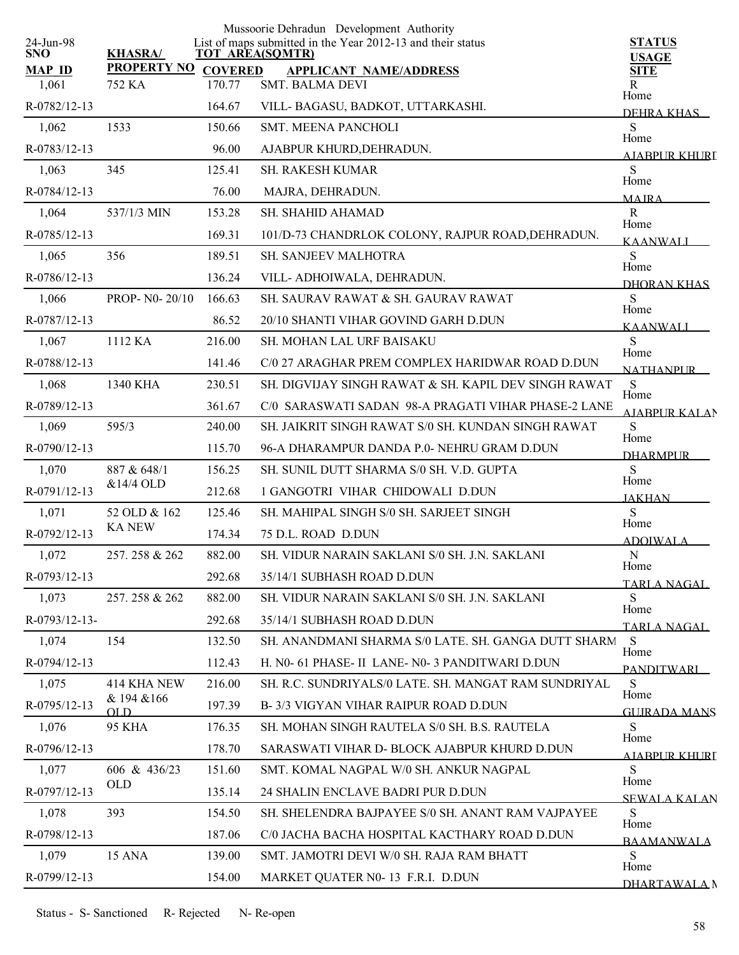|                         |                       |                | Mussoorie Dehradun Development Authority                                              |                               |
|-------------------------|-----------------------|----------------|---------------------------------------------------------------------------------------|-------------------------------|
| 24-Jun-98<br><b>SNO</b> | <b>KHASRA/</b>        |                | List of maps submitted in the Year 2012-13 and their status<br><b>TOT AREA(SQMTR)</b> | <b>STATUS</b><br><b>USAGE</b> |
| <b>MAP ID</b>           | <b>PROPERTY NO</b>    | <b>COVERED</b> | <b>APPLICANT NAME/ADDRESS</b>                                                         | <b>SITE</b>                   |
| 1,061                   | 752 KA                | 170.77         | <b>SMT. BALMA DEVI</b>                                                                | R<br>Home                     |
| R-0782/12-13            |                       | 164.67         | VILL-BAGASU, BADKOT, UTTARKASHI.                                                      | DEHRA KHAS                    |
| 1,062                   | 1533                  | 150.66         | <b>SMT. MEENA PANCHOLI</b>                                                            | S<br>Home                     |
| R-0783/12-13            |                       | 96.00          | AJABPUR KHURD, DEHRADUN.                                                              | AIABPUR KHURT                 |
| 1,063                   | 345                   | 125.41         | <b>SH. RAKESH KUMAR</b>                                                               | S<br>Home                     |
| R-0784/12-13            |                       | 76.00          | MAJRA, DEHRADUN.                                                                      | <b>MAIRA</b>                  |
| 1,064                   | 537/1/3 MIN           | 153.28         | SH. SHAHID AHAMAD                                                                     | ${\bf R}$<br>Home             |
| R-0785/12-13            |                       | 169.31         | 101/D-73 CHANDRLOK COLONY, RAJPUR ROAD, DEHRADUN.                                     | <b>KAANWALI</b>               |
| 1,065                   | 356                   | 189.51         | SH. SANJEEV MALHOTRA                                                                  | ${\bf S}$<br>Home             |
| R-0786/12-13            |                       | 136.24         | VILL-ADHOIWALA, DEHRADUN.                                                             | DHORAN KHAS                   |
| 1,066                   | PROP- N0-20/10        | 166.63         | SH. SAURAV RAWAT & SH. GAURAV RAWAT                                                   | S<br>Home                     |
| R-0787/12-13            |                       | 86.52          | 20/10 SHANTI VIHAR GOVIND GARH D.DUN                                                  | <b>KAANWALI</b>               |
| 1,067                   | 1112 KA               | 216.00         | <b>SH. MOHAN LAL URF BAISAKU</b>                                                      | S                             |
| R-0788/12-13            |                       | 141.46         | C/0 27 ARAGHAR PREM COMPLEX HARIDWAR ROAD D.DUN                                       | Home<br><b>NATHANPLIR</b>     |
| 1,068                   | 1340 KHA              | 230.51         | SH. DIGVIJAY SINGH RAWAT & SH. KAPIL DEV SINGH RAWAT                                  | S                             |
| R-0789/12-13            |                       | 361.67         | C/0 SARASWATI SADAN 98-A PRAGATI VIHAR PHASE-2 LANE                                   | Home<br><b>AIABPUR KALAN</b>  |
| 1,069                   | 595/3                 | 240.00         | SH. JAIKRIT SINGH RAWAT S/0 SH. KUNDAN SINGH RAWAT                                    | S                             |
| R-0790/12-13            |                       | 115.70         | 96-A DHARAMPUR DANDA P.0- NEHRU GRAM D.DUN                                            | Home<br><b>DHARMPUR</b>       |
| 1,070                   | 887 & 648/1           | 156.25         | SH. SUNIL DUTT SHARMA S/0 SH. V.D. GUPTA                                              | S                             |
| R-0791/12-13            | &14/4 OLD             | 212.68         | 1 GANGOTRI VIHAR CHIDOWALI D.DUN                                                      | Home                          |
| 1,071                   | 52 OLD & 162          | 125.46         | SH. MAHIPAL SINGH S/0 SH. SARJEET SINGH                                               | <b>JAKHAN</b><br>S            |
| R-0792/12-13            | <b>KANEW</b>          | 174.34         | 75 D.L. ROAD D.DUN                                                                    | Home<br><b>ADOIWALA</b>       |
| 1,072                   | 257.258 & 262         | 882.00         | SH. VIDUR NARAIN SAKLANI S/0 SH. J.N. SAKLANI                                         | ${\bf N}$                     |
| R-0793/12-13            |                       | 292.68         | 35/14/1 SUBHASH ROAD D.DUN                                                            | Home                          |
| 1,073                   | 257.258 & 262         | 882.00         | SH. VIDUR NARAIN SAKLANI S/0 SH. J.N. SAKLANI                                         | TARLA NAGAL.<br>S             |
| R-0793/12-13-           |                       | 292.68         | 35/14/1 SUBHASH ROAD D.DUN                                                            | Home                          |
| 1,074                   | 154                   | 132.50         | SH. ANANDMANI SHARMA S/0 LATE. SH. GANGA DUTT SHARM                                   | <b>TARLA NAGAL</b><br>S       |
| R-0794/12-13            |                       | 112.43         | H. N0- 61 PHASE- II LANE- N0- 3 PANDITWARI D.DUN                                      | Home                          |
| 1,075                   | 414 KHA NEW           | 216.00         | SH. R.C. SUNDRIYALS/0 LATE. SH. MANGAT RAM SUNDRIYAL                                  | <b>PANDITWARI</b><br>S        |
| R-0795/12-13            | & 194 & 166           | 197.39         | B-3/3 VIGYAN VIHAR RAIPUR ROAD D.DUN                                                  | Home                          |
| 1,076                   | OL D<br><b>95 KHA</b> | 176.35         | SH. MOHAN SINGH RAUTELA S/0 SH. B.S. RAUTELA                                          | <b>GUIRADA MANS</b><br>S      |
| R-0796/12-13            |                       | 178.70         | SARASWATI VIHAR D- BLOCK AJABPUR KHURD D.DUN                                          | Home                          |
| 1,077                   | 606 & 436/23          | 151.60         | SMT. KOMAL NAGPAL W/0 SH. ANKUR NAGPAL                                                | AIABPUR KHURT<br>S            |
| R-0797/12-13            | <b>OLD</b>            | 135.14         | 24 SHALIN ENCLAVE BADRI PUR D.DUN                                                     | Home                          |
| 1,078                   | 393                   | 154.50         | SH. SHELENDRA BAJPAYEE S/0 SH. ANANT RAM VAJPAYEE                                     | <b>SEWALA KALAN</b><br>S      |
| R-0798/12-13            |                       | 187.06         | C/0 JACHA BACHA HOSPITAL KACTHARY ROAD D.DUN                                          | Home                          |
| 1,079                   | <b>15 ANA</b>         | 139.00         | SMT. JAMOTRI DEVI W/0 SH. RAJA RAM BHATT                                              | <b>BAAMANWALA</b><br>S        |
|                         |                       |                |                                                                                       | Home                          |
| R-0799/12-13            |                       | 154.00         | MARKET QUATER N0-13 F.R.I. D.DUN                                                      | DHARTAWALA N                  |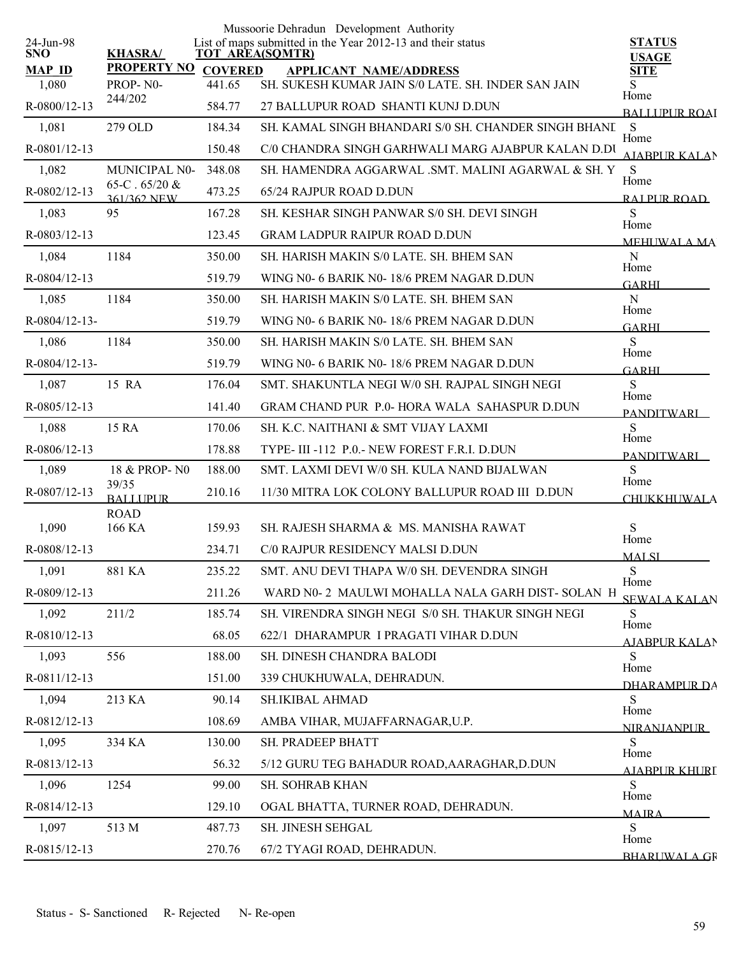| <b>KHASRA/</b><br><b>SNO</b><br><b>TOT AREA(SQMTR)</b><br><b>USAGE</b><br><b>PROPERTY NO</b><br><b>MAP ID</b><br><b>COVERED</b><br><b>SITE</b><br><b>APPLICANT NAME/ADDRESS</b><br>SH. SUKESH KUMAR JAIN S/0 LATE. SH. INDER SAN JAIN<br>1,080<br>PROP-N0-<br>441.65<br>S<br>Home<br>244/202<br>R-0800/12-13<br>584.77<br>27 BALLUPUR ROAD SHANTI KUNJ D.DUN<br><b>BALLUPUR ROAI</b><br>S<br>1,081<br>279 OLD<br>SH. KAMAL SINGH BHANDARI S/0 SH. CHANDER SINGH BHANL<br>184.34<br>Home<br>$R-0801/12-13$<br>C/0 CHANDRA SINGH GARHWALI MARG AJABPUR KALAN D.DU<br>150.48<br><b>AIABPUR KALAN</b><br>S<br>1,082<br>MUNICIPAL N0-<br>348.08<br>SH. HAMENDRA AGGARWAL .SMT. MALINI AGARWAL & SH. Y<br>Home<br>65-C $.65/20 &$<br>R-0802/12-13<br>473.25<br>65/24 RAJPUR ROAD D.DUN<br>361/362 NEW<br>RAI PUR ROAD<br>S<br>95<br>1,083<br>167.28<br>SH. KESHAR SINGH PANWAR S/0 SH. DEVI SINGH<br>Home<br>R-0803/12-13<br>123.45<br><b>GRAM LADPUR RAIPUR ROAD D.DUN</b><br>MEHUWALA MA<br>1184<br>${\bf N}$<br>1,084<br>350.00<br>SH. HARISH MAKIN S/0 LATE. SH. BHEM SAN<br>Home<br>R-0804/12-13<br>519.79<br>WING N0- 6 BARIK N0-18/6 PREM NAGAR D.DUN<br>GARHI<br>1184<br>$\mathbf N$<br>350.00<br>1,085<br>SH. HARISH MAKIN S/0 LATE. SH. BHEM SAN<br>Home<br>R-0804/12-13-<br>WING NO- 6 BARIK NO-18/6 PREM NAGAR D.DUN<br>519.79<br><b>GARHI</b><br>S<br>1184<br>350.00<br>SH. HARISH MAKIN S/0 LATE. SH. BHEM SAN<br>1,086<br>Home<br>R-0804/12-13-<br>519.79<br>WING N0- 6 BARIK N0-18/6 PREM NAGAR D.DUN<br><b>GARHI</b><br>S<br>15 RA<br>1,087<br>176.04<br>SMT. SHAKUNTLA NEGI W/0 SH. RAJPAL SINGH NEGI<br>Home<br>$R-0805/12-13$<br><b>GRAM CHAND PUR P.0- HORA WALA SAHASPUR D.DUN</b><br>141.40<br><b>PANDITWARI</b><br>S<br>15 RA<br>1,088<br>170.06<br>SH. K.C. NAITHANI & SMT VIJAY LAXMI<br>Home<br>$R-0806/12-13$<br>178.88<br>TYPE-III-112 P.O.- NEW FOREST F.R.I. D.DUN<br><b>PANDITWARI</b><br>S<br>188.00<br>1,089<br>18 & PROP-N0<br>SMT. LAXMI DEVI W/0 SH. KULA NAND BIJALWAN<br>Home<br>39/35<br>R-0807/12-13<br>210.16<br>11/30 MITRA LOK COLONY BALLUPUR ROAD III D.DUN<br><b>BALLUPUR</b><br><b>CHUKKHUWALA</b><br><b>ROAD</b><br>S<br>1,090<br>166 KA<br>159.93<br>SH. RAJESH SHARMA & MS. MANISHA RAWAT<br>Home<br>R-0808/12-13<br>C/0 RAJPUR RESIDENCY MALSI D.DUN<br>234.71<br><b>MALSI</b><br>${\bf S}$<br>235.22<br>SMT. ANU DEVI THAPA W/0 SH. DEVENDRA SINGH<br>1,091<br>881 KA<br>Home<br>R-0809/12-13<br>211.26<br>WARD N0-2 MAULWI MOHALLA NALA GARH DIST-SOLAN H<br>SEWALA KALAN<br>S<br>1,092<br>211/2<br>185.74<br>SH. VIRENDRA SINGH NEGI S/0 SH. THAKUR SINGH NEGI<br>Home<br>R-0810/12-13<br>68.05<br>622/1 DHARAMPUR I PRAGATI VIHAR D.DUN<br>AJABPUR KALAN<br>S<br>1,093<br>556<br>188.00<br>SH. DINESH CHANDRA BALODI<br>Home<br>R-0811/12-13<br>151.00<br>339 CHUKHUWALA, DEHRADUN.<br><b>DHARAMPUR DA</b><br>S<br>1,094<br>213 KA<br>90.14<br>SH.IKIBAL AHMAD<br>Home<br>R-0812/12-13<br>108.69<br>AMBA VIHAR, MUJAFFARNAGAR, U.P.<br><b>NIRANJANPUR</b><br>${\bf S}$<br>1,095<br>130.00<br>334 KA<br>SH. PRADEEP BHATT<br>Home<br>R-0813/12-13<br>56.32<br>5/12 GURU TEG BAHADUR ROAD, AARAGHAR, D.DUN<br>AIABPUR KHURI<br>S<br>1,096<br>1254<br>99.00<br>SH. SOHRAB KHAN<br>Home<br>R-0814/12-13<br>129.10<br>OGAL BHATTA, TURNER ROAD, DEHRADUN.<br><b>MAIRA</b> | 24-Jun-98 |       |        | Mussoorie Dehradun Development Authority<br>List of maps submitted in the Year 2012-13 and their status | <b>STATUS</b> |
|------------------------------------------------------------------------------------------------------------------------------------------------------------------------------------------------------------------------------------------------------------------------------------------------------------------------------------------------------------------------------------------------------------------------------------------------------------------------------------------------------------------------------------------------------------------------------------------------------------------------------------------------------------------------------------------------------------------------------------------------------------------------------------------------------------------------------------------------------------------------------------------------------------------------------------------------------------------------------------------------------------------------------------------------------------------------------------------------------------------------------------------------------------------------------------------------------------------------------------------------------------------------------------------------------------------------------------------------------------------------------------------------------------------------------------------------------------------------------------------------------------------------------------------------------------------------------------------------------------------------------------------------------------------------------------------------------------------------------------------------------------------------------------------------------------------------------------------------------------------------------------------------------------------------------------------------------------------------------------------------------------------------------------------------------------------------------------------------------------------------------------------------------------------------------------------------------------------------------------------------------------------------------------------------------------------------------------------------------------------------------------------------------------------------------------------------------------------------------------------------------------------------------------------------------------------------------------------------------------------------------------------------------------------------------------------------------------------------------------------------------------------------------------------------------------------------------------------------------------------------------------------------------------------------------------------------------------------------------------------------------------------------------------------------------------------------------------------------------------------------------------------------------------------------------------------------------------------------------------------------------------------------------------------------------------------------|-----------|-------|--------|---------------------------------------------------------------------------------------------------------|---------------|
|                                                                                                                                                                                                                                                                                                                                                                                                                                                                                                                                                                                                                                                                                                                                                                                                                                                                                                                                                                                                                                                                                                                                                                                                                                                                                                                                                                                                                                                                                                                                                                                                                                                                                                                                                                                                                                                                                                                                                                                                                                                                                                                                                                                                                                                                                                                                                                                                                                                                                                                                                                                                                                                                                                                                                                                                                                                                                                                                                                                                                                                                                                                                                                                                                                                                                                                        |           |       |        |                                                                                                         |               |
|                                                                                                                                                                                                                                                                                                                                                                                                                                                                                                                                                                                                                                                                                                                                                                                                                                                                                                                                                                                                                                                                                                                                                                                                                                                                                                                                                                                                                                                                                                                                                                                                                                                                                                                                                                                                                                                                                                                                                                                                                                                                                                                                                                                                                                                                                                                                                                                                                                                                                                                                                                                                                                                                                                                                                                                                                                                                                                                                                                                                                                                                                                                                                                                                                                                                                                                        |           |       |        |                                                                                                         |               |
|                                                                                                                                                                                                                                                                                                                                                                                                                                                                                                                                                                                                                                                                                                                                                                                                                                                                                                                                                                                                                                                                                                                                                                                                                                                                                                                                                                                                                                                                                                                                                                                                                                                                                                                                                                                                                                                                                                                                                                                                                                                                                                                                                                                                                                                                                                                                                                                                                                                                                                                                                                                                                                                                                                                                                                                                                                                                                                                                                                                                                                                                                                                                                                                                                                                                                                                        |           |       |        |                                                                                                         |               |
|                                                                                                                                                                                                                                                                                                                                                                                                                                                                                                                                                                                                                                                                                                                                                                                                                                                                                                                                                                                                                                                                                                                                                                                                                                                                                                                                                                                                                                                                                                                                                                                                                                                                                                                                                                                                                                                                                                                                                                                                                                                                                                                                                                                                                                                                                                                                                                                                                                                                                                                                                                                                                                                                                                                                                                                                                                                                                                                                                                                                                                                                                                                                                                                                                                                                                                                        |           |       |        |                                                                                                         |               |
|                                                                                                                                                                                                                                                                                                                                                                                                                                                                                                                                                                                                                                                                                                                                                                                                                                                                                                                                                                                                                                                                                                                                                                                                                                                                                                                                                                                                                                                                                                                                                                                                                                                                                                                                                                                                                                                                                                                                                                                                                                                                                                                                                                                                                                                                                                                                                                                                                                                                                                                                                                                                                                                                                                                                                                                                                                                                                                                                                                                                                                                                                                                                                                                                                                                                                                                        |           |       |        |                                                                                                         |               |
|                                                                                                                                                                                                                                                                                                                                                                                                                                                                                                                                                                                                                                                                                                                                                                                                                                                                                                                                                                                                                                                                                                                                                                                                                                                                                                                                                                                                                                                                                                                                                                                                                                                                                                                                                                                                                                                                                                                                                                                                                                                                                                                                                                                                                                                                                                                                                                                                                                                                                                                                                                                                                                                                                                                                                                                                                                                                                                                                                                                                                                                                                                                                                                                                                                                                                                                        |           |       |        |                                                                                                         |               |
|                                                                                                                                                                                                                                                                                                                                                                                                                                                                                                                                                                                                                                                                                                                                                                                                                                                                                                                                                                                                                                                                                                                                                                                                                                                                                                                                                                                                                                                                                                                                                                                                                                                                                                                                                                                                                                                                                                                                                                                                                                                                                                                                                                                                                                                                                                                                                                                                                                                                                                                                                                                                                                                                                                                                                                                                                                                                                                                                                                                                                                                                                                                                                                                                                                                                                                                        |           |       |        |                                                                                                         |               |
|                                                                                                                                                                                                                                                                                                                                                                                                                                                                                                                                                                                                                                                                                                                                                                                                                                                                                                                                                                                                                                                                                                                                                                                                                                                                                                                                                                                                                                                                                                                                                                                                                                                                                                                                                                                                                                                                                                                                                                                                                                                                                                                                                                                                                                                                                                                                                                                                                                                                                                                                                                                                                                                                                                                                                                                                                                                                                                                                                                                                                                                                                                                                                                                                                                                                                                                        |           |       |        |                                                                                                         |               |
|                                                                                                                                                                                                                                                                                                                                                                                                                                                                                                                                                                                                                                                                                                                                                                                                                                                                                                                                                                                                                                                                                                                                                                                                                                                                                                                                                                                                                                                                                                                                                                                                                                                                                                                                                                                                                                                                                                                                                                                                                                                                                                                                                                                                                                                                                                                                                                                                                                                                                                                                                                                                                                                                                                                                                                                                                                                                                                                                                                                                                                                                                                                                                                                                                                                                                                                        |           |       |        |                                                                                                         |               |
|                                                                                                                                                                                                                                                                                                                                                                                                                                                                                                                                                                                                                                                                                                                                                                                                                                                                                                                                                                                                                                                                                                                                                                                                                                                                                                                                                                                                                                                                                                                                                                                                                                                                                                                                                                                                                                                                                                                                                                                                                                                                                                                                                                                                                                                                                                                                                                                                                                                                                                                                                                                                                                                                                                                                                                                                                                                                                                                                                                                                                                                                                                                                                                                                                                                                                                                        |           |       |        |                                                                                                         |               |
|                                                                                                                                                                                                                                                                                                                                                                                                                                                                                                                                                                                                                                                                                                                                                                                                                                                                                                                                                                                                                                                                                                                                                                                                                                                                                                                                                                                                                                                                                                                                                                                                                                                                                                                                                                                                                                                                                                                                                                                                                                                                                                                                                                                                                                                                                                                                                                                                                                                                                                                                                                                                                                                                                                                                                                                                                                                                                                                                                                                                                                                                                                                                                                                                                                                                                                                        |           |       |        |                                                                                                         |               |
|                                                                                                                                                                                                                                                                                                                                                                                                                                                                                                                                                                                                                                                                                                                                                                                                                                                                                                                                                                                                                                                                                                                                                                                                                                                                                                                                                                                                                                                                                                                                                                                                                                                                                                                                                                                                                                                                                                                                                                                                                                                                                                                                                                                                                                                                                                                                                                                                                                                                                                                                                                                                                                                                                                                                                                                                                                                                                                                                                                                                                                                                                                                                                                                                                                                                                                                        |           |       |        |                                                                                                         |               |
|                                                                                                                                                                                                                                                                                                                                                                                                                                                                                                                                                                                                                                                                                                                                                                                                                                                                                                                                                                                                                                                                                                                                                                                                                                                                                                                                                                                                                                                                                                                                                                                                                                                                                                                                                                                                                                                                                                                                                                                                                                                                                                                                                                                                                                                                                                                                                                                                                                                                                                                                                                                                                                                                                                                                                                                                                                                                                                                                                                                                                                                                                                                                                                                                                                                                                                                        |           |       |        |                                                                                                         |               |
|                                                                                                                                                                                                                                                                                                                                                                                                                                                                                                                                                                                                                                                                                                                                                                                                                                                                                                                                                                                                                                                                                                                                                                                                                                                                                                                                                                                                                                                                                                                                                                                                                                                                                                                                                                                                                                                                                                                                                                                                                                                                                                                                                                                                                                                                                                                                                                                                                                                                                                                                                                                                                                                                                                                                                                                                                                                                                                                                                                                                                                                                                                                                                                                                                                                                                                                        |           |       |        |                                                                                                         |               |
|                                                                                                                                                                                                                                                                                                                                                                                                                                                                                                                                                                                                                                                                                                                                                                                                                                                                                                                                                                                                                                                                                                                                                                                                                                                                                                                                                                                                                                                                                                                                                                                                                                                                                                                                                                                                                                                                                                                                                                                                                                                                                                                                                                                                                                                                                                                                                                                                                                                                                                                                                                                                                                                                                                                                                                                                                                                                                                                                                                                                                                                                                                                                                                                                                                                                                                                        |           |       |        |                                                                                                         |               |
|                                                                                                                                                                                                                                                                                                                                                                                                                                                                                                                                                                                                                                                                                                                                                                                                                                                                                                                                                                                                                                                                                                                                                                                                                                                                                                                                                                                                                                                                                                                                                                                                                                                                                                                                                                                                                                                                                                                                                                                                                                                                                                                                                                                                                                                                                                                                                                                                                                                                                                                                                                                                                                                                                                                                                                                                                                                                                                                                                                                                                                                                                                                                                                                                                                                                                                                        |           |       |        |                                                                                                         |               |
|                                                                                                                                                                                                                                                                                                                                                                                                                                                                                                                                                                                                                                                                                                                                                                                                                                                                                                                                                                                                                                                                                                                                                                                                                                                                                                                                                                                                                                                                                                                                                                                                                                                                                                                                                                                                                                                                                                                                                                                                                                                                                                                                                                                                                                                                                                                                                                                                                                                                                                                                                                                                                                                                                                                                                                                                                                                                                                                                                                                                                                                                                                                                                                                                                                                                                                                        |           |       |        |                                                                                                         |               |
|                                                                                                                                                                                                                                                                                                                                                                                                                                                                                                                                                                                                                                                                                                                                                                                                                                                                                                                                                                                                                                                                                                                                                                                                                                                                                                                                                                                                                                                                                                                                                                                                                                                                                                                                                                                                                                                                                                                                                                                                                                                                                                                                                                                                                                                                                                                                                                                                                                                                                                                                                                                                                                                                                                                                                                                                                                                                                                                                                                                                                                                                                                                                                                                                                                                                                                                        |           |       |        |                                                                                                         |               |
|                                                                                                                                                                                                                                                                                                                                                                                                                                                                                                                                                                                                                                                                                                                                                                                                                                                                                                                                                                                                                                                                                                                                                                                                                                                                                                                                                                                                                                                                                                                                                                                                                                                                                                                                                                                                                                                                                                                                                                                                                                                                                                                                                                                                                                                                                                                                                                                                                                                                                                                                                                                                                                                                                                                                                                                                                                                                                                                                                                                                                                                                                                                                                                                                                                                                                                                        |           |       |        |                                                                                                         |               |
|                                                                                                                                                                                                                                                                                                                                                                                                                                                                                                                                                                                                                                                                                                                                                                                                                                                                                                                                                                                                                                                                                                                                                                                                                                                                                                                                                                                                                                                                                                                                                                                                                                                                                                                                                                                                                                                                                                                                                                                                                                                                                                                                                                                                                                                                                                                                                                                                                                                                                                                                                                                                                                                                                                                                                                                                                                                                                                                                                                                                                                                                                                                                                                                                                                                                                                                        |           |       |        |                                                                                                         |               |
|                                                                                                                                                                                                                                                                                                                                                                                                                                                                                                                                                                                                                                                                                                                                                                                                                                                                                                                                                                                                                                                                                                                                                                                                                                                                                                                                                                                                                                                                                                                                                                                                                                                                                                                                                                                                                                                                                                                                                                                                                                                                                                                                                                                                                                                                                                                                                                                                                                                                                                                                                                                                                                                                                                                                                                                                                                                                                                                                                                                                                                                                                                                                                                                                                                                                                                                        |           |       |        |                                                                                                         |               |
|                                                                                                                                                                                                                                                                                                                                                                                                                                                                                                                                                                                                                                                                                                                                                                                                                                                                                                                                                                                                                                                                                                                                                                                                                                                                                                                                                                                                                                                                                                                                                                                                                                                                                                                                                                                                                                                                                                                                                                                                                                                                                                                                                                                                                                                                                                                                                                                                                                                                                                                                                                                                                                                                                                                                                                                                                                                                                                                                                                                                                                                                                                                                                                                                                                                                                                                        |           |       |        |                                                                                                         |               |
|                                                                                                                                                                                                                                                                                                                                                                                                                                                                                                                                                                                                                                                                                                                                                                                                                                                                                                                                                                                                                                                                                                                                                                                                                                                                                                                                                                                                                                                                                                                                                                                                                                                                                                                                                                                                                                                                                                                                                                                                                                                                                                                                                                                                                                                                                                                                                                                                                                                                                                                                                                                                                                                                                                                                                                                                                                                                                                                                                                                                                                                                                                                                                                                                                                                                                                                        |           |       |        |                                                                                                         |               |
|                                                                                                                                                                                                                                                                                                                                                                                                                                                                                                                                                                                                                                                                                                                                                                                                                                                                                                                                                                                                                                                                                                                                                                                                                                                                                                                                                                                                                                                                                                                                                                                                                                                                                                                                                                                                                                                                                                                                                                                                                                                                                                                                                                                                                                                                                                                                                                                                                                                                                                                                                                                                                                                                                                                                                                                                                                                                                                                                                                                                                                                                                                                                                                                                                                                                                                                        |           |       |        |                                                                                                         |               |
|                                                                                                                                                                                                                                                                                                                                                                                                                                                                                                                                                                                                                                                                                                                                                                                                                                                                                                                                                                                                                                                                                                                                                                                                                                                                                                                                                                                                                                                                                                                                                                                                                                                                                                                                                                                                                                                                                                                                                                                                                                                                                                                                                                                                                                                                                                                                                                                                                                                                                                                                                                                                                                                                                                                                                                                                                                                                                                                                                                                                                                                                                                                                                                                                                                                                                                                        |           |       |        |                                                                                                         |               |
|                                                                                                                                                                                                                                                                                                                                                                                                                                                                                                                                                                                                                                                                                                                                                                                                                                                                                                                                                                                                                                                                                                                                                                                                                                                                                                                                                                                                                                                                                                                                                                                                                                                                                                                                                                                                                                                                                                                                                                                                                                                                                                                                                                                                                                                                                                                                                                                                                                                                                                                                                                                                                                                                                                                                                                                                                                                                                                                                                                                                                                                                                                                                                                                                                                                                                                                        |           |       |        |                                                                                                         |               |
|                                                                                                                                                                                                                                                                                                                                                                                                                                                                                                                                                                                                                                                                                                                                                                                                                                                                                                                                                                                                                                                                                                                                                                                                                                                                                                                                                                                                                                                                                                                                                                                                                                                                                                                                                                                                                                                                                                                                                                                                                                                                                                                                                                                                                                                                                                                                                                                                                                                                                                                                                                                                                                                                                                                                                                                                                                                                                                                                                                                                                                                                                                                                                                                                                                                                                                                        |           |       |        |                                                                                                         |               |
|                                                                                                                                                                                                                                                                                                                                                                                                                                                                                                                                                                                                                                                                                                                                                                                                                                                                                                                                                                                                                                                                                                                                                                                                                                                                                                                                                                                                                                                                                                                                                                                                                                                                                                                                                                                                                                                                                                                                                                                                                                                                                                                                                                                                                                                                                                                                                                                                                                                                                                                                                                                                                                                                                                                                                                                                                                                                                                                                                                                                                                                                                                                                                                                                                                                                                                                        |           |       |        |                                                                                                         |               |
|                                                                                                                                                                                                                                                                                                                                                                                                                                                                                                                                                                                                                                                                                                                                                                                                                                                                                                                                                                                                                                                                                                                                                                                                                                                                                                                                                                                                                                                                                                                                                                                                                                                                                                                                                                                                                                                                                                                                                                                                                                                                                                                                                                                                                                                                                                                                                                                                                                                                                                                                                                                                                                                                                                                                                                                                                                                                                                                                                                                                                                                                                                                                                                                                                                                                                                                        |           |       |        |                                                                                                         |               |
|                                                                                                                                                                                                                                                                                                                                                                                                                                                                                                                                                                                                                                                                                                                                                                                                                                                                                                                                                                                                                                                                                                                                                                                                                                                                                                                                                                                                                                                                                                                                                                                                                                                                                                                                                                                                                                                                                                                                                                                                                                                                                                                                                                                                                                                                                                                                                                                                                                                                                                                                                                                                                                                                                                                                                                                                                                                                                                                                                                                                                                                                                                                                                                                                                                                                                                                        |           |       |        |                                                                                                         |               |
|                                                                                                                                                                                                                                                                                                                                                                                                                                                                                                                                                                                                                                                                                                                                                                                                                                                                                                                                                                                                                                                                                                                                                                                                                                                                                                                                                                                                                                                                                                                                                                                                                                                                                                                                                                                                                                                                                                                                                                                                                                                                                                                                                                                                                                                                                                                                                                                                                                                                                                                                                                                                                                                                                                                                                                                                                                                                                                                                                                                                                                                                                                                                                                                                                                                                                                                        |           |       |        |                                                                                                         |               |
|                                                                                                                                                                                                                                                                                                                                                                                                                                                                                                                                                                                                                                                                                                                                                                                                                                                                                                                                                                                                                                                                                                                                                                                                                                                                                                                                                                                                                                                                                                                                                                                                                                                                                                                                                                                                                                                                                                                                                                                                                                                                                                                                                                                                                                                                                                                                                                                                                                                                                                                                                                                                                                                                                                                                                                                                                                                                                                                                                                                                                                                                                                                                                                                                                                                                                                                        |           |       |        |                                                                                                         |               |
|                                                                                                                                                                                                                                                                                                                                                                                                                                                                                                                                                                                                                                                                                                                                                                                                                                                                                                                                                                                                                                                                                                                                                                                                                                                                                                                                                                                                                                                                                                                                                                                                                                                                                                                                                                                                                                                                                                                                                                                                                                                                                                                                                                                                                                                                                                                                                                                                                                                                                                                                                                                                                                                                                                                                                                                                                                                                                                                                                                                                                                                                                                                                                                                                                                                                                                                        |           |       |        |                                                                                                         |               |
|                                                                                                                                                                                                                                                                                                                                                                                                                                                                                                                                                                                                                                                                                                                                                                                                                                                                                                                                                                                                                                                                                                                                                                                                                                                                                                                                                                                                                                                                                                                                                                                                                                                                                                                                                                                                                                                                                                                                                                                                                                                                                                                                                                                                                                                                                                                                                                                                                                                                                                                                                                                                                                                                                                                                                                                                                                                                                                                                                                                                                                                                                                                                                                                                                                                                                                                        |           |       |        |                                                                                                         |               |
|                                                                                                                                                                                                                                                                                                                                                                                                                                                                                                                                                                                                                                                                                                                                                                                                                                                                                                                                                                                                                                                                                                                                                                                                                                                                                                                                                                                                                                                                                                                                                                                                                                                                                                                                                                                                                                                                                                                                                                                                                                                                                                                                                                                                                                                                                                                                                                                                                                                                                                                                                                                                                                                                                                                                                                                                                                                                                                                                                                                                                                                                                                                                                                                                                                                                                                                        |           |       |        |                                                                                                         |               |
|                                                                                                                                                                                                                                                                                                                                                                                                                                                                                                                                                                                                                                                                                                                                                                                                                                                                                                                                                                                                                                                                                                                                                                                                                                                                                                                                                                                                                                                                                                                                                                                                                                                                                                                                                                                                                                                                                                                                                                                                                                                                                                                                                                                                                                                                                                                                                                                                                                                                                                                                                                                                                                                                                                                                                                                                                                                                                                                                                                                                                                                                                                                                                                                                                                                                                                                        |           |       |        |                                                                                                         |               |
|                                                                                                                                                                                                                                                                                                                                                                                                                                                                                                                                                                                                                                                                                                                                                                                                                                                                                                                                                                                                                                                                                                                                                                                                                                                                                                                                                                                                                                                                                                                                                                                                                                                                                                                                                                                                                                                                                                                                                                                                                                                                                                                                                                                                                                                                                                                                                                                                                                                                                                                                                                                                                                                                                                                                                                                                                                                                                                                                                                                                                                                                                                                                                                                                                                                                                                                        | 1,097     | 513 M | 487.73 | SH. JINESH SEHGAL                                                                                       | ${\bf S}$     |
| Home<br>R-0815/12-13<br>67/2 TYAGI ROAD, DEHRADUN.<br>270.76<br><b>BHARLIWALA GR</b>                                                                                                                                                                                                                                                                                                                                                                                                                                                                                                                                                                                                                                                                                                                                                                                                                                                                                                                                                                                                                                                                                                                                                                                                                                                                                                                                                                                                                                                                                                                                                                                                                                                                                                                                                                                                                                                                                                                                                                                                                                                                                                                                                                                                                                                                                                                                                                                                                                                                                                                                                                                                                                                                                                                                                                                                                                                                                                                                                                                                                                                                                                                                                                                                                                   |           |       |        |                                                                                                         |               |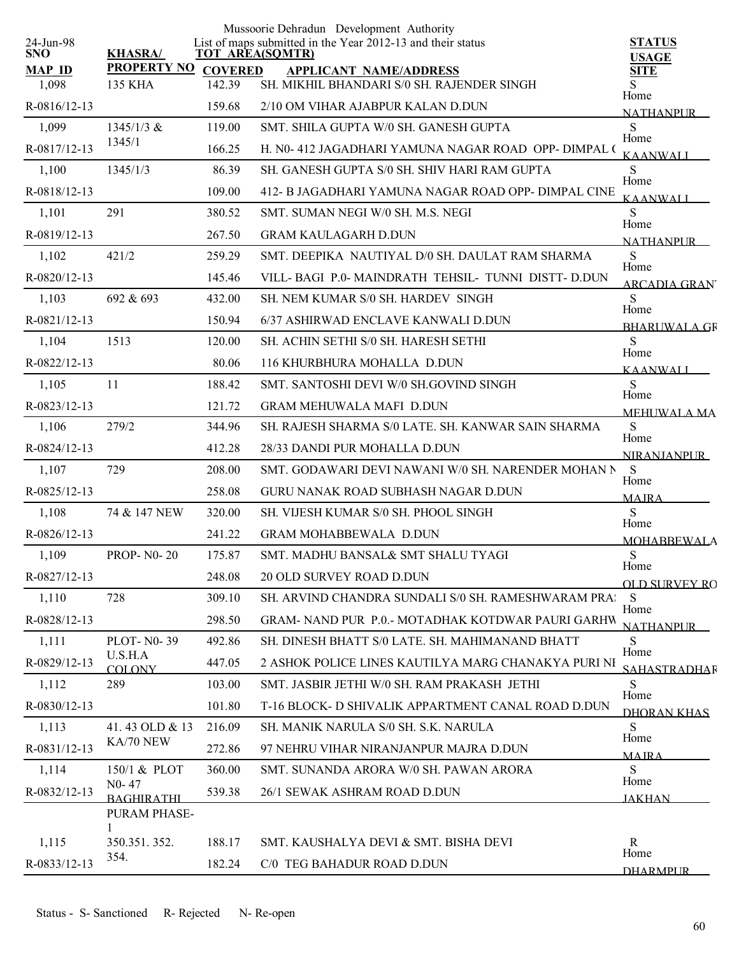|                         |                             |                | Mussoorie Dehradun Development Authority                                              |                               |
|-------------------------|-----------------------------|----------------|---------------------------------------------------------------------------------------|-------------------------------|
| 24-Jun-98<br><b>SNO</b> | <b>KHASRA/</b>              |                | List of maps submitted in the Year 2012-13 and their status<br><b>TOT AREA(SQMTR)</b> | <b>STATUS</b><br><b>USAGE</b> |
| <b>MAP ID</b>           | <b>PROPERTY NO</b>          | <b>COVERED</b> | <b>APPLICANT NAME/ADDRESS</b>                                                         | <b>SITE</b>                   |
| 1,098                   | 135 KHA                     | 142.39         | SH. MIKHIL BHANDARI S/0 SH. RAJENDER SINGH                                            | S.<br>Home                    |
| R-0816/12-13            |                             | 159.68         | 2/10 OM VIHAR AJABPUR KALAN D.DUN                                                     | <b>NATHANPUR</b>              |
| 1,099                   | $1345/1/3$ &                | 119.00         | SMT. SHILA GUPTA W/0 SH. GANESH GUPTA                                                 | S<br>Home                     |
| R-0817/12-13            | 1345/1                      | 166.25         | H. N0-412 JAGADHARI YAMUNA NAGAR ROAD OPP-DIMPAL (                                    | <b>KAANWALI</b>               |
| 1,100                   | 1345/1/3                    | 86.39          | SH. GANESH GUPTA S/0 SH. SHIV HARI RAM GUPTA                                          | S<br>Home                     |
| R-0818/12-13            |                             | 109.00         | 412- B JAGADHARI YAMUNA NAGAR ROAD OPP- DIMPAL CINE                                   | <b>KAANWALI</b>               |
| 1,101                   | 291                         | 380.52         | SMT. SUMAN NEGI W/0 SH. M.S. NEGI                                                     | S<br>Home                     |
| R-0819/12-13            |                             | 267.50         | <b>GRAM KAULAGARH D.DUN</b>                                                           | NATHANPUR                     |
| 1,102                   | 421/2                       | 259.29         | SMT. DEEPIKA NAUTIYAL D/0 SH. DAULAT RAM SHARMA                                       | S                             |
| R-0820/12-13            |                             | 145.46         | VILL-BAGI P.0-MAINDRATH TEHSIL-TUNNI DISTT-D.DUN                                      | Home<br>ARCADIA GRAN          |
| 1,103                   | 692 & 693                   | 432.00         | <b>SH. NEM KUMAR S/0 SH. HARDEV SINGH</b>                                             | S                             |
| R-0821/12-13            |                             | 150.94         | 6/37 ASHIRWAD ENCLAVE KANWALI D.DUN                                                   | Home<br><b>BHARUWALA GR</b>   |
| 1,104                   | 1513                        | 120.00         | SH. ACHIN SETHI S/0 SH. HARESH SETHI                                                  | S                             |
| R-0822/12-13            |                             | 80.06          | 116 KHURBHURA MOHALLA D.DUN                                                           | Home<br><b>KAANWALI</b>       |
| 1,105                   | 11                          | 188.42         | SMT. SANTOSHI DEVI W/0 SH.GOVIND SINGH                                                | S                             |
| R-0823/12-13            |                             | 121.72         | <b>GRAM MEHUWALA MAFI D.DUN</b>                                                       | Home                          |
| 1,106                   | 279/2                       | 344.96         | SH. RAJESH SHARMA S/0 LATE. SH. KANWAR SAIN SHARMA                                    | <b>MEHUWALA MA</b><br>S       |
| R-0824/12-13            |                             | 412.28         | 28/33 DANDI PUR MOHALLA D.DUN                                                         | Home                          |
| 1,107                   | 729                         | 208.00         | SMT. GODAWARI DEVI NAWANI W/0 SH. NARENDER MOHAN N                                    | <b>NIRANJANPUR</b><br>S       |
| R-0825/12-13            |                             | 258.08         | GURU NANAK ROAD SUBHASH NAGAR D.DUN                                                   | Home                          |
| 1,108                   | 74 & 147 NEW                | 320.00         | SH. VIJESH KUMAR S/0 SH. PHOOL SINGH                                                  | <b>MAJRA</b><br>S             |
| R-0826/12-13            |                             | 241.22         | <b>GRAM MOHABBEWALA D.DUN</b>                                                         | Home                          |
| 1,109                   | <b>PROP-NO-20</b>           | 175.87         | SMT. MADHU BANSAL& SMT SHALU TYAGI                                                    | <b>MOHABBEWALA</b><br>S       |
| R-0827/12-13            |                             | 248.08         | <b>20 OLD SURVEY ROAD D.DUN</b>                                                       | Home                          |
| 1,110                   | 728                         | 309.10         | SH. ARVIND CHANDRA SUNDALI S/0 SH. RAMESHWARAM PRA:                                   | OLD SURVEY RO<br>S            |
| R-0828/12-13            |                             | 298.50         | GRAM-NAND PUR P.O.-MOTADHAK KOTDWAR PAURI GARHW                                       | Home                          |
| 1,111                   | PLOT- N0-39                 | 492.86         | SH. DINESH BHATT S/0 LATE. SH. MAHIMANAND BHATT                                       | <b>NATHANPUR</b><br>S         |
|                         | U.S.H.A                     |                |                                                                                       | Home                          |
| R-0829/12-13            | <b>COLONY</b>               | 447.05         | 2 ASHOK POLICE LINES KAUTILYA MARG CHANAKYA PURI NI                                   | <b>SAHASTRADHAR</b>           |
| 1,112                   | 289                         | 103.00         | SMT. JASBIR JETHI W/0 SH. RAM PRAKASH JETHI                                           | S<br>Home                     |
| R-0830/12-13            |                             | 101.80         | T-16 BLOCK- D SHIVALIK APPARTMENT CANAL ROAD D.DUN                                    | DHORAN KHAS                   |
| 1,113                   | 41.43 OLD & 13<br>KA/70 NEW | 216.09         | SH. MANIK NARULA S/0 SH. S.K. NARULA                                                  | S.<br>Home                    |
| R-0831/12-13            |                             | 272.86         | 97 NEHRU VIHAR NIRANJANPUR MAJRA D.DUN                                                | <b>MAIRA</b>                  |
| 1,114                   | 150/1 & PLOT<br>$N0 - 47$   | 360.00         | SMT. SUNANDA ARORA W/0 SH. PAWAN ARORA                                                | S<br>Home                     |
| R-0832/12-13            | <b>BAGHIRATHI</b>           | 539.38         | 26/1 SEWAK ASHRAM ROAD D.DUN                                                          | <b>JAKHAN</b>                 |
|                         | PURAM PHASE-                |                |                                                                                       |                               |
| 1,115                   | 350.351.352.                | 188.17         | SMT. KAUSHALYA DEVI & SMT. BISHA DEVI                                                 | R                             |
| R-0833/12-13            | 354.                        | 182.24         | C/0 TEG BAHADUR ROAD D.DUN                                                            | Home                          |
|                         |                             |                |                                                                                       | <b>DHARMPLIR</b>              |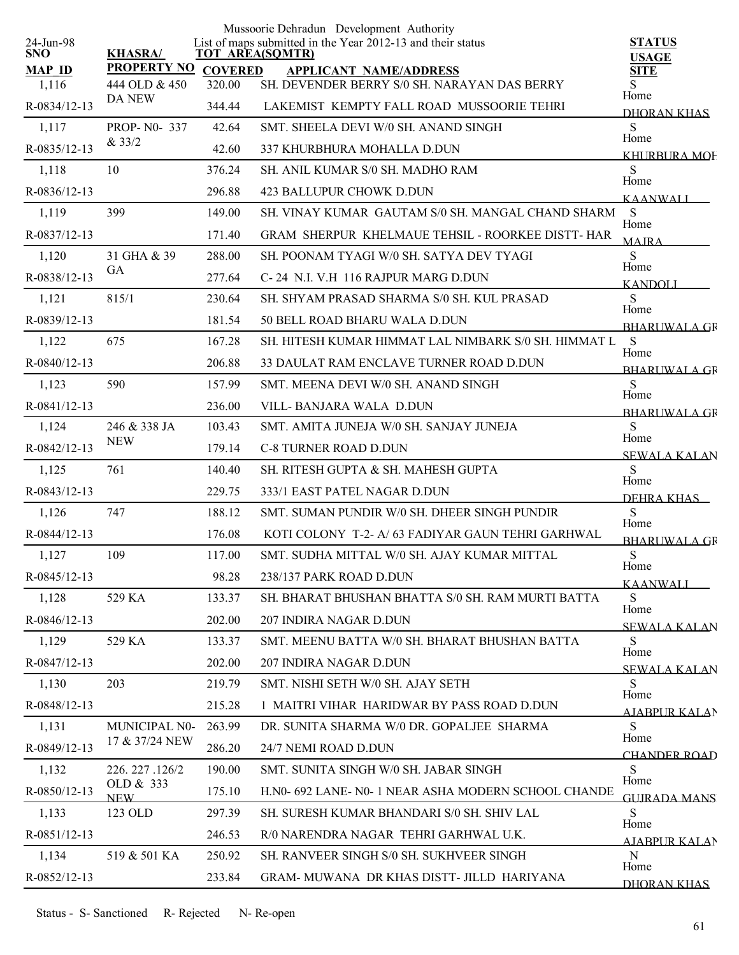|                         |                             |                | Mussoorie Dehradun Development Authority                                              |                               |
|-------------------------|-----------------------------|----------------|---------------------------------------------------------------------------------------|-------------------------------|
| 24-Jun-98<br><b>SNO</b> | <b>KHASRA/</b>              |                | List of maps submitted in the Year 2012-13 and their status<br><b>TOT AREA(SQMTR)</b> | <b>STATUS</b><br><b>USAGE</b> |
| <b>MAP ID</b>           | <b>PROPERTY NO</b>          | <b>COVERED</b> | <b>APPLICANT NAME/ADDRESS</b>                                                         | <b>SITE</b>                   |
| 1,116                   | 444 OLD & 450<br>DA NEW     | 320.00         | SH. DEVENDER BERRY S/0 SH. NARAYAN DAS BERRY                                          | S.<br>Home                    |
| R-0834/12-13            |                             | 344.44         | LAKEMIST KEMPTY FALL ROAD MUSSOORIE TEHRI                                             | DHORAN KHAS                   |
| 1,117                   | <b>PROP-N0-337</b><br>&33/2 | 42.64          | SMT. SHEELA DEVI W/0 SH. ANAND SINGH                                                  | S<br>Home                     |
| R-0835/12-13            |                             | 42.60          | 337 KHURBHURA MOHALLA D.DUN                                                           | KHURBURA MOF                  |
| 1,118                   | 10                          | 376.24         | SH. ANIL KUMAR S/0 SH. MADHO RAM                                                      | S<br>Home                     |
| R-0836/12-13            |                             | 296.88         | 423 BALLUPUR CHOWK D.DUN                                                              | <b>KAANWALI</b>               |
| 1,119                   | 399                         | 149.00         | SH. VINAY KUMAR GAUTAM S/0 SH. MANGAL CHAND SHARM S                                   | Home                          |
| R-0837/12-13            |                             | 171.40         | GRAM SHERPUR KHELMAUE TEHSIL - ROORKEE DISTT- HAR                                     | <b>MAIRA</b>                  |
| 1,120                   | 31 GHA & 39                 | 288.00         | SH. POONAM TYAGI W/0 SH. SATYA DEV TYAGI                                              | S<br>Home                     |
| R-0838/12-13            | <b>GA</b>                   | 277.64         | C-24 N.I. V.H 116 RAJPUR MARG D.DUN                                                   | <b>KANDOLI</b>                |
| 1,121                   | 815/1                       | 230.64         | SH. SHYAM PRASAD SHARMA S/0 SH. KUL PRASAD                                            | S<br>Home                     |
| R-0839/12-13            |                             | 181.54         | 50 BELL ROAD BHARU WALA D.DUN                                                         | <b>BHARUWALA GR</b>           |
| 1,122                   | 675                         | 167.28         | SH. HITESH KUMAR HIMMAT LAL NIMBARK S/0 SH. HIMMAT L                                  | S<br>Home                     |
| R-0840/12-13            |                             | 206.88         | 33 DAULAT RAM ENCLAVE TURNER ROAD D.DUN                                               | <b>BHARLIWAL A GR</b>         |
| 1,123                   | 590                         | 157.99         | SMT. MEENA DEVI W/0 SH. ANAND SINGH                                                   | S                             |
| R-0841/12-13            |                             | 236.00         | VILL- BANJARA WALA D.DUN                                                              | Home<br><b>BHARLIWAL A GR</b> |
| 1,124                   | 246 & 338 JA                | 103.43         | SMT. AMITA JUNEJA W/0 SH. SANJAY JUNEJA                                               | S                             |
| R-0842/12-13            | <b>NEW</b>                  | 179.14         | <b>C-8 TURNER ROAD D.DUN</b>                                                          | Home<br><b>SEWALA KALAN</b>   |
| 1,125                   | 761                         | 140.40         | SH. RITESH GUPTA & SH. MAHESH GUPTA                                                   | S                             |
| R-0843/12-13            |                             | 229.75         | 333/1 EAST PATEL NAGAR D.DUN                                                          | Home<br>DEHRA KHAS            |
| 1,126                   | 747                         | 188.12         | SMT. SUMAN PUNDIR W/0 SH. DHEER SINGH PUNDIR                                          | S                             |
| R-0844/12-13            |                             | 176.08         | KOTI COLONY T-2- A/ 63 FADIYAR GAUN TEHRI GARHWAL                                     | Home<br><b>BHARUWALA GR</b>   |
| 1,127                   | 109                         | 117.00         | SMT. SUDHA MITTAL W/0 SH. AJAY KUMAR MITTAL                                           | ${\bf S}$                     |
| R-0845/12-13            |                             | 98.28          | 238/137 PARK ROAD D.DUN                                                               | Home<br>KAANWALI              |
| 1,128                   | 529 KA                      | 133.37         | SH. BHARAT BHUSHAN BHATTA S/0 SH. RAM MURTI BATTA                                     | S                             |
| $R-0846/12-13$          |                             | 202.00         | 207 INDIRA NAGAR D.DUN                                                                | Home<br><b>SEWALA KALAN</b>   |
| 1,129                   | 529 KA                      | 133.37         | SMT. MEENU BATTA W/0 SH. BHARAT BHUSHAN BATTA                                         | S                             |
| R-0847/12-13            |                             | 202.00         | 207 INDIRA NAGAR D.DUN                                                                | Home<br><b>SEWALA KALAN</b>   |
| 1,130                   | 203                         | 219.79         | SMT. NISHI SETH W/0 SH. AJAY SETH                                                     | S                             |
| R-0848/12-13            |                             | 215.28         | 1 MAITRI VIHAR HARIDWAR BY PASS ROAD D.DUN                                            | Home<br><b>AIABPURKALAN</b>   |
| 1,131                   | MUNICIPAL N0-               | 263.99         | DR. SUNITA SHARMA W/0 DR. GOPALJEE SHARMA                                             | S                             |
| R-0849/12-13            | 17 & 37/24 NEW              | 286.20         | 24/7 NEMI ROAD D.DUN                                                                  | Home                          |
| 1,132                   | 226. 227 .126/2             | 190.00         | SMT. SUNITA SINGH W/0 SH. JABAR SINGH                                                 | CHANDER ROAD<br>S             |
| R-0850/12-13            | OLD & 333                   | 175.10         | H.NO- 692 LANE- NO- 1 NEAR ASHA MODERN SCHOOL CHANDE                                  | Home                          |
| 1,133                   | <b>NEW</b><br>123 OLD       | 297.39         | SH. SURESH KUMAR BHANDARI S/0 SH. SHIV LAL                                            | <b>GUIRADA MANS</b><br>S      |
| R-0851/12-13            |                             | 246.53         | R/0 NARENDRA NAGAR TEHRI GARHWAL U.K.                                                 | Home                          |
| 1,134                   | 519 & 501 KA                | 250.92         | SH. RANVEER SINGH S/0 SH. SUKHVEER SINGH                                              | AIABPUR KALAN<br>$\mathbf N$  |
| R-0852/12-13            |                             | 233.84         | GRAM- MUWANA DR KHAS DISTT- JILLD HARIYANA                                            | Home                          |
|                         |                             |                |                                                                                       | DHORAN KHAS                   |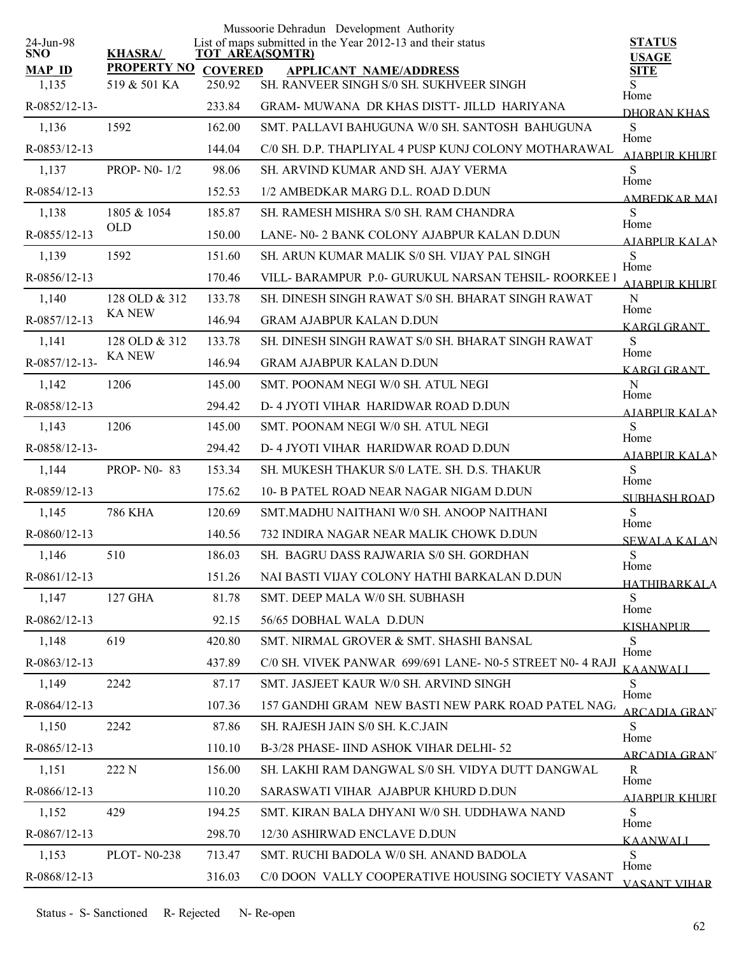| 24-Jun-98          |                           |                        | Mussoorie Dehradun Development Authority<br>List of maps submitted in the Year 2012-13 and their status | <b>STATUS</b>                |
|--------------------|---------------------------|------------------------|---------------------------------------------------------------------------------------------------------|------------------------------|
| <b>SNO</b>         | <b>KHASRA/</b>            | <b>TOT AREA(SQMTR)</b> |                                                                                                         | <b>USAGE</b>                 |
| <b>MAP ID</b>      | <b>PROPERTY NO</b>        | <b>COVERED</b>         | <b>APPLICANT NAME/ADDRESS</b>                                                                           | <b>SITE</b>                  |
| 1,135              | 519 & 501 KA              | 250.92                 | SH. RANVEER SINGH S/0 SH. SUKHVEER SINGH                                                                | S<br>Home                    |
| $R - 0852/12 - 13$ |                           | 233.84                 | GRAM- MUWANA DR KHAS DISTT- JILLD HARIYANA                                                              | <b>DHORAN KHAS</b>           |
| 1,136              | 1592                      | 162.00                 | SMT. PALLAVI BAHUGUNA W/0 SH. SANTOSH BAHUGUNA                                                          | S<br>Home                    |
| R-0853/12-13       |                           | 144.04                 | C/0 SH. D.P. THAPLIYAL 4 PUSP KUNJ COLONY MOTHARAWAL                                                    | AIABPUR KHURT                |
| 1,137              | <b>PROP-N0-1/2</b>        | 98.06                  | SH. ARVIND KUMAR AND SH. AJAY VERMA                                                                     | S<br>Home                    |
| R-0854/12-13       |                           | 152.53                 | 1/2 AMBEDKAR MARG D.L. ROAD D.DUN                                                                       | AMBEDKAR MAI                 |
| 1,138              | 1805 & 1054<br><b>OLD</b> | 185.87                 | SH. RAMESH MISHRA S/0 SH. RAM CHANDRA                                                                   | S<br>Home                    |
| R-0855/12-13       |                           | 150.00                 | LANE- N0-2 BANK COLONY AJABPUR KALAN D.DUN                                                              | <b>AIABPUR KALAN</b>         |
| 1,139              | 1592                      | 151.60                 | SH. ARUN KUMAR MALIK S/0 SH. VIJAY PAL SINGH                                                            | S<br>Home                    |
| R-0856/12-13       |                           | 170.46                 | VILL- BARAMPUR P.0- GURUKUL NARSAN TEHSIL- ROORKEE 1                                                    | AIARPUR KHURI                |
| 1,140              | 128 OLD & 312             | 133.78                 | SH. DINESH SINGH RAWAT S/0 SH. BHARAT SINGH RAWAT                                                       | N<br>Home                    |
| R-0857/12-13       | <b>KA NEW</b>             | 146.94                 | <b>GRAM AJABPUR KALAN D.DUN</b>                                                                         | KARGI GRANT                  |
| 1,141              | 128 OLD & 312             | 133.78                 | SH. DINESH SINGH RAWAT S/0 SH. BHARAT SINGH RAWAT                                                       | S<br>Home                    |
| R-0857/12-13-      | <b>KA NEW</b>             | 146.94                 | <b>GRAM AJABPUR KALAN D.DUN</b>                                                                         | <b>KARGI GRANT</b>           |
| 1,142              | 1206                      | 145.00                 | SMT. POONAM NEGI W/0 SH. ATUL NEGI                                                                      | N                            |
| R-0858/12-13       |                           | 294.42                 | D- 4 JYOTI VIHAR HARIDWAR ROAD D.DUN                                                                    | Home<br>AIABPUR KALAN        |
| 1,143              | 1206                      | 145.00                 | SMT. POONAM NEGI W/0 SH. ATUL NEGI                                                                      | S                            |
| R-0858/12-13-      |                           | 294.42                 | D-4 JYOTI VIHAR HARIDWAR ROAD D.DUN                                                                     | Home<br><b>AJABPUR KALAN</b> |
| 1,144              | <b>PROP-N0-83</b>         | 153.34                 | SH. MUKESH THAKUR S/0 LATE. SH. D.S. THAKUR                                                             | S                            |
| R-0859/12-13       |                           | 175.62                 | 10- B PATEL ROAD NEAR NAGAR NIGAM D.DUN                                                                 | Home<br><b>SUBHASH ROAD</b>  |
| 1,145              | <b>786 KHA</b>            | 120.69                 | SMT.MADHU NAITHANI W/0 SH. ANOOP NAITHANI                                                               | S                            |
| $R-0860/12-13$     |                           | 140.56                 | 732 INDIRA NAGAR NEAR MALIK CHOWK D.DUN                                                                 | Home<br><b>SEWALA KALAN</b>  |
| 1,146              | 510                       | 186.03                 | SH. BAGRU DASS RAJWARIA S/0 SH. GORDHAN                                                                 | S                            |
| R-0861/12-13       |                           | 151.26                 | NAI BASTI VIJAY COLONY HATHI BARKALAN D.DUN                                                             | Home<br><b>HATHIBARKALA</b>  |
| 1,147              | 127 GHA                   | 81.78                  | SMT. DEEP MALA W/0 SH. SUBHASH                                                                          | S                            |
| $R-0862/12-13$     |                           | 92.15                  | 56/65 DOBHAL WALA D.DUN                                                                                 | Home<br><b>KISHANPUR</b>     |
| 1,148              | 619                       | 420.80                 | SMT. NIRMAL GROVER & SMT. SHASHI BANSAL                                                                 | S                            |
| R-0863/12-13       |                           | 437.89                 | C/0 SH. VIVEK PANWAR 699/691 LANE- N0-5 STREET N0- 4 RAJI                                               | Home                         |
| 1,149              | 2242                      | 87.17                  | SMT. JASJEET KAUR W/0 SH. ARVIND SINGH                                                                  | <b>KAANWALI</b><br>S         |
| $R-0864/12-13$     |                           | 107.36                 | 157 GANDHI GRAM NEW BASTI NEW PARK ROAD PATEL NAG.                                                      | Home                         |
| 1,150              | 2242                      | 87.86                  | SH. RAJESH JAIN S/0 SH. K.C.JAIN                                                                        | <b>ARCADIA GRAN</b><br>S     |
| R-0865/12-13       |                           | 110.10                 | B-3/28 PHASE- IIND ASHOK VIHAR DELHI-52                                                                 | Home                         |
| 1,151              | 222 N                     | 156.00                 | SH. LAKHI RAM DANGWAL S/0 SH. VIDYA DUTT DANGWAL                                                        | ARCADIA GRAN<br>R            |
| R-0866/12-13       |                           | 110.20                 | SARASWATI VIHAR AJABPUR KHURD D.DUN                                                                     | Home                         |
| 1,152              | 429                       | 194.25                 | SMT. KIRAN BALA DHYANI W/0 SH. UDDHAWA NAND                                                             | A JARPLIR KHLIRT<br>S        |
| R-0867/12-13       |                           | 298.70                 | 12/30 ASHIRWAD ENCLAVE D.DUN                                                                            | Home                         |
| 1,153              | <b>PLOT-N0-238</b>        | 713.47                 | SMT. RUCHI BADOLA W/0 SH. ANAND BADOLA                                                                  | KAANWALI<br>S                |
| R-0868/12-13       |                           | 316.03                 | C/0 DOON VALLY COOPERATIVE HOUSING SOCIETY VASANT                                                       | Home                         |
|                    |                           |                        |                                                                                                         | <b>VASANT VIHAR</b>          |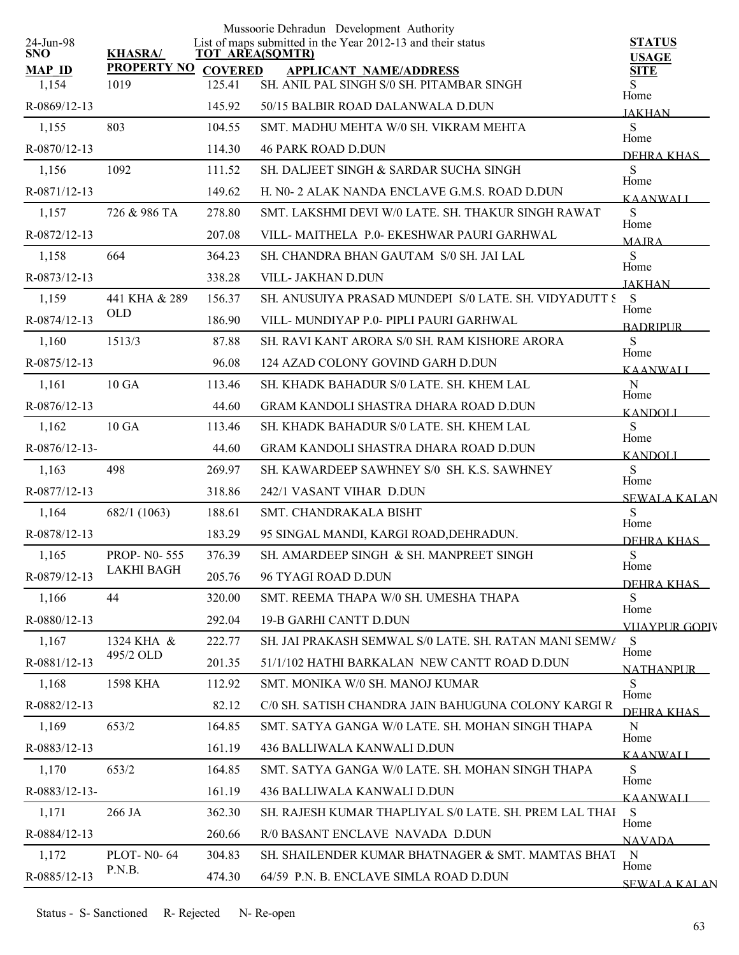| 24-Jun-98       |                         |        | Mussoorie Dehradun Development Authority<br>List of maps submitted in the Year 2012-13 and their status | <b>STATUS</b>            |
|-----------------|-------------------------|--------|---------------------------------------------------------------------------------------------------------|--------------------------|
| <b>SNO</b>      | <b>KHASRA/</b>          |        | <b>TOT AREA(SQMTR)</b>                                                                                  | <b>USAGE</b>             |
| <b>MAP ID</b>   | PROPERTY NO COVERED     |        | <b>APPLICANT NAME/ADDRESS</b>                                                                           | <b>SITE</b>              |
| 1,154           | 1019                    | 125.41 | SH. ANIL PAL SINGH S/0 SH. PITAMBAR SINGH                                                               | S.<br>Home               |
| R-0869/12-13    |                         | 145.92 | 50/15 BALBIR ROAD DALANWALA D.DUN                                                                       | <b>JAKHAN</b>            |
| 1,155           | 803                     | 104.55 | SMT. MADHU MEHTA W/0 SH. VIKRAM MEHTA                                                                   | S<br>Home                |
| R-0870/12-13    |                         | 114.30 | <b>46 PARK ROAD D.DUN</b>                                                                               | DEHRA KHAS               |
| 1,156           | 1092                    | 111.52 | SH. DALJEET SINGH & SARDAR SUCHA SINGH                                                                  | S<br>Home                |
| R-0871/12-13    |                         | 149.62 | H. N0- 2 ALAK NANDA ENCLAVE G.M.S. ROAD D.DUN                                                           | <b>KAANWALI</b>          |
| 1,157           | 726 & 986 TA            | 278.80 | SMT. LAKSHMI DEVI W/0 LATE. SH. THAKUR SINGH RAWAT                                                      | ${\bf S}$<br>Home        |
| R-0872/12-13    |                         | 207.08 | VILL-MAITHELA P.0- EKESHWAR PAURI GARHWAL                                                               | <b>MAIRA</b>             |
| 1,158           | 664                     | 364.23 | SH. CHANDRA BHAN GAUTAM S/0 SH. JAI LAL                                                                 | S<br>Home                |
| R-0873/12-13    |                         | 338.28 | VILL- JAKHAN D.DUN                                                                                      | <b>JAKHAN</b>            |
| 1,159           | 441 KHA & 289           | 156.37 | SH. ANUSUIYA PRASAD MUNDEPI S/0 LATE. SH. VIDYADUTT S                                                   | S                        |
| R-0874/12-13    | <b>OLD</b>              | 186.90 | VILL-MUNDIYAP P.0- PIPLI PAURI GARHWAL                                                                  | Home<br><b>BADRIPUR</b>  |
| 1,160           | 1513/3                  | 87.88  | SH. RAVI KANT ARORA S/0 SH. RAM KISHORE ARORA                                                           | S                        |
| R-0875/12-13    |                         | 96.08  | 124 AZAD COLONY GOVIND GARH D.DUN                                                                       | Home<br><b>KAANWALI</b>  |
| 1,161           | 10 GA                   | 113.46 | SH. KHADK BAHADUR S/0 LATE. SH. KHEM LAL                                                                | ${\bf N}$                |
| R-0876/12-13    |                         | 44.60  | <b>GRAM KANDOLI SHASTRA DHARA ROAD D.DUN</b>                                                            | Home                     |
| 1,162           | 10 GA                   | 113.46 | SH. KHADK BAHADUR S/0 LATE. SH. KHEM LAL                                                                | <b>KANDOLI</b><br>S      |
| $R-0876/12-13-$ |                         | 44.60  | <b>GRAM KANDOLI SHASTRA DHARA ROAD D.DUN</b>                                                            | Home                     |
| 1,163           | 498                     | 269.97 | SH. KAWARDEEP SAWHNEY S/0 SH. K.S. SAWHNEY                                                              | <b>KANDOLI</b><br>S      |
| R-0877/12-13    |                         | 318.86 | 242/1 VASANT VIHAR D.DUN                                                                                | Home                     |
| 1,164           | 682/1 (1063)            | 188.61 | SMT. CHANDRAKALA BISHT                                                                                  | <b>SEWALA KALAN</b><br>S |
| R-0878/12-13    |                         | 183.29 | 95 SINGAL MANDI, KARGI ROAD, DEHRADUN.                                                                  | Home                     |
|                 | <b>PROP-NO-555</b>      | 376.39 | SH. AMARDEEP SINGH & SH. MANPREET SINGH                                                                 | DEHRA KHAS<br>${\bf S}$  |
| 1,165           | LAKHI BAGH              |        |                                                                                                         | Home                     |
| R-0879/12-13    |                         | 205.76 | 96 TYAGI ROAD D.DUN                                                                                     | <u>DEHRA KHAS – </u>     |
| 1,166           | 44                      | 320.00 | SMT. REEMA THAPA W/0 SH. UMESHA THAPA                                                                   | S<br>Home                |
| R-0880/12-13    |                         | 292.04 | 19-B GARHI CANTT D.DUN                                                                                  | VIJAYPUR GOPIV           |
| 1,167           | 1324 KHA &<br>495/2 OLD | 222.77 | SH. JAI PRAKASH SEMWAL S/0 LATE. SH. RATAN MANI SEMW/                                                   | S<br>Home                |
| R-0881/12-13    |                         | 201.35 | 51/1/102 HATHI BARKALAN NEW CANTT ROAD D.DUN                                                            | <b>NATHANPLIR</b>        |
| 1,168           | 1598 KHA                | 112.92 | SMT. MONIKA W/0 SH. MANOJ KUMAR                                                                         | S<br>Home                |
| R-0882/12-13    |                         | 82.12  | C/0 SH. SATISH CHANDRA JAIN BAHUGUNA COLONY KARGI R                                                     | DEHRA KHAS               |
| 1,169           | 653/2                   | 164.85 | SMT, SATYA GANGA W/0 LATE, SH, MOHAN SINGH THAPA                                                        | N<br>Home                |
| R-0883/12-13    |                         | 161.19 | 436 BALLIWALA KANWALI D.DUN                                                                             | <b>KAANWALI</b>          |
| 1,170           | 653/2                   | 164.85 | SMT, SATYA GANGA W/0 LATE, SH, MOHAN SINGH THAPA                                                        | S                        |
| R-0883/12-13-   |                         | 161.19 | 436 BALLIWALA KANWALI D.DUN                                                                             | Home<br><b>KAANWALI</b>  |
| 1,171           | 266 JA                  | 362.30 | SH. RAJESH KUMAR THAPLIYAL S/0 LATE. SH. PREM LAL THAI                                                  | <sub>S</sub>             |
| R-0884/12-13    |                         | 260.66 | R/0 BASANT ENCLAVE NAVADA D.DUN                                                                         | Home                     |
| 1,172           | <b>PLOT-N0-64</b>       | 304.83 | SH. SHAILENDER KUMAR BHATNAGER & SMT. MAMTAS BHAT                                                       | <b>NAVADA</b><br>- N     |
| R-0885/12-13    | P.N.B.                  | 474.30 | 64/59 P.N. B. ENCLAVE SIMLA ROAD D.DUN                                                                  | Home                     |
|                 |                         |        |                                                                                                         | <b>SEWALA KALAN</b>      |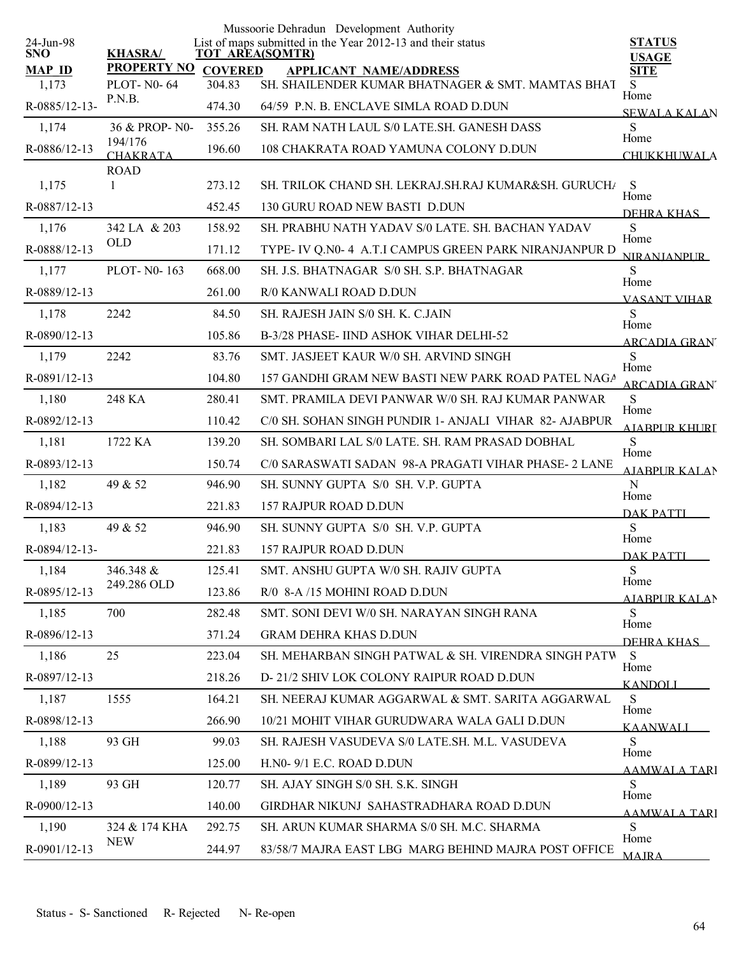| List of maps submitted in the Year 2012-13 and their status<br><b>KHASRA/</b><br><b>SNO</b><br><b>TOT AREA(SQMTR)</b><br><b>USAGE</b><br><b>PROPERTY NO</b><br><b>MAP ID</b><br><b>COVERED</b><br><b>SITE</b><br><b>APPLICANT NAME/ADDRESS</b><br>1,173<br>SH. SHAILENDER KUMAR BHATNAGER & SMT. MAMTAS BHAT<br><b>PLOT-N0-64</b><br>304.83<br>S<br>Home<br>P.N.B.<br>R-0885/12-13-<br>64/59 P.N. B. ENCLAVE SIMLA ROAD D.DUN<br>474.30<br><b>SEWALA KALAN</b><br>S<br>1,174<br>36 & PROP-N0-<br>355.26<br>SH. RAM NATH LAUL S/0 LATE.SH. GANESH DASS<br>Home<br>194/176<br>R-0886/12-13<br>196.60<br>108 CHAKRATA ROAD YAMUNA COLONY D.DUN<br><b>CHAKRATA</b><br><b>CHUKKHUWALA</b><br><b>ROAD</b><br>1,175<br>273.12<br>SH. TRILOK CHAND SH. LEKRAJ.SH.RAJ KUMAR&SH. GURUCH/<br>S<br>$\mathbf{1}$<br>Home<br>R-0887/12-13<br>130 GURU ROAD NEW BASTI D.DUN<br>452.45<br>DEHRA KHAS<br>SH. PRABHU NATH YADAV S/0 LATE. SH. BACHAN YADAV<br>S<br>1,176<br>342 LA & 203<br>158.92<br>Home<br><b>OLD</b><br>R-0888/12-13<br>TYPE- IV Q.N0-4 A.T.I CAMPUS GREEN PARK NIRANJANPUR D<br>171.12<br><b>NIRANIANPUR</b><br>S<br>PLOT-N0-163<br>668.00<br>SH. J.S. BHATNAGAR S/0 SH. S.P. BHATNAGAR<br>1,177<br>Home<br>R-0889/12-13<br>261.00<br>R/0 KANWALI ROAD D.DUN<br><b>VASANT VIHAR</b><br>2242<br>S<br>1,178<br>84.50<br>SH. RAJESH JAIN S/0 SH. K. C.JAIN<br>Home<br>R-0890/12-13<br>105.86<br>B-3/28 PHASE-IIND ASHOK VIHAR DELHI-52<br>ARCADIA GRANT<br>S<br>2242<br>1,179<br>83.76<br>SMT. JASJEET KAUR W/0 SH. ARVIND SINGH<br>Home<br>R-0891/12-13<br>157 GANDHI GRAM NEW BASTI NEW PARK ROAD PATEL NAGA<br>104.80<br><b>ARCADIA GRAN</b><br>248 KA<br>S<br>280.41<br>SMT. PRAMILA DEVI PANWAR W/0 SH. RAJ KUMAR PANWAR<br>1,180<br>Home<br>R-0892/12-13<br>C/0 SH. SOHAN SINGH PUNDIR 1- ANJALI VIHAR 82- AJABPUR<br>110.42<br>AIARPUR KHURI<br>S<br>1,181<br>1722 KA<br>139.20<br>SH. SOMBARI LAL S/0 LATE. SH. RAM PRASAD DOBHAL<br>Home<br>R-0893/12-13<br>150.74<br>C/0 SARASWATI SADAN 98-A PRAGATI VIHAR PHASE- 2 LANE<br><b>AIABPUR KALAN</b><br>$\mathbf N$<br>1,182<br>49 & 52<br>946.90<br>SH. SUNNY GUPTA S/0 SH. V.P. GUPTA<br>Home<br>R-0894/12-13<br>157 RAJPUR ROAD D.DUN<br>221.83<br><b>DAK PATTI</b><br>S<br>1,183<br>49 & 52<br>946.90<br>SH. SUNNY GUPTA S/0 SH. V.P. GUPTA<br>Home<br>R-0894/12-13-<br>157 RAJPUR ROAD D.DUN<br>221.83<br><b>DAK PATTI</b><br>S<br>1,184<br>346.348 &<br>125.41<br>SMT. ANSHU GUPTA W/0 SH. RAJIV GUPTA<br>Home<br>249.286 OLD<br>R-0895/12-13<br>123.86<br>R/0 8-A /15 MOHINI ROAD D.DUN<br><b>AJABPUR KALAN</b><br>S<br>1,185<br>700<br>282.48<br>SMT. SONI DEVI W/0 SH. NARAYAN SINGH RANA<br>Home<br>R-0896/12-13<br>371.24<br><b>GRAM DEHRA KHAS D.DUN</b><br>DEHRA KHAS<br>25<br>1,186<br>223.04<br>SH. MEHARBAN SINGH PATWAL & SH. VIRENDRA SINGH PATW<br>S<br>Home<br>D-21/2 SHIV LOK COLONY RAIPUR ROAD D.DUN<br>R-0897/12-13<br>218.26<br><b>KANDOLI</b><br>S<br>1,187<br>1555<br>164.21<br>SH. NEERAJ KUMAR AGGARWAL & SMT. SARITA AGGARWAL<br>Home<br>R-0898/12-13<br>10/21 MOHIT VIHAR GURUDWARA WALA GALI D.DUN<br>266.90<br><b>KAANWALI</b><br>1,188<br>93 GH<br>99.03<br>SH. RAJESH VASUDEVA S/0 LATE.SH. M.L. VASUDEVA<br>S<br>Home<br>R-0899/12-13<br>125.00<br>H.NO- 9/1 E.C. ROAD D.DUN<br>AAMWALA TARI<br>S<br>1,189<br>93 GH<br>120.77<br>SH. AJAY SINGH S/0 SH. S.K. SINGH<br>Home<br>GIRDHAR NIKUNJ SAHASTRADHARA ROAD D.DUN<br>R-0900/12-13<br>140.00<br>AAMWALA TARI<br>S<br>1,190<br>SH. ARUN KUMAR SHARMA S/0 SH. M.C. SHARMA<br>324 & 174 KHA<br>292.75<br>Home<br><b>NEW</b> |              |        | Mussoorie Dehradun Development Authority             |               |
|------------------------------------------------------------------------------------------------------------------------------------------------------------------------------------------------------------------------------------------------------------------------------------------------------------------------------------------------------------------------------------------------------------------------------------------------------------------------------------------------------------------------------------------------------------------------------------------------------------------------------------------------------------------------------------------------------------------------------------------------------------------------------------------------------------------------------------------------------------------------------------------------------------------------------------------------------------------------------------------------------------------------------------------------------------------------------------------------------------------------------------------------------------------------------------------------------------------------------------------------------------------------------------------------------------------------------------------------------------------------------------------------------------------------------------------------------------------------------------------------------------------------------------------------------------------------------------------------------------------------------------------------------------------------------------------------------------------------------------------------------------------------------------------------------------------------------------------------------------------------------------------------------------------------------------------------------------------------------------------------------------------------------------------------------------------------------------------------------------------------------------------------------------------------------------------------------------------------------------------------------------------------------------------------------------------------------------------------------------------------------------------------------------------------------------------------------------------------------------------------------------------------------------------------------------------------------------------------------------------------------------------------------------------------------------------------------------------------------------------------------------------------------------------------------------------------------------------------------------------------------------------------------------------------------------------------------------------------------------------------------------------------------------------------------------------------------------------------------------------------------------------------------------------------------------------------------------------------------------------------------------------------------------------------------------------------------------------------------------------------------------------------------------------------------------------------------------------------------------------------------------------------------------------------------------------------|--------------|--------|------------------------------------------------------|---------------|
|                                                                                                                                                                                                                                                                                                                                                                                                                                                                                                                                                                                                                                                                                                                                                                                                                                                                                                                                                                                                                                                                                                                                                                                                                                                                                                                                                                                                                                                                                                                                                                                                                                                                                                                                                                                                                                                                                                                                                                                                                                                                                                                                                                                                                                                                                                                                                                                                                                                                                                                                                                                                                                                                                                                                                                                                                                                                                                                                                                                                                                                                                                                                                                                                                                                                                                                                                                                                                                                                                                                                                                        | 24-Jun-98    |        |                                                      | <b>STATUS</b> |
|                                                                                                                                                                                                                                                                                                                                                                                                                                                                                                                                                                                                                                                                                                                                                                                                                                                                                                                                                                                                                                                                                                                                                                                                                                                                                                                                                                                                                                                                                                                                                                                                                                                                                                                                                                                                                                                                                                                                                                                                                                                                                                                                                                                                                                                                                                                                                                                                                                                                                                                                                                                                                                                                                                                                                                                                                                                                                                                                                                                                                                                                                                                                                                                                                                                                                                                                                                                                                                                                                                                                                                        |              |        |                                                      |               |
|                                                                                                                                                                                                                                                                                                                                                                                                                                                                                                                                                                                                                                                                                                                                                                                                                                                                                                                                                                                                                                                                                                                                                                                                                                                                                                                                                                                                                                                                                                                                                                                                                                                                                                                                                                                                                                                                                                                                                                                                                                                                                                                                                                                                                                                                                                                                                                                                                                                                                                                                                                                                                                                                                                                                                                                                                                                                                                                                                                                                                                                                                                                                                                                                                                                                                                                                                                                                                                                                                                                                                                        |              |        |                                                      |               |
|                                                                                                                                                                                                                                                                                                                                                                                                                                                                                                                                                                                                                                                                                                                                                                                                                                                                                                                                                                                                                                                                                                                                                                                                                                                                                                                                                                                                                                                                                                                                                                                                                                                                                                                                                                                                                                                                                                                                                                                                                                                                                                                                                                                                                                                                                                                                                                                                                                                                                                                                                                                                                                                                                                                                                                                                                                                                                                                                                                                                                                                                                                                                                                                                                                                                                                                                                                                                                                                                                                                                                                        |              |        |                                                      |               |
|                                                                                                                                                                                                                                                                                                                                                                                                                                                                                                                                                                                                                                                                                                                                                                                                                                                                                                                                                                                                                                                                                                                                                                                                                                                                                                                                                                                                                                                                                                                                                                                                                                                                                                                                                                                                                                                                                                                                                                                                                                                                                                                                                                                                                                                                                                                                                                                                                                                                                                                                                                                                                                                                                                                                                                                                                                                                                                                                                                                                                                                                                                                                                                                                                                                                                                                                                                                                                                                                                                                                                                        |              |        |                                                      |               |
|                                                                                                                                                                                                                                                                                                                                                                                                                                                                                                                                                                                                                                                                                                                                                                                                                                                                                                                                                                                                                                                                                                                                                                                                                                                                                                                                                                                                                                                                                                                                                                                                                                                                                                                                                                                                                                                                                                                                                                                                                                                                                                                                                                                                                                                                                                                                                                                                                                                                                                                                                                                                                                                                                                                                                                                                                                                                                                                                                                                                                                                                                                                                                                                                                                                                                                                                                                                                                                                                                                                                                                        |              |        |                                                      |               |
|                                                                                                                                                                                                                                                                                                                                                                                                                                                                                                                                                                                                                                                                                                                                                                                                                                                                                                                                                                                                                                                                                                                                                                                                                                                                                                                                                                                                                                                                                                                                                                                                                                                                                                                                                                                                                                                                                                                                                                                                                                                                                                                                                                                                                                                                                                                                                                                                                                                                                                                                                                                                                                                                                                                                                                                                                                                                                                                                                                                                                                                                                                                                                                                                                                                                                                                                                                                                                                                                                                                                                                        |              |        |                                                      |               |
|                                                                                                                                                                                                                                                                                                                                                                                                                                                                                                                                                                                                                                                                                                                                                                                                                                                                                                                                                                                                                                                                                                                                                                                                                                                                                                                                                                                                                                                                                                                                                                                                                                                                                                                                                                                                                                                                                                                                                                                                                                                                                                                                                                                                                                                                                                                                                                                                                                                                                                                                                                                                                                                                                                                                                                                                                                                                                                                                                                                                                                                                                                                                                                                                                                                                                                                                                                                                                                                                                                                                                                        |              |        |                                                      |               |
|                                                                                                                                                                                                                                                                                                                                                                                                                                                                                                                                                                                                                                                                                                                                                                                                                                                                                                                                                                                                                                                                                                                                                                                                                                                                                                                                                                                                                                                                                                                                                                                                                                                                                                                                                                                                                                                                                                                                                                                                                                                                                                                                                                                                                                                                                                                                                                                                                                                                                                                                                                                                                                                                                                                                                                                                                                                                                                                                                                                                                                                                                                                                                                                                                                                                                                                                                                                                                                                                                                                                                                        |              |        |                                                      |               |
|                                                                                                                                                                                                                                                                                                                                                                                                                                                                                                                                                                                                                                                                                                                                                                                                                                                                                                                                                                                                                                                                                                                                                                                                                                                                                                                                                                                                                                                                                                                                                                                                                                                                                                                                                                                                                                                                                                                                                                                                                                                                                                                                                                                                                                                                                                                                                                                                                                                                                                                                                                                                                                                                                                                                                                                                                                                                                                                                                                                                                                                                                                                                                                                                                                                                                                                                                                                                                                                                                                                                                                        |              |        |                                                      |               |
|                                                                                                                                                                                                                                                                                                                                                                                                                                                                                                                                                                                                                                                                                                                                                                                                                                                                                                                                                                                                                                                                                                                                                                                                                                                                                                                                                                                                                                                                                                                                                                                                                                                                                                                                                                                                                                                                                                                                                                                                                                                                                                                                                                                                                                                                                                                                                                                                                                                                                                                                                                                                                                                                                                                                                                                                                                                                                                                                                                                                                                                                                                                                                                                                                                                                                                                                                                                                                                                                                                                                                                        |              |        |                                                      |               |
|                                                                                                                                                                                                                                                                                                                                                                                                                                                                                                                                                                                                                                                                                                                                                                                                                                                                                                                                                                                                                                                                                                                                                                                                                                                                                                                                                                                                                                                                                                                                                                                                                                                                                                                                                                                                                                                                                                                                                                                                                                                                                                                                                                                                                                                                                                                                                                                                                                                                                                                                                                                                                                                                                                                                                                                                                                                                                                                                                                                                                                                                                                                                                                                                                                                                                                                                                                                                                                                                                                                                                                        |              |        |                                                      |               |
|                                                                                                                                                                                                                                                                                                                                                                                                                                                                                                                                                                                                                                                                                                                                                                                                                                                                                                                                                                                                                                                                                                                                                                                                                                                                                                                                                                                                                                                                                                                                                                                                                                                                                                                                                                                                                                                                                                                                                                                                                                                                                                                                                                                                                                                                                                                                                                                                                                                                                                                                                                                                                                                                                                                                                                                                                                                                                                                                                                                                                                                                                                                                                                                                                                                                                                                                                                                                                                                                                                                                                                        |              |        |                                                      |               |
|                                                                                                                                                                                                                                                                                                                                                                                                                                                                                                                                                                                                                                                                                                                                                                                                                                                                                                                                                                                                                                                                                                                                                                                                                                                                                                                                                                                                                                                                                                                                                                                                                                                                                                                                                                                                                                                                                                                                                                                                                                                                                                                                                                                                                                                                                                                                                                                                                                                                                                                                                                                                                                                                                                                                                                                                                                                                                                                                                                                                                                                                                                                                                                                                                                                                                                                                                                                                                                                                                                                                                                        |              |        |                                                      |               |
|                                                                                                                                                                                                                                                                                                                                                                                                                                                                                                                                                                                                                                                                                                                                                                                                                                                                                                                                                                                                                                                                                                                                                                                                                                                                                                                                                                                                                                                                                                                                                                                                                                                                                                                                                                                                                                                                                                                                                                                                                                                                                                                                                                                                                                                                                                                                                                                                                                                                                                                                                                                                                                                                                                                                                                                                                                                                                                                                                                                                                                                                                                                                                                                                                                                                                                                                                                                                                                                                                                                                                                        |              |        |                                                      |               |
|                                                                                                                                                                                                                                                                                                                                                                                                                                                                                                                                                                                                                                                                                                                                                                                                                                                                                                                                                                                                                                                                                                                                                                                                                                                                                                                                                                                                                                                                                                                                                                                                                                                                                                                                                                                                                                                                                                                                                                                                                                                                                                                                                                                                                                                                                                                                                                                                                                                                                                                                                                                                                                                                                                                                                                                                                                                                                                                                                                                                                                                                                                                                                                                                                                                                                                                                                                                                                                                                                                                                                                        |              |        |                                                      |               |
|                                                                                                                                                                                                                                                                                                                                                                                                                                                                                                                                                                                                                                                                                                                                                                                                                                                                                                                                                                                                                                                                                                                                                                                                                                                                                                                                                                                                                                                                                                                                                                                                                                                                                                                                                                                                                                                                                                                                                                                                                                                                                                                                                                                                                                                                                                                                                                                                                                                                                                                                                                                                                                                                                                                                                                                                                                                                                                                                                                                                                                                                                                                                                                                                                                                                                                                                                                                                                                                                                                                                                                        |              |        |                                                      |               |
|                                                                                                                                                                                                                                                                                                                                                                                                                                                                                                                                                                                                                                                                                                                                                                                                                                                                                                                                                                                                                                                                                                                                                                                                                                                                                                                                                                                                                                                                                                                                                                                                                                                                                                                                                                                                                                                                                                                                                                                                                                                                                                                                                                                                                                                                                                                                                                                                                                                                                                                                                                                                                                                                                                                                                                                                                                                                                                                                                                                                                                                                                                                                                                                                                                                                                                                                                                                                                                                                                                                                                                        |              |        |                                                      |               |
|                                                                                                                                                                                                                                                                                                                                                                                                                                                                                                                                                                                                                                                                                                                                                                                                                                                                                                                                                                                                                                                                                                                                                                                                                                                                                                                                                                                                                                                                                                                                                                                                                                                                                                                                                                                                                                                                                                                                                                                                                                                                                                                                                                                                                                                                                                                                                                                                                                                                                                                                                                                                                                                                                                                                                                                                                                                                                                                                                                                                                                                                                                                                                                                                                                                                                                                                                                                                                                                                                                                                                                        |              |        |                                                      |               |
|                                                                                                                                                                                                                                                                                                                                                                                                                                                                                                                                                                                                                                                                                                                                                                                                                                                                                                                                                                                                                                                                                                                                                                                                                                                                                                                                                                                                                                                                                                                                                                                                                                                                                                                                                                                                                                                                                                                                                                                                                                                                                                                                                                                                                                                                                                                                                                                                                                                                                                                                                                                                                                                                                                                                                                                                                                                                                                                                                                                                                                                                                                                                                                                                                                                                                                                                                                                                                                                                                                                                                                        |              |        |                                                      |               |
|                                                                                                                                                                                                                                                                                                                                                                                                                                                                                                                                                                                                                                                                                                                                                                                                                                                                                                                                                                                                                                                                                                                                                                                                                                                                                                                                                                                                                                                                                                                                                                                                                                                                                                                                                                                                                                                                                                                                                                                                                                                                                                                                                                                                                                                                                                                                                                                                                                                                                                                                                                                                                                                                                                                                                                                                                                                                                                                                                                                                                                                                                                                                                                                                                                                                                                                                                                                                                                                                                                                                                                        |              |        |                                                      |               |
|                                                                                                                                                                                                                                                                                                                                                                                                                                                                                                                                                                                                                                                                                                                                                                                                                                                                                                                                                                                                                                                                                                                                                                                                                                                                                                                                                                                                                                                                                                                                                                                                                                                                                                                                                                                                                                                                                                                                                                                                                                                                                                                                                                                                                                                                                                                                                                                                                                                                                                                                                                                                                                                                                                                                                                                                                                                                                                                                                                                                                                                                                                                                                                                                                                                                                                                                                                                                                                                                                                                                                                        |              |        |                                                      |               |
|                                                                                                                                                                                                                                                                                                                                                                                                                                                                                                                                                                                                                                                                                                                                                                                                                                                                                                                                                                                                                                                                                                                                                                                                                                                                                                                                                                                                                                                                                                                                                                                                                                                                                                                                                                                                                                                                                                                                                                                                                                                                                                                                                                                                                                                                                                                                                                                                                                                                                                                                                                                                                                                                                                                                                                                                                                                                                                                                                                                                                                                                                                                                                                                                                                                                                                                                                                                                                                                                                                                                                                        |              |        |                                                      |               |
|                                                                                                                                                                                                                                                                                                                                                                                                                                                                                                                                                                                                                                                                                                                                                                                                                                                                                                                                                                                                                                                                                                                                                                                                                                                                                                                                                                                                                                                                                                                                                                                                                                                                                                                                                                                                                                                                                                                                                                                                                                                                                                                                                                                                                                                                                                                                                                                                                                                                                                                                                                                                                                                                                                                                                                                                                                                                                                                                                                                                                                                                                                                                                                                                                                                                                                                                                                                                                                                                                                                                                                        |              |        |                                                      |               |
|                                                                                                                                                                                                                                                                                                                                                                                                                                                                                                                                                                                                                                                                                                                                                                                                                                                                                                                                                                                                                                                                                                                                                                                                                                                                                                                                                                                                                                                                                                                                                                                                                                                                                                                                                                                                                                                                                                                                                                                                                                                                                                                                                                                                                                                                                                                                                                                                                                                                                                                                                                                                                                                                                                                                                                                                                                                                                                                                                                                                                                                                                                                                                                                                                                                                                                                                                                                                                                                                                                                                                                        |              |        |                                                      |               |
|                                                                                                                                                                                                                                                                                                                                                                                                                                                                                                                                                                                                                                                                                                                                                                                                                                                                                                                                                                                                                                                                                                                                                                                                                                                                                                                                                                                                                                                                                                                                                                                                                                                                                                                                                                                                                                                                                                                                                                                                                                                                                                                                                                                                                                                                                                                                                                                                                                                                                                                                                                                                                                                                                                                                                                                                                                                                                                                                                                                                                                                                                                                                                                                                                                                                                                                                                                                                                                                                                                                                                                        |              |        |                                                      |               |
|                                                                                                                                                                                                                                                                                                                                                                                                                                                                                                                                                                                                                                                                                                                                                                                                                                                                                                                                                                                                                                                                                                                                                                                                                                                                                                                                                                                                                                                                                                                                                                                                                                                                                                                                                                                                                                                                                                                                                                                                                                                                                                                                                                                                                                                                                                                                                                                                                                                                                                                                                                                                                                                                                                                                                                                                                                                                                                                                                                                                                                                                                                                                                                                                                                                                                                                                                                                                                                                                                                                                                                        |              |        |                                                      |               |
|                                                                                                                                                                                                                                                                                                                                                                                                                                                                                                                                                                                                                                                                                                                                                                                                                                                                                                                                                                                                                                                                                                                                                                                                                                                                                                                                                                                                                                                                                                                                                                                                                                                                                                                                                                                                                                                                                                                                                                                                                                                                                                                                                                                                                                                                                                                                                                                                                                                                                                                                                                                                                                                                                                                                                                                                                                                                                                                                                                                                                                                                                                                                                                                                                                                                                                                                                                                                                                                                                                                                                                        |              |        |                                                      |               |
|                                                                                                                                                                                                                                                                                                                                                                                                                                                                                                                                                                                                                                                                                                                                                                                                                                                                                                                                                                                                                                                                                                                                                                                                                                                                                                                                                                                                                                                                                                                                                                                                                                                                                                                                                                                                                                                                                                                                                                                                                                                                                                                                                                                                                                                                                                                                                                                                                                                                                                                                                                                                                                                                                                                                                                                                                                                                                                                                                                                                                                                                                                                                                                                                                                                                                                                                                                                                                                                                                                                                                                        |              |        |                                                      |               |
|                                                                                                                                                                                                                                                                                                                                                                                                                                                                                                                                                                                                                                                                                                                                                                                                                                                                                                                                                                                                                                                                                                                                                                                                                                                                                                                                                                                                                                                                                                                                                                                                                                                                                                                                                                                                                                                                                                                                                                                                                                                                                                                                                                                                                                                                                                                                                                                                                                                                                                                                                                                                                                                                                                                                                                                                                                                                                                                                                                                                                                                                                                                                                                                                                                                                                                                                                                                                                                                                                                                                                                        |              |        |                                                      |               |
|                                                                                                                                                                                                                                                                                                                                                                                                                                                                                                                                                                                                                                                                                                                                                                                                                                                                                                                                                                                                                                                                                                                                                                                                                                                                                                                                                                                                                                                                                                                                                                                                                                                                                                                                                                                                                                                                                                                                                                                                                                                                                                                                                                                                                                                                                                                                                                                                                                                                                                                                                                                                                                                                                                                                                                                                                                                                                                                                                                                                                                                                                                                                                                                                                                                                                                                                                                                                                                                                                                                                                                        |              |        |                                                      |               |
|                                                                                                                                                                                                                                                                                                                                                                                                                                                                                                                                                                                                                                                                                                                                                                                                                                                                                                                                                                                                                                                                                                                                                                                                                                                                                                                                                                                                                                                                                                                                                                                                                                                                                                                                                                                                                                                                                                                                                                                                                                                                                                                                                                                                                                                                                                                                                                                                                                                                                                                                                                                                                                                                                                                                                                                                                                                                                                                                                                                                                                                                                                                                                                                                                                                                                                                                                                                                                                                                                                                                                                        |              |        |                                                      |               |
|                                                                                                                                                                                                                                                                                                                                                                                                                                                                                                                                                                                                                                                                                                                                                                                                                                                                                                                                                                                                                                                                                                                                                                                                                                                                                                                                                                                                                                                                                                                                                                                                                                                                                                                                                                                                                                                                                                                                                                                                                                                                                                                                                                                                                                                                                                                                                                                                                                                                                                                                                                                                                                                                                                                                                                                                                                                                                                                                                                                                                                                                                                                                                                                                                                                                                                                                                                                                                                                                                                                                                                        |              |        |                                                      |               |
|                                                                                                                                                                                                                                                                                                                                                                                                                                                                                                                                                                                                                                                                                                                                                                                                                                                                                                                                                                                                                                                                                                                                                                                                                                                                                                                                                                                                                                                                                                                                                                                                                                                                                                                                                                                                                                                                                                                                                                                                                                                                                                                                                                                                                                                                                                                                                                                                                                                                                                                                                                                                                                                                                                                                                                                                                                                                                                                                                                                                                                                                                                                                                                                                                                                                                                                                                                                                                                                                                                                                                                        |              |        |                                                      |               |
|                                                                                                                                                                                                                                                                                                                                                                                                                                                                                                                                                                                                                                                                                                                                                                                                                                                                                                                                                                                                                                                                                                                                                                                                                                                                                                                                                                                                                                                                                                                                                                                                                                                                                                                                                                                                                                                                                                                                                                                                                                                                                                                                                                                                                                                                                                                                                                                                                                                                                                                                                                                                                                                                                                                                                                                                                                                                                                                                                                                                                                                                                                                                                                                                                                                                                                                                                                                                                                                                                                                                                                        |              |        |                                                      |               |
|                                                                                                                                                                                                                                                                                                                                                                                                                                                                                                                                                                                                                                                                                                                                                                                                                                                                                                                                                                                                                                                                                                                                                                                                                                                                                                                                                                                                                                                                                                                                                                                                                                                                                                                                                                                                                                                                                                                                                                                                                                                                                                                                                                                                                                                                                                                                                                                                                                                                                                                                                                                                                                                                                                                                                                                                                                                                                                                                                                                                                                                                                                                                                                                                                                                                                                                                                                                                                                                                                                                                                                        |              |        |                                                      |               |
|                                                                                                                                                                                                                                                                                                                                                                                                                                                                                                                                                                                                                                                                                                                                                                                                                                                                                                                                                                                                                                                                                                                                                                                                                                                                                                                                                                                                                                                                                                                                                                                                                                                                                                                                                                                                                                                                                                                                                                                                                                                                                                                                                                                                                                                                                                                                                                                                                                                                                                                                                                                                                                                                                                                                                                                                                                                                                                                                                                                                                                                                                                                                                                                                                                                                                                                                                                                                                                                                                                                                                                        |              |        |                                                      |               |
|                                                                                                                                                                                                                                                                                                                                                                                                                                                                                                                                                                                                                                                                                                                                                                                                                                                                                                                                                                                                                                                                                                                                                                                                                                                                                                                                                                                                                                                                                                                                                                                                                                                                                                                                                                                                                                                                                                                                                                                                                                                                                                                                                                                                                                                                                                                                                                                                                                                                                                                                                                                                                                                                                                                                                                                                                                                                                                                                                                                                                                                                                                                                                                                                                                                                                                                                                                                                                                                                                                                                                                        |              |        |                                                      |               |
|                                                                                                                                                                                                                                                                                                                                                                                                                                                                                                                                                                                                                                                                                                                                                                                                                                                                                                                                                                                                                                                                                                                                                                                                                                                                                                                                                                                                                                                                                                                                                                                                                                                                                                                                                                                                                                                                                                                                                                                                                                                                                                                                                                                                                                                                                                                                                                                                                                                                                                                                                                                                                                                                                                                                                                                                                                                                                                                                                                                                                                                                                                                                                                                                                                                                                                                                                                                                                                                                                                                                                                        | R-0901/12-13 | 244.97 | 83/58/7 MAJRA EAST LBG MARG BEHIND MAJRA POST OFFICE | <b>MAIRA</b>  |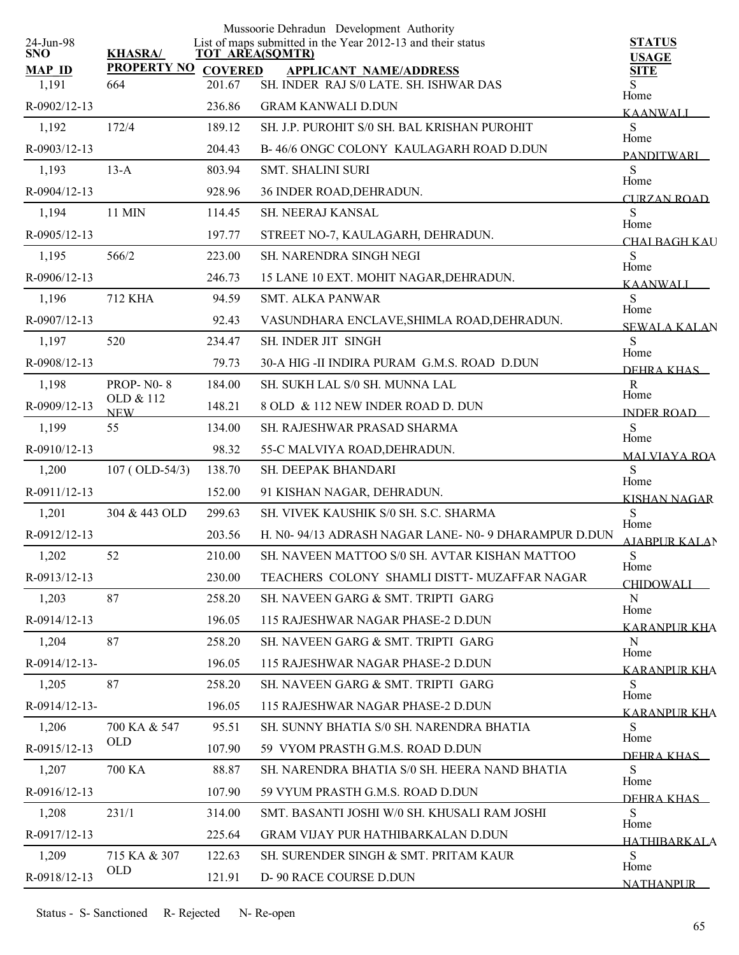|                         |                            |                | Mussoorie Dehradun Development Authority                                              |                                   |
|-------------------------|----------------------------|----------------|---------------------------------------------------------------------------------------|-----------------------------------|
| 24-Jun-98<br><b>SNO</b> | <b>KHASRA/</b>             |                | List of maps submitted in the Year 2012-13 and their status<br><b>TOT AREA(SQMTR)</b> | <b>STATUS</b><br><b>USAGE</b>     |
| <b>MAP ID</b>           | <b>PROPERTY NO</b>         | <b>COVERED</b> | <b>APPLICANT NAME/ADDRESS</b>                                                         | <b>SITE</b>                       |
| 1,191                   | 664                        | 201.67         | SH. INDER RAJ S/0 LATE, SH. ISHWAR DAS                                                | Home                              |
| R-0902/12-13            |                            | 236.86         | <b>GRAM KANWALI D.DUN</b>                                                             | KAANWALI                          |
| 1,192                   | 172/4                      | 189.12         | SH. J.P. PUROHIT S/0 SH. BAL KRISHAN PUROHIT                                          | S<br>Home                         |
| R-0903/12-13            |                            | 204.43         | B-46/6 ONGC COLONY KAULAGARH ROAD D.DUN                                               | <b>PANDITWARI</b>                 |
| 1,193                   | $13-A$                     | 803.94         | <b>SMT. SHALINI SURI</b>                                                              | S<br>Home                         |
| R-0904/12-13            |                            | 928.96         | 36 INDER ROAD, DEHRADUN.                                                              | <b>CURZAN ROAD</b>                |
| 1,194                   | 11 MIN                     | 114.45         | SH. NEERAJ KANSAL                                                                     | ${\bf S}$<br>Home                 |
| R-0905/12-13            |                            | 197.77         | STREET NO-7, KAULAGARH, DEHRADUN.                                                     | CHALBAGH KAU                      |
| 1,195                   | 566/2                      | 223.00         | <b>SH. NARENDRA SINGH NEGI</b>                                                        | S                                 |
| R-0906/12-13            |                            | 246.73         | 15 LANE 10 EXT. MOHIT NAGAR, DEHRADUN.                                                | Home<br><b>KAANWALI</b>           |
| 1,196                   | <b>712 KHA</b>             | 94.59          | <b>SMT. ALKA PANWAR</b>                                                               | S                                 |
| R-0907/12-13            |                            | 92.43          | VASUNDHARA ENCLAVE, SHIMLA ROAD, DEHRADUN.                                            | Home<br><b>SEWALA KALAN</b>       |
| 1,197                   | 520                        | 234.47         | SH. INDER JIT SINGH                                                                   | S                                 |
| R-0908/12-13            |                            | 79.73          | 30-A HIG -II INDIRA PURAM G.M.S. ROAD D.DUN                                           | Home<br>DEHRA KHAS                |
| 1,198                   | <b>PROP-N0-8</b>           | 184.00         | SH. SUKH LAL S/0 SH. MUNNA LAL                                                        | $\mathbf R$                       |
| R-0909/12-13            | OLD & 112<br><b>NEW</b>    | 148.21         | 8 OLD & 112 NEW INDER ROAD D. DUN                                                     | Home<br><b>INDER ROAD</b>         |
| 1,199                   | 55                         | 134.00         | SH. RAJESHWAR PRASAD SHARMA                                                           | S                                 |
| R-0910/12-13            |                            | 98.32          | 55-C MALVIYA ROAD, DEHRADUN.                                                          | Home                              |
| 1,200                   | 107 (OLD-54/3)             | 138.70         | SH. DEEPAK BHANDARI                                                                   | <b>MALVIAYA ROA</b><br>${\bf S}$  |
| R-0911/12-13            |                            | 152.00         | 91 KISHAN NAGAR, DEHRADUN.                                                            | Home                              |
| 1,201                   | 304 & 443 OLD              | 299.63         | SH. VIVEK KAUSHIK S/0 SH. S.C. SHARMA                                                 | <b>KISHAN NAGAR</b><br>S          |
| R-0912/12-13            |                            | 203.56         | H. N0-94/13 ADRASH NAGAR LANE-N0-9 DHARAMPUR D.DUN                                    | Home                              |
| 1,202                   | 52                         | 210.00         | SH. NAVEEN MATTOO S/0 SH. AVTAR KISHAN MATTOO                                         | <b>AJABPUR KALAN</b><br>${\bf S}$ |
| R-0913/12-13            |                            | 230.00         | TEACHERS COLONY SHAMLI DISTT- MUZAFFAR NAGAR                                          | Home                              |
| 1,203                   | 87                         | 258.20         | SH. NAVEEN GARG & SMT. TRIPTI GARG                                                    | <b>CHIDOWALI</b><br>N             |
| $R-0914/12-13$          |                            | 196.05         | 115 RAJESHWAR NAGAR PHASE-2 D.DUN                                                     | Home                              |
| 1,204                   | 87                         | 258.20         | SH. NAVEEN GARG & SMT. TRIPTI GARG                                                    | <b>KARANPUR KHA</b><br>N          |
| R-0914/12-13-           |                            | 196.05         | 115 RAJESHWAR NAGAR PHASE-2 D.DUN                                                     | Home                              |
| 1,205                   | 87                         | 258.20         | SH. NAVEEN GARG & SMT. TRIPTI GARG                                                    | <b>KARANPUR KHA</b><br>S.         |
| R-0914/12-13-           |                            | 196.05         | 115 RAJESHWAR NAGAR PHASE-2 D.DUN                                                     | Home                              |
| 1,206                   | 700 KA & 547               | 95.51          | SH. SUNNY BHATIA S/0 SH. NARENDRA BHATIA                                              | <b>KARANPUR KHA</b><br>S.         |
| R-0915/12-13            | <b>OLD</b>                 | 107.90         | 59 VYOM PRASTH G.M.S. ROAD D.DUN                                                      | Home                              |
|                         | 700 KA                     |                | SH. NARENDRA BHATIA S/0 SH. HEERA NAND BHATIA                                         | DEHRA KHAS<br>S                   |
| 1,207                   |                            | 88.87          |                                                                                       | Home                              |
| R-0916/12-13            |                            | 107.90         | 59 VYUM PRASTH G.M.S. ROAD D.DUN                                                      | DEHRA KHAS                        |
| 1,208                   | 231/1                      | 314.00         | SMT. BASANTI JOSHI W/0 SH. KHUSALI RAM JOSHI                                          | S<br>Home                         |
| R-0917/12-13            |                            | 225.64         | GRAM VIJAY PUR HATHIBARKALAN D.DUN                                                    | <b>HATHIRARKALA</b>               |
| 1,209                   | 715 KA & 307<br><b>OLD</b> | 122.63         | SH. SURENDER SINGH & SMT. PRITAM KAUR                                                 | S<br>Home                         |
| R-0918/12-13            |                            | 121.91         | D-90 RACE COURSE D.DUN                                                                | <b>NATHANPUR</b>                  |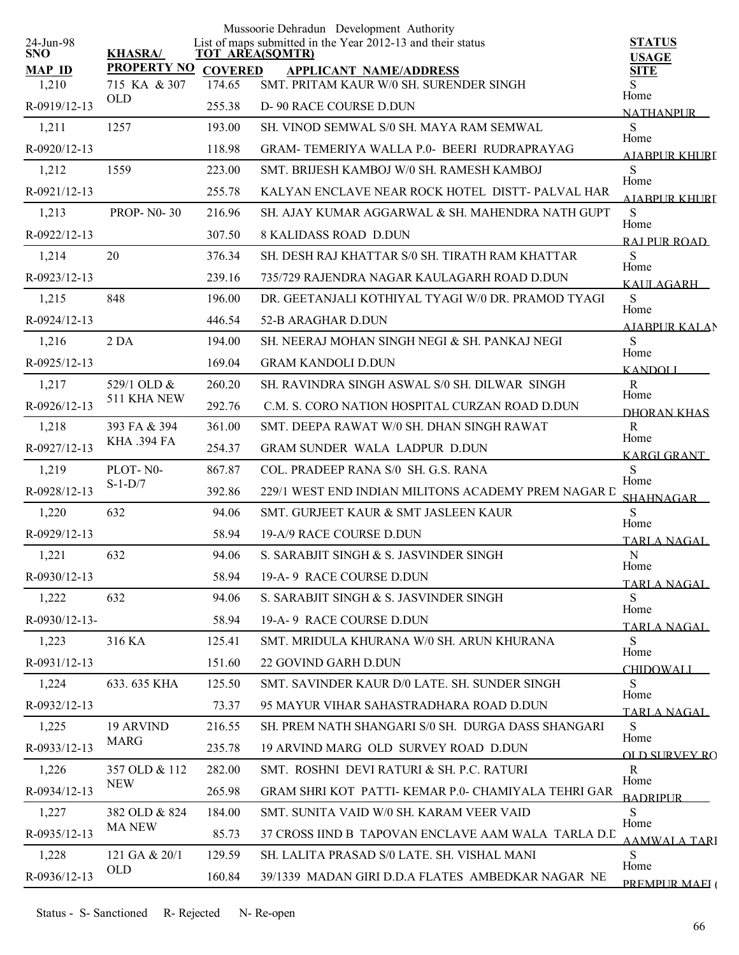|                         |                            |                | Mussoorie Dehradun Development Authority                                              |                                    |
|-------------------------|----------------------------|----------------|---------------------------------------------------------------------------------------|------------------------------------|
| 24-Jun-98<br><b>SNO</b> | <b>KHASRA/</b>             |                | List of maps submitted in the Year 2012-13 and their status<br><b>TOT AREA(SQMTR)</b> | <b>STATUS</b><br><b>USAGE</b>      |
| <b>MAP ID</b>           | <b>PROPERTY NO</b>         | <b>COVERED</b> | <b>APPLICANT NAME/ADDRESS</b>                                                         | <b>SITE</b>                        |
| 1,210                   | 715 KA & 307<br><b>OLD</b> | 174.65         | SMT. PRITAM KAUR W/0 SH. SURENDER SINGH                                               | Home                               |
| R-0919/12-13            |                            | 255.38         | D-90 RACE COURSE D.DUN                                                                | <b>NATHANPUR</b>                   |
| 1,211                   | 1257                       | 193.00         | SH. VINOD SEMWAL S/0 SH. MAYA RAM SEMWAL                                              | S<br>Home                          |
| R-0920/12-13            |                            | 118.98         | GRAM-TEMERIYA WALLA P.0- BEERI RUDRAPRAYAG                                            | AIARPUR KHURI                      |
| 1,212                   | 1559                       | 223.00         | SMT. BRIJESH KAMBOJ W/0 SH. RAMESH KAMBOJ                                             | S<br>Home                          |
| R-0921/12-13            |                            | 255.78         | KALYAN ENCLAVE NEAR ROCK HOTEL DISTT-PALVAL HAR                                       | AIARPUR KHURI                      |
| 1,213                   | <b>PROP-N0-30</b>          | 216.96         | SH. AJAY KUMAR AGGARWAL & SH. MAHENDRA NATH GUPT                                      | S<br>Home                          |
| R-0922/12-13            |                            | 307.50         | <b>8 KALIDASS ROAD D.DUN</b>                                                          | RAI PUR ROAD                       |
| 1,214                   | 20                         | 376.34         | SH. DESH RAJ KHATTAR S/0 SH. TIRATH RAM KHATTAR                                       | S<br>Home                          |
| R-0923/12-13            |                            | 239.16         | 735/729 RAJENDRA NAGAR KAULAGARH ROAD D.DUN                                           | KALILAGARH                         |
| 1,215                   | 848                        | 196.00         | DR. GEETANJALI KOTHIYAL TYAGI W/0 DR. PRAMOD TYAGI                                    | S                                  |
| R-0924/12-13            |                            | 446.54         | 52-B ARAGHAR D.DUN                                                                    | Home<br><b>AJABPUR KALAN</b>       |
| 1,216                   | 2 <sub>DA</sub>            | 194.00         | SH. NEERAJ MOHAN SINGH NEGI & SH. PANKAJ NEGI                                         | S                                  |
| R-0925/12-13            |                            | 169.04         | <b>GRAM KANDOLI D.DUN</b>                                                             | Home<br><b>KANDOLI</b>             |
| 1,217                   | 529/1 OLD &                | 260.20         | SH, RAVINDRA SINGH ASWAL S/0 SH, DILWAR, SINGH                                        | $\mathbf R$                        |
| R-0926/12-13            | 511 KHA NEW                | 292.76         | C.M. S. CORO NATION HOSPITAL CURZAN ROAD D.DUN                                        | Home<br>DHORAN KHAS                |
| 1,218                   | 393 FA & 394               | 361.00         | SMT. DEEPA RAWAT W/0 SH. DHAN SINGH RAWAT                                             | R                                  |
| R-0927/12-13            | <b>KHA .394 FA</b>         | 254.37         | <b>GRAM SUNDER WALA LADPUR D.DUN</b>                                                  | Home<br><b>KARGI GRANT</b>         |
| 1,219                   | PLOT-N0-                   | 867.87         | COL. PRADEEP RANA S/0 SH. G.S. RANA                                                   | S                                  |
| R-0928/12-13            | $S-1-D/7$                  | 392.86         | 229/1 WEST END INDIAN MILITONS ACADEMY PREM NAGAR D                                   | Home<br>SHAHNAGAR                  |
| 1,220                   | 632                        | 94.06          | SMT. GURJEET KAUR & SMT JASLEEN KAUR                                                  | S                                  |
| R-0929/12-13            |                            | 58.94          | 19-A/9 RACE COURSE D.DUN                                                              | Home<br>TARLA NAGAL                |
| 1,221                   | 632                        | 94.06          | S. SARABJIT SINGH & S. JASVINDER SINGH                                                | ${\bf N}$                          |
| $R - 0930/12 - 13$      |                            | 58.94          | 19-A-9 RACE COURSE D.DUN                                                              | Home                               |
| 1,222                   | 632                        | 94.06          | S. SARABJIT SINGH & S. JASVINDER SINGH                                                | TARLA NAGAL<br>S                   |
| $R-0930/12-13-$         |                            | 58.94          | 19-A-9 RACE COURSE D.DUN                                                              | Home                               |
| 1,223                   | 316 KA                     | 125.41         | SMT. MRIDULA KHURANA W/0 SH. ARUN KHURANA                                             | <b>TARLA NAGAL</b><br><sub>S</sub> |
| R-0931/12-13            |                            | 151.60         | 22 GOVIND GARH D.DUN                                                                  | Home                               |
| 1,224                   | 633.635 KHA                | 125.50         | SMT. SAVINDER KAUR D/0 LATE. SH. SUNDER SINGH                                         | <b>CHIDOWALI</b><br>S              |
| R-0932/12-13            |                            | 73.37          | 95 MAYUR VIHAR SAHASTRADHARA ROAD D.DUN                                               | Home                               |
| 1,225                   | <b>19 ARVIND</b>           | 216.55         | SH. PREM NATH SHANGARI S/0 SH. DURGA DASS SHANGARI                                    | TARLA NAGAL.<br>S                  |
| R-0933/12-13            | <b>MARG</b>                | 235.78         | 19 ARVIND MARG OLD SURVEY ROAD D.DUN                                                  | Home                               |
| 1,226                   | 357 OLD & 112              | 282.00         | SMT. ROSHNI DEVI RATURI & SH. P.C. RATURI                                             | OLD SURVEY RO<br>R                 |
| R-0934/12-13            | NEW                        | 265.98         | GRAM SHRI KOT PATTI-KEMAR P.0- CHAMIYALA TEHRI GAR                                    | Home                               |
| 1,227                   | 382 OLD & 824              | 184.00         | SMT. SUNITA VAID W/0 SH. KARAM VEER VAID                                              | <b>BADRIPLIR</b><br>S              |
| R-0935/12-13            | <b>MA NEW</b>              | 85.73          | 37 CROSS IIND B TAPOVAN ENCLAVE AAM WALA TARLA D.D                                    | Home                               |
| 1,228                   | 121 GA & 20/1              | 129.59         | SH. LALITA PRASAD S/0 LATE. SH. VISHAL MANI                                           | AAMWALA TARI<br>S                  |
| R-0936/12-13            | <b>OLD</b>                 | 160.84         | 39/1339 MADAN GIRI D.D.A FLATES AMBEDKAR NAGAR NE                                     | Home                               |
|                         |                            |                |                                                                                       | PREMPUR MAEI (                     |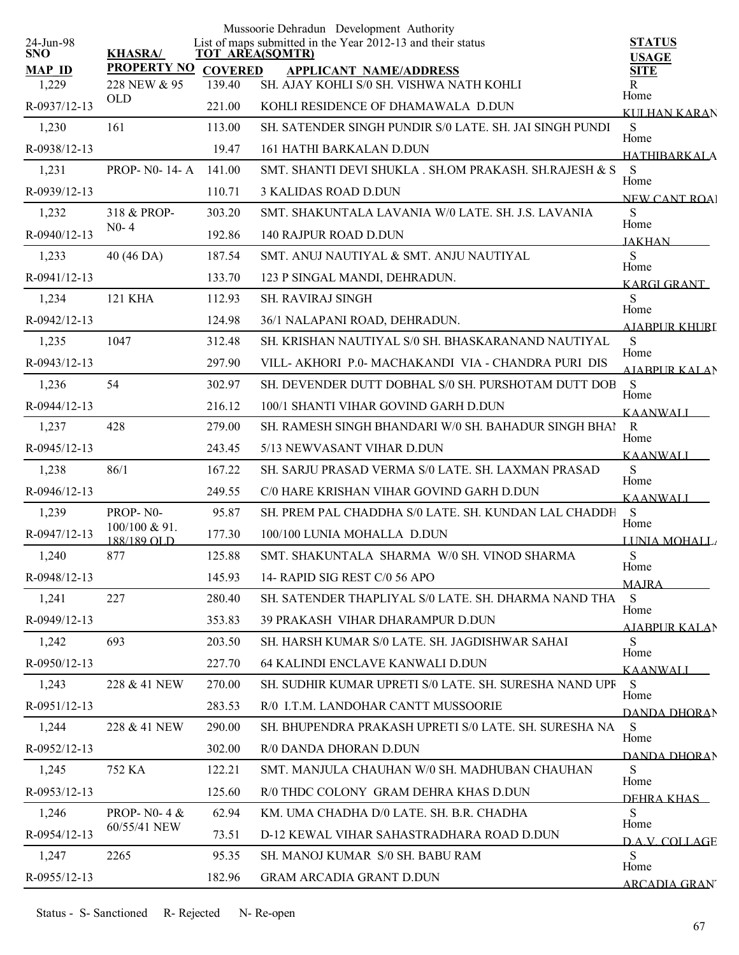|                         |                              |                | Mussoorie Dehradun Development Authority                                              |                               |
|-------------------------|------------------------------|----------------|---------------------------------------------------------------------------------------|-------------------------------|
| 24-Jun-98<br><b>SNO</b> | <b>KHASRA/</b>               |                | List of maps submitted in the Year 2012-13 and their status<br><b>TOT AREA(SQMTR)</b> | <b>STATUS</b><br><b>USAGE</b> |
| <b>MAP ID</b>           | <b>PROPERTY NO</b>           | <b>COVERED</b> | <b>APPLICANT NAME/ADDRESS</b>                                                         | <b>SITE</b>                   |
| 1,229                   | 228 NEW & 95                 | 139.40         | SH. AJAY KOHLI S/0 SH. VISHWA NATH KOHLI                                              | R<br>Home                     |
| R-0937/12-13            | OLD                          | 221.00         | KOHLI RESIDENCE OF DHAMAWALA D.DUN                                                    | KULHAN KARAN                  |
| 1,230                   | 161                          | 113.00         | SH. SATENDER SINGH PUNDIR S/0 LATE. SH. JAI SINGH PUNDI                               | ${\bf S}$<br>Home             |
| R-0938/12-13            |                              | 19.47          | 161 HATHI BARKALAN D.DUN                                                              | <b>HATHIBARKALA</b>           |
| 1,231                   | <b>PROP-NO-14-A</b>          | 141.00         | SMT. SHANTI DEVI SHUKLA . SH.OM PRAKASH. SH.RAJESH & S                                | S<br>Home                     |
| R-0939/12-13            |                              | 110.71         | <b>3 KALIDAS ROAD D.DUN</b>                                                           | <b>NEW CANT ROA</b>           |
| 1,232                   | 318 & PROP-                  | 303.20         | SMT. SHAKUNTALA LAVANIA W/0 LATE. SH. J.S. LAVANIA                                    | S<br>Home                     |
| R-0940/12-13            | $N0-4$                       | 192.86         | 140 RAJPUR ROAD D.DUN                                                                 | <b>JAKHAN</b>                 |
| 1,233                   | 40 (46 DA)                   | 187.54         | SMT. ANUJ NAUTIYAL & SMT. ANJU NAUTIYAL                                               | S<br>Home                     |
| R-0941/12-13            |                              | 133.70         | 123 P SINGAL MANDI, DEHRADUN.                                                         | KARGI GRANT                   |
| 1,234                   | <b>121 KHA</b>               | 112.93         | <b>SH. RAVIRAJ SINGH</b>                                                              | S<br>Home                     |
| R-0942/12-13            |                              | 124.98         | 36/1 NALAPANI ROAD, DEHRADUN.                                                         | <b>AJABPUR KHURI</b>          |
| 1,235                   | 1047                         | 312.48         | SH. KRISHAN NAUTIYAL S/0 SH. BHASKARANAND NAUTIYAL                                    | S                             |
| R-0943/12-13            |                              | 297.90         | VILL- AKHORI P.0- MACHAKANDI VIA - CHANDRA PURI DIS                                   | Home<br><b>AIABPURKALAN</b>   |
| 1,236                   | 54                           | 302.97         | SH. DEVENDER DUTT DOBHAL S/0 SH. PURSHOTAM DUTT DOB                                   | S<br>Home                     |
| R-0944/12-13            |                              | 216.12         | 100/1 SHANTI VIHAR GOVIND GARH D.DUN                                                  | <b>KAANWALI</b>               |
| 1,237                   | 428                          | 279.00         | SH. RAMESH SINGH BHANDARI W/0 SH. BAHADUR SINGH BHAI                                  | $\mathbf{R}$<br>Home          |
| R-0945/12-13            |                              | 243.45         | 5/13 NEWVASANT VIHAR D.DUN                                                            | <b>KAANWALI</b>               |
| 1,238                   | 86/1                         | 167.22         | SH. SARJU PRASAD VERMA S/0 LATE. SH. LAXMAN PRASAD                                    | S<br>Home                     |
| R-0946/12-13            |                              | 249.55         | C/0 HARE KRISHAN VIHAR GOVIND GARH D.DUN                                              | <b>KAANWALI</b>               |
| 1,239                   | PROP-NO-                     | 95.87          | SH. PREM PAL CHADDHA S/0 LATE. SH. KUNDAN LAL CHADDH                                  | S                             |
| R-0947/12-13            | 100/100 & 91.<br>188/189 OLD | 177.30         | 100/100 LUNIA MOHALLA D.DUN                                                           | Home<br>LUNIA MOHALL          |
| 1,240                   | 877                          | 125.88         | SMT. SHAKUNTALA SHARMA W/0 SH. VINOD SHARMA                                           | S                             |
| R-0948/12-13            |                              | 145.93         | 14- RAPID SIG REST C/0 56 APO                                                         | Home<br><b>MAIRA</b>          |
| 1,241                   | 227                          | 280.40         | SH. SATENDER THAPLIYAL S/0 LATE. SH. DHARMA NAND THA                                  | S                             |
| R-0949/12-13            |                              | 353.83         | <b>39 PRAKASH VIHAR DHARAMPUR D.DUN</b>                                               | Home<br><u>AJABPUR KALA</u> N |
| 1,242                   | 693                          | 203.50         | SH. HARSH KUMAR S/0 LATE. SH. JAGDISHWAR SAHAI                                        | S                             |
| R-0950/12-13            |                              | 227.70         | 64 KALINDI ENCLAVE KANWALI D.DUN                                                      | Home<br><b>KAANWALI</b>       |
| 1,243                   | 228 & 41 NEW                 | 270.00         | SH. SUDHIR KUMAR UPRETI S/0 LATE. SH. SURESHA NAND UPF                                | S                             |
| R-0951/12-13            |                              | 283.53         | R/0 I.T.M. LANDOHAR CANTT MUSSOORIE                                                   | Home<br>DANDA DHORAN          |
| 1,244                   | 228 & 41 NEW                 | 290.00         | SH. BHUPENDRA PRAKASH UPRETI S/0 LATE. SH. SURESHA NA                                 | S                             |
| R-0952/12-13            |                              | 302.00         | R/0 DANDA DHORAN D.DUN                                                                | Home<br>DANDA DHORAN          |
| 1,245                   | 752 KA                       | 122.21         | SMT. MANJULA CHAUHAN W/0 SH. MADHUBAN CHAUHAN                                         | S                             |
| R-0953/12-13            |                              | 125.60         | R/0 THDC COLONY GRAM DEHRA KHAS D.DUN                                                 | Home<br>DEHRA KHAS            |
| 1,246                   | PROP- N0-4 &                 | 62.94          | KM. UMA CHADHA D/0 LATE. SH. B.R. CHADHA                                              | S                             |
| R-0954/12-13            | 60/55/41 NEW                 | 73.51          | D-12 KEWAL VIHAR SAHASTRADHARA ROAD D.DUN                                             | Home<br><b>DAV COLLAGE</b>    |
| 1,247                   | 2265                         | 95.35          | SH. MANOJ KUMAR S/0 SH. BABU RAM                                                      | S                             |
| R-0955/12-13            |                              | 182.96         | <b>GRAM ARCADIA GRANT D.DUN</b>                                                       | Home<br><b>ARCADIA GRAN</b>   |
|                         |                              |                |                                                                                       |                               |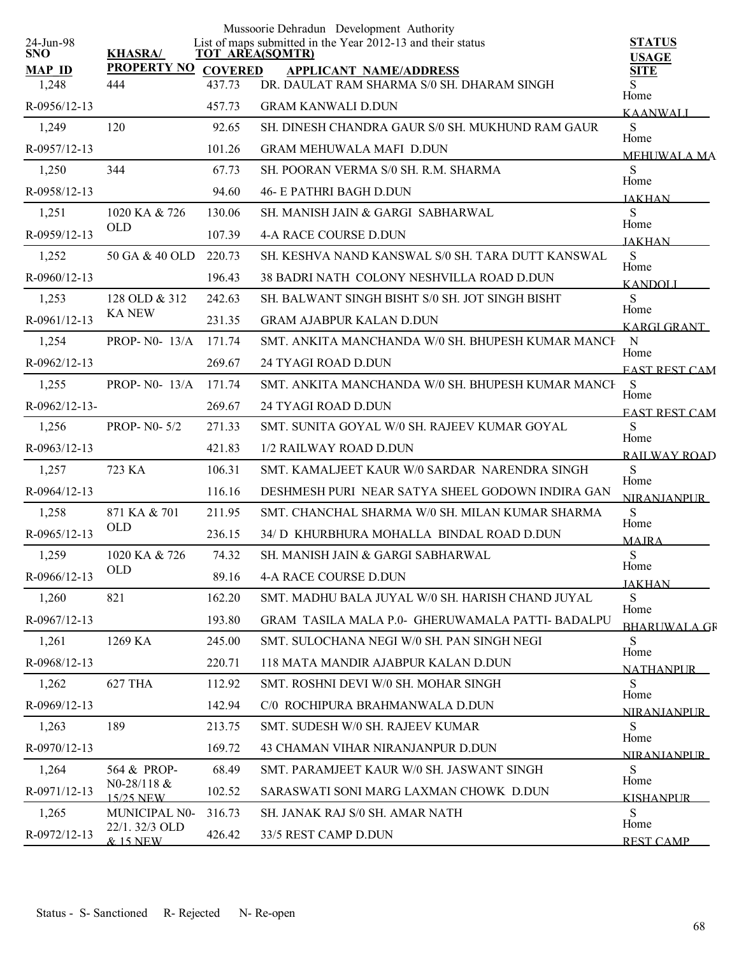|                         |                            |                | Mussoorie Dehradun Development Authority                                              |                               |
|-------------------------|----------------------------|----------------|---------------------------------------------------------------------------------------|-------------------------------|
| 24-Jun-98<br><b>SNO</b> | <b>KHASRA/</b>             |                | List of maps submitted in the Year 2012-13 and their status<br><b>TOT AREA(SQMTR)</b> | <b>STATUS</b><br><b>USAGE</b> |
| <b>MAP ID</b>           | <b>PROPERTY NO</b>         | <b>COVERED</b> | <b>APPLICANT NAME/ADDRESS</b>                                                         | <b>SITE</b>                   |
| 1,248                   | 444                        | 437.73         | DR. DAULAT RAM SHARMA S/0 SH. DHARAM SINGH                                            | S<br>Home                     |
| R-0956/12-13            |                            | 457.73         | <b>GRAM KANWALI D.DUN</b>                                                             | <b>KAANWALI</b>               |
| 1,249                   | 120                        | 92.65          | SH. DINESH CHANDRA GAUR S/0 SH. MUKHUND RAM GAUR                                      | S<br>Home                     |
| R-0957/12-13            |                            | 101.26         | <b>GRAM MEHUWALA MAFI D.DUN</b>                                                       | <b>MEHUWALA MA</b>            |
| 1,250                   | 344                        | 67.73          | SH. POORAN VERMA S/0 SH. R.M. SHARMA                                                  | S<br>Home                     |
| R-0958/12-13            |                            | 94.60          | <b>46- E PATHRI BAGH D.DUN</b>                                                        | <b>JAKHAN</b>                 |
| 1,251                   | 1020 KA & 726              | 130.06         | SH. MANISH JAIN & GARGI SABHARWAL                                                     | S<br>Home                     |
| R-0959/12-13            | <b>OLD</b>                 | 107.39         | <b>4-A RACE COURSE D.DUN</b>                                                          | <b>JAKHAN</b>                 |
| 1,252                   | 50 GA & 40 OLD             | 220.73         | SH. KESHVA NAND KANSWAL S/0 SH. TARA DUTT KANSWAL                                     | ${\bf S}$<br>Home             |
| R-0960/12-13            |                            | 196.43         | 38 BADRI NATH COLONY NESHVILLA ROAD D.DUN                                             | <b>KANDOLI</b>                |
| 1,253                   | 128 OLD & 312              | 242.63         | SH. BALWANT SINGH BISHT S/0 SH. JOT SINGH BISHT                                       | S                             |
| R-0961/12-13            | <b>KA NEW</b>              | 231.35         | <b>GRAM AJABPUR KALAN D.DUN</b>                                                       | Home<br><b>KARGLGRANT</b>     |
| 1,254                   | PROP- N0- 13/A             | 171.74         | SMT. ANKITA MANCHANDA W/0 SH. BHUPESH KUMAR MANCH                                     | $\mathbf N$                   |
| R-0962/12-13            |                            | 269.67         | 24 TYAGI ROAD D.DUN                                                                   | Home<br><b>EAST REST CAM</b>  |
| 1,255                   | PROP- N0- 13/A             | 171.74         | SMT. ANKITA MANCHANDA W/0 SH. BHUPESH KUMAR MANCH                                     | <sub>S</sub><br>Home          |
| R-0962/12-13-           |                            | 269.67         | 24 TYAGI ROAD D.DUN                                                                   | <b>EAST REST CAM</b>          |
| 1,256                   | <b>PROP-N0-5/2</b>         | 271.33         | SMT. SUNITA GOYAL W/0 SH. RAJEEV KUMAR GOYAL                                          | S<br>Home                     |
| R-0963/12-13            |                            | 421.83         | 1/2 RAILWAY ROAD D.DUN                                                                | <b>RAILWAY ROAD</b>           |
| 1,257                   | 723 KA                     | 106.31         | SMT. KAMALJEET KAUR W/0 SARDAR NARENDRA SINGH                                         | S                             |
| R-0964/12-13            |                            | 116.16         | DESHMESH PURI NEAR SATYA SHEEL GODOWN INDIRA GAN                                      | Home<br><b>NIRANJANPUR</b>    |
| 1,258                   | 871 KA & 701               | 211.95         | SMT. CHANCHAL SHARMA W/0 SH. MILAN KUMAR SHARMA                                       | S                             |
| $R-0965/12-13$          | <b>OLD</b>                 | 236.15         | 34/ D KHURBHURA MOHALLA BINDAL ROAD D.DUN                                             | Home<br><b>MAIRA</b>          |
| 1,259                   | 1020 KA & 726              | 74.32          | SH. MANISH JAIN & GARGI SABHARWAL                                                     | ${\bf S}$<br>Home             |
| R-0966/12-13            | <b>OLD</b>                 | 89.16          | 4-A RACE COURSE D.DUN                                                                 | <b>JAKHAN</b>                 |
| 1,260                   | 821                        | 162.20         | SMT. MADHU BALA JUYAL W/0 SH. HARISH CHAND JUYAL                                      | S.                            |
| R-0967/12-13            |                            | 193.80         | GRAM TASILA MALA P.0- GHERUWAMALA PATTI-BADALPU                                       | Home<br><b>BHARUWALA GR</b>   |
| 1,261                   | 1269 KA                    | 245.00         | SMT. SULOCHANA NEGI W/0 SH. PAN SINGH NEGI                                            | S                             |
| R-0968/12-13            |                            | 220.71         | 118 MATA MANDIR AJABPUR KALAN D.DUN                                                   | Home<br><b>NATHANPUR</b>      |
| 1,262                   | 627 THA                    | 112.92         | SMT. ROSHNI DEVI W/0 SH. MOHAR SINGH                                                  | S                             |
| R-0969/12-13            |                            | 142.94         | C/0 ROCHIPURA BRAHMANWALA D.DUN                                                       | Home<br><b>NIRANIANPUR</b>    |
| 1,263                   | 189                        | 213.75         | SMT. SUDESH W/0 SH. RAJEEV KUMAR                                                      | S                             |
| R-0970/12-13            |                            | 169.72         | 43 CHAMAN VIHAR NIRANJANPUR D.DUN                                                     | Home<br><b>NIRANIANPUR</b>    |
| 1,264                   | 564 & PROP-                | 68.49          | SMT. PARAMJEET KAUR W/0 SH. JASWANT SINGH                                             | S                             |
| R-0971/12-13            | N0-28/118 $&$<br>15/25 NEW | 102.52         | SARASWATI SONI MARG LAXMAN CHOWK D.DUN                                                | Home<br><b>KISHANPUR</b>      |
| 1,265                   | MUNICIPAL N0-              | 316.73         | SH. JANAK RAJ S/0 SH. AMAR NATH                                                       | S                             |
| R-0972/12-13            | 22/1.32/3 OLD<br>& 15 NEW  | 426.42         | 33/5 REST CAMP D.DUN                                                                  | Home<br><b>REST CAMP</b>      |
|                         |                            |                |                                                                                       |                               |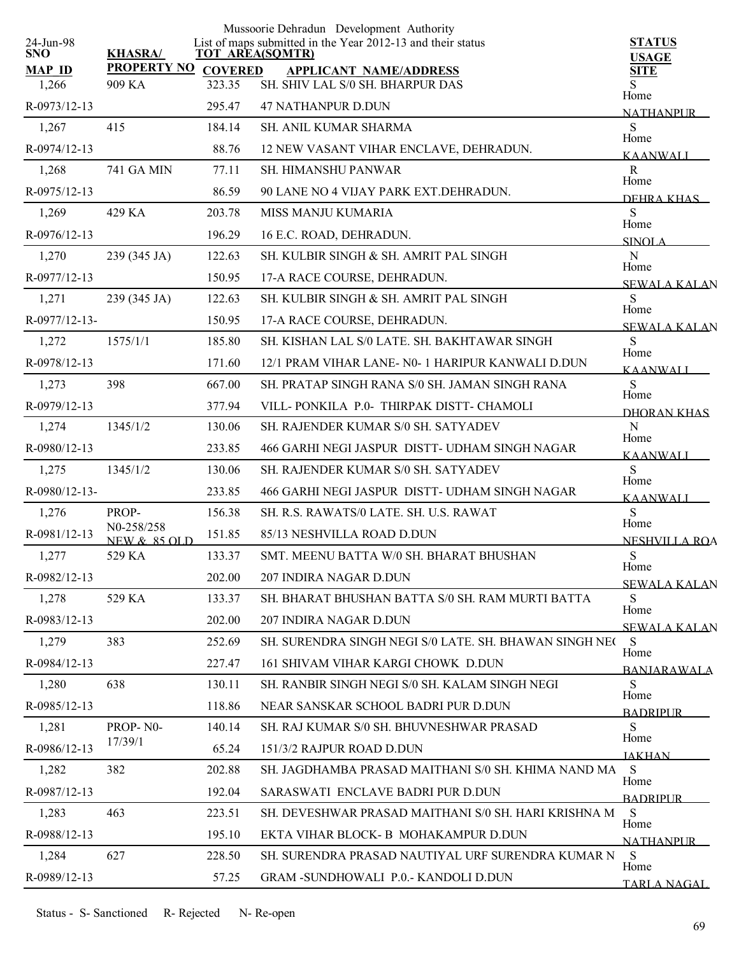| 24-Jun-98              |                                       |        | Mussoorie Dehradun Development Authority<br>List of maps submitted in the Year 2012-13 and their status | <b>STATUS</b>                |
|------------------------|---------------------------------------|--------|---------------------------------------------------------------------------------------------------------|------------------------------|
| <b>SNO</b>             | <b>KHASRA/</b>                        |        | <b>TOT AREA(SQMTR)</b>                                                                                  | <b>USAGE</b>                 |
| <b>MAP ID</b><br>1,266 | PROPERTY NO COVERED<br>909 KA         | 323.35 | <b>APPLICANT NAME/ADDRESS</b><br>SH. SHIV LAL S/0 SH. BHARPUR DAS                                       | <b>SITE</b><br>S             |
|                        |                                       | 295.47 | <b>47 NATHANPUR D.DUN</b>                                                                               | Home                         |
| R-0973/12-13           |                                       |        |                                                                                                         | <b>NATHANPUR</b>             |
| 1,267                  | 415                                   | 184.14 | <b>SH. ANIL KUMAR SHARMA</b>                                                                            | S<br>Home                    |
| R-0974/12-13           |                                       | 88.76  | 12 NEW VASANT VIHAR ENCLAVE, DEHRADUN.                                                                  | <b>KAANWALI</b>              |
| 1,268                  | <b>741 GA MIN</b>                     | 77.11  | <b>SH. HIMANSHU PANWAR</b>                                                                              | $\mathbf R$<br>Home          |
| R-0975/12-13           |                                       | 86.59  | 90 LANE NO 4 VIJAY PARK EXT.DEHRADUN.                                                                   | DEHRA KHAS                   |
| 1,269                  | 429 KA                                | 203.78 | MISS MANJU KUMARIA                                                                                      | S<br>Home                    |
| R-0976/12-13           |                                       | 196.29 | 16 E.C. ROAD, DEHRADUN.                                                                                 | SINOLA                       |
| 1,270                  | 239 (345 JA)                          | 122.63 | SH. KULBIR SINGH & SH. AMRIT PAL SINGH                                                                  | ${\bf N}$<br>Home            |
| R-0977/12-13           |                                       | 150.95 | 17-A RACE COURSE, DEHRADUN.                                                                             | <b>SEWALA KALAN</b>          |
| 1,271                  | 239 (345 JA)                          | 122.63 | SH. KULBIR SINGH & SH. AMRIT PAL SINGH                                                                  | S<br>Home                    |
| R-0977/12-13-          |                                       | 150.95 | 17-A RACE COURSE, DEHRADUN.                                                                             | <b>SEWALA KALAN</b>          |
| 1,272                  | 1575/1/1                              | 185.80 | SH. KISHAN LAL S/0 LATE, SH. BAKHTAWAR SINGH                                                            | S<br>Home                    |
| R-0978/12-13           |                                       | 171.60 | 12/1 PRAM VIHAR LANE- N0- 1 HARIPUR KANWALI D.DUN                                                       | <b>KAANWALI</b>              |
| 1,273                  | 398                                   | 667.00 | SH. PRATAP SINGH RANA S/0 SH. JAMAN SINGH RANA                                                          | ${\bf S}$                    |
| R-0979/12-13           |                                       | 377.94 | VILL-PONKILA P.0- THIRPAK DISTT- CHAMOLI                                                                | Home<br>DHORAN KHAS          |
| 1,274                  | 1345/1/2                              | 130.06 | SH. RAJENDER KUMAR S/0 SH. SATYADEV                                                                     | ${\bf N}$                    |
| R-0980/12-13           |                                       | 233.85 | 466 GARHI NEGI JASPUR DISTT- UDHAM SINGH NAGAR                                                          | Home<br><b>KAANWALI</b>      |
| 1,275                  | 1345/1/2                              | 130.06 | SH. RAJENDER KUMAR S/0 SH. SATYADEV                                                                     | S                            |
| R-0980/12-13-          |                                       | 233.85 | 466 GARHI NEGI JASPUR DISTT- UDHAM SINGH NAGAR                                                          | Home<br><b>KAANWALI</b>      |
| 1,276                  | PROP-                                 | 156.38 | SH. R.S. RAWATS/0 LATE. SH. U.S. RAWAT                                                                  | S                            |
| R-0981/12-13           | N0-258/258<br><b>NEW &amp; 85 OLD</b> | 151.85 | 85/13 NESHVILLA ROAD D.DUN                                                                              | Home<br><b>NESHVILLA ROA</b> |
| 1,277                  | 529 KA                                | 133.37 | SMT. MEENU BATTA W/0 SH. BHARAT BHUSHAN                                                                 | ${\bf S}$                    |
| R-0982/12-13           |                                       | 202.00 | 207 INDIRA NAGAR D.DUN                                                                                  | Home                         |
| 1,278                  | 529 KA                                | 133.37 | SH. BHARAT BHUSHAN BATTA S/0 SH. RAM MURTI BATTA                                                        | <b>SEWALA KALAN</b><br>S     |
| R-0983/12-13           |                                       | 202.00 | 207 INDIRA NAGAR D.DUN                                                                                  | Home                         |
| 1,279                  | 383                                   | 252.69 | SH. SURENDRA SINGH NEGI S/0 LATE, SH. BHAWAN SINGH NEC                                                  | <b>SEWALA KALAN</b><br>S     |
| R-0984/12-13           |                                       | 227.47 | 161 SHIVAM VIHAR KARGI CHOWK D.DUN                                                                      | Home                         |
| 1,280                  | 638                                   | 130.11 | SH. RANBIR SINGH NEGI S/0 SH. KALAM SINGH NEGI                                                          | <b>BANJARAWALA</b><br>S      |
| R-0985/12-13           |                                       | 118.86 | NEAR SANSKAR SCHOOL BADRI PUR D.DUN                                                                     | Home                         |
| 1,281                  | PROP-N0-                              | 140.14 | SH. RAJ KUMAR S/0 SH. BHUVNESHWAR PRASAD                                                                | <b>BADRIPLIR</b><br>S        |
| R-0986/12-13           | 17/39/1                               | 65.24  | 151/3/2 RAJPUR ROAD D.DUN                                                                               | Home                         |
| 1,282                  | 382                                   | 202.88 | SH. JAGDHAMBA PRASAD MAITHANI S/0 SH. KHIMA NAND MA                                                     | <b>JAKHAN</b><br>S           |
| R-0987/12-13           |                                       | 192.04 | SARASWATI ENCLAVE BADRI PUR D.DUN                                                                       | Home                         |
|                        | 463                                   |        | SH. DEVESHWAR PRASAD MAITHANI S/0 SH. HARI KRISHNA M                                                    | <b>BADRIPLIR</b>             |
| 1,283                  |                                       | 223.51 |                                                                                                         | S<br>Home                    |
| R-0988/12-13           |                                       | 195.10 | EKTA VIHAR BLOCK- B MOHAKAMPUR D.DUN                                                                    | <b>NATHANPUR</b>             |
| 1,284                  | 627                                   | 228.50 | SH. SURENDRA PRASAD NAUTIYAL URF SURENDRA KUMAR N                                                       | S<br>Home                    |
| R-0989/12-13           |                                       | 57.25  | GRAM -SUNDHOWALI P.0.- KANDOLI D.DUN                                                                    | <b>TARLA NAGAL</b>           |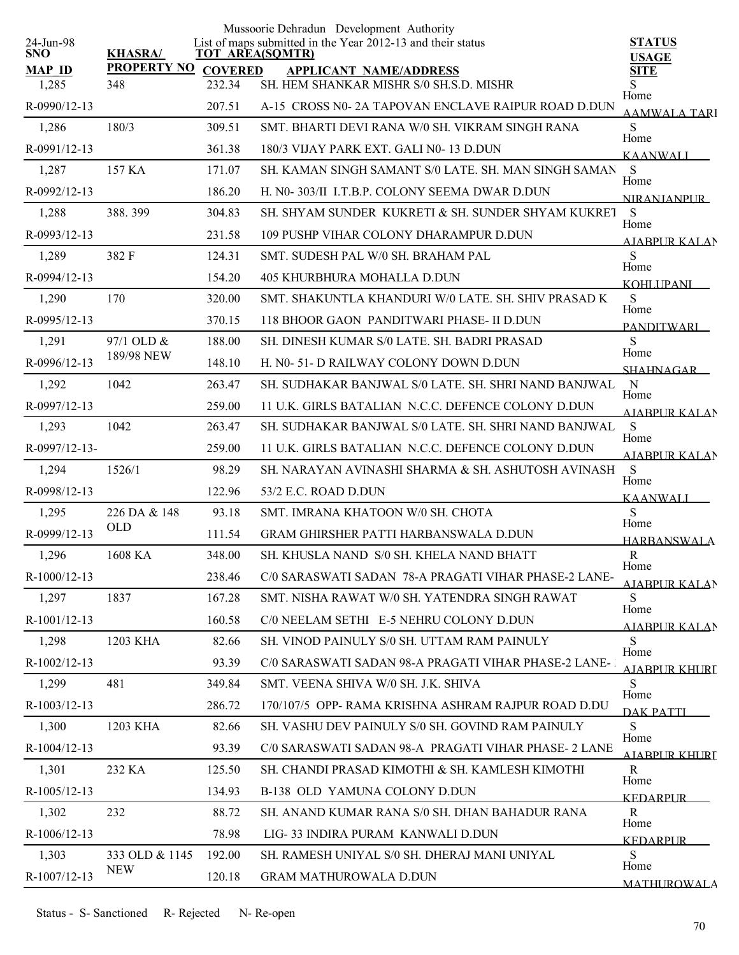|                         |                              |                        | Mussoorie Dehradun Development Authority                    |                               |
|-------------------------|------------------------------|------------------------|-------------------------------------------------------------|-------------------------------|
| 24-Jun-98<br><b>SNO</b> | <b>KHASRA/</b>               | <b>TOT AREA(SQMTR)</b> | List of maps submitted in the Year 2012-13 and their status | <b>STATUS</b><br><b>USAGE</b> |
| <b>MAP ID</b>           | PROPERTY NO COVERED          |                        | <b>APPLICANT NAME/ADDRESS</b>                               | <b>SITE</b>                   |
| 1,285                   | 348                          | 232.34                 | SH. HEM SHANKAR MISHR S/0 SH.S.D. MISHR                     | Home                          |
| R-0990/12-13            |                              | 207.51                 | A-15 CROSS N0-2A TAPOVAN ENCLAVE RAIPUR ROAD D.DUN          | AAMWALA TARI                  |
| 1,286                   | 180/3                        | 309.51                 | SMT, BHARTI DEVI RANA W/0 SH, VIKRAM SINGH RANA             | S<br>Home                     |
| R-0991/12-13            |                              | 361.38                 | 180/3 VIJAY PARK EXT. GALI N0-13 D.DUN                      | <b>KAANWALI</b>               |
| 1,287                   | 157 KA                       | 171.07                 | SH, KAMAN SINGH SAMANT S/0 LATE, SH, MAN SINGH SAMAN        | S<br>Home                     |
| R-0992/12-13            |                              | 186.20                 | H. N0-303/II I.T.B.P. COLONY SEEMA DWAR D.DUN               | <b>NIRANIANPUR</b>            |
| 1,288                   | 388.399                      | 304.83                 | SH. SHYAM SUNDER KUKRETI & SH. SUNDER SHYAM KUKRET          | S<br>Home                     |
| R-0993/12-13            |                              | 231.58                 | 109 PUSHP VIHAR COLONY DHARAMPUR D.DUN                      | <u>AIARPUR KALA</u> N         |
| 1,289                   | 382 F                        | 124.31                 | SMT. SUDESH PAL W/0 SH. BRAHAM PAL                          | S                             |
| R-0994/12-13            |                              | 154.20                 | 405 KHURBHURA MOHALLA D.DUN                                 | Home<br>KOHLI IPANI           |
| 1,290                   | 170                          | 320.00                 | SMT. SHAKUNTLA KHANDURI W/0 LATE. SH. SHIV PRASAD K         | S                             |
| R-0995/12-13            |                              | 370.15                 | 118 BHOOR GAON PANDITWARI PHASE- II D.DUN                   | Home<br><b>PANDITWARI</b>     |
| 1,291                   | 97/1 OLD &                   | 188.00                 | SH. DINESH KUMAR S/0 LATE. SH. BADRI PRASAD                 | S                             |
| R-0996/12-13            | 189/98 NEW                   | 148.10                 | H. N0-51-D RAILWAY COLONY DOWN D.DUN                        | Home<br><b>SHAHNAGAR</b>      |
| 1,292                   | 1042                         | 263.47                 | SH. SUDHAKAR BANJWAL S/0 LATE. SH. SHRI NAND BANJWAL        | $\mathbf N$                   |
| R-0997/12-13            |                              | 259.00                 | 11 U.K. GIRLS BATALIAN N.C.C. DEFENCE COLONY D.DUN          | Home<br><b>AIABPUR KALAN</b>  |
| 1,293                   | 1042                         | 263.47                 | SH. SUDHAKAR BANJWAL S/0 LATE. SH. SHRI NAND BANJWAL        | S                             |
| R-0997/12-13-           |                              | 259.00                 | 11 U.K. GIRLS BATALIAN N.C.C. DEFENCE COLONY D.DUN          | Home                          |
| 1,294                   | 1526/1                       | 98.29                  | SH. NARAYAN AVINASHI SHARMA & SH. ASHUTOSH AVINASH          | <b>AJABPUR KALAN</b><br>S     |
| R-0998/12-13            |                              | 122.96                 | 53/2 E.C. ROAD D.DUN                                        | Home                          |
| 1,295                   | 226 DA & 148                 | 93.18                  | SMT. IMRANA KHATOON W/0 SH. CHOTA                           | <b>KAANWALI</b><br>S          |
| R-0999/12-13            | <b>OLD</b>                   | 111.54                 | <b>GRAM GHIRSHER PATTI HARBANSWALA D.DUN</b>                | Home<br><b>HARBANSWALA</b>    |
| 1,296                   | 1608 KA                      | 348.00                 | SH. KHUSLA NAND S/0 SH. KHELA NAND BHATT                    | $\mathbf R$                   |
| R-1000/12-13            |                              | 238.46                 | C/0 SARASWATI SADAN 78-A PRAGATI VIHAR PHASE-2 LANE-        | Home                          |
| 1,297                   | 1837                         | 167.28                 | SMT. NISHA RAWAT W/0 SH. YATENDRA SINGH RAWAT               | AJABPUR KALAN<br>S            |
| R-1001/12-13            |                              | 160.58                 | C/0 NEELAM SETHI E-5 NEHRU COLONY D.DUN                     | Home                          |
| 1,298                   | 1203 KHA                     | 82.66                  | SH. VINOD PAINULY S/0 SH. UTTAM RAM PAINULY                 | AJABPUR KALAN<br>S            |
| R-1002/12-13            |                              | 93.39                  | C/0 SARASWATI SADAN 98-A PRAGATI VIHAR PHASE-2 LANE-1       | Home                          |
| 1,299                   | 481                          | 349.84                 | SMT. VEENA SHIVA W/0 SH. J.K. SHIVA                         | <u>A JARPI IR KHLIRT</u><br>S |
| R-1003/12-13            |                              | 286.72                 | 170/107/5 OPP-RAMA KRISHNA ASHRAM RAJPUR ROAD D.DU          | Home                          |
| 1,300                   | 1203 KHA                     | 82.66                  | SH. VASHU DEV PAINULY S/0 SH. GOVIND RAM PAINULY            | DAK PATTI<br>S                |
| R-1004/12-13            |                              | 93.39                  | C/0 SARASWATI SADAN 98-A PRAGATI VIHAR PHASE- 2 LANE        | Home                          |
|                         | 232 KA                       | 125.50                 | SH. CHANDI PRASAD KIMOTHI & SH. KAMLESH KIMOTHI             | AIABPUR KHURT<br>R            |
| 1,301                   |                              |                        |                                                             | Home                          |
| R-1005/12-13            |                              | 134.93                 | B-138 OLD YAMUNA COLONY D.DUN                               | <b>KEDARPUR</b>               |
| 1,302                   | 232                          | 88.72                  | SH. ANAND KUMAR RANA S/0 SH. DHAN BAHADUR RANA              | R<br>Home                     |
| $R-1006/12-13$          |                              | 78.98                  | LIG-33 INDIRA PURAM KANWALI D.DUN                           | <b>KEDARPUR</b>               |
| 1,303                   | 333 OLD & 1145<br><b>NEW</b> | 192.00                 | SH. RAMESH UNIYAL S/0 SH. DHERAJ MANI UNIYAL                | S<br>Home                     |
| R-1007/12-13            |                              | 120.18                 | <b>GRAM MATHUROWALA D.DUN</b>                               | <b>MATHUROWALA</b>            |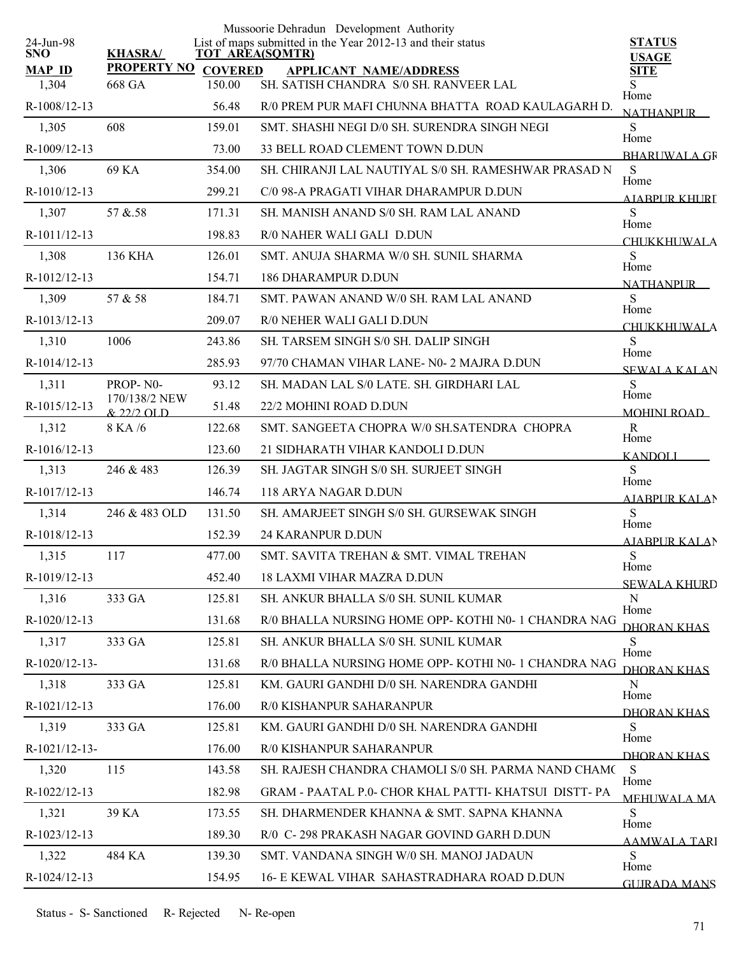|                         |                               |                | Mussoorie Dehradun Development Authority                                              |                               |
|-------------------------|-------------------------------|----------------|---------------------------------------------------------------------------------------|-------------------------------|
| 24-Jun-98<br><b>SNO</b> | <b>KHASRA/</b>                |                | List of maps submitted in the Year 2012-13 and their status<br><b>TOT AREA(SQMTR)</b> | <b>STATUS</b><br><b>USAGE</b> |
| <b>MAP ID</b>           | <b>PROPERTY NO</b>            | <b>COVERED</b> | <b>APPLICANT NAME/ADDRESS</b>                                                         | <b>SITE</b>                   |
| 1,304                   | 668 GA                        | 150.00         | SH. SATISH CHANDRA S/0 SH. RANVEER LAL                                                | S.<br>Home                    |
| R-1008/12-13            |                               | 56.48          | R/0 PREM PUR MAFI CHUNNA BHATTA ROAD KAULAGARH D.                                     | <b>NATHANPUR</b>              |
| 1,305                   | 608                           | 159.01         | SMT. SHASHI NEGI D/0 SH. SURENDRA SINGH NEGI                                          | S<br>Home                     |
| R-1009/12-13            |                               | 73.00          | 33 BELL ROAD CLEMENT TOWN D.DUN                                                       | <b>BHARLWALA GR</b>           |
| 1,306                   | 69 KA                         | 354.00         | SH. CHIRANJI LAL NAUTIYAL S/0 SH. RAMESHWAR PRASAD N                                  | S<br>Home                     |
| R-1010/12-13            |                               | 299.21         | C/0 98-A PRAGATI VIHAR DHARAMPUR D.DUN                                                | AIABPUR KHURT                 |
| 1,307                   | 57 & 58                       | 171.31         | SH. MANISH ANAND S/0 SH. RAM LAL ANAND                                                | S<br>Home                     |
| R-1011/12-13            |                               | 198.83         | R/0 NAHER WALI GALI D.DUN                                                             | <b>CHUKKHUWALA</b>            |
| 1,308                   | 136 KHA                       | 126.01         | SMT. ANUJA SHARMA W/0 SH. SUNIL SHARMA                                                | S                             |
| R-1012/12-13            |                               | 154.71         | <b>186 DHARAMPUR D.DUN</b>                                                            | Home<br>NATHANPI IR           |
| 1,309                   | 57 & 58                       | 184.71         | SMT. PAWAN ANAND W/0 SH. RAM LAL ANAND                                                | S                             |
| R-1013/12-13            |                               | 209.07         | R/0 NEHER WALI GALI D.DUN                                                             | Home<br><b>CHUKKHUWALA</b>    |
| 1,310                   | 1006                          | 243.86         | SH. TARSEM SINGH S/0 SH. DALIP SINGH                                                  | S                             |
| R-1014/12-13            |                               | 285.93         | 97/70 CHAMAN VIHAR LANE- N0- 2 MAJRA D.DUN                                            | Home<br><b>SEWALA KALAN</b>   |
| 1,311                   | PROP-N0-                      | 93.12          | SH. MADAN LAL S/0 LATE. SH. GIRDHARI LAL                                              | S                             |
| R-1015/12-13            | 170/138/2 NEW<br>$& 22/2$ OLD | 51.48          | 22/2 MOHINI ROAD D.DUN                                                                | Home<br><b>MOHINI ROAD</b>    |
| 1,312                   | 8 KA /6                       | 122.68         | SMT. SANGEETA CHOPRA W/0 SH.SATENDRA CHOPRA                                           | $\mathbf R$                   |
| R-1016/12-13            |                               | 123.60         | 21 SIDHARATH VIHAR KANDOLI D.DUN                                                      | Home<br><b>KANDOLI</b>        |
| 1,313                   | 246 & 483                     | 126.39         | SH. JAGTAR SINGH S/0 SH. SURJEET SINGH                                                | S                             |
| R-1017/12-13            |                               | 146.74         | 118 ARYA NAGAR D.DUN                                                                  | Home<br><b>AJABPUR KALAN</b>  |
| 1,314                   | 246 & 483 OLD                 | 131.50         | SH. AMARJEET SINGH S/0 SH. GURSEWAK SINGH                                             | S                             |
| R-1018/12-13            |                               | 152.39         | 24 KARANPUR D.DUN                                                                     | Home<br><b>AJABPUR KALAN</b>  |
| 1,315                   | 117                           | 477.00         | SMT. SAVITA TREHAN & SMT. VIMAL TREHAN                                                | S                             |
| R-1019/12-13            |                               | 452.40         | 18 LAXMI VIHAR MAZRA D.DUN                                                            | Home<br><b>SEWALA KHURD</b>   |
| 1,316                   | 333 GA                        | 125.81         | SH. ANKUR BHALLA S/0 SH. SUNIL KUMAR                                                  | N                             |
| R-1020/12-13            |                               | 131.68         | R/0 BHALLA NURSING HOME OPP- KOTHI N0-1 CHANDRA NAG                                   | Home<br>DHORAN KHAS           |
| 1,317                   | 333 GA                        | 125.81         | SH. ANKUR BHALLA S/0 SH. SUNIL KUMAR                                                  | S.                            |
| R-1020/12-13-           |                               | 131.68         | R/0 BHALLA NURSING HOME OPP- KOTHI N0-1 CHANDRA NAG                                   | Home<br>DHORAN KHAS           |
| 1,318                   | 333 GA                        | 125.81         | KM. GAURI GANDHI D/0 SH. NARENDRA GANDHI                                              | N                             |
| R-1021/12-13            |                               | 176.00         | R/0 KISHANPUR SAHARANPUR                                                              | Home                          |
| 1,319                   | 333 GA                        | 125.81         | KM. GAURI GANDHI D/0 SH. NARENDRA GANDHI                                              | DHORAN KHAS<br>S              |
| R-1021/12-13-           |                               | 176.00         | R/0 KISHANPUR SAHARANPUR                                                              | Home                          |
| 1,320                   | 115                           | 143.58         | SH. RAJESH CHANDRA CHAMOLI S/0 SH. PARMA NAND CHAM(S                                  | DHORAN KHAS                   |
| R-1022/12-13            |                               | 182.98         | GRAM - PAATAL P.0- CHOR KHAL PATTI-KHATSUI DISTT-PA                                   | Home                          |
| 1,321                   | 39 KA                         | 173.55         | SH. DHARMENDER KHANNA & SMT. SAPNA KHANNA                                             | <b>MEHUWALA MA</b><br>S       |
| R-1023/12-13            |                               | 189.30         | R/0 C-298 PRAKASH NAGAR GOVIND GARH D.DUN                                             | Home                          |
| 1,322                   | 484 KA                        | 139.30         | SMT. VANDANA SINGH W/0 SH. MANOJ JADAUN                                               | <b>AAMWALA TARI</b><br>S      |
| R-1024/12-13            |                               | 154.95         | 16- E KEWAL VIHAR SAHASTRADHARA ROAD D.DUN                                            | Home                          |
|                         |                               |                |                                                                                       | <b>GUIRADA MANS</b>           |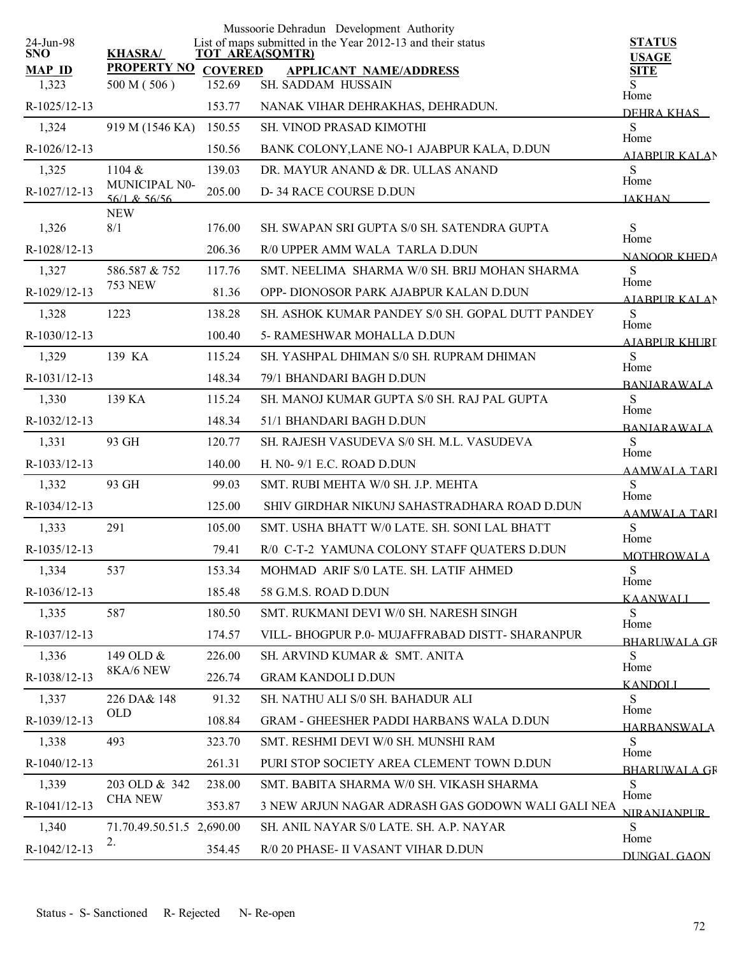|                         |                                   |                | Mussoorie Dehradun Development Authority                                              |                               |
|-------------------------|-----------------------------------|----------------|---------------------------------------------------------------------------------------|-------------------------------|
| 24-Jun-98<br><b>SNO</b> | <b>KHASRA/</b>                    |                | List of maps submitted in the Year 2012-13 and their status<br><b>TOT AREA(SQMTR)</b> | <b>STATUS</b><br><b>USAGE</b> |
| <b>MAP ID</b>           | <b>PROPERTY NO</b>                | <b>COVERED</b> | <b>APPLICANT NAME/ADDRESS</b>                                                         | <b>SITE</b>                   |
| 1,323                   | 500 M (506)                       | 152.69         | SH. SADDAM HUSSAIN                                                                    | S<br>Home                     |
| R-1025/12-13            |                                   | 153.77         | NANAK VIHAR DEHRAKHAS, DEHRADUN.                                                      | DEHRA KHAS                    |
| 1,324                   | 919 M (1546 KA)                   | 150.55         | SH. VINOD PRASAD KIMOTHI                                                              | S<br>Home                     |
| R-1026/12-13            |                                   | 150.56         | BANK COLONY, LANE NO-1 AJABPUR KALA, D.DUN                                            | <b>AIABPUR KALAN</b>          |
| 1,325                   | 1104 &                            | 139.03         | DR. MAYUR ANAND & DR. ULLAS ANAND                                                     | S<br>Home                     |
| R-1027/12-13            | MUNICIPAL N0-<br>$56/1$ & $56/56$ | 205.00         | D-34 RACE COURSE D.DUN                                                                | <b>JAKHAN</b>                 |
|                         | <b>NEW</b>                        |                |                                                                                       |                               |
| 1,326                   | 8/1                               | 176.00         | SH. SWAPAN SRI GUPTA S/0 SH. SATENDRA GUPTA                                           | S<br>Home                     |
| R-1028/12-13            |                                   | 206.36         | R/0 UPPER AMM WALA TARLA D.DUN                                                        | <b>NANOOR KHEDA</b>           |
| 1,327                   | 586.587 & 752<br><b>753 NEW</b>   | 117.76         | SMT. NEELIMA SHARMA W/0 SH. BRIJ MOHAN SHARMA                                         | S<br>Home                     |
| R-1029/12-13            |                                   | 81.36          | OPP-DIONOSOR PARK AJABPUR KALAN D.DUN                                                 | <b>AIABPUR KALAN</b>          |
| 1,328                   | 1223                              | 138.28         | SH. ASHOK KUMAR PANDEY S/0 SH. GOPAL DUTT PANDEY                                      | S<br>Home                     |
| R-1030/12-13            |                                   | 100.40         | 5- RAMESHWAR MOHALLA D.DUN                                                            | AIABPUR KHURT                 |
| 1,329                   | 139 KA                            | 115.24         | SH. YASHPAL DHIMAN S/0 SH. RUPRAM DHIMAN                                              | S<br>Home                     |
| R-1031/12-13            |                                   | 148.34         | 79/1 BHANDARI BAGH D.DUN                                                              | <b>BANJARAWALA</b>            |
| 1,330                   | 139 KA                            | 115.24         | SH. MANOJ KUMAR GUPTA S/0 SH. RAJ PAL GUPTA                                           | S<br>Home                     |
| R-1032/12-13            |                                   | 148.34         | 51/1 BHANDARI BAGH D.DUN                                                              | <b>BANIARAWALA</b>            |
| 1,331                   | 93 GH                             | 120.77         | SH. RAJESH VASUDEVA S/0 SH. M.L. VASUDEVA                                             | S                             |
| R-1033/12-13            |                                   | 140.00         | H. N0- 9/1 E.C. ROAD D.DUN                                                            | Home<br><b>AAMWALA TARI</b>   |
| 1,332                   | 93 GH                             | 99.03          | SMT. RUBI MEHTA W/0 SH. J.P. MEHTA                                                    | S                             |
| R-1034/12-13            |                                   | 125.00         | SHIV GIRDHAR NIKUNJ SAHASTRADHARA ROAD D.DUN                                          | Home<br><b>AAMWALA TARI</b>   |
| 1,333                   | 291                               | 105.00         | SMT. USHA BHATT W/0 LATE. SH. SONI LAL BHATT                                          | S                             |
| R-1035/12-13            |                                   | 79.41          | R/0 C-T-2 YAMUNA COLONY STAFF QUATERS D.DUN                                           | Home<br><b>MOTHROWALA</b>     |
| 1,334                   | 537                               | 153.34         | MOHMAD ARIF S/0 LATE. SH. LATIF AHMED                                                 | S                             |
| R-1036/12-13            |                                   | 185.48         | 58 G.M.S. ROAD D.DUN                                                                  | Home                          |
| 1,335                   | 587                               | 180.50         | SMT. RUKMANI DEVI W/0 SH. NARESH SINGH                                                | <b>KAANWALI</b><br>S          |
| R-1037/12-13            |                                   | 174.57         | VILL-BHOGPUR P.0- MUJAFFRABAD DISTT- SHARANPUR                                        | Home                          |
| 1,336                   | 149 OLD &                         | 226.00         | SH. ARVIND KUMAR & SMT. ANITA                                                         | <b>BHARUWALA GR</b><br>S      |
| R-1038/12-13            | 8KA/6 NEW                         | 226.74         | <b>GRAM KANDOLI D.DUN</b>                                                             | Home                          |
| 1,337                   | 226 DA& 148                       | 91.32          | SH. NATHU ALI S/0 SH. BAHADUR ALI                                                     | <b>KANDOLI</b><br>S           |
| R-1039/12-13            | <b>OLD</b>                        | 108.84         | <b>GRAM - GHEESHER PADDI HARBANS WALA D.DUN</b>                                       | Home                          |
| 1,338                   | 493                               | 323.70         | SMT. RESHMI DEVI W/0 SH. MUNSHI RAM                                                   | <b>HARBANSWALA</b><br>S       |
| R-1040/12-13            |                                   | 261.31         | PURI STOP SOCIETY AREA CLEMENT TOWN D.DUN                                             | Home                          |
|                         |                                   |                |                                                                                       | <b>BHARLIWALA GR</b>          |
| 1,339                   | 203 OLD & 342<br><b>CHA NEW</b>   | 238.00         | SMT. BABITA SHARMA W/0 SH. VIKASH SHARMA                                              | S.<br>Home                    |
| R-1041/12-13            |                                   | 353.87         | 3 NEW ARJUN NAGAR ADRASH GAS GODOWN WALI GALI NEA                                     | <b>NIRANIANPUR</b>            |
| 1,340                   | 71.70.49.50.51.5 2,690.00<br>2.   |                | SH. ANIL NAYAR S/0 LATE. SH. A.P. NAYAR                                               | S<br>Home                     |
| R-1042/12-13            |                                   | 354.45         | R/0 20 PHASE- II VASANT VIHAR D.DUN                                                   | DUNGAL GAON                   |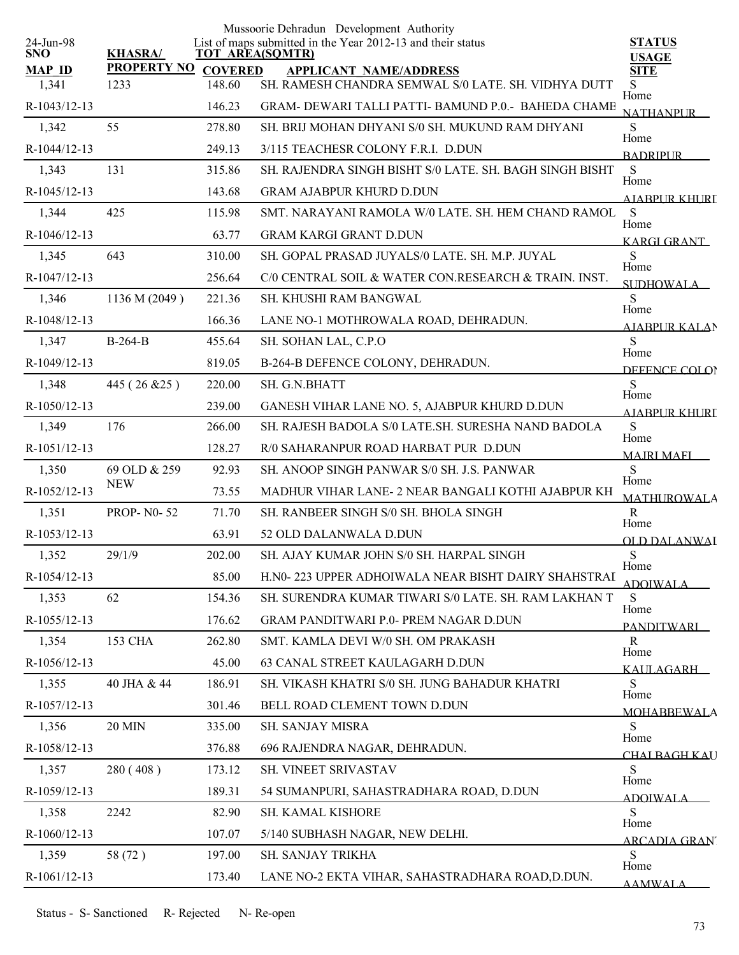|                         |                     |        | Mussoorie Dehradun Development Authority                                       |                               |
|-------------------------|---------------------|--------|--------------------------------------------------------------------------------|-------------------------------|
| 24-Jun-98<br><b>SNO</b> | <b>KHASRA/</b>      |        | List of maps submitted in the Year 2012-13 and their status<br>TOT AREA(SQMTR) | <b>STATUS</b><br><b>USAGE</b> |
| <b>MAP ID</b>           | PROPERTY NO COVERED |        | <b>APPLICANT NAME/ADDRESS</b>                                                  | <b>SITE</b>                   |
| 1,341                   | 1233                | 148.60 | SH. RAMESH CHANDRA SEMWAL S/0 LATE. SH. VIDHYA DUTT                            | S.<br>Home                    |
| R-1043/12-13            |                     | 146.23 | GRAM- DEWARI TALLI PATTI- BAMUND P.0.- BAHEDA CHAME                            | <b>NATHANPUR</b>              |
| 1,342                   | 55                  | 278.80 | SH. BRIJ MOHAN DHYANI S/0 SH. MUKUND RAM DHYANI                                | S.<br>Home                    |
| R-1044/12-13            |                     | 249.13 | 3/115 TEACHESR COLONY F.R.I. D.DUN                                             | <b>BADRIPLIR</b>              |
| 1,343                   | 131                 | 315.86 | SH. RAJENDRA SINGH BISHT S/0 LATE. SH. BAGH SINGH BISHT                        | S<br>Home                     |
| R-1045/12-13            |                     | 143.68 | <b>GRAM AJABPUR KHURD D.DUN</b>                                                | AIABPUR KHURT                 |
| 1,344                   | 425                 | 115.98 | SMT. NARAYANI RAMOLA W/0 LATE. SH. HEM CHAND RAMOL                             | S<br>Home                     |
| R-1046/12-13            |                     | 63.77  | <b>GRAM KARGI GRANT D.DUN</b>                                                  | KARGI GRANT                   |
| 1,345                   | 643                 | 310.00 | SH. GOPAL PRASAD JUYALS/0 LATE. SH. M.P. JUYAL                                 | S<br>Home                     |
| R-1047/12-13            |                     | 256.64 | C/0 CENTRAL SOIL & WATER CON.RESEARCH & TRAIN, INST.                           | SUDHOWALA                     |
| 1,346                   | 1136 M (2049)       | 221.36 | <b>SH. KHUSHI RAM BANGWAL</b>                                                  | S                             |
| R-1048/12-13            |                     | 166.36 | LANE NO-1 MOTHROWALA ROAD, DEHRADUN.                                           | Home<br><b>AJABPUR KALAN</b>  |
| 1,347                   | $B-264-B$           | 455.64 | SH. SOHAN LAL, C.P.O                                                           | S                             |
| R-1049/12-13            |                     | 819.05 | B-264-B DEFENCE COLONY, DEHRADUN.                                              | Home<br>DEFENCE COLOR         |
| 1,348                   | 445 (26 & 25)       | 220.00 | SH. G.N.BHATT                                                                  | S                             |
| R-1050/12-13            |                     | 239.00 | GANESH VIHAR LANE NO. 5, AJABPUR KHURD D.DUN                                   | Home<br><b>AIABPUR KHURI</b>  |
| 1,349                   | 176                 | 266.00 | SH. RAJESH BADOLA S/0 LATE.SH. SURESHA NAND BADOLA                             | S                             |
| R-1051/12-13            |                     | 128.27 | R/0 SAHARANPUR ROAD HARBAT PUR D.DUN                                           | Home                          |
| 1,350                   | 69 OLD & 259        | 92.93  | SH. ANOOP SINGH PANWAR S/0 SH. J.S. PANWAR                                     | <b>MAJRI MAFI</b><br>S        |
| R-1052/12-13            | <b>NEW</b>          | 73.55  | MADHUR VIHAR LANE-2 NEAR BANGALI KOTHI AJABPUR KH                              | Home                          |
| 1,351                   | <b>PROP-N0-52</b>   | 71.70  | SH. RANBEER SINGH S/0 SH. BHOLA SINGH                                          | <b>MATHUROWALA</b><br>R       |
| R-1053/12-13            |                     | 63.91  | 52 OLD DALANWALA D.DUN                                                         | Home                          |
| 1,352                   | 29/1/9              | 202.00 | SH. AJAY KUMAR JOHN S/0 SH. HARPAL SINGH                                       | OLD DALANWAI<br>S             |
| R-1054/12-13            |                     | 85.00  | H.N0-223 UPPER ADHOIWALA NEAR BISHT DAIRY SHAHSTRAI                            | Home                          |
| 1,353                   | 62                  | 154.36 | SH. SURENDRA KUMAR TIWARI S/0 LATE, SH. RAM LAKHAN T                           | <b>ADOIWALA</b><br>S          |
| R-1055/12-13            |                     | 176.62 | <b>GRAM PANDITWARI P.0- PREM NAGAR D.DUN</b>                                   | Home                          |
| 1,354                   | <b>153 CHA</b>      | 262.80 | SMT. KAMLA DEVI W/0 SH. OM PRAKASH                                             | <b>PANDITWARI</b><br>R        |
| R-1056/12-13            |                     | 45.00  | 63 CANAL STREET KAULAGARH D.DUN                                                | Home                          |
| 1,355                   | 40 JHA & 44         | 186.91 | SH. VIKASH KHATRI S/0 SH. JUNG BAHADUR KHATRI                                  | KALILAGARH<br>S               |
| R-1057/12-13            |                     | 301.46 | BELL ROAD CLEMENT TOWN D.DUN                                                   | Home                          |
| 1,356                   | <b>20 MIN</b>       | 335.00 | SH. SANJAY MISRA                                                               | <b>MOHABBEWALA</b><br>S       |
| R-1058/12-13            |                     | 376.88 | 696 RAJENDRA NAGAR, DEHRADUN.                                                  | Home                          |
| 1,357                   | 280 (408)           | 173.12 | SH. VINEET SRIVASTAV                                                           | <u>CHAI BAGH KA</u> U<br>S    |
|                         |                     |        |                                                                                | Home                          |
| R-1059/12-13            |                     | 189.31 | 54 SUMANPURI, SAHASTRADHARA ROAD, D.DUN                                        | <b>ADOIWALA</b>               |
| 1,358                   | 2242                | 82.90  | SH. KAMAL KISHORE                                                              | S<br>Home                     |
| R-1060/12-13            |                     | 107.07 | 5/140 SUBHASH NAGAR, NEW DELHI.                                                | <b>ARCADIA GRAN</b>           |
| 1,359                   | 58 (72)             | 197.00 | SH. SANJAY TRIKHA                                                              | S<br>Home                     |
| R-1061/12-13            |                     | 173.40 | LANE NO-2 EKTA VIHAR, SAHASTRADHARA ROAD, D.DUN.                               | <b>AAMWALA</b>                |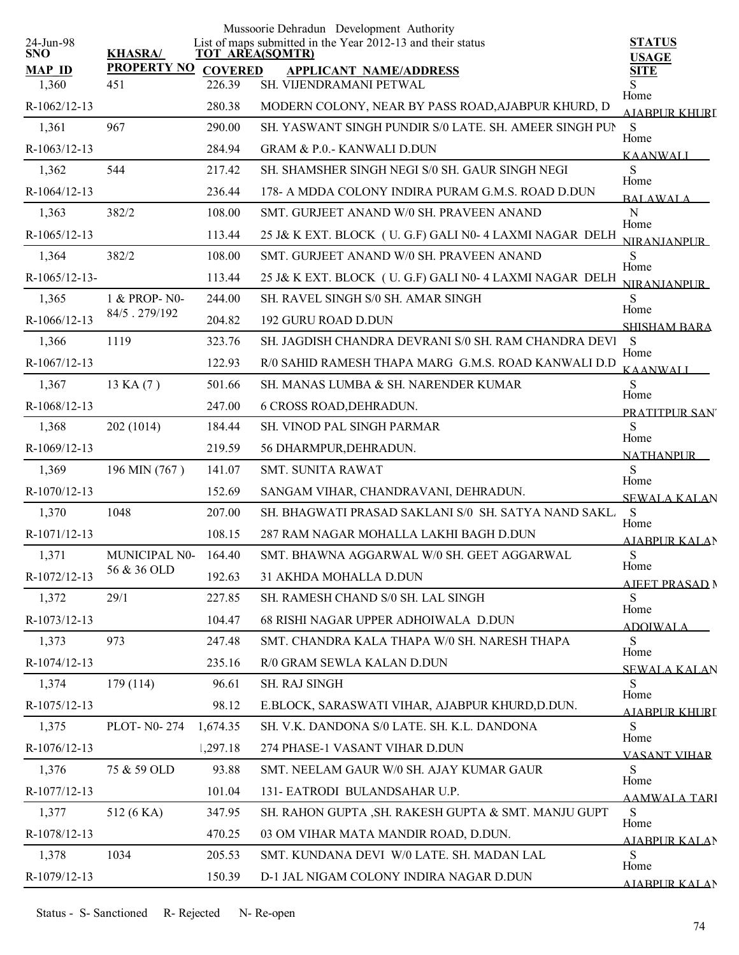|                         |                    |                | Mussoorie Dehradun Development Authority                                              |                               |
|-------------------------|--------------------|----------------|---------------------------------------------------------------------------------------|-------------------------------|
| 24-Jun-98<br><b>SNO</b> | <b>KHASRA/</b>     |                | List of maps submitted in the Year 2012-13 and their status<br><b>TOT AREA(SQMTR)</b> | <b>STATUS</b><br><b>USAGE</b> |
| <b>MAP ID</b>           | <b>PROPERTY NO</b> | <b>COVERED</b> | <b>APPLICANT NAME/ADDRESS</b>                                                         | <b>SITE</b>                   |
| 1,360                   | 451                | 226.39         | SH. VIJENDRAMANI PETWAL                                                               | S<br>Home                     |
| R-1062/12-13            |                    | 280.38         | MODERN COLONY, NEAR BY PASS ROAD, AJABPUR KHURD, D                                    | <u>AJABPUR KHURI</u>          |
| 1,361                   | 967                | 290.00         | SH. YASWANT SINGH PUNDIR S/0 LATE. SH. AMEER SINGH PUN                                | ${\bf S}$<br>Home             |
| R-1063/12-13            |                    | 284.94         | <b>GRAM &amp; P.O.- KANWALI D.DUN</b>                                                 | <b>KAANWALI</b>               |
| 1,362                   | 544                | 217.42         | SH. SHAMSHER SINGH NEGI S/0 SH. GAUR SINGH NEGI                                       | S<br>Home                     |
| R-1064/12-13            |                    | 236.44         | 178- A MDDA COLONY INDIRA PURAM G.M.S. ROAD D.DUN                                     | <b>BALAWALA</b>               |
| 1,363                   | 382/2              | 108.00         | SMT. GURJEET ANAND W/0 SH. PRAVEEN ANAND                                              | N<br>Home                     |
| R-1065/12-13            |                    | 113.44         | 25 J& K EXT. BLOCK (U. G.F) GALI N0-4 LAXMI NAGAR DELH                                | <b>NIRANIANPUR</b>            |
| 1,364                   | 382/2              | 108.00         | SMT. GURJEET ANAND W/0 SH. PRAVEEN ANAND                                              | S<br>Home                     |
| R-1065/12-13-           |                    | 113.44         | 25 J& K EXT. BLOCK (U. G.F) GALI N0-4 LAXMI NAGAR DELH                                | <b>NIRANIANPUR</b>            |
| 1,365                   | 1 & PROP-N0-       | 244.00         | SH. RAVEL SINGH S/0 SH. AMAR SINGH                                                    | S                             |
| R-1066/12-13            | 84/5.279/192       | 204.82         | 192 GURU ROAD D.DUN                                                                   | Home<br><b>SHISHAM BARA</b>   |
| 1,366                   | 1119               | 323.76         | SH. JAGDISH CHANDRA DEVRANI S/0 SH. RAM CHANDRA DEVI                                  | - S                           |
| R-1067/12-13            |                    | 122.93         | R/0 SAHID RAMESH THAPA MARG G.M.S. ROAD KANWALI D.D                                   | Home<br><b>KAANWALI</b>       |
| 1,367                   | 13 KA (7)          | 501.66         | SH. MANAS LUMBA & SH. NARENDER KUMAR                                                  | S                             |
| R-1068/12-13            |                    | 247.00         | <b>6 CROSS ROAD, DEHRADUN.</b>                                                        | Home<br>PRATITPUR SAN         |
| 1,368                   | 202 (1014)         | 184.44         | <b>SH. VINOD PAL SINGH PARMAR</b>                                                     | S                             |
| R-1069/12-13            |                    | 219.59         | 56 DHARMPUR, DEHRADUN.                                                                | Home<br><b>NATHANPUR</b>      |
| 1,369                   | 196 MIN (767)      | 141.07         | <b>SMT. SUNITA RAWAT</b>                                                              | S                             |
| R-1070/12-13            |                    | 152.69         | SANGAM VIHAR, CHANDRAVANI, DEHRADUN.                                                  | Home<br><b>SEWALA KALAN</b>   |
| 1,370                   | 1048               | 207.00         | SH. BHAGWATI PRASAD SAKLANI S/0 SH. SATYA NAND SAKL.                                  | S                             |
| R-1071/12-13            |                    | 108.15         | 287 RAM NAGAR MOHALLA LAKHI BAGH D.DUN                                                | Home<br><b>AJABPUR KALAN</b>  |
| 1,371                   | MUNICIPAL N0-      | 164.40         | SMT. BHAWNA AGGARWAL W/0 SH. GEET AGGARWAL                                            | ${\bf S}$                     |
| R-1072/12-13            | 56 & 36 OLD        | 192.63         | 31 AKHDA MOHALLA D.DUN                                                                | Home                          |
| 1,372                   | 29/1               | 227.85         | SH. RAMESH CHAND S/0 SH. LAL SINGH                                                    | <b>AJEET PRASAD N</b><br>S    |
| R-1073/12-13            |                    | 104.47         | 68 RISHI NAGAR UPPER ADHOIWALA D.DUN                                                  | Home                          |
| 1,373                   | 973                | 247.48         | SMT. CHANDRA KALA THAPA W/0 SH. NARESH THAPA                                          | <b>ADOIWALA</b><br>S          |
| R-1074/12-13            |                    | 235.16         | R/0 GRAM SEWLA KALAN D.DUN                                                            | Home                          |
| 1,374                   | 179 (114)          | 96.61          | SH. RAJ SINGH                                                                         | SEWALA KALAN<br>S             |
| R-1075/12-13            |                    | 98.12          | E.BLOCK, SARASWATI VIHAR, AJABPUR KHURD, D.DUN.                                       | Home                          |
| 1,375                   | PLOT- N0-274       | 1,674.35       | SH. V.K. DANDONA S/0 LATE. SH. K.L. DANDONA                                           | <u>AJARPUR KHURI</u><br>S     |
| R-1076/12-13            |                    | 1,297.18       | 274 PHASE-1 VASANT VIHAR D.DUN                                                        | Home                          |
| 1,376                   | 75 & 59 OLD        | 93.88          | SMT. NEELAM GAUR W/0 SH. AJAY KUMAR GAUR                                              | <b>VASANT VIHAR</b><br>S      |
| R-1077/12-13            |                    | 101.04         | 131- EATRODI BULANDSAHAR U.P.                                                         | Home                          |
| 1,377                   | 512 (6 KA)         | 347.95         | SH. RAHON GUPTA, SH. RAKESH GUPTA & SMT. MANJU GUPT                                   | <b>AAMWALA TARI</b><br>S      |
| R-1078/12-13            |                    | 470.25         | 03 OM VIHAR MATA MANDIR ROAD, D.DUN.                                                  | Home                          |
| 1,378                   | 1034               | 205.53         | SMT. KUNDANA DEVI W/0 LATE. SH. MADAN LAL                                             | <b>AIABPUR KALAN</b><br>S     |
|                         |                    |                |                                                                                       | Home                          |
| R-1079/12-13            |                    | 150.39         | D-1 JAL NIGAM COLONY INDIRA NAGAR D.DUN                                               | AJARPUR KALAN                 |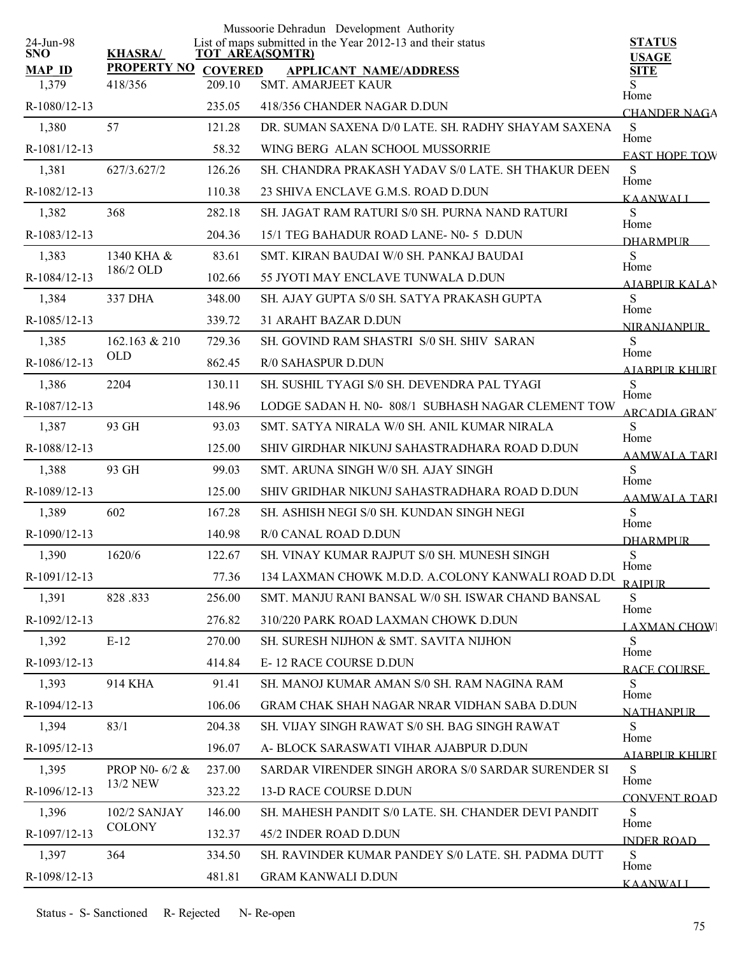|                         |                    |                        | Mussoorie Dehradun Development Authority                    |                               |
|-------------------------|--------------------|------------------------|-------------------------------------------------------------|-------------------------------|
| 24-Jun-98<br><b>SNO</b> | <b>KHASRA/</b>     | <b>TOT AREA(SQMTR)</b> | List of maps submitted in the Year 2012-13 and their status | <b>STATUS</b><br><b>USAGE</b> |
| <b>MAP ID</b>           | <b>PROPERTY NO</b> | <b>COVERED</b>         | <b>APPLICANT NAME/ADDRESS</b>                               | <b>SITE</b>                   |
| 1,379                   | 418/356            | 209.10                 | SMT. AMARJEET KAUR                                          | Home                          |
| R-1080/12-13            |                    | 235.05                 | 418/356 CHANDER NAGAR D.DUN                                 | <b>CHANDER NAGA</b>           |
| 1,380                   | 57                 | 121.28                 | DR. SUMAN SAXENA D/0 LATE. SH. RADHY SHAYAM SAXENA          | S<br>Home                     |
| R-1081/12-13            |                    | 58.32                  | WING BERG ALAN SCHOOL MUSSORRIE                             | <b>EAST HOPE TOW</b>          |
| 1,381                   | 627/3.627/2        | 126.26                 | SH. CHANDRA PRAKASH YADAV S/0 LATE. SH THAKUR DEEN          | S<br>Home                     |
| R-1082/12-13            |                    | 110.38                 | 23 SHIVA ENCLAVE G.M.S. ROAD D.DUN                          | KAANWALI                      |
| 1,382                   | 368                | 282.18                 | SH. JAGAT RAM RATURI S/0 SH. PURNA NAND RATURI              | S<br>Home                     |
| R-1083/12-13            |                    | 204.36                 | 15/1 TEG BAHADUR ROAD LANE-N0-5 D.DUN                       | <b>DHARMPLIR</b>              |
| 1,383                   | 1340 KHA &         | 83.61                  | SMT. KIRAN BAUDAI W/0 SH. PANKAJ BAUDAI                     | S<br>Home                     |
| R-1084/12-13            | 186/2 OLD          | 102.66                 | 55 JYOTI MAY ENCLAVE TUNWALA D.DUN                          | <b>AIABPURKALAN</b>           |
| 1,384                   | 337 DHA            | 348.00                 | SH. AJAY GUPTA S/0 SH. SATYA PRAKASH GUPTA                  | S                             |
| R-1085/12-13            |                    | 339.72                 | <b>31 ARAHT BAZAR D.DUN</b>                                 | Home<br><b>NIRANJANPUR</b>    |
| 1,385                   | 162.163 & 210      | 729.36                 | SH. GOVIND RAM SHASTRI S/0 SH. SHIV SARAN                   | S<br>Home                     |
| R-1086/12-13            | <b>OLD</b>         | 862.45                 | <b>R/0 SAHASPUR D.DUN</b>                                   | AIABPUR KHURT                 |
| 1,386                   | 2204               | 130.11                 | SH. SUSHIL TYAGI S/0 SH. DEVENDRA PAL TYAGI                 | S                             |
| R-1087/12-13            |                    | 148.96                 | LODGE SADAN H. N0-808/1 SUBHASH NAGAR CLEMENT TOW           | Home<br><b>ARCADIA GRAN</b>   |
| 1,387                   | 93 GH              | 93.03                  | SMT. SATYA NIRALA W/0 SH. ANIL KUMAR NIRALA                 | S                             |
| R-1088/12-13            |                    | 125.00                 | SHIV GIRDHAR NIKUNJ SAHASTRADHARA ROAD D.DUN                | Home<br>AAMWALA TARI          |
| 1,388                   | 93 GH              | 99.03                  | SMT. ARUNA SINGH W/0 SH. AJAY SINGH                         | S                             |
| R-1089/12-13            |                    | 125.00                 | SHIV GRIDHAR NIKUNJ SAHASTRADHARA ROAD D.DUN                | Home<br><b>AAMWALA TARI</b>   |
| 1,389                   | 602                | 167.28                 | SH. ASHISH NEGI S/0 SH. KUNDAN SINGH NEGI                   | S                             |
| R-1090/12-13            |                    | 140.98                 | R/0 CANAL ROAD D.DUN                                        | Home<br><b>DHARMPUR</b>       |
| 1,390                   | 1620/6             | 122.67                 | SH. VINAY KUMAR RAJPUT S/0 SH. MUNESH SINGH                 | S                             |
| R-1091/12-13            |                    | 77.36                  | 134 LAXMAN CHOWK M.D.D. A.COLONY KANWALI ROAD D.DU          | Home<br><b>RAIPUR</b>         |
| 1,391                   | 828.833            | 256.00                 | SMT. MANJU RANI BANSAL W/0 SH. ISWAR CHAND BANSAL           | S                             |
| R-1092/12-13            |                    | 276.82                 | 310/220 PARK ROAD LAXMAN CHOWK D.DUN                        | Home<br><b>LAXMAN CHOW</b>    |
| 1,392                   | $E-12$             | 270.00                 | SH. SURESH NIJHON & SMT. SAVITA NIJHON                      | S                             |
| R-1093/12-13            |                    | 414.84                 | <b>E-12 RACE COURSE D.DUN</b>                               | Home<br>RACE COURSE           |
| 1,393                   | 914 KHA            | 91.41                  | SH. MANOJ KUMAR AMAN S/0 SH. RAM NAGINA RAM                 | S                             |
| R-1094/12-13            |                    | 106.06                 | GRAM CHAK SHAH NAGAR NRAR VIDHAN SABA D.DUN                 | Home<br><b>NATHANPUR</b>      |
| 1,394                   | 83/1               | 204.38                 | SH. VIJAY SINGH RAWAT S/0 SH. BAG SINGH RAWAT               | S                             |
| R-1095/12-13            |                    | 196.07                 | A- BLOCK SARASWATI VIHAR AJABPUR D.DUN                      | Home<br>AIABPUR KHURT         |
| 1,395                   | PROP N0-6/2 &      | 237.00                 | SARDAR VIRENDER SINGH ARORA S/0 SARDAR SURENDER SI          | S                             |
| R-1096/12-13            | 13/2 NEW           | 323.22                 | <b>13-D RACE COURSE D.DUN</b>                               | Home<br>CONVENT ROAD          |
| 1,396                   | 102/2 SANJAY       | 146.00                 | SH. MAHESH PANDIT S/0 LATE. SH. CHANDER DEVI PANDIT         | S                             |
| R-1097/12-13            | <b>COLONY</b>      | 132.37                 | 45/2 INDER ROAD D.DUN                                       | Home<br><b>INDER ROAD</b>     |
| 1,397                   | 364                | 334.50                 | SH. RAVINDER KUMAR PANDEY S/0 LATE. SH. PADMA DUTT          | S                             |
| R-1098/12-13            |                    | 481.81                 | <b>GRAM KANWALI D.DUN</b>                                   | Home<br><b>KAANWALI</b>       |
|                         |                    |                        |                                                             |                               |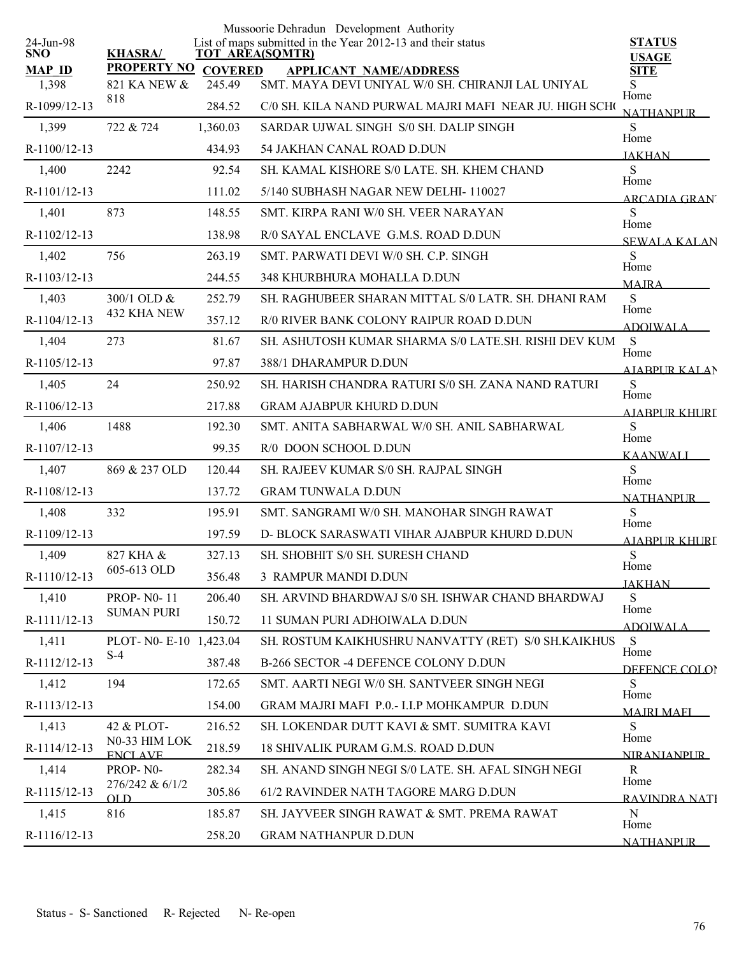|                         |                                 |          | Mussoorie Dehradun Development Authority                                              |                              |
|-------------------------|---------------------------------|----------|---------------------------------------------------------------------------------------|------------------------------|
| 24-Jun-98<br><b>SNO</b> | <b>KHASRA/</b>                  |          | List of maps submitted in the Year 2012-13 and their status<br><b>TOT AREA(SQMTR)</b> | <b>STATUS</b>                |
| <b>MAP ID</b>           | <b>PROPERTY NO COVERED</b>      |          | <b>APPLICANT NAME/ADDRESS</b>                                                         | <b>USAGE</b><br><b>SITE</b>  |
| 1,398                   | 821 KA NEW &                    | 245.49   | SMT. MAYA DEVI UNIYAL W/0 SH. CHIRANJI LAL UNIYAL                                     | S<br>Home                    |
| R-1099/12-13            | 818                             | 284.52   | C/0 SH. KILA NAND PURWAL MAJRI MAFI NEAR JU. HIGH SCHO                                | NATHANPUR                    |
| 1,399                   | 722 & 724                       | 1,360.03 | SARDAR UJWAL SINGH S/0 SH. DALIP SINGH                                                | S<br>Home                    |
| R-1100/12-13            |                                 | 434.93   | 54 JAKHAN CANAL ROAD D.DUN                                                            | <b>JAKHAN</b>                |
| 1,400                   | 2242                            | 92.54    | SH. KAMAL KISHORE S/0 LATE. SH. KHEM CHAND                                            | S<br>Home                    |
| R-1101/12-13            |                                 | 111.02   | 5/140 SUBHASH NAGAR NEW DELHI-110027                                                  | <b>ARCADIA GRAN</b>          |
| 1,401                   | 873                             | 148.55   | SMT. KIRPA RANI W/0 SH. VEER NARAYAN                                                  | S<br>Home                    |
| R-1102/12-13            |                                 | 138.98   | R/0 SAYAL ENCLAVE G.M.S. ROAD D.DUN                                                   | <b>SEWALA KALAN</b>          |
| 1,402                   | 756                             | 263.19   | SMT. PARWATI DEVI W/0 SH. C.P. SINGH                                                  | S<br>Home                    |
| R-1103/12-13            |                                 | 244.55   | 348 KHURBHURA MOHALLA D.DUN                                                           | <b>MAIRA</b>                 |
| 1,403                   | 300/1 OLD &                     | 252.79   | SH. RAGHUBEER SHARAN MITTAL S/0 LATR. SH. DHANI RAM                                   | S<br>Home                    |
| R-1104/12-13            | 432 KHA NEW                     | 357.12   | R/0 RIVER BANK COLONY RAIPUR ROAD D.DUN                                               | <b>ADOIWALA</b>              |
| 1,404                   | 273                             | 81.67    | SH. ASHUTOSH KUMAR SHARMA S/0 LATE.SH. RISHI DEV KUM                                  | <sub>S</sub>                 |
| R-1105/12-13            |                                 | 97.87    | 388/1 DHARAMPUR D.DUN                                                                 | Home<br>A JARPUR KALAN       |
| 1,405                   | 24                              | 250.92   | SH. HARISH CHANDRA RATURI S/0 SH. ZANA NAND RATURI                                    | S                            |
| R-1106/12-13            |                                 | 217.88   | <b>GRAM AJABPUR KHURD D.DUN</b>                                                       | Home<br><b>AIABPUR KHURI</b> |
| 1,406                   | 1488                            | 192.30   | SMT. ANITA SABHARWAL W/0 SH. ANIL SABHARWAL                                           | S                            |
| R-1107/12-13            |                                 | 99.35    | R/0 DOON SCHOOL D.DUN                                                                 | Home<br><b>KAANWALL</b>      |
| 1,407                   | 869 & 237 OLD                   | 120.44   | SH. RAJEEV KUMAR S/0 SH. RAJPAL SINGH                                                 | S                            |
| R-1108/12-13            |                                 | 137.72   | <b>GRAM TUNWALA D.DUN</b>                                                             | Home<br><b>NATHANPUR</b>     |
| 1,408                   | 332                             | 195.91   | SMT. SANGRAMI W/0 SH. MANOHAR SINGH RAWAT                                             | S                            |
| R-1109/12-13            |                                 | 197.59   | D- BLOCK SARASWATI VIHAR AJABPUR KHURD D.DUN                                          | Home<br><b>AJABPUR KHURI</b> |
| 1,409                   | 827 KHA &                       | 327.13   | SH. SHOBHIT S/0 SH. SURESH CHAND                                                      | ${\bf S}$                    |
| R-1110/12-13            | 605-613 OLD                     | 356.48   | 3 RAMPUR MANDI D.DUN                                                                  | Home<br><b>JAKHAN</b>        |
| 1,410                   | <b>PROP-N0-11</b>               | 206.40   | SH. ARVIND BHARDWAJ S/0 SH. ISHWAR CHAND BHARDWAJ                                     | S                            |
| R-1111/12-13            | <b>SUMAN PURI</b>               | 150.72   | 11 SUMAN PURI ADHOIWALA D.DUN                                                         | Home<br><b>ADOIWALA</b>      |
| 1,411                   | PLOT- N0- E-10                  | 1,423.04 | SH. ROSTUM KAIKHUSHRU NANVATTY (RET) S/0 SH.KAIKHUS                                   | S                            |
| R-1112/12-13            | $S-4$                           | 387.48   | B-266 SECTOR -4 DEFENCE COLONY D.DUN                                                  | Home<br>DEFENCE COLOR        |
| 1,412                   | 194                             | 172.65   | SMT. AARTI NEGI W/0 SH. SANTVEER SINGH NEGI                                           | S                            |
| R-1113/12-13            |                                 | 154.00   | GRAM MAJRI MAFI P.O.- I.I.P MOHKAMPUR D.DUN                                           | Home<br><b>MAIRI MAFI</b>    |
| 1,413                   | 42 & PLOT-                      | 216.52   | SH. LOKENDAR DUTT KAVI & SMT. SUMITRA KAVI                                            | S                            |
| R-1114/12-13            | N0-33 HIM LOK<br><b>ENCLAVE</b> | 218.59   | 18 SHIVALIK PURAM G.M.S. ROAD D.DUN                                                   | Home<br><b>NIRANIANPUR</b>   |
| 1,414                   | PROP-N0-                        | 282.34   | SH. ANAND SINGH NEGI S/0 LATE. SH. AFAL SINGH NEGI                                    | R                            |
| R-1115/12-13            | 276/242 & 6/1/2<br>OL D         | 305.86   | 61/2 RAVINDER NATH TAGORE MARG D.DUN                                                  | Home<br>RAVINDRA NATI        |
| 1,415                   | 816                             | 185.87   | SH. JAYVEER SINGH RAWAT & SMT. PREMA RAWAT                                            | N                            |
| R-1116/12-13            |                                 | 258.20   | <b>GRAM NATHANPUR D.DUN</b>                                                           | Home<br>NATHANPUR            |
|                         |                                 |          |                                                                                       |                              |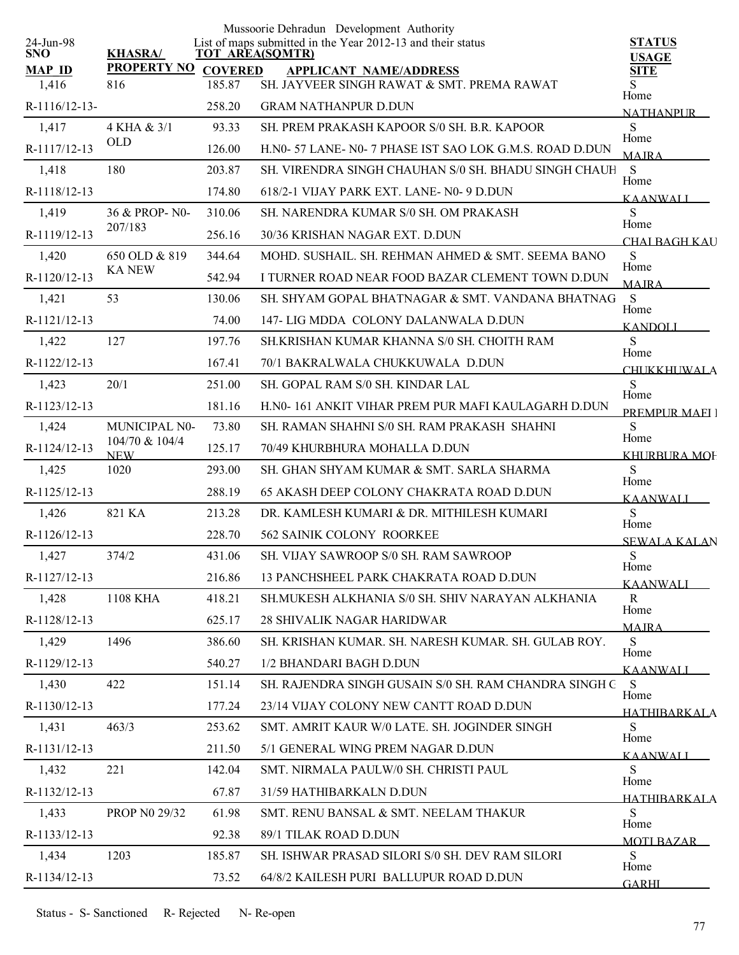|                         |                              |                | Mussoorie Dehradun Development Authority                                              |                             |
|-------------------------|------------------------------|----------------|---------------------------------------------------------------------------------------|-----------------------------|
| 24-Jun-98<br><b>SNO</b> | <b>KHASRA/</b>               |                | List of maps submitted in the Year 2012-13 and their status<br><b>TOT AREA(SQMTR)</b> | <b>STATUS</b>               |
| <b>MAP ID</b>           | <b>PROPERTY NO</b>           | <b>COVERED</b> | <b>APPLICANT NAME/ADDRESS</b>                                                         | <b>USAGE</b><br><b>SITE</b> |
| 1,416                   | 816                          | 185.87         | SH. JAYVEER SINGH RAWAT & SMT. PREMA RAWAT                                            | Home                        |
| R-1116/12-13-           |                              | 258.20         | <b>GRAM NATHANPUR D.DUN</b>                                                           | <b>NATHANPUR</b>            |
| 1,417                   | 4 KHA & 3/1                  | 93.33          | SH. PREM PRAKASH KAPOOR S/0 SH. B.R. KAPOOR                                           | S<br>Home                   |
| R-1117/12-13            | <b>OLD</b>                   | 126.00         | H.N0-57 LANE-N0-7 PHASE IST SAO LOK G.M.S. ROAD D.DUN                                 | <b>MAIRA</b>                |
| 1,418                   | 180                          | 203.87         | SH. VIRENDRA SINGH CHAUHAN S/0 SH. BHADU SINGH CHAUH                                  | S<br>Home                   |
| R-1118/12-13            |                              | 174.80         | 618/2-1 VIJAY PARK EXT. LANE- N0-9 D.DUN                                              | <b>KAANWALI</b>             |
| 1,419                   | 36 & PROP-N0-                | 310.06         | SH. NARENDRA KUMAR S/0 SH. OM PRAKASH                                                 | S<br>Home                   |
| R-1119/12-13            | 207/183                      | 256.16         | 30/36 KRISHAN NAGAR EXT. D.DUN                                                        | CHAI BAGH KAU               |
| 1,420                   | 650 OLD & 819                | 344.64         | MOHD. SUSHAIL. SH. REHMAN AHMED & SMT. SEEMA BANO                                     | S<br>Home                   |
| R-1120/12-13            | <b>KA NEW</b>                | 542.94         | I TURNER ROAD NEAR FOOD BAZAR CLEMENT TOWN D.DUN                                      | <b>MAIRA</b>                |
| 1,421                   | 53                           | 130.06         | SH. SHYAM GOPAL BHATNAGAR & SMT. VANDANA BHATNAG                                      | S<br>Home                   |
| R-1121/12-13            |                              | 74.00          | 147- LIG MDDA COLONY DALANWALA D.DUN                                                  | <b>KANDOLI</b>              |
| 1,422                   | 127                          | 197.76         | SH.KRISHAN KUMAR KHANNA S/0 SH. CHOITH RAM                                            | S<br>Home                   |
| R-1122/12-13            |                              | 167.41         | 70/1 BAKRALWALA CHUKKUWALA D.DUN                                                      | <b>CHUKKHUWALA</b>          |
| 1,423                   | 20/1                         | 251.00         | SH. GOPAL RAM S/0 SH. KINDAR LAL                                                      | S<br>Home                   |
| R-1123/12-13            |                              | 181.16         | H.NO-161 ANKIT VIHAR PREM PUR MAFI KAULAGARH D.DUN                                    | <b>PREMPLIR MAEL 1</b>      |
| 1,424                   | MUNICIPAL N0-                | 73.80          | SH. RAMAN SHAHNI S/0 SH. RAM PRAKASH SHAHNI                                           | S<br>Home                   |
| R-1124/12-13            | 104/70 & 104/4<br><b>NEW</b> | 125.17         | 70/49 KHURBHURA MOHALLA D.DUN                                                         | <b>KHURBURA MOF</b>         |
| 1,425                   | 1020                         | 293.00         | SH. GHAN SHYAM KUMAR & SMT. SARLA SHARMA                                              | S                           |
| R-1125/12-13            |                              | 288.19         | <b>65 AKASH DEEP COLONY CHAKRATA ROAD D.DUN</b>                                       | Home<br><b>KAANWALI</b>     |
| 1,426                   | 821 KA                       | 213.28         | DR. KAMLESH KUMARI & DR. MITHILESH KUMARI                                             | S                           |
| R-1126/12-13            |                              | 228.70         | 562 SAINIK COLONY ROORKEE                                                             | Home<br><b>SEWALA KALAN</b> |
| 1,427                   | 374/2                        | 431.06         | SH. VIJAY SAWROOP S/0 SH. RAM SAWROOP                                                 | ${\bf S}$                   |
| R-1127/12-13            |                              | 216.86         | 13 PANCHSHEEL PARK CHAKRATA ROAD D.DUN                                                | Home<br>KAANWALI            |
| 1,428                   | 1108 KHA                     | 418.21         | SH.MUKESH ALKHANIA S/0 SH. SHIV NARAYAN ALKHANIA                                      | R                           |
| R-1128/12-13            |                              | 625.17         | <b>28 SHIVALIK NAGAR HARIDWAR</b>                                                     | Home<br><b>MAJRA</b>        |
| 1,429                   | 1496                         | 386.60         | SH. KRISHAN KUMAR. SH. NARESH KUMAR. SH. GULAB ROY.                                   | S                           |
| R-1129/12-13            |                              | 540.27         | 1/2 BHANDARI BAGH D.DUN                                                               | Home<br><b>KAANWALI</b>     |
| 1,430                   | 422                          | 151.14         | SH. RAJENDRA SINGH GUSAIN S/0 SH. RAM CHANDRA SINGH C                                 | S                           |
| R-1130/12-13            |                              | 177.24         | 23/14 VIJAY COLONY NEW CANTT ROAD D.DUN                                               | Home<br><b>HATHIBARKALA</b> |
| 1,431                   | 463/3                        | 253.62         | SMT. AMRIT KAUR W/0 LATE, SH. JOGINDER SINGH                                          | S                           |
| R-1131/12-13            |                              | 211.50         | 5/1 GENERAL WING PREM NAGAR D.DUN                                                     | Home<br><b>KAANWALI</b>     |
| 1,432                   | 221                          | 142.04         | SMT. NIRMALA PAULW/0 SH. CHRISTI PAUL                                                 | S                           |
| R-1132/12-13            |                              | 67.87          | 31/59 HATHIBARKALN D.DUN                                                              | Home<br><b>HATHIRARKALA</b> |
| 1,433                   | PROP N0 29/32                | 61.98          | SMT. RENU BANSAL & SMT. NEELAM THAKUR                                                 | S                           |
| R-1133/12-13            |                              | 92.38          | 89/1 TILAK ROAD D.DUN                                                                 | Home<br>MOTI BAZAR          |
| 1,434                   | 1203                         | 185.87         | SH. ISHWAR PRASAD SILORI S/0 SH. DEV RAM SILORI                                       | S                           |
| R-1134/12-13            |                              | 73.52          | 64/8/2 KAILESH PURI BALLUPUR ROAD D.DUN                                               | Home<br><b>GARHI</b>        |
|                         |                              |                |                                                                                       |                             |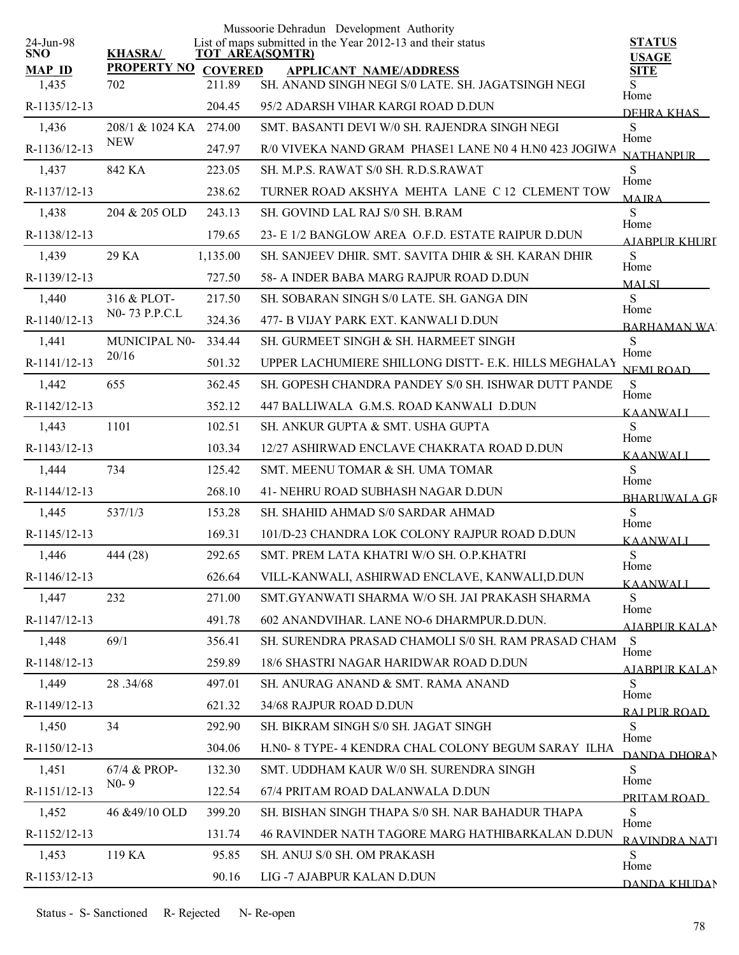|                         |                    |                | Mussoorie Dehradun Development Authority                                              |                               |
|-------------------------|--------------------|----------------|---------------------------------------------------------------------------------------|-------------------------------|
| 24-Jun-98<br><b>SNO</b> | <b>KHASRA/</b>     |                | List of maps submitted in the Year 2012-13 and their status<br><b>TOT AREA(SQMTR)</b> | <b>STATUS</b><br><b>USAGE</b> |
| <b>MAP ID</b>           | <b>PROPERTY NO</b> | <b>COVERED</b> | <b>APPLICANT NAME/ADDRESS</b>                                                         | <b>SITE</b>                   |
| 1,435                   | 702                | 211.89         | SH. ANAND SINGH NEGI S/0 LATE. SH. JAGATSINGH NEGI                                    | Home                          |
| R-1135/12-13            |                    | 204.45         | 95/2 ADARSH VIHAR KARGI ROAD D.DUN                                                    | DEHRA KHAS                    |
| 1,436                   | 208/1 & 1024 KA    | 274.00         | SMT. BASANTI DEVI W/0 SH. RAJENDRA SINGH NEGI                                         | S<br>Home                     |
| R-1136/12-13            | <b>NEW</b>         | 247.97         | R/0 VIVEKA NAND GRAM PHASE1 LANE N0 4 H.N0 423 JOGIWA                                 | <b>NATHANPUR</b>              |
| 1,437                   | 842 KA             | 223.05         | SH. M.P.S. RAWAT S/0 SH. R.D.S.RAWAT                                                  | S<br>Home                     |
| R-1137/12-13            |                    | 238.62         | TURNER ROAD AKSHYA MEHTA LANE C 12 CLEMENT TOW                                        | <b>MAIRA</b>                  |
| 1,438                   | 204 & 205 OLD      | 243.13         | SH. GOVIND LAL RAJ S/0 SH. B.RAM                                                      | S<br>Home                     |
| R-1138/12-13            |                    | 179.65         | 23- E 1/2 BANGLOW AREA O.F.D. ESTATE RAIPUR D.DUN                                     | <b>AIABPUR KHURI</b>          |
| 1,439                   | 29 KA              | 1,135.00       | SH. SANJEEV DHIR. SMT. SAVITA DHIR & SH. KARAN DHIR                                   | S<br>Home                     |
| R-1139/12-13            |                    | 727.50         | 58- A INDER BABA MARG RAJPUR ROAD D.DUN                                               | <b>MALSI</b>                  |
| 1,440                   | 316 & PLOT-        | 217.50         | SH. SOBARAN SINGH S/0 LATE. SH. GANGA DIN                                             | S                             |
| R-1140/12-13            | N0-73 P.P.C.L      | 324.36         | 477- B VIJAY PARK EXT. KANWALI D.DUN                                                  | Home<br><b>BARHAMAN WAI</b>   |
| 1,441                   | MUNICIPAL N0-      | 334.44         | SH. GURMEET SINGH & SH. HARMEET SINGH                                                 | S                             |
| R-1141/12-13            | 20/16              | 501.32         | UPPER LACHUMIERE SHILLONG DISTT- E.K. HILLS MEGHALAY                                  | Home<br><b>NEMI ROAD</b>      |
| 1,442                   | 655                | 362.45         | SH. GOPESH CHANDRA PANDEY S/0 SH. ISHWAR DUTT PANDE                                   | <sub>S</sub>                  |
| R-1142/12-13            |                    | 352.12         | 447 BALLIWALA G.M.S. ROAD KANWALI D.DUN                                               | Home<br><b>KAANWALI</b>       |
| 1,443                   | 1101               | 102.51         | SH. ANKUR GUPTA & SMT. USHA GUPTA                                                     | S                             |
| R-1143/12-13            |                    | 103.34         | 12/27 ASHIRWAD ENCLAVE CHAKRATA ROAD D.DUN                                            | Home<br><b>KAANWALI</b>       |
| 1,444                   | 734                | 125.42         | SMT. MEENU TOMAR & SH. UMA TOMAR                                                      | S                             |
| R-1144/12-13            |                    | 268.10         | 41- NEHRU ROAD SUBHASH NAGAR D.DUN                                                    | Home<br><b>BHARUWALA GR</b>   |
| 1,445                   | 537/1/3            | 153.28         | SH. SHAHID AHMAD S/0 SARDAR AHMAD                                                     | S.                            |
| R-1145/12-13            |                    | 169.31         | 101/D-23 CHANDRA LOK COLONY RAJPUR ROAD D.DUN                                         | Home<br>KAANWALI              |
| 1,446                   | 444 (28)           | 292.65         | SMT. PREM LATA KHATRI W/O SH. O.P.KHATRI                                              | S                             |
| R-1146/12-13            |                    | 626.64         | VILL-KANWALI, ASHIRWAD ENCLAVE, KANWALI,D.DUN                                         | Home<br>KAANWALL              |
| 1,447                   | 232                | 271.00         | SMT.GYANWATI SHARMA W/O SH. JAI PRAKASH SHARMA                                        | <sub>S</sub>                  |
| R-1147/12-13            |                    | 491.78         | 602 ANANDVIHAR. LANE NO-6 DHARMPUR.D.DUN.                                             | Home<br>AJABPUR KALAN         |
| 1,448                   | 69/1               | 356.41         | SH. SURENDRA PRASAD CHAMOLI S/0 SH. RAM PRASAD CHAM                                   | - S                           |
| R-1148/12-13            |                    | 259.89         | 18/6 SHASTRI NAGAR HARIDWAR ROAD D.DUN                                                | Home<br>AIABPUR KALAN         |
| 1,449                   | 28.34/68           | 497.01         | SH. ANURAG ANAND & SMT. RAMA ANAND                                                    | S                             |
| R-1149/12-13            |                    | 621.32         | 34/68 RAJPUR ROAD D.DUN                                                               | Home<br>RAI PUR ROAD          |
| 1,450                   | 34                 | 292.90         | SH. BIKRAM SINGH S/0 SH. JAGAT SINGH                                                  | S                             |
| R-1150/12-13            |                    | 304.06         | H.N0- 8 TYPE- 4 KENDRA CHAL COLONY BEGUM SARAY ILHA                                   | Home<br>DANDA DHORAN          |
| 1,451                   | 67/4 & PROP-       | 132.30         | SMT. UDDHAM KAUR W/0 SH. SURENDRA SINGH                                               | S                             |
| R-1151/12-13            | $N0-9$             | 122.54         | 67/4 PRITAM ROAD DALANWALA D.DUN                                                      | Home                          |
| 1,452                   | 46 &49/10 OLD      | 399.20         | SH. BISHAN SINGH THAPA S/0 SH. NAR BAHADUR THAPA                                      | PRITAM ROAD<br>S              |
| R-1152/12-13            |                    | 131.74         | 46 RAVINDER NATH TAGORE MARG HATHIBARKALAN D.DUN                                      | Home                          |
| 1,453                   | 119 KA             | 95.85          | SH. ANUJ S/0 SH. OM PRAKASH                                                           | RAVINDRA NATI<br>S            |
| R-1153/12-13            |                    | 90.16          | LIG -7 AJABPUR KALAN D.DUN                                                            | Home                          |
|                         |                    |                |                                                                                       | DANDA KHUDAN                  |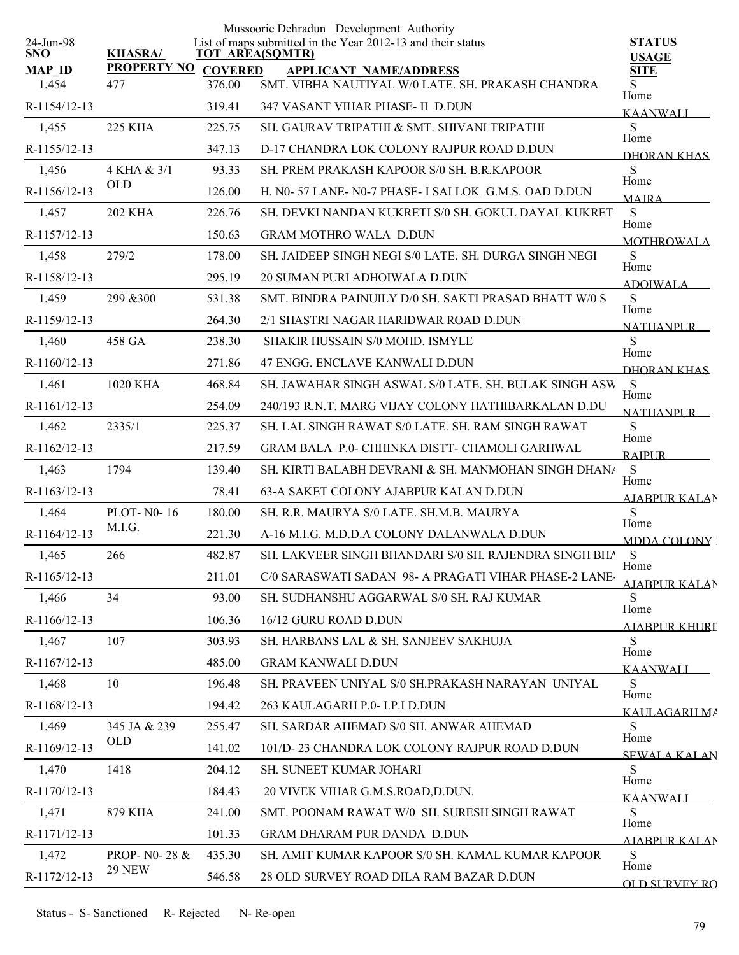|                         |                    |                | Mussoorie Dehradun Development Authority                                       |                               |
|-------------------------|--------------------|----------------|--------------------------------------------------------------------------------|-------------------------------|
| 24-Jun-98<br><b>SNO</b> | <b>KHASRA/</b>     |                | List of maps submitted in the Year 2012-13 and their status<br>TOT AREA(SQMTR) | <b>STATUS</b><br><b>USAGE</b> |
| <b>MAP ID</b>           | <b>PROPERTY NO</b> | <b>COVERED</b> | <b>APPLICANT NAME/ADDRESS</b>                                                  | <b>SITE</b>                   |
| 1,454                   | 477                | 376.00         | SMT. VIBHA NAUTIYAL W/0 LATE. SH. PRAKASH CHANDRA                              | S.<br>Home                    |
| R-1154/12-13            |                    | 319.41         | 347 VASANT VIHAR PHASE- II D.DUN                                               | <b>KAANWALI</b>               |
| 1,455                   | 225 KHA            | 225.75         | SH. GAURAV TRIPATHI & SMT. SHIVANI TRIPATHI                                    | S<br>Home                     |
| R-1155/12-13            |                    | 347.13         | D-17 CHANDRA LOK COLONY RAJPUR ROAD D.DUN                                      | DHORAN KHAS                   |
| 1,456                   | 4 KHA & 3/1        | 93.33          | SH. PREM PRAKASH KAPOOR S/0 SH. B.R.KAPOOR                                     | S<br>Home                     |
| R-1156/12-13            | <b>OLD</b>         | 126.00         | H. N0-57 LANE-N0-7 PHASE-I SAI LOK G.M.S. OAD D.DUN                            | <b>MAIRA</b>                  |
| 1,457                   | <b>202 KHA</b>     | 226.76         | SH. DEVKI NANDAN KUKRETI S/0 SH. GOKUL DAYAL KUKRET                            | S<br>Home                     |
| R-1157/12-13            |                    | 150.63         | <b>GRAM MOTHRO WALA D.DUN</b>                                                  | <b>MOTHROWALA</b>             |
| 1,458                   | 279/2              | 178.00         | SH. JAIDEEP SINGH NEGI S/0 LATE. SH. DURGA SINGH NEGI                          | S                             |
| R-1158/12-13            |                    | 295.19         | 20 SUMAN PURI ADHOIWALA D.DUN                                                  | Home<br><b>ADOIWALA</b>       |
| 1,459                   | 299 & 300          | 531.38         | SMT. BINDRA PAINUILY D/0 SH. SAKTI PRASAD BHATT W/0 S                          | S                             |
| R-1159/12-13            |                    | 264.30         | 2/1 SHASTRI NAGAR HARIDWAR ROAD D.DUN                                          | Home<br><b>NATHANPUR</b>      |
| 1,460                   | 458 GA             | 238.30         | SHAKIR HUSSAIN S/0 MOHD. ISMYLE                                                | S                             |
| R-1160/12-13            |                    | 271.86         | 47 ENGG. ENCLAVE KANWALI D.DUN                                                 | Home<br>DHORAN KHAS           |
| 1,461                   | 1020 KHA           | 468.84         | SH. JAWAHAR SINGH ASWAL S/0 LATE. SH. BULAK SINGH ASW                          | <sub>S</sub>                  |
| R-1161/12-13            |                    | 254.09         | 240/193 R.N.T. MARG VIJAY COLONY HATHIBARKALAN D.DU                            | Home<br><b>NATHANPLIR</b>     |
| 1,462                   | 2335/1             | 225.37         | SH. LAL SINGH RAWAT S/0 LATE. SH. RAM SINGH RAWAT                              | S<br>Home                     |
| R-1162/12-13            |                    | 217.59         | GRAM BALA P.0- CHHINKA DISTT- CHAMOLI GARHWAL                                  | <b>RAIPUR</b>                 |
| 1,463                   | 1794               | 139.40         | SH. KIRTI BALABH DEVRANI & SH. MANMOHAN SINGH DHAN/                            | S                             |
| R-1163/12-13            |                    | 78.41          | 63-A SAKET COLONY AJABPUR KALAN D.DUN                                          | Home<br><b>AJABPUR KALAN</b>  |
| 1,464                   | <b>PLOT-N0-16</b>  | 180.00         | SH. R.R. MAURYA S/0 LATE. SH.M.B. MAURYA                                       | S                             |
| R-1164/12-13            | M.I.G.             | 221.30         | A-16 M.I.G. M.D.D.A COLONY DALANWALA D.DUN                                     | Home<br><b>MDDA COLONY</b>    |
| 1,465                   | 266                | 482.87         | SH. LAKVEER SINGH BHANDARI S/0 SH. RAJENDRA SINGH BHA                          | <sub>S</sub><br>Home          |
| R-1165/12-13            |                    | 211.01         | C/0 SARASWATI SADAN 98- A PRAGATI VIHAR PHASE-2 LANE-                          | AJABPUR KALAN                 |
| 1,466                   | 34                 | 93.00          | SH. SUDHANSHU AGGARWAL S/0 SH. RAJ KUMAR                                       | S<br>Home                     |
| R-1166/12-13            |                    | 106.36         | 16/12 GURU ROAD D.DUN                                                          | <u>AJABPUR KHURI</u>          |
| 1,467                   | 107                | 303.93         | SH. HARBANS LAL & SH. SANJEEV SAKHUJA                                          | S                             |
| R-1167/12-13            |                    | 485.00         | <b>GRAM KANWALI D.DUN</b>                                                      | Home<br><b>KAANWALI</b>       |
| 1,468                   | 10                 | 196.48         | SH. PRAVEEN UNIYAL S/0 SH.PRAKASH NARAYAN UNIYAL                               | S.<br>Home                    |
| R-1168/12-13            |                    | 194.42         | 263 KAULAGARH P.0- I.P.I D.DUN                                                 | KALILAGARH MA                 |
| 1,469                   | 345 JA & 239       | 255.47         | SH. SARDAR AHEMAD S/0 SH. ANWAR AHEMAD                                         | S.                            |
| R-1169/12-13            | OLD                | 141.02         | 101/D-23 CHANDRA LOK COLONY RAJPUR ROAD D.DUN                                  | Home<br><b>SEWALA KALAN</b>   |
| 1,470                   | 1418               | 204.12         | SH. SUNEET KUMAR JOHARI                                                        | S.                            |
| R-1170/12-13            |                    | 184.43         | 20 VIVEK VIHAR G.M.S.ROAD, D.DUN.                                              | Home<br><b>KAANWALI</b>       |
| 1,471                   | 879 KHA            | 241.00         | SMT. POONAM RAWAT W/0 SH. SURESH SINGH RAWAT                                   | S                             |
| R-1171/12-13            |                    | 101.33         | GRAM DHARAM PUR DANDA D.DUN                                                    | Home<br>AJABPUR KALAN         |
| 1,472                   | PROP- N0-28 &      | 435.30         | SH. AMIT KUMAR KAPOOR S/0 SH. KAMAL KUMAR KAPOOR                               | S<br>Home                     |
| R-1172/12-13            | <b>29 NEW</b>      | 546.58         | 28 OLD SURVEY ROAD DILA RAM BAZAR D.DUN                                        | <b>OLD SHRVEY RO</b>          |
|                         |                    |                |                                                                                |                               |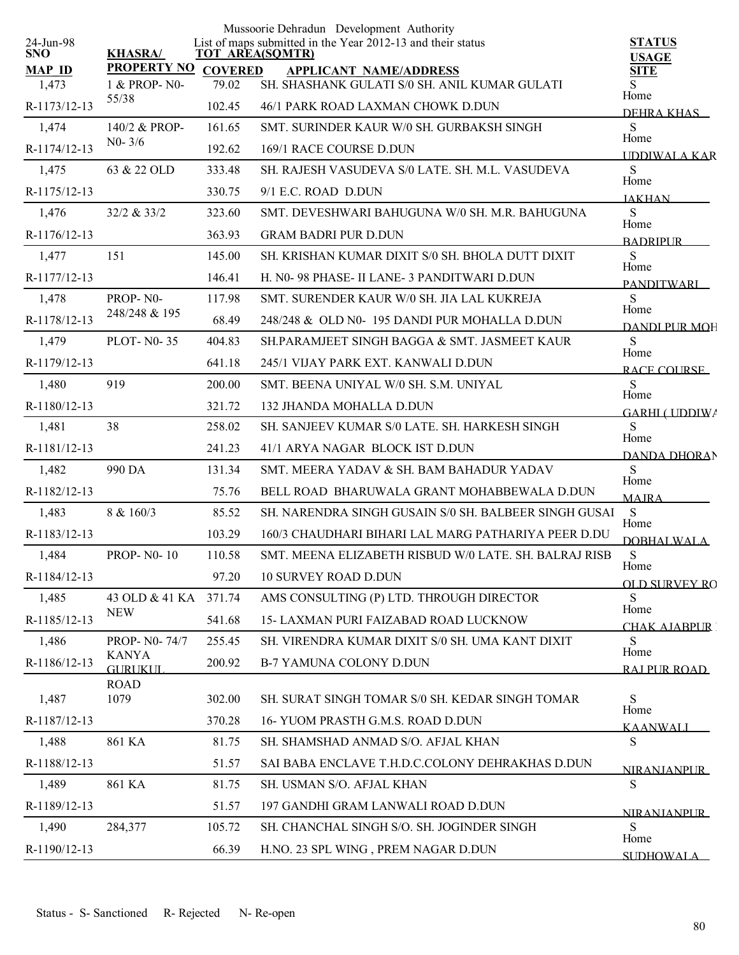|                         |                                 |                | Mussoorie Dehradun Development Authority                                              |                              |
|-------------------------|---------------------------------|----------------|---------------------------------------------------------------------------------------|------------------------------|
| 24-Jun-98<br><b>SNO</b> | <b>KHASRA/</b>                  |                | List of maps submitted in the Year 2012-13 and their status<br><b>TOT AREA(SQMTR)</b> | <b>STATUS</b>                |
| <b>MAP ID</b>           | <b>PROPERTY NO</b>              | <b>COVERED</b> | <b>APPLICANT NAME/ADDRESS</b>                                                         | <b>USAGE</b><br><b>SITE</b>  |
| 1,473                   | 1 & PROP-N0-                    | 79.02          | SH. SHASHANK GULATI S/0 SH. ANIL KUMAR GULATI                                         | S<br>Home                    |
| R-1173/12-13            | 55/38                           | 102.45         | 46/1 PARK ROAD LAXMAN CHOWK D.DUN                                                     | DEHRA KHAS                   |
| 1,474                   | 140/2 & PROP-                   | 161.65         | SMT. SURINDER KAUR W/0 SH. GURBAKSH SINGH                                             | S<br>Home                    |
| R-1174/12-13            | $N0 - 3/6$                      | 192.62         | 169/1 RACE COURSE D.DUN                                                               | <b>IDDIWALA KAR</b>          |
| 1,475                   | 63 & 22 OLD                     | 333.48         | SH. RAJESH VASUDEVA S/0 LATE. SH. M.L. VASUDEVA                                       | S<br>Home                    |
| R-1175/12-13            |                                 | 330.75         | 9/1 E.C. ROAD D.DUN                                                                   | <b>JAKHAN</b>                |
| 1,476                   | 32/2 & 33/2                     | 323.60         | SMT. DEVESHWARI BAHUGUNA W/0 SH. M.R. BAHUGUNA                                        | S<br>Home                    |
| R-1176/12-13            |                                 | 363.93         | <b>GRAM BADRI PUR D.DUN</b>                                                           | <b>BADRIPLIR</b>             |
| 1,477                   | 151                             | 145.00         | SH. KRISHAN KUMAR DIXIT S/0 SH. BHOLA DUTT DIXIT                                      | S                            |
| R-1177/12-13            |                                 | 146.41         | H. N0-98 PHASE- II LANE-3 PANDITWARI D.DUN                                            | Home<br><b>PANDITWARI</b>    |
| 1,478                   | PROP-N0-                        | 117.98         | SMT. SURENDER KAUR W/0 SH. JIA LAL KUKREJA                                            | S                            |
| R-1178/12-13            | 248/248 & 195                   | 68.49          | 248/248 & OLD N0-195 DANDI PUR MOHALLA D.DUN                                          | Home<br><b>DANDI PUR MOH</b> |
| 1,479                   | <b>PLOT-N0-35</b>               | 404.83         | SH.PARAMJEET SINGH BAGGA & SMT. JASMEET KAUR                                          | S<br>Home                    |
| R-1179/12-13            |                                 | 641.18         | 245/1 VIJAY PARK EXT. KANWALI D.DUN                                                   | RACE COURSE                  |
| 1,480                   | 919                             | 200.00         | SMT. BEENA UNIYAL W/0 SH. S.M. UNIYAL                                                 | S<br>Home                    |
| R-1180/12-13            |                                 | 321.72         | 132 JHANDA MOHALLA D.DUN                                                              | GARHI (IIDDIW)               |
| 1,481                   | 38                              | 258.02         | SH. SANJEEV KUMAR S/0 LATE. SH. HARKESH SINGH                                         | S<br>Home                    |
| R-1181/12-13            |                                 | 241.23         | 41/1 ARYA NAGAR BLOCK IST D.DUN                                                       | <b>DANDA DHORAN</b>          |
| 1,482                   | 990 DA                          | 131.34         | SMT. MEERA YADAV & SH. BAM BAHADUR YADAV                                              | S                            |
| R-1182/12-13            |                                 | 75.76          | BELL ROAD BHARUWALA GRANT MOHABBEWALA D.DUN                                           | Home<br><b>MAJRA</b>         |
| 1,483                   | 8 & 160/3                       | 85.52          | SH. NARENDRA SINGH GUSAIN S/0 SH. BALBEER SINGH GUSAI                                 | S                            |
| R-1183/12-13            |                                 | 103.29         | 160/3 CHAUDHARI BIHARI LAL MARG PATHARIYA PEER D.DU                                   | Home<br><b>DOBHALWALA</b>    |
| 1,484                   | <b>PROP-N0-10</b>               | 110.58         | SMT. MEENA ELIZABETH RISBUD W/0 LATE. SH. BALRAJ RISB                                 | ${\bf S}$                    |
| R-1184/12-13            |                                 | 97.20          | <b>10 SURVEY ROAD D.DUN</b>                                                           | Home<br><b>OLD SURVEY RO</b> |
| 1,485                   | 43 OLD & 41 KA                  | 371.74         | AMS CONSULTING (P) LTD. THROUGH DIRECTOR                                              | S                            |
| R-1185/12-13            | <b>NEW</b>                      | 541.68         | <b>15- LAXMAN PURI FAIZABAD ROAD LUCKNOW</b>                                          | Home<br><b>CHAK AJABPUR</b>  |
| 1,486                   | PROP- N0-74/7                   | 255.45         | SH. VIRENDRA KUMAR DIXIT S/0 SH. UMA KANT DIXIT                                       | S                            |
| R-1186/12-13            | <b>KANYA</b><br><b>GURLIKUL</b> | 200.92         | B-7 YAMUNA COLONY D.DUN                                                               | Home<br>RAI PUR ROAD         |
|                         | <b>ROAD</b>                     |                |                                                                                       |                              |
| 1,487                   | 1079                            | 302.00         | SH. SURAT SINGH TOMAR S/0 SH. KEDAR SINGH TOMAR                                       | ${\bf S}$<br>Home            |
| R-1187/12-13            |                                 | 370.28         | 16-YUOM PRASTH G.M.S. ROAD D.DUN                                                      | <b>KAANWALI</b>              |
| 1,488                   | 861 KA                          | 81.75          | SH. SHAMSHAD ANMAD S/O. AFJAL KHAN                                                    | S                            |
| R-1188/12-13            |                                 | 51.57          | SAI BABA ENCLAVE T.H.D.C.COLONY DEHRAKHAS D.DUN                                       | <b>NIRANIANPI IR</b>         |
| 1,489                   | 861 KA                          | 81.75          | SH. USMAN S/O. AFJAL KHAN                                                             | S                            |
| R-1189/12-13            |                                 | 51.57          | 197 GANDHI GRAM LANWALI ROAD D.DUN                                                    | <b>NIRANIANPUR</b>           |
| 1,490                   | 284,377                         | 105.72         | SH. CHANCHAL SINGH S/O. SH. JOGINDER SINGH                                            | S                            |
| R-1190/12-13            |                                 | 66.39          | H.NO. 23 SPL WING, PREM NAGAR D.DUN                                                   | Home<br><b>SUDHOWAL A</b>    |
|                         |                                 |                |                                                                                       |                              |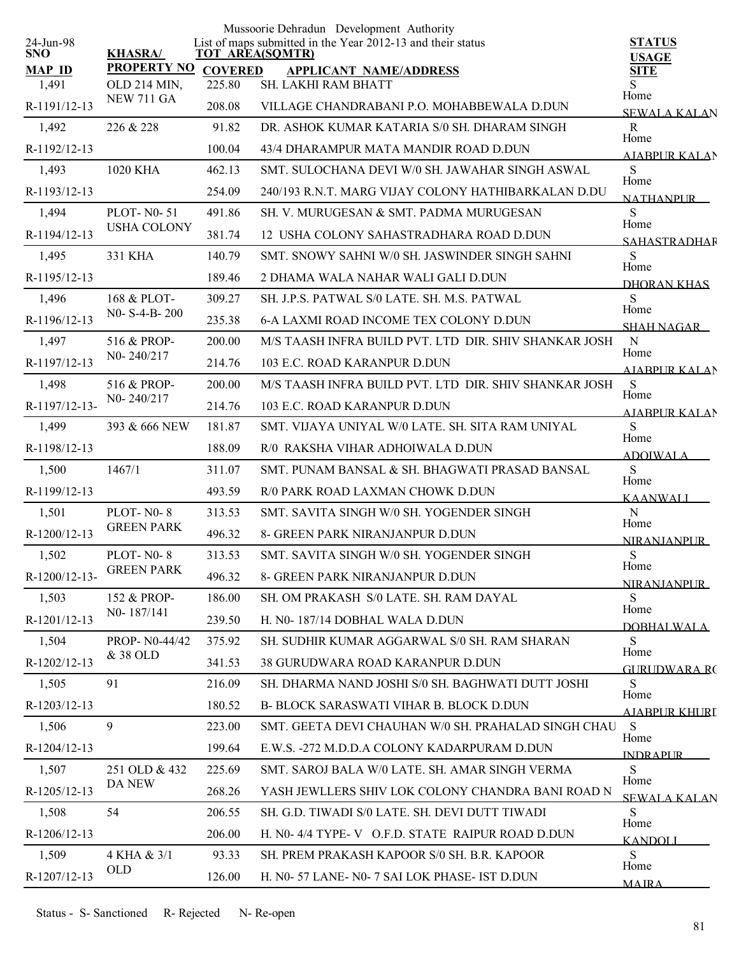|                         |                    |                | Mussoorie Dehradun Development Authority                                              |                               |
|-------------------------|--------------------|----------------|---------------------------------------------------------------------------------------|-------------------------------|
| 24-Jun-98<br><b>SNO</b> | <b>KHASRA/</b>     |                | List of maps submitted in the Year 2012-13 and their status<br><b>TOT AREA(SQMTR)</b> | <b>STATUS</b><br><b>USAGE</b> |
| <b>MAP ID</b>           | <b>PROPERTY NO</b> | <b>COVERED</b> | <b>APPLICANT NAME/ADDRESS</b>                                                         | <b>SITE</b>                   |
| 1,491                   | OLD 214 MIN,       | 225.80         | SH. LAKHI RAM BHATT                                                                   | S<br>Home                     |
| R-1191/12-13            | <b>NEW 711 GA</b>  | 208.08         | VILLAGE CHANDRABANI P.O. MOHABBEWALA D.DUN                                            | <b>SEWALA KALAN</b>           |
| 1,492                   | 226 & 228          | 91.82          | DR. ASHOK KUMAR KATARIA S/0 SH. DHARAM SINGH                                          | $\mathbf R$                   |
| R-1192/12-13            |                    | 100.04         | 43/4 DHARAMPUR MATA MANDIR ROAD D.DUN                                                 | Home<br><b>AIABPUR KALAN</b>  |
| 1,493                   | 1020 KHA           | 462.13         | SMT. SULOCHANA DEVI W/0 SH. JAWAHAR SINGH ASWAL                                       | S<br>Home                     |
| R-1193/12-13            |                    | 254.09         | 240/193 R.N.T. MARG VIJAY COLONY HATHIBARKALAN D.DU                                   | <b>NATHANPUR</b>              |
| 1,494                   | <b>PLOT-N0-51</b>  | 491.86         | SH. V. MURUGESAN & SMT. PADMA MURUGESAN                                               | S<br>Home                     |
| R-1194/12-13            | <b>USHA COLONY</b> | 381.74         | 12 USHA COLONY SAHASTRADHARA ROAD D.DUN                                               | <b>SAHASTRADHAR</b>           |
| 1,495                   | 331 KHA            | 140.79         | SMT. SNOWY SAHNI W/0 SH. JASWINDER SINGH SAHNI                                        | S<br>Home                     |
| R-1195/12-13            |                    | 189.46         | 2 DHAMA WALA NAHAR WALI GALI D.DUN                                                    | DHORAN KHAS                   |
| 1,496                   | 168 & PLOT-        | 309.27         | SH. J.P.S. PATWAL S/0 LATE. SH. M.S. PATWAL                                           | S                             |
| R-1196/12-13            | N0- S-4-B-200      | 235.38         | <b>6-A LAXMI ROAD INCOME TEX COLONY D.DUN</b>                                         | Home<br>SHAH NAGAR            |
| 1,497                   | 516 & PROP-        | 200.00         | M/S TAASH INFRA BUILD PVT. LTD DIR. SHIV SHANKAR JOSH                                 | $\mathbf N$                   |
| R-1197/12-13            | N0-240/217         | 214.76         | 103 E.C. ROAD KARANPUR D.DUN                                                          | Home<br>AIABPUR KALAN         |
| 1,498                   | 516 & PROP-        | 200.00         | M/S TAASH INFRA BUILD PVT. LTD DIR. SHIV SHANKAR JOSH                                 | S                             |
| R-1197/12-13-           | N0-240/217         | 214.76         | 103 E.C. ROAD KARANPUR D.DUN                                                          | Home<br><b>AIABPUR KALAN</b>  |
| 1,499                   | 393 & 666 NEW      | 181.87         | SMT. VIJAYA UNIYAL W/0 LATE. SH. SITA RAM UNIYAL                                      | S                             |
| R-1198/12-13            |                    | 188.09         | R/0 RAKSHA VIHAR ADHOIWALA D.DUN                                                      | Home<br><b>ADOIWALA</b>       |
| 1,500                   | 1467/1             | 311.07         | SMT. PUNAM BANSAL & SH. BHAGWATI PRASAD BANSAL                                        | S                             |
| R-1199/12-13            |                    | 493.59         | R/0 PARK ROAD LAXMAN CHOWK D.DUN                                                      | Home<br><b>KAANWALI</b>       |
| 1,501                   | PLOT-N0-8          | 313.53         | SMT. SAVITA SINGH W/0 SH. YOGENDER SINGH                                              | ${\bf N}$                     |
| R-1200/12-13            | <b>GREEN PARK</b>  | 496.32         | 8- GREEN PARK NIRANJANPUR D.DUN                                                       | Home<br><b>NIRANJANPUR</b>    |
| 1,502                   | PLOT-N0-8          | 313.53         | SMT. SAVITA SINGH W/0 SH. YOGENDER SINGH                                              | S                             |
| R-1200/12-13-           | <b>GREEN PARK</b>  | 496.32         | 8- GREEN PARK NIRANJANPUR D.DUN                                                       | Home<br><b>NIRANJANPUR</b>    |
| 1,503                   | 152 & PROP-        | 186.00         | SH. OM PRAKASH S/0 LATE. SH. RAM DAYAL                                                | S                             |
| R-1201/12-13            | N0-187/141         | 239.50         | H. N0-187/14 DOBHAL WALA D.DUN                                                        | Home<br><b>DOBHALWALA</b>     |
| 1,504                   | PROP- N0-44/42     | 375.92         | SH. SUDHIR KUMAR AGGARWAL S/0 SH. RAM SHARAN                                          | S                             |
| R-1202/12-13            | & 38 OLD           | 341.53         | 38 GURUDWARA ROAD KARANPUR D.DUN                                                      | Home<br>GURUDWARA RC          |
| 1,505                   | 91                 | 216.09         | SH. DHARMA NAND JOSHI S/0 SH. BAGHWATI DUTT JOSHI                                     | S                             |
| R-1203/12-13            |                    | 180.52         | B- BLOCK SARASWATI VIHAR B. BLOCK D.DUN                                               | Home<br>A JARPLIR KHLIRT      |
| 1,506                   | 9                  | 223.00         | SMT. GEETA DEVI CHAUHAN W/0 SH. PRAHALAD SINGH CHAU                                   | S                             |
| R-1204/12-13            |                    | 199.64         | E.W.S. -272 M.D.D.A COLONY KADARPURAM D.DUN                                           | Home<br><b>INDRAPUR</b>       |
| 1,507                   | 251 OLD & 432      | 225.69         | SMT. SAROJ BALA W/0 LATE. SH. AMAR SINGH VERMA                                        | S.                            |
| R-1205/12-13            | DA NEW             | 268.26         | YASH JEWLLERS SHIV LOK COLONY CHANDRA BANI ROAD N                                     | Home<br>SEWALA KALAN          |
| 1,508                   | 54                 | 206.55         | SH. G.D. TIWADI S/0 LATE. SH. DEVI DUTT TIWADI                                        | S                             |
| R-1206/12-13            |                    | 206.00         | H. N0-4/4 TYPE-V O.F.D. STATE RAIPUR ROAD D.DUN                                       | Home<br><b>KANDOLI</b>        |
| 1,509                   | 4 KHA & 3/1        | 93.33          | SH. PREM PRAKASH KAPOOR S/0 SH. B.R. KAPOOR                                           | S                             |
| R-1207/12-13            | OLD                | 126.00         | H. N0-57 LANE- N0-7 SAI LOK PHASE- IST D.DUN                                          | Home                          |
|                         |                    |                |                                                                                       | <b>MAIRA</b>                  |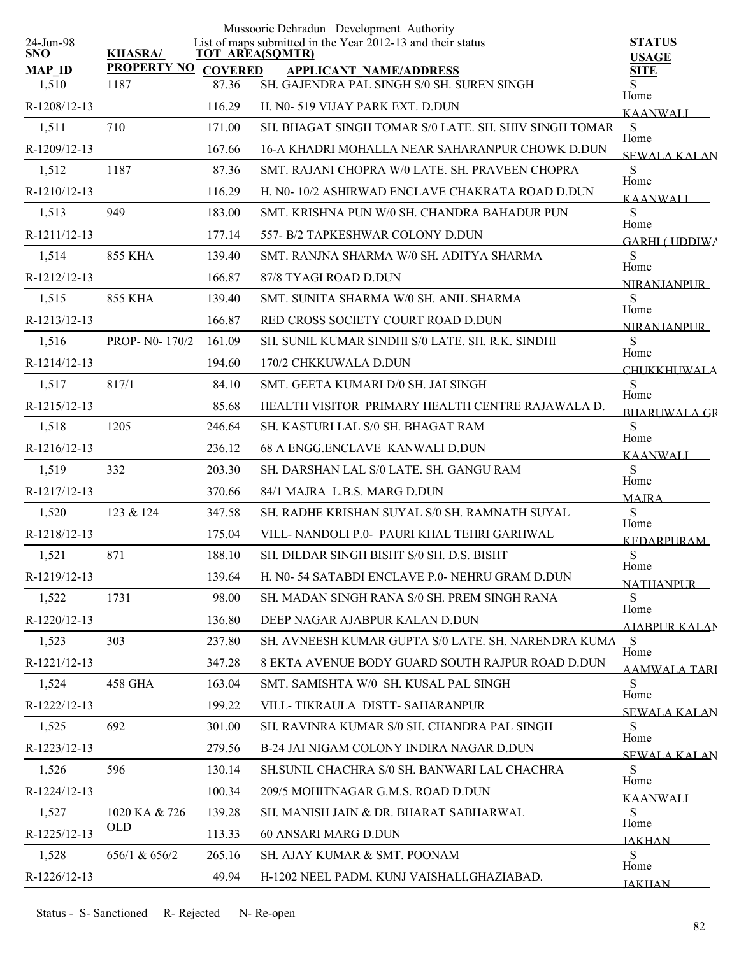|                         |                    |                | Mussoorie Dehradun Development Authority                                              |                               |
|-------------------------|--------------------|----------------|---------------------------------------------------------------------------------------|-------------------------------|
| 24-Jun-98<br><b>SNO</b> | <b>KHASRA/</b>     |                | List of maps submitted in the Year 2012-13 and their status<br><b>TOT AREA(SQMTR)</b> | <b>STATUS</b><br><b>USAGE</b> |
| <b>MAP ID</b>           | <b>PROPERTY NO</b> | <b>COVERED</b> | <b>APPLICANT NAME/ADDRESS</b>                                                         | <b>SITE</b>                   |
| 1,510                   | 1187               | 87.36          | SH. GAJENDRA PAL SINGH S/0 SH. SUREN SINGH                                            | S.<br>Home                    |
| R-1208/12-13            |                    | 116.29         | H. N0-519 VIJAY PARK EXT. D.DUN                                                       | <b>KAANWALI</b>               |
| 1,511                   | 710                | 171.00         | SH. BHAGAT SINGH TOMAR S/0 LATE. SH. SHIV SINGH TOMAR                                 | S<br>Home                     |
| R-1209/12-13            |                    | 167.66         | 16-A KHADRI MOHALLA NEAR SAHARANPUR CHOWK D.DUN                                       | <b>SEWALA KALAN</b>           |
| 1,512                   | 1187               | 87.36          | SMT, RAJANI CHOPRA W/0 LATE, SH, PRAVEEN CHOPRA                                       | S<br>Home                     |
| R-1210/12-13            |                    | 116.29         | H. N0-10/2 ASHIRWAD ENCLAVE CHAKRATA ROAD D.DUN                                       | <b>KAANWALI</b>               |
| 1,513                   | 949                | 183.00         | SMT. KRISHNA PUN W/0 SH. CHANDRA BAHADUR PUN                                          | S<br>Home                     |
| R-1211/12-13            |                    | 177.14         | 557- B/2 TAPKESHWAR COLONY D.DUN                                                      | <b>GARHI ( UDDIWA</b>         |
| 1,514                   | <b>855 KHA</b>     | 139.40         | SMT. RANJNA SHARMA W/0 SH. ADITYA SHARMA                                              | S<br>Home                     |
| R-1212/12-13            |                    | 166.87         | 87/8 TYAGI ROAD D.DUN                                                                 | <b>NIRANIANPUR</b>            |
| 1,515                   | <b>855 KHA</b>     | 139.40         | SMT. SUNITA SHARMA W/0 SH. ANIL SHARMA                                                | S                             |
| R-1213/12-13            |                    | 166.87         | RED CROSS SOCIETY COURT ROAD D.DUN                                                    | Home<br><b>NIRANIANPUR</b>    |
| 1,516                   | PROP- N0-170/2     | 161.09         | SH. SUNIL KUMAR SINDHI S/0 LATE. SH. R.K. SINDHI                                      | S<br>Home                     |
| R-1214/12-13            |                    | 194.60         | 170/2 CHKKUWALA D.DUN                                                                 | <b>CHUKKHUWALA</b>            |
| 1,517                   | 817/1              | 84.10          | SMT. GEETA KUMARI D/0 SH. JAI SINGH                                                   | S                             |
| R-1215/12-13            |                    | 85.68          | HEALTH VISITOR PRIMARY HEALTH CENTRE RAJAWALA D.                                      | Home<br><b>BHARLIWALA GR</b>  |
| 1,518                   | 1205               | 246.64         | SH. KASTURI LAL S/0 SH. BHAGAT RAM                                                    | ${\bf S}$                     |
| R-1216/12-13            |                    | 236.12         | 68 A ENGG.ENCLAVE KANWALI D.DUN                                                       | Home<br><b>KAANWALI</b>       |
| 1,519                   | 332                | 203.30         | SH. DARSHAN LAL S/0 LATE. SH. GANGU RAM                                               | S                             |
| R-1217/12-13            |                    | 370.66         | 84/1 MAJRA L.B.S. MARG D.DUN                                                          | Home<br><b>MAJRA</b>          |
| 1,520                   | 123 & 124          | 347.58         | SH. RADHE KRISHAN SUYAL S/0 SH. RAMNATH SUYAL                                         | S                             |
| R-1218/12-13            |                    | 175.04         | VILL- NANDOLI P.0- PAURI KHAL TEHRI GARHWAL                                           | Home<br><b>KEDARPURAM</b>     |
| 1,521                   | 871                | 188.10         | SH. DILDAR SINGH BISHT S/0 SH. D.S. BISHT                                             | ${\bf S}$                     |
| R-1219/12-13            |                    | 139.64         | H. N0-54 SATABDI ENCLAVE P.0-NEHRU GRAM D.DUN                                         | Home<br><b>NATHANPUR</b>      |
| 1,522                   | 1731               | 98.00          | SH. MADAN SINGH RANA S/0 SH. PREM SINGH RANA                                          | S                             |
| R-1220/12-13            |                    | 136.80         | DEEP NAGAR AJABPUR KALAN D.DUN                                                        | Home<br>AJABPUR KALAN         |
| 1,523                   | 303                | 237.80         | SH. AVNEESH KUMAR GUPTA S/0 LATE. SH. NARENDRA KUMA                                   | S                             |
| R-1221/12-13            |                    | 347.28         | 8 EKTA AVENUE BODY GUARD SOUTH RAJPUR ROAD D.DUN                                      | Home<br>AAMWALA TARI          |
| 1,524                   | 458 GHA            | 163.04         | SMT. SAMISHTA W/0 SH. KUSAL PAL SINGH                                                 | S                             |
| R-1222/12-13            |                    | 199.22         | VILL-TIKRAULA DISTT-SAHARANPUR                                                        | Home<br><b>SEWALA KALAN</b>   |
| 1,525                   | 692                | 301.00         | SH. RAVINRA KUMAR S/0 SH. CHANDRA PAL SINGH                                           | S                             |
| R-1223/12-13            |                    | 279.56         | B-24 JAI NIGAM COLONY INDIRA NAGAR D.DUN                                              | Home<br><b>SEWALA KALAN</b>   |
| 1,526                   | 596                | 130.14         | SH.SUNIL CHACHRA S/0 SH. BANWARI LAL CHACHRA                                          | S                             |
| R-1224/12-13            |                    | 100.34         | 209/5 MOHITNAGAR G.M.S. ROAD D.DUN                                                    | Home                          |
| 1,527                   | 1020 KA & 726      | 139.28         | SH. MANISH JAIN & DR. BHARAT SABHARWAL                                                | <b>KAANWALI</b><br>S          |
| R-1225/12-13            | <b>OLD</b>         | 113.33         | 60 ANSARI MARG D.DUN                                                                  | Home                          |
| 1,528                   | 656/1 & 656/2      | 265.16         | SH. AJAY KUMAR & SMT. POONAM                                                          | <b>JAKHAN</b><br>S            |
| R-1226/12-13            |                    | 49.94          | H-1202 NEEL PADM, KUNJ VAISHALI, GHAZIABAD.                                           | Home                          |
|                         |                    |                |                                                                                       | <b>JAKHAN</b>                 |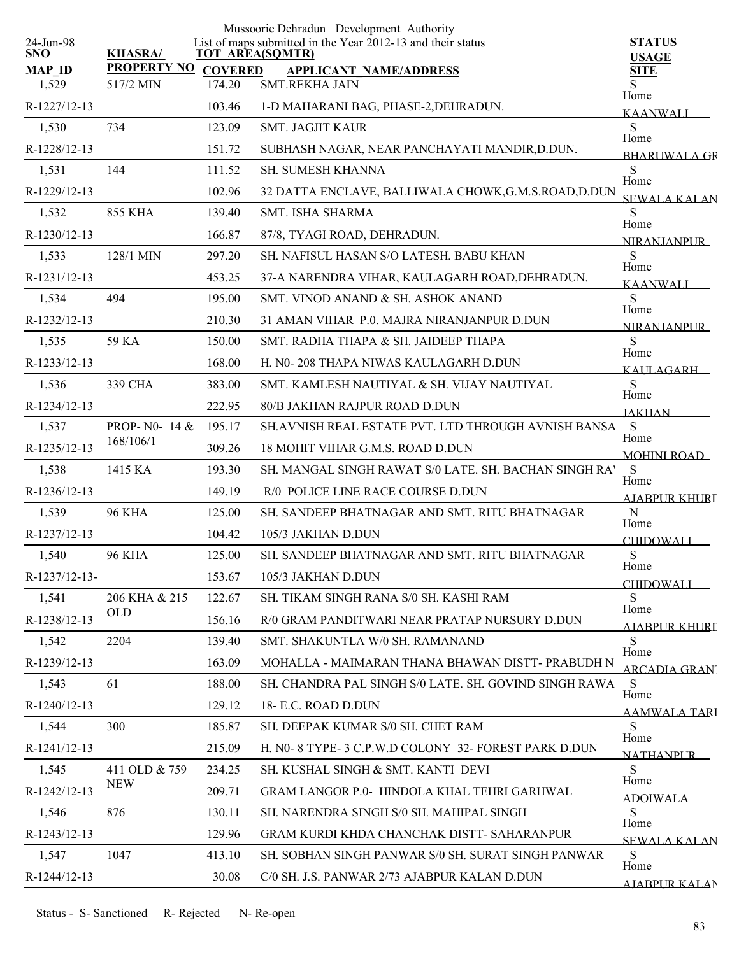|                         |                         |                | Mussoorie Dehradun Development Authority                                              |                               |
|-------------------------|-------------------------|----------------|---------------------------------------------------------------------------------------|-------------------------------|
| 24-Jun-98<br><b>SNO</b> | <b>KHASRA/</b>          |                | List of maps submitted in the Year 2012-13 and their status<br><b>TOT AREA(SQMTR)</b> | <b>STATUS</b><br><b>USAGE</b> |
| <b>MAP ID</b>           | <b>PROPERTY NO</b>      | <b>COVERED</b> | <b>APPLICANT NAME/ADDRESS</b>                                                         | <b>SITE</b>                   |
| 1,529                   | 517/2 MIN               | 174.20         | <b>SMT.REKHA JAIN</b>                                                                 | S<br>Home                     |
| R-1227/12-13            |                         | 103.46         | 1-D MAHARANI BAG, PHASE-2, DEHRADUN.                                                  | <b>KAANWALI</b>               |
| 1,530                   | 734                     | 123.09         | <b>SMT. JAGJIT KAUR</b>                                                               | S<br>Home                     |
| R-1228/12-13            |                         | 151.72         | SUBHASH NAGAR, NEAR PANCHAYATI MANDIR, D.DUN.                                         | <b>BHARLIWALA GR</b>          |
| 1,531                   | 144                     | 111.52         | <b>SH. SUMESH KHANNA</b>                                                              | ${\bf S}$<br>Home             |
| R-1229/12-13            |                         | 102.96         | 32 DATTA ENCLAVE, BALLIWALA CHOWK, G.M.S.ROAD, D.DUN                                  | <b>SEWALA KALAN</b>           |
| 1,532                   | 855 KHA                 | 139.40         | <b>SMT. ISHA SHARMA</b>                                                               | S<br>Home                     |
| R-1230/12-13            |                         | 166.87         | 87/8, TYAGI ROAD, DEHRADUN.                                                           | <b>NIRANIANPLIR</b>           |
| 1,533                   | 128/1 MIN               | 297.20         | SH. NAFISUL HASAN S/O LATESH. BABU KHAN                                               | S<br>Home                     |
| R-1231/12-13            |                         | 453.25         | 37-A NARENDRA VIHAR, KAULAGARH ROAD, DEHRADUN.                                        | <b>KAANWALI</b>               |
| 1,534                   | 494                     | 195.00         | SMT. VINOD ANAND & SH. ASHOK ANAND                                                    | S<br>Home                     |
| R-1232/12-13            |                         | 210.30         | 31 AMAN VIHAR P.0. MAJRA NIRANJANPUR D.DUN                                            | <b>NIRANJANPUR</b>            |
| 1,535                   | 59 KA                   | 150.00         | SMT. RADHA THAPA & SH. JAIDEEP THAPA                                                  | S<br>Home                     |
| R-1233/12-13            |                         | 168.00         | H. N0-208 THAPA NIWAS KAULAGARH D.DUN                                                 | KAULAGARH                     |
| 1,536                   | 339 CHA                 | 383.00         | SMT. KAMLESH NAUTIYAL & SH. VIJAY NAUTIYAL                                            | S                             |
| R-1234/12-13            |                         | 222.95         | 80/B JAKHAN RAJPUR ROAD D.DUN                                                         | Home<br><b>JAKHAN</b>         |
| 1,537                   | <b>PROP-NO-14 &amp;</b> | 195.17         | SH. AVNISH REAL ESTATE PVT. LTD THROUGH AVNISH BANSA                                  | <sub>S</sub>                  |
| R-1235/12-13            | 168/106/1               | 309.26         | 18 MOHIT VIHAR G.M.S. ROAD D.DUN                                                      | Home<br><b>MOHINI ROAD</b>    |
| 1,538                   | 1415 KA                 | 193.30         | SH. MANGAL SINGH RAWAT S/0 LATE. SH. BACHAN SINGH RAY                                 | S                             |
| R-1236/12-13            |                         | 149.19         | R/0 POLICE LINE RACE COURSE D.DUN                                                     | Home<br><b>AJABPUR KHURI</b>  |
| 1,539                   | <b>96 KHA</b>           | 125.00         | SH. SANDEEP BHATNAGAR AND SMT. RITU BHATNAGAR                                         | N                             |
| R-1237/12-13            |                         | 104.42         | 105/3 JAKHAN D.DUN                                                                    | Home<br><b>CHIDOWALI</b>      |
| 1,540                   | <b>96 KHA</b>           | 125.00         | SH. SANDEEP BHATNAGAR AND SMT. RITU BHATNAGAR                                         | S                             |
| R-1237/12-13-           |                         | 153.67         | 105/3 JAKHAN D.DUN                                                                    | Home<br><b>CHIDOWALI</b>      |
| 1,541                   | 206 KHA & 215           | 122.67         | SH. TIKAM SINGH RANA S/0 SH. KASHI RAM                                                | S                             |
| R-1238/12-13            | <b>OLD</b>              | 156.16         | R/0 GRAM PANDITWARI NEAR PRATAP NURSURY D.DUN                                         | Home<br>AJABPUR KHURI         |
| 1,542                   | 2204                    | 139.40         | SMT. SHAKUNTLA W/0 SH. RAMANAND                                                       | S                             |
| R-1239/12-13            |                         | 163.09         | MOHALLA - MAIMARAN THANA BHAWAN DISTT- PRABUDH N                                      | Home                          |
| 1,543                   | 61                      | 188.00         | SH. CHANDRA PAL SINGH S/0 LATE. SH. GOVIND SINGH RAWA                                 | <b>ARCADIA GRAN</b><br>S      |
| $R-1240/12-13$          |                         | 129.12         | 18- E.C. ROAD D.DUN                                                                   | Home                          |
| 1,544                   | 300                     | 185.87         | SH. DEEPAK KUMAR S/0 SH. CHET RAM                                                     | <b>AAMWALA TARI</b><br>S      |
| R-1241/12-13            |                         | 215.09         | H. N0- 8 TYPE- 3 C.P.W.D COLONY 32- FOREST PARK D.DUN                                 | Home                          |
| 1,545                   | 411 OLD & 759           | 234.25         | SH. KUSHAL SINGH & SMT. KANTI DEVI                                                    | <b>NATHANPLIR</b><br>S        |
| R-1242/12-13            | <b>NEW</b>              | 209.71         | <b>GRAM LANGOR P.0- HINDOLA KHAL TEHRI GARHWAL</b>                                    | Home                          |
| 1,546                   | 876                     | 130.11         | SH. NARENDRA SINGH S/0 SH. MAHIPAL SINGH                                              | ADOIWALA.<br>S                |
| R-1243/12-13            |                         | 129.96         | GRAM KURDI KHDA CHANCHAK DISTT- SAHARANPUR                                            | Home                          |
| 1,547                   | 1047                    | 413.10         | SH. SOBHAN SINGH PANWAR S/0 SH. SURAT SINGH PANWAR                                    | SEWALA KALAN<br>S             |
| R-1244/12-13            |                         | 30.08          | C/0 SH. J.S. PANWAR 2/73 AJABPUR KALAN D.DUN                                          | Home                          |
|                         |                         |                |                                                                                       | AIABPUR KALAN                 |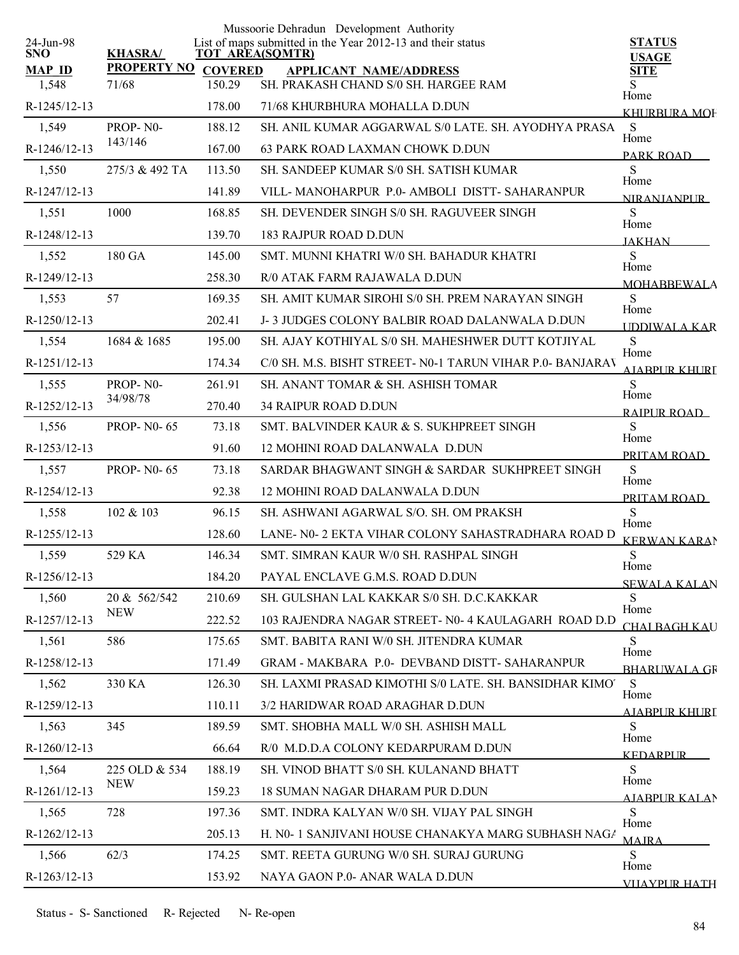|                         |                     |        | Mussoorie Dehradun Development Authority                                              |                               |
|-------------------------|---------------------|--------|---------------------------------------------------------------------------------------|-------------------------------|
| 24-Jun-98<br><b>SNO</b> | <b>KHASRA/</b>      |        | List of maps submitted in the Year 2012-13 and their status<br><b>TOT AREA(SQMTR)</b> | <b>STATUS</b><br><b>USAGE</b> |
| <b>MAP ID</b>           | PROPERTY NO COVERED |        | <b>APPLICANT NAME/ADDRESS</b>                                                         | <b>SITE</b>                   |
| 1,548                   | 71/68               | 150.29 | SH. PRAKASH CHAND S/0 SH. HARGEE RAM                                                  | Home                          |
| R-1245/12-13            |                     | 178.00 | 71/68 KHURBHURA MOHALLA D.DUN                                                         | KHURBURA MOF                  |
| 1,549                   | PROP-N0-            | 188.12 | SH. ANIL KUMAR AGGARWAL S/0 LATE. SH. AYODHYA PRASA                                   | S<br>Home                     |
| R-1246/12-13            | 143/146             | 167.00 | 63 PARK ROAD LAXMAN CHOWK D.DUN                                                       | PARK ROAD                     |
| 1,550                   | 275/3 & 492 TA      | 113.50 | SH. SANDEEP KUMAR S/0 SH. SATISH KUMAR                                                | S<br>Home                     |
| R-1247/12-13            |                     | 141.89 | VILL-MANOHARPUR P.0- AMBOLI DISTT- SAHARANPUR                                         | <b>NIRANIANPUR</b>            |
| 1,551                   | 1000                | 168.85 | SH. DEVENDER SINGH S/0 SH. RAGUVEER SINGH                                             | S                             |
| R-1248/12-13            |                     | 139.70 | <b>183 RAJPUR ROAD D.DUN</b>                                                          | Home<br><b>JAKHAN</b>         |
| 1,552                   | 180 GA              | 145.00 | SMT. MUNNI KHATRI W/0 SH. BAHADUR KHATRI                                              | S                             |
| R-1249/12-13            |                     | 258.30 | R/0 ATAK FARM RAJAWALA D.DUN                                                          | Home<br><b>MOHABBEWALA</b>    |
| 1,553                   | 57                  | 169.35 | SH. AMIT KUMAR SIROHI S/0 SH. PREM NARAYAN SINGH                                      | S                             |
| R-1250/12-13            |                     | 202.41 | J-3 JUDGES COLONY BALBIR ROAD DALANWALA D.DUN                                         | Home<br><b>UDDIWALA KAR</b>   |
| 1,554                   | 1684 & 1685         | 195.00 | SH. AJAY KOTHIYAL S/0 SH. MAHESHWER DUTT KOTJIYAL                                     | S                             |
| R-1251/12-13            |                     | 174.34 | C/0 SH. M.S. BISHT STREET- N0-1 TARUN VIHAR P.0- BANJARAV                             | Home<br>A JARPLIR KHURI       |
| 1,555                   | PROP-NO-            | 261.91 | SH. ANANT TOMAR & SH. ASHISH TOMAR                                                    | S                             |
| R-1252/12-13            | 34/98/78            | 270.40 | <b>34 RAIPUR ROAD D.DUN</b>                                                           | Home<br>RAIPUR ROAD           |
| 1,556                   | <b>PROP-N0-65</b>   | 73.18  | SMT. BALVINDER KAUR & S. SUKHPREET SINGH                                              | S                             |
| R-1253/12-13            |                     | 91.60  | 12 MOHINI ROAD DALANWALA D.DUN                                                        | Home<br>PRITAM ROAD           |
| 1,557                   | <b>PROP-N0-65</b>   | 73.18  | SARDAR BHAGWANT SINGH & SARDAR SUKHPREET SINGH                                        | ${\bf S}$                     |
| R-1254/12-13            |                     | 92.38  | 12 MOHINI ROAD DALANWALA D.DUN                                                        | Home<br>PRITAM ROAD           |
| 1,558                   | 102 & 103           | 96.15  | SH. ASHWANI AGARWAL S/O. SH. OM PRAKSH                                                | S                             |
| R-1255/12-13            |                     | 128.60 | LANE- N0-2 EKTA VIHAR COLONY SAHASTRADHARA ROAD D                                     | Home<br><b>KERWAN KARAN</b>   |
| 1,559                   | 529 KA              | 146.34 | SMT. SIMRAN KAUR W/0 SH. RASHPAL SINGH                                                | ${\bf S}$                     |
| R-1256/12-13            |                     | 184.20 | PAYAL ENCLAVE G.M.S. ROAD D.DUN                                                       | Home<br><b>SEWALA KALAN</b>   |
| 1,560                   | 20 & 562/542        | 210.69 | SH. GULSHAN LAL KAKKAR S/0 SH. D.C.KAKKAR                                             | S                             |
| R-1257/12-13            | <b>NEW</b>          | 222.52 | 103 RAJENDRA NAGAR STREET- N0-4 KAULAGARH ROAD D.D                                    | Home<br><b>CHAI BAGH KAU</b>  |
| 1,561                   | 586                 | 175.65 | SMT. BABITA RANI W/0 SH. JITENDRA KUMAR                                               | S                             |
| R-1258/12-13            |                     | 171.49 | GRAM - MAKBARA P.0- DEVBAND DISTT- SAHARANPUR                                         | Home<br><b>BHARLIWALA GR</b>  |
| 1,562                   | 330 KA              | 126.30 | SH. LAXMI PRASAD KIMOTHI S/0 LATE. SH. BANSIDHAR KIMO'                                | S                             |
| R-1259/12-13            |                     | 110.11 | 3/2 HARIDWAR ROAD ARAGHAR D.DUN                                                       | Home<br><u>AJARPUR KHURI</u>  |
| 1,563                   | 345                 | 189.59 | SMT. SHOBHA MALL W/0 SH. ASHISH MALL                                                  | S                             |
| R-1260/12-13            |                     | 66.64  | R/0 M.D.D.A COLONY KEDARPURAM D.DUN                                                   | Home<br><b>KEDARPUR</b>       |
| 1,564                   | 225 OLD & 534       | 188.19 | SH. VINOD BHATT S/0 SH. KULANAND BHATT                                                | S.                            |
| R-1261/12-13            | <b>NEW</b>          | 159.23 | 18 SUMAN NAGAR DHARAM PUR D.DUN                                                       | Home<br>AIABPUR KALAN         |
| 1,565                   | 728                 | 197.36 | SMT. INDRA KALYAN W/0 SH. VIJAY PAL SINGH                                             | S                             |
| R-1262/12-13            |                     | 205.13 | H. N0- 1 SANJIVANI HOUSE CHANAKYA MARG SUBHASH NAGA                                   | Home<br><b>MAIRA</b>          |
| 1,566                   | 62/3                | 174.25 | SMT. REETA GURUNG W/0 SH. SURAJ GURUNG                                                | <sub>S</sub>                  |
| R-1263/12-13            |                     | 153.92 | NAYA GAON P.0- ANAR WALA D.DUN                                                        | Home                          |
|                         |                     |        |                                                                                       | <b>VIJAYPUR HATH</b>          |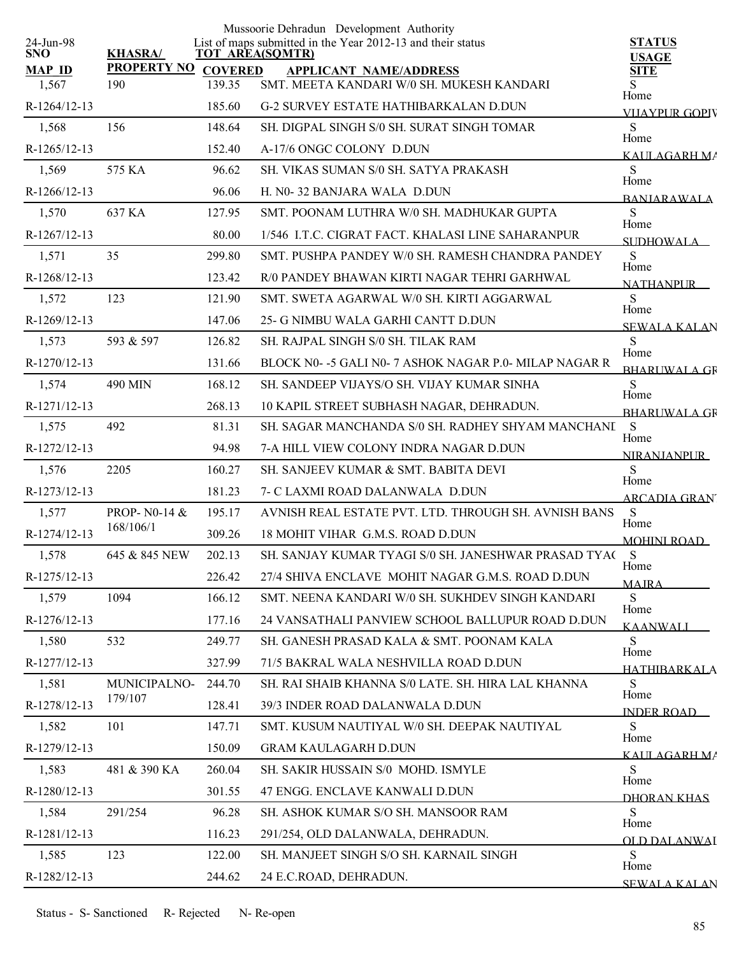|                         |                     |        | Mussoorie Dehradun Development Authority                                              |                               |
|-------------------------|---------------------|--------|---------------------------------------------------------------------------------------|-------------------------------|
| 24-Jun-98<br><b>SNO</b> | <b>KHASRA/</b>      |        | List of maps submitted in the Year 2012-13 and their status<br><b>TOT AREA(SQMTR)</b> | <b>STATUS</b><br><b>USAGE</b> |
| <b>MAP ID</b>           | PROPERTY NO COVERED |        | <b>APPLICANT NAME/ADDRESS</b>                                                         | SITE                          |
| 1,567                   | 190                 | 139.35 | SMT. MEETA KANDARI W/0 SH. MUKESH KANDARI                                             | S.<br>Home                    |
| R-1264/12-13            |                     | 185.60 | <b>G-2 SURVEY ESTATE HATHIBARKALAN D.DUN</b>                                          | VLIAYPUR GOPIV                |
| 1,568                   | 156                 | 148.64 | SH. DIGPAL SINGH S/0 SH. SURAT SINGH TOMAR                                            | S<br>Home                     |
| R-1265/12-13            |                     | 152.40 | A-17/6 ONGC COLONY D.DUN                                                              | KAULAGARH MA                  |
| 1,569                   | 575 KA              | 96.62  | SH. VIKAS SUMAN S/0 SH. SATYA PRAKASH                                                 | S<br>Home                     |
| R-1266/12-13            |                     | 96.06  | H. N0-32 BANJARA WALA D.DUN                                                           | <b>BANIARAWALA</b>            |
| 1,570                   | 637 KA              | 127.95 | SMT. POONAM LUTHRA W/0 SH. MADHUKAR GUPTA                                             | <sub>S</sub><br>Home          |
| R-1267/12-13            |                     | 80.00  | 1/546 I.T.C. CIGRAT FACT. KHALASI LINE SAHARANPUR                                     | <b>SUDHOWALA</b>              |
| 1,571                   | 35                  | 299.80 | SMT. PUSHPA PANDEY W/0 SH. RAMESH CHANDRA PANDEY                                      | S                             |
| R-1268/12-13            |                     | 123.42 | R/0 PANDEY BHAWAN KIRTI NAGAR TEHRI GARHWAL                                           | Home<br><b>NATHANPUR</b>      |
| 1,572                   | 123                 | 121.90 | SMT. SWETA AGARWAL W/0 SH. KIRTI AGGARWAL                                             | S                             |
| R-1269/12-13            |                     | 147.06 | 25- G NIMBU WALA GARHI CANTT D.DUN                                                    | Home<br><b>SEWALA KALAN</b>   |
| 1,573                   | 593 & 597           | 126.82 | SH. RAJPAL SINGH S/0 SH. TILAK RAM                                                    | S                             |
| R-1270/12-13            |                     | 131.66 | BLOCK N0- -5 GALI N0- 7 ASHOK NAGAR P.0- MILAP NAGAR R                                | Home<br><b>BHARLWALA GR</b>   |
| 1,574                   | 490 MIN             | 168.12 | SH. SANDEEP VIJAYS/O SH. VIJAY KUMAR SINHA                                            | S                             |
| R-1271/12-13            |                     | 268.13 | 10 KAPIL STREET SUBHASH NAGAR, DEHRADUN.                                              | Home<br><b>BHARIWALA GR</b>   |
| 1,575                   | 492                 | 81.31  | SH. SAGAR MANCHANDA S/0 SH. RADHEY SHYAM MANCHANI                                     | S                             |
| R-1272/12-13            |                     | 94.98  | 7-A HILL VIEW COLONY INDRA NAGAR D.DUN                                                | Home<br><b>NIRANIANPUR</b>    |
| 1,576                   | 2205                | 160.27 | SH. SANJEEV KUMAR & SMT. BABITA DEVI                                                  | S                             |
| R-1273/12-13            |                     | 181.23 | 7- C LAXMI ROAD DALANWALA D.DUN                                                       | Home<br><b>ARCADIA GRAN</b>   |
| 1,577                   | PROP-N0-14 &        | 195.17 | AVNISH REAL ESTATE PVT. LTD. THROUGH SH. AVNISH BANS                                  | S                             |
| R-1274/12-13            | 168/106/1           | 309.26 | 18 MOHIT VIHAR G.M.S. ROAD D.DUN                                                      | Home<br><b>MOHINI ROAD</b>    |
| 1,578                   | 645 & 845 NEW       | 202.13 | SH. SANJAY KUMAR TYAGI S/0 SH. JANESHWAR PRASAD TYA(S                                 |                               |
| R-1275/12-13            |                     | 226.42 | 27/4 SHIVA ENCLAVE MOHIT NAGAR G.M.S. ROAD D.DUN                                      | Home<br><b>MAJRA</b>          |
| 1,579                   | 1094                | 166.12 | SMT. NEENA KANDARI W/0 SH. SUKHDEV SINGH KANDARI                                      | S                             |
| R-1276/12-13            |                     | 177.16 | 24 VANSATHALI PANVIEW SCHOOL BALLUPUR ROAD D.DUN                                      | Home<br><b>KAANWALI</b>       |
| 1,580                   | 532                 | 249.77 | SH. GANESH PRASAD KALA & SMT. POONAM KALA                                             | S                             |
| R-1277/12-13            |                     | 327.99 | 71/5 BAKRAL WALA NESHVILLA ROAD D.DUN                                                 | Home<br><b>HATHIBARKALA</b>   |
| 1,581                   | MUNICIPALNO-        | 244.70 | SH. RAI SHAIB KHANNA S/0 LATE. SH. HIRA LAL KHANNA                                    | S                             |
| R-1278/12-13            | 179/107             | 128.41 | 39/3 INDER ROAD DALANWALA D.DUN                                                       | Home<br><b>INDER ROAD</b>     |
| 1,582                   | 101                 | 147.71 | SMT. KUSUM NAUTIYAL W/0 SH. DEEPAK NAUTIYAL                                           | S                             |
| R-1279/12-13            |                     | 150.09 | <b>GRAM KAULAGARH D.DUN</b>                                                           | Home<br>KAIJLAGARH MA         |
| 1,583                   | 481 & 390 KA        | 260.04 | SH. SAKIR HUSSAIN S/0 MOHD. ISMYLE                                                    | <sub>S</sub>                  |
| R-1280/12-13            |                     | 301.55 | 47 ENGG. ENCLAVE KANWALI D.DUN                                                        | Home<br>DHORAN KHAS           |
| 1,584                   | 291/254             | 96.28  | SH. ASHOK KUMAR S/O SH. MANSOOR RAM                                                   | S                             |
| R-1281/12-13            |                     | 116.23 | 291/254, OLD DALANWALA, DEHRADUN.                                                     | Home<br>OLD DALANWAI          |
| 1,585                   | 123                 | 122.00 | SH. MANJEET SINGH S/O SH. KARNAIL SINGH                                               | S                             |
| R-1282/12-13            |                     | 244.62 | 24 E.C.ROAD, DEHRADUN.                                                                | Home<br>SEWALA KALAN          |
|                         |                     |        |                                                                                       |                               |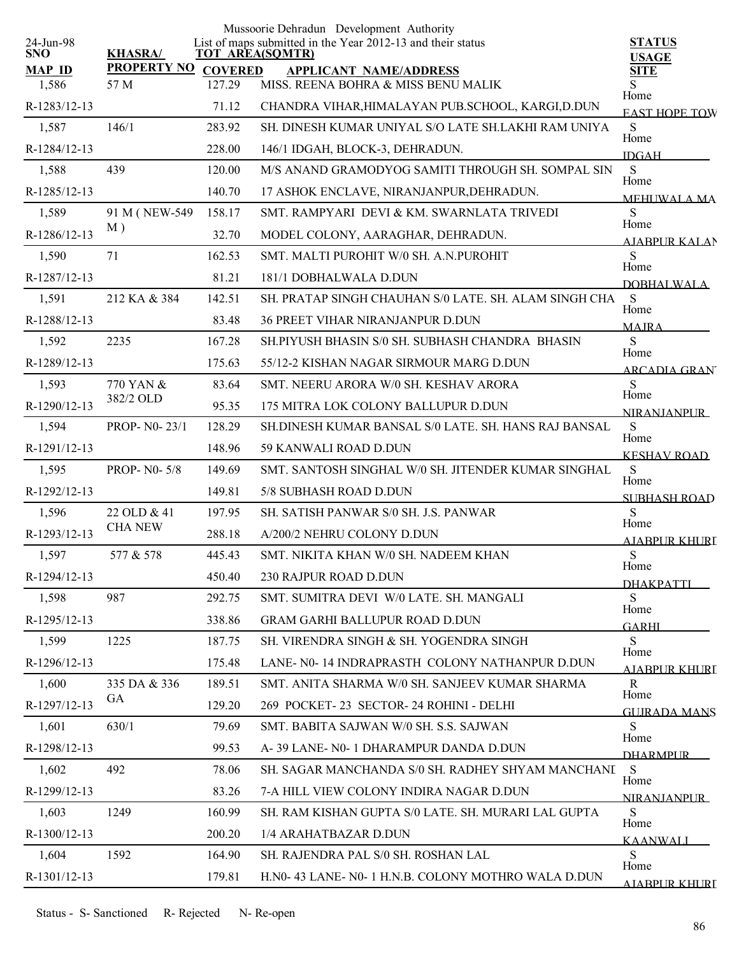| 24-Jun-98              |                            |                          | Mussoorie Dehradun Development Authority<br>List of maps submitted in the Year 2012-13 and their status | <b>STATUS</b>                |
|------------------------|----------------------------|--------------------------|---------------------------------------------------------------------------------------------------------|------------------------------|
| <b>SNO</b>             | <b>KHASRA/</b>             |                          | <b>TOT AREA(SQMTR)</b>                                                                                  | <b>USAGE</b>                 |
| <b>MAP ID</b><br>1,586 | <b>PROPERTY NO</b><br>57 M | <b>COVERED</b><br>127.29 | <b>APPLICANT NAME/ADDRESS</b><br>MISS. REENA BOHRA & MISS BENU MALIK                                    | <b>SITE</b><br>S             |
| R-1283/12-13           |                            | 71.12                    | CHANDRA VIHAR, HIMALAYAN PUB. SCHOOL, KARGI, D.DUN                                                      | Home<br><b>EAST HOPE TOW</b> |
| 1,587                  | 146/1                      | 283.92                   | SH. DINESH KUMAR UNIYAL S/O LATE SH.LAKHI RAM UNIYA                                                     | S                            |
| R-1284/12-13           |                            | 228.00                   | 146/1 IDGAH, BLOCK-3, DEHRADUN.                                                                         | Home<br><b>IDGAH</b>         |
| 1,588                  | 439                        | 120.00                   | M/S ANAND GRAMODYOG SAMITI THROUGH SH. SOMPAL SIN                                                       | $\mathbf S$                  |
| R-1285/12-13           |                            | 140.70                   | 17 ASHOK ENCLAVE, NIRANJANPUR, DEHRADUN.                                                                | Home<br>MEHUWALA MA          |
| 1,589                  | 91 M (NEW-549              | 158.17                   | SMT. RAMPYARI DEVI & KM. SWARNLATA TRIVEDI                                                              | S                            |
| R-1286/12-13           | M)                         | 32.70                    | MODEL COLONY, AARAGHAR, DEHRADUN.                                                                       | Home<br>AIABPUR KALAN        |
| 1,590                  | 71                         | 162.53                   | SMT. MALTI PUROHIT W/0 SH. A.N.PUROHIT                                                                  | S                            |
| R-1287/12-13           |                            | 81.21                    | 181/1 DOBHALWALA D.DUN                                                                                  | Home<br>DOBHALWALA           |
| 1,591                  | 212 KA & 384               | 142.51                   | SH. PRATAP SINGH CHAUHAN S/0 LATE. SH. ALAM SINGH CHA                                                   | -S                           |
| R-1288/12-13           |                            | 83.48                    | <b>36 PREET VIHAR NIRANJANPUR D.DUN</b>                                                                 | Home<br><b>MAJRA</b>         |
| 1,592                  | 2235                       | 167.28                   | SH.PIYUSH BHASIN S/0 SH. SUBHASH CHANDRA BHASIN                                                         | S                            |
| R-1289/12-13           |                            | 175.63                   | 55/12-2 KISHAN NAGAR SIRMOUR MARG D.DUN                                                                 | Home<br><b>ARCADIA GRAN</b>  |
| 1,593                  | 770 YAN &                  | 83.64                    | SMT. NEERU ARORA W/0 SH. KESHAV ARORA                                                                   | ${\bf S}$                    |
| R-1290/12-13           | 382/2 OLD                  | 95.35                    | 175 MITRA LOK COLONY BALLUPUR D.DUN                                                                     | Home<br><b>NIRANIANPUR</b>   |
| 1,594                  | PROP- N0-23/1              | 128.29                   | SH.DINESH KUMAR BANSAL S/0 LATE. SH. HANS RAJ BANSAL                                                    | S                            |
| R-1291/12-13           |                            | 148.96                   | 59 KANWALI ROAD D.DUN                                                                                   | Home<br><b>KESHAV ROAD</b>   |
| 1,595                  | <b>PROP-N0-5/8</b>         | 149.69                   | SMT. SANTOSH SINGHAL W/0 SH. JITENDER KUMAR SINGHAL                                                     | S                            |
| R-1292/12-13           |                            | 149.81                   | 5/8 SUBHASH ROAD D.DUN                                                                                  | Home<br><b>SUBHASH ROAD</b>  |
| 1,596                  | 22 OLD & 41                | 197.95                   | SH. SATISH PANWAR S/0 SH. J.S. PANWAR                                                                   | S                            |
| R-1293/12-13           | <b>CHA NEW</b>             | 288.18                   | A/200/2 NEHRU COLONY D.DUN                                                                              | Home<br><b>AJABPUR KHURI</b> |
| 1,597                  | 577 & 578                  | 445.43                   | SMT. NIKITA KHAN W/0 SH. NADEEM KHAN                                                                    | ${\bf S}$                    |
| R-1294/12-13           |                            | 450.40                   | 230 RAJPUR ROAD D.DUN                                                                                   | Home<br><b>DHAKPATTI</b>     |
| 1,598                  | 987                        | 292.75                   | SMT. SUMITRA DEVI W/0 LATE. SH. MANGALI                                                                 | S                            |
| R-1295/12-13           |                            | 338.86                   | <b>GRAM GARHI BALLUPUR ROAD D.DUN</b>                                                                   | Home<br><b>GARHI</b>         |
| 1,599                  | 1225                       | 187.75                   | SH. VIRENDRA SINGH & SH. YOGENDRA SINGH                                                                 | S                            |
| R-1296/12-13           |                            | 175.48                   | LANE- N0-14 INDRAPRASTH COLONY NATHANPUR D.DUN                                                          | Home<br>AIABPUR KHURI        |
| 1,600                  | 335 DA & 336               | 189.51                   | SMT. ANITA SHARMA W/0 SH. SANJEEV KUMAR SHARMA                                                          | $\mathbf R$                  |
| R-1297/12-13           | <b>GA</b>                  | 129.20                   | 269 POCKET-23 SECTOR-24 ROHINI - DELHI                                                                  | Home<br><b>GUIRADA MANS</b>  |
| 1,601                  | 630/1                      | 79.69                    | SMT. BABITA SAJWAN W/0 SH. S.S. SAJWAN                                                                  | S                            |
| R-1298/12-13           |                            | 99.53                    | A-39 LANE- N0-1 DHARAMPUR DANDA D.DUN                                                                   | Home<br><b>DHARMPLIR</b>     |
| 1,602                  | 492                        | 78.06                    | SH. SAGAR MANCHANDA S/0 SH. RADHEY SHYAM MANCHANI                                                       | S                            |
| R-1299/12-13           |                            | 83.26                    | 7-A HILL VIEW COLONY INDIRA NAGAR D.DUN                                                                 | Home<br><b>NIRANIANPLIR</b>  |
| 1,603                  | 1249                       | 160.99                   | SH. RAM KISHAN GUPTA S/0 LATE. SH. MURARI LAL GUPTA                                                     | S                            |
| R-1300/12-13           |                            | 200.20                   | 1/4 ARAHATBAZAR D.DUN                                                                                   | Home<br><b>KAANWALI</b>      |
| 1,604                  | 1592                       | 164.90                   | SH. RAJENDRA PAL S/0 SH. ROSHAN LAL                                                                     | S                            |
| R-1301/12-13           |                            | 179.81                   | H.N0- 43 LANE- N0- 1 H.N.B. COLONY MOTHRO WALA D.DUN                                                    | Home<br><b>AJARPUR KHURI</b> |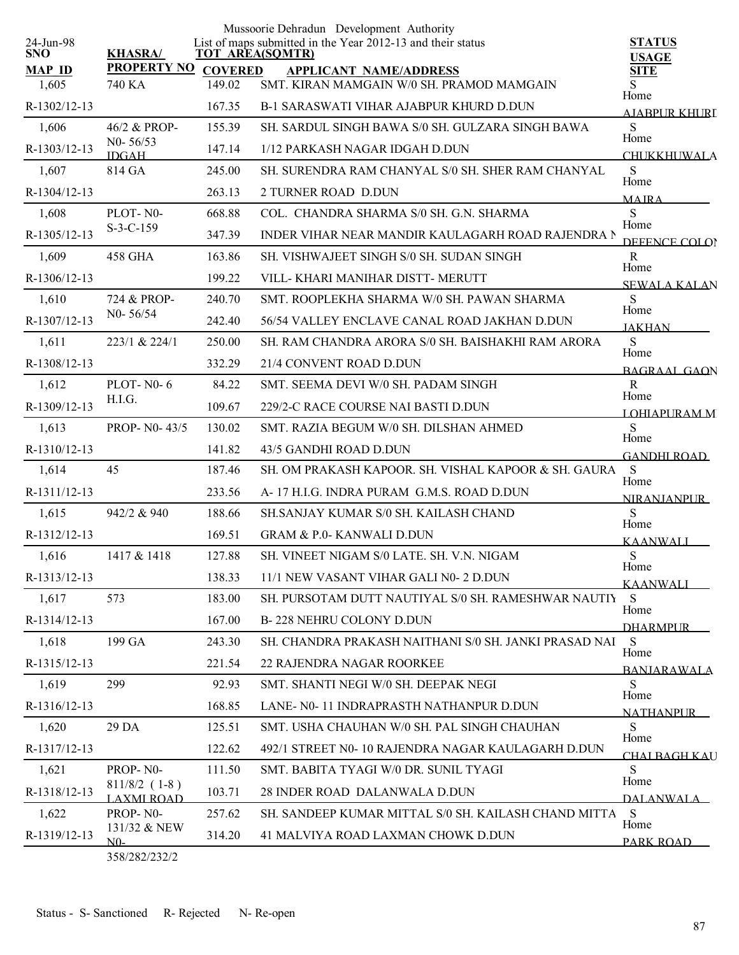|                         |                                      |                | Mussoorie Dehradun Development Authority                                              |                               |
|-------------------------|--------------------------------------|----------------|---------------------------------------------------------------------------------------|-------------------------------|
| 24-Jun-98<br><b>SNO</b> | <b>KHASRA/</b>                       |                | List of maps submitted in the Year 2012-13 and their status<br><b>TOT AREA(SQMTR)</b> | <b>STATUS</b><br><b>USAGE</b> |
| <b>MAP ID</b>           | <b>PROPERTY NO</b>                   | <b>COVERED</b> | <b>APPLICANT NAME/ADDRESS</b>                                                         | <b>SITE</b>                   |
| 1,605                   | 740 KA                               | 149.02         | SMT. KIRAN MAMGAIN W/0 SH. PRAMOD MAMGAIN                                             | S<br>Home                     |
| R-1302/12-13            |                                      | 167.35         | <b>B-1 SARASWATI VIHAR AJABPUR KHURD D.DUN</b>                                        | AJABPUR KHURI                 |
| 1,606                   | 46/2 & PROP-                         | 155.39         | SH. SARDUL SINGH BAWA S/0 SH. GULZARA SINGH BAWA                                      | S<br>Home                     |
| R-1303/12-13            | $N0 - 56/53$<br><b>IDGAH</b>         | 147.14         | 1/12 PARKASH NAGAR IDGAH D.DUN                                                        | <b>CHUKKHUWALA</b>            |
| 1,607                   | 814 GA                               | 245.00         | SH. SURENDRA RAM CHANYAL S/0 SH. SHER RAM CHANYAL                                     | S<br>Home                     |
| R-1304/12-13            |                                      | 263.13         | 2 TURNER ROAD D.DUN                                                                   | <b>MAIRA</b>                  |
| 1,608                   | PLOT-N0-                             | 668.88         | COL. CHANDRA SHARMA S/0 SH. G.N. SHARMA                                               | S<br>Home                     |
| R-1305/12-13            | $S-3-C-159$                          | 347.39         | INDER VIHAR NEAR MANDIR KAULAGARH ROAD RAJENDRA N                                     | DEFENCE COLOR                 |
| 1,609                   | <b>458 GHA</b>                       | 163.86         | SH. VISHWAJEET SINGH S/0 SH. SUDAN SINGH                                              | R<br>Home                     |
| R-1306/12-13            |                                      | 199.22         | VILL-KHARI MANIHAR DISTT- MERUTT                                                      | SEWALA KALAN                  |
| 1,610                   | 724 & PROP-                          | 240.70         | SMT. ROOPLEKHA SHARMA W/0 SH. PAWAN SHARMA                                            | S                             |
| R-1307/12-13            | $N0 - 56/54$                         | 242.40         | 56/54 VALLEY ENCLAVE CANAL ROAD JAKHAN D.DUN                                          | Home<br><b>JAKHAN</b>         |
| 1,611                   | 223/1 & 224/1                        | 250.00         | SH. RAM CHANDRA ARORA S/0 SH. BAISHAKHI RAM ARORA                                     | S                             |
| R-1308/12-13            |                                      | 332.29         | 21/4 CONVENT ROAD D.DUN                                                               | Home<br>BAGRAAL GAON          |
| 1,612                   | <b>PLOT-N0-6</b>                     | 84.22          | SMT. SEEMA DEVI W/0 SH. PADAM SINGH                                                   | R<br>Home                     |
| R-1309/12-13            | H.I.G.                               | 109.67         | 229/2-C RACE COURSE NAI BASTI D.DUN                                                   | <b>LOHIAPURAMM</b>            |
| 1,613                   | PROP- N0-43/5                        | 130.02         | SMT. RAZIA BEGUM W/0 SH. DILSHAN AHMED                                                | S                             |
| R-1310/12-13            |                                      | 141.82         | 43/5 GANDHI ROAD D.DUN                                                                | Home<br><b>GANDHI ROAD</b>    |
| 1,614                   | 45                                   | 187.46         | SH. OM PRAKASH KAPOOR. SH. VISHAL KAPOOR & SH. GAURA                                  | S                             |
| R-1311/12-13            |                                      | 233.56         | A-17 H.I.G. INDRA PURAM G.M.S. ROAD D.DUN                                             | Home<br><b>NIRANJANPUR</b>    |
| 1,615                   | 942/2 & 940                          | 188.66         | SH.SANJAY KUMAR S/0 SH. KAILASH CHAND                                                 | S                             |
| R-1312/12-13            |                                      | 169.51         | <b>GRAM &amp; P.0- KANWALI D.DUN</b>                                                  | Home<br><b>KAANWALI</b>       |
| 1,616                   | 1417 & 1418                          | 127.88         | SH. VINEET NIGAM S/0 LATE. SH. V.N. NIGAM                                             | S                             |
| R-1313/12-13            |                                      | 138.33         | 11/1 NEW VASANT VIHAR GALI N0- 2 D.DUN                                                | Home<br><b>KAANWALI</b>       |
| 1,617                   | 573                                  | 183.00         | SH. PURSOTAM DUTT NAUTIYAL S/0 SH. RAMESHWAR NAUTIY                                   | S                             |
| R-1314/12-13            |                                      | 167.00         | <b>B-228 NEHRU COLONY D.DUN</b>                                                       | Home<br><b>DHARMPUR</b>       |
| 1,618                   | 199 GA                               | 243.30         | SH. CHANDRA PRAKASH NAITHANI S/0 SH. JANKI PRASAD NAI                                 | S                             |
| R-1315/12-13            |                                      | 221.54         | 22 RAJENDRA NAGAR ROORKEE                                                             | Home<br><b>BANJARAWALA</b>    |
| 1,619                   | 299                                  | 92.93          | SMT. SHANTI NEGI W/0 SH. DEEPAK NEGI                                                  | S.                            |
| R-1316/12-13            |                                      | 168.85         | LANE- N0-11 INDRAPRASTH NATHANPUR D.DUN                                               | Home<br><b>NATHANPLIR</b>     |
| 1,620                   | 29 DA                                | 125.51         | SMT. USHA CHAUHAN W/0 SH. PAL SINGH CHAUHAN                                           | S                             |
| R-1317/12-13            |                                      | 122.62         | 492/1 STREET N0-10 RAJENDRA NAGAR KAULAGARH D.DUN                                     | Home<br>CHALBAGH KAU          |
| 1,621                   | PROP-N0-                             | 111.50         | SMT. BABITA TYAGI W/0 DR. SUNIL TYAGI                                                 | S                             |
| R-1318/12-13            | $811/8/2$ (1-8)<br><b>LAXMI ROAD</b> | 103.71         | 28 INDER ROAD DALANWALA D.DUN                                                         | Home<br>DALANWALA             |
| 1,622                   | PROP-N0-                             | 257.62         | SH. SANDEEP KUMAR MITTAL S/0 SH. KAILASH CHAND MITTA                                  | S                             |
| R-1319/12-13            | 131/32 & NEW<br>N0-                  | 314.20         | 41 MALVIYA ROAD LAXMAN CHOWK D.DUN                                                    | Home<br>PARK ROAD             |
|                         |                                      |                |                                                                                       |                               |

358/282/232/2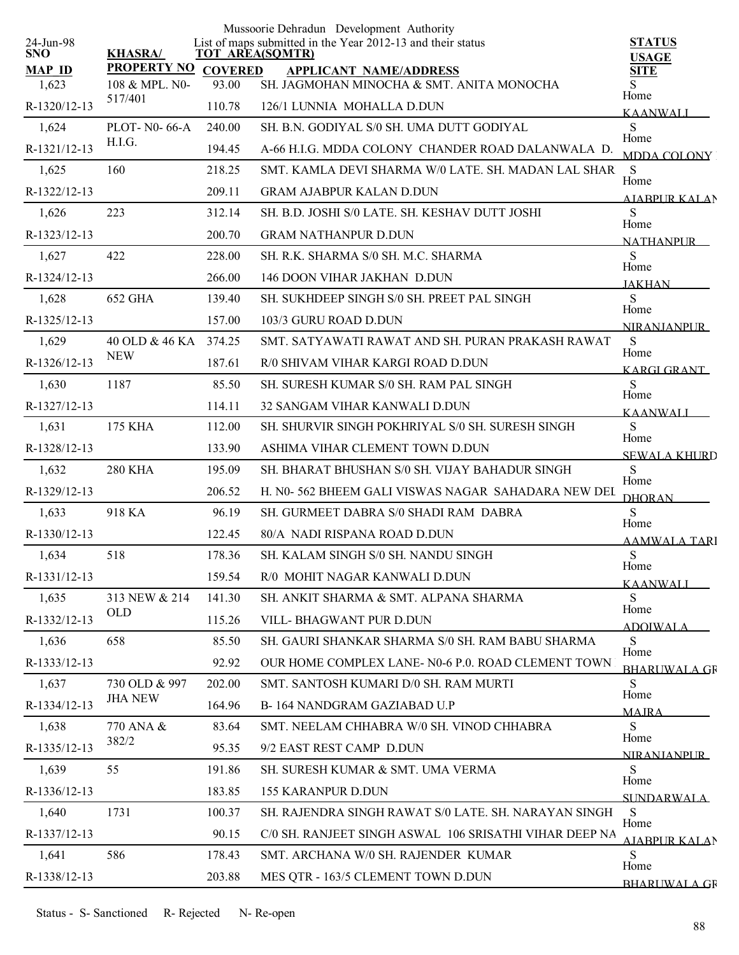| 24-Jun-98              |                                      |                         | Mussoorie Dehradun Development Authority<br>List of maps submitted in the Year 2012-13 and their status | <b>STATUS</b>                |
|------------------------|--------------------------------------|-------------------------|---------------------------------------------------------------------------------------------------------|------------------------------|
| <b>SNO</b>             | <b>KHASRA/</b>                       |                         | <b>TOT AREA(SQMTR)</b>                                                                                  | <b>USAGE</b>                 |
| <b>MAP ID</b><br>1,623 | <b>PROPERTY NO</b><br>108 & MPL. N0- | <b>COVERED</b><br>93.00 | <b>APPLICANT NAME/ADDRESS</b><br>SH. JAGMOHAN MINOCHA & SMT. ANITA MONOCHA                              | <b>SITE</b>                  |
| R-1320/12-13           | 517/401                              | 110.78                  | 126/1 LUNNIA MOHALLA D.DUN                                                                              | Home                         |
|                        |                                      |                         |                                                                                                         | <b>KAANWALI</b>              |
| 1,624                  | PLOT- N0-66-A<br>H.I.G.              | 240.00                  | SH. B.N. GODIYAL S/0 SH. UMA DUTT GODIYAL                                                               | S<br>Home                    |
| R-1321/12-13           |                                      | 194.45                  | A-66 H.I.G. MDDA COLONY CHANDER ROAD DALANWALA D.                                                       | MDDA COLONY                  |
| 1,625                  | 160                                  | 218.25                  | SMT. KAMLA DEVI SHARMA W/0 LATE. SH. MADAN LAL SHAR                                                     | S<br>Home                    |
| R-1322/12-13           |                                      | 209.11                  | <b>GRAM AJABPUR KALAN D.DUN</b>                                                                         | <b>AIARPUR KALAN</b>         |
| 1,626                  | 223                                  | 312.14                  | SH. B.D. JOSHI S/0 LATE. SH. KESHAV DUTT JOSHI                                                          | S<br>Home                    |
| R-1323/12-13           |                                      | 200.70                  | <b>GRAM NATHANPUR D.DUN</b>                                                                             | <b>NATHANPLIR</b>            |
| 1,627                  | 422                                  | 228.00                  | SH. R.K. SHARMA S/0 SH. M.C. SHARMA                                                                     | S<br>Home                    |
| R-1324/12-13           |                                      | 266.00                  | 146 DOON VIHAR JAKHAN D.DUN                                                                             | <b>JAKHAN</b>                |
| 1,628                  | 652 GHA                              | 139.40                  | SH. SUKHDEEP SINGH S/0 SH. PREET PAL SINGH                                                              | S<br>Home                    |
| R-1325/12-13           |                                      | 157.00                  | 103/3 GURU ROAD D.DUN                                                                                   | NIRANJANPUR                  |
| 1,629                  | 40 OLD & 46 KA 374.25                |                         | SMT. SATYAWATI RAWAT AND SH. PURAN PRAKASH RAWAT                                                        | S<br>Home                    |
| R-1326/12-13           | <b>NEW</b>                           | 187.61                  | R/0 SHIVAM VIHAR KARGI ROAD D.DUN                                                                       | <b>KARGI GRANT</b>           |
| 1,630                  | 1187                                 | 85.50                   | SH. SURESH KUMAR S/0 SH. RAM PAL SINGH                                                                  | S<br>Home                    |
| R-1327/12-13           |                                      | 114.11                  | 32 SANGAM VIHAR KANWALI D.DUN                                                                           | <b>KAANWALI</b>              |
| 1,631                  | <b>175 KHA</b>                       | 112.00                  | SH. SHURVIR SINGH POKHRIYAL S/0 SH. SURESH SINGH                                                        | S<br>Home                    |
| R-1328/12-13           |                                      | 133.90                  | ASHIMA VIHAR CLEMENT TOWN D.DUN                                                                         | <b>SEWALA KHURD</b>          |
| 1,632                  | <b>280 KHA</b>                       | 195.09                  | SH. BHARAT BHUSHAN S/0 SH. VIJAY BAHADUR SINGH                                                          | S                            |
| R-1329/12-13           |                                      | 206.52                  | H. N0-562 BHEEM GALI VISWAS NAGAR SAHADARA NEW DEI                                                      | Home<br><b>DHORAN</b>        |
| 1,633                  | 918 KA                               | 96.19                   | SH. GURMEET DABRA S/0 SHADI RAM DABRA                                                                   | ${\bf S}$                    |
| R-1330/12-13           |                                      | 122.45                  | 80/A NADI RISPANA ROAD D.DUN                                                                            | Home<br><b>AAMWALA TARI</b>  |
| 1,634                  | 518                                  | 178.36                  | SH. KALAM SINGH S/0 SH. NANDU SINGH                                                                     | ${\bf S}$                    |
| R-1331/12-13           |                                      | 159.54                  | R/0 MOHIT NAGAR KANWALI D.DUN                                                                           | Home<br><b>KAANWALI</b>      |
| 1,635                  | 313 NEW & 214                        | 141.30                  | SH. ANKIT SHARMA & SMT. ALPANA SHARMA                                                                   | S                            |
| R-1332/12-13           | <b>OLD</b>                           | 115.26                  | VILL-BHAGWANT PUR D.DUN                                                                                 | Home<br><b>ADOIWALA</b>      |
| 1,636                  | 658                                  | 85.50                   | SH. GAURI SHANKAR SHARMA S/0 SH. RAM BABU SHARMA                                                        | S                            |
| R-1333/12-13           |                                      | 92.92                   | OUR HOME COMPLEX LANE- N0-6 P.0. ROAD CLEMENT TOWN                                                      | Home<br><b>BHARLIWALA GR</b> |
| 1,637                  | 730 OLD & 997                        | 202.00                  | SMT. SANTOSH KUMARI D/0 SH. RAM MURTI                                                                   | S                            |
| R-1334/12-13           | <b>JHA NEW</b>                       | 164.96                  | B-164 NANDGRAM GAZIABAD U.P                                                                             | Home<br><b>MAIRA</b>         |
| 1,638                  | 770 ANA &                            | 83.64                   | SMT. NEELAM CHHABRA W/0 SH. VINOD CHHABRA                                                               | S                            |
| R-1335/12-13           | 382/2                                | 95.35                   | 9/2 EAST REST CAMP D.DUN                                                                                | Home                         |
| 1,639                  | 55                                   | 191.86                  | SH. SURESH KUMAR & SMT. UMA VERMA                                                                       | <b>NIRANIANPUR</b><br>S      |
| R-1336/12-13           |                                      | 183.85                  | <b>155 KARANPUR D.DUN</b>                                                                               | Home                         |
| 1,640                  | 1731                                 | 100.37                  | SH. RAJENDRA SINGH RAWAT S/0 LATE. SH. NARAYAN SINGH                                                    | <b>SUNDARWALA</b><br>S       |
| R-1337/12-13           |                                      | 90.15                   | C/0 SH. RANJEET SINGH ASWAL 106 SRISATHI VIHAR DEEP NA                                                  | Home                         |
| 1,641                  | 586                                  | 178.43                  | SMT. ARCHANA W/0 SH. RAJENDER KUMAR                                                                     | <b>AJABPUR KALAN</b><br>S    |
| R-1338/12-13           |                                      | 203.88                  | MES QTR - 163/5 CLEMENT TOWN D.DUN                                                                      | Home                         |
|                        |                                      |                         |                                                                                                         | <b>BHARLIWALA GR</b>         |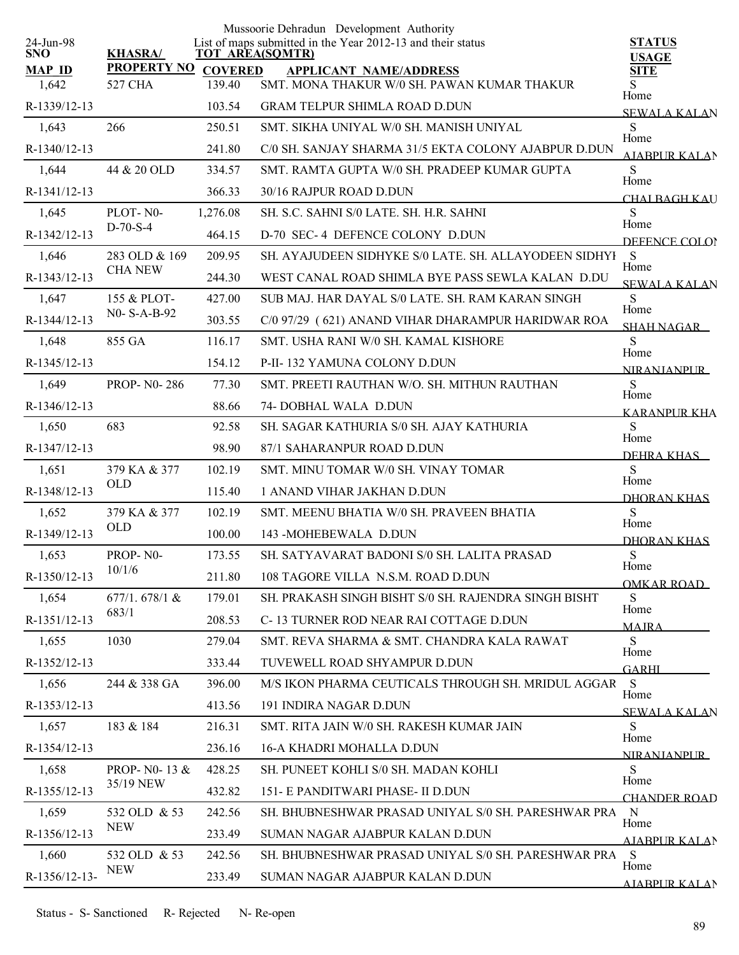|                         |                            |                | Mussoorie Dehradun Development Authority                                              |                               |
|-------------------------|----------------------------|----------------|---------------------------------------------------------------------------------------|-------------------------------|
| 24-Jun-98<br><b>SNO</b> | <b>KHASRA/</b>             |                | List of maps submitted in the Year 2012-13 and their status<br><b>TOT AREA(SQMTR)</b> | <b>STATUS</b><br><b>USAGE</b> |
| <b>MAP ID</b>           | <b>PROPERTY NO</b>         | <b>COVERED</b> | <b>APPLICANT NAME/ADDRESS</b>                                                         | SITE                          |
| 1,642                   | 527 CHA                    | 139.40         | SMT. MONA THAKUR W/0 SH. PAWAN KUMAR THAKUR                                           | Home                          |
| R-1339/12-13            |                            | 103.54         | <b>GRAM TELPUR SHIMLA ROAD D.DUN</b>                                                  | <b>SEWALA KALAN</b>           |
| 1,643                   | 266                        | 250.51         | SMT. SIKHA UNIYAL W/0 SH. MANISH UNIYAL                                               | S<br>Home                     |
| R-1340/12-13            |                            | 241.80         | C/0 SH. SANJAY SHARMA 31/5 EKTA COLONY AJABPUR D.DUN                                  | <b>AIABPUR KALAN</b>          |
| 1,644                   | 44 & 20 OLD                | 334.57         | SMT. RAMTA GUPTA W/0 SH. PRADEEP KUMAR GUPTA                                          | S<br>Home                     |
| R-1341/12-13            |                            | 366.33         | 30/16 RAJPUR ROAD D.DUN                                                               | CHAI BAGH KAU                 |
| 1,645                   | PLOT-N0-                   | 1,276.08       | SH. S.C. SAHNI S/0 LATE. SH. H.R. SAHNI                                               | S<br>Home                     |
| R-1342/12-13            | $D-70-S-4$                 | 464.15         | D-70 SEC-4 DEFENCE COLONY D.DUN                                                       | DEFENCE COLOR                 |
| 1,646                   | 283 OLD & 169              | 209.95         | SH. AYAJUDEEN SIDHYKE S/0 LATE. SH. ALLAYODEEN SIDHYI S                               | Home                          |
| R-1343/12-13            | <b>CHA NEW</b>             | 244.30         | WEST CANAL ROAD SHIMLA BYE PASS SEWLA KALAN D.DU                                      | <b>SEWALA KALAN</b>           |
| 1,647                   | 155 & PLOT-                | 427.00         | SUB MAJ. HAR DAYAL S/0 LATE, SH. RAM KARAN SINGH                                      | S                             |
| R-1344/12-13            | N0- S-A-B-92               | 303.55         | C/0 97/29 ( 621) ANAND VIHAR DHARAMPUR HARIDWAR ROA                                   | Home<br><b>SHAH NAGAR</b>     |
| 1,648                   | 855 GA                     | 116.17         | SMT. USHA RANI W/0 SH. KAMAL KISHORE                                                  | S                             |
| R-1345/12-13            |                            | 154.12         | P-II-132 YAMUNA COLONY D.DUN                                                          | Home<br><b>NIRANIANPUR</b>    |
| 1,649                   | <b>PROP-N0-286</b>         | 77.30          | SMT. PREETI RAUTHAN W/O. SH. MITHUN RAUTHAN                                           | S                             |
| R-1346/12-13            |                            | 88.66          | 74- DOBHAL WALA D.DUN                                                                 | Home<br><b>KARANPUR KHA</b>   |
| 1,650                   | 683                        | 92.58          | SH. SAGAR KATHURIA S/0 SH. AJAY KATHURIA                                              | S                             |
| R-1347/12-13            |                            | 98.90          | 87/1 SAHARANPUR ROAD D.DUN                                                            | Home                          |
| 1,651                   | 379 KA & 377               | 102.19         | SMT. MINU TOMAR W/0 SH. VINAY TOMAR                                                   | DEHRA KHAS<br>S               |
| R-1348/12-13            | <b>OLD</b>                 | 115.40         | 1 ANAND VIHAR JAKHAN D.DUN                                                            | Home                          |
| 1,652                   | 379 KA & 377               | 102.19         | SMT. MEENU BHATIA W/0 SH. PRAVEEN BHATIA                                              | <b>DHORAN KHAS</b><br>S       |
| R-1349/12-13            | <b>OLD</b>                 | 100.00         | 143 - MOHEBEWALA D.DUN                                                                | Home                          |
| 1,653                   | PROP-N0-                   | 173.55         | SH. SATYAVARAT BADONI S/0 SH. LALITA PRASAD                                           | DHORAN KHAS<br>S              |
| R-1350/12-13            | 10/1/6                     | 211.80         | 108 TAGORE VILLA N.S.M. ROAD D.DUN                                                    | Home                          |
| 1,654                   | 677/1.678/1 &              | 179.01         | SH. PRAKASH SINGH BISHT S/0 SH. RAJENDRA SINGH BISHT                                  | <b>OMKAR ROAD</b><br>S        |
| R-1351/12-13            | 683/1                      | 208.53         | C-13 TURNER ROD NEAR RAI COTTAGE D.DUN                                                | Home                          |
| 1,655                   | 1030                       | 279.04         | SMT. REVA SHARMA & SMT. CHANDRA KALA RAWAT                                            | <b>MAJRA</b><br>S             |
| R-1352/12-13            |                            | 333.44         | TUVEWELL ROAD SHYAMPUR D.DUN                                                          | Home                          |
| 1,656                   | 244 & 338 GA               | 396.00         | M/S IKON PHARMA CEUTICALS THROUGH SH. MRIDUL AGGAR                                    | GARHI<br>S                    |
| R-1353/12-13            |                            | 413.56         | 191 INDIRA NAGAR D.DUN                                                                | Home                          |
| 1,657                   | 183 & 184                  | 216.31         | SMT. RITA JAIN W/0 SH. RAKESH KUMAR JAIN                                              | <b>SEWALA KALAN</b><br>S      |
| R-1354/12-13            |                            | 236.16         | 16-A KHADRI MOHALLA D.DUN                                                             | Home                          |
| 1,658                   | <b>PROP-NO-13 &amp;</b>    | 428.25         | SH. PUNEET KOHLI S/0 SH. MADAN KOHLI                                                  | <b>NIRANIANPLIR</b><br>S      |
|                         | 35/19 NEW                  |                |                                                                                       | Home                          |
| R-1355/12-13            |                            | 432.82         | 151- E PANDITWARI PHASE- II D.DUN                                                     | CHANDER ROAD                  |
| 1,659                   | 532 OLD & 53<br>NEW        | 242.56         | SH. BHUBNESHWAR PRASAD UNIYAL S/0 SH. PARESHWAR PRA                                   | N<br>Home                     |
| R-1356/12-13            |                            | 233.49         | SUMAN NAGAR AJABPUR KALAN D.DUN                                                       | AJABPUR KALAN                 |
| 1,660                   | 532 OLD & 53<br><b>NEW</b> | 242.56         | SH. BHUBNESHWAR PRASAD UNIYAL S/0 SH. PARESHWAR PRA                                   | -S<br>Home                    |
| R-1356/12-13-           |                            | 233.49         | SUMAN NAGAR AJABPUR KALAN D.DUN                                                       | <b>AIARPUR KALAN</b>          |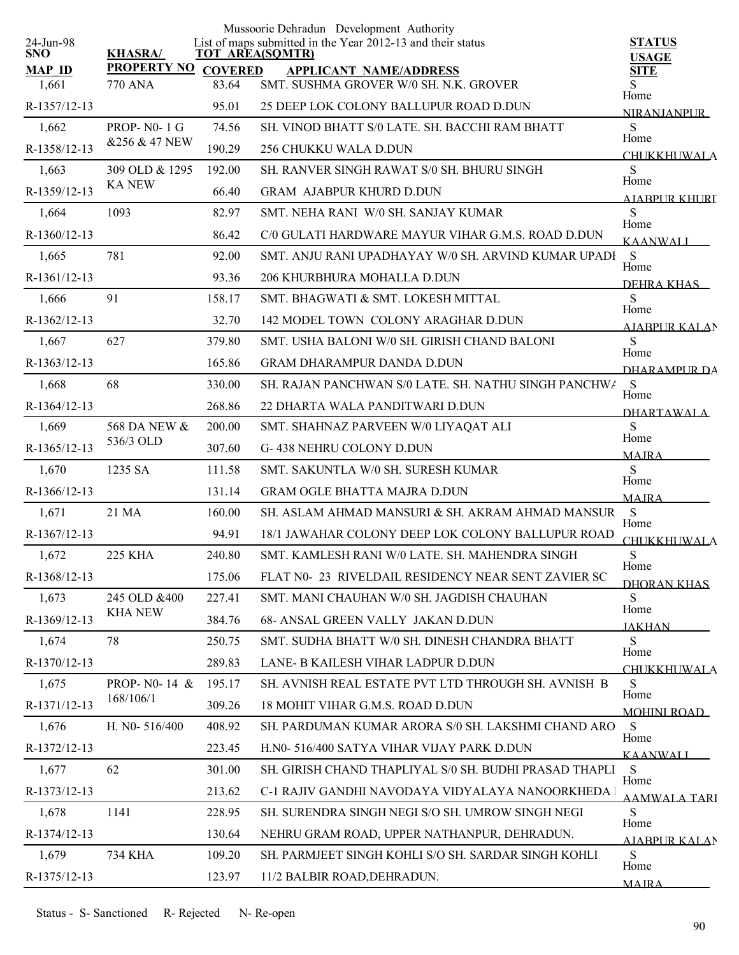|                         |                    |                        | Mussoorie Dehradun Development Authority<br>List of maps submitted in the Year 2012-13 and their status |                               |
|-------------------------|--------------------|------------------------|---------------------------------------------------------------------------------------------------------|-------------------------------|
| 24-Jun-98<br><b>SNO</b> | <b>KHASRA/</b>     | <b>TOT AREA(SQMTR)</b> |                                                                                                         | <b>STATUS</b><br><b>USAGE</b> |
| <b>MAP ID</b>           | <b>PROPERTY NO</b> | <b>COVERED</b>         | <b>APPLICANT NAME/ADDRESS</b>                                                                           | <b>SITE</b>                   |
| 1,661                   | 770 ANA            | 83.64                  | SMT. SUSHMA GROVER W/0 SH. N.K. GROVER                                                                  | S<br>Home                     |
| R-1357/12-13            |                    | 95.01                  | 25 DEEP LOK COLONY BALLUPUR ROAD D.DUN                                                                  | <b>NIRANJANPUR</b>            |
| 1,662                   | PROP- $N0-1$ G     | 74.56                  | SH. VINOD BHATT S/0 LATE. SH. BACCHI RAM BHATT                                                          | ${\bf S}$<br>Home             |
| R-1358/12-13            | &256 & 47 NEW      | 190.29                 | 256 CHUKKU WALA D.DUN                                                                                   | <b>CHUKKHUWALA</b>            |
| 1,663                   | 309 OLD & 1295     | 192.00                 | SH. RANVER SINGH RAWAT S/0 SH. BHURU SINGH                                                              | S<br>Home                     |
| R-1359/12-13            | <b>KA NEW</b>      | 66.40                  | <b>GRAM AJABPUR KHURD D.DUN</b>                                                                         | A JARPUR KHURI                |
| 1,664                   | 1093               | 82.97                  | SMT. NEHA RANI W/0 SH. SANJAY KUMAR                                                                     | S<br>Home                     |
| R-1360/12-13            |                    | 86.42                  | C/0 GULATI HARDWARE MAYUR VIHAR G.M.S. ROAD D.DUN                                                       | <b>KAANWALI</b>               |
| 1,665                   | 781                | 92.00                  | SMT. ANJU RANI UPADHAYAY W/0 SH. ARVIND KUMAR UPADI                                                     | <sub>S</sub><br>Home          |
| R-1361/12-13            |                    | 93.36                  | 206 KHURBHURA MOHALLA D.DUN                                                                             | DEHRA KHAS                    |
| 1,666                   | 91                 | 158.17                 | SMT. BHAGWATI & SMT. LOKESH MITTAL                                                                      | S<br>Home                     |
| R-1362/12-13            |                    | 32.70                  | 142 MODEL TOWN COLONY ARAGHAR D.DUN                                                                     | <b>AJABPUR KALAN</b>          |
| 1,667                   | 627                | 379.80                 | SMT. USHA BALONI W/0 SH. GIRISH CHAND BALONI                                                            | S                             |
| R-1363/12-13            |                    | 165.86                 | <b>GRAM DHARAMPUR DANDA D.DUN</b>                                                                       | Home<br>DHARAMPLIR DA         |
| 1,668                   | 68                 | 330.00                 | SH. RAJAN PANCHWAN S/0 LATE. SH. NATHU SINGH PANCHWA                                                    | <sub>S</sub>                  |
| R-1364/12-13            |                    | 268.86                 | 22 DHARTA WALA PANDITWARI D.DUN                                                                         | Home<br><b>DHARTAWALA</b>     |
| 1,669                   | 568 DA NEW &       | 200.00                 | SMT. SHAHNAZ PARVEEN W/0 LIYAQAT ALI                                                                    | S                             |
| R-1365/12-13            | 536/3 OLD          | 307.60                 | G-438 NEHRU COLONY D.DUN                                                                                | Home<br><b>MAJRA</b>          |
| 1,670                   | 1235 SA            | 111.58                 | SMT. SAKUNTLA W/0 SH. SURESH KUMAR                                                                      | S                             |
| R-1366/12-13            |                    | 131.14                 | <b>GRAM OGLE BHATTA MAJRA D.DUN</b>                                                                     | Home<br><b>MAJRA</b>          |
| 1,671                   | 21 MA              | 160.00                 | SH. ASLAM AHMAD MANSURI & SH. AKRAM AHMAD MANSUR                                                        | S                             |
| R-1367/12-13            |                    | 94.91                  | 18/1 JAWAHAR COLONY DEEP LOK COLONY BALLUPUR ROAD                                                       | Home<br><b>CHUKKHUWALA</b>    |
| 1,672                   | 225 KHA            | 240.80                 | SMT. KAMLESH RANI W/0 LATE. SH. MAHENDRA SINGH                                                          | ${\bf S}$                     |
| R-1368/12-13            |                    | 175.06                 | FLAT N0- 23 RIVELDAIL RESIDENCY NEAR SENT ZAVIER SC                                                     | Home<br>DHORAN KHAS           |
| 1,673                   | 245 OLD &400       | 227.41                 | SMT. MANI CHAUHAN W/0 SH. JAGDISH CHAUHAN                                                               | S                             |
| R-1369/12-13            | <b>KHA NEW</b>     | 384.76                 | 68- ANSAL GREEN VALLY JAKAN D.DUN                                                                       | Home<br><b>JAKHAN</b>         |
| 1,674                   | 78                 | 250.75                 | SMT. SUDHA BHATT W/0 SH. DINESH CHANDRA BHATT                                                           | S                             |
| R-1370/12-13            |                    | 289.83                 | LANE- B KAILESH VIHAR LADPUR D.DUN                                                                      | Home<br><b>CHUKKHUWALA</b>    |
| 1,675                   | PROP- N0-14 &      | 195.17                 | SH. AVNISH REAL ESTATE PVT LTD THROUGH SH. AVNISH B                                                     | ${\bf S}$                     |
| R-1371/12-13            | 168/106/1          | 309.26                 | 18 MOHIT VIHAR G.M.S. ROAD D.DUN                                                                        | Home<br><b>MOHINI ROAD</b>    |
| 1,676                   | H. NO-516/400      | 408.92                 | SH. PARDUMAN KUMAR ARORA S/0 SH. LAKSHMI CHAND ARO                                                      | S                             |
| R-1372/12-13            |                    | 223.45                 | H.N0-516/400 SATYA VIHAR VIJAY PARK D.DUN                                                               | Home<br><b>KAANWALI</b>       |
| 1,677                   | 62                 | 301.00                 | SH. GIRISH CHAND THAPLIYAL S/0 SH. BUDHI PRASAD THAPLI                                                  | S                             |
| R-1373/12-13            |                    | 213.62                 | C-1 RAJIV GANDHI NAVODAYA VIDYALAYA NANOORKHEDA 1                                                       | Home<br><b>AAMWALA TARI</b>   |
| 1,678                   | 1141               | 228.95                 | SH. SURENDRA SINGH NEGI S/O SH. UMROW SINGH NEGI                                                        | S                             |
| R-1374/12-13            |                    | 130.64                 | NEHRU GRAM ROAD, UPPER NATHANPUR, DEHRADUN.                                                             | Home<br>AJABPUR KALAN         |
| 1,679                   | 734 KHA            | 109.20                 | SH. PARMJEET SINGH KOHLI S/O SH. SARDAR SINGH KOHLI                                                     | S                             |
| R-1375/12-13            |                    | 123.97                 | 11/2 BALBIR ROAD, DEHRADUN.                                                                             | Home<br><b>MAIRA</b>          |
|                         |                    |                        |                                                                                                         |                               |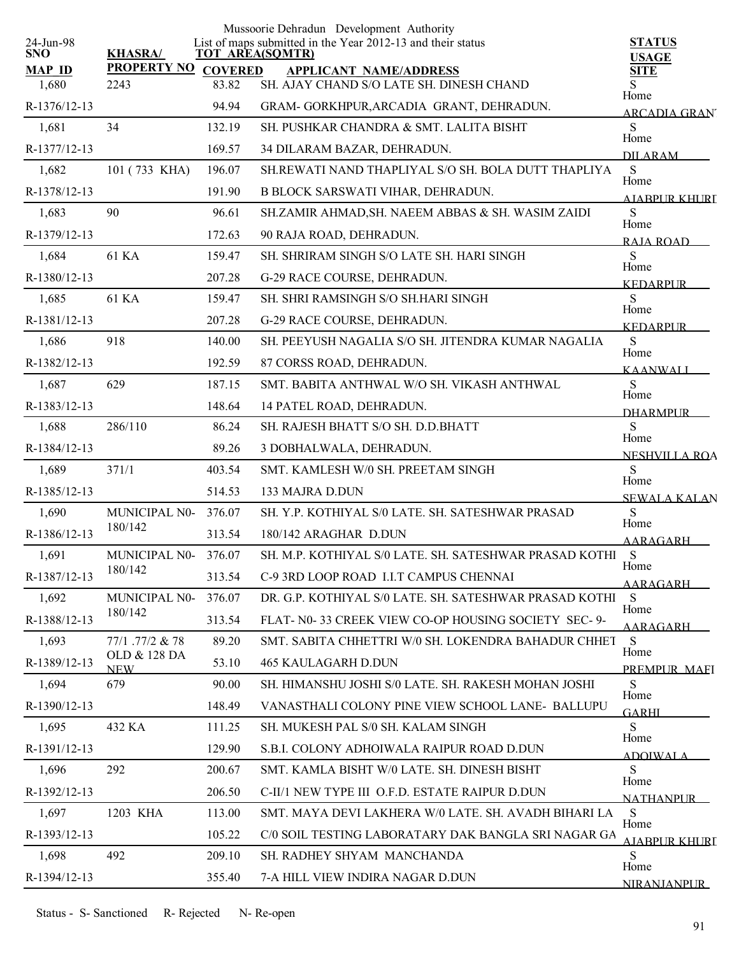| 24-Jun-98              |                                    |        | Mussoorie Dehradun Development Authority<br>List of maps submitted in the Year 2012-13 and their status | <b>STATUS</b>                |
|------------------------|------------------------------------|--------|---------------------------------------------------------------------------------------------------------|------------------------------|
| <b>SNO</b>             | <b>KHASRA/</b>                     |        | <b>TOT AREA(SQMTR)</b>                                                                                  | <b>USAGE</b>                 |
| <b>MAP ID</b><br>1,680 | <b>PROPERTY NO COVERED</b><br>2243 | 83.82  | <b>APPLICANT NAME/ADDRESS</b><br>SH. AJAY CHAND S/O LATE SH. DINESH CHAND                               | <b>SITE</b>                  |
| R-1376/12-13           |                                    | 94.94  | GRAM- GORKHPUR, ARCADIA GRANT, DEHRADUN.                                                                | Home                         |
| 1,681                  | 34                                 | 132.19 | SH. PUSHKAR CHANDRA & SMT. LALITA BISHT                                                                 | <b>ARCADIA GRAN</b><br>S     |
| R-1377/12-13           |                                    | 169.57 | 34 DILARAM BAZAR, DEHRADUN.                                                                             | Home                         |
| 1,682                  | 101 (733 KHA)                      | 196.07 | SH.REWATI NAND THAPLIYAL S/O SH. BOLA DUTT THAPLIYA                                                     | <b>DILARAM</b><br>S          |
| R-1378/12-13           |                                    | 191.90 | <b>B BLOCK SARSWATI VIHAR, DEHRADUN.</b>                                                                | Home                         |
| 1,683                  | 90                                 | 96.61  | SH.ZAMIR AHMAD, SH. NAEEM ABBAS & SH. WASIM ZAIDI                                                       | <b>AIABPUR KHURT</b><br>S    |
| R-1379/12-13           |                                    | 172.63 | 90 RAJA ROAD, DEHRADUN.                                                                                 | Home                         |
| 1,684                  | 61 KA                              | 159.47 | SH. SHRIRAM SINGH S/O LATE SH. HARI SINGH                                                               | RAIA ROAD<br>S               |
| R-1380/12-13           |                                    | 207.28 | G-29 RACE COURSE, DEHRADUN.                                                                             | Home                         |
| 1,685                  | 61 KA                              | 159.47 | SH. SHRI RAMSINGH S/O SH.HARI SINGH                                                                     | <b>KEDARPUR</b><br>S         |
| R-1381/12-13           |                                    | 207.28 | G-29 RACE COURSE, DEHRADUN.                                                                             | Home                         |
| 1,686                  | 918                                | 140.00 | SH. PEEYUSH NAGALIA S/O SH. JITENDRA KUMAR NAGALIA                                                      | <b>KEDARPUR</b><br>S         |
| R-1382/12-13           |                                    | 192.59 | 87 CORSS ROAD, DEHRADUN.                                                                                | Home                         |
| 1,687                  | 629                                | 187.15 | SMT. BABITA ANTHWAL W/O SH. VIKASH ANTHWAL                                                              | <b>KAANWALI</b><br>S         |
| R-1383/12-13           |                                    | 148.64 | 14 PATEL ROAD, DEHRADUN.                                                                                | Home                         |
| 1,688                  | 286/110                            | 86.24  | SH. RAJESH BHATT S/O SH. D.D.BHATT                                                                      | <b>DHARMPLIR</b><br>S        |
| R-1384/12-13           |                                    | 89.26  | 3 DOBHALWALA, DEHRADUN.                                                                                 | Home<br><b>NESHVILLA ROA</b> |
| 1,689                  | 371/1                              | 403.54 | SMT. KAMLESH W/0 SH. PREETAM SINGH                                                                      | S                            |
| R-1385/12-13           |                                    | 514.53 | 133 MAJRA D.DUN                                                                                         | Home<br><b>SEWALA KALAN</b>  |
| 1,690                  | MUNICIPAL N0-                      | 376.07 | SH. Y.P. KOTHIYAL S/0 LATE. SH. SATESHWAR PRASAD                                                        | S                            |
| R-1386/12-13           | 180/142                            | 313.54 | 180/142 ARAGHAR D.DUN                                                                                   | Home<br><b>AARAGARH</b>      |
| 1,691                  | MUNICIPAL N0-                      | 376.07 | SH. M.P. KOTHIYAL S/0 LATE. SH. SATESHWAR PRASAD KOTHI                                                  | <sub>S</sub>                 |
| R-1387/12-13           | 180/142                            | 313.54 | C-9 3RD LOOP ROAD I.I.T CAMPUS CHENNAI                                                                  | Home<br>AARAGARH             |
| 1,692                  | MUNICIPAL N0-                      | 376.07 | DR. G.P. KOTHIYAL S/0 LATE. SH. SATESHWAR PRASAD KOTHI                                                  | S                            |
| R-1388/12-13           | 180/142                            | 313.54 | FLAT- N0-33 CREEK VIEW CO-OP HOUSING SOCIETY SEC- 9-                                                    | Home<br>AARAGARH             |
| 1,693                  | 77/1 .77/2 & 78                    | 89.20  | SMT. SABITA CHHETTRI W/0 SH. LOKENDRA BAHADUR CHHET                                                     | S                            |
| R-1389/12-13           | OLD & 128 DA<br><b>NEW</b>         | 53.10  | <b>465 KAULAGARH D.DUN</b>                                                                              | Home<br>PREMPLIR MAFI        |
| 1,694                  | 679                                | 90.00  | SH. HIMANSHU JOSHI S/0 LATE. SH. RAKESH MOHAN JOSHI                                                     | S                            |
| R-1390/12-13           |                                    | 148.49 | VANASTHALI COLONY PINE VIEW SCHOOL LANE- BALLUPU                                                        | Home<br><b>GARHI</b>         |
| 1,695                  | 432 KA                             | 111.25 | SH. MUKESH PAL S/0 SH. KALAM SINGH                                                                      | S                            |
| R-1391/12-13           |                                    | 129.90 | S.B.I. COLONY ADHOIWALA RAIPUR ROAD D.DUN                                                               | Home<br><b>ADOIWALA</b>      |
| 1,696                  | 292                                | 200.67 | SMT. KAMLA BISHT W/0 LATE. SH. DINESH BISHT                                                             | S                            |
| R-1392/12-13           |                                    | 206.50 | C-II/1 NEW TYPE III O.F.D. ESTATE RAIPUR D.DUN                                                          | Home<br><b>NATHANPUR</b>     |
| 1,697                  | 1203 KHA                           | 113.00 | SMT. MAYA DEVI LAKHERA W/0 LATE. SH. AVADH BIHARI LA                                                    | S<br>Home                    |
| R-1393/12-13           |                                    | 105.22 | C/0 SOIL TESTING LABORATARY DAK BANGLA SRI NAGAR GA                                                     | AIABPUR KHURT                |
| 1,698                  | 492                                | 209.10 | SH. RADHEY SHYAM MANCHANDA                                                                              | S<br>Home                    |
| R-1394/12-13           |                                    | 355.40 | 7-A HILL VIEW INDIRA NAGAR D.DUN                                                                        | <b>NIRANJANPUR</b>           |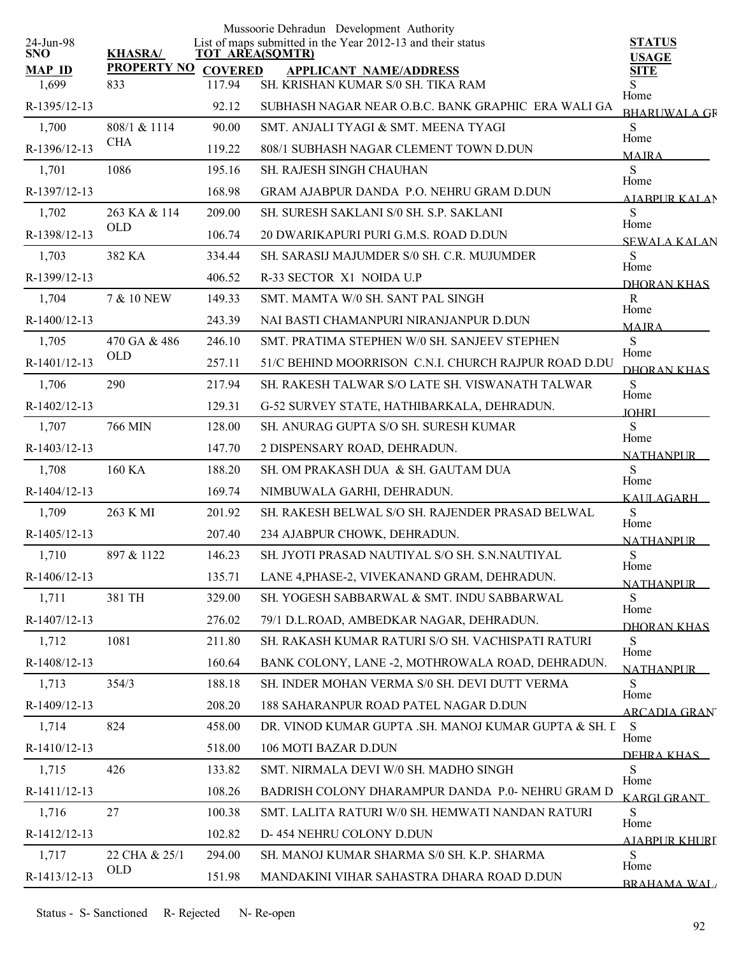| 24-Jun-98              |                           |                          | Mussoorie Dehradun Development Authority<br>List of maps submitted in the Year 2012-13 and their status | <b>STATUS</b>                |
|------------------------|---------------------------|--------------------------|---------------------------------------------------------------------------------------------------------|------------------------------|
| <b>SNO</b>             | <b>KHASRA/</b>            | <b>TOT AREA(SQMTR)</b>   |                                                                                                         | <b>USAGE</b>                 |
| <b>MAP ID</b><br>1,699 | <b>PROPERTY NO</b><br>833 | <b>COVERED</b><br>117.94 | <b>APPLICANT NAME/ADDRESS</b><br>SH. KRISHAN KUMAR S/0 SH. TIKA RAM                                     | <b>SITE</b><br>S.            |
| R-1395/12-13           |                           | 92.12                    | SUBHASH NAGAR NEAR O.B.C. BANK GRAPHIC ERA WALI GA                                                      | Home<br><b>BHARUWALA GR</b>  |
| 1,700                  | 808/1 & 1114              | 90.00                    | SMT. ANJALI TYAGI & SMT. MEENA TYAGI                                                                    | S                            |
| R-1396/12-13           | <b>CHA</b>                | 119.22                   | 808/1 SUBHASH NAGAR CLEMENT TOWN D.DUN                                                                  | Home<br><b>MAIRA</b>         |
| 1,701                  | 1086                      | 195.16                   | <b>SH. RAJESH SINGH CHAUHAN</b>                                                                         | S                            |
| R-1397/12-13           |                           | 168.98                   | GRAM AJABPUR DANDA P.O. NEHRU GRAM D.DUN                                                                | Home<br><b>AIABPUR KALAN</b> |
| 1,702                  | 263 KA & 114              | 209.00                   | SH. SURESH SAKLANI S/0 SH. S.P. SAKLANI                                                                 | S<br>Home                    |
| R-1398/12-13           | <b>OLD</b>                | 106.74                   | 20 DWARIKAPURI PURI G.M.S. ROAD D.DUN                                                                   | SEWALA KALAN                 |
| 1,703                  | 382 KA                    | 334.44                   | SH. SARASIJ MAJUMDER S/0 SH. C.R. MUJUMDER                                                              | S<br>Home                    |
| R-1399/12-13           |                           | 406.52                   | R-33 SECTOR X1 NOIDA U.P                                                                                | DHORAN KHAS                  |
| 1,704                  | 7 & 10 NEW                | 149.33                   | SMT. MAMTA W/0 SH. SANT PAL SINGH                                                                       | $\mathbf{R}$                 |
| R-1400/12-13           |                           | 243.39                   | NAI BASTI CHAMANPURI NIRANJANPUR D.DUN                                                                  | Home<br><b>MAJRA</b>         |
| 1,705                  | 470 GA & 486              | 246.10                   | SMT. PRATIMA STEPHEN W/0 SH. SANJEEV STEPHEN                                                            | S                            |
| R-1401/12-13           | <b>OLD</b>                | 257.11                   | 51/C BEHIND MOORRISON C.N.I. CHURCH RAJPUR ROAD D.DU                                                    | Home<br><b>DHORAN KHAS</b>   |
| 1,706                  | 290                       | 217.94                   | SH. RAKESH TALWAR S/O LATE SH. VISWANATH TALWAR                                                         | S                            |
| R-1402/12-13           |                           | 129.31                   | G-52 SURVEY STATE, HATHIBARKALA, DEHRADUN.                                                              | Home<br><b>IOHRI</b>         |
| 1,707                  | 766 MIN                   | 128.00                   | SH. ANURAG GUPTA S/O SH. SURESH KUMAR                                                                   | S<br>Home                    |
| R-1403/12-13           |                           | 147.70                   | 2 DISPENSARY ROAD, DEHRADUN.                                                                            | <b>NATHANPUR</b>             |
| 1,708                  | 160 KA                    | 188.20                   | SH. OM PRAKASH DUA & SH. GAUTAM DUA                                                                     | S<br>Home                    |
| R-1404/12-13           |                           | 169.74                   | NIMBUWALA GARHI, DEHRADUN.                                                                              | <b>KAULAGARH</b>             |
| 1,709                  | 263 K MI                  | 201.92                   | SH. RAKESH BELWAL S/O SH. RAJENDER PRASAD BELWAL                                                        | ${\bf S}$<br>Home            |
| R-1405/12-13           |                           | 207.40                   | 234 AJABPUR CHOWK, DEHRADUN.                                                                            | <b>NATHANPUR</b>             |
| 1,710                  | 897 & 1122                | 146.23                   | SH. JYOTI PRASAD NAUTIYAL S/O SH. S.N.NAUTIYAL                                                          | ${\bf S}$<br>Home            |
| R-1406/12-13           |                           | 135.71                   | LANE 4, PHASE-2, VIVEKANAND GRAM, DEHRADUN.                                                             | <b>NATHANPUR</b>             |
| 1,711                  | 381 TH                    | 329.00                   | SH. YOGESH SABBARWAL & SMT. INDU SABBARWAL                                                              | S                            |
| R-1407/12-13           |                           | 276.02                   | 79/1 D.L.ROAD, AMBEDKAR NAGAR, DEHRADUN.                                                                | Home<br>DHORAN KHAS          |
| 1,712                  | 1081                      | 211.80                   | SH. RAKASH KUMAR RATURI S/O SH. VACHISPATI RATURI                                                       | S                            |
| R-1408/12-13           |                           | 160.64                   | BANK COLONY, LANE -2, MOTHROWALA ROAD, DEHRADUN.                                                        | Home<br><b>NATHANPUR</b>     |
| 1,713                  | 354/3                     | 188.18                   | SH. INDER MOHAN VERMA S/0 SH. DEVI DUTT VERMA                                                           | S                            |
| R-1409/12-13           |                           | 208.20                   | 188 SAHARANPUR ROAD PATEL NAGAR D.DUN                                                                   | Home<br><b>ARCADIA GRAN</b>  |
| 1,714                  | 824                       | 458.00                   | DR. VINOD KUMAR GUPTA .SH. MANOJ KUMAR GUPTA & SH. L                                                    | - S                          |
| R-1410/12-13           |                           | 518.00                   | 106 MOTI BAZAR D.DUN                                                                                    | Home<br>DEHRA KHAS           |
| 1,715                  | 426                       | 133.82                   | SMT. NIRMALA DEVI W/0 SH. MADHO SINGH                                                                   | S                            |
| R-1411/12-13           |                           | 108.26                   | BADRISH COLONY DHARAMPUR DANDA P.0- NEHRU GRAM D                                                        | Home<br><u>KARGI GRANT</u>   |
| 1,716                  | 27                        | 100.38                   | SMT. LALITA RATURI W/0 SH. HEMWATI NANDAN RATURI                                                        | S                            |
| R-1412/12-13           |                           | 102.82                   | D-454 NEHRU COLONY D.DUN                                                                                | Home<br>AJABPUR KHURI        |
| 1,717                  | 22 CHA & 25/1             | 294.00                   | SH. MANOJ KUMAR SHARMA S/0 SH. K.P. SHARMA                                                              | S<br>Home                    |
| R-1413/12-13           | OLD                       | 151.98                   | MANDAKINI VIHAR SAHASTRA DHARA ROAD D.DUN                                                               | <b>BRAHAMA WAL</b>           |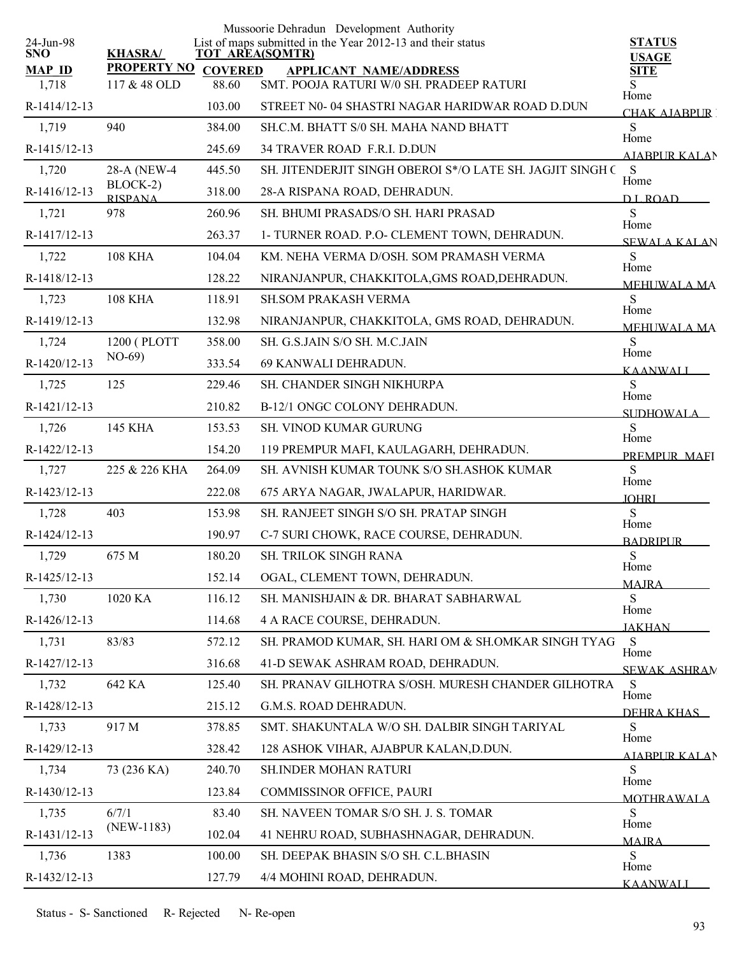|                         |                            |                        | Mussoorie Dehradun Development Authority                    |                               |
|-------------------------|----------------------------|------------------------|-------------------------------------------------------------|-------------------------------|
| 24-Jun-98<br><b>SNO</b> | <b>KHASRA/</b>             | <b>TOT AREA(SQMTR)</b> | List of maps submitted in the Year 2012-13 and their status | <b>STATUS</b><br><b>USAGE</b> |
| <b>MAP ID</b>           | <b>PROPERTY NO</b>         | <b>COVERED</b>         | <b>APPLICANT NAME/ADDRESS</b>                               | <b>SITE</b>                   |
| 1,718                   | 117 & 48 OLD               | 88.60                  | SMT. POOJA RATURI W/0 SH. PRADEEP RATURI                    | S.<br>Home                    |
| R-1414/12-13            |                            | 103.00                 | STREET N0-04 SHASTRI NAGAR HARIDWAR ROAD D.DUN              | <b>CHAK AJABPUR I</b>         |
| 1,719                   | 940                        | 384.00                 | SH.C.M. BHATT S/0 SH. MAHA NAND BHATT                       | S<br>Home                     |
| R-1415/12-13            |                            | 245.69                 | 34 TRAVER ROAD F.R.I. D.DUN                                 | AIABPUR KALAN                 |
| 1,720                   | 28-A (NEW-4)               | 445.50                 | SH. JITENDERJIT SINGH OBEROI S*/O LATE SH. JAGJIT SINGH C   | S<br>Home                     |
| R-1416/12-13            | BLOCK-2)<br><b>RISPANA</b> | 318.00                 | 28-A RISPANA ROAD, DEHRADUN.                                | D.L.ROAD                      |
| 1,721                   | 978                        | 260.96                 | SH. BHUMI PRASADS/O SH. HARI PRASAD                         | S<br>Home                     |
| R-1417/12-13            |                            | 263.37                 | 1- TURNER ROAD. P.O- CLEMENT TOWN, DEHRADUN.                | <b>SEWALA KALAN</b>           |
| 1,722                   | <b>108 KHA</b>             | 104.04                 | KM. NEHA VERMA D/OSH. SOM PRAMASH VERMA                     | S<br>Home                     |
| R-1418/12-13            |                            | 128.22                 | NIRANJANPUR, CHAKKITOLA, GMS ROAD, DEHRADUN.                | <b>MEHUWALA MA</b>            |
| 1,723                   | <b>108 KHA</b>             | 118.91                 | <b>SH.SOM PRAKASH VERMA</b>                                 | ${\bf S}$<br>Home             |
| R-1419/12-13            |                            | 132.98                 | NIRANJANPUR, CHAKKITOLA, GMS ROAD, DEHRADUN.                | <b>MEHUWALA MA</b>            |
| 1,724                   | 1200 (PLOTT                | 358.00                 | SH. G.S.JAIN S/O SH. M.C.JAIN                               | S<br>Home                     |
| R-1420/12-13            | $NO-69$                    | 333.54                 | 69 KANWALI DEHRADUN.                                        | <b>KAANWALI</b>               |
| 1,725                   | 125                        | 229.46                 | SH. CHANDER SINGH NIKHURPA                                  | S<br>Home                     |
| R-1421/12-13            |                            | 210.82                 | B-12/1 ONGC COLONY DEHRADUN.                                | SUDHOWAL A                    |
| 1,726                   | 145 KHA                    | 153.53                 | SH. VINOD KUMAR GURUNG                                      | S                             |
| R-1422/12-13            |                            | 154.20                 | 119 PREMPUR MAFI, KAULAGARH, DEHRADUN.                      | Home<br>PREMPLIR MAEI         |
| 1,727                   | 225 & 226 KHA              | 264.09                 | SH. AVNISH KUMAR TOUNK S/O SH.ASHOK KUMAR                   | S                             |
| R-1423/12-13            |                            | 222.08                 | 675 ARYA NAGAR, JWALAPUR, HARIDWAR.                         | Home<br><b>JOHRI</b>          |
| 1,728                   | 403                        | 153.98                 | SH. RANJEET SINGH S/O SH. PRATAP SINGH                      | S                             |
| R-1424/12-13            |                            | 190.97                 | C-7 SURI CHOWK, RACE COURSE, DEHRADUN.                      | Home<br><b>BADRIPUR</b>       |
| 1,729                   | 675 M                      | 180.20                 | SH. TRILOK SINGH RANA                                       | ${\bf S}$                     |
| R-1425/12-13            |                            | 152.14                 | OGAL, CLEMENT TOWN, DEHRADUN.                               | Home<br><b>MAIRA</b>          |
| 1,730                   | 1020 KA                    | 116.12                 | SH. MANISHJAIN & DR. BHARAT SABHARWAL                       | S                             |
| R-1426/12-13            |                            | 114.68                 | 4 A RACE COURSE, DEHRADUN.                                  | Home<br><b>JAKHAN</b>         |
| 1,731                   | 83/83                      | 572.12                 | SH. PRAMOD KUMAR, SH. HARI OM & SH.OMKAR SINGH TYAG         | S                             |
| R-1427/12-13            |                            | 316.68                 | 41-D SEWAK ASHRAM ROAD, DEHRADUN.                           | Home<br><b>SEWAK ASHRAN</b>   |
| 1,732                   | 642 KA                     | 125.40                 | SH. PRANAV GILHOTRA S/OSH. MURESH CHANDER GILHOTRA          | S                             |
| R-1428/12-13            |                            | 215.12                 | G.M.S. ROAD DEHRADUN.                                       | Home<br>DEHRA KHAS            |
| 1,733                   | 917 M                      | 378.85                 | SMT. SHAKUNTALA W/O SH. DALBIR SINGH TARIYAL                | S                             |
| R-1429/12-13            |                            | 328.42                 | 128 ASHOK VIHAR, AJABPUR KALAN, D.DUN.                      | Home<br>AIABPUR KALAN         |
| 1,734                   | 73 (236 KA)                | 240.70                 | SH.INDER MOHAN RATURI                                       | S                             |
| R-1430/12-13            |                            | 123.84                 | COMMISSINOR OFFICE, PAURI                                   | Home                          |
| 1,735                   | 6/7/1                      | 83.40                  | SH. NAVEEN TOMAR S/O SH. J. S. TOMAR                        | <b>MOTHRAWALA</b><br>S        |
| R-1431/12-13            | $(NEW-1183)$               | 102.04                 | 41 NEHRU ROAD, SUBHASHNAGAR, DEHRADUN.                      | Home                          |
| 1,736                   | 1383                       | 100.00                 | SH. DEEPAK BHASIN S/O SH. C.L.BHASIN                        | <b>MAIRA</b><br>S             |
| R-1432/12-13            |                            | 127.79                 | 4/4 MOHINI ROAD, DEHRADUN.                                  | Home                          |
|                         |                            |                        |                                                             | <b>KAANWALI</b>               |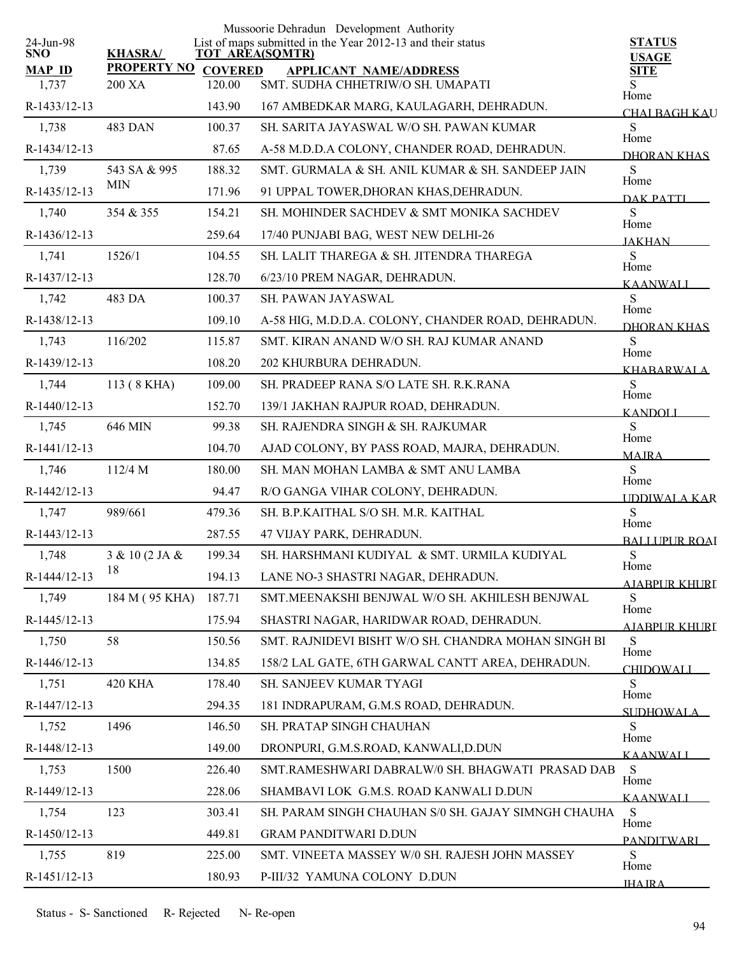| 24-Jun-98              |                               |        | Mussoorie Dehradun Development Authority<br>List of maps submitted in the Year 2012-13 and their status | <b>STATUS</b>                     |
|------------------------|-------------------------------|--------|---------------------------------------------------------------------------------------------------------|-----------------------------------|
| <b>SNO</b>             | <b>KHASRA/</b>                |        | <b>TOT AREA(SQMTR)</b>                                                                                  | <b>USAGE</b>                      |
| <b>MAP ID</b><br>1,737 | PROPERTY NO COVERED<br>200 XA | 120.00 | <b>APPLICANT NAME/ADDRESS</b><br>SMT. SUDHA CHHETRIW/O SH. UMAPATI                                      | <b>SITE</b><br>S                  |
| R-1433/12-13           |                               | 143.90 |                                                                                                         | Home                              |
|                        |                               |        | 167 AMBEDKAR MARG, KAULAGARH, DEHRADUN.                                                                 | CHAI BAGH KAU                     |
| 1,738                  | 483 DAN                       | 100.37 | SH. SARITA JAYASWAL W/O SH. PAWAN KUMAR                                                                 | S<br>Home                         |
| R-1434/12-13           |                               | 87.65  | A-58 M.D.D.A COLONY, CHANDER ROAD, DEHRADUN.                                                            | DHORAN KHAS                       |
| 1,739                  | 543 SA & 995<br><b>MIN</b>    | 188.32 | SMT. GURMALA & SH. ANIL KUMAR & SH. SANDEEP JAIN                                                        | S<br>Home                         |
| R-1435/12-13           |                               | 171.96 | 91 UPPAL TOWER, DHORAN KHAS, DEHRADUN.                                                                  | DAK PATTI                         |
| 1,740                  | 354 & 355                     | 154.21 | SH. MOHINDER SACHDEV & SMT MONIKA SACHDEV                                                               | S<br>Home                         |
| R-1436/12-13           |                               | 259.64 | 17/40 PUNJABI BAG, WEST NEW DELHI-26                                                                    | <b>JAKHAN</b>                     |
| 1,741                  | 1526/1                        | 104.55 | SH. LALIT THAREGA & SH. JITENDRA THAREGA                                                                | S<br>Home                         |
| R-1437/12-13           |                               | 128.70 | 6/23/10 PREM NAGAR, DEHRADUN.                                                                           | <b>KAANWALI</b>                   |
| 1,742                  | 483 DA                        | 100.37 | <b>SH. PAWAN JAYASWAL</b>                                                                               | S<br>Home                         |
| R-1438/12-13           |                               | 109.10 | A-58 HIG, M.D.D.A. COLONY, CHANDER ROAD, DEHRADUN.                                                      | <b>DHORAN KHAS</b>                |
| 1,743                  | 116/202                       | 115.87 | SMT. KIRAN ANAND W/O SH. RAJ KUMAR ANAND                                                                | S<br>Home                         |
| R-1439/12-13           |                               | 108.20 | 202 KHURBURA DEHRADUN.                                                                                  | <b>KHARARWALA</b>                 |
| 1,744                  | 113 (8 KHA)                   | 109.00 | SH. PRADEEP RANA S/O LATE SH. R.K.RANA                                                                  | S                                 |
| R-1440/12-13           |                               | 152.70 | 139/1 JAKHAN RAJPUR ROAD, DEHRADUN.                                                                     | Home<br><b>KANDOLI</b>            |
| 1,745                  | 646 MIN                       | 99.38  | SH. RAJENDRA SINGH & SH. RAJKUMAR                                                                       | S                                 |
| R-1441/12-13           |                               | 104.70 | AJAD COLONY, BY PASS ROAD, MAJRA, DEHRADUN.                                                             | Home<br><b>MAJRA</b>              |
| 1,746                  | 112/4 M                       | 180.00 | SH. MAN MOHAN LAMBA & SMT ANU LAMBA                                                                     | S                                 |
| R-1442/12-13           |                               | 94.47  | R/O GANGA VIHAR COLONY, DEHRADUN.                                                                       | Home<br><b>IDDIWALA KAR</b>       |
| 1,747                  | 989/661                       | 479.36 | SH. B.P.KAITHAL S/O SH. M.R. KAITHAL                                                                    | S                                 |
| R-1443/12-13           |                               | 287.55 | 47 VIJAY PARK, DEHRADUN.                                                                                | Home                              |
| 1,748                  | 3 & 10 (2 JA &                | 199.34 | SH. HARSHMANI KUDIYAL & SMT. URMILA KUDIYAL                                                             | <b>BALLUPUR ROAI</b><br>${\bf S}$ |
| R-1444/12-13           | 18                            | 194.13 | LANE NO-3 SHASTRI NAGAR, DEHRADUN.                                                                      | Home                              |
| 1,749                  | 184 M (95 KHA)                | 187.71 | SMT.MEENAKSHI BENJWAL W/O SH. AKHILESH BENJWAL                                                          | AJABPUR KHURI<br>S.               |
| R-1445/12-13           |                               | 175.94 | SHASTRI NAGAR, HARIDWAR ROAD, DEHRADUN.                                                                 | Home                              |
| 1,750                  | 58                            | 150.56 | SMT. RAJNIDEVI BISHT W/O SH. CHANDRA MOHAN SINGH BI                                                     | AJABPUR KHURI<br>S                |
| R-1446/12-13           |                               | 134.85 | 158/2 LAL GATE, 6TH GARWAL CANTT AREA, DEHRADUN.                                                        | Home                              |
| 1,751                  | <b>420 KHA</b>                | 178.40 | <b>SH. SANJEEV KUMAR TYAGI</b>                                                                          | <b>CHIDOWALI</b><br>S             |
| R-1447/12-13           |                               | 294.35 | 181 INDRAPURAM, G.M.S ROAD, DEHRADUN.                                                                   | Home                              |
| 1,752                  | 1496                          | 146.50 | SH. PRATAP SINGH CHAUHAN                                                                                | SUDHOWAL A<br>S                   |
| R-1448/12-13           |                               | 149.00 | DRONPURI, G.M.S.ROAD, KANWALI, D.DUN                                                                    | Home                              |
| 1,753                  | 1500                          | 226.40 | SMT.RAMESHWARI DABRALW/0 SH. BHAGWATI PRASAD DAB                                                        | <b>KAANWALI</b><br>S              |
|                        |                               |        | SHAMBAVI LOK G.M.S. ROAD KANWALI D.DUN                                                                  | Home                              |
| R-1449/12-13           | 123                           | 228.06 |                                                                                                         | <b>KAANWALI</b><br>S              |
| 1,754                  |                               | 303.41 | SH. PARAM SINGH CHAUHAN S/0 SH. GAJAY SIMNGH CHAUHA                                                     | Home                              |
| R-1450/12-13           |                               | 449.81 | <b>GRAM PANDITWARI D.DUN</b>                                                                            | <b>PANDITWARI</b>                 |
| 1,755                  | 819                           | 225.00 | SMT. VINEETA MASSEY W/0 SH. RAJESH JOHN MASSEY                                                          | S<br>Home                         |
| R-1451/12-13           |                               | 180.93 | P-III/32 YAMUNA COLONY D.DUN                                                                            | <b>IHAIRA</b>                     |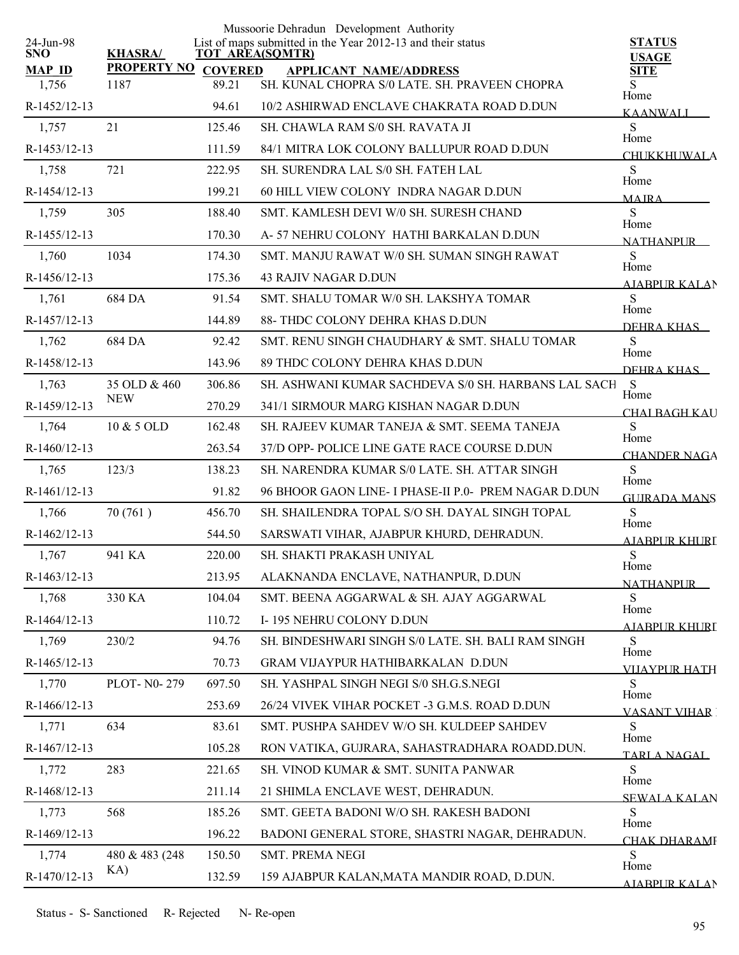|                         |                     |        | Mussoorie Dehradun Development Authority                                              |                                     |
|-------------------------|---------------------|--------|---------------------------------------------------------------------------------------|-------------------------------------|
| 24-Jun-98<br><b>SNO</b> | <b>KHASRA/</b>      |        | List of maps submitted in the Year 2012-13 and their status<br><b>TOT AREA(SQMTR)</b> | <b>STATUS</b><br><b>USAGE</b>       |
| <b>MAP ID</b>           | PROPERTY NO COVERED |        | <b>APPLICANT NAME/ADDRESS</b>                                                         | <b>SITE</b>                         |
| 1,756                   | 1187                | 89.21  | SH. KUNAL CHOPRA S/0 LATE. SH. PRAVEEN CHOPRA                                         | Home                                |
| R-1452/12-13            |                     | 94.61  | 10/2 ASHIRWAD ENCLAVE CHAKRATA ROAD D.DUN                                             | <b>KAANWALI</b>                     |
| 1,757                   | 21                  | 125.46 | SH. CHAWLA RAM S/0 SH. RAVATA JI                                                      | S<br>Home                           |
| R-1453/12-13            |                     | 111.59 | 84/1 MITRA LOK COLONY BALLUPUR ROAD D.DUN                                             | <b>CHUKKHUWALA</b>                  |
| 1,758                   | 721                 | 222.95 | SH. SURENDRA LAL S/0 SH. FATEH LAL                                                    | S<br>Home                           |
| R-1454/12-13            |                     | 199.21 | 60 HILL VIEW COLONY INDRA NAGAR D.DUN                                                 | <b>MAIRA</b>                        |
| 1,759                   | 305                 | 188.40 | SMT. KAMLESH DEVI W/0 SH. SURESH CHAND                                                | S<br>Home                           |
| R-1455/12-13            |                     | 170.30 | A-57 NEHRU COLONY HATHI BARKALAN D.DUN                                                | <b>NATHANPLIR</b>                   |
| 1,760                   | 1034                | 174.30 | SMT. MANJU RAWAT W/0 SH. SUMAN SINGH RAWAT                                            | S                                   |
| R-1456/12-13            |                     | 175.36 | <b>43 RAJIV NAGAR D.DUN</b>                                                           | Home<br>AIABPUR KALAN               |
| 1,761                   | 684 DA              | 91.54  | SMT. SHALU TOMAR W/0 SH. LAKSHYA TOMAR                                                | <sub>S</sub>                        |
| R-1457/12-13            |                     | 144.89 | 88- THDC COLONY DEHRA KHAS D.DUN                                                      | Home<br>DEHRA KHAS                  |
| 1,762                   | 684 DA              | 92.42  | SMT. RENU SINGH CHAUDHARY & SMT. SHALU TOMAR                                          | S                                   |
| R-1458/12-13            |                     | 143.96 | 89 THDC COLONY DEHRA KHAS D.DUN                                                       | Home<br>DEHRA KHAS                  |
| 1,763                   | 35 OLD & 460        | 306.86 | SH. ASHWANI KUMAR SACHDEVA S/0 SH. HARBANS LAL SACH                                   | <sub>S</sub>                        |
| R-1459/12-13            | <b>NEW</b>          | 270.29 | 341/1 SIRMOUR MARG KISHAN NAGAR D.DUN                                                 | Home<br><b>CHAI BAGH KAU</b>        |
| 1,764                   | 10 & 5 OLD          | 162.48 | SH. RAJEEV KUMAR TANEJA & SMT. SEEMA TANEJA                                           | S                                   |
| $R-1460/12-13$          |                     | 263.54 | 37/D OPP- POLICE LINE GATE RACE COURSE D.DUN                                          | Home                                |
| 1,765                   | 123/3               | 138.23 | SH. NARENDRA KUMAR S/0 LATE. SH. ATTAR SINGH                                          | <b>CHANDER NAGA</b><br>S            |
| $R-1461/12-13$          |                     | 91.82  | 96 BHOOR GAON LINE- I PHASE-II P.0- PREM NAGAR D.DUN                                  | Home                                |
| 1,766                   | 70(761)             | 456.70 | SH. SHAILENDRA TOPAL S/O SH. DAYAL SINGH TOPAL                                        | <b>GUIRADA MANS</b><br>S            |
| R-1462/12-13            |                     | 544.50 | SARSWATI VIHAR, AJABPUR KHURD, DEHRADUN.                                              | Home                                |
| 1,767                   | 941 KA              | 220.00 | SH. SHAKTI PRAKASH UNIYAL                                                             | <b>AJABPUR KHURL</b><br>${\bf S}$   |
| R-1463/12-13            |                     | 213.95 | ALAKNANDA ENCLAVE, NATHANPUR, D.DUN                                                   | Home                                |
| 1,768                   | 330 KA              | 104.04 | SMT. BEENA AGGARWAL & SH. AJAY AGGARWAL                                               | <b>NATHANPUR</b><br>S               |
| R-1464/12-13            |                     | 110.72 | I-195 NEHRU COLONY D.DUN                                                              | Home                                |
| 1,769                   | 230/2               | 94.76  | SH. BINDESHWARI SINGH S/0 LATE. SH. BALI RAM SINGH                                    | <b>AJABPUR KHURI</b><br>S           |
| R-1465/12-13            |                     | 70.73  | GRAM VIJAYPUR HATHIBARKALAN D.DUN                                                     | Home                                |
| 1,770                   | PLOT-N0-279         | 697.50 | SH. YASHPAL SINGH NEGI S/0 SH.G.S.NEGI                                                | <b>VIJAYPUR HATH</b><br>S           |
| R-1466/12-13            |                     | 253.69 | 26/24 VIVEK VIHAR POCKET -3 G.M.S. ROAD D.DUN                                         | Home                                |
| 1,771                   | 634                 | 83.61  | SMT. PUSHPA SAHDEV W/O SH. KULDEEP SAHDEV                                             | <b>VASANT VIHAR</b><br>S            |
| R-1467/12-13            |                     | 105.28 | RON VATIKA, GUJRARA, SAHASTRADHARA ROADD.DUN.                                         | Home                                |
| 1,772                   | 283                 | 221.65 | SH. VINOD KUMAR & SMT. SUNITA PANWAR                                                  | TARLA NAGAL<br>S                    |
| R-1468/12-13            |                     | 211.14 | 21 SHIMLA ENCLAVE WEST, DEHRADUN.                                                     | Home                                |
| 1,773                   | 568                 | 185.26 | SMT. GEETA BADONI W/O SH. RAKESH BADONI                                               | <b>SEWALA KALAN</b><br><sub>S</sub> |
| R-1469/12-13            |                     | 196.22 | BADONI GENERAL STORE, SHASTRI NAGAR, DEHRADUN.                                        | Home                                |
| 1,774                   | 480 & 483 (248)     | 150.50 | SMT. PREMA NEGI                                                                       | <b>CHAK DHARAMI</b><br>S            |
| R-1470/12-13            | KA)                 | 132.59 | 159 AJABPUR KALAN, MATA MANDIR ROAD, D.DUN.                                           | Home                                |
|                         |                     |        |                                                                                       | <b>AJARPUR KALAN</b>                |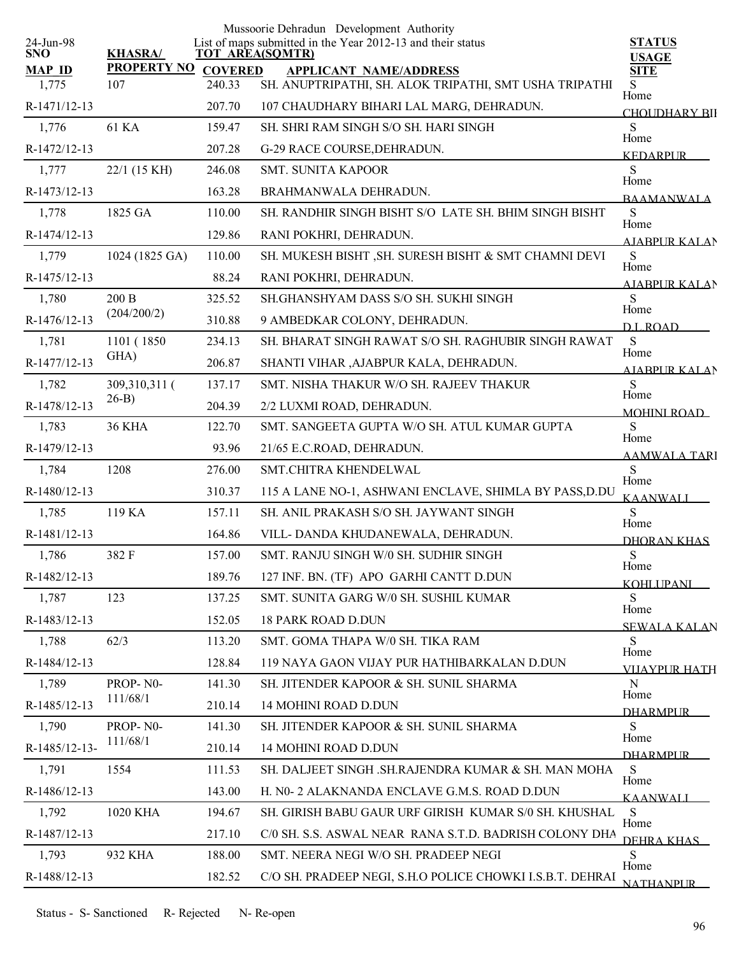|                         |                    |                | Mussoorie Dehradun Development Authority                                              |                               |
|-------------------------|--------------------|----------------|---------------------------------------------------------------------------------------|-------------------------------|
| 24-Jun-98<br><b>SNO</b> | <b>KHASRA/</b>     |                | List of maps submitted in the Year 2012-13 and their status<br><b>TOT AREA(SQMTR)</b> | <b>STATUS</b><br><b>USAGE</b> |
| <b>MAP ID</b>           | <b>PROPERTY NO</b> | <b>COVERED</b> | <b>APPLICANT NAME/ADDRESS</b>                                                         | <b>SITE</b>                   |
| 1,775                   | 107                | 240.33         | SH. ANUPTRIPATHI, SH. ALOK TRIPATHI, SMT USHA TRIPATHI                                | S.<br>Home                    |
| R-1471/12-13            |                    | 207.70         | 107 CHAUDHARY BIHARI LAL MARG, DEHRADUN.                                              | <b>CHOUDHARY BII</b>          |
| 1,776                   | 61 KA              | 159.47         | SH. SHRI RAM SINGH S/O SH. HARI SINGH                                                 | S<br>Home                     |
| R-1472/12-13            |                    | 207.28         | G-29 RACE COURSE, DEHRADUN.                                                           | <b>KEDARPUR</b>               |
| 1,777                   | 22/1 (15 KH)       | 246.08         | <b>SMT. SUNITA KAPOOR</b>                                                             | S<br>Home                     |
| R-1473/12-13            |                    | 163.28         | BRAHMANWALA DEHRADUN.                                                                 | <b>BAAMANWALA</b>             |
| 1,778                   | 1825 GA            | 110.00         | SH. RANDHIR SINGH BISHT S/O LATE SH. BHIM SINGH BISHT                                 | S<br>Home                     |
| R-1474/12-13            |                    | 129.86         | RANI POKHRI, DEHRADUN.                                                                | <b>AIABPURKALAN</b>           |
| 1,779                   | 1024 (1825 GA)     | 110.00         | SH. MUKESH BISHT , SH. SURESH BISHT & SMT CHAMNI DEVI                                 | S<br>Home                     |
| R-1475/12-13            |                    | 88.24          | RANI POKHRI, DEHRADUN.                                                                | <b>AIABPUR KALAN</b>          |
| 1,780                   | 200B               | 325.52         | SH.GHANSHYAM DASS S/O SH. SUKHI SINGH                                                 | S                             |
| R-1476/12-13            | (204/200/2)        | 310.88         | 9 AMBEDKAR COLONY, DEHRADUN.                                                          | Home<br>D.L.ROAD              |
| 1,781                   | 1101 (1850)        | 234.13         | SH. BHARAT SINGH RAWAT S/O SH. RAGHUBIR SINGH RAWAT                                   | S                             |
| R-1477/12-13            | GHA)               | 206.87         | SHANTI VIHAR ,AJABPUR KALA, DEHRADUN.                                                 | Home<br><b>AIABPUR KALAN</b>  |
| 1,782                   | 309,310,311 (      | 137.17         | SMT. NISHA THAKUR W/O SH. RAJEEV THAKUR                                               | S                             |
| R-1478/12-13            | $26-B$ )           | 204.39         | 2/2 LUXMI ROAD, DEHRADUN.                                                             | Home<br><b>MOHINI ROAD</b>    |
| 1,783                   | <b>36 KHA</b>      | 122.70         | SMT. SANGEETA GUPTA W/O SH. ATUL KUMAR GUPTA                                          | S                             |
| R-1479/12-13            |                    | 93.96          | 21/65 E.C.ROAD, DEHRADUN.                                                             | Home<br><b>AAMWALA TARI</b>   |
| 1,784                   | 1208               | 276.00         | SMT.CHITRA KHENDELWAL                                                                 | S                             |
| R-1480/12-13            |                    | 310.37         | 115 A LANE NO-1, ASHWANI ENCLAVE, SHIMLA BY PASS, D.DU                                | Home<br>KAANWALI              |
| 1,785                   | 119 KA             | 157.11         | SH. ANIL PRAKASH S/O SH. JAYWANT SINGH                                                | S                             |
| R-1481/12-13            |                    | 164.86         | VILL-DANDA KHUDANEWALA, DEHRADUN.                                                     | Home<br>DHORAN KHAS           |
| 1,786                   | 382 F              | 157.00         | SMT. RANJU SINGH W/0 SH. SUDHIR SINGH                                                 | S                             |
| R-1482/12-13            |                    | 189.76         | 127 INF. BN. (TF) APO GARHI CANTT D.DUN                                               | Home<br><u>KOHLI IPANI – </u> |
| 1,787                   | 123                | 137.25         | SMT. SUNITA GARG W/0 SH. SUSHIL KUMAR                                                 | S.                            |
| R-1483/12-13            |                    | 152.05         | <b>18 PARK ROAD D.DUN</b>                                                             | Home<br><b>SEWALA KALAN</b>   |
| 1,788                   | 62/3               | 113.20         | SMT. GOMA THAPA W/0 SH. TIKA RAM                                                      | S.                            |
| R-1484/12-13            |                    | 128.84         | 119 NAYA GAON VIJAY PUR HATHIBARKALAN D.DUN                                           | Home<br><b>VIIAYPUR HATH</b>  |
| 1,789                   | PROP-N0-           | 141.30         | SH. JITENDER KAPOOR & SH. SUNIL SHARMA                                                | N                             |
| R-1485/12-13            | 111/68/1           | 210.14         | <b>14 MOHINI ROAD D.DUN</b>                                                           | Home<br><b>DHARMPLIR</b>      |
| 1,790                   | PROP-NO-           | 141.30         | SH. JITENDER KAPOOR & SH. SUNIL SHARMA                                                | S                             |
| R-1485/12-13-           | 111/68/1           | 210.14         | 14 MOHINI ROAD D.DUN                                                                  | Home<br><b>DHARMPLIR</b>      |
| 1,791                   | 1554               | 111.53         | SH. DALJEET SINGH .SH.RAJENDRA KUMAR & SH. MAN MOHA                                   | S                             |
| R-1486/12-13            |                    | 143.00         | H. N0- 2 ALAKNANDA ENCLAVE G.M.S. ROAD D.DUN                                          | Home<br><b>KAANWALI</b>       |
| 1,792                   | 1020 KHA           | 194.67         | SH. GIRISH BABU GAUR URF GIRISH KUMAR S/0 SH. KHUSHAL                                 | S                             |
| R-1487/12-13            |                    | 217.10         | C/0 SH. S.S. ASWAL NEAR RANA S.T.D. BADRISH COLONY DHA                                | Home                          |
| 1,793                   | 932 KHA            | 188.00         | SMT. NEERA NEGI W/O SH. PRADEEP NEGI                                                  | DEHRA KHAS<br>S               |
| R-1488/12-13            |                    | 182.52         | C/O SH. PRADEEP NEGI, S.H.O POLICE CHOWKI I.S.B.T. DEHRAI                             | Home                          |
|                         |                    |                |                                                                                       | <b>NATHANPLIR</b>             |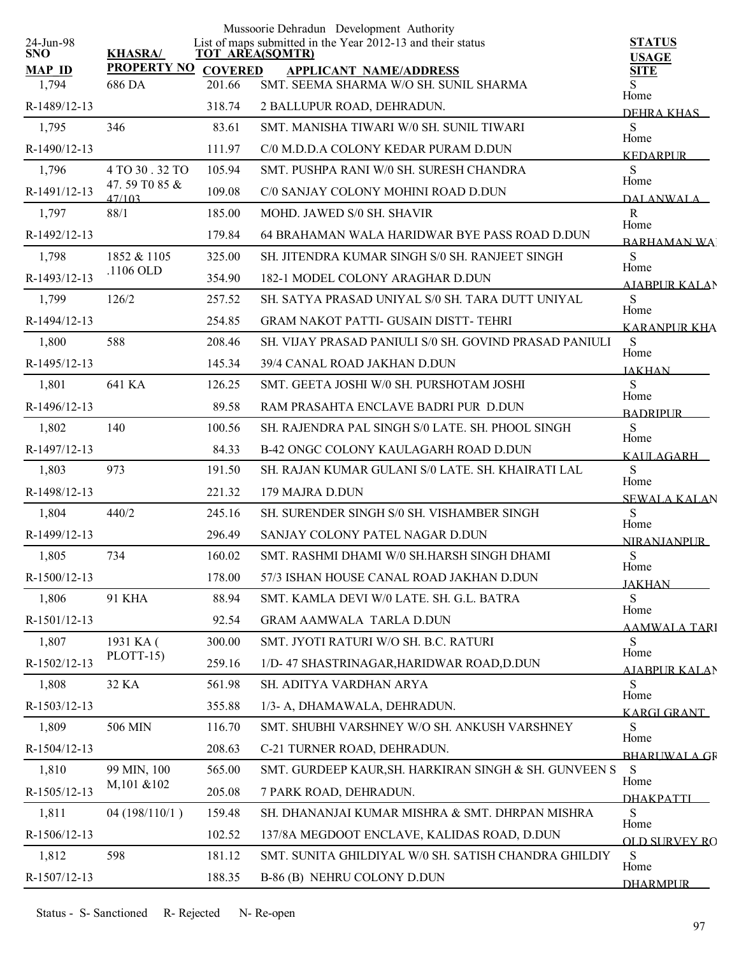|                         |                                  |                        | Mussoorie Dehradun Development Authority                    |                               |
|-------------------------|----------------------------------|------------------------|-------------------------------------------------------------|-------------------------------|
| 24-Jun-98<br><b>SNO</b> | <b>KHASRA/</b>                   | <b>TOT AREA(SQMTR)</b> | List of maps submitted in the Year 2012-13 and their status | <b>STATUS</b><br><b>USAGE</b> |
| <b>MAP ID</b>           | <b>PROPERTY NO</b>               | <b>COVERED</b>         | <b>APPLICANT NAME/ADDRESS</b>                               | <b>SITE</b>                   |
| 1,794                   | 686 DA                           | 201.66                 | SMT. SEEMA SHARMA W/O SH. SUNIL SHARMA                      | S<br>Home                     |
| R-1489/12-13            |                                  | 318.74                 | 2 BALLUPUR ROAD, DEHRADUN.                                  | DEHRA KHAS                    |
| 1,795                   | 346                              | 83.61                  | SMT. MANISHA TIWARI W/0 SH. SUNIL TIWARI                    | S<br>Home                     |
| R-1490/12-13            |                                  | 111.97                 | C/0 M.D.D.A COLONY KEDAR PURAM D.DUN                        | <b>KEDARPUR</b>               |
| 1,796                   | 4 TO 30 . 32 TO<br>47.59 T0 85 & | 105.94                 | SMT. PUSHPA RANI W/0 SH. SURESH CHANDRA                     | S<br>Home                     |
| R-1491/12-13            | 47/103                           | 109.08                 | C/0 SANJAY COLONY MOHINI ROAD D.DUN                         | <b>DALANWALA</b>              |
| 1,797                   | 88/1                             | 185.00                 | MOHD. JAWED S/0 SH. SHAVIR                                  | ${\bf R}$<br>Home             |
| R-1492/12-13            |                                  | 179.84                 | 64 BRAHAMAN WALA HARIDWAR BYE PASS ROAD D.DUN               | <b>BARHAMAN WA</b>            |
| 1,798                   | 1852 & 1105                      | 325.00                 | SH. JITENDRA KUMAR SINGH S/0 SH. RANJEET SINGH              | S<br>Home                     |
| R-1493/12-13            | .1106 OLD                        | 354.90                 | 182-1 MODEL COLONY ARAGHAR D.DUN                            | <b>ATABPUR KALAN</b>          |
| 1,799                   | 126/2                            | 257.52                 | SH. SATYA PRASAD UNIYAL S/0 SH. TARA DUTT UNIYAL            | S<br>Home                     |
| R-1494/12-13            |                                  | 254.85                 | <b>GRAM NAKOT PATTI- GUSAIN DISTT- TEHRI</b>                | <b>KARANPUR KHA</b>           |
| 1,800                   | 588                              | 208.46                 | SH. VIJAY PRASAD PANIULI S/0 SH. GOVIND PRASAD PANIULI      | S<br>Home                     |
| R-1495/12-13            |                                  | 145.34                 | 39/4 CANAL ROAD JAKHAN D.DUN                                | <b>JAKHAN</b>                 |
| 1,801                   | 641 KA                           | 126.25                 | SMT. GEETA JOSHI W/0 SH. PURSHOTAM JOSHI                    | S<br>Home                     |
| R-1496/12-13            |                                  | 89.58                  | RAM PRASAHTA ENCLAVE BADRI PUR D.DUN                        | <b>BADRIPLIR</b>              |
| 1,802                   | 140                              | 100.56                 | SH. RAJENDRA PAL SINGH S/0 LATE. SH. PHOOL SINGH            | S<br>Home                     |
| R-1497/12-13            |                                  | 84.33                  | B-42 ONGC COLONY KAULAGARH ROAD D.DUN                       | KAULAGARH                     |
| 1,803                   | 973                              | 191.50                 | SH. RAJAN KUMAR GULANI S/0 LATE. SH. KHAIRATI LAL           | S<br>Home                     |
| R-1498/12-13            |                                  | 221.32                 | 179 MAJRA D.DUN                                             | <b>SEWALA KALAN</b>           |
| 1,804                   | 440/2                            | 245.16                 | SH. SURENDER SINGH S/0 SH. VISHAMBER SINGH                  | S<br>Home                     |
| R-1499/12-13            |                                  | 296.49                 | SANJAY COLONY PATEL NAGAR D.DUN                             | <b>NIRANJANPUR</b>            |
| 1,805                   | 734                              | 160.02                 | SMT. RASHMI DHAMI W/0 SH.HARSH SINGH DHAMI                  | S<br>Home                     |
| R-1500/12-13            |                                  | 178.00                 | 57/3 ISHAN HOUSE CANAL ROAD JAKHAN D.DUN                    | <b>JAKHAN</b>                 |
| 1,806                   | <b>91 KHA</b>                    | 88.94                  | SMT. KAMLA DEVI W/0 LATE. SH. G.L. BATRA                    | S                             |
| R-1501/12-13            |                                  | 92.54                  | <b>GRAM AAMWALA TARLA D.DUN</b>                             | Home<br><b>AAMWALA TARI</b>   |
| 1,807                   | 1931 KA (                        | 300.00                 | SMT. JYOTI RATURI W/O SH. B.C. RATURI                       | S<br>Home                     |
| R-1502/12-13            | PLOTT-15)                        | 259.16                 | 1/D-47 SHASTRINAGAR, HARIDWAR ROAD, D.DUN                   | <u>AJABPUR KALA</u> N         |
| 1,808                   | 32 KA                            | 561.98                 | SH. ADITYA VARDHAN ARYA                                     | S.                            |
| R-1503/12-13            |                                  | 355.88                 | 1/3- A, DHAMAWALA, DEHRADUN.                                | Home<br><b>KARGI GRANT</b>    |
| 1,809                   | 506 MIN                          | 116.70                 | SMT. SHUBHI VARSHNEY W/O SH. ANKUSH VARSHNEY                | S                             |
| R-1504/12-13            |                                  | 208.63                 | C-21 TURNER ROAD, DEHRADUN.                                 | Home<br><b>BHARLIWALA GR</b>  |
| 1,810                   | 99 MIN, 100                      | 565.00                 | SMT. GURDEEP KAUR, SH. HARKIRAN SINGH & SH. GUNVEEN S       | S<br>Home                     |
| R-1505/12-13            | M,101 &102                       | 205.08                 | 7 PARK ROAD, DEHRADUN.                                      | <b>DHAKPATTI</b>              |
| 1,811                   | 04(198/110/1)                    | 159.48                 | SH. DHANANJAI KUMAR MISHRA & SMT. DHRPAN MISHRA             | S                             |
| R-1506/12-13            |                                  | 102.52                 | 137/8A MEGDOOT ENCLAVE, KALIDAS ROAD, D.DUN                 | Home<br><b>OLD SURVEY RO</b>  |
| 1,812                   | 598                              | 181.12                 | SMT. SUNITA GHILDIYAL W/0 SH. SATISH CHANDRA GHILDIY        | S<br>Home                     |
| R-1507/12-13            |                                  | 188.35                 | B-86 (B) NEHRU COLONY D.DUN                                 | <b>DHARMPUR</b>               |
|                         |                                  |                        |                                                             |                               |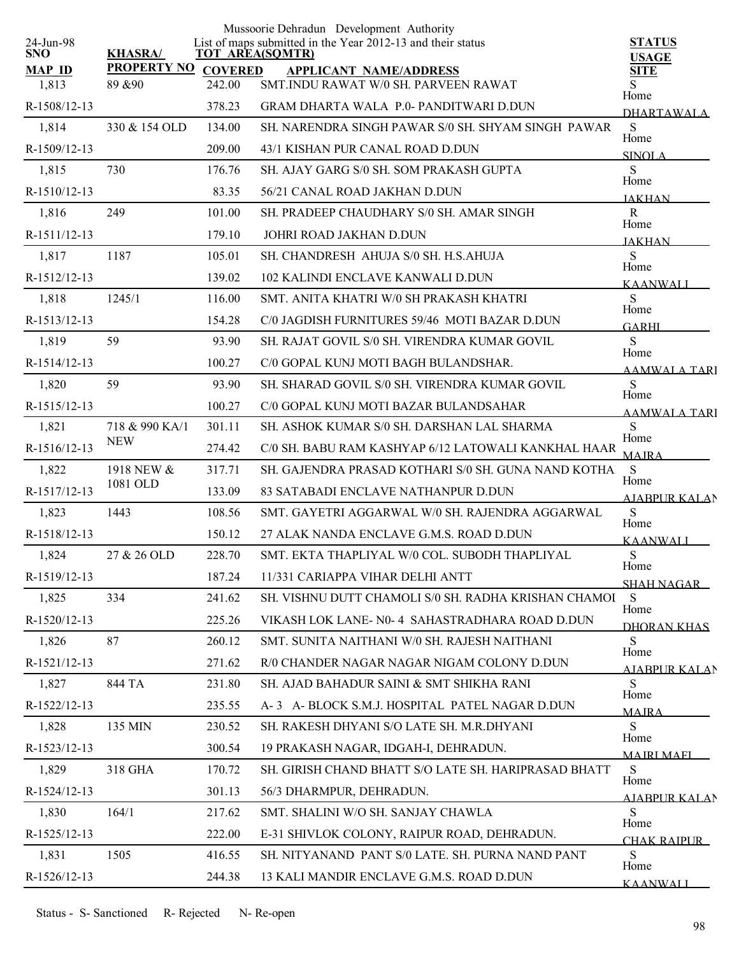|                         |                     |                        | Mussoorie Dehradun Development Authority                    |                               |
|-------------------------|---------------------|------------------------|-------------------------------------------------------------|-------------------------------|
| 24-Jun-98<br><b>SNO</b> | <b>KHASRA/</b>      | <b>TOT AREA(SQMTR)</b> | List of maps submitted in the Year 2012-13 and their status | <b>STATUS</b><br><b>USAGE</b> |
| <b>MAP ID</b>           | PROPERTY NO COVERED |                        | <b>APPLICANT NAME/ADDRESS</b>                               | <b>SITE</b>                   |
| 1,813                   | 89 & 90             | 242.00                 | SMT.INDU RAWAT W/0 SH. PARVEEN RAWAT                        | Home                          |
| R-1508/12-13            |                     | 378.23                 | GRAM DHARTA WALA P.0- PANDITWARI D.DUN                      | <b>DHARTAWALA</b>             |
| 1,814                   | 330 & 154 OLD       | 134.00                 | SH. NARENDRA SINGH PAWAR S/0 SH. SHYAM SINGH PAWAR          | S<br>Home                     |
| R-1509/12-13            |                     | 209.00                 | 43/1 KISHAN PUR CANAL ROAD D.DUN                            | <b>SINOLA</b>                 |
| 1,815                   | 730                 | 176.76                 | SH. AJAY GARG S/0 SH. SOM PRAKASH GUPTA                     | S<br>Home                     |
| R-1510/12-13            |                     | 83.35                  | 56/21 CANAL ROAD JAKHAN D.DUN                               | <b>JAKHAN</b>                 |
| 1,816                   | 249                 | 101.00                 | SH. PRADEEP CHAUDHARY S/0 SH. AMAR SINGH                    | $\mathbf R$<br>Home           |
| R-1511/12-13            |                     | 179.10                 | JOHRI ROAD JAKHAN D.DUN                                     | <b>JAKHAN</b>                 |
| 1,817                   | 1187                | 105.01                 | SH. CHANDRESH AHUJA S/0 SH. H.S.AHUJA                       | S<br>Home                     |
| R-1512/12-13            |                     | 139.02                 | 102 KALINDI ENCLAVE KANWALI D.DUN                           | KAANWALI                      |
| 1,818                   | 1245/1              | 116.00                 | SMT. ANITA KHATRI W/0 SH PRAKASH KHATRI                     | S<br>Home                     |
| R-1513/12-13            |                     | 154.28                 | C/0 JAGDISH FURNITURES 59/46 MOTI BAZAR D.DUN               | <b>GARHI</b>                  |
| 1,819                   | 59                  | 93.90                  | SH. RAJAT GOVIL S/0 SH. VIRENDRA KUMAR GOVIL                | S<br>Home                     |
| R-1514/12-13            |                     | 100.27                 | C/0 GOPAL KUNJ MOTI BAGH BULANDSHAR.                        | <b>AAMWALA TARI</b>           |
| 1,820                   | 59                  | 93.90                  | SH. SHARAD GOVIL S/0 SH. VIRENDRA KUMAR GOVIL               | S<br>Home                     |
| R-1515/12-13            |                     | 100.27                 | C/0 GOPAL KUNJ MOTI BAZAR BULANDSAHAR                       | <b>AAMWALA TARI</b>           |
| 1,821                   | 718 & 990 KA/1      | 301.11                 | SH. ASHOK KUMAR S/0 SH. DARSHAN LAL SHARMA                  | S<br>Home                     |
| R-1516/12-13            | <b>NEW</b>          | 274.42                 | C/0 SH. BABU RAM KASHYAP 6/12 LATOWALI KANKHAL HAAR         | <b>MAJRA</b>                  |
| 1,822                   | 1918 NEW &          | 317.71                 | SH. GAJENDRA PRASAD KOTHARI S/0 SH. GUNA NAND KOTHA         | S<br>Home                     |
| R-1517/12-13            | 1081 OLD            | 133.09                 | 83 SATABADI ENCLAVE NATHANPUR D.DUN                         | <b>AJABPUR KALAN</b>          |
| 1,823                   | 1443                | 108.56                 | SMT. GAYETRI AGGARWAL W/0 SH. RAJENDRA AGGARWAL             | S                             |
| R-1518/12-13            |                     | 150.12                 | 27 ALAK NANDA ENCLAVE G.M.S. ROAD D.DUN                     | Home<br>KAANWALI              |
| 1,824                   | 27 & 26 OLD         | 228.70                 | SMT. EKTA THAPLIYAL W/0 COL. SUBODH THAPLIYAL               | S<br>Home                     |
| R-1519/12-13            |                     | 187.24                 | 11/331 CARIAPPA VIHAR DELHI ANTT                            | <u>SHAH NAGAR – </u>          |
| 1,825                   | 334                 | 241.62                 | SH. VISHNU DUTT CHAMOLI S/0 SH. RADHA KRISHAN CHAMOI        | S                             |
| R-1520/12-13            |                     | 225.26                 | VIKASH LOK LANE- N0-4 SAHASTRADHARA ROAD D.DUN              | Home<br>DHORAN KHAS           |
| 1,826                   | 87                  | 260.12                 | SMT. SUNITA NAITHANI W/0 SH. RAJESH NAITHANI                | S                             |
| R-1521/12-13            |                     | 271.62                 | R/0 CHANDER NAGAR NAGAR NIGAM COLONY D.DUN                  | Home<br>AIABPUR KALAN         |
| 1,827                   | 844 TA              | 231.80                 | SH. AJAD BAHADUR SAINI & SMT SHIKHA RANI                    | S                             |
| R-1522/12-13            |                     | 235.55                 | A-3 A- BLOCK S.M.J. HOSPITAL PATEL NAGAR D.DUN              | Home<br><b>MAIRA</b>          |
| 1,828                   | 135 MIN             | 230.52                 | SH. RAKESH DHYANI S/O LATE SH. M.R.DHYANI                   | S                             |
| R-1523/12-13            |                     | 300.54                 | 19 PRAKASH NAGAR, IDGAH-I, DEHRADUN.                        | Home<br><b>MAIRI MAFI</b>     |
| 1,829                   | 318 GHA             | 170.72                 | SH. GIRISH CHAND BHATT S/O LATE SH. HARIPRASAD BHATT        | S                             |
| R-1524/12-13            |                     | 301.13                 | 56/3 DHARMPUR, DEHRADUN.                                    | Home<br>AIARPUR KALAN         |
| 1,830                   | 164/1               | 217.62                 | SMT. SHALINI W/O SH. SANJAY CHAWLA                          | S                             |
| R-1525/12-13            |                     | 222.00                 | E-31 SHIVLOK COLONY, RAIPUR ROAD, DEHRADUN.                 | Home<br>CHAK RAIPUR           |
| 1,831                   | 1505                | 416.55                 | SH. NITYANAND PANT S/0 LATE. SH. PURNA NAND PANT            | S                             |
| R-1526/12-13            |                     | 244.38                 | 13 KALI MANDIR ENCLAVE G.M.S. ROAD D.DUN                    | Home<br><b>KAANWALI</b>       |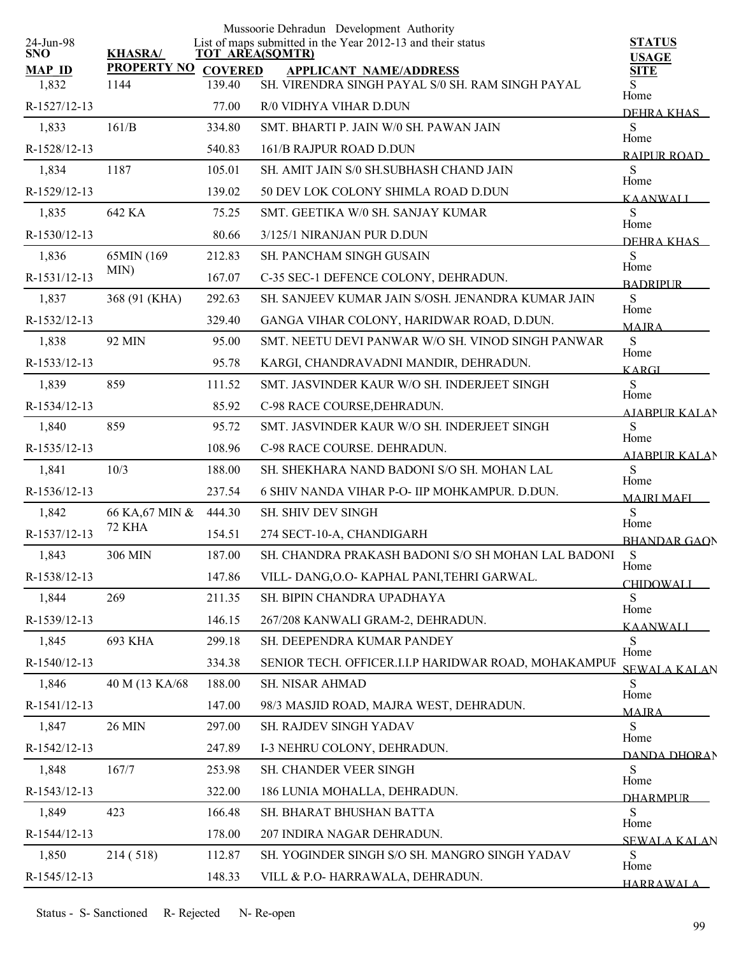| 24-Jun-98              |                             |        | Mussoorie Dehradun Development Authority<br>List of maps submitted in the Year 2012-13 and their status | <b>STATUS</b>                |
|------------------------|-----------------------------|--------|---------------------------------------------------------------------------------------------------------|------------------------------|
| <b>SNO</b>             | <b>KHASRA/</b>              |        | <b>TOT AREA(SQMTR)</b>                                                                                  | <b>USAGE</b>                 |
| <b>MAP ID</b><br>1,832 | PROPERTY NO COVERED<br>1144 | 139.40 | <b>APPLICANT NAME/ADDRESS</b><br>SH. VIRENDRA SINGH PAYAL S/0 SH. RAM SINGH PAYAL                       | <b>SITE</b><br>S             |
| R-1527/12-13           |                             | 77.00  | R/0 VIDHYA VIHAR D.DUN                                                                                  | Home                         |
| 1,833                  | 161/B                       | 334.80 | SMT. BHARTI P. JAIN W/0 SH. PAWAN JAIN                                                                  | DEHRA KHAS<br>${\bf S}$      |
| R-1528/12-13           |                             | 540.83 | 161/B RAJPUR ROAD D.DUN                                                                                 | Home                         |
| 1,834                  | 1187                        | 105.01 | SH. AMIT JAIN S/0 SH.SUBHASH CHAND JAIN                                                                 | RAIPUR ROAD<br>S             |
| R-1529/12-13           |                             | 139.02 | 50 DEV LOK COLONY SHIMLA ROAD D.DUN                                                                     | Home                         |
| 1,835                  | 642 KA                      | 75.25  | SMT. GEETIKA W/0 SH. SANJAY KUMAR                                                                       | <b>KAANWALI</b><br>S         |
| R-1530/12-13           |                             | 80.66  | 3/125/1 NIRANJAN PUR D.DUN                                                                              | Home                         |
| 1,836                  | 65MIN (169                  | 212.83 | <b>SH. PANCHAM SINGH GUSAIN</b>                                                                         | DEHRA KHAS<br>S              |
| R-1531/12-13           | MIN)                        | 167.07 | C-35 SEC-1 DEFENCE COLONY, DEHRADUN.                                                                    | Home                         |
| 1,837                  | 368 (91 (KHA)               | 292.63 | SH. SANJEEV KUMAR JAIN S/OSH. JENANDRA KUMAR JAIN                                                       | <b>BADRIPLIR</b><br>S        |
| R-1532/12-13           |                             | 329.40 | GANGA VIHAR COLONY, HARIDWAR ROAD, D.DUN.                                                               | Home                         |
| 1,838                  | 92 MIN                      | 95.00  | SMT. NEETU DEVI PANWAR W/O SH. VINOD SINGH PANWAR                                                       | <b>MAJRA</b><br>${\bf S}$    |
| R-1533/12-13           |                             | 95.78  | KARGI, CHANDRAVADNI MANDIR, DEHRADUN.                                                                   | Home                         |
| 1,839                  | 859                         | 111.52 | SMT. JASVINDER KAUR W/O SH. INDERJEET SINGH                                                             | <b>KARGI</b><br>S            |
| R-1534/12-13           |                             | 85.92  | C-98 RACE COURSE, DEHRADUN.                                                                             | Home<br><b>AIABPURKALAN</b>  |
| 1,840                  | 859                         | 95.72  | SMT. JASVINDER KAUR W/O SH. INDERJEET SINGH                                                             | S                            |
| R-1535/12-13           |                             | 108.96 | C-98 RACE COURSE. DEHRADUN.                                                                             | Home<br><b>AJABPUR KALAN</b> |
| 1,841                  | 10/3                        | 188.00 | SH. SHEKHARA NAND BADONI S/O SH. MOHAN LAL                                                              | S                            |
| R-1536/12-13           |                             | 237.54 | 6 SHIV NANDA VIHAR P-O- IIP MOHKAMPUR. D.DUN.                                                           | Home<br><b>MAJRI MAFI</b>    |
| 1,842                  | 66 KA, 67 MIN &             | 444.30 | <b>SH. SHIV DEV SINGH</b>                                                                               | S                            |
| R-1537/12-13           | <b>72 KHA</b>               | 154.51 | 274 SECT-10-A, CHANDIGARH                                                                               | Home<br><b>BHANDAR GAON</b>  |
| 1,843                  | 306 MIN                     | 187.00 | SH. CHANDRA PRAKASH BADONI S/O SH MOHAN LAL BADONI                                                      | S                            |
| R-1538/12-13           |                             | 147.86 | VILL-DANG, O.O- KAPHAL PANI, TEHRI GARWAL.                                                              | Home<br><b>CHIDOWALI</b>     |
| 1,844                  | 269                         | 211.35 | SH. BIPIN CHANDRA UPADHAYA                                                                              | S                            |
| R-1539/12-13           |                             | 146.15 | 267/208 KANWALI GRAM-2, DEHRADUN.                                                                       | Home<br><b>KAANWALI</b>      |
| 1,845                  | 693 KHA                     | 299.18 | SH. DEEPENDRA KUMAR PANDEY                                                                              | S                            |
| R-1540/12-13           |                             | 334.38 | SENIOR TECH. OFFICER.I.I.P HARIDWAR ROAD, MOHAKAMPUF                                                    | Home<br><b>SEWALA KALAN</b>  |
| 1,846                  | 40 M (13 KA/68              | 188.00 | SH. NISAR AHMAD                                                                                         | S<br>Home                    |
| R-1541/12-13           |                             | 147.00 | 98/3 MASJID ROAD, MAJRA WEST, DEHRADUN.                                                                 | <b>MAIRA</b>                 |
| 1,847                  | 26 MIN                      | 297.00 | SH. RAJDEV SINGH YADAV                                                                                  | S<br>Home                    |
| R-1542/12-13           |                             | 247.89 | I-3 NEHRU COLONY, DEHRADUN.                                                                             | <b>DANDA DHORAN</b>          |
| 1,848                  | 167/7                       | 253.98 | SH. CHANDER VEER SINGH                                                                                  | S<br>Home                    |
| R-1543/12-13           |                             | 322.00 | 186 LUNIA MOHALLA, DEHRADUN.                                                                            | <b>DHARMPLIR</b>             |
| 1,849                  | 423                         | 166.48 | SH. BHARAT BHUSHAN BATTA                                                                                | S<br>Home                    |
| R-1544/12-13           |                             | 178.00 | 207 INDIRA NAGAR DEHRADUN.                                                                              | <b>SEWALA KALAN</b>          |
| 1,850                  | 214 (518)                   | 112.87 | SH. YOGINDER SINGH S/O SH. MANGRO SINGH YADAV                                                           | S<br>Home                    |
| R-1545/12-13           |                             | 148.33 | VILL & P.O-HARRAWALA, DEHRADUN.                                                                         | <b>HARRAWALA</b>             |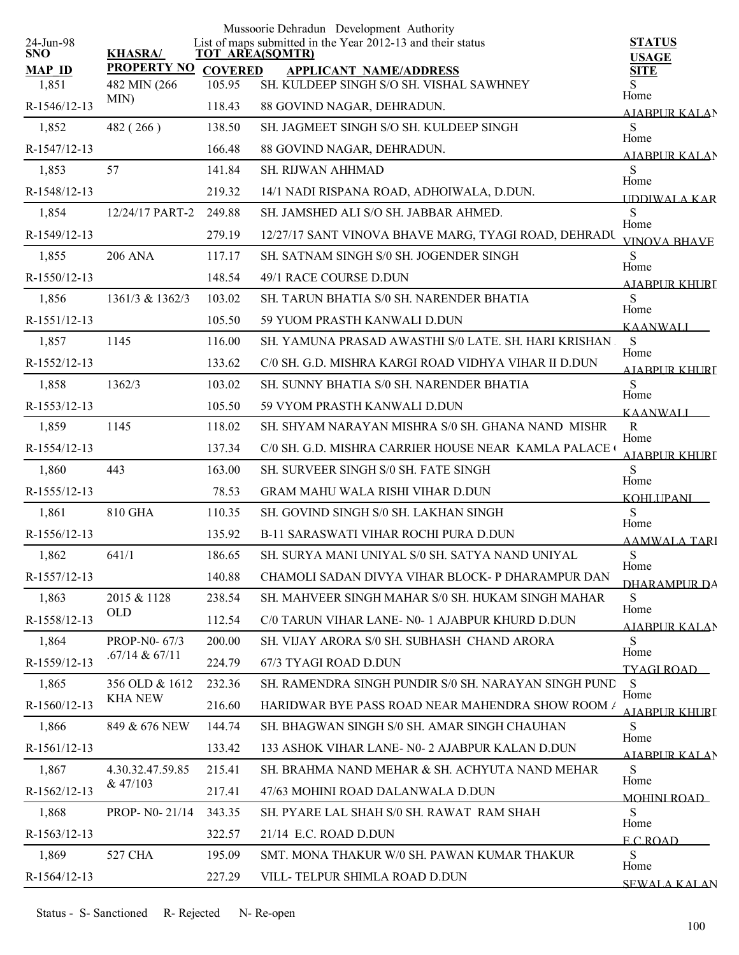| 24-Jun-98              |                                    |                          | Mussoorie Dehradun Development Authority<br>List of maps submitted in the Year 2012-13 and their status | <b>STATUS</b>                    |
|------------------------|------------------------------------|--------------------------|---------------------------------------------------------------------------------------------------------|----------------------------------|
| <b>SNO</b>             | <b>KHASRA/</b>                     |                          | <b>TOT AREA(SQMTR)</b>                                                                                  | <b>USAGE</b>                     |
| <b>MAP ID</b><br>1,851 | <b>PROPERTY NO</b><br>482 MIN (266 | <b>COVERED</b><br>105.95 | <b>APPLICANT NAME/ADDRESS</b><br>SH. KULDEEP SINGH S/O SH. VISHAL SAWHNEY                               | <b>SITE</b><br>S                 |
| R-1546/12-13           | MIN)                               | 118.43                   | 88 GOVIND NAGAR, DEHRADUN.                                                                              | Home                             |
| 1,852                  | 482 (266)                          | 138.50                   | SH. JAGMEET SINGH S/O SH. KULDEEP SINGH                                                                 | AJABPUR KALAN<br>${\bf S}$       |
| R-1547/12-13           |                                    | 166.48                   | 88 GOVIND NAGAR, DEHRADUN.                                                                              | Home                             |
| 1,853                  | 57                                 | 141.84                   | SH. RIJWAN AHHMAD                                                                                       | AIABPUR KALAN<br>S               |
| R-1548/12-13           |                                    | 219.32                   | 14/1 NADI RISPANA ROAD, ADHOIWALA, D.DUN.                                                               | Home                             |
| 1,854                  | 12/24/17 PART-2                    | 249.88                   | SH. JAMSHED ALI S/O SH. JABBAR AHMED.                                                                   | <b>IDDIWALA KAR</b><br>${\bf S}$ |
| R-1549/12-13           |                                    | 279.19                   | 12/27/17 SANT VINOVA BHAVE MARG, TYAGI ROAD, DEHRADU                                                    | Home                             |
| 1,855                  | <b>206 ANA</b>                     | 117.17                   | SH. SATNAM SINGH S/0 SH. JOGENDER SINGH                                                                 | <b>VINOVA BHAVE</b><br>S         |
|                        |                                    | 148.54                   |                                                                                                         | Home                             |
| R-1550/12-13           | 1361/3 & 1362/3                    |                          | 49/1 RACE COURSE D.DUN                                                                                  | AIABPUR KHURT<br>S               |
| 1,856                  |                                    | 103.02                   | SH. TARUN BHATIA S/0 SH. NARENDER BHATIA                                                                | Home                             |
| R-1551/12-13           |                                    | 105.50                   | 59 YUOM PRASTH KANWALI D.DUN                                                                            | <b>KAANWALI</b>                  |
| 1,857                  | 1145                               | 116.00                   | SH. YAMUNA PRASAD AWASTHI S/0 LATE. SH. HARI KRISHAN.                                                   | S<br>Home                        |
| R-1552/12-13           |                                    | 133.62                   | C/0 SH. G.D. MISHRA KARGI ROAD VIDHYA VIHAR II D.DUN                                                    | A JARPUR KHURI                   |
| 1,858                  | 1362/3                             | 103.02                   | SH. SUNNY BHATIA S/0 SH. NARENDER BHATIA                                                                | S<br>Home                        |
| R-1553/12-13           |                                    | 105.50                   | 59 VYOM PRASTH KANWALI D.DUN                                                                            | <b>KAANWALI</b>                  |
| 1,859                  | 1145                               | 118.02                   | SH. SHYAM NARAYAN MISHRA S/0 SH. GHANA NAND MISHR                                                       | $\mathbf R$<br>Home              |
| R-1554/12-13           |                                    | 137.34                   | C/0 SH. G.D. MISHRA CARRIER HOUSE NEAR KAMLA PALACE (                                                   | <b>AJABPUR KHURI</b>             |
| 1,860                  | 443                                | 163.00                   | SH. SURVEER SINGH S/0 SH. FATE SINGH                                                                    | S<br>Home                        |
| R-1555/12-13           |                                    | 78.53                    | <b>GRAM MAHU WALA RISHI VIHAR D.DUN</b>                                                                 | <b>KOHLUPANI</b>                 |
| 1,861                  | 810 GHA                            | 110.35                   | SH. GOVIND SINGH S/0 SH. LAKHAN SINGH                                                                   | S<br>Home                        |
| R-1556/12-13           |                                    | 135.92                   | <b>B-11 SARASWATI VIHAR ROCHI PURA D.DUN</b>                                                            | AAMWALA TARI                     |
| 1,862                  | 641/1                              | 186.65                   | SH. SURYA MANI UNIYAL S/0 SH. SATYA NAND UNIYAL                                                         | S<br>Home                        |
| R-1557/12-13           |                                    | 140.88                   | CHAMOLI SADAN DIVYA VIHAR BLOCK- P DHARAMPUR DAN                                                        | DHARAMPUR DA                     |
| 1,863                  | 2015 & 1128                        | 238.54                   | SH, MAHVEER SINGH MAHAR S/0 SH, HUKAM SINGH MAHAR                                                       | S                                |
| R-1558/12-13           | <b>OLD</b>                         | 112.54                   | C/0 TARUN VIHAR LANE- N0- 1 AJABPUR KHURD D.DUN                                                         | Home<br>AJABPUR KALAN            |
| 1,864                  | PROP-N0-67/3                       | 200.00                   | SH. VIJAY ARORA S/0 SH. SUBHASH CHAND ARORA                                                             | S                                |
| R-1559/12-13           | .67/14 & 67/11                     | 224.79                   | 67/3 TYAGI ROAD D.DUN                                                                                   | Home<br><b>TYAGI ROAD</b>        |
| 1,865                  | 356 OLD & 1612                     | 232.36                   | SH. RAMENDRA SINGH PUNDIR S/0 SH. NARAYAN SINGH PUND                                                    | S                                |
| R-1560/12-13           | <b>KHA NEW</b>                     | 216.60                   | HARIDWAR BYE PASS ROAD NEAR MAHENDRA SHOW ROOM /                                                        | Home<br>AIABPUR KHURT            |
| 1,866                  | 849 & 676 NEW                      | 144.74                   | SH. BHAGWAN SINGH S/0 SH. AMAR SINGH CHAUHAN                                                            | S                                |
| R-1561/12-13           |                                    | 133.42                   | 133 ASHOK VIHAR LANE- N0- 2 AJABPUR KALAN D.DUN                                                         | Home<br><b>AIABPUR KALAN</b>     |
| 1,867                  | 4.30.32.47.59.85                   | 215.41                   | SH. BRAHMA NAND MEHAR & SH. ACHYUTA NAND MEHAR                                                          | S                                |
| R-1562/12-13           | & 47/103                           | 217.41                   | 47/63 MOHINI ROAD DALANWALA D.DUN                                                                       | Home<br><b>MOHINI ROAD</b>       |
| 1,868                  | PROP- N0-21/14                     | 343.35                   | SH. PYARE LAL SHAH S/0 SH. RAWAT RAM SHAH                                                               | S                                |
| R-1563/12-13           |                                    | 322.57                   | 21/14 E.C. ROAD D.DUN                                                                                   | Home<br><b>ECROAD</b>            |
| 1,869                  | 527 CHA                            | 195.09                   | SMT. MONA THAKUR W/0 SH. PAWAN KUMAR THAKUR                                                             | ${\bf S}$                        |
| R-1564/12-13           |                                    | 227.29                   | VILL-TELPUR SHIMLA ROAD D.DUN                                                                           | Home<br><b>SEWALA KALAN</b>      |
|                        |                                    |                          |                                                                                                         |                                  |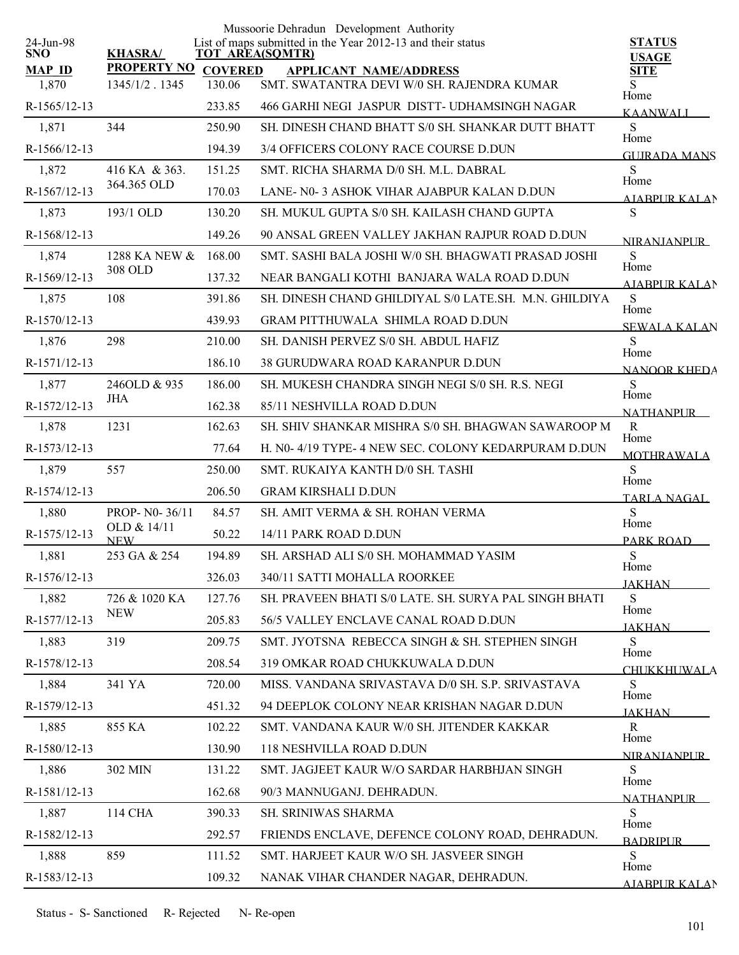| 24-Jun-98     |                              |                | Mussoorie Dehradun Development Authority<br>List of maps submitted in the Year 2012-13 and their status | <b>STATUS</b>                  |
|---------------|------------------------------|----------------|---------------------------------------------------------------------------------------------------------|--------------------------------|
| <b>SNO</b>    | <b>KHASRA/</b>               |                | <b>TOT AREA(SQMTR)</b>                                                                                  | <b>USAGE</b>                   |
| <b>MAP ID</b> | <b>PROPERTY NO</b>           | <b>COVERED</b> | <b>APPLICANT NAME/ADDRESS</b>                                                                           | <b>SITE</b>                    |
| 1,870         | 1345/1/2.1345                | 130.06         | SMT. SWATANTRA DEVI W/0 SH. RAJENDRA KUMAR                                                              | S<br>Home                      |
| R-1565/12-13  |                              | 233.85         | 466 GARHI NEGI JASPUR DISTT- UDHAMSINGH NAGAR                                                           | <b>KAANWALI</b>                |
| 1,871         | 344                          | 250.90         | SH. DINESH CHAND BHATT S/0 SH. SHANKAR DUTT BHATT                                                       | S<br>Home                      |
| R-1566/12-13  |                              | 194.39         | 3/4 OFFICERS COLONY RACE COURSE D.DUN                                                                   | <b>GUIRADA MANS</b>            |
| 1,872         | 416 KA & 363.<br>364.365 OLD | 151.25         | SMT. RICHA SHARMA D/0 SH. M.L. DABRAL                                                                   | S<br>Home                      |
| R-1567/12-13  |                              | 170.03         | LANE- N0-3 ASHOK VIHAR AJABPUR KALAN D.DUN                                                              | <b>AIABPUR KALAN</b>           |
| 1,873         | 193/1 OLD                    | 130.20         | SH. MUKUL GUPTA S/0 SH. KAILASH CHAND GUPTA                                                             | S                              |
| R-1568/12-13  |                              | 149.26         | 90 ANSAL GREEN VALLEY JAKHAN RAJPUR ROAD D.DUN                                                          | <b>NIRANIANPUR</b>             |
| 1,874         | 1288 KA NEW &                | 168.00         | SMT. SASHI BALA JOSHI W/0 SH. BHAGWATI PRASAD JOSHI                                                     | S<br>Home                      |
| R-1569/12-13  | 308 OLD                      | 137.32         | NEAR BANGALI KOTHI BANJARA WALA ROAD D.DUN                                                              | AIABPUR KALAN                  |
| 1,875         | 108                          | 391.86         | SH. DINESH CHAND GHILDIYAL S/0 LATE.SH. M.N. GHILDIYA                                                   | S<br>Home                      |
| R-1570/12-13  |                              | 439.93         | <b>GRAM PITTHUWALA SHIMLA ROAD D.DUN</b>                                                                | <b>SEWALA KALAN</b>            |
| 1,876         | 298                          | 210.00         | SH. DANISH PERVEZ S/0 SH. ABDUL HAFIZ                                                                   | S<br>Home                      |
| R-1571/12-13  |                              | 186.10         | <b>38 GURUDWARA ROAD KARANPUR D.DUN</b>                                                                 | <b>NANOOR KHEDA</b>            |
| 1,877         | 246OLD & 935                 | 186.00         | SH. MUKESH CHANDRA SINGH NEGI S/0 SH. R.S. NEGI                                                         | ${\bf S}$                      |
| R-1572/12-13  | JHA                          | 162.38         | 85/11 NESHVILLA ROAD D.DUN                                                                              | Home<br><b>NATHANPUR</b>       |
| 1,878         | 1231                         | 162.63         | SH. SHIV SHANKAR MISHRA S/0 SH. BHAGWAN SAWAROOP M                                                      | $\mathbf R$                    |
| R-1573/12-13  |                              | 77.64          | H. N0- 4/19 TYPE- 4 NEW SEC. COLONY KEDARPURAM D.DUN                                                    | Home<br><b>MOTHRAWALA</b>      |
| 1,879         | 557                          | 250.00         | SMT. RUKAIYA KANTH D/0 SH. TASHI                                                                        | S                              |
| R-1574/12-13  |                              | 206.50         | <b>GRAM KIRSHALI D.DUN</b>                                                                              | Home<br>TARLA NAGAL            |
| 1,880         | PROP- N0-36/11               | 84.57          | SH. AMIT VERMA & SH. ROHAN VERMA                                                                        | S                              |
| R-1575/12-13  | OLD & 14/11<br><b>NEW</b>    | 50.22          | 14/11 PARK ROAD D.DUN                                                                                   | Home<br>PARK ROAD              |
| 1,881         | 253 GA & 254                 | 194.89         | SH. ARSHAD ALI S/0 SH. MOHAMMAD YASIM                                                                   | ${\bf S}$                      |
| R-1576/12-13  |                              | 326.03         | 340/11 SATTI MOHALLA ROORKEE                                                                            | Home<br><b>JAKHAN</b>          |
| 1,882         | 726 & 1020 KA                | 127.76         | SH. PRAVEEN BHATI S/0 LATE. SH. SURYA PAL SINGH BHATI                                                   | S                              |
| R-1577/12-13  | <b>NEW</b>                   | 205.83         | 56/5 VALLEY ENCLAVE CANAL ROAD D.DUN                                                                    | Home                           |
| 1,883         | 319                          | 209.75         | SMT. JYOTSNA REBECCA SINGH & SH. STEPHEN SINGH                                                          | <b>JAKHAN</b><br>S             |
| R-1578/12-13  |                              | 208.54         | 319 OMKAR ROAD CHUKKUWALA D.DUN                                                                         | Home                           |
| 1,884         | 341 YA                       | 720.00         | MISS. VANDANA SRIVASTAVA D/0 SH. S.P. SRIVASTAVA                                                        | <b>CHUKKHUWALA</b><br>S        |
| R-1579/12-13  |                              | 451.32         | 94 DEEPLOK COLONY NEAR KRISHAN NAGAR D.DUN                                                              | Home                           |
| 1,885         | 855 KA                       | 102.22         | SMT. VANDANA KAUR W/0 SH. JITENDER KAKKAR                                                               | <b>JAKHAN</b><br>$\mathbf R$   |
| R-1580/12-13  |                              | 130.90         | 118 NESHVILLA ROAD D.DUN                                                                                | Home                           |
| 1,886         | 302 MIN                      | 131.22         | SMT. JAGJEET KAUR W/O SARDAR HARBHJAN SINGH                                                             | <b>NIRANIANPUR</b><br>S        |
| R-1581/12-13  |                              | 162.68         | 90/3 MANNUGANJ. DEHRADUN.                                                                               | Home                           |
| 1,887         | 114 CHA                      | 390.33         | <b>SH. SRINIWAS SHARMA</b>                                                                              | <b>NATHANPLIR</b><br>${\bf S}$ |
| R-1582/12-13  |                              | 292.57         | FRIENDS ENCLAVE, DEFENCE COLONY ROAD, DEHRADUN.                                                         | Home                           |
| 1,888         | 859                          | 111.52         | SMT. HARJEET KAUR W/O SH. JASVEER SINGH                                                                 | <b>BADRIPLIR</b><br>S          |
| R-1583/12-13  |                              | 109.32         | NANAK VIHAR CHANDER NAGAR, DEHRADUN.                                                                    | Home                           |
|               |                              |                |                                                                                                         | <b>AJABPUR KALAN</b>           |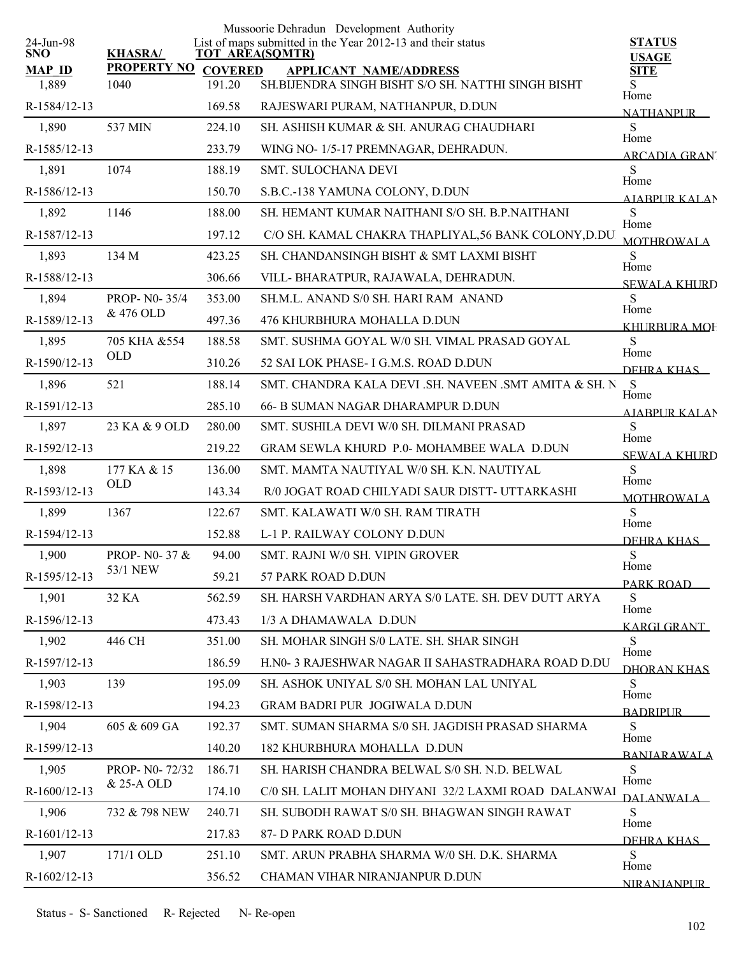|                         |                              |                | Mussoorie Dehradun Development Authority                                              |                               |
|-------------------------|------------------------------|----------------|---------------------------------------------------------------------------------------|-------------------------------|
| 24-Jun-98<br><b>SNO</b> | <b>KHASRA/</b>               |                | List of maps submitted in the Year 2012-13 and their status<br><b>TOT AREA(SQMTR)</b> | <b>STATUS</b><br><b>USAGE</b> |
| <b>MAP ID</b>           | <b>PROPERTY NO</b>           | <b>COVERED</b> | <b>APPLICANT NAME/ADDRESS</b>                                                         | <b>SITE</b>                   |
| 1,889                   | 1040                         | 191.20         | SH.BIJENDRA SINGH BISHT S/O SH. NATTHI SINGH BISHT                                    | Home                          |
| R-1584/12-13            |                              | 169.58         | RAJESWARI PURAM, NATHANPUR, D.DUN                                                     | <b>NATHANPUR</b>              |
| 1,890                   | 537 MIN                      | 224.10         | SH. ASHISH KUMAR & SH. ANURAG CHAUDHARI                                               | S<br>Home                     |
| R-1585/12-13            |                              | 233.79         | WING NO- 1/5-17 PREMNAGAR, DEHRADUN.                                                  | <b>ARCADIA GRAN</b>           |
| 1,891                   | 1074                         | 188.19         | <b>SMT. SULOCHANA DEVI</b>                                                            | S<br>Home                     |
| R-1586/12-13            |                              | 150.70         | S.B.C.-138 YAMUNA COLONY, D.DUN                                                       | <b>AIABPUR KALAN</b>          |
| 1,892                   | 1146                         | 188.00         | SH. HEMANT KUMAR NAITHANI S/O SH. B.P.NAITHANI                                        | S<br>Home                     |
| R-1587/12-13            |                              | 197.12         | C/O SH. KAMAL CHAKRA THAPLIYAL, 56 BANK COLONY, D.DU.                                 | <b>MOTHROWALA</b>             |
| 1,893                   | 134 M                        | 423.25         | SH. CHANDANSINGH BISHT & SMT LAXMI BISHT                                              | S                             |
| R-1588/12-13            |                              | 306.66         | VILL-BHARATPUR, RAJAWALA, DEHRADUN.                                                   | Home<br><b>SEWALA KHURD</b>   |
| 1,894                   | PROP- N0-35/4                | 353.00         | SH.M.L. ANAND S/0 SH. HARI RAM ANAND                                                  | S                             |
| R-1589/12-13            | & 476 OLD                    | 497.36         | 476 KHURBHURA MOHALLA D.DUN                                                           | Home<br><b>KHURBURA MOF</b>   |
| 1,895                   | 705 KHA &554                 | 188.58         | SMT. SUSHMA GOYAL W/0 SH. VIMAL PRASAD GOYAL                                          | S                             |
| R-1590/12-13            | <b>OLD</b>                   | 310.26         | 52 SAI LOK PHASE- I G.M.S. ROAD D.DUN                                                 | Home<br>DEHRA KHAS            |
| 1,896                   | 521                          | 188.14         | SMT. CHANDRA KALA DEVI .SH. NAVEEN .SMT AMITA & SH. N                                 | S                             |
| R-1591/12-13            |                              | 285.10         | 66- B SUMAN NAGAR DHARAMPUR D.DUN                                                     | Home                          |
| 1,897                   | 23 KA & 9 OLD                | 280.00         | SMT. SUSHILA DEVI W/0 SH. DILMANI PRASAD                                              | <b>AIABPURKALAN</b><br>S      |
| R-1592/12-13            |                              | 219.22         | GRAM SEWLA KHURD P.0- MOHAMBEE WALA D.DUN                                             | Home                          |
| 1,898                   | 177 KA & 15                  | 136.00         | SMT. MAMTA NAUTIYAL W/0 SH. K.N. NAUTIYAL                                             | <b>SEWALA KHURD</b><br>S      |
| R-1593/12-13            | <b>OLD</b>                   | 143.34         | R/0 JOGAT ROAD CHILYADI SAUR DISTT- UTTARKASHI                                        | Home                          |
| 1,899                   | 1367                         | 122.67         | SMT. KALAWATI W/0 SH. RAM TIRATH                                                      | <b>MOTHROWALA</b><br>S        |
| R-1594/12-13            |                              | 152.88         | L-1 P. RAILWAY COLONY D.DUN                                                           | Home                          |
| 1,900                   | PROP- N0-37 &                | 94.00          | SMT. RAJNI W/0 SH. VIPIN GROVER                                                       | DEHRA KHAS<br>S               |
| R-1595/12-13            | 53/1 NEW                     | 59.21          | 57 PARK ROAD D.DUN                                                                    | Home                          |
| 1,901                   | 32 KA                        | 562.59         | SH. HARSH VARDHAN ARYA S/0 LATE. SH. DEV DUTT ARYA                                    | PARK ROAD<br>S                |
| R-1596/12-13            |                              | 473.43         | 1/3 A DHAMAWALA D.DUN                                                                 | Home                          |
|                         | 446 CH                       |                |                                                                                       | <b>KARGI GRANT</b>            |
| 1,902                   |                              | 351.00         | SH. MOHAR SINGH S/0 LATE. SH. SHAR SINGH                                              | S<br>Home                     |
| R-1597/12-13            |                              | 186.59         | H.NO- 3 RAJESHWAR NAGAR II SAHASTRADHARA ROAD D.DU                                    | DHORAN KHAS                   |
| 1,903                   | 139                          | 195.09         | SH. ASHOK UNIYAL S/0 SH. MOHAN LAL UNIYAL                                             | S<br>Home                     |
| R-1598/12-13            |                              | 194.23         | <b>GRAM BADRI PUR JOGIWALA D.DUN</b>                                                  | <b>BADRIPLIR</b>              |
| 1,904                   | 605 & 609 GA                 | 192.37         | SMT. SUMAN SHARMA S/0 SH. JAGDISH PRASAD SHARMA                                       | S<br>Home                     |
| R-1599/12-13            |                              | 140.20         | 182 KHURBHURA MOHALLA D.DUN                                                           | <b>BANIARAWALA</b>            |
| 1,905                   | PROP- N0-72/32<br>& 25-A OLD | 186.71         | SH. HARISH CHANDRA BELWAL S/0 SH. N.D. BELWAL                                         | S<br>Home                     |
| R-1600/12-13            |                              | 174.10         | C/0 SH. LALIT MOHAN DHYANI 32/2 LAXMI ROAD DALANWAI                                   | DALANWALA                     |
| 1,906                   | 732 & 798 NEW                | 240.71         | SH. SUBODH RAWAT S/0 SH. BHAGWAN SINGH RAWAT                                          | S<br>Home                     |
| R-1601/12-13            |                              | 217.83         | 87- D PARK ROAD D.DUN                                                                 | DEHRA KHAS                    |
| 1,907                   | 171/1 OLD                    | 251.10         | SMT. ARUN PRABHA SHARMA W/0 SH. D.K. SHARMA                                           | S<br>Home                     |
| R-1602/12-13            |                              | 356.52         | CHAMAN VIHAR NIRANJANPUR D.DUN                                                        | NIRANIANPUR                   |
|                         |                              |                |                                                                                       |                               |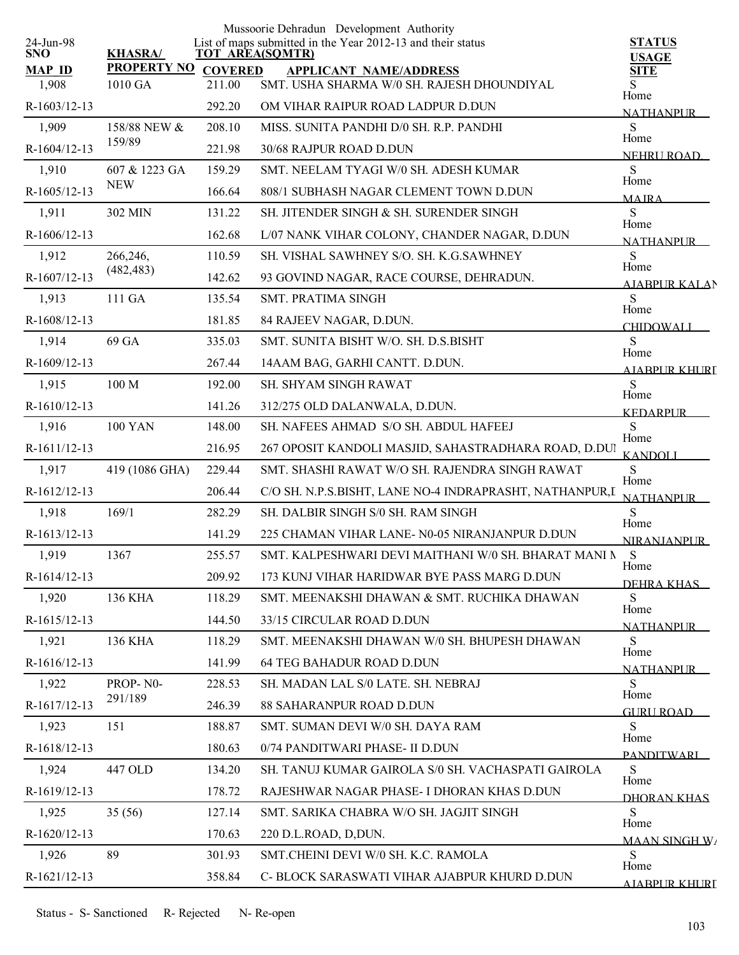| 24-Jun-98              |                               |                          | Mussoorie Dehradun Development Authority<br>List of maps submitted in the Year 2012-13 and their status | <b>STATUS</b>                |
|------------------------|-------------------------------|--------------------------|---------------------------------------------------------------------------------------------------------|------------------------------|
| <b>SNO</b>             | <b>KHASRA/</b>                |                          | <b>TOT AREA(SQMTR)</b>                                                                                  | <b>USAGE</b>                 |
| <b>MAP ID</b><br>1,908 | <b>PROPERTY NO</b><br>1010 GA | <b>COVERED</b><br>211.00 | <b>APPLICANT NAME/ADDRESS</b><br>SMT. USHA SHARMA W/0 SH. RAJESH DHOUNDIYAL                             | <b>SITE</b>                  |
| R-1603/12-13           |                               | 292.20                   | OM VIHAR RAIPUR ROAD LADPUR D.DUN                                                                       | Home                         |
| 1,909                  | 158/88 NEW &                  | 208.10                   | MISS. SUNITA PANDHI D/0 SH. R.P. PANDHI                                                                 | <b>NATHANPUR</b><br>S        |
| R-1604/12-13           | 159/89                        | 221.98                   | 30/68 RAJPUR ROAD D.DUN                                                                                 | Home                         |
| 1,910                  | 607 & 1223 GA                 | 159.29                   | SMT. NEELAM TYAGI W/0 SH. ADESH KUMAR                                                                   | <b>NEHRIIROAD</b><br>S       |
| R-1605/12-13           | <b>NEW</b>                    | 166.64                   | 808/1 SUBHASH NAGAR CLEMENT TOWN D.DUN                                                                  | Home                         |
| 1,911                  | 302 MIN                       | 131.22                   | SH. JITENDER SINGH & SH. SURENDER SINGH                                                                 | <b>MAIRA</b><br>S            |
| R-1606/12-13           |                               | 162.68                   | L/07 NANK VIHAR COLONY, CHANDER NAGAR, D.DUN                                                            | Home                         |
| 1,912                  | 266,246,                      | 110.59                   | SH. VISHAL SAWHNEY S/O. SH. K.G.SAWHNEY                                                                 | <b>NATHANPUR</b><br>S        |
| R-1607/12-13           | (482, 483)                    | 142.62                   | 93 GOVIND NAGAR, RACE COURSE, DEHRADUN.                                                                 | Home                         |
| 1,913                  | 111 GA                        | 135.54                   | SMT. PRATIMA SINGH                                                                                      | <b>AIABPUR KALAN</b><br>S    |
| R-1608/12-13           |                               | 181.85                   | 84 RAJEEV NAGAR, D.DUN.                                                                                 | Home                         |
| 1,914                  | 69 GA                         | 335.03                   | SMT. SUNITA BISHT W/O. SH. D.S.BISHT                                                                    | <b>CHIDOWALI</b><br>S        |
| R-1609/12-13           |                               | 267.44                   | 14AAM BAG, GARHI CANTT. D.DUN.                                                                          | Home                         |
| 1,915                  | 100 M                         | 192.00                   | SH. SHYAM SINGH RAWAT                                                                                   | A JARPUR KHURI<br>S          |
| R-1610/12-13           |                               | 141.26                   | 312/275 OLD DALANWALA, D.DUN.                                                                           | Home                         |
| 1,916                  | <b>100 YAN</b>                | 148.00                   | SH. NAFEES AHMAD S/O SH. ABDUL HAFEEJ                                                                   | <b>KEDARPUR</b><br>${\bf S}$ |
|                        |                               |                          |                                                                                                         | Home                         |
| R-1611/12-13           |                               | 216.95                   | 267 OPOSIT KANDOLI MASJID, SAHASTRADHARA ROAD, D.DUI                                                    | <b>KANDOLI</b><br>S          |
| 1,917                  | 419 (1086 GHA)                | 229.44                   | SMT. SHASHI RAWAT W/O SH. RAJENDRA SINGH RAWAT                                                          | Home                         |
| R-1612/12-13           |                               | 206.44                   | C/O SH. N.P.S.BISHT, LANE NO-4 INDRAPRASHT, NATHANPUR,I                                                 | <b>NATHANPUR</b>             |
| 1,918                  | 169/1                         | 282.29                   | SH. DALBIR SINGH S/0 SH. RAM SINGH                                                                      | S<br>Home                    |
| R-1613/12-13           |                               | 141.29                   | 225 CHAMAN VIHAR LANE- N0-05 NIRANJANPUR D.DUN                                                          | <b>NIRANJANPUR</b>           |
| 1,919                  | 1367                          | 255.57                   | SMT. KALPESHWARI DEVI MAITHANI W/0 SH. BHARAT MANI N                                                    | S<br>Home                    |
| R-1614/12-13           |                               | 209.92                   | 173 KUNJ VIHAR HARIDWAR BYE PASS MARG D.DUN                                                             | DEHRA KHAS                   |
| 1,920                  | <b>136 KHA</b>                | 118.29                   | SMT. MEENAKSHI DHAWAN & SMT. RUCHIKA DHAWAN                                                             | S<br>Home                    |
| R-1615/12-13           |                               | 144.50                   | 33/15 CIRCULAR ROAD D.DUN                                                                               | <b>NATHANPUR</b>             |
| 1,921                  | <b>136 KHA</b>                | 118.29                   | SMT. MEENAKSHI DHAWAN W/0 SH. BHUPESH DHAWAN                                                            | S<br>Home                    |
| R-1616/12-13           |                               | 141.99                   | <b>64 TEG BAHADUR ROAD D.DUN</b>                                                                        | <b>NATHANPLIR</b>            |
| 1,922                  | PROP-N0-<br>291/189           | 228.53                   | SH. MADAN LAL S/0 LATE. SH. NEBRAJ                                                                      | S<br>Home                    |
| R-1617/12-13           |                               | 246.39                   | 88 SAHARANPUR ROAD D.DUN                                                                                | GURU ROAD                    |
| 1,923                  | 151                           | 188.87                   | SMT. SUMAN DEVI W/0 SH. DAYA RAM                                                                        | S<br>Home                    |
| R-1618/12-13           |                               | 180.63                   | 0/74 PANDITWARI PHASE- II D.DUN                                                                         | PANDITWARI                   |
| 1,924                  | 447 OLD                       | 134.20                   | SH. TANUJ KUMAR GAIROLA S/0 SH. VACHASPATI GAIROLA                                                      | S<br>Home                    |
| R-1619/12-13           |                               | 178.72                   | RAJESHWAR NAGAR PHASE- I DHORAN KHAS D.DUN                                                              | DHORAN KHAS                  |
| 1,925                  | 35(56)                        | 127.14                   | SMT. SARIKA CHABRA W/O SH. JAGJIT SINGH                                                                 | S<br>Home                    |
| R-1620/12-13           |                               | 170.63                   | 220 D.L.ROAD, D,DUN.                                                                                    | <b>MAAN SINGH W/</b>         |
| 1,926                  | 89                            | 301.93                   | SMT.CHEINI DEVI W/0 SH. K.C. RAMOLA                                                                     | S<br>Home                    |
| R-1621/12-13           |                               | 358.84                   | C- BLOCK SARASWATI VIHAR AJABPUR KHURD D.DUN                                                            | AJARPUR KHURI                |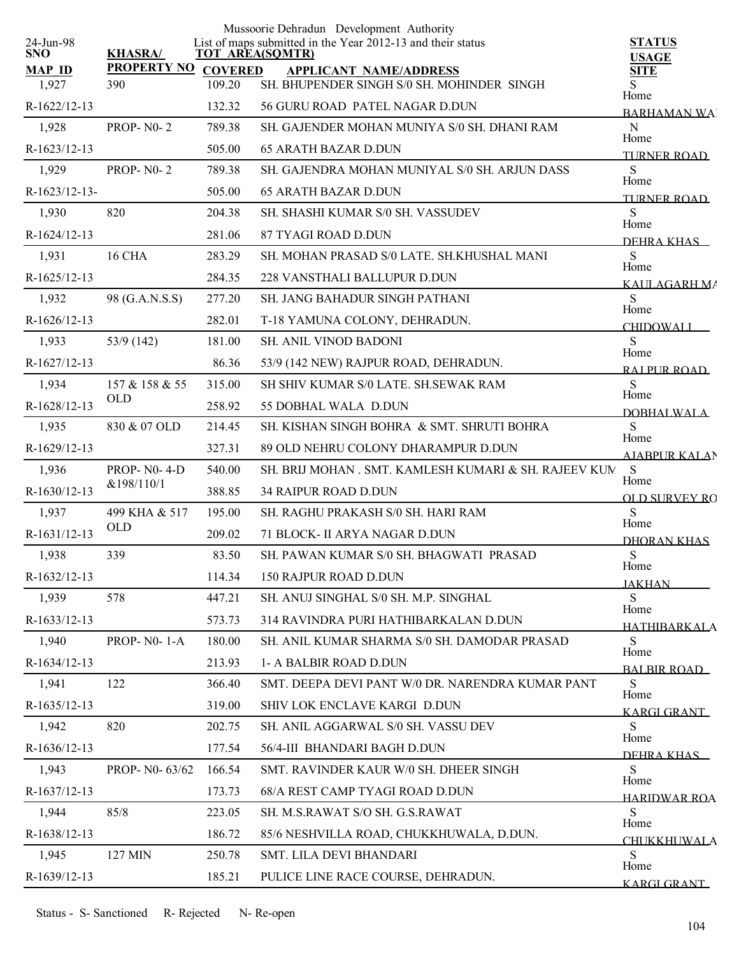|                         |                           |                          | Mussoorie Dehradun Development Authority                                              |                               |
|-------------------------|---------------------------|--------------------------|---------------------------------------------------------------------------------------|-------------------------------|
| 24-Jun-98<br><b>SNO</b> | <b>KHASRA/</b>            |                          | List of maps submitted in the Year 2012-13 and their status<br><b>TOT AREA(SQMTR)</b> | <b>STATUS</b><br><b>USAGE</b> |
| <b>MAP ID</b><br>1,927  | <b>PROPERTY NO</b><br>390 | <b>COVERED</b><br>109.20 | <b>APPLICANT NAME/ADDRESS</b><br>SH. BHUPENDER SINGH S/0 SH. MOHINDER SINGH           | <b>SITE</b><br>S              |
| R-1622/12-13            |                           | 132.32                   | 56 GURU ROAD PATEL NAGAR D.DUN                                                        | Home                          |
| 1,928                   | <b>PROP-N0-2</b>          | 789.38                   | SH. GAJENDER MOHAN MUNIYA S/0 SH. DHANI RAM                                           | <b>BARHAMAN WAL</b><br>N      |
| R-1623/12-13            |                           | 505.00                   | <b>65 ARATH BAZAR D.DUN</b>                                                           | Home                          |
| 1,929                   | <b>PROP-N0-2</b>          | 789.38                   | SH, GAJENDRA MOHAN MUNIYAL S/0 SH, ARJUN DASS                                         | <b>TURNER ROAD</b><br>S       |
| R-1623/12-13-           |                           | 505.00                   | <b>65 ARATH BAZAR D.DUN</b>                                                           | Home                          |
| 1,930                   | 820                       | 204.38                   | SH. SHASHI KUMAR S/0 SH. VASSUDEV                                                     | TURNER ROAD<br>S              |
| R-1624/12-13            |                           | 281.06                   | 87 TYAGI ROAD D.DUN                                                                   | Home                          |
| 1,931                   | <b>16 CHA</b>             | 283.29                   | SH. MOHAN PRASAD S/0 LATE. SH.KHUSHAL MANI                                            | DEHRA KHAS<br>S               |
| R-1625/12-13            |                           | 284.35                   | 228 VANSTHALI BALLUPUR D.DUN                                                          | Home                          |
| 1,932                   | 98 (G.A.N.S.S)            | 277.20                   | SH. JANG BAHADUR SINGH PATHANI                                                        | KAULAGARH MA<br>S             |
| R-1626/12-13            |                           | 282.01                   | T-18 YAMUNA COLONY, DEHRADUN.                                                         | Home                          |
| 1,933                   | 53/9 (142)                | 181.00                   | <b>SH. ANIL VINOD BADONI</b>                                                          | CHIDOWALI<br><sub>S</sub>     |
| R-1627/12-13            |                           | 86.36                    | 53/9 (142 NEW) RAJPUR ROAD, DEHRADUN.                                                 | Home                          |
| 1,934                   | 157 & 158 & 55            | 315.00                   | SH SHIV KUMAR S/0 LATE. SH.SEWAK RAM                                                  | RAI PUR ROAD<br><sub>S</sub>  |
| R-1628/12-13            | <b>OLD</b>                | 258.92                   | 55 DOBHAL WALA D.DUN                                                                  | Home                          |
| 1,935                   | 830 & 07 OLD              | 214.45                   | SH. KISHAN SINGH BOHRA & SMT. SHRUTI BOHRA                                            | <b>DOBHALWALA</b><br>S        |
| R-1629/12-13            |                           | 327.31                   | 89 OLD NEHRU COLONY DHARAMPUR D.DUN                                                   | Home<br><b>AJABPUR KALAN</b>  |
| 1,936                   | <b>PROP-N0-4-D</b>        | 540.00                   | SH. BRIJ MOHAN. SMT. KAMLESH KUMARI & SH. RAJEEV KUM                                  | S                             |
| R-1630/12-13            | &198/110/1                | 388.85                   | <b>34 RAIPUR ROAD D.DUN</b>                                                           | Home<br><b>OLD SURVEY RO</b>  |
| 1,937                   | 499 KHA & 517             | 195.00                   | SH. RAGHU PRAKASH S/0 SH. HARI RAM                                                    | S                             |
| R-1631/12-13            | <b>OLD</b>                | 209.02                   | 71 BLOCK- II ARYA NAGAR D.DUN                                                         | Home<br>DHORAN KHAS           |
| 1,938                   | 339                       | 83.50                    | SH. PAWAN KUMAR S/0 SH. BHAGWATI PRASAD                                               | S                             |
| R-1632/12-13            |                           | 114.34                   | 150 RAJPUR ROAD D.DUN                                                                 | Home<br><b>JAKHAN</b>         |
| 1,939                   | 578                       | 447.21                   | SH. ANUJ SINGHAL S/0 SH. M.P. SINGHAL                                                 | S                             |
| R-1633/12-13            |                           | 573.73                   | 314 RAVINDRA PURI HATHIBARKALAN D.DUN                                                 | Home<br>HATHIBARKALA          |
| 1,940                   | <b>PROP-N0-1-A</b>        | 180.00                   | SH. ANIL KUMAR SHARMA S/0 SH. DAMODAR PRASAD                                          | S                             |
| R-1634/12-13            |                           | 213.93                   | 1- A BALBIR ROAD D.DUN                                                                | Home<br><b>BALBIR ROAD</b>    |
| 1,941                   | 122                       | 366.40                   | SMT. DEEPA DEVI PANT W/0 DR. NARENDRA KUMAR PANT                                      | S                             |
| R-1635/12-13            |                           | 319.00                   | SHIV LOK ENCLAVE KARGI D.DUN                                                          | Home<br><b>KARGI GRANT</b>    |
| 1,942                   | 820                       | 202.75                   | SH. ANIL AGGARWAL S/0 SH. VASSU DEV                                                   | S                             |
| R-1636/12-13            |                           | 177.54                   | 56/4-III BHANDARI BAGH D.DUN                                                          | Home<br>DEHRA KHAS            |
| 1,943                   | PROP- N0-63/62            | 166.54                   | SMT. RAVINDER KAUR W/0 SH. DHEER SINGH                                                | S                             |
| R-1637/12-13            |                           | 173.73                   | 68/A REST CAMP TYAGI ROAD D.DUN                                                       | Home<br><b>HARIDWAR ROA</b>   |
| 1,944                   | 85/8                      | 223.05                   | SH. M.S.RAWAT S/O SH. G.S.RAWAT                                                       | S                             |
| R-1638/12-13            |                           | 186.72                   | 85/6 NESHVILLA ROAD, CHUKKHUWALA, D.DUN.                                              | Home<br><b>CHUKKHUWALA</b>    |
| 1,945                   | 127 MIN                   | 250.78                   | SMT. LILA DEVI BHANDARI                                                               | <sub>S</sub><br>Home          |
| R-1639/12-13            |                           | 185.21                   | PULICE LINE RACE COURSE, DEHRADUN.                                                    | <b>KARGI GRANT</b>            |
|                         |                           |                          |                                                                                       |                               |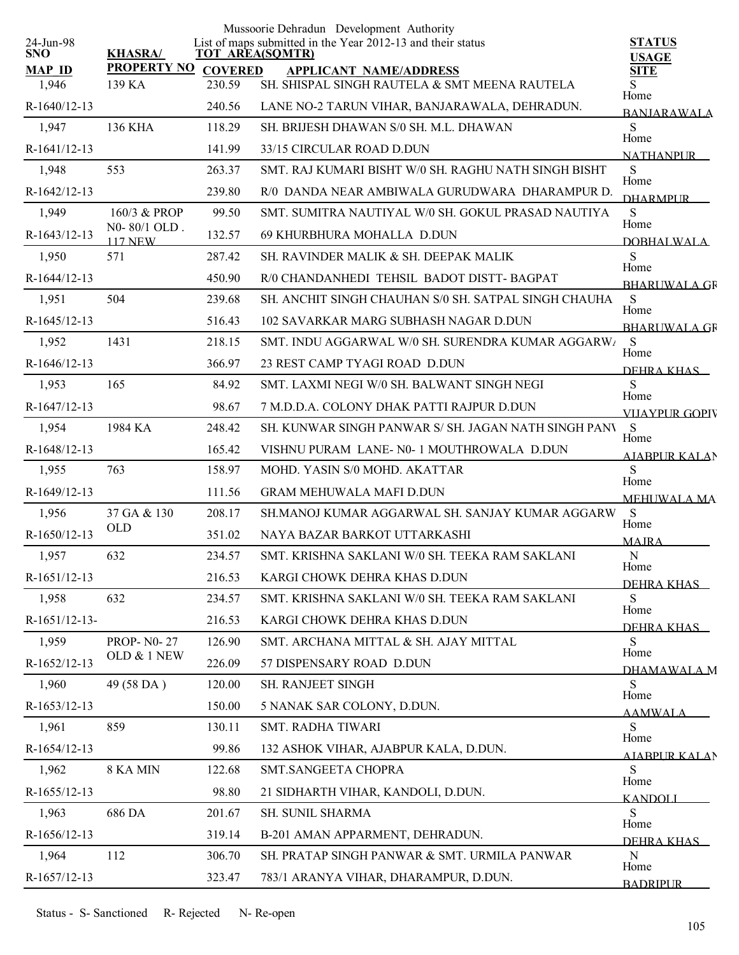|                         |                                |                | Mussoorie Dehradun Development Authority                                       |                               |
|-------------------------|--------------------------------|----------------|--------------------------------------------------------------------------------|-------------------------------|
| 24-Jun-98<br><b>SNO</b> | <b>KHASRA/</b>                 |                | List of maps submitted in the Year 2012-13 and their status<br>TOT AREA(SQMTR) | <b>STATUS</b><br><b>USAGE</b> |
| <b>MAP ID</b>           | <b>PROPERTY NO</b>             | <b>COVERED</b> | <b>APPLICANT NAME/ADDRESS</b>                                                  | <b>SITE</b>                   |
| 1,946                   | 139 KA                         | 230.59         | SH. SHISPAL SINGH RAUTELA & SMT MEENA RAUTELA                                  | Home                          |
| R-1640/12-13            |                                | 240.56         | LANE NO-2 TARUN VIHAR, BANJARAWALA, DEHRADUN.                                  | <b>BANJARAWALA</b>            |
| 1,947                   | 136 KHA                        | 118.29         | SH. BRUESH DHAWAN S/0 SH. M.L. DHAWAN                                          | S<br>Home                     |
| R-1641/12-13            |                                | 141.99         | 33/15 CIRCULAR ROAD D.DUN                                                      | <b>NATHANPUR</b>              |
| 1,948                   | 553                            | 263.37         | SMT. RAJ KUMARI BISHT W/0 SH. RAGHU NATH SINGH BISHT                           | S<br>Home                     |
| R-1642/12-13            |                                | 239.80         | R/0 DANDA NEAR AMBIWALA GURUDWARA DHARAMPUR D.                                 | <b>DHARMPUR</b>               |
| 1,949                   | 160/3 & PROP                   | 99.50          | SMT. SUMITRA NAUTIYAL W/0 SH. GOKUL PRASAD NAUTIYA                             | S<br>Home                     |
| R-1643/12-13            | N0-80/1 OLD.<br><b>117 NEW</b> | 132.57         | 69 KHURBHURA MOHALLA D.DUN                                                     | DOBHALWALA                    |
| 1,950                   | 571                            | 287.42         | SH. RAVINDER MALIK & SH. DEEPAK MALIK                                          | S                             |
| R-1644/12-13            |                                | 450.90         | R/0 CHANDANHEDI TEHSIL BADOT DISTT- BAGPAT                                     | Home<br><b>BHARLIWAL A GR</b> |
| 1,951                   | 504                            | 239.68         | SH. ANCHIT SINGH CHAUHAN S/0 SH. SATPAL SINGH CHAUHA                           | S                             |
| R-1645/12-13            |                                | 516.43         | 102 SAVARKAR MARG SUBHASH NAGAR D.DUN                                          | Home<br><b>BHARLIWAL A GR</b> |
| 1,952                   | 1431                           | 218.15         | SMT. INDU AGGARWAL W/0 SH. SURENDRA KUMAR AGGARWI                              | <sub>S</sub>                  |
| R-1646/12-13            |                                | 366.97         | 23 REST CAMP TYAGI ROAD D.DUN                                                  | Home<br>DEHRA KHAS            |
| 1,953                   | 165                            | 84.92          | SMT. LAXMI NEGI W/0 SH. BALWANT SINGH NEGI                                     | S                             |
| R-1647/12-13            |                                | 98.67          | 7 M.D.D.A. COLONY DHAK PATTI RAJPUR D.DUN                                      | Home<br>VIIAYPUR GOPIV        |
| 1,954                   | 1984 KA                        | 248.42         | SH. KUNWAR SINGH PANWAR S/ SH. JAGAN NATH SINGH PANV                           | S                             |
| R-1648/12-13            |                                | 165.42         | VISHNU PURAM LANE-N0-1 MOUTHROWALA D.DUN                                       | Home<br><b>AIABPUR KALAN</b>  |
| 1,955                   | 763                            | 158.97         | MOHD. YASIN S/0 MOHD. AKATTAR                                                  | S                             |
| R-1649/12-13            |                                | 111.56         | <b>GRAM MEHUWALA MAFI D.DUN</b>                                                | Home<br><b>MEHUWALA MA</b>    |
| 1,956                   | 37 GA & 130                    | 208.17         | SH.MANOJ KUMAR AGGARWAL SH. SANJAY KUMAR AGGARW                                | S                             |
| R-1650/12-13            | <b>OLD</b>                     | 351.02         | NAYA BAZAR BARKOT UTTARKASHI                                                   | Home<br><b>MAJRA</b>          |
| 1,957                   | 632                            | 234.57         | SMT. KRISHNA SAKLANI W/0 SH. TEEKA RAM SAKLANI                                 | N                             |
| R-1651/12-13            |                                | 216.53         | KARGI CHOWK DEHRA KHAS D.DUN                                                   | Home                          |
| 1,958                   | 632                            | 234.57         | SMT. KRISHNA SAKLANI W/0 SH. TEEKA RAM SAKLANI                                 | DEHRA KHAS<br>S               |
| R-1651/12-13-           |                                | 216.53         | KARGI CHOWK DEHRA KHAS D.DUN                                                   | Home                          |
| 1,959                   | <b>PROP-N0-27</b>              | 126.90         | SMT. ARCHANA MITTAL & SH. AJAY MITTAL                                          | DEHRA KHAS<br>S               |
| R-1652/12-13            | OLD & 1 NEW                    | 226.09         | 57 DISPENSARY ROAD D.DUN                                                       | Home                          |
| 1,960                   | 49 (58 DA)                     | 120.00         | SH. RANJEET SINGH                                                              | DHAMAWALA M<br>S              |
| R-1653/12-13            |                                | 150.00         | 5 NANAK SAR COLONY, D.DUN.                                                     | Home                          |
| 1,961                   | 859                            | 130.11         | SMT. RADHA TIWARI                                                              | <b>AAMWALA</b><br>S           |
| R-1654/12-13            |                                | 99.86          | 132 ASHOK VIHAR, AJABPUR KALA, D.DUN.                                          | Home                          |
| 1,962                   | 8 KA MIN                       | 122.68         | SMT.SANGEETA CHOPRA                                                            | AIABPUR KALAN<br>S            |
| R-1655/12-13            |                                | 98.80          | 21 SIDHARTH VIHAR, KANDOLI, D.DUN.                                             | Home                          |
| 1,963                   | 686 DA                         | 201.67         | SH. SUNIL SHARMA                                                               | <b>KANDOLI</b><br>S           |
| R-1656/12-13            |                                | 319.14         | B-201 AMAN APPARMENT, DEHRADUN.                                                | Home                          |
| 1,964                   | 112                            | 306.70         | SH. PRATAP SINGH PANWAR & SMT. URMILA PANWAR                                   | DEHRA KHAS<br>${\bf N}$       |
| R-1657/12-13            |                                | 323.47         | 783/1 ARANYA VIHAR, DHARAMPUR, D.DUN.                                          | Home                          |
|                         |                                |                |                                                                                | <b>BADRIPUR</b>               |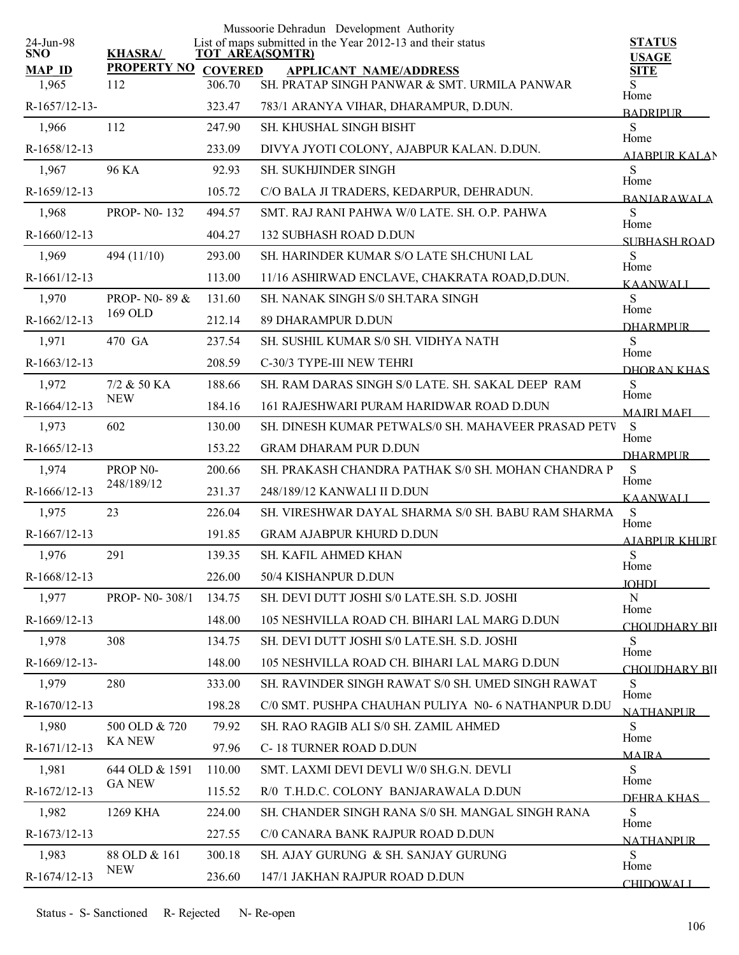|                         |                      |        | Mussoorie Dehradun Development Authority                                              |                               |
|-------------------------|----------------------|--------|---------------------------------------------------------------------------------------|-------------------------------|
| 24-Jun-98<br><b>SNO</b> | <b>KHASRA/</b>       |        | List of maps submitted in the Year 2012-13 and their status<br><b>TOT AREA(SQMTR)</b> | <b>STATUS</b><br><b>USAGE</b> |
| <b>MAP ID</b>           | PROPERTY NO COVERED  |        | <b>APPLICANT NAME/ADDRESS</b>                                                         | <b>SITE</b>                   |
| 1,965                   | 112                  | 306.70 | SH. PRATAP SINGH PANWAR & SMT. URMILA PANWAR                                          | S<br>Home                     |
| R-1657/12-13-           |                      | 323.47 | 783/1 ARANYA VIHAR, DHARAMPUR, D.DUN.                                                 | <b>BADRIPUR</b>               |
| 1,966                   | 112                  | 247.90 | SH. KHUSHAL SINGH BISHT                                                               | S<br>Home                     |
| R-1658/12-13            |                      | 233.09 | DIVYA JYOTI COLONY, AJABPUR KALAN. D.DUN.                                             | <b>AIABPUR KALAN</b>          |
| 1,967                   | 96 KA                | 92.93  | SH. SUKHJINDER SINGH                                                                  | S<br>Home                     |
| R-1659/12-13            |                      | 105.72 | C/O BALA JI TRADERS, KEDARPUR, DEHRADUN.                                              | <b>BANIARAWALA</b>            |
| 1,968                   | <b>PROP-N0-132</b>   | 494.57 | SMT. RAJ RANI PAHWA W/0 LATE. SH. O.P. PAHWA                                          | S<br>Home                     |
| R-1660/12-13            |                      | 404.27 | <b>132 SUBHASH ROAD D.DUN</b>                                                         | SUBHASH ROAD                  |
| 1,969                   | 494 (11/10)          | 293.00 | SH. HARINDER KUMAR S/O LATE SH.CHUNI LAL                                              | S<br>Home                     |
| $R-1661/12-13$          |                      | 113.00 | 11/16 ASHIRWAD ENCLAVE, CHAKRATA ROAD, D.DUN.                                         | <b>KAANWALI</b>               |
| 1,970                   | PROP-N0-89 &         | 131.60 | SH. NANAK SINGH S/0 SH.TARA SINGH                                                     | S                             |
| R-1662/12-13            | 169 OLD              | 212.14 | 89 DHARAMPUR D.DUN                                                                    | Home<br><b>DHARMPUR</b>       |
| 1,971                   | 470 GA               | 237.54 | SH. SUSHIL KUMAR S/0 SH. VIDHYA NATH                                                  | S                             |
| R-1663/12-13            |                      | 208.59 | C-30/3 TYPE-III NEW TEHRI                                                             | Home<br>DHORAN KHAS           |
| 1,972                   | 7/2 & 50 KA          | 188.66 | SH. RAM DARAS SINGH S/0 LATE. SH. SAKAL DEEP RAM                                      | S                             |
| R-1664/12-13            | <b>NEW</b>           | 184.16 | 161 RAJESHWARI PURAM HARIDWAR ROAD D.DUN                                              | Home<br><b>MAIRI MAFI</b>     |
| 1,973                   | 602                  | 130.00 | SH. DINESH KUMAR PETWALS/0 SH. MAHAVEER PRASAD PETV                                   | S                             |
| R-1665/12-13            |                      | 153.22 | <b>GRAM DHARAM PUR D.DUN</b>                                                          | Home<br><b>DHARMPUR</b>       |
| 1,974                   | PROP <sub>N0</sub> - | 200.66 | SH. PRAKASH CHANDRA PATHAK S/0 SH. MOHAN CHANDRA P                                    | ${\bf S}$                     |
| R-1666/12-13            | 248/189/12           | 231.37 | 248/189/12 KANWALI II D.DUN                                                           | Home<br><b>KAANWALI</b>       |
| 1,975                   | 23                   | 226.04 | SH. VIRESHWAR DAYAL SHARMA S/0 SH. BABU RAM SHARMA                                    | ${\bf S}$                     |
| R-1667/12-13            |                      | 191.85 | <b>GRAM AJABPUR KHURD D.DUN</b>                                                       | Home<br>AJABPUR KHURI         |
| 1,976                   | 291                  | 139.35 | <b>SH. KAFIL AHMED KHAN</b>                                                           | ${\bf S}$                     |
| R-1668/12-13            |                      | 226.00 | 50/4 KISHANPUR D.DUN                                                                  | Home<br><b>JOHDI</b>          |
| 1,977                   | PROP- N0-308/1       | 134.75 | SH. DEVI DUTT JOSHI S/0 LATE.SH. S.D. JOSHI                                           | ${\bf N}$                     |
| R-1669/12-13            |                      | 148.00 | 105 NESHVILLA ROAD CH. BIHARI LAL MARG D.DUN                                          | Home<br>CHOUDHARY BII         |
| 1,978                   | 308                  | 134.75 | SH. DEVI DUTT JOSHI S/0 LATE.SH. S.D. JOSHI                                           | S                             |
| R-1669/12-13-           |                      | 148.00 | 105 NESHVILLA ROAD CH. BIHARI LAL MARG D.DUN                                          | Home<br>CHOUDHARY BII         |
| 1,979                   | 280                  | 333.00 | SH. RAVINDER SINGH RAWAT S/0 SH. UMED SINGH RAWAT                                     | S                             |
| R-1670/12-13            |                      | 198.28 | C/0 SMT. PUSHPA CHAUHAN PULIYA N0- 6 NATHANPUR D.DU                                   | Home<br><b>NATHANPUR</b>      |
| 1,980                   | 500 OLD & 720        | 79.92  | SH. RAO RAGIB ALI S/0 SH. ZAMIL AHMED                                                 | S                             |
| R-1671/12-13            | <b>KA NEW</b>        | 97.96  | C-18 TURNER ROAD D.DUN                                                                | Home                          |
| 1,981                   | 644 OLD & 1591       | 110.00 | SMT. LAXMI DEVI DEVLI W/0 SH.G.N. DEVLI                                               | <b>MAIRA</b><br>S             |
| R-1672/12-13            | <b>GA NEW</b>        | 115.52 | R/0 T.H.D.C. COLONY BANJARAWALA D.DUN                                                 | Home                          |
| 1,982                   | 1269 KHA             | 224.00 | SH. CHANDER SINGH RANA S/0 SH. MANGAL SINGH RANA                                      | DEHRA KHAS<br>S               |
| R-1673/12-13            |                      | 227.55 | C/0 CANARA BANK RAJPUR ROAD D.DUN                                                     | Home                          |
| 1,983                   | 88 OLD & 161         | 300.18 | SH. AJAY GURUNG & SH. SANJAY GURUNG                                                   | <b>NATHANPUR</b><br>S         |
| R-1674/12-13            | <b>NEW</b>           | 236.60 | 147/1 JAKHAN RAJPUR ROAD D.DUN                                                        | Home                          |
|                         |                      |        |                                                                                       | <b>CHIDOWALI</b>              |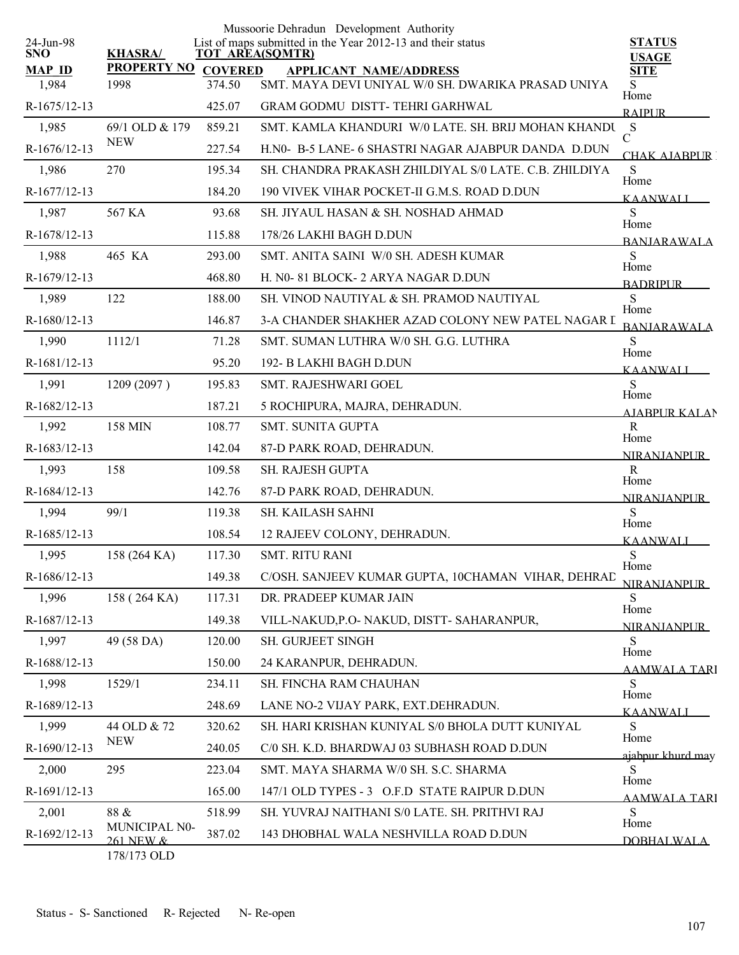|                         |                                           |                          | Mussoorie Dehradun Development Authority<br>List of maps submitted in the Year 2012-13 and their status |                                 |
|-------------------------|-------------------------------------------|--------------------------|---------------------------------------------------------------------------------------------------------|---------------------------------|
| 24-Jun-98<br><b>SNO</b> | <b>KHASRA/</b>                            |                          | <b>TOT AREA(SQMTR)</b>                                                                                  | <b>STATUS</b><br><b>USAGE</b>   |
| <b>MAP ID</b><br>1,984  | <b>PROPERTY NO</b><br>1998                | <b>COVERED</b><br>374.50 | <b>APPLICANT NAME/ADDRESS</b><br>SMT. MAYA DEVI UNIYAL W/0 SH. DWARIKA PRASAD UNIYA                     | <b>SITE</b><br>S                |
| R-1675/12-13            |                                           | 425.07                   | <b>GRAM GODMU DISTT-TEHRI GARHWAL</b>                                                                   | Home<br><b>RAIPUR</b>           |
| 1,985                   | 69/1 OLD & 179                            | 859.21                   | SMT. KAMLA KHANDURI W/0 LATE. SH. BRIJ MOHAN KHANDU S                                                   |                                 |
| R-1676/12-13            | <b>NEW</b>                                | 227.54                   | H.NO- B-5 LANE- 6 SHASTRI NAGAR AJABPUR DANDA D.DUN                                                     | $\mathcal{C}$<br>CHAK AIARPUR 1 |
| 1,986                   | 270                                       | 195.34                   | SH. CHANDRA PRAKASH ZHILDIYAL S/0 LATE, C.B. ZHILDIYA                                                   | ${\bf S}$                       |
| R-1677/12-13            |                                           | 184.20                   | 190 VIVEK VIHAR POCKET-II G.M.S. ROAD D.DUN                                                             | Home<br><b>KAANWALI</b>         |
| 1,987                   | 567 KA                                    | 93.68                    | SH. JIYAUL HASAN & SH. NOSHAD AHMAD                                                                     | S                               |
| R-1678/12-13            |                                           | 115.88                   | 178/26 LAKHI BAGH D.DUN                                                                                 | Home<br><b>BANIARAWALA</b>      |
| 1,988                   | 465 KA                                    | 293.00                   | SMT. ANITA SAINI W/0 SH. ADESH KUMAR                                                                    | S                               |
| R-1679/12-13            |                                           | 468.80                   | H. N0-81 BLOCK-2 ARYA NAGAR D.DUN                                                                       | Home<br><b>BADRIPLIR</b>        |
| 1,989                   | 122                                       | 188.00                   | SH. VINOD NAUTIYAL & SH. PRAMOD NAUTIYAL                                                                | S                               |
| R-1680/12-13            |                                           | 146.87                   | 3-A CHANDER SHAKHER AZAD COLONY NEW PATEL NAGAR I                                                       | Home<br><b>BANJARAWALA</b>      |
| 1,990                   | 1112/1                                    | 71.28                    | SMT. SUMAN LUTHRA W/0 SH. G.G. LUTHRA                                                                   | S                               |
| R-1681/12-13            |                                           | 95.20                    | 192- B LAKHI BAGH D.DUN                                                                                 | Home<br><b>KAANWALI</b>         |
| 1,991                   | 1209 (2097)                               | 195.83                   | SMT. RAJESHWARI GOEL                                                                                    | S                               |
| R-1682/12-13            |                                           | 187.21                   | 5 ROCHIPURA, MAJRA, DEHRADUN.                                                                           | Home<br><b>AIARPUR KALAN</b>    |
| 1,992                   | 158 MIN                                   | 108.77                   | <b>SMT. SUNITA GUPTA</b>                                                                                | $\mathbf R$                     |
| R-1683/12-13            |                                           | 142.04                   | 87-D PARK ROAD, DEHRADUN.                                                                               | Home<br><b>NIRANJANPUR</b>      |
| 1,993                   | 158                                       | 109.58                   | SH. RAJESH GUPTA                                                                                        | $\mathbf R$                     |
| R-1684/12-13            |                                           | 142.76                   | 87-D PARK ROAD, DEHRADUN.                                                                               | Home<br><b>NIRANJANPUR</b>      |
| 1,994                   | 99/1                                      | 119.38                   | <b>SH. KAILASH SAHNI</b>                                                                                | S                               |
| R-1685/12-13            |                                           | 108.54                   | 12 RAJEEV COLONY, DEHRADUN.                                                                             | Home<br>KAANWALI                |
| 1,995                   | 158 (264 KA)                              | 117.30                   | <b>SMT. RITU RANI</b>                                                                                   | S                               |
| R-1686/12-13            |                                           | 149.38                   | C/OSH. SANJEEV KUMAR GUPTA, 10CHAMAN VIHAR, DEHRAD                                                      | Home<br><b>NIRANIANPUR</b>      |
| 1,996                   | 158 (264 KA)                              | 117.31                   | DR. PRADEEP KUMAR JAIN                                                                                  | S                               |
| R-1687/12-13            |                                           | 149.38                   | VILL-NAKUD, P.O- NAKUD, DISTT- SAHARANPUR,                                                              | Home<br><b>NIRANJANPUR</b>      |
| 1,997                   | 49 (58 DA)                                | 120.00                   | SH. GURJEET SINGH                                                                                       | S                               |
| R-1688/12-13            |                                           | 150.00                   | 24 KARANPUR, DEHRADUN.                                                                                  | Home<br><b>AAMWALA TARI</b>     |
| 1,998                   | 1529/1                                    | 234.11                   | SH. FINCHA RAM CHAUHAN                                                                                  | S                               |
| R-1689/12-13            |                                           | 248.69                   | LANE NO-2 VIJAY PARK, EXT.DEHRADUN.                                                                     | Home<br>KAANWALI                |
| 1,999                   | 44 OLD & 72                               | 320.62                   | SH. HARI KRISHAN KUNIYAL S/0 BHOLA DUTT KUNIYAL                                                         | S                               |
| R-1690/12-13            | <b>NEW</b>                                | 240.05                   | C/0 SH. K.D. BHARDWAJ 03 SUBHASH ROAD D.DUN                                                             | Home<br>ajabpur khurd may       |
| 2,000                   | 295                                       | 223.04                   | SMT. MAYA SHARMA W/0 SH. S.C. SHARMA                                                                    | S.                              |
| R-1691/12-13            |                                           | 165.00                   | 147/1 OLD TYPES - 3 O.F.D STATE RAIPUR D.DUN                                                            | Home<br><b>AAMWALA TARI</b>     |
| 2,001                   | $88\ \&$                                  | 518.99                   | SH. YUVRAJ NAITHANI S/0 LATE. SH. PRITHVI RAJ                                                           | S                               |
| R-1692/12-13            | MUNICIPAL N0-<br>261 NEW &<br>178/173 OLD | 387.02                   | 143 DHOBHAL WALA NESHVILLA ROAD D.DUN                                                                   | Home<br><b>DOBHALWALA</b>       |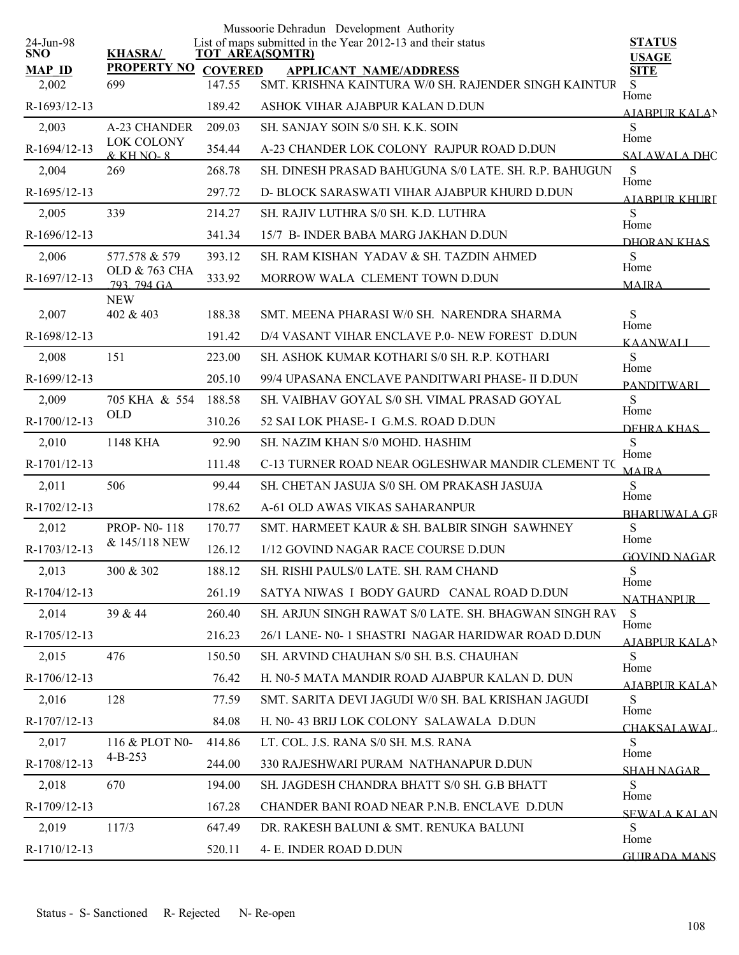| 24-Jun-98     |                                   |                  | Mussoorie Dehradun Development Authority<br>List of maps submitted in the Year 2012-13 and their status | <b>STATUS</b>                |
|---------------|-----------------------------------|------------------|---------------------------------------------------------------------------------------------------------|------------------------------|
| <b>SNO</b>    | <b>KHASRA/</b>                    |                  | <b>TOT AREA(SQMTR)</b>                                                                                  | <b>USAGE</b>                 |
| <b>MAP ID</b> | <b>PROPERTY NO</b><br>699         | <b>COVERED</b>   | <b>APPLICANT NAME/ADDRESS</b><br>SMT. KRISHNA KAINTURA W/0 SH. RAJENDER SINGH KAINTUR                   | <b>SITE</b>                  |
| 2,002         |                                   | 147.55<br>189.42 | ASHOK VIHAR AJABPUR KALAN D.DUN                                                                         | S<br>Home                    |
| R-1693/12-13  |                                   |                  |                                                                                                         | AJABPUR KALAN                |
| 2,003         | A-23 CHANDER<br><b>LOK COLONY</b> | 209.03           | SH. SANJAY SOIN S/0 SH. K.K. SOIN                                                                       | S<br>Home                    |
| R-1694/12-13  | $&$ KH NO-8                       | 354.44           | A-23 CHANDER LOK COLONY RAJPUR ROAD D.DUN                                                               | <b>SALAWALA DHC</b>          |
| 2,004         | 269                               | 268.78           | SH. DINESH PRASAD BAHUGUNA S/0 LATE, SH. R.P. BAHUGUN                                                   | S<br>Home                    |
| R-1695/12-13  |                                   | 297.72           | D- BLOCK SARASWATI VIHAR AJABPUR KHURD D.DUN                                                            | <b>AIABPUR KHURI</b>         |
| 2,005         | 339                               | 214.27           | SH. RAJIV LUTHRA S/0 SH. K.D. LUTHRA                                                                    | S<br>Home                    |
| R-1696/12-13  |                                   | 341.34           | 15/7 B- INDER BABA MARG JAKHAN D.DUN                                                                    | DHORAN KHAS                  |
| 2,006         | 577.578 & 579                     | 393.12           | SH. RAM KISHAN YADAV & SH. TAZDIN AHMED                                                                 | S<br>Home                    |
| R-1697/12-13  | OLD & 763 CHA<br>793 794 GA       | 333.92           | MORROW WALA CLEMENT TOWN D.DUN                                                                          | <b>MAIRA</b>                 |
| 2,007         | <b>NEW</b><br>402 & 403           | 188.38           | SMT. MEENA PHARASI W/0 SH. NARENDRA SHARMA                                                              | S                            |
| R-1698/12-13  |                                   | 191.42           | D/4 VASANT VIHAR ENCLAVE P.0- NEW FOREST D.DUN                                                          | Home                         |
|               |                                   |                  |                                                                                                         | <b>KAANWALI</b>              |
| 2,008         | 151                               | 223.00           | SH. ASHOK KUMAR KOTHARI S/0 SH. R.P. KOTHARI                                                            | S<br>Home                    |
| R-1699/12-13  |                                   | 205.10           | 99/4 UPASANA ENCLAVE PANDITWARI PHASE- II D.DUN                                                         | <b>PANDITWARI</b>            |
| 2,009         | 705 KHA & 554<br><b>OLD</b>       | 188.58           | SH. VAIBHAV GOYAL S/0 SH. VIMAL PRASAD GOYAL                                                            | S<br>Home                    |
| R-1700/12-13  |                                   | 310.26           | 52 SAI LOK PHASE- I G.M.S. ROAD D.DUN                                                                   | DEHRA KHAS                   |
| 2,010         | 1148 KHA                          | 92.90            | SH. NAZIM KHAN S/0 MOHD. HASHIM                                                                         | ${\bf S}$<br>Home            |
| R-1701/12-13  |                                   | 111.48           | C-13 TURNER ROAD NEAR OGLESHWAR MANDIR CLEMENT TO                                                       | <b>MAIRA</b>                 |
| 2,011         | 506                               | 99.44            | SH. CHETAN JASUJA S/0 SH. OM PRAKASH JASUJA                                                             | S<br>Home                    |
| R-1702/12-13  |                                   | 178.62           | A-61 OLD AWAS VIKAS SAHARANPUR                                                                          | <b>BHARLIWALA GR</b>         |
| 2,012         | <b>PROP-N0-118</b>                | 170.77           | SMT. HARMEET KAUR & SH. BALBIR SINGH SAWHNEY                                                            | S<br>Home                    |
| R-1703/12-13  | & 145/118 NEW                     | 126.12           | 1/12 GOVIND NAGAR RACE COURSE D.DUN                                                                     | <b>GOVIND NAGAR</b>          |
| 2,013         | 300 & 302                         | 188.12           | SH. RISHI PAULS/0 LATE. SH. RAM CHAND                                                                   | S                            |
| R-1704/12-13  |                                   | 261.19           | SATYA NIWAS I BODY GAURD CANAL ROAD D.DUN                                                               | Home<br><b>NATHANPUR</b>     |
| 2,014         | 39 & 44                           | 260.40           | SH. ARJUN SINGH RAWAT S/0 LATE, SH. BHAGWAN SINGH RAV                                                   | S                            |
| R-1705/12-13  |                                   | 216.23           | 26/1 LANE- N0-1 SHASTRI NAGAR HARIDWAR ROAD D.DUN                                                       | Home<br>AJABPUR KALAN        |
| 2,015         | 476                               | 150.50           | SH. ARVIND CHAUHAN S/0 SH. B.S. CHAUHAN                                                                 | S                            |
| R-1706/12-13  |                                   | 76.42            | H. N0-5 MATA MANDIR ROAD AJABPUR KALAN D. DUN                                                           | Home<br><b>AJABPUR KALAN</b> |
| 2,016         | 128                               | 77.59            | SMT. SARITA DEVI JAGUDI W/0 SH. BAL KRISHAN JAGUDI                                                      | S                            |
| R-1707/12-13  |                                   | 84.08            | H. N0-43 BRIJ LOK COLONY SALAWALA D.DUN                                                                 | Home<br>CHAKSALAWAL.         |
| 2,017         | 116 & PLOT N0-                    | 414.86           | LT. COL. J.S. RANA S/0 SH. M.S. RANA                                                                    | S                            |
| R-1708/12-13  | $4 - B - 253$                     | 244.00           | 330 RAJESHWARI PURAM NATHANAPUR D.DUN                                                                   | Home<br>SHAH NAGAR           |
| 2,018         | 670                               | 194.00           | SH. JAGDESH CHANDRA BHATT S/0 SH. G.B BHATT                                                             | S                            |
| R-1709/12-13  |                                   | 167.28           | CHANDER BANI ROAD NEAR P.N.B. ENCLAVE D.DUN                                                             | Home<br><b>SEWALA KALAN</b>  |
| 2,019         | 117/3                             | 647.49           | DR. RAKESH BALUNI & SMT. RENUKA BALUNI                                                                  | S                            |
| R-1710/12-13  |                                   | 520.11           | 4- E. INDER ROAD D.DUN                                                                                  | Home<br><b>GUIRADA MANS</b>  |
|               |                                   |                  |                                                                                                         |                              |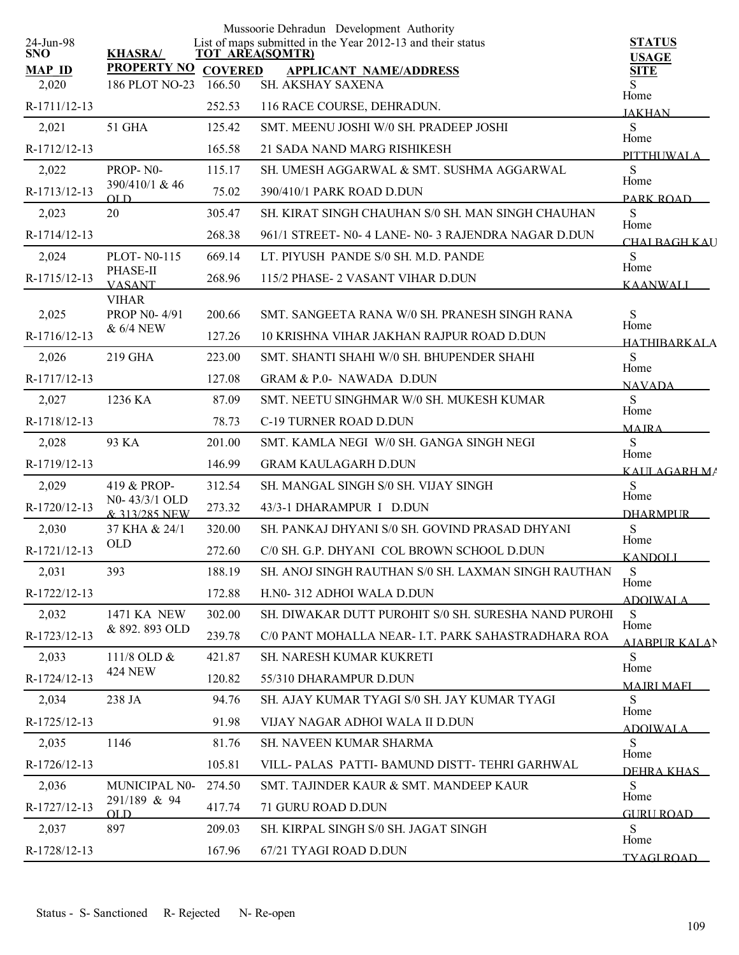|                         |                                |                | Mussoorie Dehradun Development Authority                                              |                               |
|-------------------------|--------------------------------|----------------|---------------------------------------------------------------------------------------|-------------------------------|
| 24-Jun-98<br><b>SNO</b> | <b>KHASRA/</b>                 |                | List of maps submitted in the Year 2012-13 and their status<br><b>TOT AREA(SQMTR)</b> | <b>STATUS</b><br><b>USAGE</b> |
| <b>MAP ID</b>           | <b>PROPERTY NO</b>             | <b>COVERED</b> | <b>APPLICANT NAME/ADDRESS</b>                                                         | <b>SITE</b>                   |
| 2,020                   | 186 PLOT NO-23                 | 166.50         | SH. AKSHAY SAXENA                                                                     | S.<br>Home                    |
| R-1711/12-13            |                                | 252.53         | 116 RACE COURSE, DEHRADUN.                                                            | <b>JAKHAN</b>                 |
| 2,021                   | 51 GHA                         | 125.42         | SMT. MEENU JOSHI W/0 SH. PRADEEP JOSHI                                                | S                             |
| R-1712/12-13            |                                | 165.58         | 21 SADA NAND MARG RISHIKESH                                                           | Home<br>PITTHUWALA            |
| 2,022                   | PROP-N0-                       | 115.17         | SH. UMESH AGGARWAL & SMT. SUSHMA AGGARWAL                                             | S                             |
| R-1713/12-13            | 390/410/1 & 46<br>OL D         | 75.02          | 390/410/1 PARK ROAD D.DUN                                                             | Home<br>PARK ROAD             |
| 2,023                   | 20                             | 305.47         | SH. KIRAT SINGH CHAUHAN S/0 SH. MAN SINGH CHAUHAN                                     | S                             |
| R-1714/12-13            |                                | 268.38         | 961/1 STREET- N0-4 LANE- N0-3 RAJENDRA NAGAR D.DUN                                    | Home<br>CHALBAGH KAU          |
| 2,024                   | <b>PLOT-N0-115</b>             | 669.14         | LT. PIYUSH PANDE S/0 SH. M.D. PANDE                                                   | S                             |
| R-1715/12-13            | PHASE-II<br><b>VASANT</b>      | 268.96         | 115/2 PHASE- 2 VASANT VIHAR D.DUN                                                     | Home<br><b>KAANWALI</b>       |
|                         | <b>VIHAR</b>                   |                |                                                                                       |                               |
| 2,025                   | PROP N0-4/91                   | 200.66         | SMT. SANGEETA RANA W/0 SH. PRANESH SINGH RANA                                         | S<br>Home                     |
| R-1716/12-13            | & 6/4 NEW                      | 127.26         | 10 KRISHNA VIHAR JAKHAN RAJPUR ROAD D.DUN                                             | HATHIRARKALA                  |
| 2,026                   | 219 GHA                        | 223.00         | SMT. SHANTI SHAHI W/0 SH. BHUPENDER SHAHI                                             | <sub>S</sub><br>Home          |
| R-1717/12-13            |                                | 127.08         | GRAM & P.0- NAWADA D.DUN                                                              | <b>NAVADA</b>                 |
| 2,027                   | 1236 KA                        | 87.09          | SMT. NEETU SINGHMAR W/0 SH. MUKESH KUMAR                                              | S                             |
| R-1718/12-13            |                                | 78.73          | C-19 TURNER ROAD D.DUN                                                                | Home<br><b>MAJRA</b>          |
| 2,028                   | 93 KA                          | 201.00         | SMT. KAMLA NEGI W/0 SH. GANGA SINGH NEGI                                              | S                             |
| R-1719/12-13            |                                | 146.99         | <b>GRAM KAULAGARH D.DUN</b>                                                           | Home<br>KAULAGARH MA          |
| 2,029                   | 419 & PROP-                    | 312.54         | SH. MANGAL SINGH S/0 SH. VIJAY SINGH                                                  | S                             |
| R-1720/12-13            | N0-43/3/1 OLD<br>& 313/285 NEW | 273.32         | 43/3-1 DHARAMPUR I D.DUN                                                              | Home<br><b>DHARMPLIR</b>      |
| 2,030                   | 37 KHA & 24/1                  | 320.00         | SH. PANKAJ DHYANI S/0 SH. GOVIND PRASAD DHYANI                                        | S                             |
| R-1721/12-13            | <b>OLD</b>                     | 272.60         | C/0 SH. G.P. DHYANI COL BROWN SCHOOL D.DUN                                            | Home<br><b>KANDOLL</b>        |
| 2,031                   | 393                            | 188.19         | SH. ANOJ SINGH RAUTHAN S/0 SH. LAXMAN SINGH RAUTHAN                                   | S                             |
| R-1722/12-13            |                                | 172.88         | H.N0-312 ADHOI WALA D.DUN                                                             | Home                          |
| 2,032                   | 1471 KA NEW                    | 302.00         | SH. DIWAKAR DUTT PUROHIT S/0 SH. SURESHA NAND PUROHI                                  | <b>ADOIWALA</b><br>S          |
| R-1723/12-13            | & 892.893 OLD                  | 239.78         | C/0 PANT MOHALLA NEAR- I.T. PARK SAHASTRADHARA ROA                                    | Home                          |
| 2,033                   | 111/8 OLD &                    | 421.87         | SH. NARESH KUMAR KUKRETI                                                              | <b>AJABPUR KALAN</b><br>S     |
| R-1724/12-13            | <b>424 NEW</b>                 | 120.82         | 55/310 DHARAMPUR D.DUN                                                                | Home                          |
| 2,034                   | 238 JA                         | 94.76          | SH. AJAY KUMAR TYAGI S/0 SH. JAY KUMAR TYAGI                                          | <b>MAIRI MAFI</b><br>S        |
| R-1725/12-13            |                                | 91.98          | VIJAY NAGAR ADHOI WALA II D.DUN                                                       | Home                          |
| 2,035                   | 1146                           | 81.76          | SH. NAVEEN KUMAR SHARMA                                                               | <b>ADOIWALA</b><br>S          |
| R-1726/12-13            |                                | 105.81         | VILL-PALAS PATTI-BAMUND DISTT-TEHRI GARHWAL                                           | Home                          |
| 2,036                   | MUNICIPAL N0-                  | 274.50         | SMT. TAJINDER KAUR & SMT. MANDEEP KAUR                                                | DEHRA KHAS<br>S               |
| R-1727/12-13            | 291/189 & 94                   | 417.74         | 71 GURU ROAD D.DUN                                                                    | Home                          |
| 2,037                   | OLD<br>897                     | 209.03         | SH. KIRPAL SINGH S/0 SH. JAGAT SINGH                                                  | GURU ROAD<br>S                |
| R-1728/12-13            |                                | 167.96         | 67/21 TYAGI ROAD D.DUN                                                                | Home                          |
|                         |                                |                |                                                                                       | <b>TYAGI ROAD</b>             |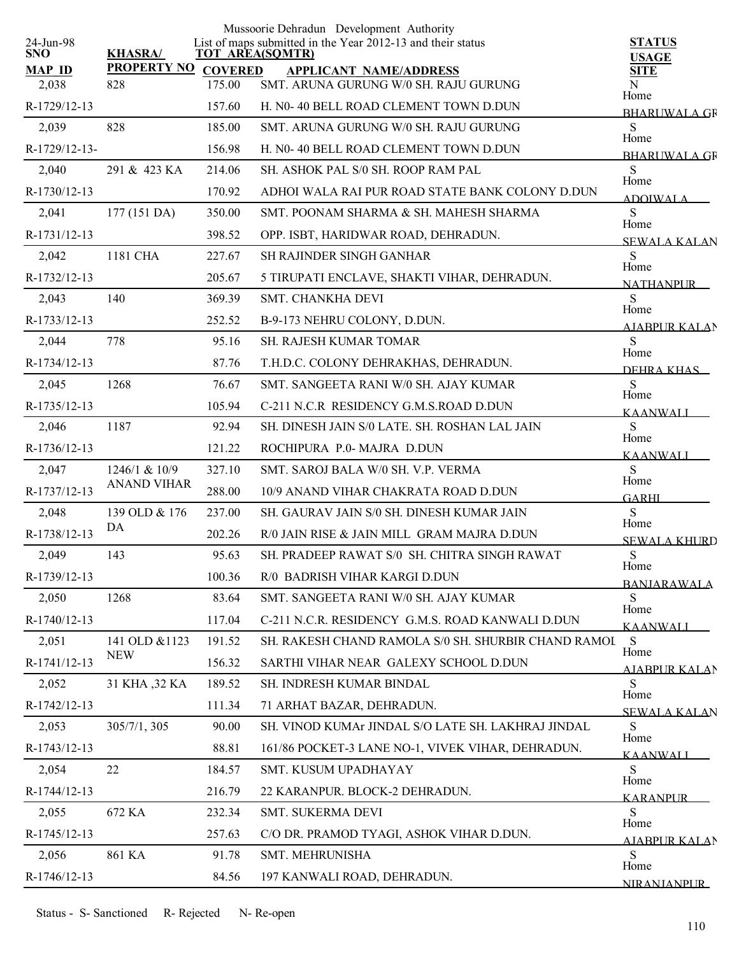| 24-Jun-98              |                           |                          | Mussoorie Dehradun Development Authority<br>List of maps submitted in the Year 2012-13 and their status | <b>STATUS</b>                |
|------------------------|---------------------------|--------------------------|---------------------------------------------------------------------------------------------------------|------------------------------|
| <b>SNO</b>             | <b>KHASRA/</b>            |                          | <b>TOT AREA(SQMTR)</b>                                                                                  | <b>USAGE</b>                 |
| <b>MAP ID</b><br>2,038 | <b>PROPERTY NO</b><br>828 | <b>COVERED</b><br>175.00 | <b>APPLICANT NAME/ADDRESS</b><br>SMT. ARUNA GURUNG W/0 SH. RAJU GURUNG                                  | <b>SITE</b><br>N             |
|                        |                           |                          |                                                                                                         | Home                         |
| R-1729/12-13           |                           | 157.60                   | H. N0-40 BELL ROAD CLEMENT TOWN D.DUN                                                                   | <b>BHARUWALA GR</b>          |
| 2,039                  | 828                       | 185.00                   | SMT. ARUNA GURUNG W/0 SH. RAJU GURUNG                                                                   | S<br>Home                    |
| R-1729/12-13-          |                           | 156.98                   | H. N0-40 BELL ROAD CLEMENT TOWN D.DUN                                                                   | <b>BHARLIWALA GR</b>         |
| 2,040                  | 291 & 423 KA              | 214.06                   | SH. ASHOK PAL S/0 SH. ROOP RAM PAL                                                                      | S<br>Home                    |
| R-1730/12-13           |                           | 170.92                   | ADHOI WALA RAI PUR ROAD STATE BANK COLONY D.DUN                                                         | ADOIWALA                     |
| 2,041                  | 177 (151 DA)              | 350.00                   | SMT. POONAM SHARMA & SH. MAHESH SHARMA                                                                  | S<br>Home                    |
| R-1731/12-13           |                           | 398.52                   | OPP. ISBT, HARIDWAR ROAD, DEHRADUN.                                                                     | <b>SEWALA KALAN</b>          |
| 2,042                  | 1181 CHA                  | 227.67                   | <b>SH RAJINDER SINGH GANHAR</b>                                                                         | S<br>Home                    |
| R-1732/12-13           |                           | 205.67                   | 5 TIRUPATI ENCLAVE, SHAKTI VIHAR, DEHRADUN.                                                             | <b>NATHANPLIR</b>            |
| 2,043                  | 140                       | 369.39                   | <b>SMT. CHANKHA DEVI</b>                                                                                | S<br>Home                    |
| R-1733/12-13           |                           | 252.52                   | B-9-173 NEHRU COLONY, D.DUN.                                                                            | AJABPUR KALAN                |
| 2,044                  | 778                       | 95.16                    | <b>SH. RAJESH KUMAR TOMAR</b>                                                                           | S<br>Home                    |
| R-1734/12-13           |                           | 87.76                    | T.H.D.C. COLONY DEHRAKHAS, DEHRADUN.                                                                    | DEHRA KHAS                   |
| 2,045                  | 1268                      | 76.67                    | SMT. SANGEETA RANI W/0 SH. AJAY KUMAR                                                                   | S<br>Home                    |
| R-1735/12-13           |                           | 105.94                   | C-211 N.C.R RESIDENCY G.M.S.ROAD D.DUN                                                                  | <b>KAANWALI</b>              |
| 2,046                  | 1187                      | 92.94                    | SH. DINESH JAIN S/0 LATE. SH. ROSHAN LAL JAIN                                                           | S                            |
| R-1736/12-13           |                           | 121.22                   | ROCHIPURA P.0-MAJRA D.DUN                                                                               | Home<br><b>KAANWALI</b>      |
| 2,047                  | 1246/1 & 10/9             | 327.10                   | SMT. SAROJ BALA W/0 SH. V.P. VERMA                                                                      | S                            |
| R-1737/12-13           | <b>ANAND VIHAR</b>        | 288.00                   | 10/9 ANAND VIHAR CHAKRATA ROAD D.DUN                                                                    | Home<br><b>GARHI</b>         |
| 2,048                  | 139 OLD & 176             | 237.00                   | SH. GAURAV JAIN S/0 SH. DINESH KUMAR JAIN                                                               | S                            |
| R-1738/12-13           | DA                        | 202.26                   | R/0 JAIN RISE & JAIN MILL GRAM MAJRA D.DUN                                                              | Home<br><b>SEWALA KHURD</b>  |
| 2,049                  | 143                       | 95.63                    | SH. PRADEEP RAWAT S/0 SH. CHITRA SINGH RAWAT                                                            | ${\bf S}$                    |
| R-1739/12-13           |                           | 100.36                   | R/0 BADRISH VIHAR KARGI D.DUN                                                                           | Home<br><b>BANJARAWALA</b>   |
| 2,050                  | 1268                      | 83.64                    | SMT. SANGEETA RANI W/0 SH. AJAY KUMAR                                                                   | S                            |
| R-1740/12-13           |                           | 117.04                   | C-211 N.C.R. RESIDENCY G.M.S. ROAD KANWALI D.DUN                                                        | Home<br>KAANWALI             |
| 2,051                  | 141 OLD & 1123            | 191.52                   | SH. RAKESH CHAND RAMOLA S/0 SH. SHURBIR CHAND RAMOI                                                     | S                            |
| R-1741/12-13           | <b>NEW</b>                | 156.32                   | SARTHI VIHAR NEAR GALEXY SCHOOL D.DUN                                                                   | Home<br><b>AIABPUR KALAN</b> |
| 2,052                  | 31 KHA ,32 KA             | 189.52                   | SH. INDRESH KUMAR BINDAL                                                                                | S                            |
| R-1742/12-13           |                           | 111.34                   | 71 ARHAT BAZAR, DEHRADUN.                                                                               | Home                         |
| 2,053                  | 305/7/1, 305              | 90.00                    | SH. VINOD KUMAr JINDAL S/O LATE SH. LAKHRAJ JINDAL                                                      | <b>SEWALA KALAN</b><br>S     |
| R-1743/12-13           |                           | 88.81                    | 161/86 POCKET-3 LANE NO-1, VIVEK VIHAR, DEHRADUN.                                                       | Home                         |
| 2,054                  | 22                        | 184.57                   | SMT. KUSUM UPADHAYAY                                                                                    | KAANWALI<br>S                |
| R-1744/12-13           |                           | 216.79                   | 22 KARANPUR. BLOCK-2 DEHRADUN.                                                                          | Home                         |
| 2,055                  | 672 KA                    | 232.34                   | SMT. SUKERMA DEVI                                                                                       | <b>KARANPUR</b><br>S         |
| R-1745/12-13           |                           | 257.63                   | C/O DR. PRAMOD TYAGI, ASHOK VIHAR D.DUN.                                                                | Home                         |
| 2,056                  | 861 KA                    | 91.78                    | SMT. MEHRUNISHA                                                                                         | AJABPUR KALAN<br>S           |
| R-1746/12-13           |                           | 84.56                    | 197 KANWALI ROAD, DEHRADUN.                                                                             | Home                         |
|                        |                           |                          |                                                                                                         | NIRANJANPUR                  |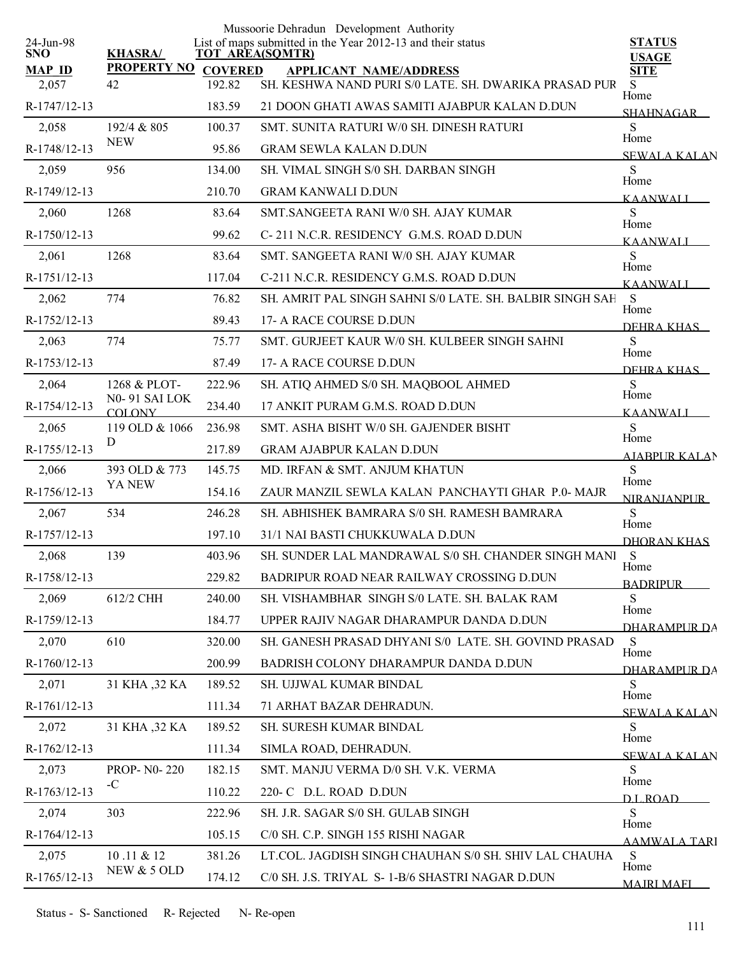|                         |                                |                        | Mussoorie Dehradun Development Authority                    |                               |
|-------------------------|--------------------------------|------------------------|-------------------------------------------------------------|-------------------------------|
| 24-Jun-98<br><b>SNO</b> | <b>KHASRA/</b>                 | <b>TOT AREA(SQMTR)</b> | List of maps submitted in the Year 2012-13 and their status | <b>STATUS</b><br><b>USAGE</b> |
| <b>MAP ID</b>           | <b>PROPERTY NO</b>             | <b>COVERED</b>         | <b>APPLICANT NAME/ADDRESS</b>                               | <b>SITE</b>                   |
| 2,057                   | 42                             | 192.82                 | SH. KESHWA NAND PURI S/0 LATE. SH. DWARIKA PRASAD PUR       | S<br>Home                     |
| R-1747/12-13            |                                | 183.59                 | 21 DOON GHATI AWAS SAMITI AJABPUR KALAN D.DUN               | <b>SHAHNAGAR</b>              |
| 2,058                   | 192/4 & 805<br><b>NEW</b>      | 100.37                 | SMT. SUNITA RATURI W/0 SH. DINESH RATURI                    | S<br>Home                     |
| R-1748/12-13            |                                | 95.86                  | <b>GRAM SEWLA KALAN D.DUN</b>                               | <b>SEWALA KALAN</b>           |
| 2,059                   | 956                            | 134.00                 | SH. VIMAL SINGH S/0 SH. DARBAN SINGH                        | S<br>Home                     |
| R-1749/12-13            |                                | 210.70                 | <b>GRAM KANWALI D.DUN</b>                                   | <b>KAANWALI</b>               |
| 2,060                   | 1268                           | 83.64                  | SMT.SANGEETA RANI W/0 SH. AJAY KUMAR                        | S<br>Home                     |
| R-1750/12-13            |                                | 99.62                  | C-211 N.C.R. RESIDENCY G.M.S. ROAD D.DUN                    | <b>KAANWALI</b>               |
| 2,061                   | 1268                           | 83.64                  | SMT. SANGEETA RANI W/0 SH. AJAY KUMAR                       | S<br>Home                     |
| R-1751/12-13            |                                | 117.04                 | C-211 N.C.R. RESIDENCY G.M.S. ROAD D.DUN                    | <b>KAANWALI</b>               |
| 2,062                   | 774                            | 76.82                  | SH. AMRIT PAL SINGH SAHNI S/0 LATE. SH. BALBIR SINGH SAH    | <sub>S</sub><br>Home          |
| R-1752/12-13            |                                | 89.43                  | 17- A RACE COURSE D.DUN                                     | DEHRA KHAS                    |
| 2,063                   | 774                            | 75.77                  | SMT. GURJEET KAUR W/0 SH. KULBEER SINGH SAHNI               | S<br>Home                     |
| R-1753/12-13            |                                | 87.49                  | 17- A RACE COURSE D.DUN                                     | DEHRA KHAS                    |
| 2,064                   | 1268 & PLOT-                   | 222.96                 | SH. ATIQ AHMED S/0 SH. MAQBOOL AHMED                        | S                             |
| R-1754/12-13            | N0-91 SAI LOK<br><b>COLONY</b> | 234.40                 | 17 ANKIT PURAM G.M.S. ROAD D.DUN                            | Home<br><b>KAANWALI</b>       |
| 2,065                   | 119 OLD & 1066                 | 236.98                 | SMT. ASHA BISHT W/0 SH. GAJENDER BISHT                      | S                             |
| R-1755/12-13            | D                              | 217.89                 | <b>GRAM AJABPUR KALAN D.DUN</b>                             | Home<br><b>AIABPUR KALAN</b>  |
| 2,066                   | 393 OLD & 773                  | 145.75                 | MD. IRFAN & SMT. ANJUM KHATUN                               | $\mathbf S$                   |
| R-1756/12-13            | YA NEW                         | 154.16                 | ZAUR MANZIL SEWLA KALAN PANCHAYTI GHAR P.0- MAJR            | Home<br><b>NIRANJANPUR</b>    |
| 2,067                   | 534                            | 246.28                 | SH. ABHISHEK BAMRARA S/0 SH. RAMESH BAMRARA                 | S                             |
| R-1757/12-13            |                                | 197.10                 | 31/1 NAI BASTI CHUKKUWALA D.DUN                             | Home<br><b>DHORAN KHAS</b>    |
| 2,068                   | 139                            | 403.96                 | SH. SUNDER LAL MANDRAWAL S/0 SH. CHANDER SINGH MANI         | S                             |
| R-1758/12-13            |                                | 229.82                 | BADRIPUR ROAD NEAR RAILWAY CROSSING D.DUN                   | Home<br><b>BADRIPUR</b>       |
| 2,069                   | 612/2 CHH                      | 240.00                 | SH. VISHAMBHAR SINGH S/0 LATE. SH. BALAK RAM                | S                             |
| R-1759/12-13            |                                | 184.77                 | UPPER RAJIV NAGAR DHARAMPUR DANDA D.DUN                     | Home<br>DHARAMPUR DA          |
| 2,070                   | 610                            | 320.00                 | SH. GANESH PRASAD DHYANI S/0 LATE. SH. GOVIND PRASAD        | S                             |
| R-1760/12-13            |                                | 200.99                 | BADRISH COLONY DHARAMPUR DANDA D.DUN                        | Home<br><b>DHARAMPUR DA</b>   |
| 2,071                   | 31 KHA ,32 KA                  | 189.52                 | SH. UJJWAL KUMAR BINDAL                                     | S                             |
| R-1761/12-13            |                                | 111.34                 | 71 ARHAT BAZAR DEHRADUN.                                    | Home<br><b>SEWALA KALAN</b>   |
| 2,072                   | 31 KHA , 32 KA                 | 189.52                 | SH. SURESH KUMAR BINDAL                                     | S                             |
| R-1762/12-13            |                                | 111.34                 | SIMLA ROAD, DEHRADUN.                                       | Home<br><b>SEWALA KALAN</b>   |
| 2,073                   | <b>PROP-N0-220</b>             | 182.15                 | SMT. MANJU VERMA D/0 SH. V.K. VERMA                         | S                             |
| R-1763/12-13            | $-C$                           | 110.22                 | 220- C D.L. ROAD D.DUN                                      | Home<br>D L ROAD              |
| 2,074                   | 303                            | 222.96                 | SH. J.R. SAGAR S/0 SH. GULAB SINGH                          | S                             |
| R-1764/12-13            |                                | 105.15                 | C/0 SH. C.P. SINGH 155 RISHI NAGAR                          | Home<br><b>AAMWALA TARI</b>   |
| 2,075                   | 10.11 & 12                     | 381.26                 | LT.COL. JAGDISH SINGH CHAUHAN S/0 SH. SHIV LAL CHAUHA       | S                             |
| R-1765/12-13            | NEW & 5 OLD                    | 174.12                 | C/0 SH. J.S. TRIYAL S- 1-B/6 SHASTRI NAGAR D.DUN            | Home                          |
|                         |                                |                        |                                                             | <b>MAIRI MAFI</b>             |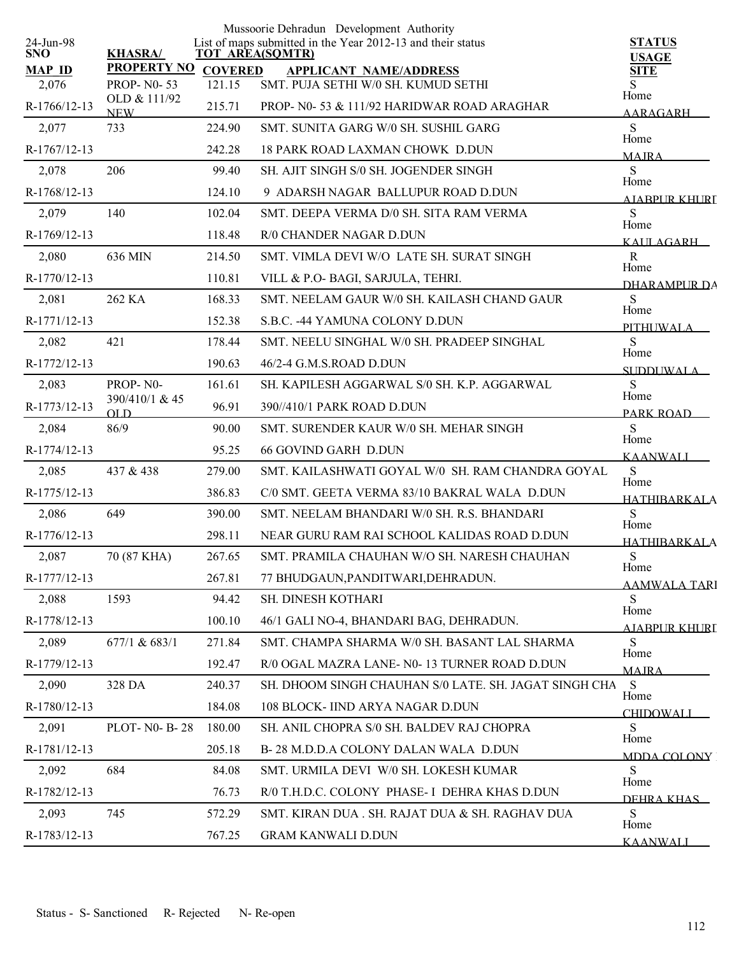|                         |                            |                | Mussoorie Dehradun Development Authority                                              |                              |
|-------------------------|----------------------------|----------------|---------------------------------------------------------------------------------------|------------------------------|
| 24-Jun-98<br><b>SNO</b> | <b>KHASRA/</b>             |                | List of maps submitted in the Year 2012-13 and their status<br><b>TOT AREA(SQMTR)</b> | <b>STATUS</b>                |
| <b>MAP ID</b>           | <b>PROPERTY NO</b>         | <b>COVERED</b> | <b>APPLICANT NAME/ADDRESS</b>                                                         | <b>USAGE</b><br><b>SITE</b>  |
| 2,076                   | <b>PROP-N0-53</b>          | 121.15         | SMT. PUJA SETHI W/0 SH. KUMUD SETHI                                                   | S<br>Home                    |
| R-1766/12-13            | OLD & 111/92<br><b>NEW</b> | 215.71         | PROP- N0-53 & 111/92 HARIDWAR ROAD ARAGHAR                                            | <b>AARAGARH</b>              |
| 2,077                   | 733                        | 224.90         | SMT. SUNITA GARG W/0 SH. SUSHIL GARG                                                  | S<br>Home                    |
| R-1767/12-13            |                            | 242.28         | <b>18 PARK ROAD LAXMAN CHOWK D.DUN</b>                                                | <b>MAJRA</b>                 |
| 2,078                   | 206                        | 99.40          | SH. AJIT SINGH S/0 SH. JOGENDER SINGH                                                 | S<br>Home                    |
| R-1768/12-13            |                            | 124.10         | 9 ADARSH NAGAR BALLUPUR ROAD D.DUN                                                    | AIABPUR KHURI                |
| 2,079                   | 140                        | 102.04         | SMT. DEEPA VERMA D/0 SH. SITA RAM VERMA                                               | S                            |
| R-1769/12-13            |                            | 118.48         | R/0 CHANDER NAGAR D.DUN                                                               | Home<br>KAIILAGARH           |
| 2,080                   | 636 MIN                    | 214.50         | SMT. VIMLA DEVI W/O LATE SH. SURAT SINGH                                              | $\mathbf R$                  |
| R-1770/12-13            |                            | 110.81         | VILL & P.O- BAGI, SARJULA, TEHRI.                                                     | Home<br>DHARAMPUR DA         |
| 2,081                   | 262 KA                     | 168.33         | SMT. NEELAM GAUR W/0 SH. KAILASH CHAND GAUR                                           | ${\bf S}$                    |
| R-1771/12-13            |                            | 152.38         | S.B.C. -44 YAMUNA COLONY D.DUN                                                        | Home<br>PITHI WALA           |
| 2,082                   | 421                        | 178.44         | SMT. NEELU SINGHAL W/0 SH. PRADEEP SINGHAL                                            | S                            |
| R-1772/12-13            |                            | 190.63         | 46/2-4 G.M.S.ROAD D.DUN                                                               | Home<br><b>SUDDUWALA</b>     |
| 2,083                   | PROP-N0-                   | 161.61         | SH. KAPILESH AGGARWAL S/0 SH. K.P. AGGARWAL                                           | S                            |
| R-1773/12-13            | 390/410/1 & 45<br>OLD      | 96.91          | 390//410/1 PARK ROAD D.DUN                                                            | Home<br>PARK ROAD            |
| 2,084                   | 86/9                       | 90.00          | SMT. SURENDER KAUR W/0 SH. MEHAR SINGH                                                | S                            |
| R-1774/12-13            |                            | 95.25          | <b>66 GOVIND GARH D.DUN</b>                                                           | Home<br><b>KAANWALI</b>      |
| 2,085                   | 437 & 438                  | 279.00         | SMT. KAILASHWATI GOYAL W/0 SH. RAM CHANDRA GOYAL                                      | ${\bf S}$                    |
| R-1775/12-13            |                            | 386.83         | C/0 SMT. GEETA VERMA 83/10 BAKRAL WALA D.DUN                                          | Home<br><b>HATHIBARKALA</b>  |
| 2,086                   | 649                        | 390.00         | SMT. NEELAM BHANDARI W/0 SH. R.S. BHANDARI                                            | S                            |
| R-1776/12-13            |                            | 298.11         | NEAR GURU RAM RAI SCHOOL KALIDAS ROAD D.DUN                                           | Home<br><b>HATHIBARKALA</b>  |
| 2,087                   | 70 (87 KHA)                | 267.65         | SMT. PRAMILA CHAUHAN W/O SH. NARESH CHAUHAN                                           | S                            |
| R-1777/12-13            |                            | 267.81         | 77 BHUDGAUN, PANDITWARI, DEHRADUN.                                                    | Home<br><b>AAMWALA TARI</b>  |
| 2,088                   | 1593                       | 94.42          | SH. DINESH KOTHARI                                                                    | S                            |
| R-1778/12-13            |                            | 100.10         | 46/1 GALI NO-4, BHANDARI BAG, DEHRADUN.                                               | Home<br><b>AJABPUR KHURI</b> |
| 2,089                   | 677/1 & 683/1              | 271.84         | SMT. CHAMPA SHARMA W/0 SH. BASANT LAL SHARMA                                          | S                            |
| R-1779/12-13            |                            | 192.47         | R/0 OGAL MAZRA LANE- N0-13 TURNER ROAD D.DUN                                          | Home<br><b>MAJRA</b>         |
| 2,090                   | 328 DA                     | 240.37         | SH. DHOOM SINGH CHAUHAN S/0 LATE. SH. JAGAT SINGH CHA                                 | S<br>Home                    |
| R-1780/12-13            |                            | 184.08         | 108 BLOCK- IIND ARYA NAGAR D.DUN                                                      | <b>CHIDOWALI</b>             |
| 2,091                   | PLOT-N0-B-28               | 180.00         | SH. ANIL CHOPRA S/0 SH. BALDEV RAJ CHOPRA                                             | S                            |
| R-1781/12-13            |                            | 205.18         | B-28 M.D.D.A COLONY DALAN WALA D.DUN                                                  | Home<br>MDDA COLONY          |
| 2,092                   | 684                        | 84.08          | SMT. URMILA DEVI W/0 SH. LOKESH KUMAR                                                 | S                            |
| R-1782/12-13            |                            | 76.73          | R/0 T.H.D.C. COLONY PHASE- I DEHRA KHAS D.DUN                                         | Home<br>DEHRA KHAS           |
| 2,093                   | 745                        | 572.29         | SMT. KIRAN DUA . SH. RAJAT DUA & SH. RAGHAV DUA                                       | S<br>Home                    |
| R-1783/12-13            |                            | 767.25         | <b>GRAM KANWALI D.DUN</b>                                                             | <b>KAANWALI</b>              |
|                         |                            |                |                                                                                       |                              |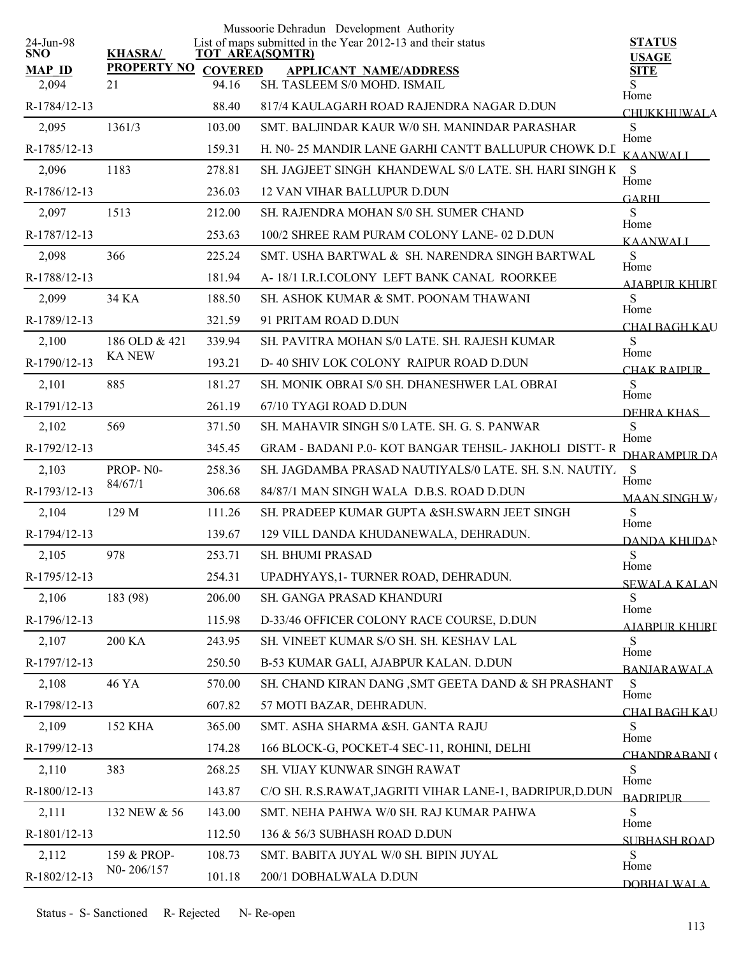|                         |                     |                 | Mussoorie Dehradun Development Authority                    |                               |
|-------------------------|---------------------|-----------------|-------------------------------------------------------------|-------------------------------|
| 24-Jun-98<br><b>SNO</b> | <b>KHASRA/</b>      | TOT AREA(SQMTR) | List of maps submitted in the Year 2012-13 and their status | <b>STATUS</b><br><b>USAGE</b> |
| <b>MAP ID</b>           | PROPERTY NO COVERED |                 | <b>APPLICANT NAME/ADDRESS</b>                               | <b>SITE</b>                   |
| 2,094                   | 21                  | 94.16           | SH. TASLEEM S/0 MOHD. ISMAIL                                | Home                          |
| R-1784/12-13            |                     | 88.40           | 817/4 KAULAGARH ROAD RAJENDRA NAGAR D.DUN                   | <b>CHUKKHUWALA</b>            |
| 2,095                   | 1361/3              | 103.00          | SMT. BALJINDAR KAUR W/0 SH. MANINDAR PARASHAR               | S<br>Home                     |
| R-1785/12-13            |                     | 159.31          | H. N0-25 MANDIR LANE GARHI CANTT BALLUPUR CHOWK D.I.        | <b>KAANWALI</b>               |
| 2,096                   | 1183                | 278.81          | SH. JAGJEET SINGH KHANDEWAL S/0 LATE. SH. HARI SINGH K      | S<br>Home                     |
| R-1786/12-13            |                     | 236.03          | 12 VAN VIHAR BALLUPUR D.DUN                                 | <b>GARHI</b>                  |
| 2,097                   | 1513                | 212.00          | SH. RAJENDRA MOHAN S/0 SH. SUMER CHAND                      | S<br>Home                     |
| R-1787/12-13            |                     | 253.63          | 100/2 SHREE RAM PURAM COLONY LANE-02 D.DUN                  | <b>KAANWALI</b>               |
| 2,098                   | 366                 | 225.24          | SMT. USHA BARTWAL & SH. NARENDRA SINGH BARTWAL              | S<br>Home                     |
| R-1788/12-13            |                     | 181.94          | A-18/1 I.R.I.COLONY LEFT BANK CANAL ROORKEE                 | AIARPUR KHURI                 |
| 2,099                   | 34 KA               | 188.50          | SH. ASHOK KUMAR & SMT. POONAM THAWANI                       | S                             |
| R-1789/12-13            |                     | 321.59          | 91 PRITAM ROAD D.DUN                                        | Home<br><b>CHAI BAGH KAU</b>  |
| 2,100                   | 186 OLD & 421       | 339.94          | SH. PAVITRA MOHAN S/0 LATE. SH. RAJESH KUMAR                | S                             |
| R-1790/12-13            | <b>KA NEW</b>       | 193.21          | D-40 SHIV LOK COLONY RAIPUR ROAD D.DUN                      | Home<br>CHAK RAIPUR_          |
| 2,101                   | 885                 | 181.27          | SH. MONIK OBRAI S/0 SH. DHANESHWER LAL OBRAI                | S                             |
| R-1791/12-13            |                     | 261.19          | 67/10 TYAGI ROAD D.DUN                                      | Home<br>DEHRA KHAS            |
| 2,102                   | 569                 | 371.50          | SH. MAHAVIR SINGH S/0 LATE. SH. G. S. PANWAR                | S                             |
| R-1792/12-13            |                     | 345.45          | GRAM - BADANI P.0- KOT BANGAR TEHSIL- JAKHOLI DISTT-R       | Home<br>DHARAMPUR DA          |
| 2,103                   | PROP-N0-            | 258.36          | SH. JAGDAMBA PRASAD NAUTIYALS/0 LATE. SH. S.N. NAUTIY.      | -S                            |
| R-1793/12-13            | 84/67/1             | 306.68          | 84/87/1 MAN SINGH WALA D.B.S. ROAD D.DUN                    | Home<br><b>MAAN SINGH W/</b>  |
| 2,104                   | 129 M               | 111.26          | SH. PRADEEP KUMAR GUPTA & SH. SWARN JEET SINGH              | S                             |
| R-1794/12-13            |                     | 139.67          | 129 VILL DANDA KHUDANEWALA, DEHRADUN.                       | Home<br>DANDA KHUDAN          |
| 2,105                   | 978                 | 253.71          | SH. BHUMI PRASAD                                            | ${\bf S}$                     |
| R-1795/12-13            |                     | 254.31          | UPADHYAYS, 1- TURNER ROAD, DEHRADUN.                        | Home<br><b>SEWALA KALAN</b>   |
| 2,106                   | 183 (98)            | 206.00          | SH. GANGA PRASAD KHANDURI                                   | S                             |
| R-1796/12-13            |                     | 115.98          | D-33/46 OFFICER COLONY RACE COURSE, D.DUN                   | Home<br><u>AJABPUR KHURI</u>  |
| 2,107                   | 200 KA              | 243.95          | SH. VINEET KUMAR S/O SH. SH. KESHAV LAL                     | S                             |
| R-1797/12-13            |                     | 250.50          | B-53 KUMAR GALI, AJABPUR KALAN. D.DUN                       | Home<br><b>BANJARAWALA</b>    |
| 2,108                   | 46 YA               | 570.00          | SH. CHAND KIRAN DANG, SMT GEETA DAND & SH PRASHANT          | S                             |
| R-1798/12-13            |                     | 607.82          | 57 MOTI BAZAR, DEHRADUN.                                    | Home<br><u>CHAI RAGH KAU</u>  |
| 2,109                   | <b>152 KHA</b>      | 365.00          | SMT. ASHA SHARMA &SH. GANTA RAJU                            | S                             |
| R-1799/12-13            |                     | 174.28          | 166 BLOCK-G, POCKET-4 SEC-11, ROHINI, DELHI                 | Home<br>CHANDRARANI (         |
| 2,110                   | 383                 | 268.25          | SH. VIJAY KUNWAR SINGH RAWAT                                | S                             |
| R-1800/12-13            |                     | 143.87          | C/O SH. R.S.RAWAT, JAGRITI VIHAR LANE-1, BADRIPUR, D.DUN    | Home<br><b>BADRIPLIR</b>      |
| 2,111                   | 132 NEW & 56        | 143.00          | SMT. NEHA PAHWA W/0 SH. RAJ KUMAR PAHWA                     | S                             |
| R-1801/12-13            |                     | 112.50          | 136 & 56/3 SUBHASH ROAD D.DUN                               | Home                          |
| 2,112                   | 159 & PROP-         | 108.73          | SMT. BABITA JUYAL W/0 SH. BIPIN JUYAL                       | <b>SUBHASH ROAD</b><br>S      |
| R-1802/12-13            | N0-206/157          | 101.18          | 200/1 DOBHALWALA D.DUN                                      | Home                          |
|                         |                     |                 |                                                             | DOBHAL WAL A                  |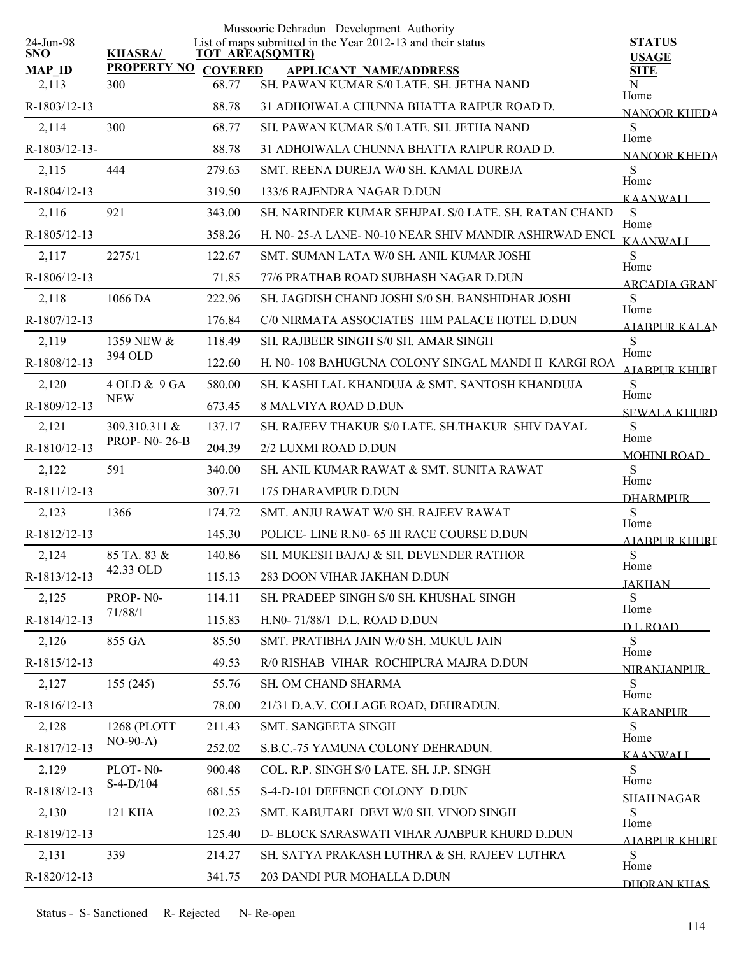| 24-Jun-98              |                            |        | Mussoorie Dehradun Development Authority<br>List of maps submitted in the Year 2012-13 and their status | <b>STATUS</b>                |
|------------------------|----------------------------|--------|---------------------------------------------------------------------------------------------------------|------------------------------|
| <b>SNO</b>             | <b>KHASRA/</b>             |        | <b>TOT AREA(SQMTR)</b>                                                                                  | <b>USAGE</b>                 |
| <b>MAP ID</b><br>2,113 | PROPERTY NO COVERED<br>300 | 68.77  | <b>APPLICANT NAME/ADDRESS</b><br>SH. PAWAN KUMAR S/0 LATE. SH. JETHA NAND                               | <b>SITE</b><br>N             |
| R-1803/12-13           |                            | 88.78  | 31 ADHOIWALA CHUNNA BHATTA RAIPUR ROAD D.                                                               | Home                         |
| 2,114                  | 300                        | 68.77  | SH. PAWAN KUMAR S/0 LATE. SH. JETHA NAND                                                                | <b>NANOOR KHEDA</b><br>S     |
| $R-1803/12-13-$        |                            | 88.78  | 31 ADHOIWALA CHUNNA BHATTA RAIPUR ROAD D.                                                               | Home                         |
| 2,115                  | 444                        | 279.63 | SMT. REENA DUREJA W/0 SH. KAMAL DUREJA                                                                  | <b>NANOOR KHEDA</b><br>S     |
| R-1804/12-13           |                            | 319.50 | 133/6 RAJENDRA NAGAR D.DUN                                                                              | Home                         |
| 2,116                  | 921                        | 343.00 | SH. NARINDER KUMAR SEHJPAL S/0 LATE. SH. RATAN CHAND                                                    | <b>KAANWALI</b><br>S         |
| R-1805/12-13           |                            | 358.26 | H. N0-25-A LANE- N0-10 NEAR SHIV MANDIR ASHIRWAD ENCL                                                   | Home                         |
| 2,117                  | 2275/1                     | 122.67 | SMT. SUMAN LATA W/0 SH. ANIL KUMAR JOSHI                                                                | <b>KAANWALI</b><br>S         |
| R-1806/12-13           |                            | 71.85  | 77/6 PRATHAB ROAD SUBHASH NAGAR D.DUN                                                                   | Home<br><b>ARCADIA GRAN</b>  |
| 2,118                  | 1066 DA                    | 222.96 | SH. JAGDISH CHAND JOSHI S/0 SH. BANSHIDHAR JOSHI                                                        | S                            |
| R-1807/12-13           |                            | 176.84 | C/0 NIRMATA ASSOCIATES HIM PALACE HOTEL D.DUN                                                           | Home<br><b>AJABPUR KALAN</b> |
| 2,119                  | 1359 NEW &                 | 118.49 | SH. RAJBEER SINGH S/0 SH. AMAR SINGH                                                                    | S                            |
| R-1808/12-13           | 394 OLD                    | 122.60 | H. N0-108 BAHUGUNA COLONY SINGAL MANDI II KARGI ROA                                                     | Home<br>AIARPUR KHURI        |
| 2,120                  | 4 OLD & 9 GA               | 580.00 | SH. KASHI LAL KHANDUJA & SMT. SANTOSH KHANDUJA                                                          | S                            |
| R-1809/12-13           | <b>NEW</b>                 | 673.45 | <b>8 MALVIYA ROAD D.DUN</b>                                                                             | Home<br><b>SEWALA KHURD</b>  |
| 2,121                  | 309.310.311 &              | 137.17 | SH. RAJEEV THAKUR S/0 LATE. SH.THAKUR SHIV DAYAL                                                        | S<br>Home                    |
| R-1810/12-13           | PROP- N0-26-B              | 204.39 | 2/2 LUXMI ROAD D.DUN                                                                                    | <b>MOHINI ROAD</b>           |
| 2,122                  | 591                        | 340.00 | SH. ANIL KUMAR RAWAT & SMT. SUNITA RAWAT                                                                | S<br>Home                    |
| R-1811/12-13           |                            | 307.71 | 175 DHARAMPUR D.DUN                                                                                     | <b>DHARMPUR</b>              |
| 2,123                  | 1366                       | 174.72 | SMT. ANJU RAWAT W/0 SH. RAJEEV RAWAT                                                                    | S<br>Home                    |
| R-1812/12-13           |                            | 145.30 | POLICE-LINE R.N0- 65 III RACE COURSE D.DUN                                                              | <u>AJABPUR KHURI</u>         |
| 2,124                  | 85 TA, 83 &                | 140.86 | SH. MUKESH BAJAJ & SH. DEVENDER RATHOR                                                                  | ${\bf S}$<br>Home            |
| R-1813/12-13           | 42.33 OLD                  | 115.13 | 283 DOON VIHAR JAKHAN D.DUN                                                                             | <b>JAKHAN</b>                |
| 2,125                  | PROP-N0-                   | 114.11 | SH. PRADEEP SINGH S/0 SH. KHUSHAL SINGH                                                                 | S<br>Home                    |
| R-1814/12-13           | 71/88/1                    | 115.83 | H.N0-71/88/1 D.L. ROAD D.DUN                                                                            | <b>DL ROAD</b>               |
| 2,126                  | 855 GA                     | 85.50  | SMT. PRATIBHA JAIN W/0 SH. MUKUL JAIN                                                                   | S<br>Home                    |
| R-1815/12-13           |                            | 49.53  | R/0 RISHAB VIHAR ROCHIPURA MAJRA D.DUN                                                                  | <b>NIRANJANPUR</b>           |
| 2,127                  | 155(245)                   | 55.76  | SH. OM CHAND SHARMA                                                                                     | S<br>Home                    |
| R-1816/12-13           |                            | 78.00  | 21/31 D.A.V. COLLAGE ROAD, DEHRADUN.                                                                    | <b>KARANPUR</b>              |
| 2,128                  | 1268 (PLOTT                | 211.43 | SMT. SANGEETA SINGH                                                                                     | S<br>Home                    |
| R-1817/12-13           | $NO-90-A)$                 | 252.02 | S.B.C.-75 YAMUNA COLONY DEHRADUN.                                                                       | KAANWALI                     |
| 2,129                  | PLOT-N0-                   | 900.48 | COL. R.P. SINGH S/0 LATE. SH. J.P. SINGH                                                                | S<br>Home                    |
| R-1818/12-13           | $S-4-D/104$                | 681.55 | S-4-D-101 DEFENCE COLONY D.DUN                                                                          | SHAH NAGAR                   |
| 2,130                  | <b>121 KHA</b>             | 102.23 | SMT. KABUTARI DEVI W/0 SH. VINOD SINGH                                                                  | S<br>Home                    |
| R-1819/12-13           |                            | 125.40 | D- BLOCK SARASWATI VIHAR AJABPUR KHURD D.DUN                                                            | AJABPUR KHURI                |
| 2,131                  | 339                        | 214.27 | SH. SATYA PRAKASH LUTHRA & SH. RAJEEV LUTHRA                                                            | S<br>Home                    |
| R-1820/12-13           |                            | 341.75 | 203 DANDI PUR MOHALLA D.DUN                                                                             | DHORAN KHAS                  |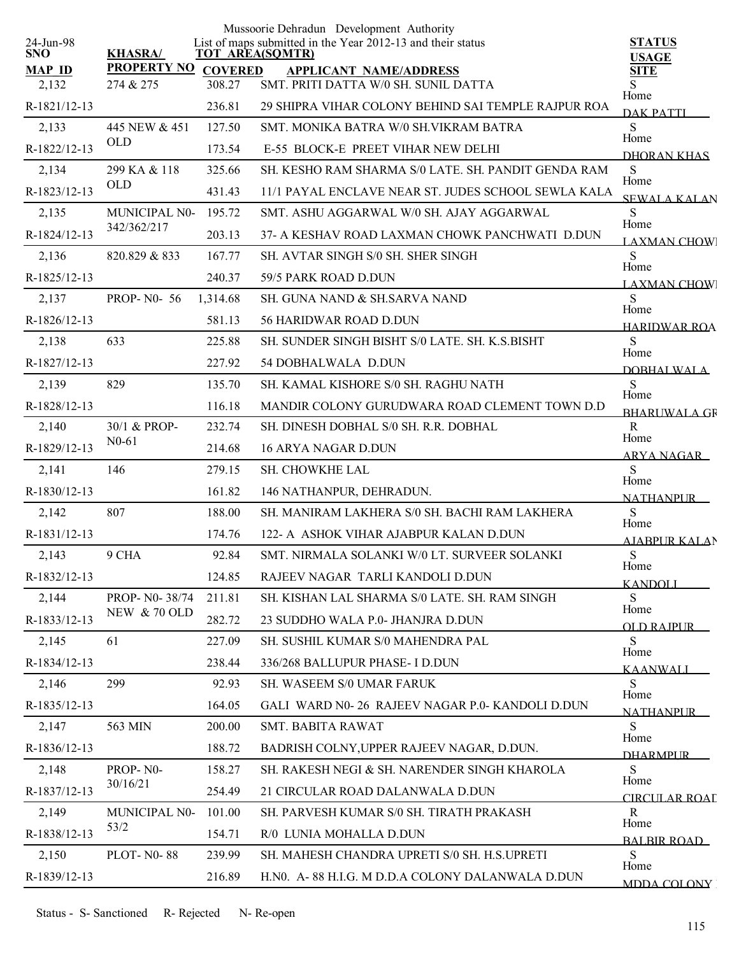|                         |                         |                | Mussoorie Dehradun Development Authority                                              |                               |
|-------------------------|-------------------------|----------------|---------------------------------------------------------------------------------------|-------------------------------|
| 24-Jun-98<br><b>SNO</b> | <b>KHASRA/</b>          |                | List of maps submitted in the Year 2012-13 and their status<br><b>TOT AREA(SQMTR)</b> | <b>STATUS</b><br><b>USAGE</b> |
| <b>MAP ID</b>           | <b>PROPERTY NO</b>      | <b>COVERED</b> | <b>APPLICANT NAME/ADDRESS</b>                                                         | <b>SITE</b>                   |
| 2,132                   | 274 & 275               | 308.27         | SMT. PRITI DATTA W/0 SH. SUNIL DATTA                                                  | S<br>Home                     |
| R-1821/12-13            |                         | 236.81         | 29 SHIPRA VIHAR COLONY BEHIND SAI TEMPLE RAJPUR ROA                                   | <b>DAK PATTI</b>              |
| 2,133                   | 445 NEW & 451           | 127.50         | SMT. MONIKA BATRA W/0 SH. VIKRAM BATRA                                                | ${\bf S}$<br>Home             |
| R-1822/12-13            | <b>OLD</b>              | 173.54         | E-55 BLOCK-E PREET VIHAR NEW DELHI                                                    | DHORAN KHAS                   |
| 2,134                   | 299 KA & 118            | 325.66         | SH. KESHO RAM SHARMA S/0 LATE. SH. PANDIT GENDA RAM                                   | ${\bf S}$<br>Home             |
| R-1823/12-13            | <b>OLD</b>              | 431.43         | 11/1 PAYAL ENCLAVE NEAR ST. JUDES SCHOOL SEWLA KALA                                   | <b>SEWALA KALAN</b>           |
| 2,135                   | MUNICIPAL N0-           | 195.72         | SMT. ASHU AGGARWAL W/0 SH. AJAY AGGARWAL                                              | ${\bf S}$<br>Home             |
| R-1824/12-13            | 342/362/217             | 203.13         | 37- A KESHAV ROAD LAXMAN CHOWK PANCHWATI D.DUN                                        | LAXMAN CHOW                   |
| 2,136                   | 820.829 & 833           | 167.77         | SH. AVTAR SINGH S/0 SH. SHER SINGH                                                    | ${\bf S}$<br>Home             |
| R-1825/12-13            |                         | 240.37         | 59/5 PARK ROAD D.DUN                                                                  | <b>LAXMAN CHOW</b>            |
| 2,137                   | <b>PROP-N0-56</b>       | 1,314.68       | SH. GUNA NAND & SH.SARVA NAND                                                         | S<br>Home                     |
| R-1826/12-13            |                         | 581.13         | <b>56 HARIDWAR ROAD D.DUN</b>                                                         | <b>HARIDWAR ROA</b>           |
| 2,138                   | 633                     | 225.88         | SH. SUNDER SINGH BISHT S/0 LATE, SH. K.S.BISHT                                        | S<br>Home                     |
| R-1827/12-13            |                         | 227.92         | 54 DOBHALWALA D.DUN                                                                   | DOBHALWALA                    |
| 2,139                   | 829                     | 135.70         | SH. KAMAL KISHORE S/0 SH. RAGHU NATH                                                  | S<br>Home                     |
| R-1828/12-13            |                         | 116.18         | MANDIR COLONY GURUDWARA ROAD CLEMENT TOWN D.D                                         | <b>BHARLIWALA GF</b>          |
| 2,140                   | 30/1 & PROP-            | 232.74         | SH. DINESH DOBHAL S/0 SH. R.R. DOBHAL                                                 | $\mathbf R$<br>Home           |
| R-1829/12-13            | $N0-61$                 | 214.68         | 16 ARYA NAGAR D.DUN                                                                   | ARYA NAGAR                    |
| 2,141                   | 146                     | 279.15         | SH. CHOWKHE LAL                                                                       | S<br>Home                     |
| R-1830/12-13            |                         | 161.82         | 146 NATHANPUR, DEHRADUN.                                                              | <b>NATHANPUR</b>              |
| 2,142                   | 807                     | 188.00         | SH. MANIRAM LAKHERA S/0 SH. BACHI RAM LAKHERA                                         | S<br>Home                     |
| R-1831/12-13            |                         | 174.76         | 122- A ASHOK VIHAR AJABPUR KALAN D.DUN                                                | <b>AJABPUR KALAN</b>          |
| 2,143                   | 9 CHA                   | 92.84          | SMT. NIRMALA SOLANKI W/0 LT. SURVEER SOLANKI                                          | ${\bf S}$<br>Home             |
| R-1832/12-13            |                         | 124.85         | RAJEEV NAGAR TARLI KANDOLI D.DUN                                                      | <b>KANDOLI</b>                |
| 2,144                   | PROP- N0-38/74          | 211.81         | SH. KISHAN LAL SHARMA S/0 LATE. SH. RAM SINGH                                         | S<br>Home                     |
| R-1833/12-13            | <b>NEW &amp; 70 OLD</b> | 282.72         | 23 SUDDHO WALA P.0- JHANJRA D.DUN                                                     | OLD RAIPUR                    |
| 2,145                   | 61                      | 227.09         | SH. SUSHIL KUMAR S/0 MAHENDRA PAL                                                     | S<br>Home                     |
| R-1834/12-13            |                         | 238.44         | 336/268 BALLUPUR PHASE- I D.DUN                                                       | <b>KAANWALI</b>               |
| 2,146                   | 299                     | 92.93          | <b>SH. WASEEM S/0 UMAR FARUK</b>                                                      | S                             |
| R-1835/12-13            |                         | 164.05         | GALI WARD N0-26 RAJEEV NAGAR P.0- KANDOLI D.DUN                                       | Home<br><b>NATHANPLIR</b>     |
| 2,147                   | 563 MIN                 | 200.00         | SMT. BABITA RAWAT                                                                     | ${\bf S}$<br>Home             |
| R-1836/12-13            |                         | 188.72         | BADRISH COLNY, UPPER RAJEEV NAGAR, D.DUN.                                             | <b>DHARMPI IR</b>             |
| 2,148                   | PROP-N0-                | 158.27         | SH. RAKESH NEGI & SH. NARENDER SINGH KHAROLA                                          | S                             |
| R-1837/12-13            | 30/16/21                | 254.49         | 21 CIRCULAR ROAD DALANWALA D.DUN                                                      | Home<br>CIRCULAR ROAL         |
| 2,149                   | MUNICIPAL N0-           | 101.00         | SH. PARVESH KUMAR S/0 SH. TIRATH PRAKASH                                              | R                             |
| R-1838/12-13            | 53/2                    | 154.71         | R/0 LUNIA MOHALLA D.DUN                                                               | Home<br><b>BALBIR ROAD</b>    |
| 2,150                   | <b>PLOT-N0-88</b>       | 239.99         | SH. MAHESH CHANDRA UPRETI S/0 SH. H.S.UPRETI                                          | S                             |
| R-1839/12-13            |                         | 216.89         | H.NO. A-88 H.I.G. M D.D.A COLONY DALANWALA D.DUN                                      | Home<br><b>MDDA COLONY</b>    |
|                         |                         |                |                                                                                       |                               |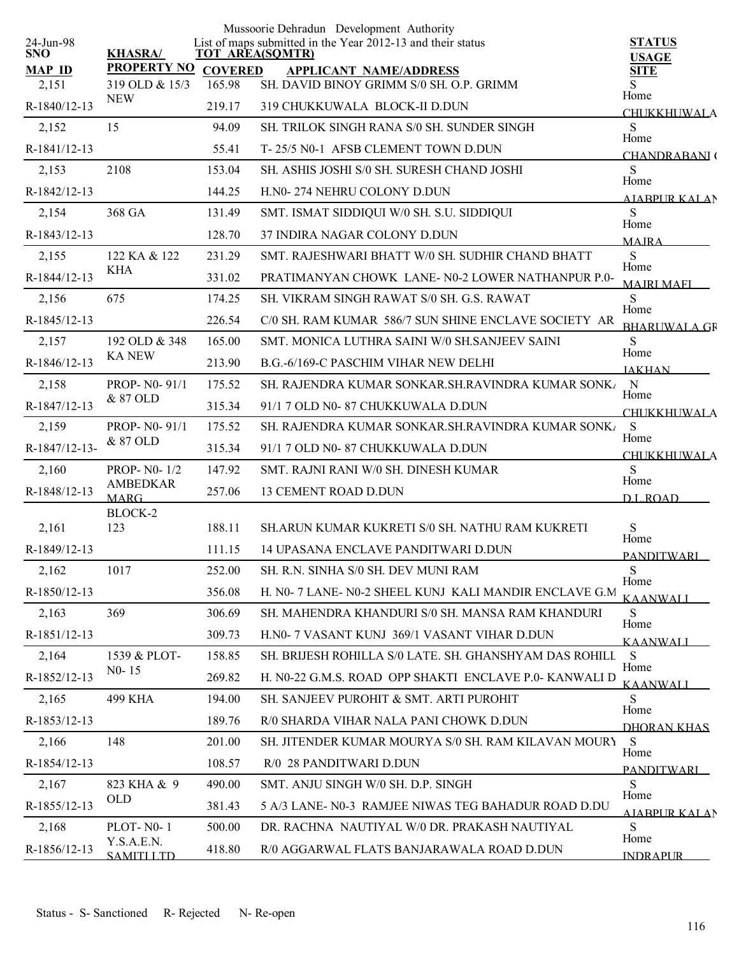|                         |                              |                | Mussoorie Dehradun Development Authority                                              |                               |
|-------------------------|------------------------------|----------------|---------------------------------------------------------------------------------------|-------------------------------|
| 24-Jun-98<br><b>SNO</b> | <b>KHASRA/</b>               |                | List of maps submitted in the Year 2012-13 and their status<br><b>TOT AREA(SQMTR)</b> | <b>STATUS</b><br><b>USAGE</b> |
| <b>MAP ID</b>           | <b>PROPERTY NO</b>           | <b>COVERED</b> | <b>APPLICANT NAME/ADDRESS</b>                                                         | <b>SITE</b>                   |
| 2,151                   | 319 OLD & 15/3<br><b>NEW</b> | 165.98         | SH. DAVID BINOY GRIMM S/0 SH. O.P. GRIMM                                              | S<br>Home                     |
| R-1840/12-13            |                              | 219.17         | 319 CHUKKUWALA BLOCK-II D.DUN                                                         | <b>CHUKKHUWALA</b>            |
| 2,152                   | 15                           | 94.09          | SH. TRILOK SINGH RANA S/0 SH. SUNDER SINGH                                            | S<br>Home                     |
| R-1841/12-13            |                              | 55.41          | T-25/5 N0-1 AFSB CLEMENT TOWN D.DUN                                                   | CHANDRABANI(                  |
| 2,153                   | 2108                         | 153.04         | SH. ASHIS JOSHI S/0 SH. SURESH CHAND JOSHI                                            | S<br>Home                     |
| R-1842/12-13            |                              | 144.25         | H.N0-274 NEHRU COLONY D.DUN                                                           | A JARPUR KALAN                |
| 2,154                   | 368 GA                       | 131.49         | SMT. ISMAT SIDDIQUI W/0 SH. S.U. SIDDIQUI                                             | S<br>Home                     |
| R-1843/12-13            |                              | 128.70         | 37 INDIRA NAGAR COLONY D.DUN                                                          | <b>MAIRA</b>                  |
| 2,155                   | 122 KA & 122                 | 231.29         | SMT. RAJESHWARI BHATT W/0 SH. SUDHIR CHAND BHATT                                      | S                             |
| R-1844/12-13            | KHA                          | 331.02         | PRATIMANYAN CHOWK LANE-N0-2 LOWER NATHANPUR P.0-                                      | Home<br><b>MAIRI MAFI</b>     |
| 2,156                   | 675                          | 174.25         | SH. VIKRAM SINGH RAWAT S/0 SH. G.S. RAWAT                                             | S                             |
| R-1845/12-13            |                              | 226.54         | C/0 SH. RAM KUMAR 586/7 SUN SHINE ENCLAVE SOCIETY AR                                  | Home<br><b>BHARUWALA GR</b>   |
| 2,157                   | 192 OLD & 348                | 165.00         | SMT. MONICA LUTHRA SAINI W/0 SH.SANJEEV SAINI                                         | S                             |
| R-1846/12-13            | <b>KA NEW</b>                | 213.90         | B.G.-6/169-C PASCHIM VIHAR NEW DELHI                                                  | Home<br><b>JAKHAN</b>         |
| 2,158                   | PROP- N0-91/1                | 175.52         | SH. RAJENDRA KUMAR SONKAR SH.RAVINDRA KUMAR SONK                                      | $\mathbf N$                   |
| R-1847/12-13            | & 87 OLD                     | 315.34         | 91/1 7 OLD N0-87 CHUKKUWALA D.DUN                                                     | Home<br><b>CHUKKHUWALA</b>    |
| 2,159                   | PROP- N0-91/1                | 175.52         | SH. RAJENDRA KUMAR SONKAR.SH.RAVINDRA KUMAR SONK                                      | S                             |
| R-1847/12-13-           | & 87 OLD                     | 315.34         | 91/1 7 OLD N0-87 CHUKKUWALA D.DUN                                                     | Home                          |
| 2,160                   | <b>PROP-N0-1/2</b>           | 147.92         | SMT. RAJNI RANI W/0 SH. DINESH KUMAR                                                  | <b>CHUKKHUWALA</b><br>S       |
| R-1848/12-13            | <b>AMBEDKAR</b>              | 257.06         | <b>13 CEMENT ROAD D.DUN</b>                                                           | Home                          |
|                         | <b>MARG</b><br>BLOCK-2       |                |                                                                                       | DI ROAD                       |
| 2,161                   | 123                          | 188.11         | SH.ARUN KUMAR KUKRETI S/0 SH. NATHU RAM KUKRETI                                       | S                             |
| R-1849/12-13            |                              | 111.15         | 14 UPASANA ENCLAVE PANDITWARI D.DUN                                                   | Home<br><b>PANDITWARI</b>     |
| 2,162                   | 1017                         | 252.00         | SH. R.N. SINHA S/0 SH. DEV MUNI RAM                                                   | S                             |
| R-1850/12-13            |                              | 356.08         | H. N0- 7 LANE- N0-2 SHEEL KUNJ KALI MANDIR ENCLAVE G.M                                | Home<br><b>KAANWALI</b>       |
| 2,163                   | 369                          | 306.69         | SH. MAHENDRA KHANDURI S/0 SH. MANSA RAM KHANDURI                                      | S                             |
| R-1851/12-13            |                              | 309.73         | H.N0- 7 VASANT KUNJ 369/1 VASANT VIHAR D.DUN                                          | Home<br><b>KAANWALI</b>       |
| 2,164                   | 1539 & PLOT-                 | 158.85         | SH. BRIJESH ROHILLA S/0 LATE. SH. GHANSHYAM DAS ROHILL                                | S                             |
| R-1852/12-13            | $N0-15$                      | 269.82         | H. N0-22 G.M.S. ROAD OPP SHAKTI ENCLAVE P.0- KANWALI D                                | Home<br><b>KAANWALI</b>       |
| 2,165                   | 499 KHA                      | 194.00         | SH. SANJEEV PUROHIT & SMT. ARTI PUROHIT                                               | S                             |
| R-1853/12-13            |                              | 189.76         | R/0 SHARDA VIHAR NALA PANI CHOWK D.DUN                                                | Home                          |
| 2,166                   | 148                          | 201.00         | SH. JITENDER KUMAR MOURYA S/0 SH. RAM KILAVAN MOURY                                   | DHORAN KHAS<br>S              |
| R-1854/12-13            |                              | 108.57         | R/0 28 PANDITWARI D.DUN                                                               | Home                          |
| 2,167                   | 823 KHA & 9                  | 490.00         | SMT. ANJU SINGH W/0 SH. D.P. SINGH                                                    | <b>PANDITWARI</b><br>S        |
| R-1855/12-13            | <b>OLD</b>                   | 381.43         | 5 A/3 LANE- N0-3 RAMJEE NIWAS TEG BAHADUR ROAD D.DU                                   | Home                          |
| 2,168                   | PLOT-N0-1                    | 500.00         | DR. RACHNA NAUTIYAL W/0 DR. PRAKASH NAUTIYAL                                          | <b>AIABPURKALAN</b><br>S      |
| R-1856/12-13            | Y.S.A.E.N.                   | 418.80         | R/0 AGGARWAL FLATS BANJARAWALA ROAD D.DUN                                             | Home                          |
|                         | <b>SAMITI LTD</b>            |                |                                                                                       | <b>INDRAPLIR</b>              |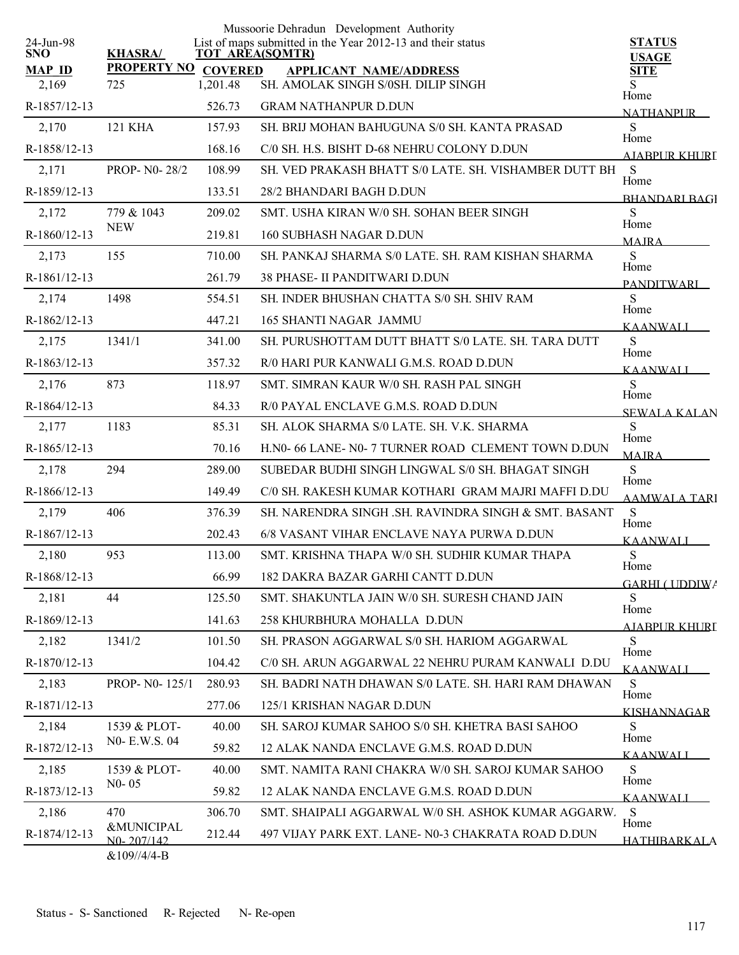|                         |                                           |                        | Mussoorie Dehradun Development Authority                    |                               |
|-------------------------|-------------------------------------------|------------------------|-------------------------------------------------------------|-------------------------------|
| 24-Jun-98<br><b>SNO</b> | <b>KHASRA/</b>                            | <b>TOT AREA(SQMTR)</b> | List of maps submitted in the Year 2012-13 and their status | <b>STATUS</b><br><b>USAGE</b> |
| <b>MAP ID</b>           | <b>PROPERTY NO</b>                        | <b>COVERED</b>         | <b>APPLICANT NAME/ADDRESS</b>                               | <b>SITE</b>                   |
| 2,169                   | 725                                       | 1,201.48               | SH. AMOLAK SINGH S/0SH. DILIP SINGH                         | S<br>Home                     |
| R-1857/12-13            |                                           | 526.73                 | <b>GRAM NATHANPUR D.DUN</b>                                 | <b>NATHANPUR</b>              |
| 2,170                   | 121 KHA                                   | 157.93                 | SH. BRIJ MOHAN BAHUGUNA S/0 SH. KANTA PRASAD                | S<br>Home                     |
| R-1858/12-13            |                                           | 168.16                 | C/0 SH. H.S. BISHT D-68 NEHRU COLONY D.DUN                  | AIARPUR KHURI                 |
| 2,171                   | <b>PROP-N0-28/2</b>                       | 108.99                 | SH. VED PRAKASH BHATT S/0 LATE. SH. VISHAMBER DUTT BH       | S<br>Home                     |
| R-1859/12-13            |                                           | 133.51                 | 28/2 BHANDARI BAGH D.DUN                                    | <b>BHANDARI BAGI</b>          |
| 2,172                   | 779 & 1043                                | 209.02                 | SMT. USHA KIRAN W/0 SH. SOHAN BEER SINGH                    | S                             |
| R-1860/12-13            | <b>NEW</b>                                | 219.81                 | <b>160 SUBHASH NAGAR D.DUN</b>                              | Home<br><b>MAIRA</b>          |
| 2,173                   | 155                                       | 710.00                 | SH. PANKAJ SHARMA S/0 LATE. SH. RAM KISHAN SHARMA           | S                             |
| R-1861/12-13            |                                           | 261.79                 | <b>38 PHASE- II PANDITWARI D.DUN</b>                        | Home<br><b>PANDITWARI</b>     |
| 2,174                   | 1498                                      | 554.51                 | SH. INDER BHUSHAN CHATTA S/0 SH. SHIV RAM                   | S                             |
| R-1862/12-13            |                                           | 447.21                 | <b>165 SHANTI NAGAR JAMMU</b>                               | Home<br><b>KAANWALI</b>       |
| 2,175                   | 1341/1                                    | 341.00                 | SH. PURUSHOTTAM DUTT BHATT S/0 LATE. SH. TARA DUTT          | S                             |
| R-1863/12-13            |                                           | 357.32                 | R/0 HARI PUR KANWALI G.M.S. ROAD D.DUN                      | Home<br><b>KAANWALI</b>       |
| 2,176                   | 873                                       | 118.97                 | SMT. SIMRAN KAUR W/0 SH. RASH PAL SINGH                     | S                             |
| R-1864/12-13            |                                           | 84.33                  | R/0 PAYAL ENCLAVE G.M.S. ROAD D.DUN                         | Home<br><b>SEWALA KALAN</b>   |
| 2,177                   | 1183                                      | 85.31                  | SH. ALOK SHARMA S/0 LATE. SH. V.K. SHARMA                   | S                             |
| R-1865/12-13            |                                           | 70.16                  | H.N0- 66 LANE- N0- 7 TURNER ROAD CLEMENT TOWN D.DUN         | Home<br><b>MAJRA</b>          |
| 2,178                   | 294                                       | 289.00                 | SUBEDAR BUDHI SINGH LINGWAL S/0 SH. BHAGAT SINGH            | S                             |
| R-1866/12-13            |                                           | 149.49                 | C/0 SH. RAKESH KUMAR KOTHARI GRAM MAJRI MAFFI D.DU          | Home<br><b>AAMWALA TARI</b>   |
| 2,179                   | 406                                       | 376.39                 | SH. NARENDRA SINGH .SH. RAVINDRA SINGH & SMT. BASANT        | S                             |
| R-1867/12-13            |                                           | 202.43                 | 6/8 VASANT VIHAR ENCLAVE NAYA PURWA D.DUN                   | Home<br><b>KAANWALI</b>       |
| 2,180                   | 953                                       | 113.00                 | SMT. KRISHNA THAPA W/0 SH. SUDHIR KUMAR THAPA               | ${\bf S}$                     |
| R-1868/12-13            |                                           | 66.99                  | 182 DAKRA BAZAR GARHI CANTT D.DUN                           | Home<br><b>GARHI ( UDDIWA</b> |
| 2,181                   | 44                                        | 125.50                 | SMT. SHAKUNTLA JAIN W/0 SH. SURESH CHAND JAIN               | S                             |
| R-1869/12-13            |                                           | 141.63                 | 258 KHURBHURA MOHALLA D.DUN                                 | Home<br>AJABPUR KHURI         |
| 2,182                   | 1341/2                                    | 101.50                 | SH. PRASON AGGARWAL S/0 SH. HARIOM AGGARWAL                 | S                             |
| R-1870/12-13            |                                           | 104.42                 | C/0 SH. ARUN AGGARWAL 22 NEHRU PURAM KANWALI D.DU           | Home<br><b>KAANWALI</b>       |
| 2,183                   | PROP- N0-125/1                            | 280.93                 | SH. BADRI NATH DHAWAN S/0 LATE. SH. HARI RAM DHAWAN         | S                             |
| R-1871/12-13            |                                           | 277.06                 | 125/1 KRISHAN NAGAR D.DUN                                   | Home<br><b>KISHANNAGAR</b>    |
| 2,184                   | 1539 & PLOT-                              | 40.00                  | SH. SAROJ KUMAR SAHOO S/0 SH. KHETRA BASI SAHOO             | S                             |
| R-1872/12-13            | NO- E.W.S. 04                             | 59.82                  | 12 ALAK NANDA ENCLAVE G.M.S. ROAD D.DUN                     | Home<br>KAANWALI              |
| 2,185                   | 1539 & PLOT-                              | 40.00                  | SMT. NAMITA RANI CHAKRA W/0 SH. SAROJ KUMAR SAHOO           | S                             |
| R-1873/12-13            | $N0 - 05$                                 | 59.82                  | 12 ALAK NANDA ENCLAVE G.M.S. ROAD D.DUN                     | Home<br><b>KAANWALI</b>       |
| 2,186                   | 470                                       | 306.70                 | SMT. SHAIPALI AGGARWAL W/0 SH. ASHOK KUMAR AGGARW.          | S                             |
| R-1874/12-13            | <b>&amp;MUNICIPAL</b>                     | 212.44                 | 497 VIJAY PARK EXT. LANE- N0-3 CHAKRATA ROAD D.DUN          | Home                          |
|                         | N <sub>0</sub> -207/142<br>$&109$ //4/4-B |                        |                                                             | <b>HATHIBARKALA</b>           |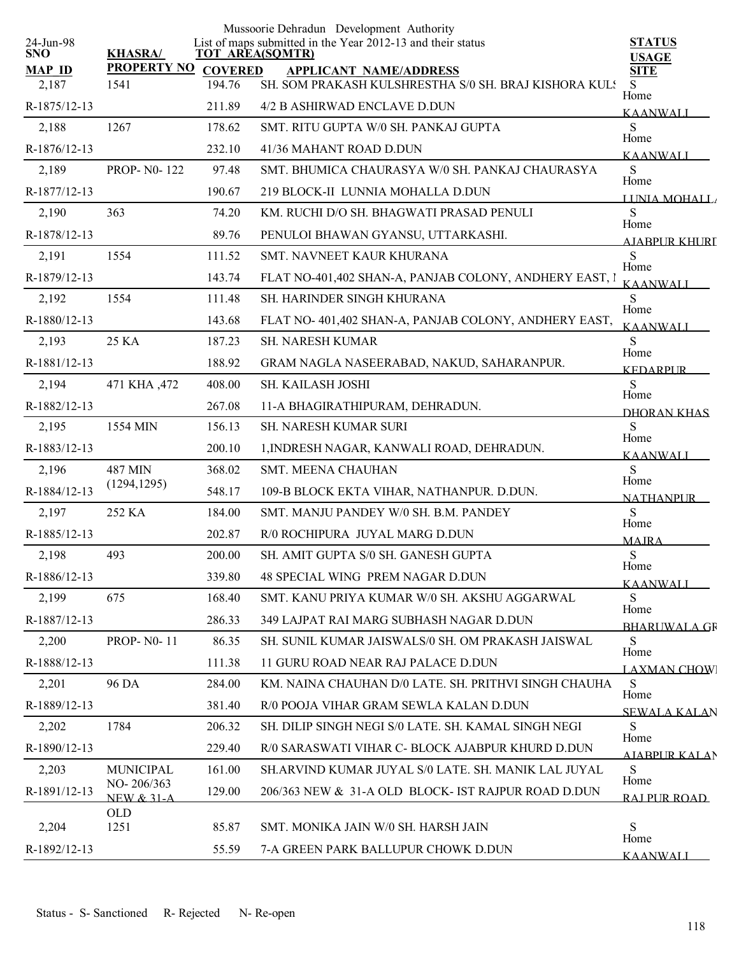|                         |                            |                          | Mussoorie Dehradun Development Authority<br>List of maps submitted in the Year 2012-13 and their status |                               |
|-------------------------|----------------------------|--------------------------|---------------------------------------------------------------------------------------------------------|-------------------------------|
| 24-Jun-98<br><b>SNO</b> | <b>KHASRA/</b>             | <b>TOT AREA(SQMTR)</b>   |                                                                                                         | <b>STATUS</b><br><b>USAGE</b> |
| <b>MAP ID</b><br>2,187  | <b>PROPERTY NO</b><br>1541 | <b>COVERED</b><br>194.76 | <b>APPLICANT NAME/ADDRESS</b><br>SH. SOM PRAKASH KULSHRESTHA S/0 SH. BRAJ KISHORA KULS                  | <b>SITE</b><br>S              |
| R-1875/12-13            |                            | 211.89                   | 4/2 B ASHIRWAD ENCLAVE D.DUN                                                                            | Home<br><b>KAANWALI</b>       |
| 2,188                   | 1267                       | 178.62                   | SMT. RITU GUPTA W/0 SH. PANKAJ GUPTA                                                                    | S                             |
| R-1876/12-13            |                            | 232.10                   | 41/36 MAHANT ROAD D.DUN                                                                                 | Home<br><b>KAANWALI</b>       |
| 2,189                   | <b>PROP-N0-122</b>         | 97.48                    | SMT. BHUMICA CHAURASYA W/0 SH. PANKAJ CHAURASYA                                                         | S                             |
| R-1877/12-13            |                            | 190.67                   | 219 BLOCK-II LUNNIA MOHALLA D.DUN                                                                       | Home<br>LINIA MOHALL          |
| 2,190                   | 363                        | 74.20                    | KM. RUCHI D/O SH. BHAGWATI PRASAD PENULI                                                                | S                             |
| R-1878/12-13            |                            | 89.76                    | PENULOI BHAWAN GYANSU, UTTARKASHI.                                                                      | Home<br>AIABPUR KHURT         |
| 2,191                   | 1554                       | 111.52                   | SMT. NAVNEET KAUR KHURANA                                                                               | S                             |
| R-1879/12-13            |                            | 143.74                   | FLAT NO-401,402 SHAN-A, PANJAB COLONY, ANDHERY EAST, I                                                  | Home<br><b>KAANWALI</b>       |
| 2,192                   | 1554                       | 111.48                   | SH. HARINDER SINGH KHURANA                                                                              | S                             |
| R-1880/12-13            |                            | 143.68                   | FLAT NO-401,402 SHAN-A, PANJAB COLONY, ANDHERY EAST,                                                    | Home<br><b>KAANWALI</b>       |
| 2,193                   | 25 KA                      | 187.23                   | SH. NARESH KUMAR                                                                                        | S                             |
| R-1881/12-13            |                            | 188.92                   | GRAM NAGLA NASEERABAD, NAKUD, SAHARANPUR.                                                               | Home<br><b>KEDARPUR</b>       |
| 2,194                   | 471 KHA ,472               | 408.00                   | SH. KAILASH JOSHI                                                                                       | S                             |
| R-1882/12-13            |                            | 267.08                   | 11-A BHAGIRATHIPURAM, DEHRADUN.                                                                         | Home<br>DHORAN KHAS           |
| 2,195                   | 1554 MIN                   | 156.13                   | SH. NARESH KUMAR SURI                                                                                   | S                             |
| R-1883/12-13            |                            | 200.10                   | 1, INDRESH NAGAR, KANWALI ROAD, DEHRADUN.                                                               | Home<br><b>KAANWALI</b>       |
| 2,196                   | 487 MIN                    | 368.02                   | SMT. MEENA CHAUHAN                                                                                      | S                             |
| R-1884/12-13            | (1294, 1295)               | 548.17                   | 109-B BLOCK EKTA VIHAR, NATHANPUR. D.DUN.                                                               | Home<br><b>NATHANPUR</b>      |
| 2,197                   | 252 KA                     | 184.00                   | SMT. MANJU PANDEY W/0 SH. B.M. PANDEY                                                                   | S                             |
| R-1885/12-13            |                            | 202.87                   | R/0 ROCHIPURA JUYAL MARG D.DUN                                                                          | Home<br><b>MAJRA</b>          |
| 2,198                   | 493                        | 200.00                   | SH. AMIT GUPTA S/0 SH. GANESH GUPTA                                                                     | ${\bf S}$                     |
| R-1886/12-13            |                            | 339.80                   | 48 SPECIAL WING PREM NAGAR D.DUN                                                                        | Home<br>KAANWALI              |
| 2,199                   | 675                        | 168.40                   | SMT. KANU PRIYA KUMAR W/0 SH. AKSHU AGGARWAL                                                            | S                             |
| R-1887/12-13            |                            | 286.33                   | 349 LAJPAT RAI MARG SUBHASH NAGAR D.DUN                                                                 | Home<br><b>BHARUWALA GF</b>   |
| 2,200                   | <b>PROP-N0-11</b>          | 86.35                    | SH. SUNIL KUMAR JAISWALS/0 SH. OM PRAKASH JAISWAL                                                       | S                             |
| R-1888/12-13            |                            | 111.38                   | 11 GURU ROAD NEAR RAJ PALACE D.DUN                                                                      | Home<br><b>LAXMAN CHOWI</b>   |
| 2,201                   | 96 DA                      | 284.00                   | KM. NAINA CHAUHAN D/0 LATE. SH. PRITHVI SINGH CHAUHA                                                    | S                             |
| R-1889/12-13            |                            | 381.40                   | R/0 POOJA VIHAR GRAM SEWLA KALAN D.DUN                                                                  | Home<br><b>SEWALA KALAN</b>   |
| 2,202                   | 1784                       | 206.32                   | SH. DILIP SINGH NEGI S/0 LATE. SH. KAMAL SINGH NEGI                                                     | S                             |
| R-1890/12-13            |                            | 229.40                   | R/0 SARASWATI VIHAR C- BLOCK AJABPUR KHURD D.DUN                                                        | Home<br>AIABPUR KALAN         |
| 2,203                   | <b>MUNICIPAL</b>           | 161.00                   | SH.ARVIND KUMAR JUYAL S/0 LATE. SH. MANIK LAL JUYAL                                                     | S                             |
| R-1891/12-13            | NO-206/363<br>NEW $& 31-A$ | 129.00                   | 206/363 NEW & 31-A OLD BLOCK- IST RAJPUR ROAD D.DUN                                                     | Home<br>RAI PUR ROAD          |
| 2,204                   | OLD<br>1251                | 85.87                    | SMT. MONIKA JAIN W/0 SH. HARSH JAIN                                                                     | S                             |
|                         |                            |                          |                                                                                                         | Home                          |
| R-1892/12-13            |                            | 55.59                    | 7-A GREEN PARK BALLUPUR CHOWK D.DUN                                                                     | <b>KAANWALI</b>               |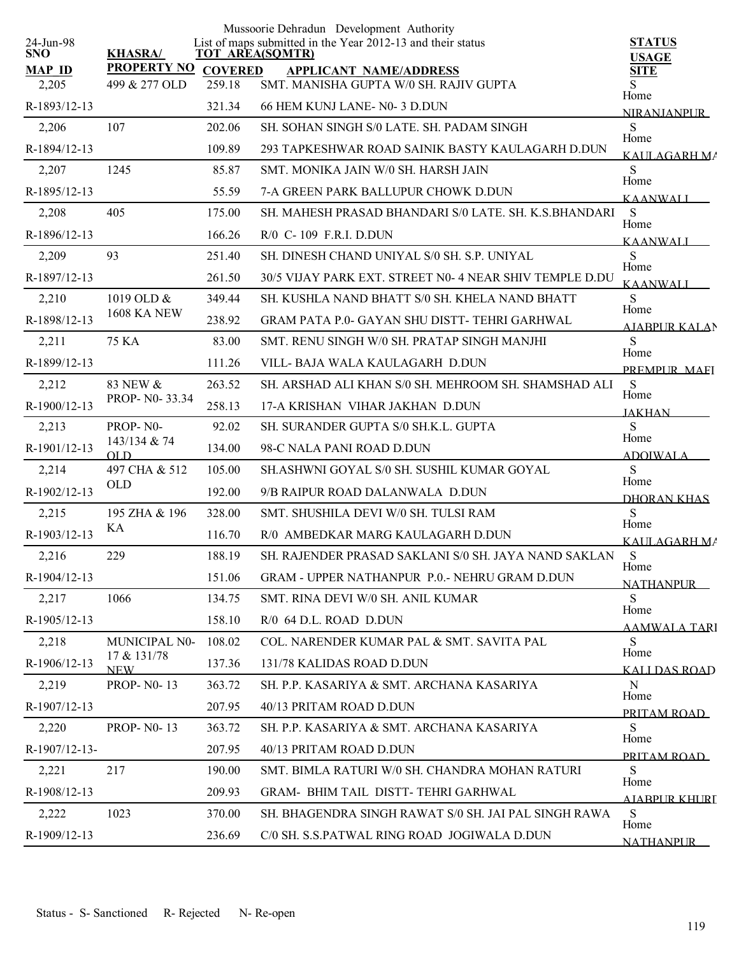|                         |                           |        | Mussoorie Dehradun Development Authority                                              |                              |
|-------------------------|---------------------------|--------|---------------------------------------------------------------------------------------|------------------------------|
| 24-Jun-98<br><b>SNO</b> | <b>KHASRA/</b>            |        | List of maps submitted in the Year 2012-13 and their status<br><b>TOT AREA(SQMTR)</b> | <b>STATUS</b>                |
| <b>MAP ID</b>           | PROPERTY NO COVERED       |        | <b>APPLICANT NAME/ADDRESS</b>                                                         | <b>USAGE</b><br><b>SITE</b>  |
| 2,205                   | 499 & 277 OLD             | 259.18 | SMT. MANISHA GUPTA W/0 SH. RAJIV GUPTA                                                | Home                         |
| R-1893/12-13            |                           | 321.34 | 66 HEM KUNJ LANE-N0-3 D.DUN                                                           | <b>NIRANJANPUR</b>           |
| 2,206                   | 107                       | 202.06 | SH. SOHAN SINGH S/0 LATE. SH. PADAM SINGH                                             | <sub>S</sub><br>Home         |
| R-1894/12-13            |                           | 109.89 | 293 TAPKESHWAR ROAD SAINIK BASTY KAULAGARH D.DUN                                      | KALILAGARH MA                |
| 2,207                   | 1245                      | 85.87  | SMT. MONIKA JAIN W/0 SH. HARSH JAIN                                                   | S<br>Home                    |
| R-1895/12-13            |                           | 55.59  | 7-A GREEN PARK BALLUPUR CHOWK D.DUN                                                   | <b>KAANWALI</b>              |
| 2,208                   | 405                       | 175.00 | SH. MAHESH PRASAD BHANDARI S/0 LATE. SH. K.S.BHANDARI                                 | S<br>Home                    |
| R-1896/12-13            |                           | 166.26 | R/0 C-109 F.R.I. D.DUN                                                                | <b>KAANWALI</b>              |
| 2,209                   | 93                        | 251.40 | SH. DINESH CHAND UNIYAL S/0 SH. S.P. UNIYAL                                           | S                            |
| R-1897/12-13            |                           | 261.50 | 30/5 VIJAY PARK EXT. STREET N0-4 NEAR SHIV TEMPLE D.DU                                | Home<br><b>KAANWALI</b>      |
| 2,210                   | 1019 OLD &                | 349.44 | SH. KUSHLA NAND BHATT S/0 SH. KHELA NAND BHATT                                        | <sub>S</sub>                 |
| R-1898/12-13            | <b>1608 KA NEW</b>        | 238.92 | GRAM PATA P.0- GAYAN SHU DISTT- TEHRI GARHWAL                                         | Home<br><b>AJABPUR KALAN</b> |
| 2,211                   | 75 KA                     | 83.00  | SMT. RENU SINGH W/0 SH. PRATAP SINGH MANJHI                                           | <sub>S</sub><br>Home         |
| R-1899/12-13            |                           | 111.26 | VILL- BAJA WALA KAULAGARH D.DUN                                                       | PREMPLIR MAEL                |
| 2,212                   | 83 NEW &                  | 263.52 | SH. ARSHAD ALI KHAN S/0 SH. MEHROOM SH. SHAMSHAD ALI                                  | S                            |
| R-1900/12-13            | PROP- N0-33.34            | 258.13 | 17-A KRISHAN VIHAR JAKHAN D.DUN                                                       | Home<br><b>JAKHAN</b>        |
| 2,213                   | PROP-NO-                  | 92.02  | SH. SURANDER GUPTA S/0 SH.K.L. GUPTA                                                  | S                            |
| R-1901/12-13            | 143/134 & 74<br>OLD       | 134.00 | 98-C NALA PANI ROAD D.DUN                                                             | Home<br><b>ADOIWALA</b>      |
| 2,214                   | 497 CHA & 512             | 105.00 | SH.ASHWNI GOYAL S/0 SH. SUSHIL KUMAR GOYAL                                            | S                            |
| R-1902/12-13            | <b>OLD</b>                | 192.00 | 9/B RAIPUR ROAD DALANWALA D.DUN                                                       | Home<br>DHORAN KHAS          |
| 2,215                   | 195 ZHA & 196             | 328.00 | SMT. SHUSHILA DEVI W/0 SH. TULSI RAM                                                  | S                            |
| R-1903/12-13            | KА                        | 116.70 | R/0 AMBEDKAR MARG KAULAGARH D.DUN                                                     | Home<br>KAULAGARH MA         |
| 2,216                   | 229                       | 188.19 | SH. RAJENDER PRASAD SAKLANI S/0 SH. JAYA NAND SAKLAN                                  | S                            |
| R-1904/12-13            |                           | 151.06 | GRAM - UPPER NATHANPUR P.O.- NEHRU GRAM D.DUN                                         | Home<br><b>NATHANPUR</b>     |
| 2,217                   | 1066                      | 134.75 | SMT. RINA DEVI W/0 SH. ANIL KUMAR                                                     | S                            |
| R-1905/12-13            |                           | 158.10 | R/0 64 D.L. ROAD D.DUN                                                                | Home<br><b>AAMWALA TARI</b>  |
| 2,218                   | MUNICIPAL N0-             | 108.02 | COL. NARENDER KUMAR PAL & SMT. SAVITA PAL                                             | <sub>S</sub>                 |
| R-1906/12-13            | 17 & 131/78<br><b>NEW</b> | 137.36 | 131/78 KALIDAS ROAD D.DUN                                                             | Home<br><b>KALLDAS ROAD</b>  |
| 2,219                   | <b>PROP-N0-13</b>         | 363.72 | SH. P.P. KASARIYA & SMT. ARCHANA KASARIYA                                             | N                            |
| R-1907/12-13            |                           | 207.95 | 40/13 PRITAM ROAD D.DUN                                                               | Home<br>PRITAM ROAD          |
| 2,220                   | <b>PROP-N0-13</b>         | 363.72 | SH. P.P. KASARIYA & SMT. ARCHANA KASARIYA                                             | <sub>S</sub>                 |
| R-1907/12-13-           |                           | 207.95 | 40/13 PRITAM ROAD D.DUN                                                               | Home<br>PRITAM ROAD          |
| 2,221                   | 217                       | 190.00 | SMT. BIMLA RATURI W/0 SH. CHANDRA MOHAN RATURI                                        | S                            |
| R-1908/12-13            |                           | 209.93 | GRAM- BHIM TAIL DISTT-TEHRI GARHWAL                                                   | Home<br>AIARPUR KHURL        |
| 2,222                   | 1023                      | 370.00 | SH. BHAGENDRA SINGH RAWAT S/0 SH. JAI PAL SINGH RAWA                                  | S                            |
| R-1909/12-13            |                           | 236.69 | C/0 SH. S.S.PATWAL RING ROAD JOGIWALA D.DUN                                           | Home<br><b>NATHANPUR</b>     |
|                         |                           |        |                                                                                       |                              |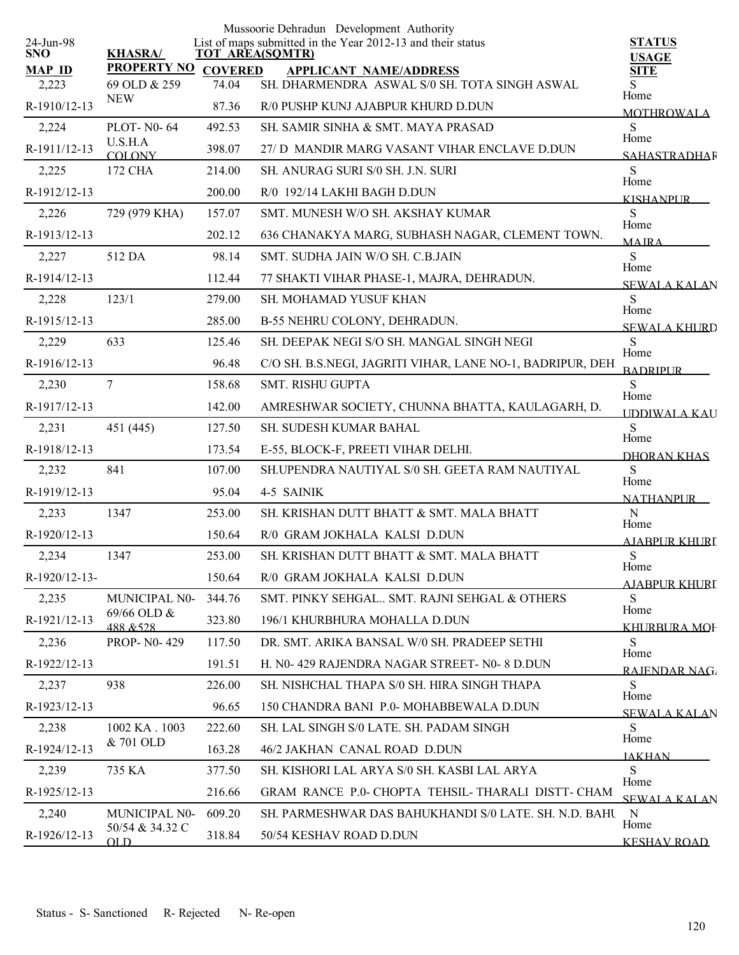| 24-Jun-98     |                              |                | Mussoorie Dehradun Development Authority<br>List of maps submitted in the Year 2012-13 and their status | <b>STATUS</b>                |
|---------------|------------------------------|----------------|---------------------------------------------------------------------------------------------------------|------------------------------|
| <b>SNO</b>    | <b>KHASRA/</b>               |                | <b>TOT AREA(SQMTR)</b>                                                                                  | <b>USAGE</b>                 |
| <b>MAP ID</b> | <b>PROPERTY NO</b>           | <b>COVERED</b> | <b>APPLICANT NAME/ADDRESS</b>                                                                           | <b>SITE</b>                  |
| 2,223         | 69 OLD & 259<br><b>NEW</b>   | 74.04          | SH. DHARMENDRA ASWAL S/0 SH. TOTA SINGH ASWAL                                                           | Home                         |
| R-1910/12-13  |                              | 87.36          | R/0 PUSHP KUNJ AJABPUR KHURD D.DUN                                                                      | <b>MOTHROWALA</b>            |
| 2,224         | <b>PLOT-N0-64</b><br>U.S.H.A | 492.53         | SH. SAMIR SINHA & SMT. MAYA PRASAD                                                                      | S<br>Home                    |
| R-1911/12-13  | COLONY                       | 398.07         | 27/ D MANDIR MARG VASANT VIHAR ENCLAVE D.DUN                                                            | <b>SAHASTRADHAR</b>          |
| 2,225         | 172 CHA                      | 214.00         | SH. ANURAG SURI S/0 SH. J.N. SURI                                                                       | S<br>Home                    |
| R-1912/12-13  |                              | 200.00         | R/0 192/14 LAKHI BAGH D.DUN                                                                             | <b>KISHANPUR</b>             |
| 2,226         | 729 (979 KHA)                | 157.07         | SMT. MUNESH W/O SH. AKSHAY KUMAR                                                                        | S<br>Home                    |
| R-1913/12-13  |                              | 202.12         | 636 CHANAKYA MARG, SUBHASH NAGAR, CLEMENT TOWN.                                                         | <b>MAIRA</b>                 |
| 2,227         | 512 DA                       | 98.14          | SMT. SUDHA JAIN W/O SH. C.B.JAIN                                                                        | S<br>Home                    |
| R-1914/12-13  |                              | 112.44         | 77 SHAKTI VIHAR PHASE-1, MAJRA, DEHRADUN.                                                               | <b>SEWALA KALAN</b>          |
| 2,228         | 123/1                        | 279.00         | <b>SH. MOHAMAD YUSUF KHAN</b>                                                                           | S                            |
| R-1915/12-13  |                              | 285.00         | B-55 NEHRU COLONY, DEHRADUN.                                                                            | Home<br><b>SEWALA KHURD</b>  |
| 2,229         | 633                          | 125.46         | SH. DEEPAK NEGI S/O SH. MANGAL SINGH NEGI                                                               | S                            |
| R-1916/12-13  |                              | 96.48          | C/O SH. B.S.NEGI, JAGRITI VIHAR, LANE NO-1, BADRIPUR, DEH                                               | Home<br><b>BADRIPUR</b>      |
| 2,230         | 7                            | 158.68         | <b>SMT. RISHU GUPTA</b>                                                                                 | S                            |
| R-1917/12-13  |                              | 142.00         | AMRESHWAR SOCIETY, CHUNNA BHATTA, KAULAGARH, D.                                                         | Home<br><b>IDDIWALA KAU</b>  |
| 2,231         | 451 (445)                    | 127.50         | SH. SUDESH KUMAR BAHAL                                                                                  | S                            |
| R-1918/12-13  |                              | 173.54         | E-55, BLOCK-F, PREETI VIHAR DELHI.                                                                      | Home<br>DHORAN KHAS          |
| 2,232         | 841                          | 107.00         | SH.UPENDRA NAUTIYAL S/0 SH. GEETA RAM NAUTIYAL                                                          | S                            |
| R-1919/12-13  |                              | 95.04          | 4-5 SAINIK                                                                                              | Home<br><b>NATHANPUR</b>     |
| 2,233         | 1347                         | 253.00         | SH. KRISHAN DUTT BHATT & SMT. MALA BHATT                                                                | N                            |
| R-1920/12-13  |                              | 150.64         | R/0 GRAM JOKHALA KALSI D.DUN                                                                            | Home<br><b>AJABPUR KHURI</b> |
| 2,234         | 1347                         | 253.00         | SH. KRISHAN DUTT BHATT & SMT. MALA BHATT                                                                | S                            |
| R-1920/12-13- |                              | 150.64         | R/0 GRAM JOKHALA KALSI D.DUN                                                                            | Home<br><b>AJABPUR KHURI</b> |
| 2,235         | MUNICIPAL N0-                | 344.76         | SMT. PINKY SEHGAL., SMT. RAJNI SEHGAL & OTHERS                                                          | S                            |
| R-1921/12-13  | 69/66 OLD &<br>488 & 528     | 323.80         | 196/1 KHURBHURA MOHALLA D.DUN                                                                           | Home<br><u>KHURBURA MOF</u>  |
| 2,236         | PROP-N0-429                  | 117.50         | DR. SMT. ARIKA BANSAL W/0 SH. PRADEEP SETHI                                                             | S                            |
| R-1922/12-13  |                              | 191.51         | H. N0-429 RAJENDRA NAGAR STREET- N0-8 D.DUN                                                             | Home<br><b>RAJENDAR NAG</b>  |
| 2,237         | 938                          | 226.00         | SH. NISHCHAL THAPA S/0 SH. HIRA SINGH THAPA                                                             | S                            |
| R-1923/12-13  |                              | 96.65          | 150 CHANDRA BANI P.0- MOHABBEWALA D.DUN                                                                 | Home                         |
| 2,238         | 1002 KA . 1003               | 222.60         | SH. LAL SINGH S/0 LATE. SH. PADAM SINGH                                                                 | <b>SEWALA KALAN</b><br>S     |
| R-1924/12-13  | & 701 OLD                    | 163.28         | 46/2 JAKHAN CANAL ROAD D.DUN                                                                            | Home                         |
| 2,239         | 735 KA                       | 377.50         | SH. KISHORI LAL ARYA S/0 SH. KASBI LAL ARYA                                                             | <b>IAKHAN</b><br>S           |
| R-1925/12-13  |                              | 216.66         | GRAM RANCE P.0- CHOPTA TEHSIL-THARALI DISTT- CHAM                                                       | Home                         |
| 2,240         | <b>MUNICIPAL N0-</b>         | 609.20         | SH. PARMESHWAR DAS BAHUKHANDI S/0 LATE. SH. N.D. BAHU                                                   | <b>SEWALA KALAN</b><br>N     |
| R-1926/12-13  | 50/54 & 34.32 C              | 318.84         | 50/54 KESHAV ROAD D.DUN                                                                                 | Home                         |
|               | OLD                          |                |                                                                                                         | <b>KESHAV ROAD</b>           |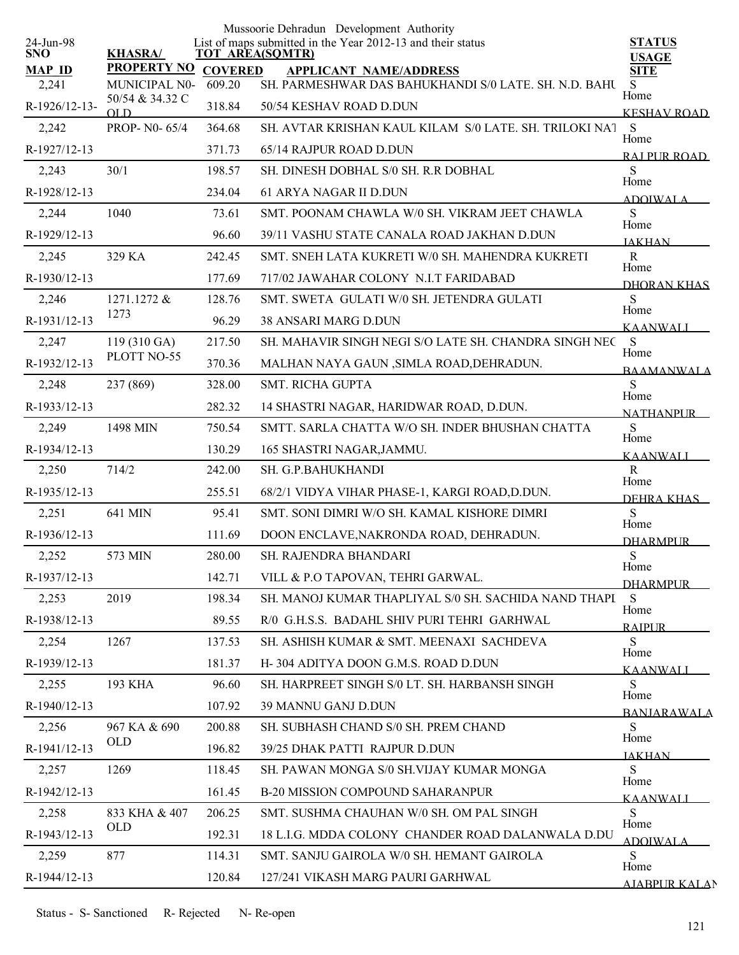|                         |                                  |                | Mussoorie Dehradun Development Authority                                              |                                |
|-------------------------|----------------------------------|----------------|---------------------------------------------------------------------------------------|--------------------------------|
| 24-Jun-98<br><b>SNO</b> | <b>KHASRA/</b>                   |                | List of maps submitted in the Year 2012-13 and their status<br><b>TOT AREA(SQMTR)</b> | <b>STATUS</b><br><b>USAGE</b>  |
| <b>MAP ID</b>           | <b>PROPERTY NO</b>               | <b>COVERED</b> | <b>APPLICANT NAME/ADDRESS</b>                                                         | <b>SITE</b>                    |
| 2,241                   | MUNICIPAL N0-<br>50/54 & 34.32 C | 609.20         | SH. PARMESHWAR DAS BAHUKHANDI S/0 LATE. SH. N.D. BAHU                                 | S<br>Home                      |
| R-1926/12-13-           | OL D                             | 318.84         | 50/54 KESHAV ROAD D.DUN                                                               | <b>KESHAV ROAD</b>             |
| 2,242                   | PROP-N0-65/4                     | 364.68         | SH. AVTAR KRISHAN KAUL KILAM S/0 LATE. SH. TRILOKI NAT                                | S<br>Home                      |
| R-1927/12-13            |                                  | 371.73         | 65/14 RAJPUR ROAD D.DUN                                                               | RAI PUR ROAD                   |
| 2,243                   | 30/1                             | 198.57         | SH. DINESH DOBHAL S/0 SH. R.R DOBHAL                                                  | S<br>Home                      |
| R-1928/12-13            |                                  | 234.04         | 61 ARYA NAGAR II D.DUN                                                                | <b>ADOIWALA</b>                |
| 2,244                   | 1040                             | 73.61          | SMT. POONAM CHAWLA W/0 SH. VIKRAM JEET CHAWLA                                         | S<br>Home                      |
| R-1929/12-13            |                                  | 96.60          | 39/11 VASHU STATE CANALA ROAD JAKHAN D.DUN                                            | <b>JAKHAN</b>                  |
| 2,245                   | 329 KA                           | 242.45         | SMT. SNEH LATA KUKRETI W/0 SH. MAHENDRA KUKRETI                                       | $\mathbf R$<br>Home            |
| R-1930/12-13            |                                  | 177.69         | 717/02 JAWAHAR COLONY N.I.T FARIDABAD                                                 | DHORAN KHAS                    |
| 2,246                   | 1271.1272 &                      | 128.76         | SMT. SWETA GULATI W/0 SH. JETENDRA GULATI                                             | S                              |
| R-1931/12-13            | 1273                             | 96.29          | <b>38 ANSARI MARG D.DUN</b>                                                           | Home<br><b>KAANWALI</b>        |
| 2,247                   | 119 (310 GA)                     | 217.50         | SH. MAHAVIR SINGH NEGI S/O LATE SH. CHANDRA SINGH NEC                                 | <sub>S</sub>                   |
| R-1932/12-13            | PLOTT NO-55                      | 370.36         | MALHAN NAYA GAUN , SIMLA ROAD, DEHRADUN.                                              | Home<br><b>BAAMANWALA</b>      |
| 2,248                   | 237 (869)                        | 328.00         | <b>SMT. RICHA GUPTA</b>                                                               | ${\bf S}$                      |
| R-1933/12-13            |                                  | 282.32         | 14 SHASTRI NAGAR, HARIDWAR ROAD, D.DUN.                                               | Home<br><b>NATHANPUR</b>       |
| 2,249                   | 1498 MIN                         | 750.54         | SMTT. SARLA CHATTA W/O SH. INDER BHUSHAN CHATTA                                       | S                              |
| R-1934/12-13            |                                  | 130.29         | 165 SHASTRI NAGAR, JAMMU.                                                             | Home                           |
| 2,250                   | 714/2                            | 242.00         | SH. G.P.BAHUKHANDI                                                                    | <b>KAANWALI</b><br>$\mathbf R$ |
| R-1935/12-13            |                                  | 255.51         | 68/2/1 VIDYA VIHAR PHASE-1, KARGI ROAD, D.DUN.                                        | Home                           |
| 2,251                   | 641 MIN                          | 95.41          | SMT. SONI DIMRI W/O SH. KAMAL KISHORE DIMRI                                           | DEHRA KHAS<br>S                |
| R-1936/12-13            |                                  | 111.69         | DOON ENCLAVE, NAKRONDA ROAD, DEHRADUN.                                                | Home                           |
| 2,252                   | 573 MIN                          | 280.00         | <b>SH. RAJENDRA BHANDARI</b>                                                          | <b>DHARMPUR</b><br>S           |
| R-1937/12-13            |                                  | 142.71         | VILL & P.O TAPOVAN, TEHRI GARWAL.                                                     | Home                           |
| 2,253                   | 2019                             | 198.34         | SH. MANOJ KUMAR THAPLIYAL S/0 SH. SACHIDA NAND THAPI                                  | <b>DHARMPUR</b><br>S           |
| R-1938/12-13            |                                  | 89.55          | R/0 G.H.S.S. BADAHL SHIV PURI TEHRI GARHWAL                                           | Home                           |
| 2,254                   | 1267                             | 137.53         | SH. ASHISH KUMAR & SMT. MEENAXI SACHDEVA                                              | <b>RAIPUR</b><br>S             |
| R-1939/12-13            |                                  | 181.37         | H-304 ADITYA DOON G.M.S. ROAD D.DUN                                                   | Home                           |
| 2,255                   | 193 KHA                          | 96.60          | SH. HARPREET SINGH S/0 LT. SH. HARBANSH SINGH                                         | <b>KAANWALI</b><br>S.          |
| R-1940/12-13            |                                  | 107.92         | 39 MANNU GANJ D.DUN                                                                   | Home                           |
|                         | 967 KA & 690                     | 200.88         |                                                                                       | <b>BANIARAWALA</b><br>S.       |
| 2,256                   | <b>OLD</b>                       |                | SH. SUBHASH CHAND S/0 SH. PREM CHAND                                                  | Home                           |
| R-1941/12-13            |                                  | 196.82         | 39/25 DHAK PATTI RAJPUR D.DUN                                                         | <b>JAKHAN</b>                  |
| 2,257                   | 1269                             | 118.45         | SH. PAWAN MONGA S/0 SH.VIJAY KUMAR MONGA                                              | S<br>Home                      |
| R-1942/12-13            |                                  | 161.45         | B-20 MISSION COMPOUND SAHARANPUR                                                      | <b>KAANWALI</b>                |
| 2,258                   | 833 KHA & 407<br><b>OLD</b>      | 206.25         | SMT. SUSHMA CHAUHAN W/0 SH. OM PAL SINGH                                              | S<br>Home                      |
| R-1943/12-13            |                                  | 192.31         | 18 L.I.G. MDDA COLONY CHANDER ROAD DALANWALA D.DU                                     | <b>ADOIWALA</b>                |
| 2,259                   | 877                              | 114.31         | SMT. SANJU GAIROLA W/0 SH. HEMANT GAIROLA                                             | S<br>Home                      |
| R-1944/12-13            |                                  | 120.84         | 127/241 VIKASH MARG PAURI GARHWAL                                                     | <b>AJABPUR KALAN</b>           |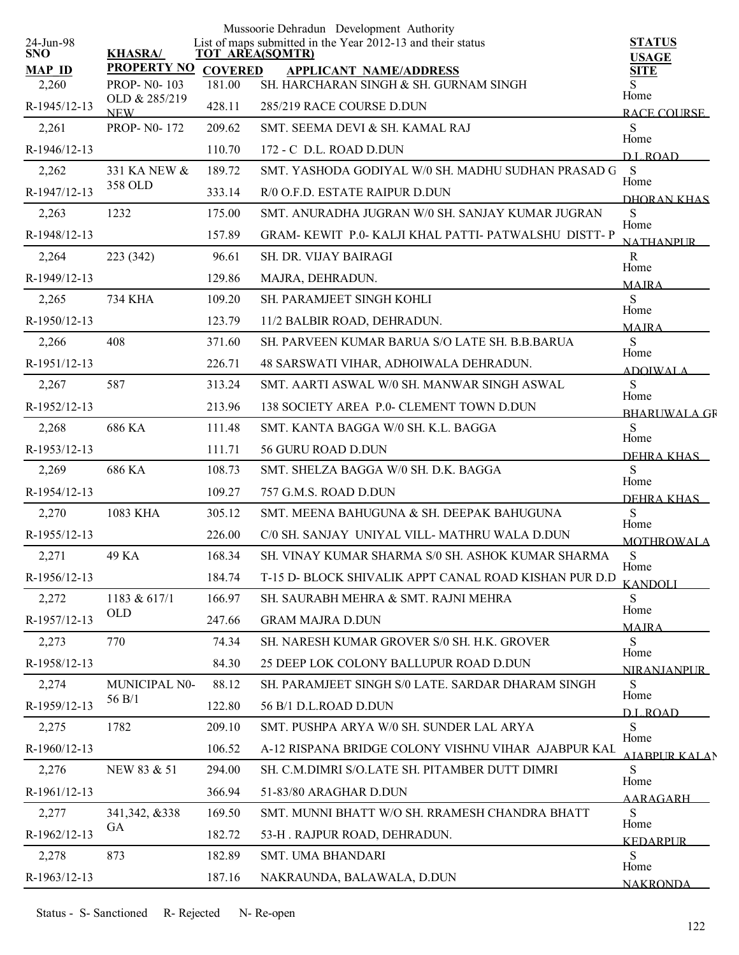| <b>STATUS</b><br><b>USAGE</b> |
|-------------------------------|
| <b>SITE</b>                   |
| S<br>Home                     |
| <b>RACE COURSE</b>            |
| S<br>Home                     |
| DL ROAD                       |
| S<br>Home                     |
| DHORAN KHAS                   |
| S<br>Home                     |
| <b>NATHANPUR</b>              |
| $\mathbb{R}$<br>Home          |
| <b>MAIRA</b>                  |
| S                             |
| Home<br><b>MAIRA</b>          |
| S                             |
| Home<br><b>ADOIWALA</b>       |
| ${\bf S}$                     |
| Home<br><b>BHARLIWALA GR</b>  |
| S<br>Home                     |
| DEHRA KHAS                    |
| S<br>Home                     |
| DEHRA KHAS                    |
| S<br>Home                     |
| <b>MOTHROWALA</b>             |
| ${\bf S}$                     |
| Home<br><b>KANDOLI</b>        |
| S                             |
| Home<br><b>MAJRA</b>          |
| S                             |
| Home<br><b>NIRANJANPUR</b>    |
| S                             |
| Home<br><b>DL ROAD</b>        |
| S                             |
| Home<br><b>AIARPUR KALAN</b>  |
| S                             |
| Home<br>AARAGARH              |
| S                             |
| Home<br><b>KEDARPUR</b>       |
| S<br>Home                     |
|                               |
|                               |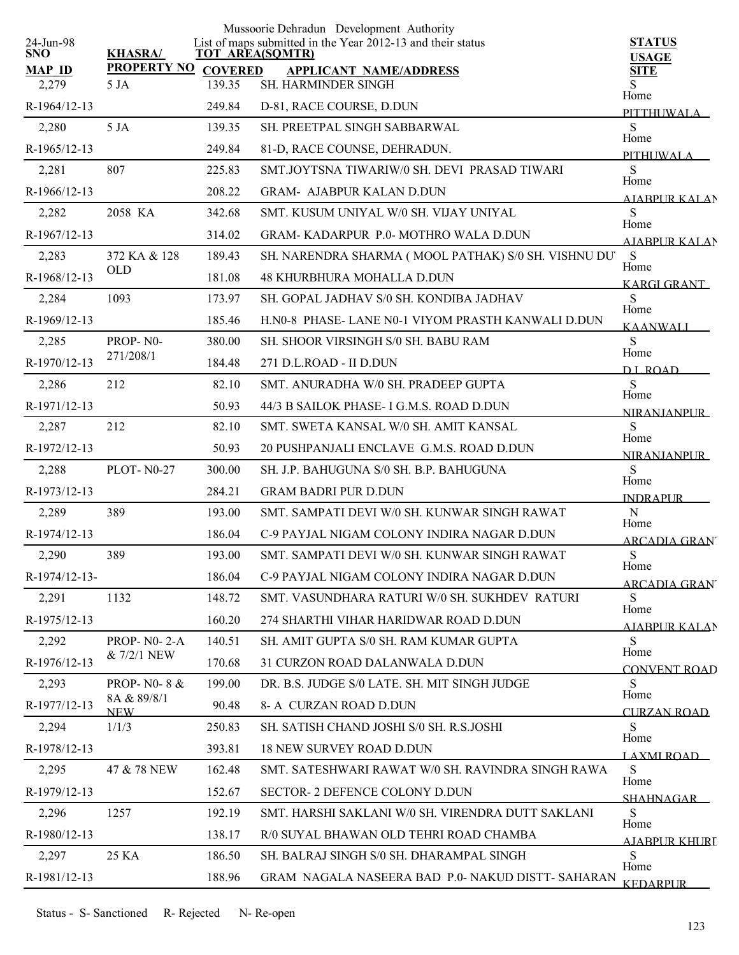|                         |                           |                        | Mussoorie Dehradun Development Authority                    |                               |
|-------------------------|---------------------------|------------------------|-------------------------------------------------------------|-------------------------------|
| 24-Jun-98<br><b>SNO</b> | <b>KHASRA/</b>            | <b>TOT AREA(SQMTR)</b> | List of maps submitted in the Year 2012-13 and their status | <b>STATUS</b><br><b>USAGE</b> |
| <b>MAP ID</b>           | PROPERTY NO COVERED       |                        | <b>APPLICANT NAME/ADDRESS</b>                               | <b>SITE</b>                   |
| 2,279                   | 5 JA                      | 139.35                 | SH. HARMINDER SINGH                                         | S<br>Home                     |
| R-1964/12-13            |                           | 249.84                 | D-81, RACE COURSE, D.DUN                                    | PITTHUWALA                    |
| 2,280                   | 5 JA                      | 139.35                 | SH. PREETPAL SINGH SABBARWAL                                | S<br>Home                     |
| R-1965/12-13            |                           | 249.84                 | 81-D, RACE COUNSE, DEHRADUN.                                | PITHI IWALA                   |
| 2,281                   | 807                       | 225.83                 | SMT.JOYTSNA TIWARIW/0 SH. DEVI PRASAD TIWARI                | S<br>Home                     |
| R-1966/12-13            |                           | 208.22                 | <b>GRAM- AJABPUR KALAN D.DUN</b>                            | <b>AIABPUR KALAN</b>          |
| 2,282                   | 2058 KA                   | 342.68                 | SMT. KUSUM UNIYAL W/0 SH. VIJAY UNIYAL                      | S<br>Home                     |
| R-1967/12-13            |                           | 314.02                 | <b>GRAM-KADARPUR P.0-MOTHRO WALA D.DUN</b>                  | <b>AIABPURKALAN</b>           |
| 2,283                   | 372 KA & 128              | 189.43                 | SH. NARENDRA SHARMA (MOOL PATHAK) S/0 SH. VISHNU DU'        | S<br>Home                     |
| R-1968/12-13            | <b>OLD</b>                | 181.08                 | <b>48 KHURBHURA MOHALLA D.DUN</b>                           | KARGI GRANT                   |
| 2,284                   | 1093                      | 173.97                 | SH. GOPAL JADHAV S/0 SH. KONDIBA JADHAV                     | S                             |
| R-1969/12-13            |                           | 185.46                 | H.NO-8 PHASE-LANE NO-1 VIYOM PRASTH KANWALI D.DUN           | Home<br><b>KAANWALI</b>       |
| 2,285                   | PROP-N0-                  | 380.00                 | SH. SHOOR VIRSINGH S/0 SH. BABU RAM                         | S                             |
| R-1970/12-13            | 271/208/1                 | 184.48                 | 271 D.L.ROAD - II D.DUN                                     | Home<br><b>DLROAD</b>         |
| 2,286                   | 212                       | 82.10                  | SMT. ANURADHA W/0 SH. PRADEEP GUPTA                         | S                             |
| R-1971/12-13            |                           | 50.93                  | 44/3 B SAILOK PHASE- I G.M.S. ROAD D.DUN                    | Home<br>NIRANJANPLIR          |
| 2,287                   | 212                       | 82.10                  | SMT. SWETA KANSAL W/0 SH. AMIT KANSAL                       | S                             |
| R-1972/12-13            |                           | 50.93                  | 20 PUSHPANJALI ENCLAVE G.M.S. ROAD D.DUN                    | Home<br><b>NIRANJANPUR</b>    |
| 2,288                   | <b>PLOT-N0-27</b>         | 300.00                 | SH. J.P. BAHUGUNA S/0 SH. B.P. BAHUGUNA                     | S                             |
| R-1973/12-13            |                           | 284.21                 | <b>GRAM BADRI PUR D.DUN</b>                                 | Home<br><b>INDRAPUR</b>       |
| 2,289                   | 389                       | 193.00                 | SMT. SAMPATI DEVI W/0 SH. KUNWAR SINGH RAWAT                | $\mathbf N$                   |
| R-1974/12-13            |                           | 186.04                 | C-9 PAYJAL NIGAM COLONY INDIRA NAGAR D.DUN                  | Home<br><b>ARCADIA GRAN</b>   |
| 2,290                   | 389                       | 193.00                 | SMT, SAMPATI DEVI W/0 SH, KUNWAR SINGH RAWAT                | ${\bf S}$                     |
| R-1974/12-13-           |                           | 186.04                 | C-9 PAYJAL NIGAM COLONY INDIRA NAGAR D.DUN                  | Home<br><u>ARCADIA GRAN'</u>  |
| 2,291                   | 1132                      | 148.72                 | SMT. VASUNDHARA RATURI W/0 SH. SUKHDEV RATURI               | S                             |
| R-1975/12-13            |                           | 160.20                 | 274 SHARTHI VIHAR HARIDWAR ROAD D.DUN                       | Home<br>AJABPUR KALAN         |
| 2,292                   | PROP- $N0-2-A$            | 140.51                 | SH. AMIT GUPTA S/0 SH. RAM KUMAR GUPTA                      | S                             |
| R-1976/12-13            | & 7/2/1 NEW               | 170.68                 | 31 CURZON ROAD DALANWALA D.DUN                              | Home<br><b>CONVENT ROAD</b>   |
| 2,293                   | PROP- $N0-8$ &            | 199.00                 | DR. B.S. JUDGE S/0 LATE, SH. MIT SINGH JUDGE                | S                             |
| R-1977/12-13            | 8A & 89/8/1<br><b>NEW</b> | 90.48                  | 8- A CURZAN ROAD D.DUN                                      | Home<br><b>CURZAN ROAD</b>    |
| 2,294                   | 1/1/3                     | 250.83                 | SH. SATISH CHAND JOSHI S/0 SH. R.S.JOSHI                    | S                             |
| R-1978/12-13            |                           | 393.81                 | <b>18 NEW SURVEY ROAD D.DUN</b>                             | Home<br>LAXMI ROAD            |
| 2,295                   | 47 & 78 NEW               | 162.48                 | SMT. SATESHWARI RAWAT W/0 SH. RAVINDRA SINGH RAWA           | S                             |
| R-1979/12-13            |                           | 152.67                 | <b>SECTOR- 2 DEFENCE COLONY D.DUN</b>                       | Home<br><b>SHAHNAGAR</b>      |
| 2,296                   | 1257                      | 192.19                 | SMT. HARSHI SAKLANI W/0 SH. VIRENDRA DUTT SAKLANI           | S                             |
| R-1980/12-13            |                           | 138.17                 | R/0 SUYAL BHAWAN OLD TEHRI ROAD CHAMBA                      | Home<br><b>AIABPUR KHURI</b>  |
| 2,297                   | 25 KA                     | 186.50                 | SH. BALRAJ SINGH S/0 SH. DHARAMPAL SINGH                    | S                             |
| R-1981/12-13            |                           | 188.96                 | GRAM NAGALA NASEERA BAD P.0- NAKUD DISTT- SAHARAN           | Home<br><b>KEDARPUR</b>       |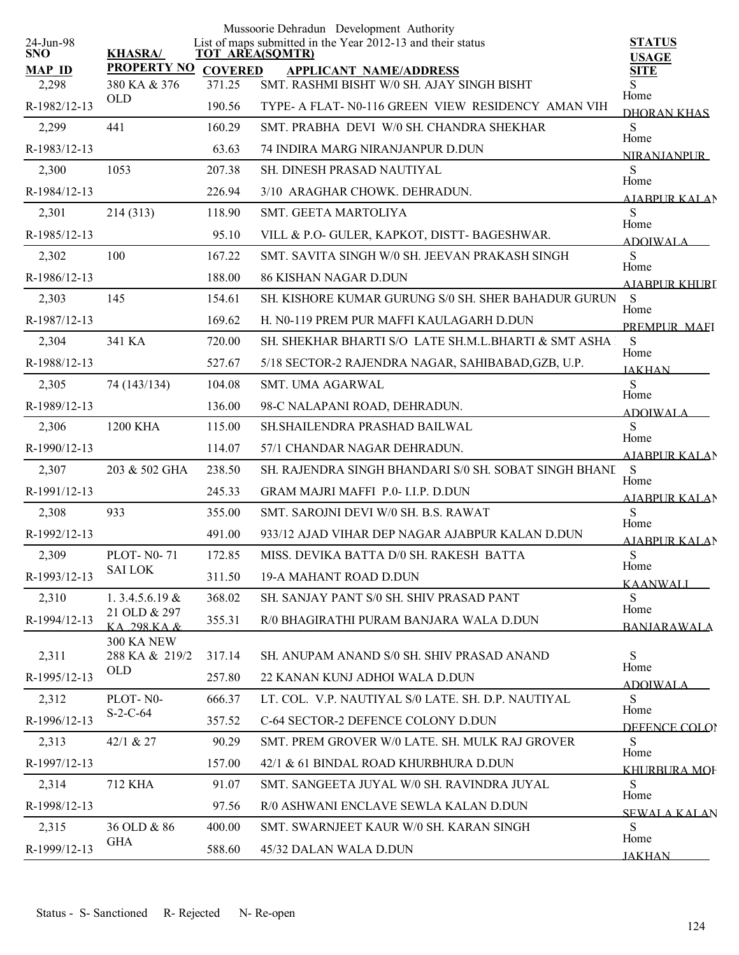|                         |                             |                | Mussoorie Dehradun Development Authority                                              |                              |
|-------------------------|-----------------------------|----------------|---------------------------------------------------------------------------------------|------------------------------|
| 24-Jun-98<br><b>SNO</b> | <b>KHASRA/</b>              |                | List of maps submitted in the Year 2012-13 and their status<br><b>TOT AREA(SQMTR)</b> | <b>STATUS</b>                |
| <b>MAP ID</b>           | <b>PROPERTY NO</b>          | <b>COVERED</b> | <b>APPLICANT NAME/ADDRESS</b>                                                         | <b>USAGE</b><br><b>SITE</b>  |
| 2,298                   | 380 KA & 376                | 371.25         | SMT. RASHMI BISHT W/0 SH. AJAY SINGH BISHT                                            | S<br>Home                    |
| R-1982/12-13            | <b>OLD</b>                  | 190.56         | TYPE- A FLAT- N0-116 GREEN VIEW RESIDENCY AMAN VIH                                    | DHORAN KHAS                  |
| 2,299                   | 441                         | 160.29         | SMT. PRABHA DEVI W/0 SH. CHANDRA SHEKHAR                                              | S<br>Home                    |
| R-1983/12-13            |                             | 63.63          | 74 INDIRA MARG NIRANJANPUR D.DUN                                                      | <b>NIRANIANPUR</b>           |
| 2,300                   | 1053                        | 207.38         | <b>SH. DINESH PRASAD NAUTIYAL</b>                                                     | ${\bf S}$<br>Home            |
| R-1984/12-13            |                             | 226.94         | 3/10 ARAGHAR CHOWK, DEHRADUN,                                                         | <b>AIABPUR KALAN</b>         |
| 2,301                   | 214(313)                    | 118.90         | SMT. GEETA MARTOLIYA                                                                  | S<br>Home                    |
| R-1985/12-13            |                             | 95.10          | VILL & P.O- GULER, KAPKOT, DISTT- BAGESHWAR.                                          | <b>ADOIWALA</b>              |
| 2,302                   | 100                         | 167.22         | SMT. SAVITA SINGH W/0 SH. JEEVAN PRAKASH SINGH                                        | S                            |
| R-1986/12-13            |                             | 188.00         | <b>86 KISHAN NAGAR D.DUN</b>                                                          | Home<br><b>AIABPUR KHURT</b> |
| 2,303                   | 145                         | 154.61         | SH. KISHORE KUMAR GURUNG S/0 SH. SHER BAHADUR GURUN                                   | S                            |
| R-1987/12-13            |                             | 169.62         | H. N0-119 PREM PUR MAFFI KAULAGARH D.DUN                                              | Home<br>PREMPUR MAEI         |
| 2,304                   | 341 KA                      | 720.00         | SH. SHEKHAR BHARTI S/O LATE SH.M.L.BHARTI & SMT ASHA                                  | S                            |
| R-1988/12-13            |                             | 527.67         | 5/18 SECTOR-2 RAJENDRA NAGAR, SAHIBABAD, GZB, U.P.                                    | Home<br><b>JAKHAN</b>        |
| 2,305                   | 74 (143/134)                | 104.08         | <b>SMT. UMA AGARWAL</b>                                                               | S                            |
| R-1989/12-13            |                             | 136.00         | 98-C NALAPANI ROAD, DEHRADUN.                                                         | Home<br><b>ADOIWALA</b>      |
| 2,306                   | 1200 KHA                    | 115.00         | SH.SHAILENDRA PRASHAD BAILWAL                                                         | S                            |
| R-1990/12-13            |                             | 114.07         | 57/1 CHANDAR NAGAR DEHRADUN.                                                          | Home<br><b>AJABPUR KALAN</b> |
| 2,307                   | 203 & 502 GHA               | 238.50         | SH. RAJENDRA SINGH BHANDARI S/0 SH. SOBAT SINGH BHANI                                 | S                            |
| R-1991/12-13            |                             | 245.33         | GRAM MAJRI MAFFI P.0- I.I.P. D.DUN                                                    | Home<br><b>AIABPUR KALAN</b> |
| 2,308                   | 933                         | 355.00         | SMT. SAROJNI DEVI W/0 SH. B.S. RAWAT                                                  | S                            |
| R-1992/12-13            |                             | 491.00         | 933/12 AJAD VIHAR DEP NAGAR AJABPUR KALAN D.DUN                                       | Home<br>AJABPUR KALAN        |
| 2,309                   | <b>PLOT-N0-71</b>           | 172.85         | MISS. DEVIKA BATTA D/0 SH. RAKESH BATTA                                               | ${\bf S}$                    |
| R-1993/12-13            | <b>SAI LOK</b>              | 311.50         | 19-A MAHANT ROAD D.DUN                                                                | Home<br><b>KAANWALI</b>      |
| 2,310                   | 1. $3.4.5.6.19 \&$          | 368.02         | SH. SANJAY PANT S/0 SH. SHIV PRASAD PANT                                              | S                            |
| R-1994/12-13            | 21 OLD & 297<br>KA 298 KA & | 355.31         | R/0 BHAGIRATHI PURAM BANJARA WALA D.DUN                                               | Home<br><b>BANJARAWALA</b>   |
|                         | <b>300 KA NEW</b>           |                |                                                                                       |                              |
| 2,311                   | 288 KA & 219/2              | 317.14         | SH. ANUPAM ANAND S/0 SH. SHIV PRASAD ANAND                                            | S<br>Home                    |
| R-1995/12-13            | <b>OLD</b>                  | 257.80         | 22 KANAN KUNJ ADHOI WALA D.DUN                                                        | <b>ADOIWALA</b>              |
| 2,312                   | PLOT-N0-                    | 666.37         | LT. COL. V.P. NAUTIYAL S/0 LATE. SH. D.P. NAUTIYAL                                    | S<br>Home                    |
| R-1996/12-13            | $S-2-C-64$                  | 357.52         | C-64 SECTOR-2 DEFENCE COLONY D.DUN                                                    | DEFENCE COLOR                |
| 2,313                   | 42/1 & 27                   | 90.29          | SMT. PREM GROVER W/0 LATE. SH. MULK RAJ GROVER                                        | S<br>Home                    |
| R-1997/12-13            |                             | 157.00         | 42/1 & 61 BINDAL ROAD KHURBHURA D.DUN                                                 | KHURBURA MOF                 |
| 2,314                   | 712 KHA                     | 91.07          | SMT. SANGEETA JUYAL W/0 SH. RAVINDRA JUYAL                                            | S                            |
| R-1998/12-13            |                             | 97.56          | R/0 ASHWANI ENCLAVE SEWLA KALAN D.DUN                                                 | Home<br><b>SEWALA KALAN</b>  |
| 2,315                   | 36 OLD & 86                 | 400.00         | SMT. SWARNJEET KAUR W/0 SH. KARAN SINGH                                               | S                            |
| R-1999/12-13            | <b>GHA</b>                  | 588.60         | 45/32 DALAN WALA D.DUN                                                                | Home<br><b>JAKHAN</b>        |
|                         |                             |                |                                                                                       |                              |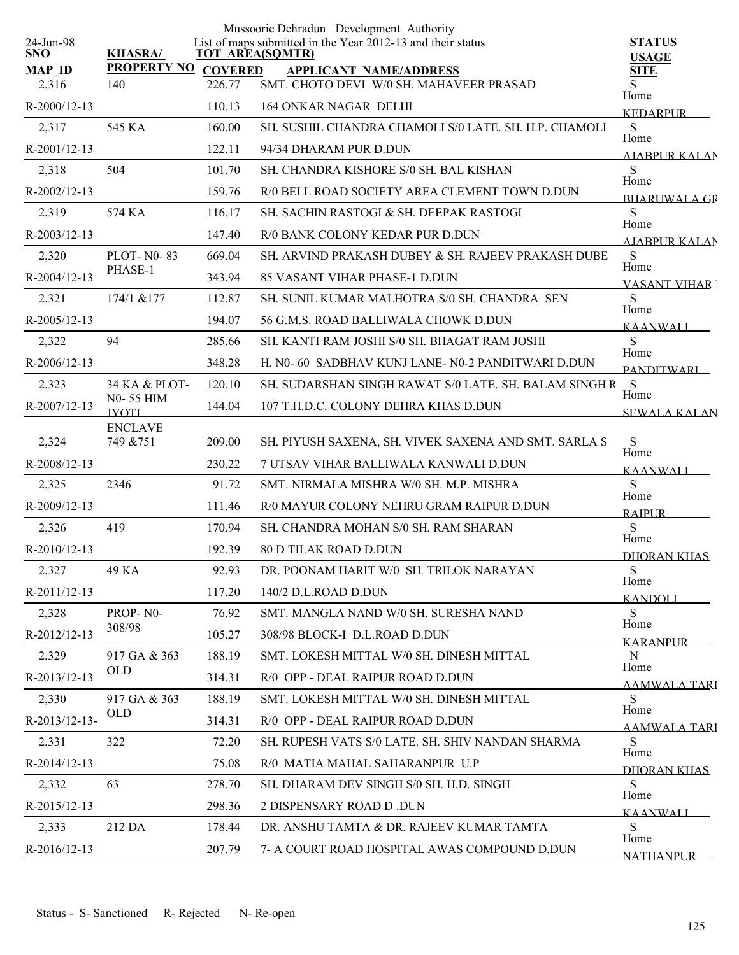|                         |                             |                        | Mussoorie Dehradun Development Authority                    |                               |
|-------------------------|-----------------------------|------------------------|-------------------------------------------------------------|-------------------------------|
| 24-Jun-98<br><b>SNO</b> | <b>KHASRA/</b>              | <b>TOT AREA(SQMTR)</b> | List of maps submitted in the Year 2012-13 and their status | <b>STATUS</b><br><b>USAGE</b> |
| <b>MAP ID</b>           | <b>PROPERTY NO</b>          | <b>COVERED</b>         | <b>APPLICANT NAME/ADDRESS</b>                               | <b>SITE</b>                   |
| 2,316                   | 140                         | 226.77                 | SMT. CHOTO DEVI W/0 SH. MAHAVEER PRASAD                     | S<br>Home                     |
| $R-2000/12-13$          |                             | 110.13                 | <b>164 ONKAR NAGAR DELHI</b>                                | <b>KEDARPUR</b>               |
| 2,317                   | 545 KA                      | 160.00                 | SH. SUSHIL CHANDRA CHAMOLI S/0 LATE. SH. H.P. CHAMOLI       | S<br>Home                     |
| $R-2001/12-13$          |                             | 122.11                 | 94/34 DHARAM PUR D.DUN                                      | AIABPUR KALAN                 |
| 2,318                   | 504                         | 101.70                 | SH. CHANDRA KISHORE S/0 SH. BAL KISHAN                      | S<br>Home                     |
| R-2002/12-13            |                             | 159.76                 | R/0 BELL ROAD SOCIETY AREA CLEMENT TOWN D.DUN               | <b>BHARLIWALA GR</b>          |
| 2,319                   | 574 KA                      | 116.17                 | SH. SACHIN RASTOGI & SH. DEEPAK RASTOGI                     | S<br>Home                     |
| $R-2003/12-13$          |                             | 147.40                 | R/0 BANK COLONY KEDAR PUR D.DUN                             | <b>AIABPUR KALAN</b>          |
| 2,320                   | <b>PLOT-N0-83</b>           | 669.04                 | SH. ARVIND PRAKASH DUBEY & SH. RAJEEV PRAKASH DUBE          | ${\bf S}$<br>Home             |
| R-2004/12-13            | PHASE-1                     | 343.94                 | <b>85 VASANT VIHAR PHASE-1 D.DUN</b>                        | <b>VASANT VIHAR</b>           |
| 2,321                   | 174/1 & 177                 | 112.87                 | SH. SUNIL KUMAR MALHOTRA S/0 SH. CHANDRA SEN                | S                             |
| R-2005/12-13            |                             | 194.07                 | 56 G.M.S. ROAD BALLIWALA CHOWK D.DUN                        | Home<br><b>KAANWALI</b>       |
| 2,322                   | 94                          | 285.66                 | SH. KANTI RAM JOSHI S/0 SH. BHAGAT RAM JOSHI                | S                             |
| R-2006/12-13            |                             | 348.28                 | H. N0- 60 SADBHAV KUNJ LANE- N0-2 PANDITWARI D.DUN          | Home<br><b>PANDITWARI</b>     |
| 2,323                   | 34 KA & PLOT-               | 120.10                 | SH. SUDARSHAN SINGH RAWAT S/0 LATE. SH. BALAM SINGH R       | - S                           |
| R-2007/12-13            | N0-55 HIM<br><b>IYOTI</b>   | 144.04                 | 107 T.H.D.C. COLONY DEHRA KHAS D.DUN                        | Home<br><b>SEWALA KALAN</b>   |
| 2,324                   | <b>ENCLAVE</b><br>749 & 751 | 209.00                 | SH. PIYUSH SAXENA, SH. VIVEK SAXENA AND SMT. SARLA S        | S                             |
| R-2008/12-13            |                             | 230.22                 | 7 UTSAV VIHAR BALLIWALA KANWALI D.DUN                       | Home                          |
| 2,325                   | 2346                        | 91.72                  | SMT. NIRMALA MISHRA W/0 SH. M.P. MISHRA                     | <b>KAANWALI</b><br>S          |
| R-2009/12-13            |                             | 111.46                 | R/0 MAYUR COLONY NEHRU GRAM RAIPUR D.DUN                    | Home                          |
| 2,326                   | 419                         | 170.94                 | SH. CHANDRA MOHAN S/0 SH. RAM SHARAN                        | <b>RAIPUR</b><br>S            |
|                         |                             |                        |                                                             | Home                          |
| $R-2010/12-13$          |                             | 192.39                 | <b>80 D TILAK ROAD D.DUN</b>                                | DHORAN KHAS                   |
| 2,327                   | 49 KA                       | 92.93                  | DR. POONAM HARIT W/0 SH. TRILOK NARAYAN                     | ${\bf S}$<br>Home             |
| R-2011/12-13            |                             | 117.20                 | 140/2 D.L.ROAD D.DUN                                        | <b>KANDOLI</b>                |
| 2,328                   | PROP-N0-<br>308/98          | 76.92                  | SMT. MANGLA NAND W/0 SH. SURESHA NAND                       | S<br>Home                     |
| R-2012/12-13            |                             | 105.27                 | 308/98 BLOCK-I D.L.ROAD D.DUN                               | <b>KARANPUR</b>               |
| 2,329                   | 917 GA & 363<br><b>OLD</b>  | 188.19                 | SMT. LOKESH MITTAL W/0 SH. DINESH MITTAL                    | N<br>Home                     |
| R-2013/12-13            |                             | 314.31                 | R/0 OPP - DEAL RAIPUR ROAD D.DUN                            | <b>AAMWALA TARI</b>           |
| 2,330                   | 917 GA & 363<br><b>OLD</b>  | 188.19                 | SMT. LOKESH MITTAL W/0 SH. DINESH MITTAL                    | S<br>Home                     |
| R-2013/12-13-           |                             | 314.31                 | R/0 OPP - DEAL RAIPUR ROAD D.DUN                            | AAMWALA TARI                  |
| 2,331                   | 322                         | 72.20                  | SH. RUPESH VATS S/0 LATE. SH. SHIV NANDAN SHARMA            | S<br>Home                     |
| $R-2014/12-13$          |                             | 75.08                  | R/0 MATIA MAHAL SAHARANPUR U.P                              | DHORAN KHAS                   |
| 2,332                   | 63                          | 278.70                 | SH. DHARAM DEV SINGH S/0 SH. H.D. SINGH                     | S<br>Home                     |
| R-2015/12-13            |                             | 298.36                 | 2 DISPENSARY ROAD D .DUN                                    | <b>KAANWALI</b>               |
| 2,333                   | 212 DA                      | 178.44                 | DR. ANSHU TAMTA & DR. RAJEEV KUMAR TAMTA                    | S<br>Home                     |
| R-2016/12-13            |                             | 207.79                 | 7- A COURT ROAD HOSPITAL AWAS COMPOUND D.DUN                | <b>NATHANPUR</b>              |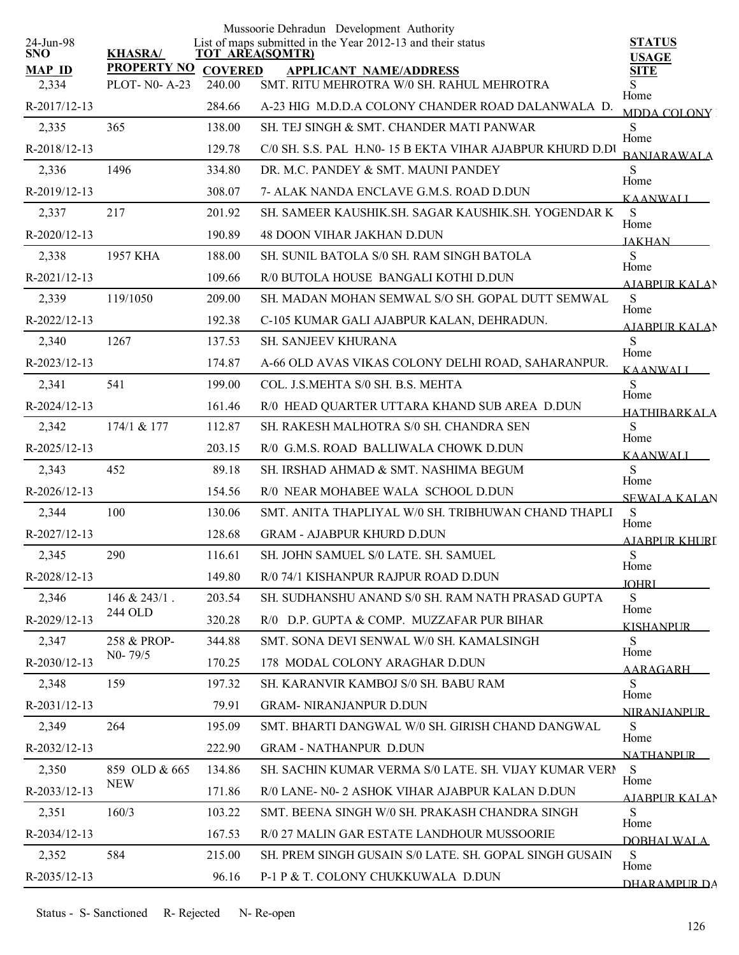|                         |                    |                | Mussoorie Dehradun Development Authority                                              |                               |
|-------------------------|--------------------|----------------|---------------------------------------------------------------------------------------|-------------------------------|
| 24-Jun-98<br><b>SNO</b> | <b>KHASRA/</b>     |                | List of maps submitted in the Year 2012-13 and their status<br><b>TOT AREA(SQMTR)</b> | <b>STATUS</b><br><b>USAGE</b> |
| <b>MAP ID</b>           | <b>PROPERTY NO</b> | <b>COVERED</b> | <b>APPLICANT NAME/ADDRESS</b>                                                         | <b>SITE</b>                   |
| 2,334                   | PLOT- N0- A-23     | 240.00         | SMT. RITU MEHROTRA W/0 SH. RAHUL MEHROTRA                                             | S<br>Home                     |
| R-2017/12-13            |                    | 284.66         | A-23 HIG M.D.D.A COLONY CHANDER ROAD DALANWALA D.                                     | <b>MDDA COLONY</b>            |
| 2,335                   | 365                | 138.00         | SH. TEJ SINGH & SMT. CHANDER MATI PANWAR                                              | S<br>Home                     |
| R-2018/12-13            |                    | 129.78         | C/0 SH. S.S. PAL H.N0-15 B EKTA VIHAR AJABPUR KHURD D.DU                              | <b>BANJARAWALA</b>            |
| 2,336                   | 1496               | 334.80         | DR. M.C. PANDEY & SMT. MAUNI PANDEY                                                   | S<br>Home                     |
| R-2019/12-13            |                    | 308.07         | 7- ALAK NANDA ENCLAVE G.M.S. ROAD D.DUN                                               | <b>KAANWALI</b>               |
| 2,337                   | 217                | 201.92         | SH. SAMEER KAUSHIK.SH. SAGAR KAUSHIK.SH. YOGENDAR K                                   | S<br>Home                     |
| R-2020/12-13            |                    | 190.89         | <b>48 DOON VIHAR JAKHAN D.DUN</b>                                                     | <b>JAKHAN</b>                 |
| 2,338                   | 1957 KHA           | 188.00         | SH. SUNIL BATOLA S/0 SH. RAM SINGH BATOLA                                             | S<br>Home                     |
| R-2021/12-13            |                    | 109.66         | R/0 BUTOLA HOUSE BANGALI KOTHI D.DUN                                                  | AIABPUR KALAN                 |
| 2,339                   | 119/1050           | 209.00         | SH. MADAN MOHAN SEMWAL S/O SH. GOPAL DUTT SEMWAL                                      | S                             |
| R-2022/12-13            |                    | 192.38         | C-105 KUMAR GALI AJABPUR KALAN, DEHRADUN.                                             | Home<br><b>AJABPUR KALAN</b>  |
| 2,340                   | 1267               | 137.53         | <b>SH. SANJEEV KHURANA</b>                                                            | S                             |
| R-2023/12-13            |                    | 174.87         | A-66 OLD AVAS VIKAS COLONY DELHI ROAD, SAHARANPUR.                                    | Home<br><b>KAANWALI</b>       |
| 2,341                   | 541                | 199.00         | COL. J.S.MEHTA S/0 SH. B.S. MEHTA                                                     | S                             |
| R-2024/12-13            |                    | 161.46         | R/0 HEAD QUARTER UTTARA KHAND SUB AREA D.DUN                                          | Home<br><b>HATHIRARKALA</b>   |
| 2,342                   | 174/1 & 177        | 112.87         | SH. RAKESH MALHOTRA S/0 SH. CHANDRA SEN                                               | S                             |
| R-2025/12-13            |                    | 203.15         | R/0 G.M.S. ROAD BALLIWALA CHOWK D.DUN                                                 | Home<br><b>KAANWALI</b>       |
| 2,343                   | 452                | 89.18          | SH. IRSHAD AHMAD & SMT. NASHIMA BEGUM                                                 | S                             |
| R-2026/12-13            |                    | 154.56         | R/0 NEAR MOHABEE WALA SCHOOL D.DUN                                                    | Home<br><b>SEWALA KALAN</b>   |
| 2,344                   | 100                | 130.06         | SMT. ANITA THAPLIYAL W/0 SH. TRIBHUWAN CHAND THAPLI                                   | S                             |
| R-2027/12-13            |                    | 128.68         | <b>GRAM - AJABPUR KHURD D.DUN</b>                                                     | Home<br>AJABPUR KHURI         |
| 2,345                   | 290                | 116.61         | SH. JOHN SAMUEL S/0 LATE. SH. SAMUEL                                                  | ${\bf S}$                     |
| R-2028/12-13            |                    | 149.80         | R/0 74/1 KISHANPUR RAJPUR ROAD D.DUN                                                  | Home<br><b>JOHRI</b>          |
| 2,346                   | $146 & 243/1$ .    | 203.54         | SH. SUDHANSHU ANAND S/0 SH. RAM NATH PRASAD GUPTA                                     | S                             |
| R-2029/12-13            | 244 OLD            | 320.28         | R/0 D.P. GUPTA & COMP. MUZZAFAR PUR BIHAR                                             | Home                          |
| 2,347                   | 258 & PROP-        | 344.88         | SMT. SONA DEVI SENWAL W/0 SH. KAMALSINGH                                              | <b>KISHANPUR</b><br>S         |
| R-2030/12-13            | NO-79/5            | 170.25         | 178 MODAL COLONY ARAGHAR D.DUN                                                        | Home                          |
| 2,348                   | 159                | 197.32         | SH. KARANVIR KAMBOJ S/0 SH. BABU RAM                                                  | AARAGARH<br>S                 |
| R-2031/12-13            |                    | 79.91          | <b>GRAM- NIRANJANPUR D.DUN</b>                                                        | Home                          |
| 2,349                   | 264                | 195.09         | SMT. BHARTI DANGWAL W/0 SH. GIRISH CHAND DANGWAL                                      | <b>NIRANIANPUR</b><br>S       |
| R-2032/12-13            |                    | 222.90         | <b>GRAM - NATHANPUR D.DUN</b>                                                         | Home                          |
| 2,350                   | 859 OLD & 665      | 134.86         | SH. SACHIN KUMAR VERMA S/0 LATE. SH. VIJAY KUMAR VERI                                 | <b>NATHANPUR</b><br>S         |
| R-2033/12-13            | <b>NEW</b>         | 171.86         | R/0 LANE- N0- 2 ASHOK VIHAR AJABPUR KALAN D.DUN                                       | Home                          |
| 2,351                   | 160/3              | 103.22         | SMT. BEENA SINGH W/0 SH. PRAKASH CHANDRA SINGH                                        | <b>AIABPURKALAN</b><br>S      |
| R-2034/12-13            |                    | 167.53         | R/0 27 MALIN GAR ESTATE LANDHOUR MUSSOORIE                                            | Home                          |
| 2,352                   | 584                | 215.00         | SH. PREM SINGH GUSAIN S/0 LATE. SH. GOPAL SINGH GUSAIN                                | <b>DOBHALWALA</b><br>S        |
| R-2035/12-13            |                    | 96.16          | P-1 P & T. COLONY CHUKKUWALA D.DUN                                                    | Home                          |
|                         |                    |                |                                                                                       | DHARAMPLIR DA                 |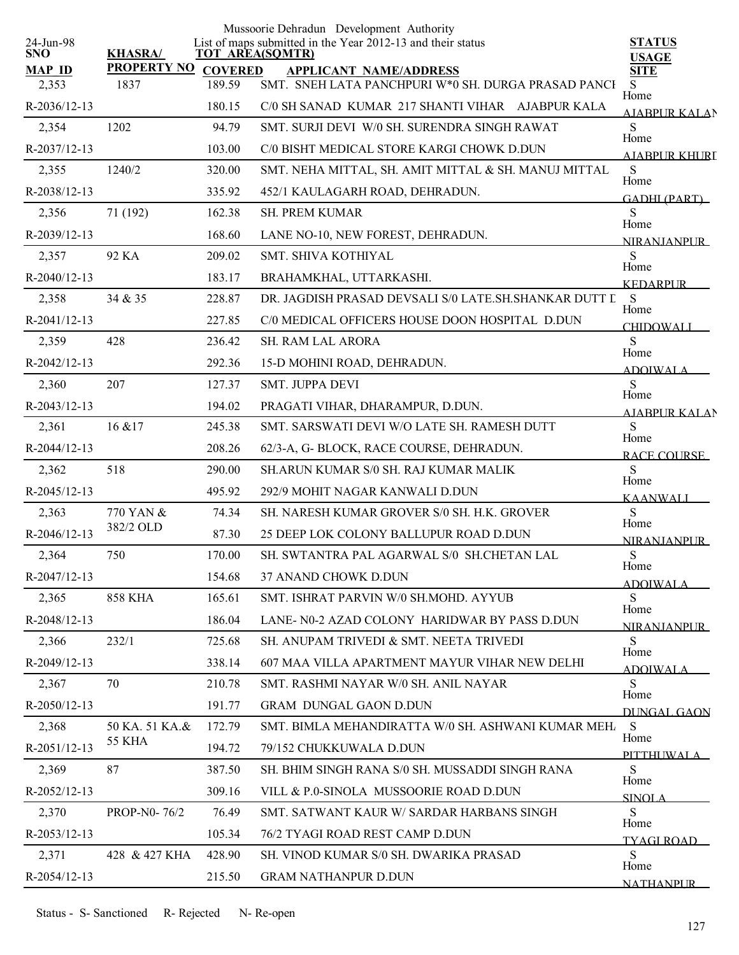| 24-Jun-98              |                             |                        | Mussoorie Dehradun Development Authority<br>List of maps submitted in the Year 2012-13 and their status | <b>STATUS</b>               |
|------------------------|-----------------------------|------------------------|---------------------------------------------------------------------------------------------------------|-----------------------------|
| <b>SNO</b>             | <b>KHASRA/</b>              | <b>TOT AREA(SQMTR)</b> |                                                                                                         | <b>USAGE</b>                |
| <b>MAP ID</b><br>2,353 | PROPERTY NO COVERED<br>1837 | 189.59                 | <b>APPLICANT NAME/ADDRESS</b><br>SMT. SNEH LATA PANCHPURI W*0 SH. DURGA PRASAD PANCI                    | <b>SITE</b><br>S            |
| R-2036/12-13           |                             | 180.15                 | C/0 SH SANAD KUMAR 217 SHANTI VIHAR AJABPUR KALA                                                        | Home                        |
| 2,354                  | 1202                        | 94.79                  | SMT. SURJI DEVI W/0 SH. SURENDRA SINGH RAWAT                                                            | AJABPUR KALAN<br>${\bf S}$  |
| R-2037/12-13           |                             | 103.00                 | C/0 BISHT MEDICAL STORE KARGI CHOWK D.DUN                                                               | Home                        |
| 2,355                  | 1240/2                      | 320.00                 | SMT. NEHA MITTAL, SH. AMIT MITTAL & SH. MANUJ MITTAL                                                    | A JARPI IR KHLIRT<br>S      |
| R-2038/12-13           |                             | 335.92                 | 452/1 KAULAGARH ROAD, DEHRADUN.                                                                         | Home                        |
| 2,356                  | 71 (192)                    | 162.38                 | SH. PREM KUMAR                                                                                          | <b>GADHI (PART)</b><br>S    |
| R-2039/12-13           |                             | 168.60                 | LANE NO-10, NEW FOREST, DEHRADUN.                                                                       | Home<br><b>NIRANIANPUR</b>  |
| 2,357                  | 92 KA                       | 209.02                 | SMT. SHIVA KOTHIYAL                                                                                     | S                           |
| $R-2040/12-13$         |                             | 183.17                 | BRAHAMKHAL, UTTARKASHI.                                                                                 | Home<br><b>KEDARPUR</b>     |
| 2,358                  | 34 & 35                     | 228.87                 | DR. JAGDISH PRASAD DEVSALI S/0 LATE SH. SHANKAR DUTT L                                                  | S                           |
| $R-2041/12-13$         |                             | 227.85                 | C/0 MEDICAL OFFICERS HOUSE DOON HOSPITAL D.DUN                                                          | Home<br><b>CHIDOWALI</b>    |
| 2,359                  | 428                         | 236.42                 | <b>SH. RAM LAL ARORA</b>                                                                                | S                           |
| R-2042/12-13           |                             | 292.36                 | 15-D MOHINI ROAD, DEHRADUN.                                                                             | Home<br><b>ADOIWALA</b>     |
| 2,360                  | 207                         | 127.37                 | SMT. JUPPA DEVI                                                                                         | S                           |
| R-2043/12-13           |                             | 194.02                 | PRAGATI VIHAR, DHARAMPUR, D.DUN.                                                                        | Home<br><b>AIABPURKALAN</b> |
| 2,361                  | 16 & 17                     | 245.38                 | SMT. SARSWATI DEVI W/O LATE SH. RAMESH DUTT                                                             | S                           |
| R-2044/12-13           |                             | 208.26                 | 62/3-A, G- BLOCK, RACE COURSE, DEHRADUN.                                                                | Home<br><b>RACE COURSE</b>  |
| 2,362                  | 518                         | 290.00                 | SH.ARUN KUMAR S/0 SH. RAJ KUMAR MALIK                                                                   | S                           |
| R-2045/12-13           |                             | 495.92                 | 292/9 MOHIT NAGAR KANWALI D.DUN                                                                         | Home<br><b>KAANWALL</b>     |
| 2,363                  | 770 YAN &                   | 74.34                  | SH. NARESH KUMAR GROVER S/0 SH. H.K. GROVER                                                             | S                           |
| R-2046/12-13           | 382/2 OLD                   | 87.30                  | 25 DEEP LOK COLONY BALLUPUR ROAD D.DUN                                                                  | Home<br><b>NIRANIANPUR</b>  |
| 2,364                  | 750                         | 170.00                 | SH. SWTANTRA PAL AGARWAL S/0 SH.CHETAN LAL                                                              | S                           |
| R-2047/12-13           |                             | 154.68                 | 37 ANAND CHOWK D.DUN                                                                                    | Home<br><u>ADOIWALA</u>     |
| 2,365                  | <b>858 KHA</b>              | 165.61                 | SMT. ISHRAT PARVIN W/0 SH.MOHD. AYYUB                                                                   | S                           |
| R-2048/12-13           |                             | 186.04                 | LANE- N0-2 AZAD COLONY HARIDWAR BY PASS D.DUN                                                           | Home<br><b>NIRANIANPUR</b>  |
| 2,366                  | 232/1                       | 725.68                 | SH. ANUPAM TRIVEDI & SMT. NEETA TRIVEDI                                                                 | S<br>Home                   |
| R-2049/12-13           |                             | 338.14                 | 607 MAA VILLA APARTMENT MAYUR VIHAR NEW DELHI                                                           | ADOIWALA                    |
| 2,367                  | 70                          | 210.78                 | SMT. RASHMI NAYAR W/0 SH. ANIL NAYAR                                                                    | S                           |
| $R-2050/12-13$         |                             | 191.77                 | <b>GRAM DUNGAL GAON D.DUN</b>                                                                           | Home<br>DUNGAL GAON         |
| 2,368                  | 50 KA. 51 KA.&              | 172.79                 | SMT. BIMLA MEHANDIRATTA W/0 SH. ASHWANI KUMAR MEH                                                       | -S<br>Home                  |
| R-2051/12-13           | <b>55 KHA</b>               | 194.72                 | 79/152 CHUKKUWALA D.DUN                                                                                 | PITTHUWALA                  |
| 2,369                  | 87                          | 387.50                 | SH. BHIM SINGH RANA S/0 SH. MUSSADDI SINGH RANA                                                         | S                           |
| R-2052/12-13           |                             | 309.16                 | VILL & P.0-SINOLA MUSSOORIE ROAD D.DUN                                                                  | Home<br><b>SINOLA</b>       |
| 2,370                  | PROP-N0-76/2                | 76.49                  | SMT. SATWANT KAUR W/SARDAR HARBANS SINGH                                                                | S<br>Home                   |
| R-2053/12-13           |                             | 105.34                 | 76/2 TYAGI ROAD REST CAMP D.DUN                                                                         | TYAGI ROAD                  |
| 2,371                  | 428 & 427 KHA               | 428.90                 | SH. VINOD KUMAR S/0 SH. DWARIKA PRASAD                                                                  | ${\bf S}$<br>Home           |
| R-2054/12-13           |                             | 215.50                 | <b>GRAM NATHANPUR D.DUN</b>                                                                             | <b>NATHANPUR</b>            |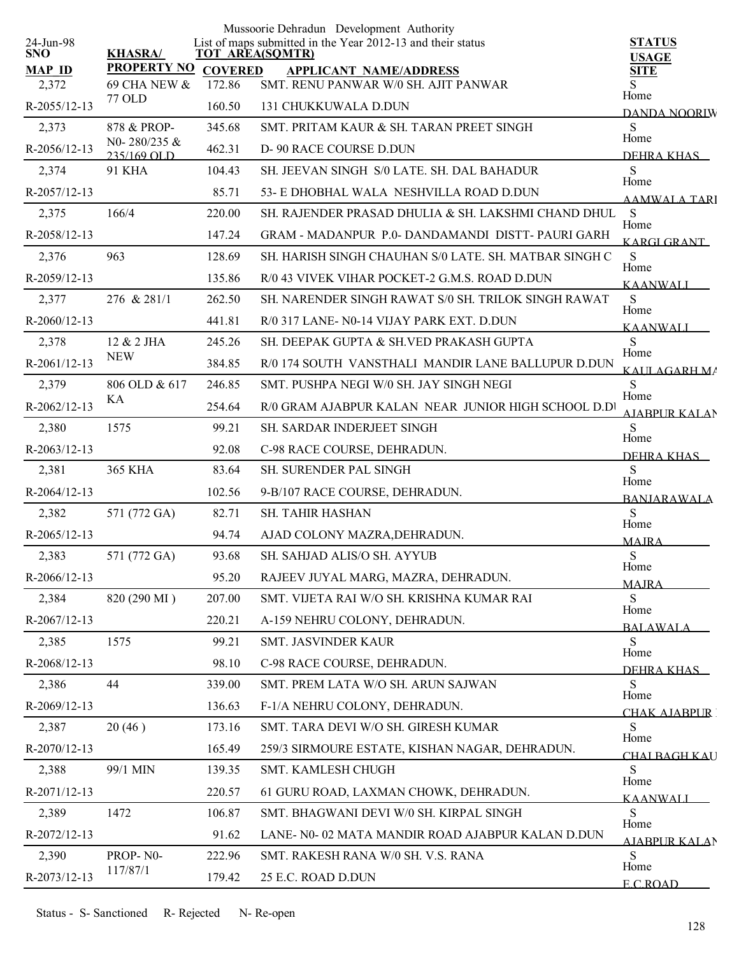|                         |                             |                | Mussoorie Dehradun Development Authority                                              |                                |
|-------------------------|-----------------------------|----------------|---------------------------------------------------------------------------------------|--------------------------------|
| 24-Jun-98<br><b>SNO</b> | <b>KHASRA/</b>              |                | List of maps submitted in the Year 2012-13 and their status<br><b>TOT AREA(SQMTR)</b> | <b>STATUS</b><br><b>USAGE</b>  |
| <b>MAP ID</b>           | <b>PROPERTY NO</b>          | <b>COVERED</b> | <b>APPLICANT NAME/ADDRESS</b>                                                         | <b>SITE</b>                    |
| 2,372                   | <b>69 CHA NEW &amp;</b>     | 172.86         | SMT. RENU PANWAR W/0 SH. AJIT PANWAR                                                  | Home                           |
| R-2055/12-13            | <b>77 OLD</b>               | 160.50         | 131 CHUKKUWALA D.DUN                                                                  | DANDA NOORIW                   |
| 2,373                   | 878 & PROP-                 | 345.68         | SMT. PRITAM KAUR & SH. TARAN PREET SINGH                                              | S<br>Home                      |
| R-2056/12-13            | N0-280/235 &<br>235/169 OLD | 462.31         | D- 90 RACE COURSE D.DUN                                                               | DEHRA KHAS                     |
| 2,374                   | <b>91 KHA</b>               | 104.43         | SH. JEEVAN SINGH S/0 LATE. SH. DAL BAHADUR                                            | S<br>Home                      |
| R-2057/12-13            |                             | 85.71          | 53- E DHOBHAL WALA NESHVILLA ROAD D.DUN                                               | <b>AAMWALA TARI</b>            |
| 2,375                   | 166/4                       | 220.00         | SH. RAJENDER PRASAD DHULIA & SH. LAKSHMI CHAND DHUL                                   | S                              |
| R-2058/12-13            |                             | 147.24         | GRAM - MADANPUR P.0- DANDAMANDI DISTT- PAURI GARH                                     | Home<br>KARGI GRANT            |
| 2,376                   | 963                         | 128.69         | SH. HARISH SINGH CHAUHAN S/0 LATE. SH. MATBAR SINGH C                                 | S                              |
| R-2059/12-13            |                             | 135.86         | R/0 43 VIVEK VIHAR POCKET-2 G.M.S. ROAD D.DUN                                         | Home<br><b>KAANWALI</b>        |
| 2,377                   | 276 & 281/1                 | 262.50         | SH. NARENDER SINGH RAWAT S/0 SH. TRILOK SINGH RAWAT                                   | S                              |
| R-2060/12-13            |                             | 441.81         | R/0 317 LANE- N0-14 VIJAY PARK EXT. D.DUN                                             | Home<br><b>KAANWALI</b>        |
| 2,378                   | 12 & 2 JHA                  | 245.26         | SH. DEEPAK GUPTA & SH.VED PRAKASH GUPTA                                               | S                              |
| $R-2061/12-13$          | <b>NEW</b>                  | 384.85         | R/0 174 SOUTH VANSTHALI MANDIR LANE BALLUPUR D.DUN                                    | Home<br>KAULAGARH MA           |
| 2,379                   | 806 OLD & 617               | 246.85         | SMT. PUSHPA NEGI W/0 SH. JAY SINGH NEGI                                               | S                              |
| R-2062/12-13            | KA                          | 254.64         | R/0 GRAM AJABPUR KALAN NEAR JUNIOR HIGH SCHOOL D.D!                                   | Home<br><b>AIABPUR KALAN</b>   |
| 2,380                   | 1575                        | 99.21          | <b>SH. SARDAR INDERJEET SINGH</b>                                                     | S                              |
| $R-2063/12-13$          |                             | 92.08          | C-98 RACE COURSE, DEHRADUN.                                                           | Home<br>DEHRA KHAS             |
| 2,381                   | <b>365 KHA</b>              | 83.64          | SH. SURENDER PAL SINGH                                                                | <sub>S</sub>                   |
| R-2064/12-13            |                             | 102.56         | 9-B/107 RACE COURSE, DEHRADUN.                                                        | Home<br><b>BANJARAWALA</b>     |
| 2,382                   | 571 (772 GA)                | 82.71          | SH. TAHIR HASHAN                                                                      | S                              |
| $R-2065/12-13$          |                             | 94.74          | AJAD COLONY MAZRA, DEHRADUN.                                                          | Home<br><b>MAJRA</b>           |
| 2,383                   | 571 (772 GA)                | 93.68          | SH. SAHJAD ALIS/O SH. AYYUB                                                           | S                              |
| R-2066/12-13            |                             | 95.20          | RAJEEV JUYAL MARG, MAZRA, DEHRADUN.                                                   | Home<br><b>MAJRA</b>           |
| 2,384                   | 820 (290 MI)                | 207.00         | SMT. VIJETA RAI W/O SH. KRISHNA KUMAR RAI                                             | <sub>S</sub>                   |
| R-2067/12-13            |                             | 220.21         | A-159 NEHRU COLONY, DEHRADUN.                                                         | Home<br><b>BALAWALA</b>        |
| 2,385                   | 1575                        | 99.21          | SMT. JASVINDER KAUR                                                                   | S                              |
| R-2068/12-13            |                             | 98.10          | C-98 RACE COURSE, DEHRADUN.                                                           | Home<br>DEHRA KHAS             |
| 2,386                   | 44                          | 339.00         | SMT. PREM LATA W/O SH. ARUN SAJWAN                                                    | S                              |
| R-2069/12-13            |                             | 136.63         | F-1/A NEHRU COLONY, DEHRADUN.                                                         | Home                           |
| 2,387                   | 20(46)                      | 173.16         | SMT. TARA DEVI W/O SH. GIRESH KUMAR                                                   | CHAK AJARPUR [<br><sub>S</sub> |
| R-2070/12-13            |                             | 165.49         | 259/3 SIRMOURE ESTATE, KISHAN NAGAR, DEHRADUN.                                        | Home                           |
| 2,388                   | 99/1 MIN                    | 139.35         | SMT. KAMLESH CHUGH                                                                    | <u>CHAI RAGH KAU</u><br>S      |
| R-2071/12-13            |                             | 220.57         | 61 GURU ROAD, LAXMAN CHOWK, DEHRADUN.                                                 | Home                           |
| 2,389                   | 1472                        | 106.87         | SMT. BHAGWANI DEVI W/0 SH. KIRPAL SINGH                                               | <b>KAANWALI</b><br>S           |
| R-2072/12-13            |                             | 91.62          | LANE- N0-02 MATA MANDIR ROAD AJABPUR KALAN D.DUN                                      | Home                           |
| 2,390                   | PROP-N0-                    | 222.96         | SMT. RAKESH RANA W/0 SH. V.S. RANA                                                    | AIABPUR KALAN<br><sub>S</sub>  |
| R-2073/12-13            | 117/87/1                    | 179.42         | 25 E.C. ROAD D.DUN                                                                    | Home                           |
|                         |                             |                |                                                                                       | <b>ECROAD</b>                  |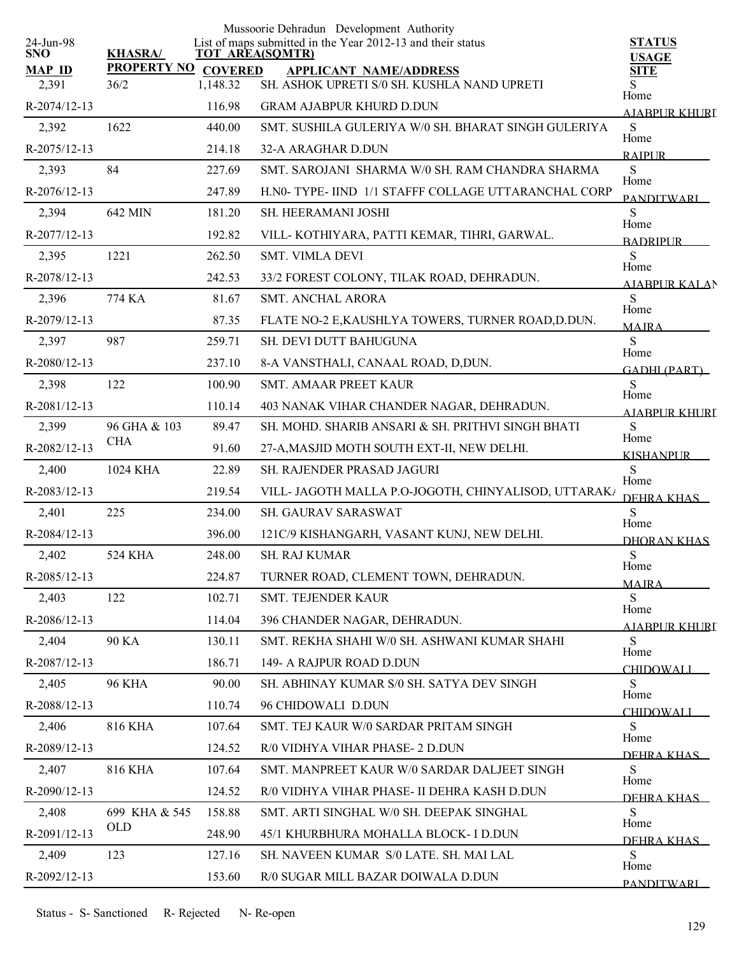| 24-Jun-98             |                             |          | Mussoorie Dehradun Development Authority<br>List of maps submitted in the Year 2012-13 and their status | <b>STATUS</b>              |
|-----------------------|-----------------------------|----------|---------------------------------------------------------------------------------------------------------|----------------------------|
| <b>SNO</b>            | <b>KHASRA/</b>              |          | <b>TOT AREA(SQMTR)</b>                                                                                  | <b>USAGE</b>               |
| <b>MAP ID</b>         | PROPERTY NO COVERED<br>36/2 | 1,148.32 | <b>APPLICANT NAME/ADDRESS</b><br>SH. ASHOK UPRETI S/0 SH. KUSHLA NAND UPRETI                            | <b>SITE</b><br>S           |
| 2,391<br>R-2074/12-13 |                             | 116.98   | <b>GRAM AJABPUR KHURD D.DUN</b>                                                                         | Home                       |
|                       |                             |          |                                                                                                         | <u>AJABPUR KHURI</u>       |
| 2,392                 | 1622                        | 440.00   | SMT. SUSHILA GULERIYA W/0 SH. BHARAT SINGH GULERIYA                                                     | S<br>Home                  |
| R-2075/12-13          |                             | 214.18   | 32-A ARAGHAR D.DUN                                                                                      | <b>RAIPLIR</b>             |
| 2,393                 | 84                          | 227.69   | SMT, SAROJANI, SHARMA W/0 SH, RAM CHANDRA SHARMA                                                        | S<br>Home                  |
| R-2076/12-13          |                             | 247.89   | H.N0- TYPE- IIND 1/1 STAFFF COLLAGE UTTARANCHAL CORP                                                    | <b>PANDITWARI</b>          |
| 2,394                 | 642 MIN                     | 181.20   | SH. HEERAMANI JOSHI                                                                                     | S<br>Home                  |
| R-2077/12-13          |                             | 192.82   | VILL-KOTHIYARA, PATTI KEMAR, TIHRI, GARWAL.                                                             | <b>BADRIPLIR</b>           |
| 2,395                 | 1221                        | 262.50   | <b>SMT. VIMLA DEVI</b>                                                                                  | S<br>Home                  |
| R-2078/12-13          |                             | 242.53   | 33/2 FOREST COLONY, TILAK ROAD, DEHRADUN.                                                               | <b>AIABPURKALAN</b>        |
| 2,396                 | 774 KA                      | 81.67    | <b>SMT. ANCHAL ARORA</b>                                                                                | S<br>Home                  |
| R-2079/12-13          |                             | 87.35    | FLATE NO-2 E, KAUSHLYA TOWERS, TURNER ROAD, D.DUN.                                                      | <b>MAIRA</b>               |
| 2,397                 | 987                         | 259.71   | SH. DEVI DUTT BAHUGUNA                                                                                  | S<br>Home                  |
| R-2080/12-13          |                             | 237.10   | 8-A VANSTHALI, CANAAL ROAD, D,DUN.                                                                      | <b>GADHI (PART)</b>        |
| 2,398                 | 122                         | 100.90   | <b>SMT. AMAAR PREET KAUR</b>                                                                            | S                          |
| R-2081/12-13          |                             | 110.14   | 403 NANAK VIHAR CHANDER NAGAR, DEHRADUN.                                                                | Home<br>A IARPUR KHURI     |
| 2,399                 | 96 GHA & 103                | 89.47    | SH. MOHD. SHARIB ANSARI & SH. PRITHVI SINGH BHATI                                                       | S                          |
| R-2082/12-13          | <b>CHA</b>                  | 91.60    | 27-A, MASJID MOTH SOUTH EXT-II, NEW DELHI.                                                              | Home<br><b>KISHANPUR</b>   |
| 2,400                 | 1024 KHA                    | 22.89    | SH. RAJENDER PRASAD JAGURI                                                                              | S                          |
| R-2083/12-13          |                             | 219.54   | VILL- JAGOTH MALLA P.O-JOGOTH, CHINYALISOD, UTTARAK/                                                    | Home<br>DEHRA KHAS         |
| 2,401                 | 225                         | 234.00   | SH. GAURAV SARASWAT                                                                                     | S                          |
| R-2084/12-13          |                             | 396.00   | 121C/9 KISHANGARH, VASANT KUNJ, NEW DELHI.                                                              | Home<br><b>DHORAN KHAS</b> |
| 2,402                 | 524 KHA                     | 248.00   | <b>SH. RAJ KUMAR</b>                                                                                    | ${\bf S}$                  |
| R-2085/12-13          |                             | 224.87   | TURNER ROAD, CLEMENT TOWN, DEHRADUN.                                                                    | Home                       |
| 2,403                 | 122                         | 102.71   | SMT. TEJENDER KAUR                                                                                      | <b>MAJRA</b><br>S          |
| R-2086/12-13          |                             | 114.04   | 396 CHANDER NAGAR, DEHRADUN.                                                                            | Home                       |
| 2,404                 | 90 KA                       | 130.11   | SMT. REKHA SHAHI W/0 SH. ASHWANI KUMAR SHAHI                                                            | <u>AJABPUR KHURI</u><br>S  |
| R-2087/12-13          |                             | 186.71   | 149- A RAJPUR ROAD D.DUN                                                                                | Home                       |
| 2,405                 | <b>96 KHA</b>               | 90.00    | SH. ABHINAY KUMAR S/0 SH. SATYA DEV SINGH                                                               | <b>CHIDOWALI</b><br>S      |
| R-2088/12-13          |                             | 110.74   | 96 CHIDOWALI D.DUN                                                                                      | Home                       |
| 2,406                 | 816 KHA                     | 107.64   | SMT. TEJ KAUR W/0 SARDAR PRITAM SINGH                                                                   | <b>CHIDOWALI</b><br>S      |
| R-2089/12-13          |                             | 124.52   | R/0 VIDHYA VIHAR PHASE- 2 D.DUN                                                                         | Home                       |
| 2,407                 | <b>816 KHA</b>              | 107.64   | SMT. MANPREET KAUR W/0 SARDAR DALJEET SINGH                                                             | DEHRA KHAS<br>S            |
| R-2090/12-13          |                             |          |                                                                                                         | Home                       |
|                       | 699 KHA & 545               | 124.52   | R/0 VIDHYA VIHAR PHASE- II DEHRA KASH D.DUN                                                             | DEHRA KHAS<br>S            |
| 2,408                 | <b>OLD</b>                  | 158.88   | SMT. ARTI SINGHAL W/0 SH. DEEPAK SINGHAL                                                                | Home                       |
| R-2091/12-13          |                             | 248.90   | 45/1 KHURBHURA MOHALLA BLOCK- I D.DUN                                                                   | DEHRA KHAS                 |
| 2,409                 | 123                         | 127.16   | SH. NAVEEN KUMAR S/0 LATE. SH. MAI LAL                                                                  | S<br>Home                  |
| R-2092/12-13          |                             | 153.60   | R/0 SUGAR MILL BAZAR DOIWALA D.DUN                                                                      | <b>PANDITWARI</b>          |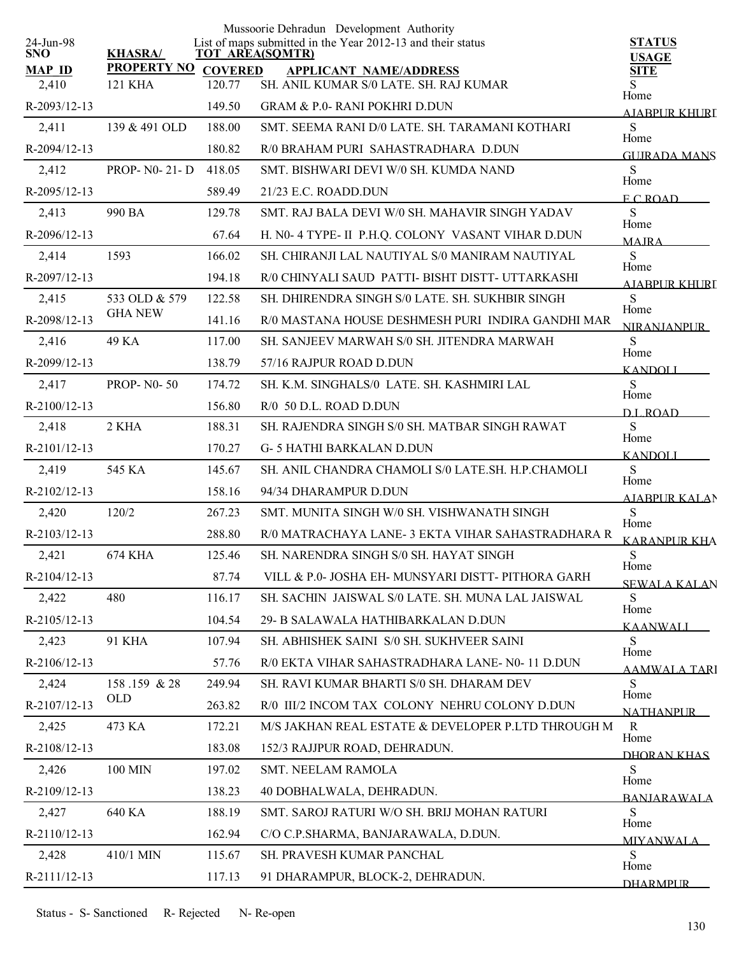| 24-Jun-98     |                                 |                | Mussoorie Dehradun Development Authority<br>List of maps submitted in the Year 2012-13 and their status | <b>STATUS</b>                 |
|---------------|---------------------------------|----------------|---------------------------------------------------------------------------------------------------------|-------------------------------|
| <b>SNO</b>    | <b>KHASRA/</b>                  |                | <b>TOT AREA(SQMTR)</b>                                                                                  | <b>USAGE</b>                  |
| <b>MAP ID</b> | <b>PROPERTY NO</b>              | <b>COVERED</b> | <b>APPLICANT NAME/ADDRESS</b><br>SH. ANIL KUMAR S/0 LATE. SH. RAJ KUMAR                                 | <b>SITE</b><br>S              |
| 2,410         | <b>121 KHA</b>                  | 120.77         |                                                                                                         | Home                          |
| R-2093/12-13  |                                 | 149.50         | <b>GRAM &amp; P.0- RANI POKHRI D.DUN</b>                                                                | AJABPUR KHURI                 |
| 2,411         | 139 & 491 OLD                   | 188.00         | SMT. SEEMA RANI D/0 LATE. SH. TARAMANI KOTHARI                                                          | S<br>Home                     |
| R-2094/12-13  |                                 | 180.82         | R/0 BRAHAM PURI SAHASTRADHARA D.DUN                                                                     | <b>GUIRADA MANS</b>           |
| 2,412         | <b>PROP-N0-21-D</b>             | 418.05         | SMT. BISHWARI DEVI W/0 SH. KUMDA NAND                                                                   | S<br>Home                     |
| R-2095/12-13  |                                 | 589.49         | 21/23 E.C. ROADD.DUN                                                                                    | ECROAD                        |
| 2,413         | 990 BA                          | 129.78         | SMT. RAJ BALA DEVI W/0 SH. MAHAVIR SINGH YADAV                                                          | S<br>Home                     |
| R-2096/12-13  |                                 | 67.64          | H. N0- 4 TYPE- II P.H.Q. COLONY VASANT VIHAR D.DUN                                                      | <b>MAIRA</b>                  |
| 2,414         | 1593                            | 166.02         | SH. CHIRANJI LAL NAUTIYAL S/0 MANIRAM NAUTIYAL                                                          | S<br>Home                     |
| R-2097/12-13  |                                 | 194.18         | R/0 CHINYALI SAUD PATTI- BISHT DISTT- UTTARKASHI                                                        | A JARPLIR KHURI               |
| 2,415         | 533 OLD & 579<br><b>GHA NEW</b> | 122.58         | SH. DHIRENDRA SINGH S/0 LATE, SH. SUKHBIR SINGH                                                         | S<br>Home                     |
| R-2098/12-13  |                                 | 141.16         | R/0 MASTANA HOUSE DESHMESH PURI INDIRA GANDHI MAR                                                       | <b>NIRANJANPUR</b>            |
| 2,416         | 49 KA                           | 117.00         | SH. SANJEEV MARWAH S/0 SH. JITENDRA MARWAH                                                              | S<br>Home                     |
| R-2099/12-13  |                                 | 138.79         | 57/16 RAJPUR ROAD D.DUN                                                                                 | <b>KANDOLL</b>                |
| 2,417         | <b>PROP-NO-50</b>               | 174.72         | SH. K.M. SINGHALS/0 LATE. SH. KASHMIRI LAL                                                              | ${\bf S}$<br>Home             |
| R-2100/12-13  |                                 | 156.80         | R/0 50 D.L. ROAD D.DUN                                                                                  | D.L. ROAD                     |
| 2,418         | 2 KHA                           | 188.31         | SH. RAJENDRA SINGH S/0 SH. MATBAR SINGH RAWAT                                                           | S<br>Home                     |
| R-2101/12-13  |                                 | 170.27         | <b>G-5 HATHI BARKALAN D.DUN</b>                                                                         | <b>KANDOLI</b>                |
| 2,419         | 545 KA                          | 145.67         | SH. ANIL CHANDRA CHAMOLI S/0 LATE.SH. H.P.CHAMOLI                                                       | S<br>Home                     |
| R-2102/12-13  |                                 | 158.16         | 94/34 DHARAMPUR D.DUN                                                                                   | <b>AJABPUR KALAN</b>          |
| 2,420         | 120/2                           | 267.23         | SMT. MUNITA SINGH W/0 SH. VISHWANATH SINGH                                                              | S                             |
| R-2103/12-13  |                                 | 288.80         | R/0 MATRACHAYA LANE-3 EKTA VIHAR SAHASTRADHARA R                                                        | Home<br><b>KARANPUR KHA</b>   |
| 2,421         | 674 KHA                         | 125.46         | SH. NARENDRA SINGH S/0 SH. HAYAT SINGH                                                                  | ${\bf S}$                     |
| R-2104/12-13  |                                 | 87.74          | VILL & P.0- JOSHA EH- MUNSYARI DISTT- PITHORA GARH                                                      | Home<br>SEWALA KALAN          |
| 2,422         | 480                             | 116.17         | SH. SACHIN JAISWAL S/0 LATE. SH. MUNA LAL JAISWAL                                                       | S                             |
| R-2105/12-13  |                                 | 104.54         | 29- B SALAWALA HATHIBARKALAN D.DUN                                                                      | Home<br>KAANWALI              |
| 2,423         | <b>91 KHA</b>                   | 107.94         | SH. ABHISHEK SAINI S/0 SH. SUKHVEER SAINI                                                               | S                             |
| R-2106/12-13  |                                 | 57.76          | R/0 EKTA VIHAR SAHASTRADHARA LANE- N0-11 D.DUN                                                          | Home<br><b>AAMWALA TARI</b>   |
| 2,424         | 158.159 & 28                    | 249.94         | SH. RAVI KUMAR BHARTI S/0 SH. DHARAM DEV                                                                | S                             |
| R-2107/12-13  | <b>OLD</b>                      | 263.82         | R/0 III/2 INCOM TAX COLONY NEHRU COLONY D.DUN                                                           | Home<br><b>NATHANPUR</b>      |
| 2,425         | 473 KA                          | 172.21         | M/S JAKHAN REAL ESTATE & DEVELOPER P.LTD THROUGH M                                                      | $\mathbf R$                   |
| R-2108/12-13  |                                 | 183.08         | 152/3 RAJJPUR ROAD, DEHRADUN.                                                                           | Home<br>DHORAN KHAS           |
| 2,426         | 100 MIN                         | 197.02         | SMT. NEELAM RAMOLA                                                                                      | S                             |
| R-2109/12-13  |                                 | 138.23         | 40 DOBHALWALA, DEHRADUN.                                                                                | Home                          |
| 2,427         | 640 KA                          | 188.19         | SMT. SAROJ RATURI W/O SH. BRIJ MOHAN RATURI                                                             | <b>BANIARAWALA</b><br>S       |
| R-2110/12-13  |                                 | 162.94         | C/O C.P.SHARMA, BANJARAWALA, D.DUN.                                                                     | Home                          |
| 2,428         | 410/1 MIN                       | 115.67         | SH. PRAVESH KUMAR PANCHAL                                                                               | <b>MIYANWALA</b><br>${\bf S}$ |
| R-2111/12-13  |                                 | 117.13         | 91 DHARAMPUR, BLOCK-2, DEHRADUN.                                                                        | Home                          |
|               |                                 |                |                                                                                                         | <b>DHARMPLIR</b>              |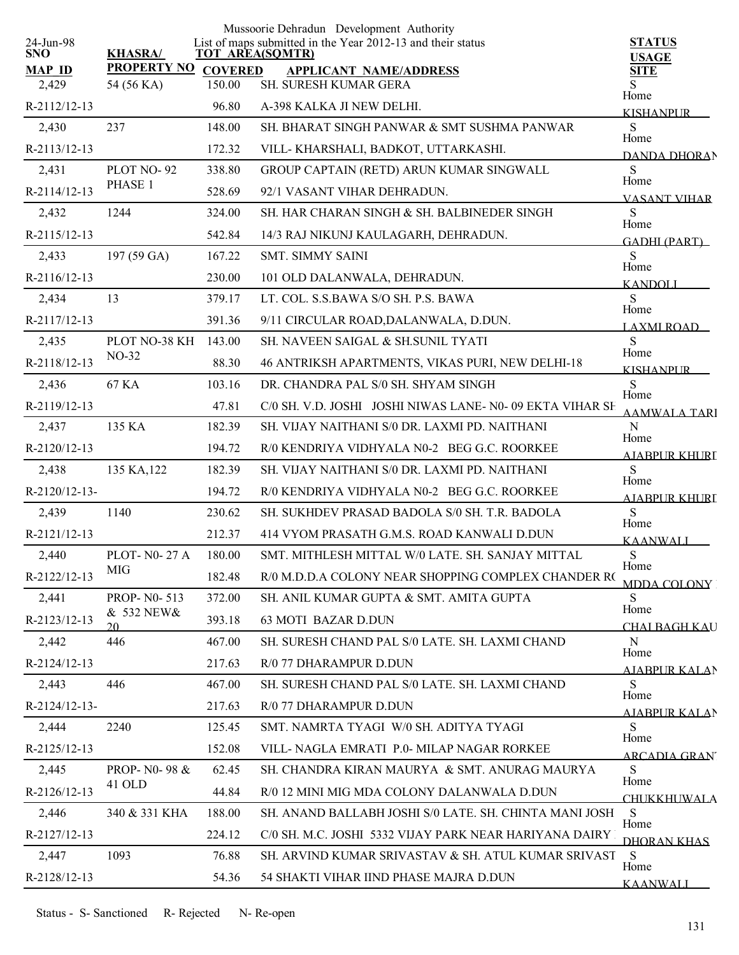|                         |                            |        | Mussoorie Dehradun Development Authority                                              |                              |
|-------------------------|----------------------------|--------|---------------------------------------------------------------------------------------|------------------------------|
| 24-Jun-98<br><b>SNO</b> | <b>KHASRA/</b>             |        | List of maps submitted in the Year 2012-13 and their status<br><b>TOT AREA(SQMTR)</b> | <b>STATUS</b>                |
| <b>MAP ID</b>           | <b>PROPERTY NO COVERED</b> |        | <b>APPLICANT NAME/ADDRESS</b>                                                         | <b>USAGE</b><br><b>SITE</b>  |
| 2,429                   | 54 (56 KA)                 | 150.00 | SH. SURESH KUMAR GERA                                                                 | Home                         |
| R-2112/12-13            |                            | 96.80  | A-398 KALKA JI NEW DELHI.                                                             | <b>KISHANPUR</b>             |
| 2,430                   | 237                        | 148.00 | SH. BHARAT SINGH PANWAR & SMT SUSHMA PANWAR                                           | S<br>Home                    |
| R-2113/12-13            |                            | 172.32 | VILL-KHARSHALI, BADKOT, UTTARKASHI.                                                   | DANDA DHORAN                 |
| 2,431                   | PLOT NO-92                 | 338.80 | GROUP CAPTAIN (RETD) ARUN KUMAR SINGWALL                                              | ${\bf S}$<br>Home            |
| R-2114/12-13            | PHASE 1                    | 528.69 | 92/1 VASANT VIHAR DEHRADUN.                                                           | <b>VASANT VIHAR</b>          |
| 2,432                   | 1244                       | 324.00 | SH. HAR CHARAN SINGH & SH. BALBINEDER SINGH                                           | S<br>Home                    |
| R-2115/12-13            |                            | 542.84 | 14/3 RAJ NIKUNJ KAULAGARH, DEHRADUN.                                                  | <b>GADHI (PART)</b>          |
| 2,433                   | 197 (59 GA)                | 167.22 | <b>SMT. SIMMY SAINI</b>                                                               | S                            |
| R-2116/12-13            |                            | 230.00 | 101 OLD DALANWALA, DEHRADUN.                                                          | Home<br><b>KANDOLI</b>       |
| 2,434                   | 13                         | 379.17 | LT. COL. S.S.BAWA S/O SH. P.S. BAWA                                                   | S                            |
| R-2117/12-13            |                            | 391.36 | 9/11 CIRCULAR ROAD, DALANWALA, D.DUN.                                                 | Home<br>LAXMI ROAD           |
| 2,435                   | PLOT NO-38 KH              | 143.00 | SH. NAVEEN SAIGAL & SH.SUNIL TYATI                                                    | S                            |
| R-2118/12-13            | $NO-32$                    | 88.30  | 46 ANTRIKSH APARTMENTS, VIKAS PURI, NEW DELHI-18                                      | Home<br><b>KISHANPUR</b>     |
| 2,436                   | 67 KA                      | 103.16 | DR. CHANDRA PAL S/0 SH. SHYAM SINGH                                                   | S                            |
| R-2119/12-13            |                            | 47.81  | C/0 SH. V.D. JOSHI JOSHI NIWAS LANE-N0-09 EKTA VIHAR SH                               | Home<br><b>AAMWALA TARI</b>  |
| 2,437                   | 135 KA                     | 182.39 | SH. VIJAY NAITHANI S/0 DR. LAXMI PD. NAITHANI                                         | ${\bf N}$                    |
| R-2120/12-13            |                            | 194.72 | R/0 KENDRIYA VIDHYALA N0-2 BEG G.C. ROORKEE                                           | Home<br>AJABPUR KHURI        |
| 2,438                   | 135 KA, 122                | 182.39 | SH. VIJAY NAITHANI S/0 DR. LAXMI PD. NAITHANI                                         | S                            |
| R-2120/12-13-           |                            | 194.72 | R/0 KENDRIYA VIDHYALA N0-2 BEG G.C. ROORKEE                                           | Home<br>AJABPUR KHURI        |
| 2,439                   | 1140                       | 230.62 | SH. SUKHDEV PRASAD BADOLA S/0 SH. T.R. BADOLA                                         | S                            |
| R-2121/12-13            |                            | 212.37 | 414 VYOM PRASATH G.M.S. ROAD KANWALI D.DUN                                            | Home<br><b>KAANWALI</b>      |
| 2,440                   | <b>PLOT-N0-27 A</b>        | 180.00 | SMT. MITHLESH MITTAL W/0 LATE. SH. SANJAY MITTAL                                      | ${\bf S}$                    |
| R-2122/12-13            | MIG                        | 182.48 | R/0 M.D.D.A COLONY NEAR SHOPPING COMPLEX CHANDER RO                                   | Home<br>MDDA COLONY          |
| 2,441                   | PROP- N0-513               | 372.00 | SH. ANIL KUMAR GUPTA & SMT. AMITA GUPTA                                               | S                            |
| R-2123/12-13            | & 532 NEW&<br>20           | 393.18 | 63 MOTI BAZAR D.DUN                                                                   | Home<br><b>CHAI BAGH KAU</b> |
| 2,442                   | 446                        | 467.00 | SH. SURESH CHAND PAL S/0 LATE. SH. LAXMI CHAND                                        | N                            |
| R-2124/12-13            |                            | 217.63 | R/0 77 DHARAMPUR D.DUN                                                                | Home<br>AJABPUR KALAN        |
| 2,443                   | 446                        | 467.00 | SH. SURESH CHAND PAL S/0 LATE, SH. LAXMI CHAND                                        | S                            |
| $R-2124/12-13-$         |                            | 217.63 | R/0 77 DHARAMPUR D.DUN                                                                | Home<br><b>AIABPUR KALAN</b> |
| 2,444                   | 2240                       | 125.45 | SMT. NAMRTA TYAGI W/0 SH. ADITYA TYAGI                                                | S                            |
| R-2125/12-13            |                            | 152.08 | VILL- NAGLA EMRATI P.0- MILAP NAGAR RORKEE                                            | Home<br><b>ARCADIA GRAN</b>  |
| 2,445                   | PROP- N0-98 &              | 62.45  | SH. CHANDRA KIRAN MAURYA & SMT. ANURAG MAURYA                                         | S                            |
| R-2126/12-13            | 41 OLD                     | 44.84  | R/0 12 MINI MIG MDA COLONY DALANWALA D.DUN                                            | Home<br>CHUKKHUWALA          |
| 2,446                   | 340 & 331 KHA              | 188.00 | SH. ANAND BALLABH JOSHI S/0 LATE. SH. CHINTA MANI JOSH                                | S                            |
| R-2127/12-13            |                            | 224.12 | C/0 SH. M.C. JOSHI 5332 VIJAY PARK NEAR HARIYANA DAIRY                                | Home<br>DHORAN KHAS          |
| 2,447                   | 1093                       | 76.88  | SH. ARVIND KUMAR SRIVASTAV & SH. ATUL KUMAR SRIVAST                                   | <sub>S</sub>                 |
| R-2128/12-13            |                            | 54.36  | 54 SHAKTI VIHAR IIND PHASE MAJRA D.DUN                                                | Home                         |
|                         |                            |        |                                                                                       | <b>KAANWALI</b>              |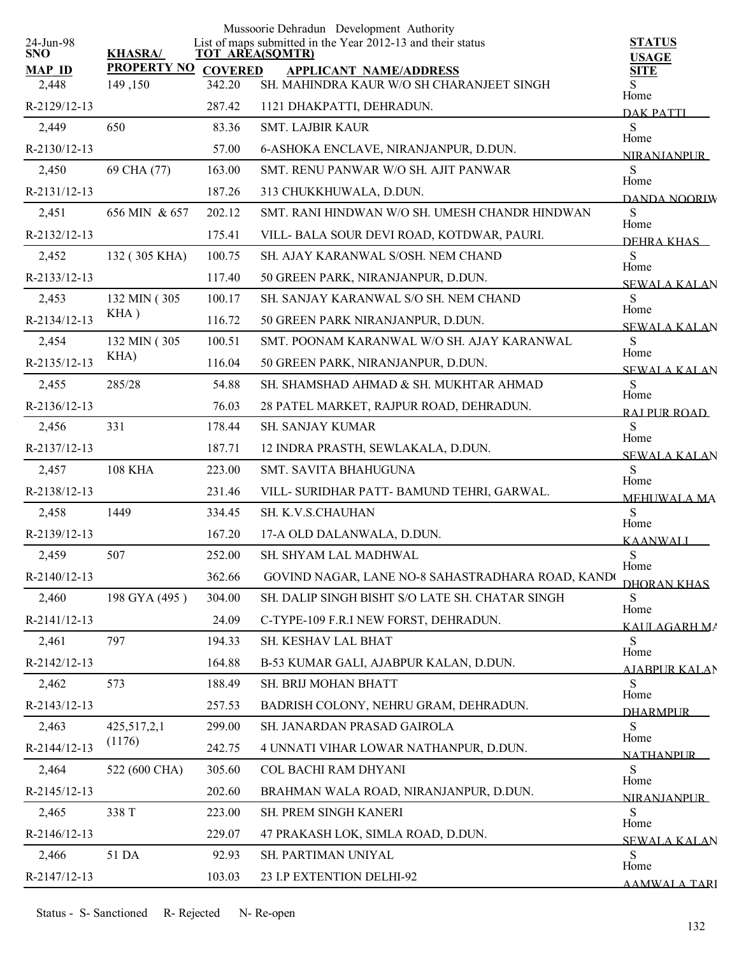|                  |                    |                | Mussoorie Dehradun Development Authority                                              |                               |
|------------------|--------------------|----------------|---------------------------------------------------------------------------------------|-------------------------------|
| 24-Jun-98<br>SNO | <b>KHASRA/</b>     |                | List of maps submitted in the Year 2012-13 and their status<br><b>TOT AREA(SQMTR)</b> | <b>STATUS</b><br><b>USAGE</b> |
| <b>MAP ID</b>    | <b>PROPERTY NO</b> | <b>COVERED</b> | <b>APPLICANT NAME/ADDRESS</b>                                                         | <b>SITE</b>                   |
| 2,448            | 149,150            | 342.20         | SH. MAHINDRA KAUR W/O SH CHARANJEET SINGH                                             | S.<br>Home                    |
| R-2129/12-13     |                    | 287.42         | 1121 DHAKPATTI, DEHRADUN.                                                             | DAK PATTI                     |
| 2,449            | 650                | 83.36          | <b>SMT. LAJBIR KAUR</b>                                                               | S<br>Home                     |
| R-2130/12-13     |                    | 57.00          | 6-ASHOKA ENCLAVE, NIRANJANPUR, D.DUN.                                                 | <b>NIRANIANPLIR</b>           |
| 2,450            | 69 CHA (77)        | 163.00         | SMT. RENU PANWAR W/O SH. AJIT PANWAR                                                  | S<br>Home                     |
| R-2131/12-13     |                    | 187.26         | 313 CHUKKHUWALA, D.DUN.                                                               | DANDA NOORIW                  |
| 2,451            | 656 MIN & 657      | 202.12         | SMT. RANI HINDWAN W/O SH. UMESH CHANDR HINDWAN                                        | S<br>Home                     |
| R-2132/12-13     |                    | 175.41         | VILL- BALA SOUR DEVI ROAD, KOTDWAR, PAURI.                                            | DEHRA KHAS                    |
| 2,452            | 132 (305 KHA)      | 100.75         | SH. AJAY KARANWAL S/OSH. NEM CHAND                                                    | <sub>S</sub>                  |
| R-2133/12-13     |                    | 117.40         | 50 GREEN PARK, NIRANJANPUR, D.DUN.                                                    | Home<br><b>SEWALA KALAN</b>   |
| 2,453            | 132 MIN (305)      | 100.17         | SH. SANJAY KARANWAL S/O SH. NEM CHAND                                                 | S                             |
| R-2134/12-13     | KHA)               | 116.72         | 50 GREEN PARK NIRANJANPUR, D.DUN.                                                     | Home<br><b>SEWALA KALAN</b>   |
| 2,454            | 132 MIN (305)      | 100.51         | SMT. POONAM KARANWAL W/O SH. AJAY KARANWAL                                            | S                             |
| R-2135/12-13     | KHA)               | 116.04         | 50 GREEN PARK, NIRANJANPUR, D.DUN.                                                    | Home<br><b>SEWALA KALAN</b>   |
| 2,455            | 285/28             | 54.88          | SH. SHAMSHAD AHMAD & SH. MUKHTAR AHMAD                                                | S                             |
| R-2136/12-13     |                    | 76.03          | 28 PATEL MARKET, RAJPUR ROAD, DEHRADUN.                                               | Home<br>RAI PUR ROAD          |
| 2,456            | 331                | 178.44         | SH. SANJAY KUMAR                                                                      | S                             |
| R-2137/12-13     |                    | 187.71         | 12 INDRA PRASTH, SEWLAKALA, D.DUN.                                                    | Home<br><b>SEWALA KALAN</b>   |
| 2,457            | <b>108 KHA</b>     | 223.00         | SMT. SAVITA BHAHUGUNA                                                                 | S                             |
| R-2138/12-13     |                    | 231.46         | VILL- SURIDHAR PATT- BAMUND TEHRI, GARWAL.                                            | Home<br><b>MEHUWALA MA</b>    |
| 2,458            | 1449               | 334.45         | SH. K.V.S.CHAUHAN                                                                     | S                             |
| R-2139/12-13     |                    | 167.20         | 17-A OLD DALANWALA, D.DUN.                                                            | Home<br>KAANWALL              |
| 2,459            | 507                | 252.00         | SH. SHYAM LAL MADHWAL                                                                 | S                             |
| R-2140/12-13     |                    | 362.66         | GOVIND NAGAR, LANE NO-8 SAHASTRADHARA ROAD, KANDO                                     | Home<br><u>DHORAN KHAS</u>    |
| 2,460            | 198 GYA (495)      | 304.00         | SH. DALIP SINGH BISHT S/O LATE SH. CHATAR SINGH                                       | S                             |
| R-2141/12-13     |                    | 24.09          | C-TYPE-109 F.R.I NEW FORST, DEHRADUN.                                                 | Home<br>KAULAGARH MA          |
| 2,461            | 797                | 194.33         | SH. KESHAV LAL BHAT                                                                   | S                             |
| R-2142/12-13     |                    | 164.88         | B-53 KUMAR GALI, AJABPUR KALAN, D.DUN.                                                | Home<br>AIARPUR KALAN         |
| 2,462            | 573                | 188.49         | SH. BRIJ MOHAN BHATT                                                                  | S                             |
| R-2143/12-13     |                    | 257.53         | BADRISH COLONY, NEHRU GRAM, DEHRADUN.                                                 | Home<br><b>DHARMPLIR</b>      |
| 2,463            | 425, 517, 2, 1     | 299.00         | SH. JANARDAN PRASAD GAIROLA                                                           | S                             |
| R-2144/12-13     | (1176)             | 242.75         | 4 UNNATI VIHAR LOWAR NATHANPUR, D.DUN.                                                | Home                          |
| 2,464            | 522 (600 CHA)      | 305.60         | COL BACHI RAM DHYANI                                                                  | <b>NATHANPLIR</b><br>S        |
| R-2145/12-13     |                    | 202.60         | BRAHMAN WALA ROAD, NIRANJANPUR, D.DUN.                                                | Home                          |
| 2,465            | 338 T              | 223.00         | SH. PREM SINGH KANERI                                                                 | <b>NIRANIANPUR</b><br>S       |
| R-2146/12-13     |                    | 229.07         | 47 PRAKASH LOK, SIMLA ROAD, D.DUN.                                                    | Home                          |
| 2,466            | 51 DA              | 92.93          | SH. PARTIMAN UNIYAL                                                                   | <b>SEWALA KALAN</b><br>S      |
| R-2147/12-13     |                    | 103.03         | 23 I.P EXTENTION DELHI-92                                                             | Home                          |
|                  |                    |                |                                                                                       | <b>AAMWALA TARI</b>           |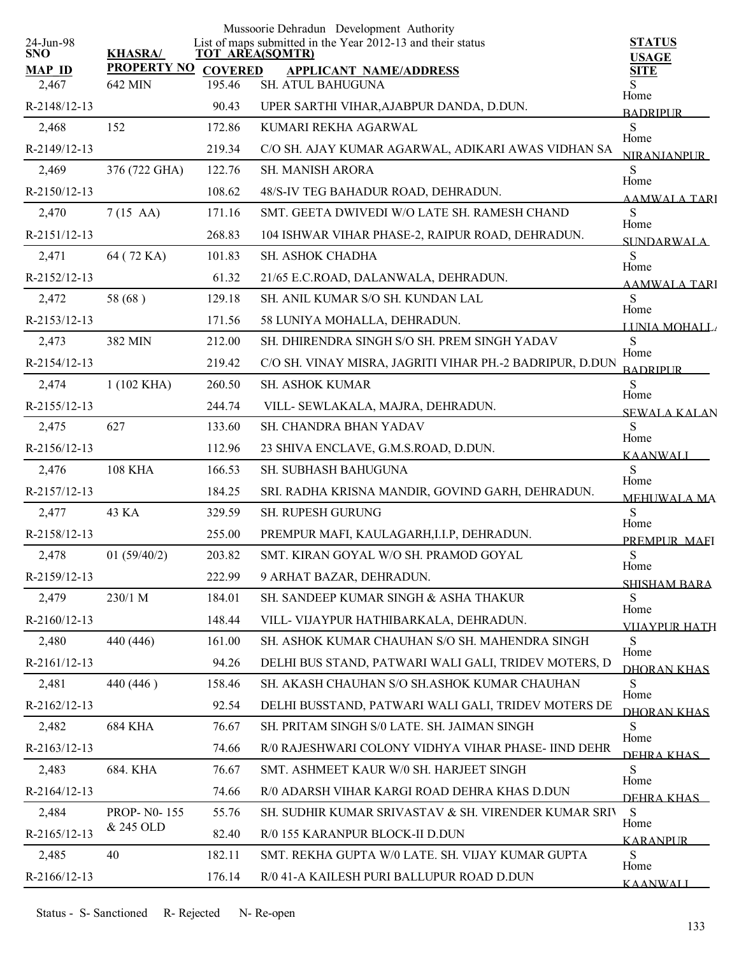|                         |                      |                        | Mussoorie Dehradun Development Authority                    |                               |
|-------------------------|----------------------|------------------------|-------------------------------------------------------------|-------------------------------|
| 24-Jun-98<br><b>SNO</b> | <b>KHASRA/</b>       | <b>TOT AREA(SQMTR)</b> | List of maps submitted in the Year 2012-13 and their status | <b>STATUS</b><br><b>USAGE</b> |
| <b>MAP ID</b>           | <b>PROPERTY NO</b>   | <b>COVERED</b>         | <b>APPLICANT NAME/ADDRESS</b>                               | <b>SITE</b>                   |
| 2,467                   | 642 MIN              | 195.46                 | SH. ATUL BAHUGUNA                                           | Home                          |
| R-2148/12-13            |                      | 90.43                  | UPER SARTHI VIHAR, AJABPUR DANDA, D.DUN.                    | <b>BADRIPUR</b>               |
| 2,468                   | 152                  | 172.86                 | KUMARI REKHA AGARWAL                                        | S<br>Home                     |
| R-2149/12-13            |                      | 219.34                 | C/O SH. AJAY KUMAR AGARWAL, ADIKARI AWAS VIDHAN SA          | <b>NIRANIANPUR</b>            |
| 2,469                   | 376 (722 GHA)        | 122.76                 | <b>SH. MANISH ARORA</b>                                     | S<br>Home                     |
| R-2150/12-13            |                      | 108.62                 | 48/S-IV TEG BAHADUR ROAD, DEHRADUN.                         | <b>AAMWALA TARI</b>           |
| 2,470                   | $7(15 \text{ AA})$   | 171.16                 | SMT. GEETA DWIVEDI W/O LATE SH. RAMESH CHAND                | S<br>Home                     |
| R-2151/12-13            |                      | 268.83                 | 104 ISHWAR VIHAR PHASE-2, RAIPUR ROAD, DEHRADUN.            | SI INDARWALA                  |
| 2,471                   | 64 (72 KA)           | 101.83                 | SH. ASHOK CHADHA                                            | S<br>Home                     |
| R-2152/12-13            |                      | 61.32                  | 21/65 E.C.ROAD, DALANWALA, DEHRADUN.                        | AAMWALA TARI                  |
| 2,472                   | 58 (68)              | 129.18                 | SH. ANIL KUMAR S/O SH. KUNDAN LAL                           | S<br>Home                     |
| R-2153/12-13            |                      | 171.56                 | 58 LUNIYA MOHALLA, DEHRADUN.                                | LUNIA MOHALL                  |
| 2,473                   | 382 MIN              | 212.00                 | SH. DHIRENDRA SINGH S/O SH. PREM SINGH YADAV                | <sub>S</sub>                  |
| R-2154/12-13            |                      | 219.42                 | C/O SH. VINAY MISRA, JAGRITI VIHAR PH.-2 BADRIPUR, D.DUN    | Home<br><b>BADRIPLIR</b>      |
| 2,474                   | $1(102 \text{ KHA})$ | 260.50                 | SH. ASHOK KUMAR                                             | S                             |
| R-2155/12-13            |                      | 244.74                 | VILL- SEWLAKALA, MAJRA, DEHRADUN.                           | Home<br><b>SEWALA KALAN</b>   |
| 2,475                   | 627                  | 133.60                 | SH. CHANDRA BHAN YADAV                                      | S                             |
| R-2156/12-13            |                      | 112.96                 | 23 SHIVA ENCLAVE, G.M.S.ROAD, D.DUN.                        | Home<br>KAANWALI              |
| 2,476                   | <b>108 KHA</b>       | 166.53                 | SH. SUBHASH BAHUGUNA                                        | S                             |
| R-2157/12-13            |                      | 184.25                 | SRI. RADHA KRISNA MANDIR, GOVIND GARH, DEHRADUN.            | Home<br><b>MEHUWALA MA</b>    |
| 2,477                   | 43 KA                | 329.59                 | SH. RUPESH GURUNG                                           | S                             |
| R-2158/12-13            |                      | 255.00                 | PREMPUR MAFI, KAULAGARH, I.I.P, DEHRADUN.                   | Home                          |
| 2,478                   | 01(59/40/2)          | 203.82                 | SMT. KIRAN GOYAL W/O SH. PRAMOD GOYAL                       | PREMPUR MAEI<br>${\bf S}$     |
| R-2159/12-13            |                      | 222.99                 | 9 ARHAT BAZAR, DEHRADUN.                                    | Home                          |
| 2,479                   | 230/1 M              | 184.01                 | SH. SANDEEP KUMAR SINGH & ASHA THAKUR                       | <b>SHISHAM BARA</b><br>S      |
| R-2160/12-13            |                      | 148.44                 | VILL- VIJAYPUR HATHIBARKALA, DEHRADUN.                      | Home                          |
| 2,480                   | 440 (446)            | 161.00                 | SH. ASHOK KUMAR CHAUHAN S/O SH. MAHENDRA SINGH              | <b>VIJAYPUR HATH</b><br>S     |
| R-2161/12-13            |                      | 94.26                  | DELHI BUS STAND, PATWARI WALI GALI, TRIDEV MOTERS, D        | Home                          |
| 2,481                   | 440 (446)            | 158.46                 | SH. AKASH CHAUHAN S/O SH.ASHOK KUMAR CHAUHAN                | DHORAN KHAS<br>S              |
| R-2162/12-13            |                      | 92.54                  | DELHI BUSSTAND, PATWARI WALI GALI, TRIDEV MOTERS DE         | Home                          |
| 2,482                   | <b>684 KHA</b>       | 76.67                  | SH. PRITAM SINGH S/0 LATE. SH. JAIMAN SINGH                 | <b>DHORAN KHAS</b><br>S       |
| R-2163/12-13            |                      | 74.66                  | R/0 RAJESHWARI COLONY VIDHYA VIHAR PHASE- IIND DEHR         | Home                          |
| 2,483                   | 684. KHA             | 76.67                  | SMT. ASHMEET KAUR W/0 SH. HARJEET SINGH                     | DEHRA KHAS<br>S               |
| R-2164/12-13            |                      | 74.66                  | R/0 ADARSH VIHAR KARGI ROAD DEHRA KHAS D.DUN                | Home                          |
| 2,484                   | PROP-N0-155          | 55.76                  | SH. SUDHIR KUMAR SRIVASTAV & SH. VIRENDER KUMAR SRIV        | DEHRA KHAS<br>S               |
| R-2165/12-13            | & 245 OLD            | 82.40                  | R/0 155 KARANPUR BLOCK-II D.DUN                             | Home                          |
| 2,485                   | 40                   | 182.11                 | SMT. REKHA GUPTA W/0 LATE. SH. VIJAY KUMAR GUPTA            | <b>KARANPUR</b><br>S          |
| R-2166/12-13            |                      | 176.14                 | R/0 41-A KAILESH PURI BALLUPUR ROAD D.DUN                   | Home                          |
|                         |                      |                        |                                                             | <b>KAANWALI</b>               |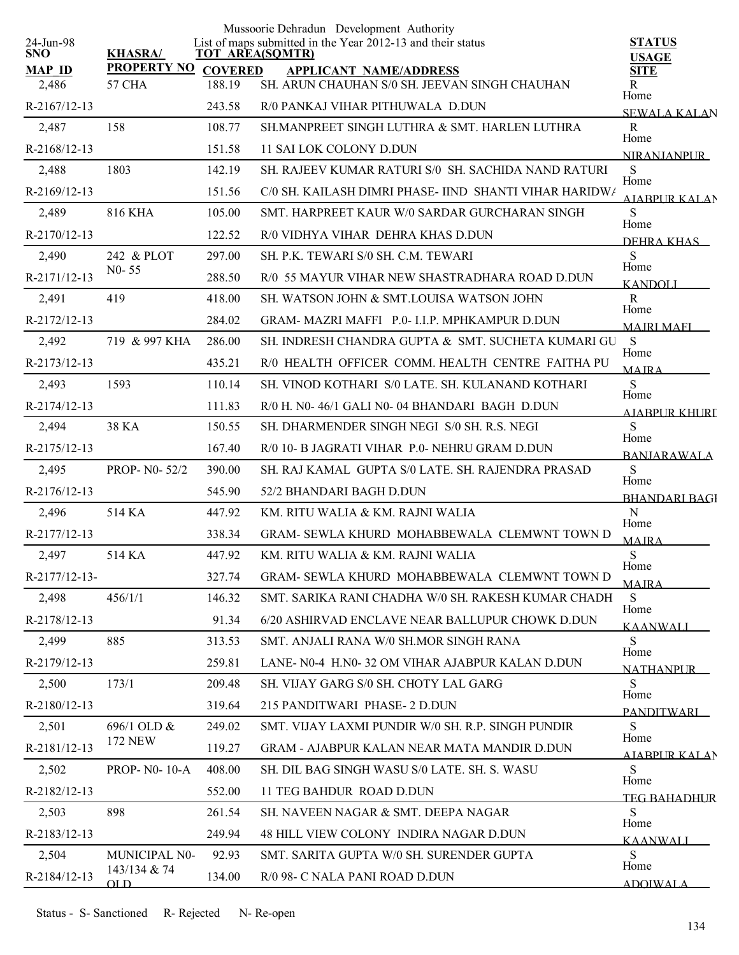| 24-Jun-98     |                               |                          | Mussoorie Dehradun Development Authority<br>List of maps submitted in the Year 2012-13 and their status | <b>STATUS</b>                |
|---------------|-------------------------------|--------------------------|---------------------------------------------------------------------------------------------------------|------------------------------|
| <b>SNO</b>    | <b>KHASRA/</b>                |                          | <b>TOT AREA(SQMTR)</b>                                                                                  | <b>USAGE</b>                 |
| <b>MAP ID</b> | <b>PROPERTY NO</b>            | <b>COVERED</b><br>188.19 | <b>APPLICANT NAME/ADDRESS</b><br>SH. ARUN CHAUHAN S/0 SH. JEEVAN SINGH CHAUHAN                          | <b>SITE</b>                  |
| 2,486         | 57 CHA                        |                          |                                                                                                         | R<br>Home                    |
| R-2167/12-13  |                               | 243.58                   | R/0 PANKAJ VIHAR PITHUWALA D.DUN                                                                        | <b>SEWALA KALAN</b>          |
| 2,487         | 158                           | 108.77                   | SH.MANPREET SINGH LUTHRA & SMT. HARLEN LUTHRA                                                           | R<br>Home                    |
| R-2168/12-13  |                               | 151.58                   | 11 SAI LOK COLONY D.DUN                                                                                 | <b>NIRANIANPUR</b>           |
| 2,488         | 1803                          | 142.19                   | SH. RAJEEV KUMAR RATURI S/0 SH. SACHIDA NAND RATURI                                                     | S<br>Home                    |
| R-2169/12-13  |                               | 151.56                   | C/0 SH. KAILASH DIMRI PHASE- IIND SHANTI VIHAR HARIDW/                                                  | <b>AIABPUR KALAN</b>         |
| 2,489         | <b>816 KHA</b>                | 105.00                   | SMT. HARPREET KAUR W/0 SARDAR GURCHARAN SINGH                                                           | S<br>Home                    |
| R-2170/12-13  |                               | 122.52                   | R/0 VIDHYA VIHAR DEHRA KHAS D.DUN                                                                       | DEHRA KHAS                   |
| 2,490         | 242 & PLOT                    | 297.00                   | SH. P.K. TEWARI S/0 SH. C.M. TEWARI                                                                     | S<br>Home                    |
| R-2171/12-13  | $N0 - 55$                     | 288.50                   | R/0 55 MAYUR VIHAR NEW SHASTRADHARA ROAD D.DUN                                                          | <b>KANDOLI</b>               |
| 2,491         | 419                           | 418.00                   | SH. WATSON JOHN & SMT.LOUISA WATSON JOHN                                                                | R<br>Home                    |
| R-2172/12-13  |                               | 284.02                   | GRAM- MAZRI MAFFI P.0- I.I.P. MPHKAMPUR D.DUN                                                           | <b>MAJRI MAFI</b>            |
| 2,492         | 719 & 997 KHA                 | 286.00                   | SH. INDRESH CHANDRA GUPTA & SMT. SUCHETA KUMARI GU                                                      | <sub>S</sub><br>Home         |
| R-2173/12-13  |                               | 435.21                   | R/0 HEALTH OFFICER COMM. HEALTH CENTRE FAITHA PU                                                        | <b>MAIRA</b>                 |
| 2,493         | 1593                          | 110.14                   | SH. VINOD KOTHARI S/0 LATE. SH. KULANAND KOTHARI                                                        | S                            |
| R-2174/12-13  |                               | 111.83                   | R/0 H. N0-46/1 GALI N0-04 BHANDARI BAGH D.DUN                                                           | Home<br>AIABPUR KHURT        |
| 2,494         | 38 KA                         | 150.55                   | SH. DHARMENDER SINGH NEGI S/0 SH. R.S. NEGI                                                             | S                            |
| R-2175/12-13  |                               | 167.40                   | R/0 10- B JAGRATI VIHAR P.0- NEHRU GRAM D.DUN                                                           | Home<br><b>BANJARAWALA</b>   |
| 2,495         | PROP- N0-52/2                 | 390.00                   | SH. RAJ KAMAL GUPTA S/0 LATE. SH. RAJENDRA PRASAD                                                       | $\mathbf S$                  |
| R-2176/12-13  |                               | 545.90                   | 52/2 BHANDARI BAGH D.DUN                                                                                | Home<br><b>BHANDARI BAGI</b> |
| 2,496         | 514 KA                        | 447.92                   | KM. RITU WALIA & KM. RAJNI WALIA                                                                        | N                            |
| R-2177/12-13  |                               | 338.34                   | GRAM- SEWLA KHURD MOHABBEWALA CLEMWNT TOWN D                                                            | Home<br><b>MAJRA</b>         |
| 2,497         | 514 KA                        | 447.92                   | KM. RITU WALIA & KM. RAJNI WALIA                                                                        | S                            |
| R-2177/12-13- |                               | 327.74                   | GRAM- SEWLA KHURD MOHABBEWALA CLEMWNT TOWN D                                                            | Home<br><b>MAJRA</b>         |
| 2,498         | 456/1/1                       | 146.32                   | SMT. SARIKA RANI CHADHA W/0 SH. RAKESH KUMAR CHADH                                                      | S                            |
| R-2178/12-13  |                               | 91.34                    | 6/20 ASHIRVAD ENCLAVE NEAR BALLUPUR CHOWK D.DUN                                                         | Home                         |
| 2,499         | 885                           | 313.53                   | SMT. ANJALI RANA W/0 SH.MOR SINGH RANA                                                                  | KAANWALI<br>S                |
| R-2179/12-13  |                               | 259.81                   | LANE- N0-4 H.N0-32 OM VIHAR AJABPUR KALAN D.DUN                                                         | Home                         |
| 2,500         | 173/1                         | 209.48                   | SH. VIJAY GARG S/0 SH. CHOTY LAL GARG                                                                   | <b>NATHANPUR</b><br>S        |
| R-2180/12-13  |                               | 319.64                   | 215 PANDITWARI PHASE- 2 D.DUN                                                                           | Home                         |
| 2,501         | 696/1 OLD &                   | 249.02                   | SMT. VIJAY LAXMI PUNDIR W/0 SH. R.P. SINGH PUNDIR                                                       | <b>PANDITWARI</b><br>S.      |
| R-2181/12-13  | <b>172 NEW</b>                | 119.27                   | <b>GRAM - AJABPUR KALAN NEAR MATA MANDIR D.DUN</b>                                                      | Home                         |
| 2,502         | PROP- N0-10-A                 | 408.00                   | SH. DIL BAG SINGH WASU S/0 LATE. SH. S. WASU                                                            | AIABPUR KALAN<br>S           |
| R-2182/12-13  |                               | 552.00                   | 11 TEG BAHDUR ROAD D.DUN                                                                                | Home                         |
| 2,503         | 898                           | 261.54                   | SH. NAVEEN NAGAR & SMT. DEEPA NAGAR                                                                     | <b>TEG BAHADHUR</b><br>S     |
| R-2183/12-13  |                               | 249.94                   | 48 HILL VIEW COLONY INDIRA NAGAR D.DUN                                                                  | Home                         |
|               |                               |                          |                                                                                                         | KAANWALI<br>S                |
| 2,504         | MUNICIPAL N0-<br>143/134 & 74 | 92.93                    | SMT. SARITA GUPTA W/0 SH. SURENDER GUPTA                                                                | Home                         |
| R-2184/12-13  | $_{\text{OLD}}$               | 134.00                   | R/0 98- C NALA PANI ROAD D.DUN                                                                          | <b>ADOIWALA</b>              |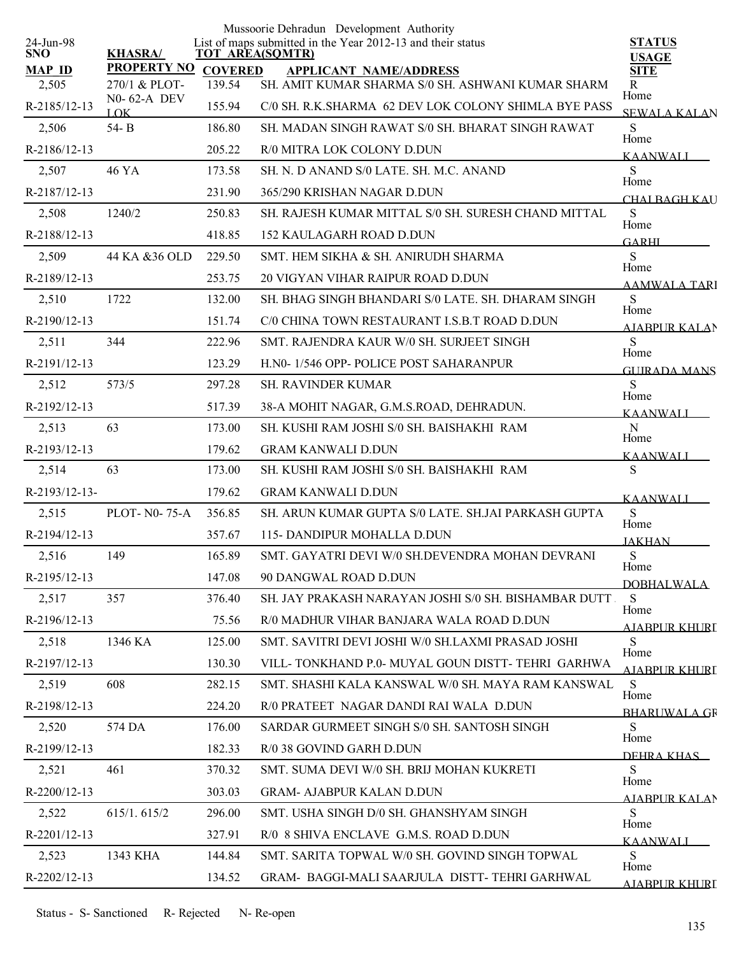|                         |                              |                | Mussoorie Dehradun Development Authority                                              |                               |
|-------------------------|------------------------------|----------------|---------------------------------------------------------------------------------------|-------------------------------|
| 24-Jun-98<br><b>SNO</b> | <b>KHASRA/</b>               |                | List of maps submitted in the Year 2012-13 and their status<br><b>TOT AREA(SQMTR)</b> | <b>STATUS</b><br><b>USAGE</b> |
| <b>MAP ID</b>           | <b>PROPERTY NO</b>           | <b>COVERED</b> | <b>APPLICANT NAME/ADDRESS</b>                                                         | <b>SITE</b>                   |
| 2,505                   | 270/1 & PLOT-<br>N0-62-A DEV | 139.54         | SH. AMIT KUMAR SHARMA S/0 SH. ASHWANI KUMAR SHARM                                     | R<br>Home                     |
| R-2185/12-13            | LOK                          | 155.94         | C/0 SH. R.K.SHARMA 62 DEV LOK COLONY SHIMLA BYE PASS                                  | <b>SEWALA KALAN</b>           |
| 2,506                   | 54-B                         | 186.80         | SH. MADAN SINGH RAWAT S/0 SH. BHARAT SINGH RAWAT                                      | S<br>Home                     |
| R-2186/12-13            |                              | 205.22         | R/0 MITRA LOK COLONY D.DUN                                                            | <b>KAANWALI</b>               |
| 2,507                   | 46 YA                        | 173.58         | SH. N. D ANAND S/0 LATE. SH. M.C. ANAND                                               | S<br>Home                     |
| R-2187/12-13            |                              | 231.90         | 365/290 KRISHAN NAGAR D.DUN                                                           | CHAL BAGH KAU                 |
| 2,508                   | 1240/2                       | 250.83         | SH. RAJESH KUMAR MITTAL S/0 SH. SURESH CHAND MITTAL                                   | ${\bf S}$<br>Home             |
| R-2188/12-13            |                              | 418.85         | 152 KAULAGARH ROAD D.DUN                                                              | <b>GARHI</b>                  |
| 2,509                   | 44 KA &36 OLD                | 229.50         | SMT. HEM SIKHA & SH. ANIRUDH SHARMA                                                   | S<br>Home                     |
| R-2189/12-13            |                              | 253.75         | 20 VIGYAN VIHAR RAIPUR ROAD D.DUN                                                     | AAMWALA TARI                  |
| 2,510                   | 1722                         | 132.00         | SH. BHAG SINGH BHANDARI S/0 LATE. SH. DHARAM SINGH                                    | S                             |
| R-2190/12-13            |                              | 151.74         | C/0 CHINA TOWN RESTAURANT I.S.B.T ROAD D.DUN                                          | Home<br><b>AIABPUR KALAN</b>  |
| 2,511                   | 344                          | 222.96         | SMT. RAJENDRA KAUR W/0 SH. SURJEET SINGH                                              | S                             |
| R-2191/12-13            |                              | 123.29         | H.N0-1/546 OPP- POLICE POST SAHARANPUR                                                | Home<br><b>GUIRADA MANS</b>   |
| 2,512                   | 573/5                        | 297.28         | <b>SH. RAVINDER KUMAR</b>                                                             | ${\bf S}$                     |
| R-2192/12-13            |                              | 517.39         | 38-A MOHIT NAGAR, G.M.S.ROAD, DEHRADUN.                                               | Home<br><b>KAANWALI</b>       |
| 2,513                   | 63                           | 173.00         | SH. KUSHI RAM JOSHI S/0 SH. BAISHAKHI RAM                                             | $\mathbf N$                   |
| R-2193/12-13            |                              | 179.62         | <b>GRAM KANWALI D.DUN</b>                                                             | Home<br><b>KAANWALI</b>       |
| 2,514                   | 63                           | 173.00         | SH. KUSHI RAM JOSHI S/0 SH. BAISHAKHI RAM                                             | S                             |
| R-2193/12-13-           |                              | 179.62         | <b>GRAM KANWALI D.DUN</b>                                                             | <b>KAANWALI</b>               |
| 2,515                   | <b>PLOT-N0-75-A</b>          | 356.85         | SH. ARUN KUMAR GUPTA S/0 LATE. SH.JAI PARKASH GUPTA                                   | ${\bf S}$                     |
| R-2194/12-13            |                              | 357.67         | 115- DANDIPUR MOHALLA D.DUN                                                           | Home<br><b>JAKHAN</b>         |
| 2,516                   | 149                          | 165.89         | SMT. GAYATRI DEVI W/0 SH.DEVENDRA MOHAN DEVRANI                                       | S                             |
| R-2195/12-13            |                              | 147.08         | 90 DANGWAL ROAD D.DUN                                                                 | Home                          |
| 2,517                   | 357                          | 376.40         | SH. JAY PRAKASH NARAYAN JOSHI S/0 SH. BISHAMBAR DUTT.                                 | <b>DOBHALWALA</b><br>S        |
| R-2196/12-13            |                              | 75.56          | R/0 MADHUR VIHAR BANJARA WALA ROAD D.DUN                                              | Home                          |
| 2,518                   | 1346 KA                      | 125.00         | SMT. SAVITRI DEVI JOSHI W/0 SH.LAXMI PRASAD JOSHI                                     | <b>AJABPUR KHURI</b><br>S.    |
| R-2197/12-13            |                              | 130.30         | VILL-TONKHAND P.0- MUYAL GOUN DISTT-TEHRI GARHWA                                      | Home                          |
| 2,519                   | 608                          | 282.15         | SMT. SHASHI KALA KANSWAL W/0 SH. MAYA RAM KANSWAL                                     | <u>AJABPUR KHURI</u><br>S     |
| R-2198/12-13            |                              | 224.20         | R/0 PRATEET NAGAR DANDI RAI WALA D.DUN                                                | Home                          |
| 2,520                   | 574 DA                       | 176.00         | SARDAR GURMEET SINGH S/0 SH. SANTOSH SINGH                                            | <b>BHARLIWALA GR</b><br>S     |
| R-2199/12-13            |                              | 182.33         | R/0 38 GOVIND GARH D.DUN                                                              | Home                          |
| 2,521                   | 461                          | 370.32         | SMT. SUMA DEVI W/0 SH. BRIJ MOHAN KUKRETI                                             | DEHRA KHAS<br>S               |
| R-2200/12-13            |                              | 303.03         | <b>GRAM- AJABPUR KALAN D.DUN</b>                                                      | Home                          |
| 2,522                   | 615/1.615/2                  | 296.00         | SMT. USHA SINGH D/0 SH. GHANSHYAM SINGH                                               | AIABPUR KALAN<br>S            |
| R-2201/12-13            |                              | 327.91         | R/0 8 SHIVA ENCLAVE G.M.S. ROAD D.DUN                                                 | Home                          |
| 2,523                   | 1343 KHA                     | 144.84         | SMT. SARITA TOPWAL W/0 SH. GOVIND SINGH TOPWAL                                        | <b>KAANWALI</b><br>S          |
| R-2202/12-13            |                              | 134.52         | GRAM- BAGGI-MALI SAARJULA DISTT- TEHRI GARHWAL                                        | Home                          |
|                         |                              |                |                                                                                       | <b>AJABPUR KHURI</b>          |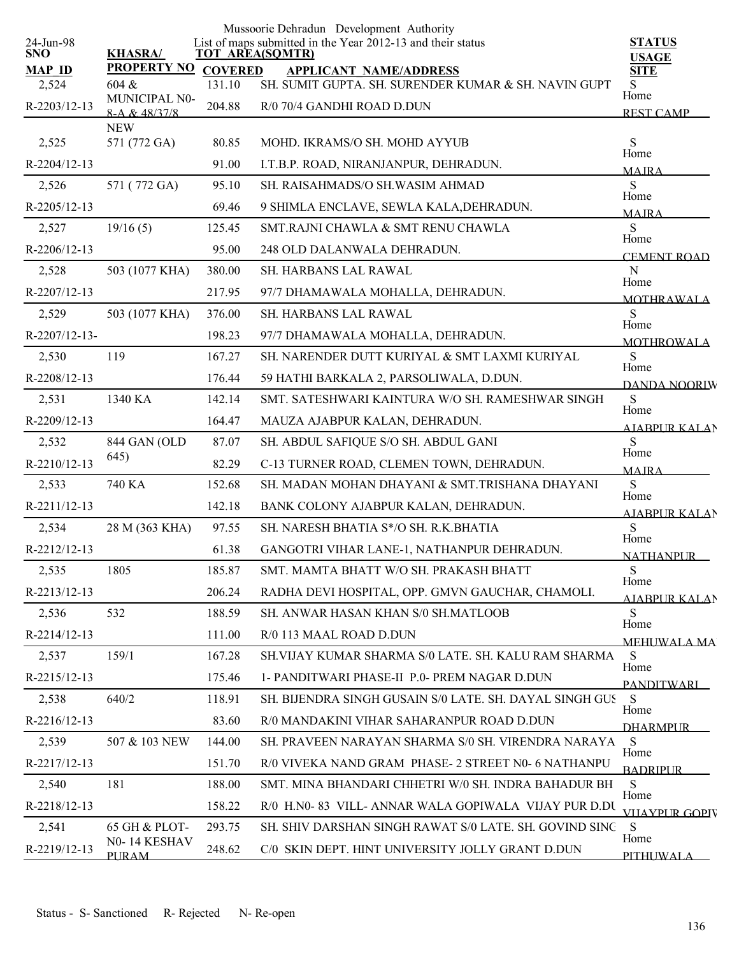|                         |                        |                | Mussoorie Dehradun Development Authority                                              |                               |
|-------------------------|------------------------|----------------|---------------------------------------------------------------------------------------|-------------------------------|
| 24-Jun-98<br><b>SNO</b> | <b>KHASRA/</b>         |                | List of maps submitted in the Year 2012-13 and their status<br><b>TOT AREA(SQMTR)</b> | <b>STATUS</b><br><b>USAGE</b> |
| <b>MAP ID</b>           | <b>PROPERTY NO</b>     | <b>COVERED</b> | <b>APPLICANT NAME/ADDRESS</b>                                                         | <b>SITE</b>                   |
| 2,524                   | 604 &<br>MUNICIPAL N0- | 131.10         | SH. SUMIT GUPTA. SH. SURENDER KUMAR & SH. NAVIN GUPT                                  | S.<br>Home                    |
| R-2203/12-13            | 8-A & 48/37/8          | 204.88         | R/0 70/4 GANDHI ROAD D.DUN                                                            | <b>REST CAMP</b>              |
|                         | <b>NEW</b>             |                |                                                                                       |                               |
| 2,525                   | 571 (772 GA)           | 80.85          | MOHD. IKRAMS/O SH. MOHD AYYUB                                                         | ${\bf S}$<br>Home             |
| R-2204/12-13            |                        | 91.00          | I.T.B.P. ROAD, NIRANJANPUR, DEHRADUN.                                                 | <b>MAJRA</b>                  |
| 2,526                   | 571 (772 GA)           | 95.10          | SH. RAISAHMADS/O SH. WASIM AHMAD                                                      | S<br>Home                     |
| R-2205/12-13            |                        | 69.46          | 9 SHIMLA ENCLAVE, SEWLA KALA, DEHRADUN.                                               | <b>MAIRA</b>                  |
| 2,527                   | 19/16(5)               | 125.45         | SMT.RAJNI CHAWLA & SMT RENU CHAWLA                                                    | S<br>Home                     |
| R-2206/12-13            |                        | 95.00          | 248 OLD DALANWALA DEHRADUN.                                                           | <b>CEMENT ROAD</b>            |
| 2,528                   | 503 (1077 KHA)         | 380.00         | <b>SH. HARBANS LAL RAWAL</b>                                                          | $\mathbf N$                   |
| R-2207/12-13            |                        | 217.95         | 97/7 DHAMAWALA MOHALLA, DEHRADUN.                                                     | Home<br><b>MOTHRAWALA</b>     |
| 2,529                   | 503 (1077 KHA)         | 376.00         | SH. HARBANS LAL RAWAL                                                                 | S                             |
| R-2207/12-13-           |                        | 198.23         | 97/7 DHAMAWALA MOHALLA, DEHRADUN.                                                     | Home                          |
| 2,530                   | 119                    | 167.27         | SH. NARENDER DUTT KURIYAL & SMT LAXMI KURIYAL                                         | <b>MOTHROWALA</b><br>S        |
| R-2208/12-13            |                        | 176.44         | 59 HATHI BARKALA 2, PARSOLIWALA, D.DUN.                                               | Home                          |
| 2,531                   | 1340 KA                | 142.14         | SMT. SATESHWARI KAINTURA W/O SH. RAMESHWAR SINGH                                      | DANDA NOORIW<br>${\bf S}$     |
| R-2209/12-13            |                        | 164.47         | MAUZA AJABPUR KALAN, DEHRADUN.                                                        | Home                          |
| 2,532                   | 844 GAN (OLD           | 87.07          | SH. ABDUL SAFIQUE S/O SH. ABDUL GANI                                                  | <b>AIARPUR KALAN</b><br>S     |
| R-2210/12-13            | 645)                   | 82.29          | C-13 TURNER ROAD, CLEMEN TOWN, DEHRADUN.                                              | Home                          |
| 2,533                   | 740 KA                 | 152.68         | SH. MADAN MOHAN DHAYANI & SMT.TRISHANA DHAYANI                                        | <b>MAIRA</b><br>S             |
| R-2211/12-13            |                        | 142.18         | BANK COLONY AJABPUR KALAN, DEHRADUN.                                                  | Home                          |
| 2,534                   | 28 M (363 KHA)         | 97.55          | SH. NARESH BHATIA S*/O SH. R.K.BHATIA                                                 | <b>AJABPUR KALAN</b><br>S     |
|                         |                        |                |                                                                                       | Home                          |
| R-2212/12-13            |                        | 61.38          | GANGOTRI VIHAR LANE-1, NATHANPUR DEHRADUN.                                            | <b>NATHANPUR</b>              |
| 2,535                   | 1805                   | 185.87         | SMT. MAMTA BHATT W/O SH. PRAKASH BHATT                                                | S<br>Home                     |
| R-2213/12-13            |                        | 206.24         | RADHA DEVI HOSPITAL, OPP. GMVN GAUCHAR, CHAMOLI.                                      | AJABPUR KALAN                 |
| 2,536                   | 532                    | 188.59         | SH. ANWAR HASAN KHAN S/0 SH.MATLOOB                                                   | S<br>Home                     |
| R-2214/12-13            |                        | 111.00         | R/0 113 MAAL ROAD D.DUN                                                               | <b>MEHUWALA MA</b>            |
| 2,537                   | 159/1                  | 167.28         | SH VIJAY KUMAR SHARMA S/0 LATE. SH. KALU RAM SHARMA                                   | S<br>Home                     |
| R-2215/12-13            |                        | 175.46         | 1- PANDITWARI PHASE-II P.0- PREM NAGAR D.DUN                                          | <b>PANDITWARI</b>             |
| 2,538                   | 640/2                  | 118.91         | SH. BIJENDRA SINGH GUSAIN S/0 LATE. SH. DAYAL SINGH GUS                               | S<br>Home                     |
| R-2216/12-13            |                        | 83.60          | R/0 MANDAKINI VIHAR SAHARANPUR ROAD D.DUN                                             | <b>DHARMPLIR</b>              |
| 2,539                   | 507 & 103 NEW          | 144.00         | SH. PRAVEEN NARAYAN SHARMA S/0 SH. VIRENDRA NARAYA                                    | S                             |
| R-2217/12-13            |                        | 151.70         | R/0 VIVEKA NAND GRAM PHASE-2 STREET N0- 6 NATHANPU                                    | Home<br><b>BADRIPLIR</b>      |
| 2,540                   | 181                    | 188.00         | SMT. MINA BHANDARI CHHETRI W/0 SH. INDRA BAHADUR BH                                   | S                             |
| R-2218/12-13            |                        | 158.22         | R/0 H.N0-83 VILL-ANNAR WALA GOPIWALA VIJAY PUR D.DU                                   | Home                          |
| 2,541                   | 65 GH & PLOT-          | 293.75         | SH. SHIV DARSHAN SINGH RAWAT S/0 LATE. SH. GOVIND SING                                | VIIAYPUR GOPIV<br>S           |
| R-2219/12-13            | N0-14 KESHAV           | 248.62         | C/0 SKIN DEPT. HINT UNIVERSITY JOLLY GRANT D.DUN                                      | Home                          |
|                         | <b>PLIRAM</b>          |                |                                                                                       | <b>PITHUWALA</b>              |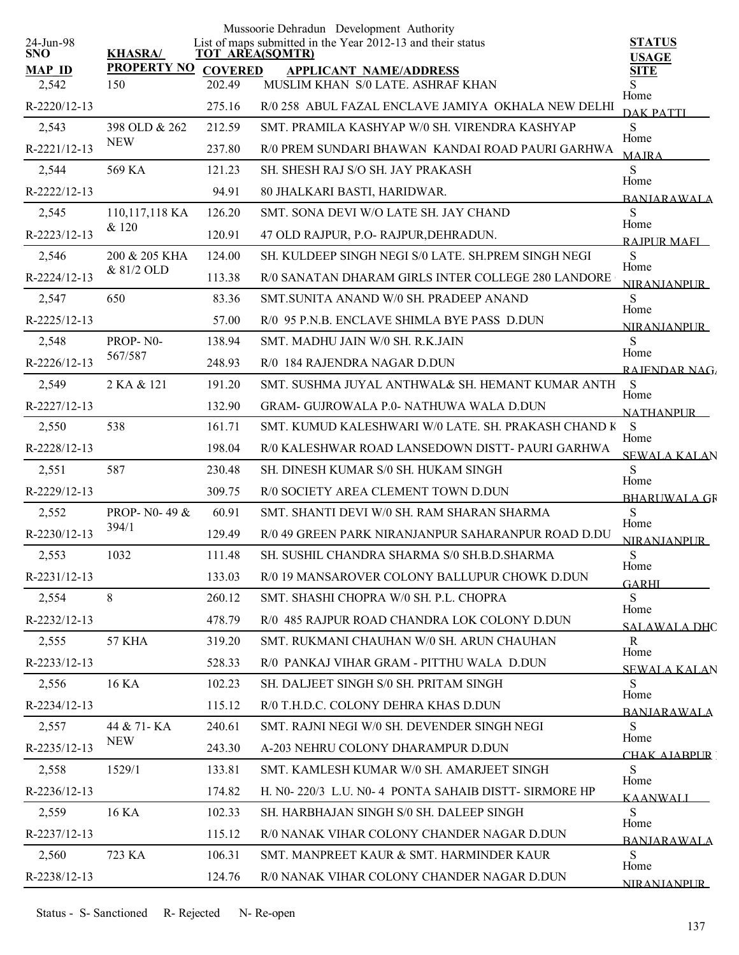|                         |                    |                        | Mussoorie Dehradun Development Authority                    |                               |
|-------------------------|--------------------|------------------------|-------------------------------------------------------------|-------------------------------|
| 24-Jun-98<br><b>SNO</b> | <b>KHASRA/</b>     | <b>TOT AREA(SQMTR)</b> | List of maps submitted in the Year 2012-13 and their status | <b>STATUS</b><br><b>USAGE</b> |
| <b>MAP ID</b>           | <b>PROPERTY NO</b> | <b>COVERED</b>         | <b>APPLICANT NAME/ADDRESS</b>                               | <b>SITE</b>                   |
| 2,542                   | 150                | 202.49                 | MUSLIM KHAN S/0 LATE. ASHRAF KHAN                           | S<br>Home                     |
| R-2220/12-13            |                    | 275.16                 | R/0 258 ABUL FAZAL ENCLAVE JAMIYA OKHALA NEW DELHI          | <b>DAK PATTI</b>              |
| 2,543                   | 398 OLD & 262      | 212.59                 | SMT. PRAMILA KASHYAP W/0 SH. VIRENDRA KASHYAP               | S                             |
| R-2221/12-13            | <b>NEW</b>         | 237.80                 | R/0 PREM SUNDARI BHAWAN KANDAI ROAD PAURI GARHWA            | Home<br><b>MAIRA</b>          |
| 2,544                   | 569 KA             | 121.23                 | SH. SHESH RAJ S/O SH. JAY PRAKASH                           | S<br>Home                     |
| R-2222/12-13            |                    | 94.91                  | 80 JHALKARI BASTI, HARIDWAR.                                | <b>BANIARAWALA</b>            |
| 2,545                   | 110,117,118 KA     | 126.20                 | SMT. SONA DEVI W/O LATE SH. JAY CHAND                       | S<br>Home                     |
| R-2223/12-13            | & 120              | 120.91                 | 47 OLD RAJPUR, P.O- RAJPUR, DEHRADUN.                       | RAIPUR MAFI                   |
| 2,546                   | 200 & 205 KHA      | 124.00                 | SH. KULDEEP SINGH NEGI S/0 LATE. SH.PREM SINGH NEGI         | S                             |
| R-2224/12-13            | & 81/2 OLD         | 113.38                 | R/0 SANATAN DHARAM GIRLS INTER COLLEGE 280 LANDORE          | Home<br>NIR ANIANPUR          |
| 2,547                   | 650                | 83.36                  | SMT.SUNITA ANAND W/0 SH. PRADEEP ANAND                      | S                             |
| R-2225/12-13            |                    | 57.00                  | R/0 95 P.N.B. ENCLAVE SHIMLA BYE PASS D.DUN                 | Home<br><b>NIRANJANPUR</b>    |
| 2,548                   | PROP-N0-           | 138.94                 | SMT. MADHU JAIN W/0 SH. R.K.JAIN                            | S                             |
| R-2226/12-13            | 567/587            | 248.93                 | R/0 184 RAJENDRA NAGAR D.DUN                                | Home<br>RAJENDAR NAG          |
| 2,549                   | 2 KA & 121         | 191.20                 | SMT. SUSHMA JUYAL ANTHWAL& SH. HEMANT KUMAR ANTH            | S                             |
| R-2227/12-13            |                    | 132.90                 | <b>GRAM- GUJROWALA P.0- NATHUWA WALA D.DUN</b>              | Home<br><b>NATHANPUR</b>      |
| 2,550                   | 538                | 161.71                 | SMT. KUMUD KALESHWARI W/0 LATE. SH. PRAKASH CHAND K         | <sub>S</sub>                  |
| R-2228/12-13            |                    | 198.04                 | R/0 KALESHWAR ROAD LANSEDOWN DISTT- PAURI GARHWA            | Home<br><b>SEWALA KALAN</b>   |
| 2,551                   | 587                | 230.48                 | SH. DINESH KUMAR S/0 SH. HUKAM SINGH                        | S                             |
| R-2229/12-13            |                    | 309.75                 | R/0 SOCIETY AREA CLEMENT TOWN D.DUN                         | Home<br><b>BHARUWALA GR</b>   |
| 2,552                   | PROP-N0-49 &       | 60.91                  | SMT. SHANTI DEVI W/0 SH. RAM SHARAN SHARMA                  | S                             |
| R-2230/12-13            | 394/1              | 129.49                 | R/0 49 GREEN PARK NIRANJANPUR SAHARANPUR ROAD D.DU          | Home<br><b>NIRANJANPUR</b>    |
| 2,553                   | 1032               | 111.48                 | SH. SUSHIL CHANDRA SHARMA S/0 SH.B.D.SHARMA                 | S                             |
| R-2231/12-13            |                    | 133.03                 | R/0 19 MANSAROVER COLONY BALLUPUR CHOWK D.DUN               | Home<br><b>GARHI</b>          |
| 2,554                   | 8                  | 260.12                 | SMT. SHASHI CHOPRA W/0 SH. P.L. CHOPRA                      | S                             |
| R-2232/12-13            |                    | 478.79                 | R/0 485 RAJPUR ROAD CHANDRA LOK COLONY D.DUN                | Home<br><b>SALAWALA DHC</b>   |
| 2,555                   | <b>57 KHA</b>      | 319.20                 | SMT. RUKMANI CHAUHAN W/0 SH. ARUN CHAUHAN                   | R                             |
| R-2233/12-13            |                    | 528.33                 | R/0 PANKAJ VIHAR GRAM - PITTHU WALA D.DUN                   | Home<br><b>SEWALA KALAN</b>   |
| 2,556                   | 16 KA              | 102.23                 | SH. DALJEET SINGH S/0 SH. PRITAM SINGH                      | S                             |
| R-2234/12-13            |                    | 115.12                 | R/0 T.H.D.C. COLONY DEHRA KHAS D.DUN                        | Home<br><b>BANIARAWALA</b>    |
| 2,557                   | 44 & 71 - KA       | 240.61                 | SMT. RAJNI NEGI W/0 SH. DEVENDER SINGH NEGI                 | S.                            |
| R-2235/12-13            | <b>NEW</b>         | 243.30                 | A-203 NEHRU COLONY DHARAMPUR D.DUN                          | Home<br>CHAK AIARPUR [        |
| 2,558                   | 1529/1             | 133.81                 | SMT. KAMLESH KUMAR W/0 SH. AMARJEET SINGH                   | S                             |
| R-2236/12-13            |                    | 174.82                 | H. N0-220/3 L.U. N0-4 PONTA SAHAIB DISTT- SIRMORE HP        | Home                          |
| 2,559                   | 16 KA              | 102.33                 | SH. HARBHAJAN SINGH S/0 SH. DALEEP SINGH                    | <b>KAANWALI</b><br>S.         |
| R-2237/12-13            |                    | 115.12                 | R/0 NANAK VIHAR COLONY CHANDER NAGAR D.DUN                  | Home                          |
| 2,560                   | 723 KA             | 106.31                 | SMT. MANPREET KAUR & SMT. HARMINDER KAUR                    | <b>BANJARAWALA</b><br>S       |
| R-2238/12-13            |                    | 124.76                 | R/0 NANAK VIHAR COLONY CHANDER NAGAR D.DUN                  | Home                          |
|                         |                    |                        |                                                             | <b>NIRANJANPLIR</b>           |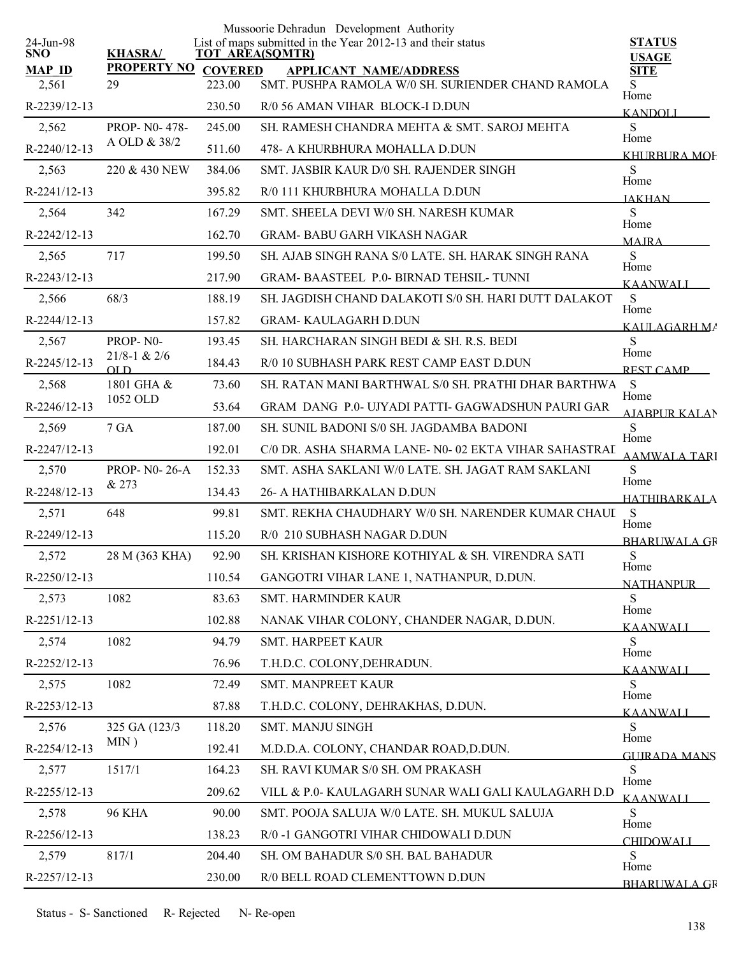|                         |                         |                | Mussoorie Dehradun Development Authority                                              |                                 |
|-------------------------|-------------------------|----------------|---------------------------------------------------------------------------------------|---------------------------------|
| 24-Jun-98<br><b>SNO</b> | <b>KHASRA/</b>          |                | List of maps submitted in the Year 2012-13 and their status<br><b>TOT AREA(SQMTR)</b> | <b>STATUS</b><br><b>USAGE</b>   |
| <b>MAP ID</b>           | <b>PROPERTY NO</b>      | <b>COVERED</b> | <b>APPLICANT NAME/ADDRESS</b>                                                         | <b>SITE</b>                     |
| 2,561                   | 29                      | 223.00         | SMT. PUSHPA RAMOLA W/0 SH. SURIENDER CHAND RAMOLA                                     | S.<br>Home                      |
| R-2239/12-13            |                         | 230.50         | R/0 56 AMAN VIHAR BLOCK-I D.DUN                                                       | <b>KANDOLI</b>                  |
| 2,562                   | PROP-N0-478-            | 245.00         | SH. RAMESH CHANDRA MEHTA & SMT. SAROJ MEHTA                                           | S<br>Home                       |
| R-2240/12-13            | A OLD & 38/2            | 511.60         | 478- A KHURBHURA MOHALLA D.DUN                                                        | KHURBURA MOF                    |
| 2,563                   | 220 & 430 NEW           | 384.06         | SMT. JASBIR KAUR D/0 SH. RAJENDER SINGH                                               | S<br>Home                       |
| R-2241/12-13            |                         | 395.82         | R/0 111 KHURBHURA MOHALLA D.DUN                                                       | <b>JAKHAN</b>                   |
| 2,564                   | 342                     | 167.29         | SMT. SHEELA DEVI W/0 SH. NARESH KUMAR                                                 | <sub>S</sub>                    |
| R-2242/12-13            |                         | 162.70         | <b>GRAM- BABU GARH VIKASH NAGAR</b>                                                   | Home<br><b>MAIRA</b>            |
| 2,565                   | 717                     | 199.50         | SH. AJAB SINGH RANA S/0 LATE. SH. HARAK SINGH RANA                                    | <sub>S</sub>                    |
| R-2243/12-13            |                         | 217.90         | <b>GRAM-BAASTEEL P.0-BIRNAD TEHSIL-TUNNI</b>                                          | Home<br><b>KAANWALI</b>         |
| 2,566                   | 68/3                    | 188.19         | SH. JAGDISH CHAND DALAKOTI S/0 SH. HARI DUTT DALAKOT                                  | S                               |
| R-2244/12-13            |                         | 157.82         | <b>GRAM- KAULAGARH D.DUN</b>                                                          | Home<br>KAULAGARH MA            |
| 2,567                   | PROP-N0-                | 193.45         | SH. HARCHARAN SINGH BEDI & SH. R.S. BEDI                                              | S                               |
| R-2245/12-13            | $21/8 - 1 & 2/6$<br>OLD | 184.43         | R/0 10 SUBHASH PARK REST CAMP EAST D.DUN                                              | Home<br><b>REST CAMP</b>        |
| 2,568                   | 1801 GHA &              | 73.60          | SH. RATAN MANI BARTHWAL S/0 SH. PRATHI DHAR BARTHWA                                   | <sub>S</sub>                    |
| R-2246/12-13            | 1052 OLD                | 53.64          | GRAM DANG P.0- UJYADI PATTI- GAGWADSHUN PAURI GAR                                     | Home<br><b>AIABPUR KALAN</b>    |
| 2,569                   | 7 GA                    | 187.00         | SH. SUNIL BADONI S/0 SH. JAGDAMBA BADONI                                              | S                               |
| R-2247/12-13            |                         | 192.01         | C/0 DR. ASHA SHARMA LANE- N0-02 EKTA VIHAR SAHASTRAI                                  | Home<br><b>AAMWALA TARI</b>     |
| 2,570                   | <b>PROP-NO-26-A</b>     | 152.33         | SMT. ASHA SAKLANI W/0 LATE. SH. JAGAT RAM SAKLANI                                     | S                               |
| R-2248/12-13            | & 273                   | 134.43         | 26- A HATHIBARKALAN D.DUN                                                             | Home<br>HATHIBARKALA            |
| 2,571                   | 648                     | 99.81          | SMT. REKHA CHAUDHARY W/0 SH. NARENDER KUMAR CHAUI                                     | S                               |
| R-2249/12-13            |                         | 115.20         | R/0 210 SUBHASH NAGAR D.DUN                                                           | Home<br><b>BHARUWALA GR</b>     |
| 2,572                   | 28 M (363 KHA)          | 92.90          | SH. KRISHAN KISHORE KOTHIYAL & SH. VIRENDRA SATI                                      | S                               |
| R-2250/12-13            |                         | 110.54         | GANGOTRI VIHAR LANE 1, NATHANPUR, D.DUN.                                              | Home<br><b>NATHANPUR</b>        |
| 2,573                   | 1082                    | 83.63          | SMT. HARMINDER KAUR                                                                   | S                               |
| R-2251/12-13            |                         | 102.88         | NANAK VIHAR COLONY, CHANDER NAGAR, D.DUN.                                             | Home<br>KAANWALI                |
| 2,574                   | 1082                    | 94.79          | SMT. HARPEET KAUR                                                                     | <sub>S</sub>                    |
| R-2252/12-13            |                         | 76.96          | T.H.D.C. COLONY, DEHRADUN.                                                            | Home<br>KAANWALI                |
| 2,575                   | 1082                    | 72.49          | SMT. MANPREET KAUR                                                                    | <sub>S</sub>                    |
| R-2253/12-13            |                         | 87.88          | T.H.D.C. COLONY, DEHRAKHAS, D.DUN.                                                    | Home<br><b>KAANWALI</b>         |
| 2,576                   | 325 GA (123/3)          | 118.20         | SMT. MANJU SINGH                                                                      | S                               |
| R-2254/12-13            | $MIN$ )                 | 192.41         | M.D.D.A. COLONY, CHANDAR ROAD, D.DUN.                                                 | Home                            |
| 2,577                   | 1517/1                  | 164.23         | SH. RAVI KUMAR S/0 SH. OM PRAKASH                                                     | <b>GUIRADA MANS</b><br>S        |
| R-2255/12-13            |                         | 209.62         | VILL & P.O- KAULAGARH SUNAR WALI GALI KAULAGARH D.D                                   | Home                            |
| 2,578                   | <b>96 KHA</b>           | 90.00          | SMT. POOJA SALUJA W/0 LATE. SH. MUKUL SALUJA                                          | <b>KAANWALI</b><br><sub>S</sub> |
| R-2256/12-13            |                         | 138.23         | R/0 -1 GANGOTRI VIHAR CHIDOWALI D.DUN                                                 | Home                            |
| 2,579                   | 817/1                   | 204.40         | SH. OM BAHADUR S/0 SH. BAL BAHADUR                                                    | <b>CHIDOWALL</b><br>S           |
| R-2257/12-13            |                         | 230.00         | R/0 BELL ROAD CLEMENTTOWN D.DUN                                                       | Home                            |
|                         |                         |                |                                                                                       | <b>BHARUWALA GR</b>             |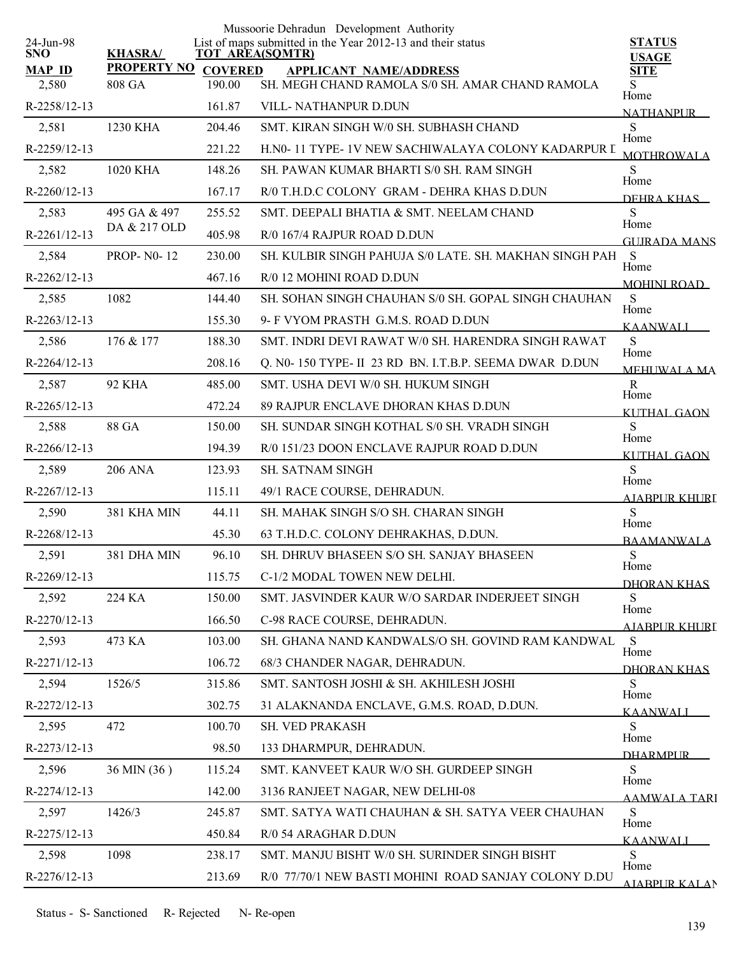| 24-Jun-98              |                              |                          | Mussoorie Dehradun Development Authority<br>List of maps submitted in the Year 2012-13 and their status | <b>STATUS</b>              |
|------------------------|------------------------------|--------------------------|---------------------------------------------------------------------------------------------------------|----------------------------|
| <b>SNO</b>             | <b>KHASRA/</b>               |                          | <b>TOT AREA(SQMTR)</b>                                                                                  | <b>USAGE</b>               |
| <b>MAP ID</b><br>2,580 | <b>PROPERTY NO</b><br>808 GA | <b>COVERED</b><br>190.00 | <b>APPLICANT NAME/ADDRESS</b><br>SH. MEGH CHAND RAMOLA S/0 SH. AMAR CHAND RAMOLA                        | <b>SITE</b><br>S           |
| R-2258/12-13           |                              | 161.87                   | VILL- NATHANPUR D.DUN                                                                                   | Home                       |
| 2,581                  | 1230 KHA                     | 204.46                   | SMT. KIRAN SINGH W/0 SH. SUBHASH CHAND                                                                  | <b>NATHANPUR</b><br>S      |
| R-2259/12-13           |                              | 221.22                   | H.N0-11 TYPE-1V NEW SACHIWALAYA COLONY KADARPUR I                                                       | Home                       |
| 2,582                  | 1020 KHA                     | 148.26                   | SH. PAWAN KUMAR BHARTI S/0 SH. RAM SINGH                                                                | <b>MOTHROWALA</b><br>S     |
| R-2260/12-13           |                              | 167.17                   | R/0 T.H.D.C COLONY GRAM - DEHRA KHAS D.DUN                                                              | Home<br>DEHRA KHAS         |
| 2,583                  | 495 GA & 497                 | 255.52                   | SMT. DEEPALI BHATIA & SMT. NEELAM CHAND                                                                 | S                          |
| R-2261/12-13           | DA & 217 OLD                 | 405.98                   | R/0 167/4 RAJPUR ROAD D.DUN                                                                             | Home<br>GUIRADA MANS       |
| 2,584                  | <b>PROP-N0-12</b>            | 230.00                   | SH. KULBIR SINGH PAHUJA S/0 LATE. SH. MAKHAN SINGH PAH S                                                |                            |
| R-2262/12-13           |                              | 467.16                   | R/0 12 MOHINI ROAD D.DUN                                                                                | Home<br><b>MOHINI ROAD</b> |
| 2,585                  | 1082                         | 144.40                   | SH. SOHAN SINGH CHAUHAN S/0 SH. GOPAL SINGH CHAUHAN                                                     | S                          |
| R-2263/12-13           |                              | 155.30                   | 9- F VYOM PRASTH G.M.S. ROAD D.DUN                                                                      | Home<br><b>KAANWALI</b>    |
| 2,586                  | 176 & 177                    | 188.30                   | SMT. INDRI DEVI RAWAT W/0 SH. HARENDRA SINGH RAWAT                                                      | ${\bf S}$                  |
| R-2264/12-13           |                              | 208.16                   | Q. N0-150 TYPE- II 23 RD BN. I.T.B.P. SEEMA DWAR D.DUN                                                  | Home<br><b>MEHUWALA MA</b> |
| 2,587                  | <b>92 KHA</b>                | 485.00                   | SMT. USHA DEVI W/0 SH. HUKUM SINGH                                                                      | $\mathbf R$                |
| R-2265/12-13           |                              | 472.24                   | 89 RAJPUR ENCLAVE DHORAN KHAS D.DUN                                                                     | Home<br><b>KUTHAL GAON</b> |
| 2,588                  | 88 GA                        | 150.00                   | SH. SUNDAR SINGH KOTHAL S/0 SH. VRADH SINGH                                                             | S<br>Home                  |
| $R-2266/12-13$         |                              | 194.39                   | R/0 151/23 DOON ENCLAVE RAJPUR ROAD D.DUN                                                               | KUTHAL GAON                |
| 2,589                  | <b>206 ANA</b>               | 123.93                   | <b>SH. SATNAM SINGH</b>                                                                                 | S<br>Home                  |
| R-2267/12-13           |                              | 115.11                   | 49/1 RACE COURSE, DEHRADUN.                                                                             | <b>AJABPUR KHURI</b>       |
| 2,590                  | 381 KHA MIN                  | 44.11                    | SH. MAHAK SINGH S/O SH. CHARAN SINGH                                                                    | S<br>Home                  |
| R-2268/12-13           |                              | 45.30                    | 63 T.H.D.C. COLONY DEHRAKHAS, D.DUN.                                                                    | <b>BAAMANWALA</b>          |
| 2,591                  | 381 DHA MIN                  | 96.10                    | SH. DHRUV BHASEEN S/O SH. SANJAY BHASEEN                                                                | ${\bf S}$<br>Home          |
| R-2269/12-13           |                              | 115.75                   | C-1/2 MODAL TOWEN NEW DELHI.                                                                            | DHORAN KHAS                |
| 2,592                  | 224 KA                       | 150.00                   | SMT. JASVINDER KAUR W/O SARDAR INDERJEET SINGH                                                          | S<br>Home                  |
| R-2270/12-13           |                              | 166.50                   | C-98 RACE COURSE, DEHRADUN.                                                                             | AJABPUR KHURI              |
| 2,593                  | 473 KA                       | 103.00                   | SH. GHANA NAND KANDWALS/O SH. GOVIND RAM KANDWAL                                                        | S<br>Home                  |
| R-2271/12-13           |                              | 106.72                   | 68/3 CHANDER NAGAR, DEHRADUN.                                                                           | DHORAN KHAS                |
| 2,594                  | 1526/5                       | 315.86                   | SMT. SANTOSH JOSHI & SH. AKHILESH JOSHI                                                                 | S<br>Home                  |
| R-2272/12-13           |                              | 302.75                   | 31 ALAKNANDA ENCLAVE, G.M.S. ROAD, D.DUN.                                                               | <b>KAANWALI</b>            |
| 2,595                  | 472                          | 100.70                   | SH. VED PRAKASH                                                                                         | S<br>Home                  |
| R-2273/12-13           |                              | 98.50                    | 133 DHARMPUR, DEHRADUN.                                                                                 | <b>DHARMPLIR</b>           |
| 2,596                  | 36 MIN (36)                  | 115.24                   | SMT. KANVEET KAUR W/O SH. GURDEEP SINGH                                                                 | S<br>Home                  |
| R-2274/12-13           |                              | 142.00                   | 3136 RANJEET NAGAR, NEW DELHI-08                                                                        | <b>AAMWALA TARI</b>        |
| 2,597                  | 1426/3                       | 245.87                   | SMT. SATYA WATI CHAUHAN & SH. SATYA VEER CHAUHAN                                                        | S<br>Home                  |
| R-2275/12-13           |                              | 450.84                   | R/0 54 ARAGHAR D.DUN                                                                                    | <b>KAANWALI</b>            |
| 2,598                  | 1098                         | 238.17                   | SMT. MANJU BISHT W/0 SH. SURINDER SINGH BISHT                                                           | S<br>Home                  |
| R-2276/12-13           |                              | 213.69                   | R/0 77/70/1 NEW BASTI MOHINI ROAD SANJAY COLONY D.DU                                                    | <b>AJARPUR KALAN</b>       |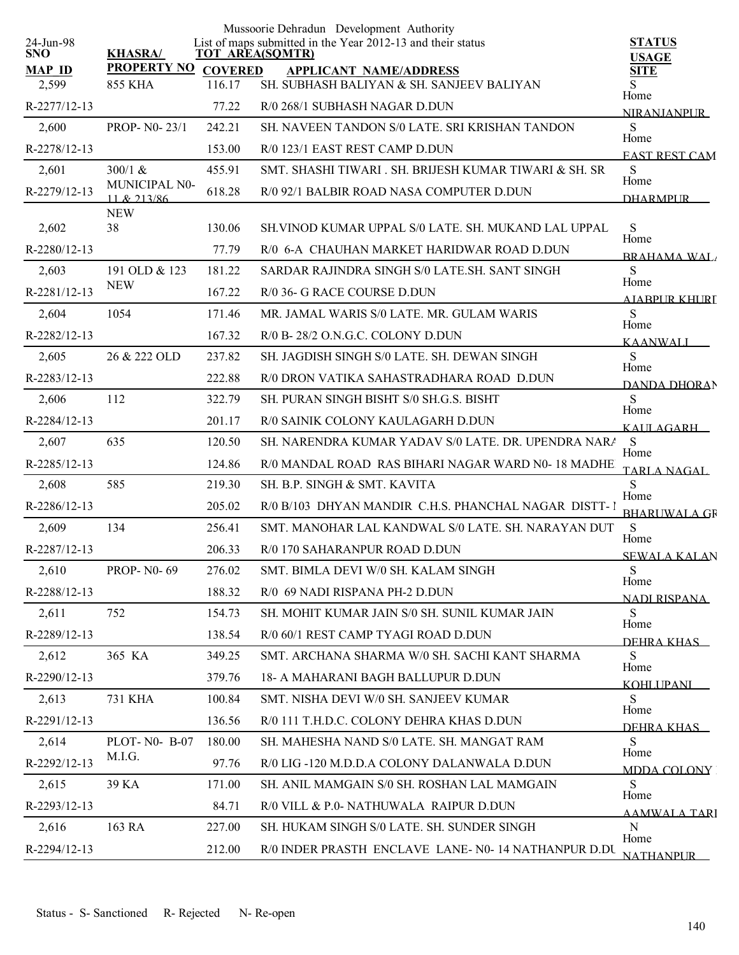|                         |                              |                | Mussoorie Dehradun Development Authority                                              |                               |
|-------------------------|------------------------------|----------------|---------------------------------------------------------------------------------------|-------------------------------|
| 24-Jun-98<br><b>SNO</b> | <b>KHASRA/</b>               |                | List of maps submitted in the Year 2012-13 and their status<br><b>TOT AREA(SQMTR)</b> | <b>STATUS</b><br><b>USAGE</b> |
| <b>MAP ID</b>           | <b>PROPERTY NO</b>           | <b>COVERED</b> | <b>APPLICANT NAME/ADDRESS</b>                                                         | <b>SITE</b>                   |
| 2,599                   | <b>855 KHA</b>               | 116.17         | SH. SUBHASH BALIYAN & SH. SANJEEV BALIYAN                                             | S.<br>Home                    |
| R-2277/12-13            |                              | 77.22          | R/0 268/1 SUBHASH NAGAR D.DUN                                                         | <b>NIRANJANPUR</b>            |
| 2,600                   | PROP- N0-23/1                | 242.21         | SH. NAVEEN TANDON S/0 LATE. SRI KRISHAN TANDON                                        | S<br>Home                     |
| R-2278/12-13            |                              | 153.00         | R/0 123/1 EAST REST CAMP D.DUN                                                        | <b>EAST REST CAM</b>          |
| 2,601                   | $300/1$ &                    | 455.91         | SMT. SHASHI TIWARI . SH. BRIJESH KUMAR TIWARI & SH. SR                                | ${\bf S}$<br>Home             |
| R-2279/12-13            | MUNICIPAL N0-<br>11 & 213/86 | 618.28         | R/0 92/1 BALBIR ROAD NASA COMPUTER D.DUN                                              | <b>DHARMPLIR</b>              |
| 2,602                   | <b>NEW</b><br>38             | 130.06         | SH. VINOD KUMAR UPPAL S/0 LATE. SH. MUKAND LAL UPPAL                                  | ${\bf S}$                     |
| R-2280/12-13            |                              | 77.79          | R/0 6-A CHAUHAN MARKET HARIDWAR ROAD D.DUN                                            | Home                          |
| 2,603                   | 191 OLD & 123                | 181.22         | SARDAR RAJINDRA SINGH S/0 LATE SH. SANT SINGH                                         | <b>BRAHAMA WAI</b><br>S       |
| R-2281/12-13            | <b>NEW</b>                   | 167.22         | R/0 36- G RACE COURSE D.DUN                                                           | Home                          |
| 2,604                   | 1054                         | 171.46         | MR. JAMAL WARIS S/0 LATE. MR. GULAM WARIS                                             | A JABPI IR KHLIRT<br>S        |
| R-2282/12-13            |                              | 167.32         | R/0 B-28/2 O.N.G.C. COLONY D.DUN                                                      | Home                          |
| 2,605                   | 26 & 222 OLD                 | 237.82         | SH. JAGDISH SINGH S/0 LATE. SH. DEWAN SINGH                                           | <b>KAANWALI</b><br>S          |
| R-2283/12-13            |                              | 222.88         | R/0 DRON VATIKA SAHASTRADHARA ROAD D.DUN                                              | Home                          |
| 2,606                   | 112                          | 322.79         | SH. PURAN SINGH BISHT S/0 SH.G.S. BISHT                                               | DANDA DHORAN<br>S             |
| R-2284/12-13            |                              | 201.17         | R/0 SAINIK COLONY KAULAGARH D.DUN                                                     | Home<br>KAULAGARH             |
| 2,607                   | 635                          | 120.50         | SH. NARENDRA KUMAR YADAV S/0 LATE. DR. UPENDRA NARA                                   | S                             |
| R-2285/12-13            |                              | 124.86         | R/0 MANDAL ROAD RAS BIHARI NAGAR WARD N0-18 MADHE                                     | Home<br>TARLA NAGAL           |
| 2,608                   | 585                          | 219.30         | SH. B.P. SINGH & SMT. KAVITA                                                          | S                             |
| R-2286/12-13            |                              | 205.02         | R/0 B/103 DHYAN MANDIR C.H.S. PHANCHAL NAGAR DISTT-1                                  | Home<br><b>BHARUWALA GR</b>   |
| 2,609                   | 134                          | 256.41         | SMT. MANOHAR LAL KANDWAL S/0 LATE. SH. NARAYAN DUT                                    | S                             |
| R-2287/12-13            |                              | 206.33         | R/0 170 SAHARANPUR ROAD D.DUN                                                         | Home<br><b>SEWALA KALAN</b>   |
| 2,610                   | <b>PROP-N0-69</b>            | 276.02         | SMT. BIMLA DEVI W/0 SH. KALAM SINGH                                                   | S                             |
| R-2288/12-13            |                              | 188.32         | R/0 69 NADI RISPANA PH-2 D.DUN                                                        | Home<br>NADI RISPANA          |
| 2,611                   | 752                          | 154.73         | SH. MOHIT KUMAR JAIN S/0 SH. SUNIL KUMAR JAIN                                         | S                             |
| R-2289/12-13            |                              | 138.54         | R/0 60/1 REST CAMP TYAGI ROAD D.DUN                                                   | Home<br>DEHRA KHAS            |
| 2,612                   | 365 KA                       | 349.25         | SMT. ARCHANA SHARMA W/0 SH. SACHI KANT SHARMA                                         | S                             |
| R-2290/12-13            |                              | 379.76         | 18- A MAHARANI BAGH BALLUPUR D.DUN                                                    | Home<br><b>KOHLIPANI</b>      |
| 2,613                   | 731 KHA                      | 100.84         | SMT. NISHA DEVI W/0 SH. SANJEEV KUMAR                                                 | S                             |
| R-2291/12-13            |                              | 136.56         | R/0 111 T.H.D.C. COLONY DEHRA KHAS D.DUN                                              | Home<br>DEHRA KHAS            |
| 2,614                   | PLOT-N0-B-07                 | 180.00         | SH. MAHESHA NAND S/0 LATE. SH. MANGAT RAM                                             | S                             |
| R-2292/12-13            | M.I.G.                       | 97.76          | R/0 LIG-120 M.D.D.A COLONY DALANWALA D.DUN                                            | Home<br>MDDA COLONY           |
| 2,615                   | 39 KA                        | 171.00         | SH. ANIL MAMGAIN S/0 SH. ROSHAN LAL MAMGAIN                                           | S                             |
| R-2293/12-13            |                              | 84.71          | R/0 VILL & P.0- NATHUWALA RAIPUR D.DUN                                                | Home<br><b>AAMWALA TARI</b>   |
| 2,616                   | 163 RA                       | 227.00         | SH. HUKAM SINGH S/0 LATE. SH. SUNDER SINGH                                            | N<br>Home                     |
| R-2294/12-13            |                              | 212.00         | R/0 INDER PRASTH ENCLAVE LANE- N0-14 NATHANPUR D.DU                                   | <b>NATHANPLIR</b>             |
|                         |                              |                |                                                                                       |                               |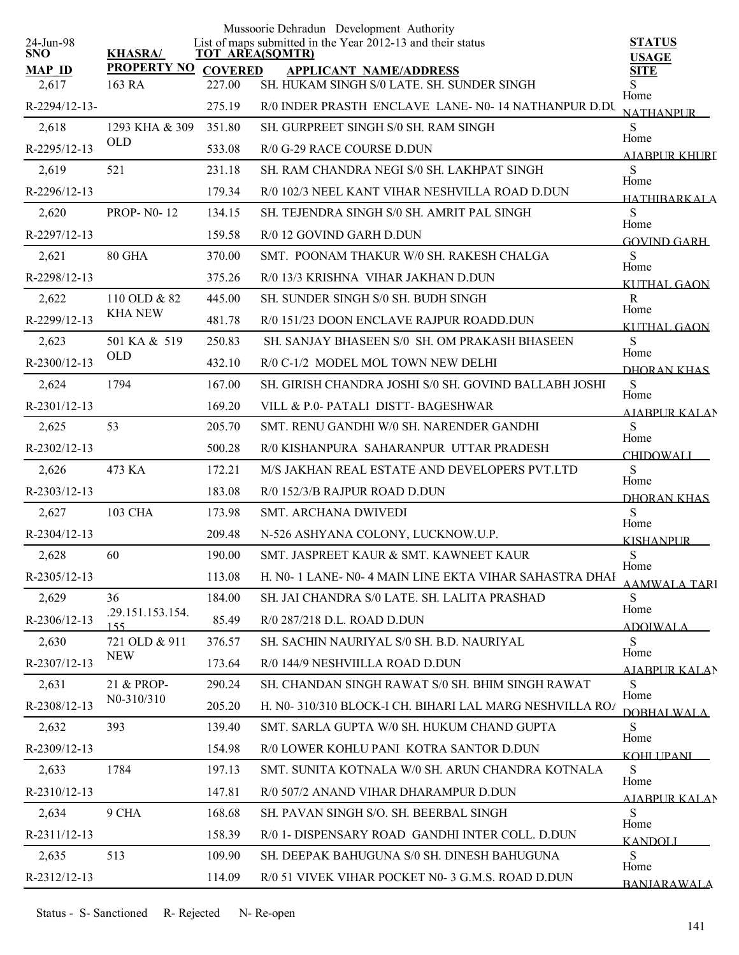| 24-Jun-98              |                              |                          | Mussoorie Dehradun Development Authority<br>List of maps submitted in the Year 2012-13 and their status | <b>STATUS</b>                |
|------------------------|------------------------------|--------------------------|---------------------------------------------------------------------------------------------------------|------------------------------|
| <b>SNO</b>             | <b>KHASRA/</b>               | <b>TOT AREA(SQMTR)</b>   |                                                                                                         | <b>USAGE</b>                 |
| <b>MAP ID</b><br>2,617 | <b>PROPERTY NO</b><br>163 RA | <b>COVERED</b><br>227.00 | <b>APPLICANT NAME/ADDRESS</b><br>SH. HUKAM SINGH S/0 LATE. SH. SUNDER SINGH                             | <b>SITE</b><br>S             |
| R-2294/12-13-          |                              | 275.19                   | R/0 INDER PRASTH ENCLAVE LANE-N0-14 NATHANPUR D.DU                                                      | Home                         |
| 2,618                  | 1293 KHA & 309               | 351.80                   | SH. GURPREET SINGH S/0 SH. RAM SINGH                                                                    | <b>NATHANPUR</b><br>S        |
| R-2295/12-13           | <b>OLD</b>                   | 533.08                   | R/0 G-29 RACE COURSE D.DUN                                                                              | Home                         |
| 2,619                  | 521                          | 231.18                   | SH. RAM CHANDRA NEGI S/0 SH. LAKHPAT SINGH                                                              | A JABPUR KHURI<br>S          |
| R-2296/12-13           |                              | 179.34                   | R/0 102/3 NEEL KANT VIHAR NESHVILLA ROAD D.DUN                                                          | Home<br><b>HATHIBARKALA</b>  |
| 2,620                  | <b>PROP-N0-12</b>            | 134.15                   | SH. TEJENDRA SINGH S/0 SH. AMRIT PAL SINGH                                                              | S                            |
| R-2297/12-13           |                              | 159.58                   | R/0 12 GOVIND GARH D.DUN                                                                                | Home<br><b>GOVIND GARH</b>   |
| 2,621                  | 80 GHA                       | 370.00                   | SMT. POONAM THAKUR W/0 SH. RAKESH CHALGA                                                                | S                            |
| R-2298/12-13           |                              | 375.26                   | R/0 13/3 KRISHNA VIHAR JAKHAN D.DUN                                                                     | Home<br>KUTHAL GAON          |
| 2,622                  | 110 OLD & 82                 | 445.00                   | <b>SH. SUNDER SINGH S/0 SH. BUDH SINGH</b>                                                              | $\mathbf R$                  |
| R-2299/12-13           | <b>KHA NEW</b>               | 481.78                   | R/0 151/23 DOON ENCLAVE RAJPUR ROADD.DUN                                                                | Home<br>KUTHAL GAON          |
| 2,623                  | 501 KA & 519                 | 250.83                   | SH. SANJAY BHASEEN S/0 SH. OM PRAKASH BHASEEN                                                           | S<br>Home                    |
| $R-2300/12-13$         | <b>OLD</b>                   | 432.10                   | R/0 C-1/2 MODEL MOL TOWN NEW DELHI                                                                      | DHORAN KHAS                  |
| 2,624                  | 1794                         | 167.00                   | SH. GIRISH CHANDRA JOSHI S/0 SH. GOVIND BALLABH JOSHI                                                   | S                            |
| R-2301/12-13           |                              | 169.20                   | VILL & P.0- PATALI DISTT- BAGESHWAR                                                                     | Home<br><b>AIARPUR KALAN</b> |
| 2,625                  | 53                           | 205.70                   | SMT. RENU GANDHI W/0 SH. NARENDER GANDHI                                                                | S<br>Home                    |
| R-2302/12-13           |                              | 500.28                   | R/0 KISHANPURA SAHARANPUR UTTAR PRADESH                                                                 | <b>CHIDOWALI</b>             |
| 2,626                  | 473 KA                       | 172.21                   | M/S JAKHAN REAL ESTATE AND DEVELOPERS PVT.LTD                                                           | S<br>Home                    |
| $R-2303/12-13$         |                              | 183.08                   | R/0 152/3/B RAJPUR ROAD D.DUN                                                                           | DHORAN KHAS                  |
| 2,627                  | <b>103 CHA</b>               | 173.98                   | <b>SMT. ARCHANA DWIVEDI</b>                                                                             | S<br>Home                    |
| $R-2304/12-13$         |                              | 209.48                   | N-526 ASHYANA COLONY, LUCKNOW.U.P.                                                                      | <b>KISHANPUR</b>             |
| 2,628                  | 60                           | 190.00                   | SMT. JASPREET KAUR & SMT. KAWNEET KAUR                                                                  | S<br>Home                    |
| R-2305/12-13           |                              | 113.08                   | H. N0- 1 LANE- N0- 4 MAIN LINE EKTA VIHAR SAHASTRA DHAI                                                 | AAMWALA TARI                 |
| 2,629                  | 36                           | 184.00                   | SH. JAI CHANDRA S/0 LATE. SH. LALITA PRASHAD                                                            | S<br>Home                    |
| R-2306/12-13           | .29.151.153.154.<br>155      | 85.49                    | R/0 287/218 D.L. ROAD D.DUN                                                                             | <b>ADOIWALA</b>              |
| 2,630                  | 721 OLD & 911                | 376.57                   | SH. SACHIN NAURIYAL S/0 SH. B.D. NAURIYAL                                                               | S<br>Home                    |
| R-2307/12-13           | <b>NEW</b>                   | 173.64                   | R/0 144/9 NESHVIILLA ROAD D.DUN                                                                         | AJABPUR KALAN                |
| 2,631                  | 21 & PROP-                   | 290.24                   | SH. CHANDAN SINGH RAWAT S/0 SH. BHIM SINGH RAWAT                                                        | S<br>Home                    |
| R-2308/12-13           | N <sub>0</sub> -310/310      | 205.20                   | H. N0-310/310 BLOCK-I CH. BIHARI LAL MARG NESHVILLA ROA                                                 | <b>DOBHALWALA</b>            |
| 2,632                  | 393                          | 139.40                   | SMT. SARLA GUPTA W/0 SH. HUKUM CHAND GUPTA                                                              | S.<br>Home                   |
| R-2309/12-13           |                              | 154.98                   | R/0 LOWER KOHLU PANI KOTRA SANTOR D.DUN                                                                 | KOHLI PANI                   |
| 2,633                  | 1784                         | 197.13                   | SMT. SUNITA KOTNALA W/0 SH. ARUN CHANDRA KOTNALA                                                        | S.<br>Home                   |
| $R-2310/12-13$         |                              | 147.81                   | R/0 507/2 ANAND VIHAR DHARAMPUR D.DUN                                                                   | AIABPUR KALAN                |
| 2,634                  | 9 CHA                        | 168.68                   | SH. PAVAN SINGH S/O. SH. BEERBAL SINGH                                                                  | S<br>Home                    |
| R-2311/12-13           |                              | 158.39                   | R/0 1- DISPENSARY ROAD GANDHI INTER COLL. D.DUN                                                         | <u>KANDOLI</u>               |
| 2,635                  | 513                          | 109.90                   | SH. DEEPAK BAHUGUNA S/0 SH. DINESH BAHUGUNA                                                             | S<br>Home                    |
| R-2312/12-13           |                              | 114.09                   | R/0 51 VIVEK VIHAR POCKET N0-3 G.M.S. ROAD D.DUN                                                        | <b>BANJARAWALA</b>           |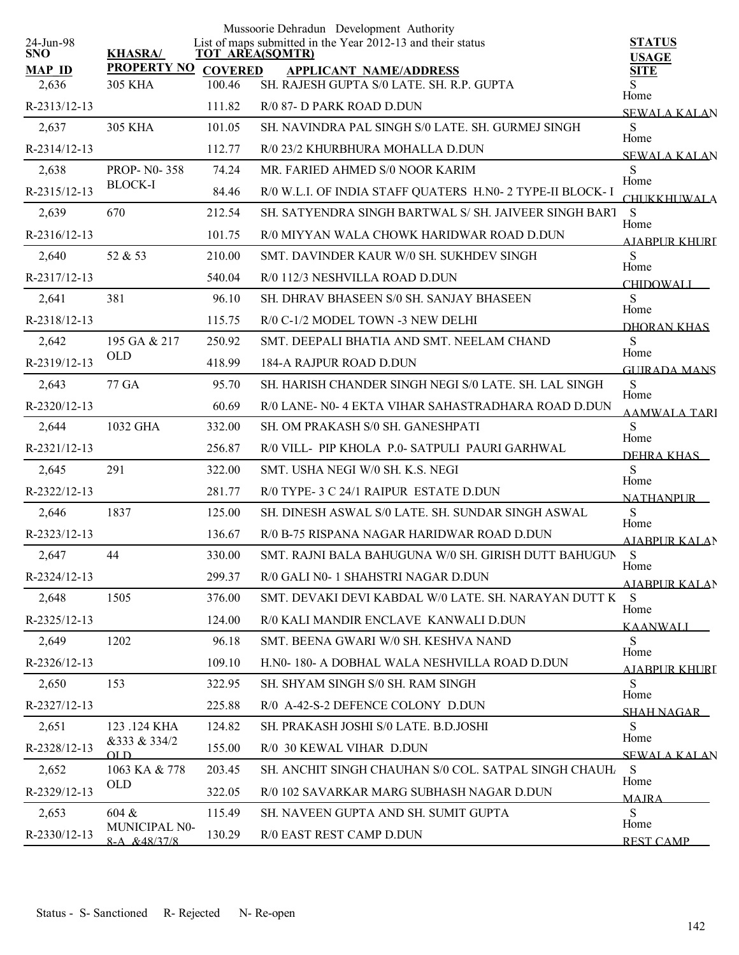|                                                              | Mussoorie Dehradun Development Authority                    |                               |
|--------------------------------------------------------------|-------------------------------------------------------------|-------------------------------|
| 24-Jun-98<br><b>KHASRA/</b><br><b>SNO</b><br>TOT AREA(SQMTR) | List of maps submitted in the Year 2012-13 and their status | <b>STATUS</b><br><b>USAGE</b> |
| <b>PROPERTY NO</b><br><b>MAP ID</b><br><b>COVERED</b>        | <b>APPLICANT NAME/ADDRESS</b>                               | <b>SITE</b>                   |
| 100.46<br>2,636<br><b>305 KHA</b>                            | SH. RAJESH GUPTA S/0 LATE. SH. R.P. GUPTA                   | S<br>Home                     |
| R-2313/12-13<br>111.82                                       | R/0 87- D PARK ROAD D.DUN                                   | <b>SEWALA KALAN</b>           |
| 305 KHA<br>101.05<br>2,637                                   | SH. NAVINDRA PAL SINGH S/0 LATE. SH. GURMEJ SINGH           | S<br>Home                     |
| R-2314/12-13<br>112.77                                       | R/0 23/2 KHURBHURA MOHALLA D.DUN                            | <b>SEWALA KALAN</b>           |
| 2,638<br><b>PROP-N0-358</b><br>74.24<br><b>BLOCK-I</b>       | MR. FARIED AHMED S/0 NOOR KARIM                             | ${\bf S}$<br>Home             |
| R-2315/12-13<br>84.46                                        | R/0 W.L.I. OF INDIA STAFF QUATERS H.N0- 2 TYPE-II BLOCK- I  | <b>CHUKKHUWALA</b>            |
| 2,639<br>670<br>212.54                                       | SH. SATYENDRA SINGH BARTWAL S/ SH. JAIVEER SINGH BART       | S<br>Home                     |
| R-2316/12-13<br>101.75                                       | R/0 MIYYAN WALA CHOWK HARIDWAR ROAD D.DUN                   | AIABPUR KHURT                 |
| 2,640<br>52 & 53<br>210.00                                   | SMT. DAVINDER KAUR W/0 SH. SUKHDEV SINGH                    | S<br>Home                     |
| R-2317/12-13<br>540.04                                       | R/0 112/3 NESHVILLA ROAD D.DUN                              | <b>CHIDOWALI</b>              |
| 381<br>96.10<br>2,641                                        | SH. DHRAV BHASEEN S/0 SH. SANJAY BHASEEN                    | S<br>Home                     |
| R-2318/12-13<br>115.75                                       | R/0 C-1/2 MODEL TOWN -3 NEW DELHI                           | DHORAN KHAS                   |
| 195 GA & 217<br>250.92<br>2,642                              | SMT. DEEPALI BHATIA AND SMT. NEELAM CHAND                   | S<br>Home                     |
| <b>OLD</b><br>R-2319/12-13<br>418.99                         | 184-A RAJPUR ROAD D.DUN                                     | <b>GUIRADA MANS</b>           |
| 77 GA<br>95.70<br>2,643                                      | SH. HARISH CHANDER SINGH NEGI S/0 LATE. SH. LAL SINGH       | ${\bf S}$                     |
| R-2320/12-13<br>60.69                                        | R/0 LANE- N0-4 EKTA VIHAR SAHASTRADHARA ROAD D.DUN          | Home<br><b>AAMWALA TARI</b>   |
| 1032 GHA<br>332.00<br>2,644                                  | SH. OM PRAKASH S/0 SH. GANESHPATI                           | S                             |
| R-2321/12-13<br>256.87                                       | R/0 VILL- PIP KHOLA P.0- SATPULI PAURI GARHWAL              | Home<br>DEHRA KHAS            |
| 291<br>322.00<br>2,645                                       | SMT. USHA NEGI W/0 SH. K.S. NEGI                            | ${\bf S}$                     |
| R-2322/12-13<br>281.77                                       | R/0 TYPE- 3 C 24/1 RAIPUR ESTATE D.DUN                      | Home<br><b>NATHANPUR</b>      |
| 1837<br>125.00<br>2,646                                      | SH. DINESH ASWAL S/0 LATE. SH. SUNDAR SINGH ASWAL           | S                             |
| R-2323/12-13<br>136.67                                       | R/0 B-75 RISPANA NAGAR HARIDWAR ROAD D.DUN                  | Home<br><b>AJABPUR KALAN</b>  |
| 44<br>2,647<br>330.00                                        | SMT. RAJNI BALA BAHUGUNA W/0 SH. GIRISH DUTT BAHUGUN        | S                             |
| 299.37<br>R-2324/12-13                                       | R/0 GALI N0-1 SHAHSTRI NAGAR D.DUN                          | Home<br><b>AJABPUR KALAN</b>  |
| 2,648<br>1505<br>376.00                                      | SMT. DEVAKI DEVI KABDAL W/0 LATE. SH. NARAYAN DUTT K        | S                             |
| R-2325/12-13<br>124.00                                       | R/0 KALI MANDIR ENCLAVE KANWALI D.DUN                       | Home<br><b>KAANWALI</b>       |
| 1202<br>96.18<br>2,649                                       | SMT. BEENA GWARI W/0 SH. KESHVA NAND                        | S                             |
| 109.10<br>R-2326/12-13                                       | H.N0-180- A DOBHAL WALA NESHVILLA ROAD D.DUN                | Home<br>AIABPUR KHURI         |
| 153<br>2,650<br>322.95                                       | SH. SHYAM SINGH S/0 SH. RAM SINGH                           | S                             |
| 225.88<br>R-2327/12-13                                       | R/0 A-42-S-2 DEFENCE COLONY D.DUN                           | Home<br><b>SHAH NAGAR</b>     |
| 124.82<br>2,651<br>123 .124 KHA                              | SH. PRAKASH JOSHI S/0 LATE. B.D.JOSHI                       | S                             |
| &333 & 334/2<br>R-2328/12-13<br>155.00<br>OL D               | R/0 30 KEWAL VIHAR D.DUN                                    | Home<br><b>SEWALA KALAN</b>   |
| 1063 KA & 778<br>203.45<br>2,652                             | SH. ANCHIT SINGH CHAUHAN S/0 COL. SATPAL SINGH CHAUH.       | S                             |
| OLD<br>R-2329/12-13<br>322.05                                | R/0 102 SAVARKAR MARG SUBHASH NAGAR D.DUN                   | Home<br><b>MAIRA</b>          |
| 604 &<br>115.49<br>2,653                                     | SH. NAVEEN GUPTA AND SH. SUMIT GUPTA                        | S                             |
| MUNICIPAL N0-<br>R-2330/12-13<br>130.29<br>$8-A$ $&48/37/8$  | R/0 EAST REST CAMP D.DUN                                    | Home<br><b>REST CAMP</b>      |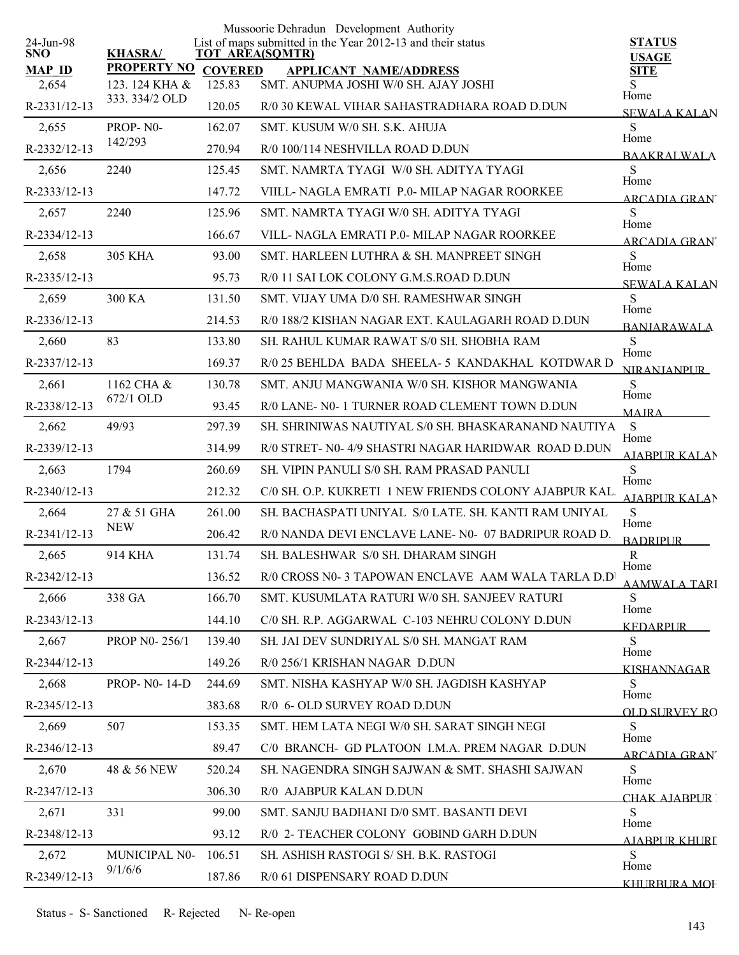|                         |                                  |                | Mussoorie Dehradun Development Authority                                       |                               |
|-------------------------|----------------------------------|----------------|--------------------------------------------------------------------------------|-------------------------------|
| 24-Jun-98<br><b>SNO</b> | <b>KHASRA/</b>                   |                | List of maps submitted in the Year 2012-13 and their status<br>TOT AREA(SQMTR) | <b>STATUS</b><br><b>USAGE</b> |
| <b>MAP ID</b>           | <b>PROPERTY NO</b>               | <b>COVERED</b> | <b>APPLICANT NAME/ADDRESS</b>                                                  | <b>SITE</b>                   |
| 2,654<br>R-2331/12-13   | 123. 124 KHA &<br>333. 334/2 OLD | 125.83         | SMT. ANUPMA JOSHI W/0 SH. AJAY JOSHI                                           | S<br>Home                     |
|                         |                                  | 120.05         | R/0 30 KEWAL VIHAR SAHASTRADHARA ROAD D.DUN                                    | <b>SEWALA KALAN</b>           |
| 2,655                   | PROP-N0-<br>142/293              | 162.07         | SMT. KUSUM W/0 SH. S.K. AHUJA                                                  | S<br>Home                     |
| R-2332/12-13            |                                  | 270.94         | R/0 100/114 NESHVILLA ROAD D.DUN                                               | <b>BAAKRALWALA</b>            |
| 2,656                   | 2240                             | 125.45         | SMT. NAMRTA TYAGI W/0 SH. ADITYA TYAGI                                         | S<br>Home                     |
| R-2333/12-13            |                                  | 147.72         | VIILL- NAGLA EMRATI P.0- MILAP NAGAR ROORKEE                                   | ARCADIA GRAN                  |
| 2,657                   | 2240                             | 125.96         | SMT. NAMRTA TYAGI W/0 SH. ADITYA TYAGI                                         | S<br>Home                     |
| R-2334/12-13            |                                  | 166.67         | VILL- NAGLA EMRATI P.0- MILAP NAGAR ROORKEE                                    | ARCADIA GRAN'                 |
| 2,658                   | 305 KHA                          | 93.00          | SMT. HARLEEN LUTHRA & SH. MANPREET SINGH                                       | S<br>Home                     |
| R-2335/12-13            |                                  | 95.73          | R/0 11 SAI LOK COLONY G.M.S.ROAD D.DUN                                         | <b>SEWALA KALAN</b>           |
| 2,659                   | 300 KA                           | 131.50         | SMT. VIJAY UMA D/0 SH. RAMESHWAR SINGH                                         | S<br>Home                     |
| R-2336/12-13            |                                  | 214.53         | R/0 188/2 KISHAN NAGAR EXT. KAULAGARH ROAD D.DUN                               | <b>BANJARAWALA</b>            |
| 2,660                   | 83                               | 133.80         | SH. RAHUL KUMAR RAWAT S/0 SH. SHOBHA RAM                                       | S<br>Home                     |
| R-2337/12-13            |                                  | 169.37         | R/0 25 BEHLDA BADA SHEELA- 5 KANDAKHAL KOTDWAR D                               | <b>NIRANIANPUR</b>            |
| 2,661                   | 1162 CHA &                       | 130.78         | SMT. ANJU MANGWANIA W/0 SH. KISHOR MANGWANIA                                   | <sub>S</sub><br>Home          |
| R-2338/12-13            | 672/1 OLD                        | 93.45          | R/0 LANE- N0- 1 TURNER ROAD CLEMENT TOWN D.DUN                                 | <b>MAIRA</b>                  |
| 2,662                   | 49/93                            | 297.39         | SH. SHRINIWAS NAUTIYAL S/0 SH. BHASKARANAND NAUTIYA                            | S                             |
| R-2339/12-13            |                                  | 314.99         | R/0 STRET- N0-4/9 SHASTRI NAGAR HARIDWAR ROAD D.DUN                            | Home<br><b>AJABPUR KALAN</b>  |
| 2,663                   | 1794                             | 260.69         | SH. VIPIN PANULI S/0 SH. RAM PRASAD PANULI                                     | S<br>Home                     |
| R-2340/12-13            |                                  | 212.32         | C/0 SH. O.P. KUKRETI 1 NEW FRIENDS COLONY AJABPUR KAL.                         | AJABPUR KALAN                 |
| 2,664                   | 27 & 51 GHA                      | 261.00         | SH. BACHASPATI UNIYAL S/0 LATE, SH. KANTI RAM UNIYAL                           | S                             |
| R-2341/12-13            | <b>NEW</b>                       | 206.42         | R/0 NANDA DEVI ENCLAVE LANE- N0- 07 BADRIPUR ROAD D.                           | Home<br><b>BADRIPUR</b>       |
| 2,665                   | 914 KHA                          | 131.74         | SH. BALESHWAR S/0 SH. DHARAM SINGH                                             | $\mathbf R$                   |
| R-2342/12-13            |                                  | 136.52         | R/0 CROSS N0- 3 TAPOWAN ENCLAVE AAM WALA TARLA D.D                             | Home<br>AAMWALA TARI          |
| 2,666                   | 338 GA                           | 166.70         | SMT. KUSUMLATA RATURI W/0 SH. SANJEEV RATURI                                   | S.                            |
| R-2343/12-13            |                                  | 144.10         | C/0 SH. R.P. AGGARWAL C-103 NEHRU COLONY D.DUN                                 | Home<br><b>KEDARPUR</b>       |
| 2,667                   | <b>PROP N0-256/1</b>             | 139.40         | SH. JAI DEV SUNDRIYAL S/0 SH. MANGAT RAM                                       | S.                            |
| R-2344/12-13            |                                  | 149.26         | R/0 256/1 KRISHAN NAGAR D.DUN                                                  | Home<br><b>KISHANNAGAR</b>    |
| 2,668                   | <b>PROP-NO-14-D</b>              | 244.69         | SMT. NISHA KASHYAP W/0 SH. JAGDISH KASHYAP                                     | S                             |
| R-2345/12-13            |                                  | 383.68         | R/0 6- OLD SURVEY ROAD D.DUN                                                   | Home                          |
| 2,669                   | 507                              | 153.35         | SMT. HEM LATA NEGI W/0 SH. SARAT SINGH NEGI                                    | <b>OLD SURVEY RO</b><br>S.    |
| $R-2346/12-13$          |                                  | 89.47          | C/0 BRANCH- GD PLATOON I.M.A. PREM NAGAR D.DUN                                 | Home                          |
| 2,670                   | 48 & 56 NEW                      | 520.24         | SH. NAGENDRA SINGH SAJWAN & SMT. SHASHI SAJWAN                                 | ARCADIA GRAN'<br>S.           |
| R-2347/12-13            |                                  | 306.30         | R/0 AJABPUR KALAN D.DUN                                                        | Home                          |
| 2,671                   | 331                              | 99.00          | SMT. SANJU BADHANI D/0 SMT. BASANTI DEVI                                       | CHAK AIARPUR T<br>S           |
| R-2348/12-13            |                                  | 93.12          | R/0 2- TEACHER COLONY GOBIND GARH D.DUN                                        | Home                          |
| 2,672                   | MUNICIPAL N0-                    | 106.51         | SH. ASHISH RASTOGI S/ SH. B.K. RASTOGI                                         | AJABPUR KHURI<br>S            |
| R-2349/12-13            | 9/1/6/6                          | 187.86         | R/0 61 DISPENSARY ROAD D.DUN                                                   | Home                          |
|                         |                                  |                |                                                                                | KHURBURA MOF                  |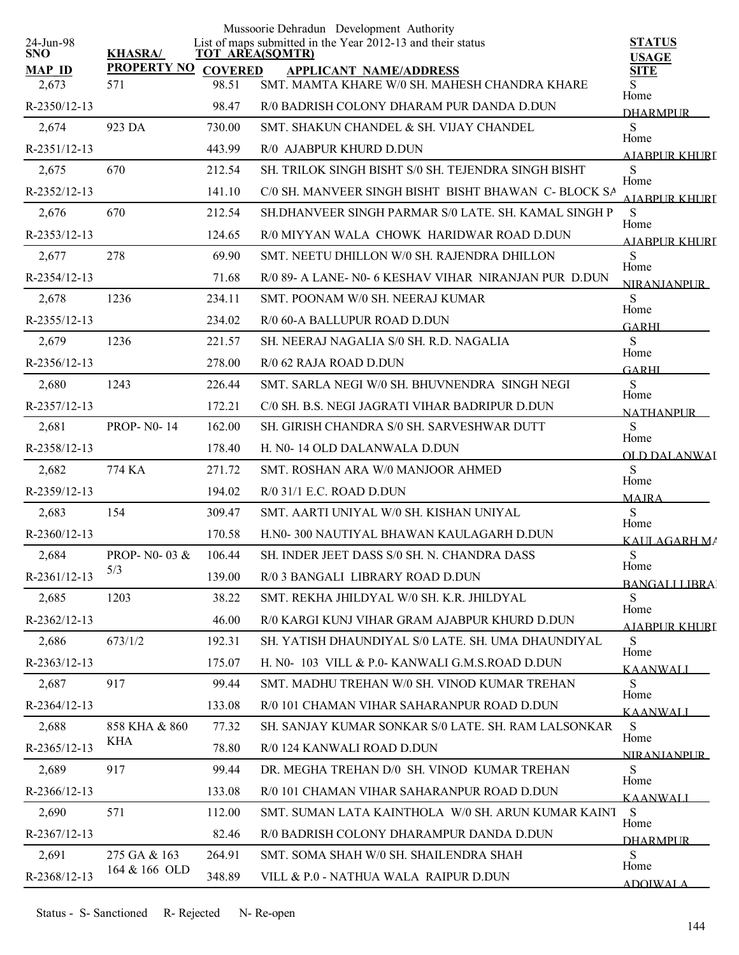|                         |                     |        | Mussoorie Dehradun Development Authority                                       |                                     |
|-------------------------|---------------------|--------|--------------------------------------------------------------------------------|-------------------------------------|
| 24-Jun-98<br><b>SNO</b> | <b>KHASRA/</b>      |        | List of maps submitted in the Year 2012-13 and their status<br>TOT AREA(SQMTR) | <b>STATUS</b><br><b>USAGE</b>       |
| <b>MAP ID</b>           | PROPERTY NO COVERED |        | <b>APPLICANT NAME/ADDRESS</b>                                                  | <b>SITE</b>                         |
| 2,673                   | 571                 | 98.51  | SMT. MAMTA KHARE W/0 SH. MAHESH CHANDRA KHARE                                  | S.<br>Home                          |
| R-2350/12-13            |                     | 98.47  | R/0 BADRISH COLONY DHARAM PUR DANDA D.DUN                                      | <b>DHARMPUR</b>                     |
| 2,674                   | 923 DA              | 730.00 | SMT. SHAKUN CHANDEL & SH. VIJAY CHANDEL                                        | S<br>Home                           |
| R-2351/12-13            |                     | 443.99 | R/0 AJABPUR KHURD D.DUN                                                        | AIARPUR KHURI                       |
| 2,675                   | 670                 | 212.54 | SH. TRILOK SINGH BISHT S/0 SH. TEJENDRA SINGH BISHT                            | S<br>Home                           |
| R-2352/12-13            |                     | 141.10 | C/0 SH. MANVEER SINGH BISHT BISHT BHAWAN C- BLOCK SA                           | AIARPUR KHURI                       |
| 2,676                   | 670                 | 212.54 | SH.DHANVEER SINGH PARMAR S/0 LATE, SH, KAMAL SINGH P                           | S<br>Home                           |
| R-2353/12-13            |                     | 124.65 | R/0 MIYYAN WALA CHOWK HARIDWAR ROAD D.DUN                                      | A JABPI IR KHLIRT                   |
| 2,677                   | 278                 | 69.90  | SMT. NEETU DHILLON W/0 SH. RAJENDRA DHILLON                                    | S                                   |
| R-2354/12-13            |                     | 71.68  | R/0 89- A LANE- N0- 6 KESHAV VIHAR NIRANJAN PUR D.DUN                          | Home<br>NIR ANIANPUR                |
| 2,678                   | 1236                | 234.11 | SMT. POONAM W/0 SH. NEERAJ KUMAR                                               | S                                   |
| R-2355/12-13            |                     | 234.02 | R/0 60-A BALLUPUR ROAD D.DUN                                                   | Home<br><b>GARHI</b>                |
| 2,679                   | 1236                | 221.57 | SH. NEERAJ NAGALIA S/0 SH. R.D. NAGALIA                                        | S                                   |
| R-2356/12-13            |                     | 278.00 | R/0 62 RAJA ROAD D.DUN                                                         | Home<br><b>GARHI</b>                |
| 2,680                   | 1243                | 226.44 | SMT. SARLA NEGI W/0 SH. BHUVNENDRA SINGH NEGI                                  | <sub>S</sub>                        |
| R-2357/12-13            |                     | 172.21 | C/0 SH. B.S. NEGI JAGRATI VIHAR BADRIPUR D.DUN                                 | Home                                |
| 2,681                   | <b>PROP-N0-14</b>   | 162.00 | SH. GIRISH CHANDRA S/0 SH. SARVESHWAR DUTT                                     | <b>NATHANPUR</b><br>S               |
| R-2358/12-13            |                     | 178.40 | H. N0-14 OLD DALANWALA D.DUN                                                   | Home                                |
| 2,682                   | 774 KA              | 271.72 | SMT. ROSHAN ARA W/0 MANJOOR AHMED                                              | OLD DALANWAI<br>S                   |
| R-2359/12-13            |                     | 194.02 | $R/0$ 31/1 E.C. ROAD D.DUN                                                     | Home                                |
| 2,683                   | 154                 | 309.47 | SMT. AARTI UNIYAL W/0 SH. KISHAN UNIYAL                                        | <b>MAJRA</b><br>S                   |
| $R-2360/12-13$          |                     | 170.58 | H.N0-300 NAUTIYAL BHAWAN KAULAGARH D.DUN                                       | Home                                |
| 2,684                   | PROP- N0-03 &       | 106.44 | SH. INDER JEET DASS S/0 SH. N. CHANDRA DASS                                    | KAULAGARH MA<br>S                   |
| R-2361/12-13            | 5/3                 | 139.00 | R/0 3 BANGALI LIBRARY ROAD D.DUN                                               | Home                                |
| 2,685                   | 1203                | 38.22  | SMT. REKHA JHILDYAL W/0 SH. K.R. JHILDYAL                                      | <b>BANGALLLIBRA</b><br><sub>S</sub> |
| R-2362/12-13            |                     | 46.00  | R/0 KARGI KUNJ VIHAR GRAM AJABPUR KHURD D.DUN                                  | Home                                |
| 2,686                   | 673/1/2             | 192.31 | SH. YATISH DHAUNDIYAL S/0 LATE. SH. UMA DHAUNDIYAL                             | <u>AJABPUR KHURI</u><br>S           |
| R-2363/12-13            |                     | 175.07 | H. N0- 103 VILL & P.0- KANWALI G.M.S.ROAD D.DUN                                | Home                                |
| 2,687                   | 917                 | 99.44  | SMT. MADHU TREHAN W/0 SH. VINOD KUMAR TREHAN                                   | KAANWALI<br>S.                      |
| R-2364/12-13            |                     | 133.08 | R/0 101 CHAMAN VIHAR SAHARANPUR ROAD D.DUN                                     | Home                                |
| 2,688                   | 858 KHA & 860       | 77.32  | SH. SANJAY KUMAR SONKAR S/0 LATE. SH. RAM LALSONKAR                            | KAANWALI<br>S                       |
| R-2365/12-13            | KHA                 | 78.80  | R/0 124 KANWALI ROAD D.DUN                                                     | Home                                |
| 2,689                   | 917                 | 99.44  | DR. MEGHA TREHAN D/0 SH. VINOD KUMAR TREHAN                                    | <b>NIRANIANPLIR</b><br><sub>S</sub> |
| R-2366/12-13            |                     | 133.08 | R/0 101 CHAMAN VIHAR SAHARANPUR ROAD D.DUN                                     | Home                                |
| 2,690                   | 571                 | 112.00 | SMT. SUMAN LATA KAINTHOLA W/0 SH. ARUN KUMAR KAINT                             | <b>KAANWALI</b><br>S.               |
| R-2367/12-13            |                     | 82.46  | R/0 BADRISH COLONY DHARAMPUR DANDA D.DUN                                       | Home                                |
| 2,691                   | 275 GA & 163        | 264.91 | SMT. SOMA SHAH W/0 SH. SHAILENDRA SHAH                                         | <b>DHARMPUR</b><br>S                |
| R-2368/12-13            | 164 & 166 OLD       |        |                                                                                | Home                                |
|                         |                     | 348.89 | VILL & P.0 - NATHUA WALA RAIPUR D.DUN                                          | <b>ADOIWALA</b>                     |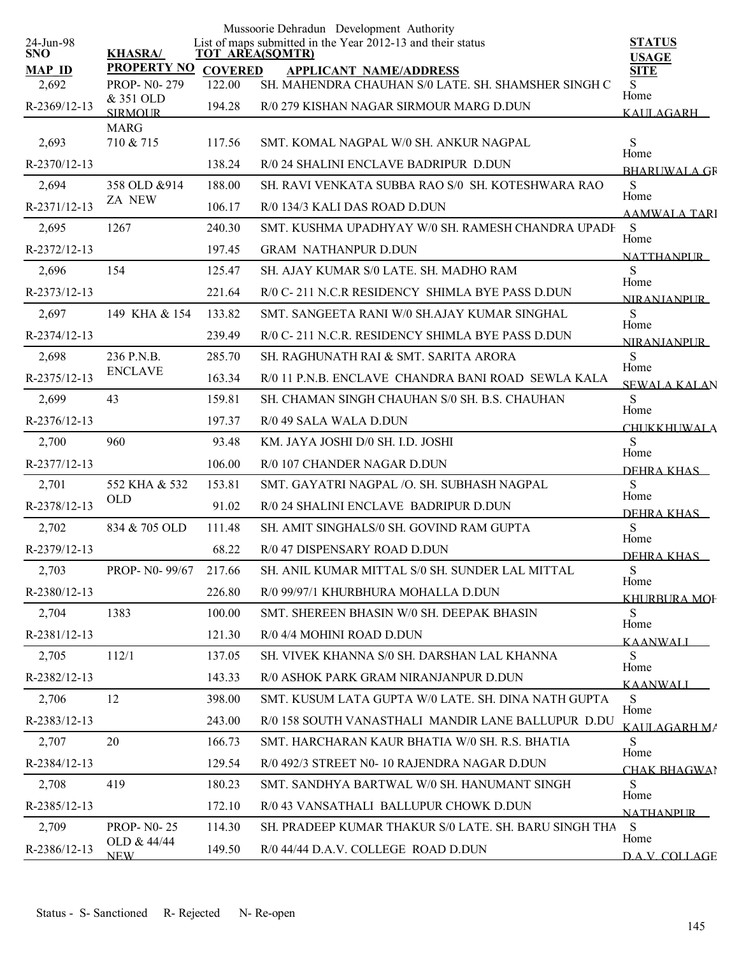|                         |                             |                | Mussoorie Dehradun Development Authority                                       |                                   |
|-------------------------|-----------------------------|----------------|--------------------------------------------------------------------------------|-----------------------------------|
| 24-Jun-98<br><b>SNO</b> | <b>KHASRA/</b>              |                | List of maps submitted in the Year 2012-13 and their status<br>TOT AREA(SQMTR) | <b>STATUS</b><br><b>USAGE</b>     |
| <b>MAP ID</b>           | <b>PROPERTY NO</b>          | <b>COVERED</b> | <b>APPLICANT NAME/ADDRESS</b>                                                  | <b>SITE</b>                       |
| 2,692                   | <b>PROP-N0-279</b>          | 122.00         | SH. MAHENDRA CHAUHAN S/0 LATE. SH. SHAMSHER SINGH C                            | S.<br>Home                        |
| R-2369/12-13            | & 351 OLD<br><b>SIRMOUR</b> | 194.28         | R/0 279 KISHAN NAGAR SIRMOUR MARG D.DUN                                        | <b>KAULAGARH</b>                  |
|                         | <b>MARG</b>                 |                |                                                                                |                                   |
| 2,693                   | 710 & 715                   | 117.56         | SMT. KOMAL NAGPAL W/0 SH. ANKUR NAGPAL                                         | S<br>Home                         |
| R-2370/12-13            |                             | 138.24         | R/0 24 SHALINI ENCLAVE BADRIPUR D.DUN                                          | <b>BHARUWALA GR</b>               |
| 2,694                   | 358 OLD & 914               | 188.00         | SH. RAVI VENKATA SUBBA RAO S/0 SH. KOTESHWARA RAO                              | S<br>Home                         |
| R-2371/12-13            | <b>ZA NEW</b>               | 106.17         | R/0 134/3 KALI DAS ROAD D.DUN                                                  | AAMWALA TARI                      |
| 2,695                   | 1267                        | 240.30         | SMT. KUSHMA UPADHYAY W/0 SH. RAMESH CHANDRA UPADH                              | S<br>Home                         |
| R-2372/12-13            |                             | 197.45         | <b>GRAM NATHANPUR D.DUN</b>                                                    | <b>NATTHANPLIR</b>                |
| 2,696                   | 154                         | 125.47         | SH. AJAY KUMAR S/0 LATE. SH. MADHO RAM                                         | S                                 |
| R-2373/12-13            |                             | 221.64         | R/0 C-211 N.C.R RESIDENCY SHIMLA BYE PASS D.DUN                                | Home<br><b>NIRANIANPLIR</b>       |
| 2,697                   | 149 KHA & 154               | 133.82         | SMT. SANGEETA RANI W/0 SH AJAY KUMAR SINGHAL                                   | S                                 |
| R-2374/12-13            |                             | 239.49         | R/0 C-211 N.C.R. RESIDENCY SHIMLA BYE PASS D.DUN                               | Home<br>NIR ANIANPUR              |
| 2,698                   | 236 P.N.B.                  | 285.70         | SH. RAGHUNATH RAI & SMT. SARITA ARORA                                          | S                                 |
| R-2375/12-13            | <b>ENCLAVE</b>              | 163.34         | R/0 11 P.N.B. ENCLAVE CHANDRA BANI ROAD SEWLA KALA                             | Home<br><b>SEWALA KALAN</b>       |
| 2,699                   | 43                          | 159.81         | SH. CHAMAN SINGH CHAUHAN S/0 SH. B.S. CHAUHAN                                  | S                                 |
| R-2376/12-13            |                             | 197.37         | R/0 49 SALA WALA D.DUN                                                         | Home<br><b>CHUKKHUWALA</b>        |
| 2,700                   | 960                         | 93.48          | KM. JAYA JOSHI D/0 SH. I.D. JOSHI                                              | S                                 |
| R-2377/12-13            |                             | 106.00         | R/0 107 CHANDER NAGAR D.DUN                                                    | Home<br>DEHRA KHAS                |
| 2,701                   | 552 KHA & 532               | 153.81         | SMT. GAYATRI NAGPAL / O. SH. SUBHASH NAGPAL                                    | S                                 |
| R-2378/12-13            | <b>OLD</b>                  | 91.02          | R/0 24 SHALINI ENCLAVE BADRIPUR D.DUN                                          | Home<br>DEHRA KHAS                |
| 2,702                   | 834 & 705 OLD               | 111.48         | SH. AMIT SINGHALS/0 SH. GOVIND RAM GUPTA                                       | S                                 |
| R-2379/12-13            |                             | 68.22          | R/0 47 DISPENSARY ROAD D.DUN                                                   | Home                              |
| 2,703                   | PROP- N0-99/67              | 217.66         | SH. ANIL KUMAR MITTAL S/0 SH. SUNDER LAL MITTAL                                | DEHRA KHAS<br>S                   |
| R-2380/12-13            |                             | 226.80         | R/0 99/97/1 KHURBHURA MOHALLA D.DUN                                            | Home                              |
| 2,704                   | 1383                        | 100.00         | SMT. SHEREEN BHASIN W/0 SH. DEEPAK BHASIN                                      | KHURBURA MOF<br>S                 |
| R-2381/12-13            |                             | 121.30         | R/0 4/4 MOHINI ROAD D.DUN                                                      | Home                              |
| 2,705                   | 112/1                       | 137.05         | SH. VIVEK KHANNA S/0 SH. DARSHAN LAL KHANNA                                    | KAANWALI<br>S.                    |
| R-2382/12-13            |                             | 143.33         | R/0 ASHOK PARK GRAM NIRANJANPUR D.DUN                                          | Home                              |
| 2,706                   | 12                          | 398.00         | SMT. KUSUM LATA GUPTA W/0 LATE. SH. DINA NATH GUPTA                            | <b>KAANWALL</b><br>S.             |
| R-2383/12-13            |                             | 243.00         | R/0 158 SOUTH VANASTHALI MANDIR LANE BALLUPUR D.DU                             | Home                              |
| 2,707                   | 20                          | 166.73         | SMT. HARCHARAN KAUR BHATIA W/0 SH. R.S. BHATIA                                 | KALILAGARH MA<br>S                |
| R-2384/12-13            |                             | 129.54         | R/0 492/3 STREET N0-10 RAJENDRA NAGAR D.DUN                                    | Home                              |
| 2,708                   | 419                         | 180.23         | SMT. SANDHYA BARTWAL W/0 SH. HANUMANT SINGH                                    | CHAK BHAGWAI<br>S                 |
| R-2385/12-13            |                             | 172.10         | R/0 43 VANSATHALI BALLUPUR CHOWK D.DUN                                         | Home                              |
| 2,709                   | <b>PROP-N0-25</b>           | 114.30         | SH. PRADEEP KUMAR THAKUR S/0 LATE. SH. BARU SINGH THA                          | <b>NATHANPLIR</b><br><sub>S</sub> |
|                         | OLD & 44/44                 |                |                                                                                | Home                              |
| R-2386/12-13            | <b>NEW</b>                  | 149.50         | R/0 44/44 D.A.V. COLLEGE ROAD D.DUN                                            | DAV COLLAGE                       |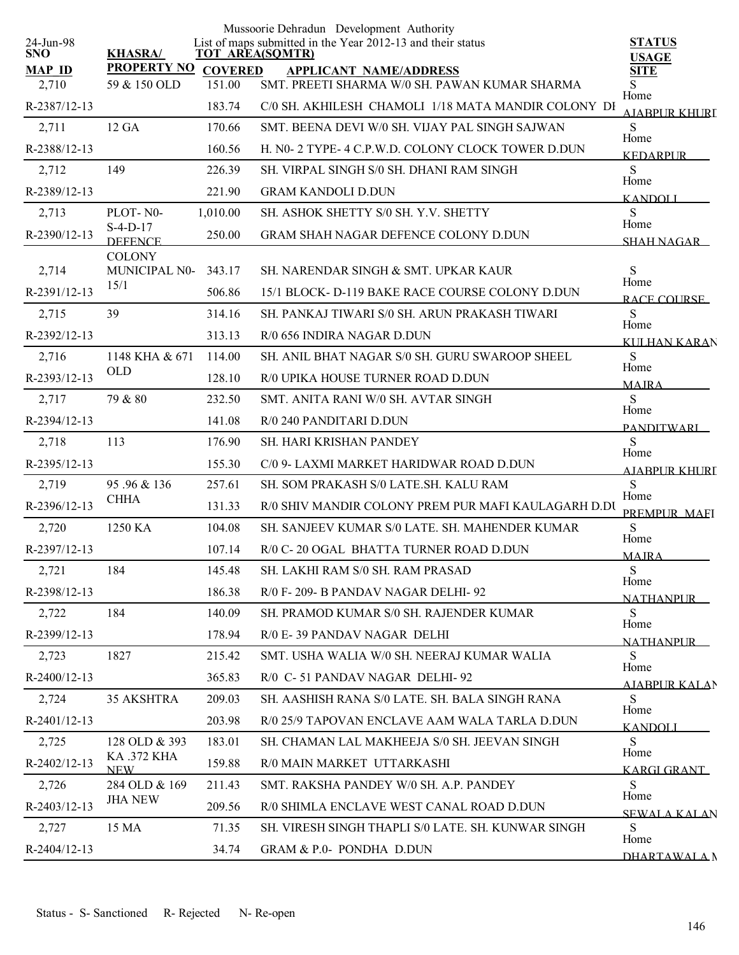|                         |                              |                | Mussoorie Dehradun Development Authority                                              |                               |
|-------------------------|------------------------------|----------------|---------------------------------------------------------------------------------------|-------------------------------|
| 24-Jun-98<br><b>SNO</b> | <b>KHASRA/</b>               |                | List of maps submitted in the Year 2012-13 and their status<br><b>TOT AREA(SQMTR)</b> | <b>STATUS</b><br><b>USAGE</b> |
| <b>MAP ID</b>           | <b>PROPERTY NO</b>           | <b>COVERED</b> | <b>APPLICANT NAME/ADDRESS</b>                                                         | <b>SITE</b>                   |
| 2,710                   | 59 & 150 OLD                 | 151.00         | SMT. PREETI SHARMA W/0 SH. PAWAN KUMAR SHARMA                                         | S<br>Home                     |
| R-2387/12-13            |                              | 183.74         | C/0 SH. AKHILESH CHAMOLI 1/18 MATA MANDIR COLONY DI                                   | AJABPUR KHURI                 |
| 2,711                   | 12 GA                        | 170.66         | SMT. BEENA DEVI W/0 SH. VIJAY PAL SINGH SAJWAN                                        | S<br>Home                     |
| R-2388/12-13            |                              | 160.56         | H. N0- 2 TYPE- 4 C.P.W.D. COLONY CLOCK TOWER D.DUN                                    | <b>KEDARPUR</b>               |
| 2,712                   | 149                          | 226.39         | SH. VIRPAL SINGH S/0 SH. DHANI RAM SINGH                                              | S<br>Home                     |
| R-2389/12-13            |                              | 221.90         | <b>GRAM KANDOLI D.DUN</b>                                                             | <b>KANDOLI</b>                |
| 2,713                   | PLOT-N0-                     | 1,010.00       | SH. ASHOK SHETTY S/0 SH. Y.V. SHETTY                                                  | S<br>Home                     |
| R-2390/12-13            | $S-4-D-17$<br><b>DEFENCE</b> | 250.00         | <b>GRAM SHAH NAGAR DEFENCE COLONY D.DUN</b>                                           | <b>SHAH NAGAR</b>             |
|                         | <b>COLONY</b>                |                |                                                                                       |                               |
| 2,714                   | MUNICIPAL N0-<br>15/1        | 343.17         | SH. NARENDAR SINGH & SMT. UPKAR KAUR                                                  | S<br>Home                     |
| R-2391/12-13            |                              | 506.86         | 15/1 BLOCK- D-119 BAKE RACE COURSE COLONY D.DUN                                       | RACE COURSE                   |
| 2,715                   | 39                           | 314.16         | SH. PANKAJ TIWARI S/0 SH. ARUN PRAKASH TIWARI                                         | S<br>Home                     |
| R-2392/12-13            |                              | 313.13         | R/0 656 INDIRA NAGAR D.DUN                                                            | KULHAN KARAN                  |
| 2,716                   | 1148 KHA & 671               | 114.00         | SH. ANIL BHAT NAGAR S/0 SH. GURU SWAROOP SHEEL                                        | S<br>Home                     |
| R-2393/12-13            | <b>OLD</b>                   | 128.10         | R/0 UPIKA HOUSE TURNER ROAD D.DUN                                                     | <b>MAJRA</b>                  |
| 2,717                   | 79 & 80                      | 232.50         | SMT. ANITA RANI W/0 SH. AVTAR SINGH                                                   | S<br>Home                     |
| R-2394/12-13            |                              | 141.08         | R/0 240 PANDITARI D.DUN                                                               | <b>PANDITWARI</b>             |
| 2,718                   | 113                          | 176.90         | SH. HARI KRISHAN PANDEY                                                               | S                             |
| R-2395/12-13            |                              | 155.30         | C/0 9- LAXMI MARKET HARIDWAR ROAD D.DUN                                               | Home<br>AIARPUR KHURI         |
| 2,719                   | 95.96 & 136                  | 257.61         | SH. SOM PRAKASH S/0 LATE.SH. KALU RAM                                                 | S                             |
| R-2396/12-13            | <b>CHHA</b>                  | 131.33         | R/0 SHIV MANDIR COLONY PREM PUR MAFI KAULAGARH D.DU                                   | Home<br>PREMPUR MAEI          |
| 2,720                   | 1250 KA                      | 104.08         | SH. SANJEEV KUMAR S/0 LATE, SH. MAHENDER KUMAR                                        | S                             |
| R-2397/12-13            |                              | 107.14         | R/0 C-20 OGAL BHATTA TURNER ROAD D.DUN                                                | Home<br><b>MAJRA</b>          |
| 2,721                   | 184                          | 145.48         | SH. LAKHI RAM S/0 SH. RAM PRASAD                                                      | S                             |
| R-2398/12-13            |                              | 186.38         | R/0 F-209-B PANDAV NAGAR DELHI-92                                                     | Home<br><b>NATHANPUR</b>      |
| 2,722                   | 184                          | 140.09         | SH. PRAMOD KUMAR S/0 SH. RAJENDER KUMAR                                               | S                             |
| R-2399/12-13            |                              | 178.94         | R/0 E-39 PANDAV NAGAR DELHI                                                           | Home                          |
| 2,723                   | 1827                         | 215.42         | SMT. USHA WALIA W/0 SH. NEERAJ KUMAR WALIA                                            | <b>NATHANPUR</b><br>S         |
| $R-2400/12-13$          |                              | 365.83         | R/0 C-51 PANDAV NAGAR DELHI-92                                                        | Home                          |
| 2,724                   | 35 AKSHTRA                   | 209.03         | SH. AASHISH RANA S/0 LATE. SH. BALA SINGH RANA                                        | AJABPUR KALAN<br>S            |
| $R-2401/12-13$          |                              | 203.98         | R/0 25/9 TAPOVAN ENCLAVE AAM WALA TARLA D.DUN                                         | Home                          |
| 2,725                   | 128 OLD & 393                | 183.01         | SH. CHAMAN LAL MAKHEEJA S/0 SH. JEEVAN SINGH                                          | <b>KANDOLI</b><br>S.          |
| R-2402/12-13            | <b>KA .372 KHA</b>           | 159.88         | R/0 MAIN MARKET UTTARKASHI                                                            | Home                          |
| 2,726                   | <b>NEW</b><br>284 OLD & 169  | 211.43         | SMT. RAKSHA PANDEY W/0 SH. A.P. PANDEY                                                | <b>KARGI GRANT</b><br>S       |
|                         | <b>JHA NEW</b>               |                |                                                                                       | Home                          |
| R-2403/12-13            |                              | 209.56         | R/0 SHIMLA ENCLAVE WEST CANAL ROAD D.DUN                                              | <b>SEWALA KALAN</b>           |
| 2,727                   | 15 MA                        | 71.35          | SH. VIRESH SINGH THAPLI S/0 LATE. SH. KUNWAR SINGH                                    | S.<br>Home                    |
| R-2404/12-13            |                              | 34.74          | GRAM & P.0- PONDHA D.DUN                                                              | DHARTAWALA N                  |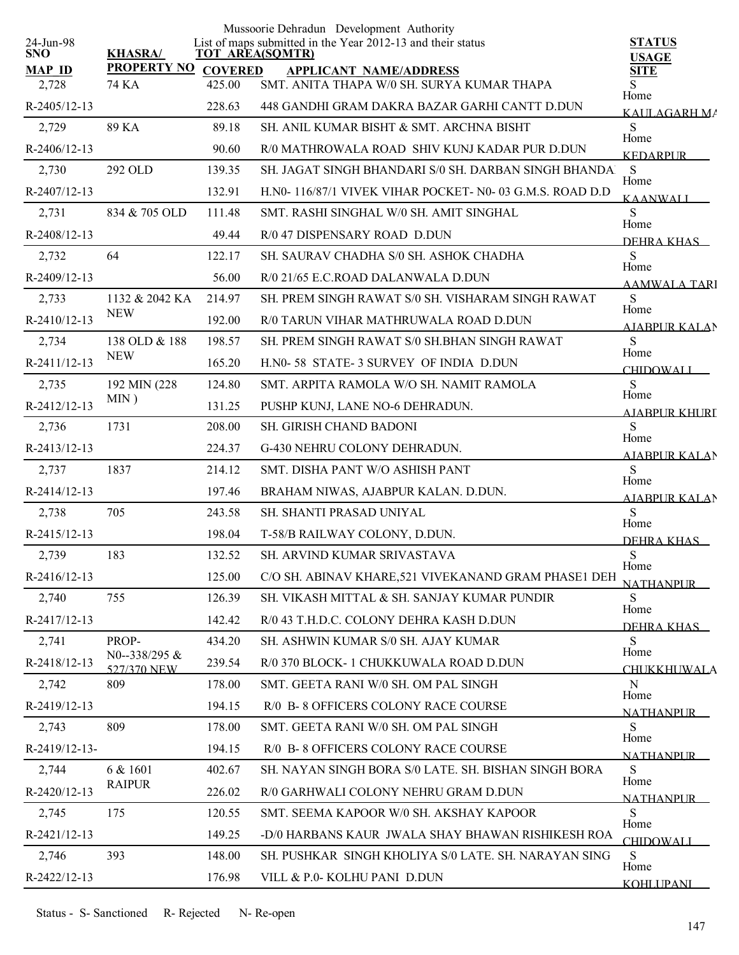|                         |                     |        | Mussoorie Dehradun Development Authority                                              |                               |
|-------------------------|---------------------|--------|---------------------------------------------------------------------------------------|-------------------------------|
| 24-Jun-98<br><b>SNO</b> | <b>KHASRA/</b>      |        | List of maps submitted in the Year 2012-13 and their status<br><b>TOT AREA(SQMTR)</b> | <b>STATUS</b><br><b>USAGE</b> |
| <b>MAP ID</b>           | PROPERTY NO COVERED |        | <b>APPLICANT NAME/ADDRESS</b>                                                         | <b>SITE</b>                   |
| 2,728                   | 74 KA               | 425.00 | SMT. ANITA THAPA W/0 SH. SURYA KUMAR THAPA                                            | S.<br>Home                    |
| R-2405/12-13            |                     | 228.63 | 448 GANDHI GRAM DAKRA BAZAR GARHI CANTT D.DUN                                         | KAULAGARH MA                  |
| 2,729                   | 89 KA               | 89.18  | SH. ANIL KUMAR BISHT & SMT. ARCHNA BISHT                                              | S<br>Home                     |
| R-2406/12-13            |                     | 90.60  | R/0 MATHROWALA ROAD SHIV KUNJ KADAR PUR D.DUN                                         | <b>KEDARPUR</b>               |
| 2,730                   | 292 OLD             | 139.35 | SH. JAGAT SINGH BHANDARI S/0 SH. DARBAN SINGH BHANDA.                                 | S<br>Home                     |
| R-2407/12-13            |                     | 132.91 | H.N0-116/87/1 VIVEK VIHAR POCKET- N0-03 G.M.S. ROAD D.D                               | <b>KAANWALI</b>               |
| 2,731                   | 834 & 705 OLD       | 111.48 | SMT. RASHI SINGHAL W/0 SH. AMIT SINGHAL                                               | S<br>Home                     |
| R-2408/12-13            |                     | 49.44  | R/0 47 DISPENSARY ROAD D.DUN                                                          | DEHRA KHAS                    |
| 2,732                   | 64                  | 122.17 | SH. SAURAV CHADHA S/0 SH. ASHOK CHADHA                                                | S<br>Home                     |
| R-2409/12-13            |                     | 56.00  | R/0 21/65 E.C.ROAD DALANWALA D.DUN                                                    | AAMWALA TARI                  |
| 2,733                   | 1132 & 2042 KA      | 214.97 | SH. PREM SINGH RAWAT S/0 SH. VISHARAM SINGH RAWAT                                     | S                             |
| R-2410/12-13            | <b>NEW</b>          | 192.00 | R/0 TARUN VIHAR MATHRUWALA ROAD D.DUN                                                 | Home<br><b>AJABPUR KALAN</b>  |
| 2,734                   | 138 OLD & 188       | 198.57 | SH. PREM SINGH RAWAT S/0 SH.BHAN SINGH RAWAT                                          | S                             |
| R-2411/12-13            | <b>NEW</b>          | 165.20 | H.N0-58 STATE-3 SURVEY OF INDIA D.DUN                                                 | Home<br><b>CHIDOWALI</b>      |
| 2,735                   | 192 MIN (228)       | 124.80 | SMT. ARPITA RAMOLA W/O SH. NAMIT RAMOLA                                               | S                             |
| R-2412/12-13            | $MIN$ )             | 131.25 | PUSHP KUNJ, LANE NO-6 DEHRADUN.                                                       | Home<br>AIABPUR KHURI         |
| 2,736                   | 1731                | 208.00 | SH. GIRISH CHAND BADONI                                                               | S                             |
| R-2413/12-13            |                     | 224.37 | G-430 NEHRU COLONY DEHRADUN.                                                          | Home<br><b>AJABPUR KALAN</b>  |
| 2,737                   | 1837                | 214.12 | SMT. DISHA PANT W/O ASHISH PANT                                                       | S                             |
| R-2414/12-13            |                     | 197.46 | BRAHAM NIWAS, AJABPUR KALAN. D.DUN.                                                   | Home<br><b>AJABPUR KALAN</b>  |
| 2,738                   | 705                 | 243.58 | SH. SHANTI PRASAD UNIYAL                                                              | S                             |
| R-2415/12-13            |                     | 198.04 | T-58/B RAILWAY COLONY, D.DUN.                                                         | Home<br>DEHRA KHAS            |
| 2,739                   | 183                 | 132.52 | <b>SH. ARVIND KUMAR SRIVASTAVA</b>                                                    | S                             |
| R-2416/12-13            |                     | 125.00 | C/O SH. ABINAV KHARE, 521 VIVEKANAND GRAM PHASE1 DEH                                  | Home                          |
| 2,740                   | 755                 | 126.39 | SH. VIKASH MITTAL & SH. SANJAY KUMAR PUNDIR                                           | NATHANPUR <b>NAT</b><br>S     |
| R-2417/12-13            |                     | 142.42 | R/0 43 T.H.D.C. COLONY DEHRA KASH D.DUN                                               | Home                          |
| 2,741                   | PROP-               | 434.20 | SH. ASHWIN KUMAR S/0 SH. AJAY KUMAR                                                   | DEHRA KHAS<br>S               |
| R-2418/12-13            | N0--338/295 $&$     | 239.54 | R/0 370 BLOCK- 1 CHUKKUWALA ROAD D.DUN                                                | Home                          |
| 2,742                   | 527/370 NEW<br>809  | 178.00 | SMT. GEETA RANI W/0 SH. OM PAL SINGH                                                  | CHUKKHUWALA<br>N              |
| R-2419/12-13            |                     | 194.15 | R/0 B- 8 OFFICERS COLONY RACE COURSE                                                  | Home                          |
| 2,743                   | 809                 | 178.00 | SMT. GEETA RANI W/0 SH. OM PAL SINGH                                                  | NATHANPI IR<br>S              |
| R-2419/12-13-           |                     | 194.15 | R/0 B- 8 OFFICERS COLONY RACE COURSE                                                  | Home                          |
| 2,744                   | 6 & 1601            | 402.67 | SH. NAYAN SINGH BORA S/0 LATE. SH. BISHAN SINGH BORA                                  | <b>NATHANPLIR</b><br>S        |
| R-2420/12-13            | <b>RAIPUR</b>       | 226.02 | R/0 GARHWALI COLONY NEHRU GRAM D.DUN                                                  | Home                          |
| 2,745                   | 175                 | 120.55 | SMT. SEEMA KAPOOR W/0 SH. AKSHAY KAPOOR                                               | <b>NATHANPUR</b><br>S         |
| R-2421/12-13            |                     | 149.25 | -D/0 HARBANS KAUR JWALA SHAY BHAWAN RISHIKESH ROA                                     | Home                          |
| 2,746                   | 393                 | 148.00 | SH. PUSHKAR SINGH KHOLIYA S/0 LATE. SH. NARAYAN SING                                  | <b>CHIDOWALI</b><br>S         |
|                         |                     |        |                                                                                       | Home                          |
| R-2422/12-13            |                     | 176.98 | VILL & P.0- KOLHU PANI D.DUN                                                          | <b>KOHLUPANI</b>              |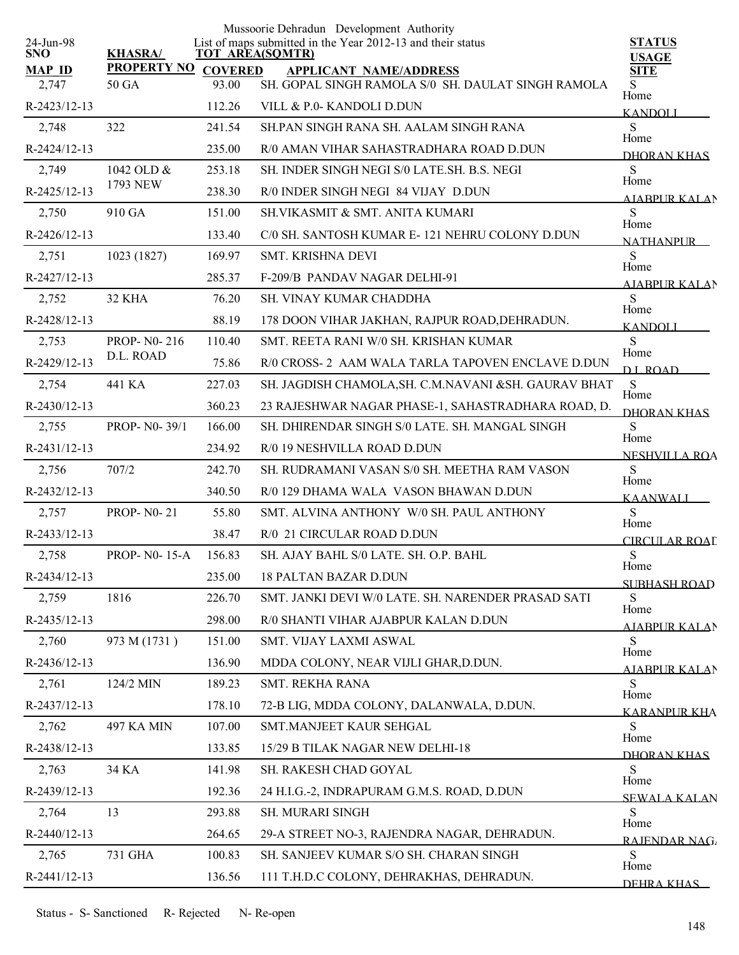| 24-Jun-98              |                                     |        | Mussoorie Dehradun Development Authority<br>List of maps submitted in the Year 2012-13 and their status | <b>STATUS</b>                |
|------------------------|-------------------------------------|--------|---------------------------------------------------------------------------------------------------------|------------------------------|
| <b>SNO</b>             | <b>KHASRA/</b>                      |        | <b>TOT AREA(SQMTR)</b>                                                                                  | <b>USAGE</b>                 |
| <b>MAP ID</b><br>2,747 | <b>PROPERTY NO COVERED</b><br>50 GA | 93.00  | <b>APPLICANT NAME/ADDRESS</b><br>SH. GOPAL SINGH RAMOLA S/0 SH. DAULAT SINGH RAMOLA                     | <b>SITE</b><br>S             |
| R-2423/12-13           |                                     | 112.26 | VILL & P.0- KANDOLI D.DUN                                                                               | Home                         |
| 2,748                  | 322                                 | 241.54 | SH PAN SINGH RANA SH. AALAM SINGH RANA                                                                  | <b>KANDOLI</b><br>S          |
| R-2424/12-13           |                                     | 235.00 | R/0 AMAN VIHAR SAHASTRADHARA ROAD D.DUN                                                                 | Home                         |
| 2,749                  | 1042 OLD &                          | 253.18 | SH. INDER SINGH NEGI S/0 LATE.SH. B.S. NEGI                                                             | DHORAN KHAS<br>S             |
| R-2425/12-13           | 1793 NEW                            | 238.30 | R/0 INDER SINGH NEGI 84 VIJAY D.DUN                                                                     | Home                         |
| 2,750                  | 910 GA                              | 151.00 | SH.VIKASMIT & SMT. ANITA KUMARI                                                                         | <b>AIABPUR KALAN</b><br>S    |
| R-2426/12-13           |                                     | 133.40 | C/0 SH. SANTOSH KUMAR E-121 NEHRU COLONY D.DUN                                                          | Home<br><b>NATHANPUR</b>     |
| 2,751                  | 1023 (1827)                         | 169.97 | <b>SMT. KRISHNA DEVI</b>                                                                                | S                            |
| R-2427/12-13           |                                     | 285.37 | F-209/B PANDAV NAGAR DELHI-91                                                                           | Home<br>AIABPUR KALAN        |
| 2,752                  | 32 KHA                              | 76.20  | <b>SH. VINAY KUMAR CHADDHA</b>                                                                          | S                            |
| R-2428/12-13           |                                     | 88.19  | 178 DOON VIHAR JAKHAN, RAJPUR ROAD, DEHRADUN.                                                           | Home<br><b>KANDOLI</b>       |
| 2,753                  | PROP-N0-216                         | 110.40 | SMT. REETA RANI W/0 SH. KRISHAN KUMAR                                                                   | S                            |
| R-2429/12-13           | D.L. ROAD                           | 75.86  | R/0 CROSS- 2 AAM WALA TARLA TAPOVEN ENCLAVE D.DUN                                                       | Home<br><b>DL ROAD</b>       |
| 2,754                  | 441 KA                              | 227.03 | SH. JAGDISH CHAMOLA, SH. C.M.NAVANI & SH. GAURAV BHAT                                                   | S                            |
| R-2430/12-13           |                                     | 360.23 | 23 RAJESHWAR NAGAR PHASE-1, SAHASTRADHARA ROAD, D.                                                      | Home<br>DHORAN KHAS          |
| 2,755                  | PROP-N0-39/1                        | 166.00 | SH. DHIRENDAR SINGH S/0 LATE. SH. MANGAL SINGH                                                          | S                            |
| R-2431/12-13           |                                     | 234.92 | R/0 19 NESHVILLA ROAD D.DUN                                                                             | Home<br><b>NESHVILLA ROA</b> |
| 2,756                  | 707/2                               | 242.70 | SH. RUDRAMANI VASAN S/0 SH. MEETHA RAM VASON                                                            | S                            |
| R-2432/12-13           |                                     | 340.50 | R/0 129 DHAMA WALA VASON BHAWAN D.DUN                                                                   | Home<br><b>KAANWALL</b>      |
| 2,757                  | <b>PROP-N0-21</b>                   | 55.80  | SMT. ALVINA ANTHONY W/0 SH. PAUL ANTHONY                                                                | S                            |
| R-2433/12-13           |                                     | 38.47  | R/0 21 CIRCULAR ROAD D.DUN                                                                              | Home<br>CIRCULAR ROAL        |
| 2,758                  | <b>PROP-N0-15-A</b>                 | 156.83 | SH. AJAY BAHL S/0 LATE. SH. O.P. BAHL                                                                   | S<br>Home                    |
| R-2434/12-13           |                                     | 235.00 | <b>18 PALTAN BAZAR D.DUN</b>                                                                            | <b>SUBHASH ROAD</b>          |
| 2,759                  | 1816                                | 226.70 | SMT. JANKI DEVI W/0 LATE, SH. NARENDER PRASAD SATI                                                      | S<br>Home                    |
| R-2435/12-13           |                                     | 298.00 | R/0 SHANTI VIHAR AJABPUR KALAN D.DUN                                                                    | AJABPUR KALAN                |
| 2,760                  | 973 M (1731)                        | 151.00 | SMT. VIJAY LAXMI ASWAL                                                                                  | S<br>Home                    |
| R-2436/12-13           |                                     | 136.90 | MDDA COLONY, NEAR VIJLI GHAR, D.DUN.                                                                    | AIARPUR KALAN                |
| 2,761                  | 124/2 MIN                           | 189.23 | <b>SMT. REKHA RANA</b>                                                                                  | S<br>Home                    |
| R-2437/12-13           |                                     | 178.10 | 72-B LIG, MDDA COLONY, DALANWALA, D.DUN.                                                                | <b>KARANPUR KHA</b>          |
| 2,762                  | <b>497 KA MIN</b>                   | 107.00 | SMT.MANJEET KAUR SEHGAL                                                                                 | S<br>Home                    |
| R-2438/12-13           |                                     | 133.85 | 15/29 B TILAK NAGAR NEW DELHI-18                                                                        | DHORAN KHAS                  |
| 2,763                  | 34 KA                               | 141.98 | SH. RAKESH CHAD GOYAL                                                                                   | S<br>Home                    |
| R-2439/12-13           |                                     | 192.36 | 24 H.I.G.-2, INDRAPURAM G.M.S. ROAD, D.DUN                                                              | <b>SEWALA KALAN</b>          |
| 2,764                  | 13                                  | 293.88 | <b>SH. MURARI SINGH</b>                                                                                 | S<br>Home                    |
| R-2440/12-13           |                                     | 264.65 | 29-A STREET NO-3, RAJENDRA NAGAR, DEHRADUN.                                                             | RAJENDAR NAG                 |
| 2,765                  | 731 GHA                             | 100.83 | SH. SANJEEV KUMAR S/O SH. CHARAN SINGH                                                                  | S<br>Home                    |
| R-2441/12-13           |                                     | 136.56 | 111 T.H.D.C COLONY, DEHRAKHAS, DEHRADUN.                                                                | DEHRA KHAS                   |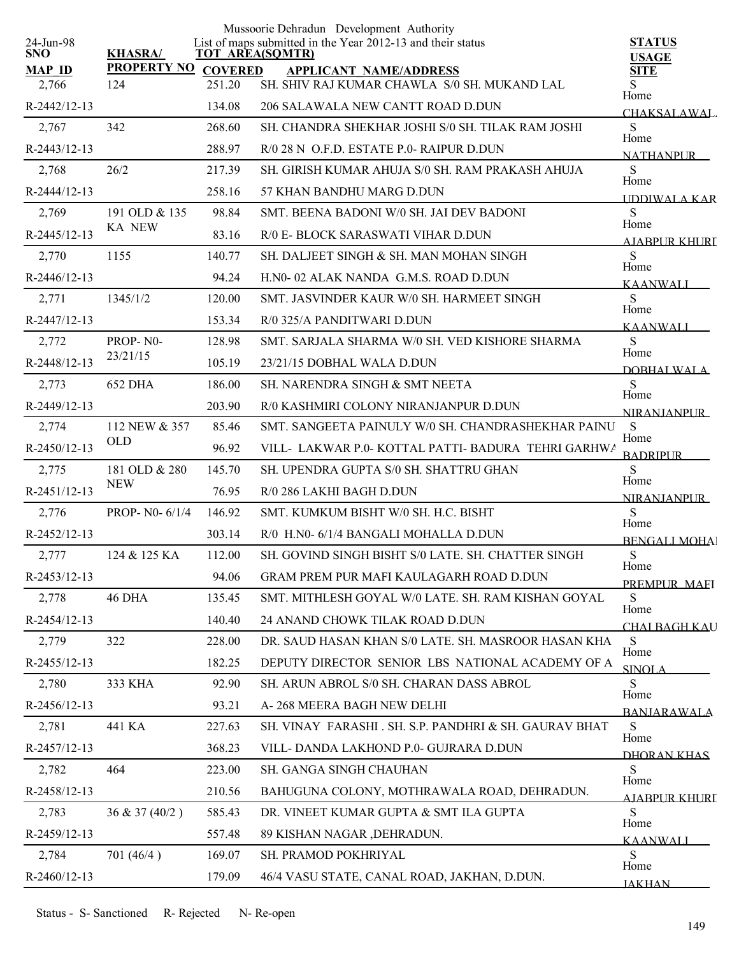|                         |                     |        | Mussoorie Dehradun Development Authority                                              |                               |
|-------------------------|---------------------|--------|---------------------------------------------------------------------------------------|-------------------------------|
| 24-Jun-98<br><b>SNO</b> | <b>KHASRA/</b>      |        | List of maps submitted in the Year 2012-13 and their status<br><b>TOT AREA(SQMTR)</b> | <b>STATUS</b><br><b>USAGE</b> |
| <b>MAP ID</b>           | PROPERTY NO COVERED |        | <b>APPLICANT NAME/ADDRESS</b>                                                         | <b>SITE</b>                   |
| 2,766                   | 124                 | 251.20 | SH. SHIV RAJ KUMAR CHAWLA S/0 SH. MUKAND LAL                                          | S.<br>Home                    |
| R-2442/12-13            |                     | 134.08 | 206 SALAWALA NEW CANTT ROAD D.DUN                                                     | <b>CHAKSALAWAL</b>            |
| 2,767                   | 342                 | 268.60 | SH. CHANDRA SHEKHAR JOSHI S/0 SH. TILAK RAM JOSHI                                     | S.<br>Home                    |
| R-2443/12-13            |                     | 288.97 | R/0 28 N O.F.D. ESTATE P.0- RAIPUR D.DUN                                              | <b>NATHANPLIR</b>             |
| 2,768                   | 26/2                | 217.39 | SH. GIRISH KUMAR AHUJA S/0 SH. RAM PRAKASH AHUJA                                      | S<br>Home                     |
| R-2444/12-13            |                     | 258.16 | 57 KHAN BANDHU MARG D.DUN                                                             | <b>IDDIWALA KAR</b>           |
| 2,769                   | 191 OLD & 135       | 98.84  | SMT. BEENA BADONI W/0 SH. JAI DEV BADONI                                              | S                             |
| R-2445/12-13            | <b>KA NEW</b>       | 83.16  | R/0 E- BLOCK SARASWATI VIHAR D.DUN                                                    | Home<br>AIABPUR KHURT         |
| 2,770                   | 1155                | 140.77 | SH. DALJEET SINGH & SH. MAN MOHAN SINGH                                               | S                             |
| R-2446/12-13            |                     | 94.24  | H.NO-02 ALAK NANDA G.M.S. ROAD D.DUN                                                  | Home<br><b>KAANWALI</b>       |
| 2,771                   | 1345/1/2            | 120.00 | SMT. JASVINDER KAUR W/0 SH. HARMEET SINGH                                             | S                             |
| R-2447/12-13            |                     | 153.34 | R/0 325/A PANDITWARI D.DUN                                                            | Home<br><b>KAANWALI</b>       |
| 2,772                   | PROP-N0-            | 128.98 | SMT. SARJALA SHARMA W/0 SH. VED KISHORE SHARMA                                        | S                             |
| R-2448/12-13            | 23/21/15            | 105.19 | 23/21/15 DOBHAL WALA D.DUN                                                            | Home                          |
| 2,773                   | <b>652 DHA</b>      | 186.00 | SH. NARENDRA SINGH & SMT NEETA                                                        | DOBHALWALA<br>${\bf S}$       |
| R-2449/12-13            |                     | 203.90 | R/0 KASHMIRI COLONY NIRANJANPUR D.DUN                                                 | Home                          |
| 2,774                   | 112 NEW & 357       | 85.46  | SMT. SANGEETA PAINULY W/0 SH. CHANDRASHEKHAR PAINU                                    | <b>NIRANIANPUR</b><br>S       |
| R-2450/12-13            | <b>OLD</b>          | 96.92  | VILL- LAKWAR P.0- KOTTAL PATTI-BADURA TEHRI GARHWA                                    | Home                          |
| 2,775                   | 181 OLD & 280       | 145.70 | SH. UPENDRA GUPTA S/0 SH. SHATTRU GHAN                                                | <b>BADRIPUR</b><br>S          |
| R-2451/12-13            | <b>NEW</b>          | 76.95  | R/0 286 LAKHI BAGH D.DUN                                                              | Home                          |
| 2,776                   | PROP- N0- 6/1/4     | 146.92 | SMT. KUMKUM BISHT W/0 SH. H.C. BISHT                                                  | <b>NIRANJANPUR</b><br>S       |
| R-2452/12-13            |                     | 303.14 | R/0 H.N0- 6/1/4 BANGALI MOHALLA D.DUN                                                 | Home                          |
| 2,777                   | 124 & 125 KA        | 112.00 | SH. GOVIND SINGH BISHT S/0 LATE. SH. CHATTER SINGH                                    | <b>BENGALI MOHAL</b><br>S     |
| R-2453/12-13            |                     | 94.06  | <b>GRAM PREM PUR MAFI KAULAGARH ROAD D.DUN</b>                                        | Home                          |
|                         |                     |        |                                                                                       | PREMPUR MAEI                  |
| 2,778                   | 46 DHA              | 135.45 | SMT. MITHLESH GOYAL W/0 LATE. SH. RAM KISHAN GOYAL                                    | S<br>Home                     |
| R-2454/12-13            |                     | 140.40 | 24 ANAND CHOWK TILAK ROAD D.DUN                                                       | <b>CHAI BAGH KAU</b>          |
| 2,779                   | 322                 | 228.00 | DR. SAUD HASAN KHAN S/0 LATE. SH. MASROOR HASAN KHA                                   | S<br>Home                     |
| R-2455/12-13            |                     | 182.25 | DEPUTY DIRECTOR SENIOR LBS NATIONAL ACADEMY OF A                                      | <b>SINOLA</b>                 |
| 2,780                   | 333 KHA             | 92.90  | SH. ARUN ABROL S/0 SH. CHARAN DASS ABROL                                              | S<br>Home                     |
| R-2456/12-13            |                     | 93.21  | A-268 MEERA BAGH NEW DELHI                                                            | <b>BANIARAWALA</b>            |
| 2,781                   | 441 KA              | 227.63 | SH. VINAY FARASHI . SH. S.P. PANDHRI & SH. GAURAV BHAT                                | S<br>Home                     |
| R-2457/12-13            |                     | 368.23 | VILL-DANDA LAKHOND P.0- GUJRARA D.DUN                                                 | DHORAN KHAS                   |
| 2,782                   | 464                 | 223.00 | SH. GANGA SINGH CHAUHAN                                                               | S<br>Home                     |
| R-2458/12-13            |                     | 210.56 | BAHUGUNA COLONY, MOTHRAWALA ROAD, DEHRADUN.                                           | AIABPUR KHURI                 |
| 2,783                   | 36 & 37(40/2)       | 585.43 | DR. VINEET KUMAR GUPTA & SMT ILA GUPTA                                                | S<br>Home                     |
| R-2459/12-13            |                     | 557.48 | 89 KISHAN NAGAR , DEHRADUN.                                                           | KAANWALI                      |
| 2,784                   | 701(46/4)           | 169.07 | SH. PRAMOD POKHRIYAL                                                                  | S<br>Home                     |
| R-2460/12-13            |                     | 179.09 | 46/4 VASU STATE, CANAL ROAD, JAKHAN, D.DUN.                                           | <b>JAKHAN</b>                 |
|                         |                     |        |                                                                                       |                               |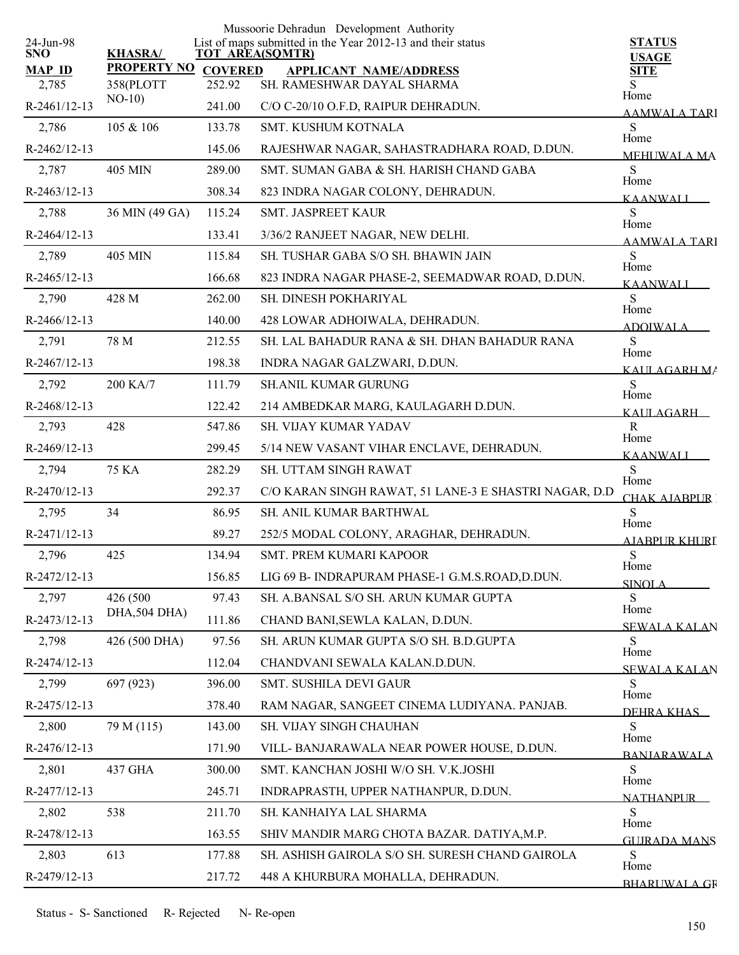|                         |                      |                | Mussoorie Dehradun Development Authority                                              |                               |
|-------------------------|----------------------|----------------|---------------------------------------------------------------------------------------|-------------------------------|
| 24-Jun-98<br><b>SNO</b> | <b>KHASRA/</b>       |                | List of maps submitted in the Year 2012-13 and their status<br><b>TOT AREA(SQMTR)</b> | <b>STATUS</b><br><b>USAGE</b> |
| <b>MAP ID</b>           | <b>PROPERTY NO</b>   | <b>COVERED</b> | <b>APPLICANT NAME/ADDRESS</b>                                                         | <b>SITE</b>                   |
| 2,785                   | 358(PLOTT<br>$NO-10$ | 252.92         | SH. RAMESHWAR DAYAL SHARMA                                                            | Home                          |
| R-2461/12-13            |                      | 241.00         | C/O C-20/10 O.F.D, RAIPUR DEHRADUN.                                                   | AAMWALA TARI                  |
| 2,786                   | 105 & 106            | 133.78         | <b>SMT. KUSHUM KOTNALA</b>                                                            | S<br>Home                     |
| R-2462/12-13            |                      | 145.06         | RAJESHWAR NAGAR, SAHASTRADHARA ROAD, D.DUN.                                           | MEHUWALA MA                   |
| 2,787                   | 405 MIN              | 289.00         | SMT. SUMAN GABA & SH. HARISH CHAND GABA                                               | S<br>Home                     |
| R-2463/12-13            |                      | 308.34         | 823 INDRA NAGAR COLONY, DEHRADUN.                                                     | <b>KAANWALI</b>               |
| 2,788                   | 36 MIN (49 GA)       | 115.24         | <b>SMT. JASPREET KAUR</b>                                                             | S<br>Home                     |
| R-2464/12-13            |                      | 133.41         | 3/36/2 RANJEET NAGAR, NEW DELHI.                                                      | AAMWALA TARI                  |
| 2,789                   | 405 MIN              | 115.84         | SH. TUSHAR GABA S/O SH. BHAWIN JAIN                                                   | S<br>Home                     |
| R-2465/12-13            |                      | 166.68         | 823 INDRA NAGAR PHASE-2, SEEMADWAR ROAD, D.DUN.                                       | <b>KAANWALI</b>               |
| 2,790                   | 428 M                | 262.00         | SH. DINESH POKHARIYAL                                                                 | S                             |
| R-2466/12-13            |                      | 140.00         | 428 LOWAR ADHOIWALA, DEHRADUN.                                                        | Home<br><b>ADOIWALA</b>       |
| 2,791                   | 78 M                 | 212.55         | SH. LAL BAHADUR RANA & SH. DHAN BAHADUR RANA                                          | S                             |
| R-2467/12-13            |                      | 198.38         | INDRA NAGAR GALZWARI, D.DUN.                                                          | Home<br>KAIILAGARH MA         |
| 2,792                   | 200 KA/7             | 111.79         | <b>SH.ANIL KUMAR GURUNG</b>                                                           | S                             |
| R-2468/12-13            |                      | 122.42         | 214 AMBEDKAR MARG, KAULAGARH D.DUN.                                                   | Home<br>KAULAGARH             |
| 2,793                   | 428                  | 547.86         | SH. VIJAY KUMAR YADAV                                                                 | R                             |
| R-2469/12-13            |                      | 299.45         | 5/14 NEW VASANT VIHAR ENCLAVE, DEHRADUN.                                              | Home<br><b>KAANWALI</b>       |
| 2,794                   | <b>75 KA</b>         | 282.29         | SH. UTTAM SINGH RAWAT                                                                 | S                             |
| R-2470/12-13            |                      | 292.37         | C/O KARAN SINGH RAWAT, 51 LANE-3 E SHASTRI NAGAR, D.D                                 | Home<br>CHAK AJABPUR !        |
| 2,795                   | 34                   | 86.95          | SH. ANIL KUMAR BARTHWAL                                                               | S                             |
| R-2471/12-13            |                      | 89.27          | 252/5 MODAL COLONY, ARAGHAR, DEHRADUN.                                                | Home<br>AJABPUR KHURI         |
| 2,796                   | 425                  | 134.94         | <b>SMT. PREM KUMARI KAPOOR</b>                                                        | ${\bf S}$                     |
| R-2472/12-13            |                      | 156.85         | LIG 69 B- INDRAPURAM PHASE-1 G.M.S.ROAD,D.DUN.                                        | Home<br>SINOLA                |
| 2,797                   | 426 (500)            | 97.43          | SH. A.BANSAL S/O SH. ARUN KUMAR GUPTA                                                 | S                             |
| R-2473/12-13            | DHA, 504 DHA)        | 111.86         | CHAND BANI, SEWLA KALAN, D.DUN.                                                       | Home                          |
| 2,798                   | 426 (500 DHA)        | 97.56          | SH. ARUN KUMAR GUPTA S/O SH. B.D.GUPTA                                                | <b>SEWALA KALAN</b><br>S      |
| R-2474/12-13            |                      | 112.04         | CHANDVANI SEWALA KALAN.D.DUN.                                                         | Home                          |
| 2,799                   | 697 (923)            | 396.00         | SMT. SUSHILA DEVI GAUR                                                                | <b>SEWALA KALAN</b><br>S      |
| R-2475/12-13            |                      | 378.40         | RAM NAGAR, SANGEET CINEMA LUDIYANA. PANJAB.                                           | Home                          |
| 2,800                   | 79 M (115)           | 143.00         | SH. VIJAY SINGH CHAUHAN                                                               | DEHRA KHAS<br>S               |
| R-2476/12-13            |                      | 171.90         | VILL- BANJARAWALA NEAR POWER HOUSE, D.DUN.                                            | Home                          |
| 2,801                   | 437 GHA              | 300.00         | SMT. KANCHAN JOSHI W/O SH. V.K.JOSHI                                                  | <b>BANIARAWALA</b><br>S       |
| R-2477/12-13            |                      | 245.71         | INDRAPRASTH, UPPER NATHANPUR, D.DUN.                                                  | Home                          |
| 2,802                   | 538                  | 211.70         | SH. KANHAIYA LAL SHARMA                                                               | <b>NATHANPLIR</b><br>S        |
| R-2478/12-13            |                      | 163.55         | SHIV MANDIR MARG CHOTA BAZAR. DATIYA, M.P.                                            | Home                          |
| 2,803                   | 613                  | 177.88         | SH. ASHISH GAIROLA S/O SH. SURESH CHAND GAIROLA                                       | <b>GUIRADA MANS</b><br>S      |
| R-2479/12-13            |                      | 217.72         | 448 A KHURBURA MOHALLA, DEHRADUN.                                                     | Home                          |
|                         |                      |                |                                                                                       | <b>BHARLWALA GR</b>           |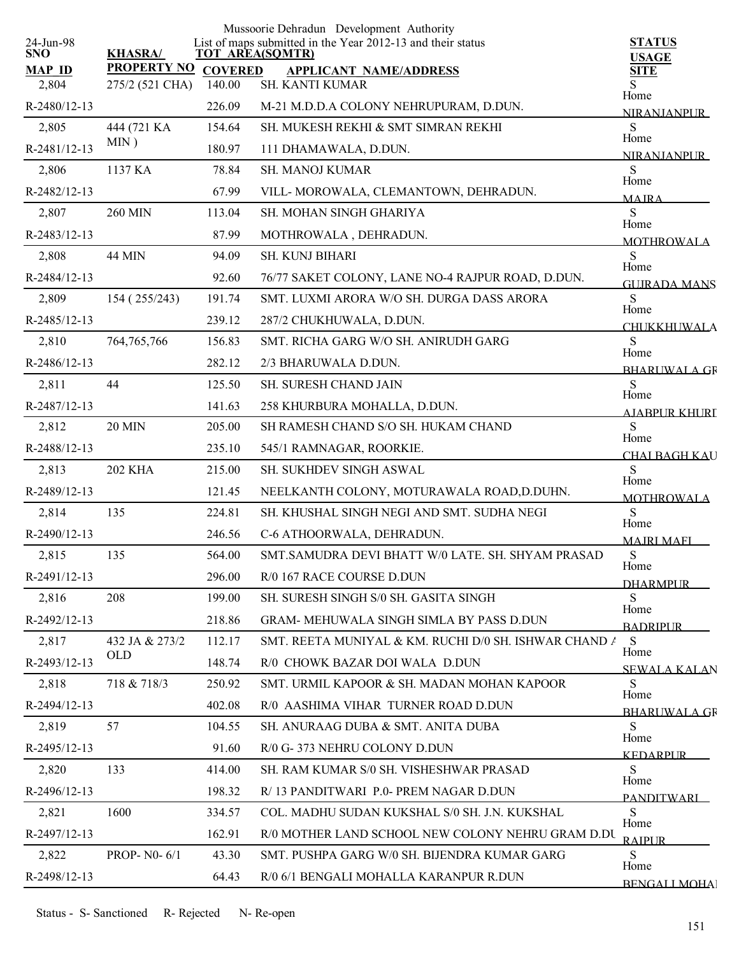|                         |                        |                | Mussoorie Dehradun Development Authority                                              |                               |
|-------------------------|------------------------|----------------|---------------------------------------------------------------------------------------|-------------------------------|
| 24-Jun-98<br><b>SNO</b> | <b>KHASRA/</b>         |                | List of maps submitted in the Year 2012-13 and their status<br><b>TOT AREA(SQMTR)</b> | <b>STATUS</b><br><b>USAGE</b> |
| <b>MAP ID</b>           | <b>PROPERTY NO</b>     | <b>COVERED</b> | <b>APPLICANT NAME/ADDRESS</b>                                                         | <b>SITE</b>                   |
| 2,804                   | 275/2 (521 CHA)        | 140.00         | SH. KANTI KUMAR                                                                       | S<br>Home                     |
| R-2480/12-13            |                        | 226.09         | M-21 M.D.D.A COLONY NEHRUPURAM, D.DUN.                                                | <b>NIRANIANPUR</b>            |
| 2,805                   | 444 (721 KA<br>$MIN$ ) | 154.64         | SH. MUKESH REKHI & SMT SIMRAN REKHI                                                   | S<br>Home                     |
| R-2481/12-13            |                        | 180.97         | 111 DHAMAWALA, D.DUN.                                                                 | <b>NIRANIANPUR</b>            |
| 2,806                   | 1137 KA                | 78.84          | <b>SH. MANOJ KUMAR</b>                                                                | S<br>Home                     |
| R-2482/12-13            |                        | 67.99          | VILL-MOROWALA, CLEMANTOWN, DEHRADUN.                                                  | <b>MAIRA</b>                  |
| 2,807                   | <b>260 MIN</b>         | 113.04         | SH. MOHAN SINGH GHARIYA                                                               | ${\bf S}$<br>Home             |
| R-2483/12-13            |                        | 87.99          | MOTHROWALA, DEHRADUN.                                                                 | <b>MOTHROWALA</b>             |
| 2,808                   | <b>44 MIN</b>          | 94.09          | SH. KUNJ BIHARI                                                                       | S<br>Home                     |
| R-2484/12-13            |                        | 92.60          | 76/77 SAKET COLONY, LANE NO-4 RAJPUR ROAD, D.DUN.                                     | <b>GUIRADA MANS</b>           |
| 2,809                   | 154 (255/243)          | 191.74         | SMT. LUXMI ARORA W/O SH. DURGA DASS ARORA                                             | S<br>Home                     |
| R-2485/12-13            |                        | 239.12         | 287/2 CHUKHUWALA, D.DUN.                                                              | <b>CHUKKHUWALA</b>            |
| 2,810                   | 764, 765, 766          | 156.83         | SMT. RICHA GARG W/O SH. ANIRUDH GARG                                                  | S                             |
| R-2486/12-13            |                        | 282.12         | 2/3 BHARUWALA D.DUN.                                                                  | Home<br><b>BHARLWALA GR</b>   |
| 2,811                   | 44                     | 125.50         | SH. SURESH CHAND JAIN                                                                 | S                             |
| R-2487/12-13            |                        | 141.63         | 258 KHURBURA MOHALLA, D.DUN.                                                          | Home<br>AIABPUR KHURT         |
| 2,812                   | <b>20 MIN</b>          | 205.00         | SH RAMESH CHAND S/O SH. HUKAM CHAND                                                   | ${\bf S}$                     |
| R-2488/12-13            |                        | 235.10         | 545/1 RAMNAGAR, ROORKIE.                                                              | Home<br><b>CHAI BAGH KAU</b>  |
| 2,813                   | <b>202 KHA</b>         | 215.00         | SH. SUKHDEV SINGH ASWAL                                                               | S                             |
| R-2489/12-13            |                        | 121.45         | NEELKANTH COLONY, MOTURAWALA ROAD, D.DUHN.                                            | Home<br><b>MOTHROWALA</b>     |
| 2,814                   | 135                    | 224.81         | SH. KHUSHAL SINGH NEGI AND SMT. SUDHA NEGI                                            | S                             |
| R-2490/12-13            |                        | 246.56         | C-6 ATHOORWALA, DEHRADUN.                                                             | Home                          |
| 2,815                   | 135                    | 564.00         | SMT.SAMUDRA DEVI BHATT W/0 LATE. SH. SHYAM PRASAD                                     | <b>MAIRI MAFI</b><br>S        |
| R-2491/12-13            |                        | 296.00         | R/0 167 RACE COURSE D.DUN                                                             | Home                          |
| 2,816                   | 208                    | 199.00         | SH. SURESH SINGH S/0 SH. GASITA SINGH                                                 | <b>DHARMPUR</b><br>S          |
| R-2492/12-13            |                        | 218.86         | <b>GRAM- MEHUWALA SINGH SIMLA BY PASS D.DUN</b>                                       | Home                          |
| 2,817                   | 432 JA & 273/2         | 112.17         | SMT. REETA MUNIYAL & KM. RUCHI D/0 SH. ISHWAR CHAND A                                 | <b>BADRIPUR</b><br>S          |
| R-2493/12-13            | <b>OLD</b>             | 148.74         | R/0 CHOWK BAZAR DOI WALA D.DUN                                                        | Home                          |
| 2,818                   | 718 & 718/3            | 250.92         | SMT. URMIL KAPOOR & SH. MADAN MOHAN KAPOOR                                            | <b>SEWALA KALAN</b><br>S.     |
| R-2494/12-13            |                        | 402.08         | R/0 AASHIMA VIHAR TURNER ROAD D.DUN                                                   | Home                          |
| 2,819                   | 57                     | 104.55         | SH. ANURAAG DUBA & SMT. ANITA DUBA                                                    | <b>BHARLIWALA GR</b><br>S.    |
| R-2495/12-13            |                        | 91.60          | R/0 G-373 NEHRU COLONY D.DUN                                                          | Home                          |
| 2,820                   | 133                    | 414.00         | SH. RAM KUMAR S/0 SH. VISHESHWAR PRASAD                                               | KEDARPUR.<br>S                |
| R-2496/12-13            |                        | 198.32         | R/13 PANDITWARI P.0- PREM NAGAR D.DUN                                                 | Home                          |
| 2,821                   | 1600                   | 334.57         | COL. MADHU SUDAN KUKSHAL S/0 SH. J.N. KUKSHAL                                         | <b>PANDITWARI</b><br>S        |
| R-2497/12-13            |                        | 162.91         | R/0 MOTHER LAND SCHOOL NEW COLONY NEHRU GRAM D.DU                                     | Home                          |
| 2,822                   | PROP- N0-6/1           | 43.30          | SMT. PUSHPA GARG W/0 SH. BIJENDRA KUMAR GARG                                          | <b>RAIPUR</b><br>S            |
|                         |                        |                |                                                                                       | Home                          |
| R-2498/12-13            |                        | 64.43          | R/0 6/1 BENGALI MOHALLA KARANPUR R.DUN                                                | <b>BENGALI MOHA</b>           |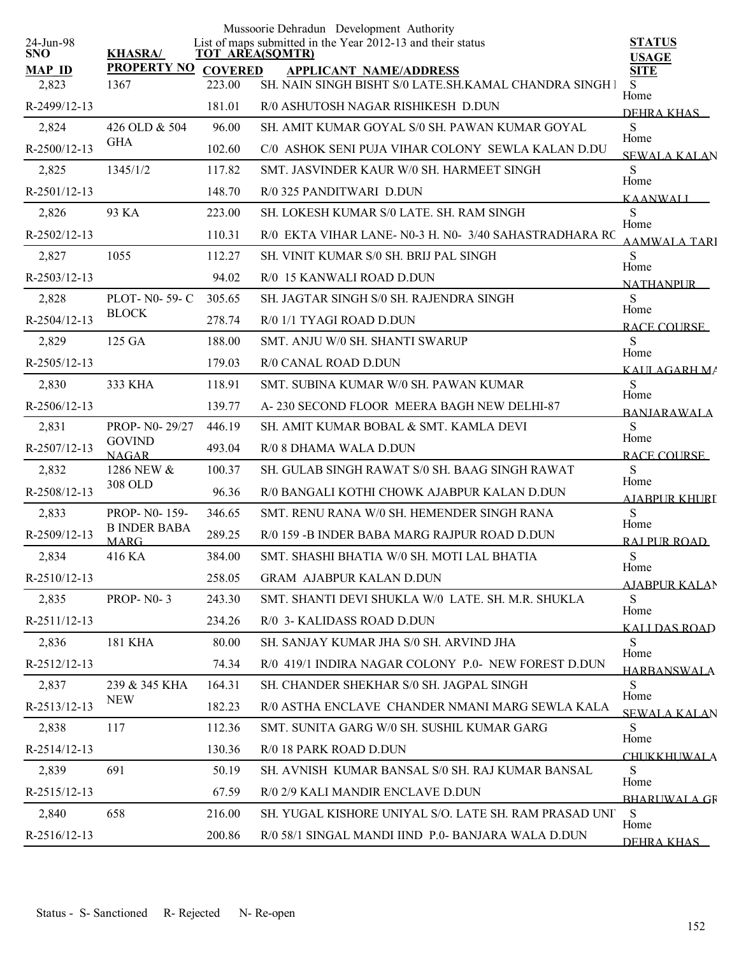|                         |                                    |                | Mussoorie Dehradun Development Authority                                              |                              |
|-------------------------|------------------------------------|----------------|---------------------------------------------------------------------------------------|------------------------------|
| 24-Jun-98<br><b>SNO</b> | <b>KHASRA/</b>                     |                | List of maps submitted in the Year 2012-13 and their status<br><b>TOT AREA(SQMTR)</b> | <b>STATUS</b>                |
| <b>MAP ID</b>           | <b>PROPERTY NO</b>                 | <b>COVERED</b> | <b>APPLICANT NAME/ADDRESS</b>                                                         | <b>USAGE</b><br><b>SITE</b>  |
| 2,823                   | 1367                               | 223.00         | SH. NAIN SINGH BISHT S/0 LATE.SH.KAMAL CHANDRA SINGH I                                | S<br>Home                    |
| R-2499/12-13            |                                    | 181.01         | R/0 ASHUTOSH NAGAR RISHIKESH D.DUN                                                    | DEHRA KHAS                   |
| 2,824                   | 426 OLD & 504                      | 96.00          | SH. AMIT KUMAR GOYAL S/0 SH. PAWAN KUMAR GOYAL                                        | S                            |
| R-2500/12-13            | <b>GHA</b>                         | 102.60         | C/0 ASHOK SENI PUJA VIHAR COLONY SEWLA KALAN D.DU                                     | Home<br><b>SEWALA KALAN</b>  |
| 2,825                   | 1345/1/2                           | 117.82         | SMT. JASVINDER KAUR W/0 SH. HARMEET SINGH                                             | S                            |
| R-2501/12-13            |                                    | 148.70         | R/0 325 PANDITWARI D.DUN                                                              | Home<br><b>KAANWALI</b>      |
| 2,826                   | 93 KA                              | 223.00         | SH. LOKESH KUMAR S/0 LATE. SH. RAM SINGH                                              | S<br>Home                    |
| R-2502/12-13            |                                    | 110.31         | R/0 EKTA VIHAR LANE- N0-3 H. N0- 3/40 SAHASTRADHARA RC                                | <b>AAMWALA TARI</b>          |
| 2,827                   | 1055                               | 112.27         | SH. VINIT KUMAR S/0 SH. BRIJ PAL SINGH                                                | S                            |
| R-2503/12-13            |                                    | 94.02          | R/0 15 KANWALI ROAD D.DUN                                                             | Home<br><b>NATHANPUR</b>     |
| 2,828                   | PLOT- N0-59-C                      | 305.65         | SH. JAGTAR SINGH S/0 SH. RAJENDRA SINGH                                               | S                            |
| R-2504/12-13            | <b>BLOCK</b>                       | 278.74         | R/0 1/1 TYAGI ROAD D.DUN                                                              | Home<br>RACE COURSE          |
| 2,829                   | 125 GA                             | 188.00         | SMT. ANJU W/0 SH. SHANTI SWARUP                                                       | S                            |
| R-2505/12-13            |                                    | 179.03         | R/0 CANAL ROAD D.DUN                                                                  | Home<br>KALILAGARH MA        |
| 2,830                   | 333 KHA                            | 118.91         | SMT. SUBINA KUMAR W/0 SH. PAWAN KUMAR                                                 | S                            |
| R-2506/12-13            |                                    | 139.77         | A-230 SECOND FLOOR MEERA BAGH NEW DELHI-87                                            | Home<br><b>BANJARAWALA</b>   |
| 2,831                   | PROP- N0-29/27                     | 446.19         | SH. AMIT KUMAR BOBAL & SMT. KAMLA DEVI                                                | S                            |
| R-2507/12-13            | <b>GOVIND</b><br><b>NAGAR</b>      | 493.04         | R/0 8 DHAMA WALA D.DUN                                                                | Home<br><b>RACE COURSE</b>   |
| 2,832                   | 1286 NEW &                         | 100.37         | SH. GULAB SINGH RAWAT S/0 SH. BAAG SINGH RAWAT                                        | S                            |
| R-2508/12-13            | 308 OLD                            | 96.36          | R/0 BANGALI KOTHI CHOWK AJABPUR KALAN D.DUN                                           | Home<br><b>AJABPUR KHURI</b> |
| 2,833                   | PROP-N0-159-                       | 346.65         | SMT. RENU RANA W/0 SH. HEMENDER SINGH RANA                                            | S                            |
| R-2509/12-13            | <b>B INDER BABA</b><br><b>MARG</b> | 289.25         | R/0 159 -B INDER BABA MARG RAJPUR ROAD D.DUN                                          | Home<br>RAI PUR ROAD         |
| 2,834                   | 416 KA                             | 384.00         | SMT. SHASHI BHATIA W/0 SH. MOTI LAL BHATIA                                            | ${\bf S}$                    |
| R-2510/12-13            |                                    | 258.05         | <b>GRAM AJABPUR KALAN D.DUN</b>                                                       | Home<br><b>AJABPUR KALAN</b> |
| 2,835                   | <b>PROP-N0-3</b>                   | 243.30         | SMT. SHANTI DEVI SHUKLA W/0 LATE, SH, M.R. SHUKLA                                     | S                            |
| R-2511/12-13            |                                    | 234.26         | R/0 3- KALIDASS ROAD D.DUN                                                            | Home<br><b>KALLDAS ROAD</b>  |
| 2,836                   | <b>181 KHA</b>                     | 80.00          | SH. SANJAY KUMAR JHA S/0 SH. ARVIND JHA                                               | S                            |
| R-2512/12-13            |                                    | 74.34          | R/0 419/1 INDIRA NAGAR COLONY P.0- NEW FOREST D.DUN                                   | Home<br><b>HARBANSWALA</b>   |
| 2,837                   | 239 & 345 KHA                      | 164.31         | SH. CHANDER SHEKHAR S/0 SH. JAGPAL SINGH                                              | S.                           |
| R-2513/12-13            | <b>NEW</b>                         | 182.23         | R/0 ASTHA ENCLAVE CHANDER NMANI MARG SEWLA KALA                                       | Home<br><b>SEWALA KALAN</b>  |
| 2,838                   | 117                                | 112.36         | SMT. SUNITA GARG W/0 SH. SUSHIL KUMAR GARG                                            | S                            |
| R-2514/12-13            |                                    | 130.36         | R/0 18 PARK ROAD D.DUN                                                                | Home<br><b>CHUKKHUWALA</b>   |
| 2,839                   | 691                                | 50.19          | SH. AVNISH KUMAR BANSAL S/0 SH. RAJ KUMAR BANSAL                                      | S                            |
| R-2515/12-13            |                                    | 67.59          | R/0 2/9 KALI MANDIR ENCLAVE D.DUN                                                     | Home<br><b>BHARLIWALA GR</b> |
| 2,840                   | 658                                | 216.00         | SH. YUGAL KISHORE UNIYAL S/O. LATE SH. RAM PRASAD UNI                                 | S                            |
| R-2516/12-13            |                                    | 200.86         | R/0 58/1 SINGAL MANDI IIND P.0- BANJARA WALA D.DUN                                    | Home<br>DEHRA KHAS           |
|                         |                                    |                |                                                                                       |                              |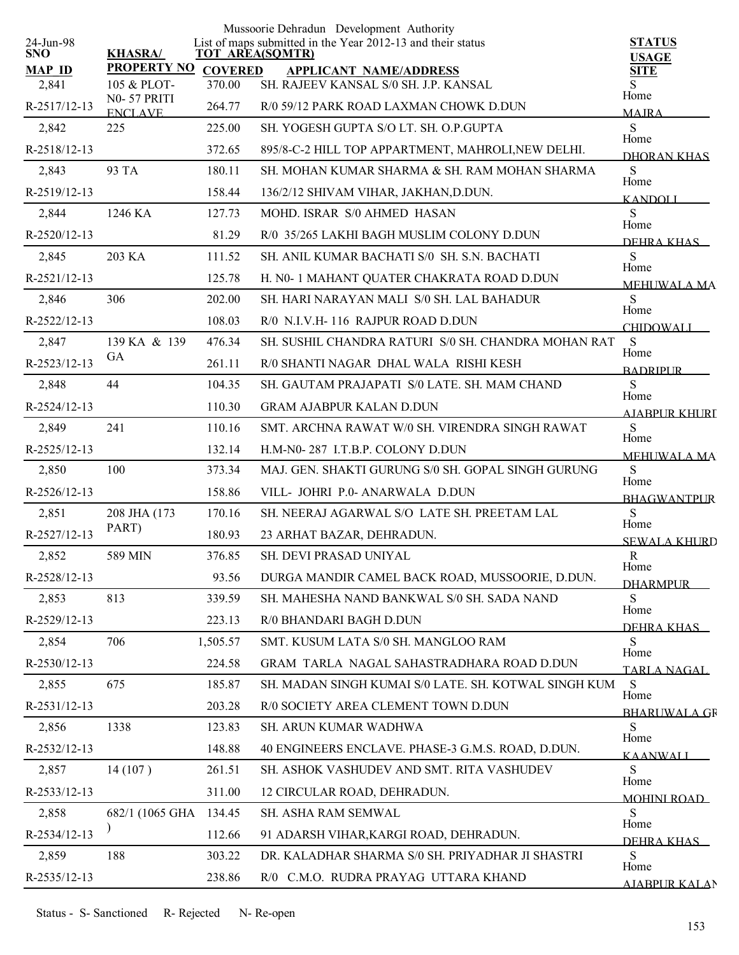|                         |                            |                | Mussoorie Dehradun Development Authority<br>List of maps submitted in the Year 2012-13 and their status |                               |
|-------------------------|----------------------------|----------------|---------------------------------------------------------------------------------------------------------|-------------------------------|
| 24-Jun-98<br><b>SNO</b> | <b>KHASRA/</b>             |                | <b>TOT AREA(SQMTR)</b>                                                                                  | <b>STATUS</b><br><b>USAGE</b> |
| <b>MAP ID</b>           | <b>PROPERTY NO</b>         | <b>COVERED</b> | <b>APPLICANT NAME/ADDRESS</b>                                                                           | <b>SITE</b>                   |
| 2,841                   | 105 & PLOT-<br>N0-57 PRITI | 370.00         | SH. RAJEEV KANSAL S/0 SH. J.P. KANSAL                                                                   | S.<br>Home                    |
| R-2517/12-13            | <b>ENCLAVE</b>             | 264.77         | R/0 59/12 PARK ROAD LAXMAN CHOWK D.DUN                                                                  | <b>MAJRA</b>                  |
| 2,842                   | 225                        | 225.00         | SH. YOGESH GUPTA S/O LT. SH. O.P.GUPTA                                                                  | S<br>Home                     |
| R-2518/12-13            |                            | 372.65         | 895/8-C-2 HILL TOP APPARTMENT, MAHROLI, NEW DELHI.                                                      | DHORAN KHAS                   |
| 2,843                   | 93 TA                      | 180.11         | SH MOHAN KUMAR SHARMA & SH RAM MOHAN SHARMA                                                             | S<br>Home                     |
| R-2519/12-13            |                            | 158.44         | 136/2/12 SHIVAM VIHAR, JAKHAN, D.DUN.                                                                   | <b>KANDOLI</b>                |
| 2,844                   | 1246 KA                    | 127.73         | MOHD. ISRAR S/0 AHMED HASAN                                                                             | S<br>Home                     |
| R-2520/12-13            |                            | 81.29          | R/0 35/265 LAKHI BAGH MUSLIM COLONY D.DUN                                                               | DEHRA KHAS                    |
| 2,845                   | 203 KA                     | 111.52         | SH. ANIL KUMAR BACHATI S/0 SH. S.N. BACHATI                                                             | S<br>Home                     |
| R-2521/12-13            |                            | 125.78         | H. N0-1 MAHANT QUATER CHAKRATA ROAD D.DUN                                                               | <b>MEHI WALA MA</b>           |
| 2,846                   | 306                        | 202.00         | SH. HARI NARAYAN MALI S/0 SH. LAL BAHADUR                                                               | S<br>Home                     |
| R-2522/12-13            |                            | 108.03         | R/0 N.L.V.H-116 RAJPUR ROAD D.DUN                                                                       | <b>CHIDOWALI</b>              |
| 2,847                   | 139 KA & 139               | 476.34         | SH. SUSHIL CHANDRA RATURI S/0 SH. CHANDRA MOHAN RAT                                                     | S                             |
| R-2523/12-13            | GA                         | 261.11         | R/0 SHANTI NAGAR DHAL WALA RISHI KESH                                                                   | Home<br><b>BADRIPUR</b>       |
| 2,848                   | 44                         | 104.35         | SH. GAUTAM PRAJAPATI S/0 LATE. SH. MAM CHAND                                                            | S                             |
| R-2524/12-13            |                            | 110.30         | <b>GRAM AJABPUR KALAN D.DUN</b>                                                                         | Home<br>A JARPUR KHURI        |
| 2,849                   | 241                        | 110.16         | SMT. ARCHNA RAWAT W/0 SH. VIRENDRA SINGH RAWAT                                                          | ${\bf S}$                     |
| R-2525/12-13            |                            | 132.14         | H.M-N0-287 I.T.B.P. COLONY D.DUN                                                                        | Home<br><b>MEHI WALA MA</b>   |
| 2,850                   | 100                        | 373.34         | MAJ. GEN. SHAKTI GURUNG S/0 SH. GOPAL SINGH GURUNG                                                      | S                             |
| R-2526/12-13            |                            | 158.86         | VILL- JOHRI P.0- ANARWALA D.DUN                                                                         | Home<br><b>BHAGWANTPUR</b>    |
| 2,851                   | 208 JHA (173               | 170.16         | SH. NEERAJ AGARWAL S/O LATE SH. PREETAM LAL                                                             | S                             |
| R-2527/12-13            | PART)                      | 180.93         | 23 ARHAT BAZAR, DEHRADUN.                                                                               | Home<br><b>SEWALA KHURD</b>   |
| 2,852                   | 589 MIN                    | 376.85         | SH. DEVI PRASAD UNIYAL                                                                                  | $\mathbb{R}$                  |
| R-2528/12-13            |                            | 93.56          | DURGA MANDIR CAMEL BACK ROAD, MUSSOORIE, D.DUN.                                                         | Home<br><b>DHARMPUR</b>       |
| 2,853                   | 813                        | 339.59         | SH. MAHESHA NAND BANKWAL S/0 SH. SADA NAND                                                              | S                             |
| R-2529/12-13            |                            | 223.13         | R/0 BHANDARI BAGH D.DUN                                                                                 | Home<br>DEHRA KHAS            |
| 2,854                   | 706                        | 1,505.57       | SMT. KUSUM LATA S/0 SH. MANGLOO RAM                                                                     | S                             |
| R-2530/12-13            |                            | 224.58         | GRAM TARLA NAGAL SAHASTRADHARA ROAD D.DUN                                                               | Home<br><b>TARLA NAGAL</b>    |
| 2,855                   | 675                        | 185.87         | SH. MADAN SINGH KUMAI S/0 LATE. SH. KOTWAL SINGH KUM                                                    | S                             |
| R-2531/12-13            |                            | 203.28         | R/0 SOCIETY AREA CLEMENT TOWN D.DUN                                                                     | Home<br><b>BHARLIWALA GR</b>  |
| 2,856                   | 1338                       | 123.83         | SH. ARUN KUMAR WADHWA                                                                                   | S                             |
| R-2532/12-13            |                            | 148.88         | 40 ENGINEERS ENCLAVE. PHASE-3 G.M.S. ROAD, D.DUN.                                                       | Home<br><b>KAANWALI</b>       |
| 2,857                   | 14(107)                    | 261.51         | SH. ASHOK VASHUDEV AND SMT. RITA VASHUDEV                                                               | S                             |
| R-2533/12-13            |                            | 311.00         | 12 CIRCULAR ROAD, DEHRADUN.                                                                             | Home<br><b>MOHINI ROAD</b>    |
| 2,858                   | 682/1 (1065 GHA            | 134.45         | SH. ASHA RAM SEMWAL                                                                                     | S                             |
| R-2534/12-13            |                            | 112.66         | 91 ADARSH VIHAR, KARGI ROAD, DEHRADUN.                                                                  | Home                          |
| 2,859                   | 188                        | 303.22         | DR. KALADHAR SHARMA S/0 SH. PRIYADHAR JI SHASTRI                                                        | DEHRA KHAS<br>S               |
| R-2535/12-13            |                            | 238.86         | R/0 C.M.O. RUDRA PRAYAG UTTARA KHAND                                                                    | Home                          |
|                         |                            |                |                                                                                                         | <b>AJABPUR KALAN</b>          |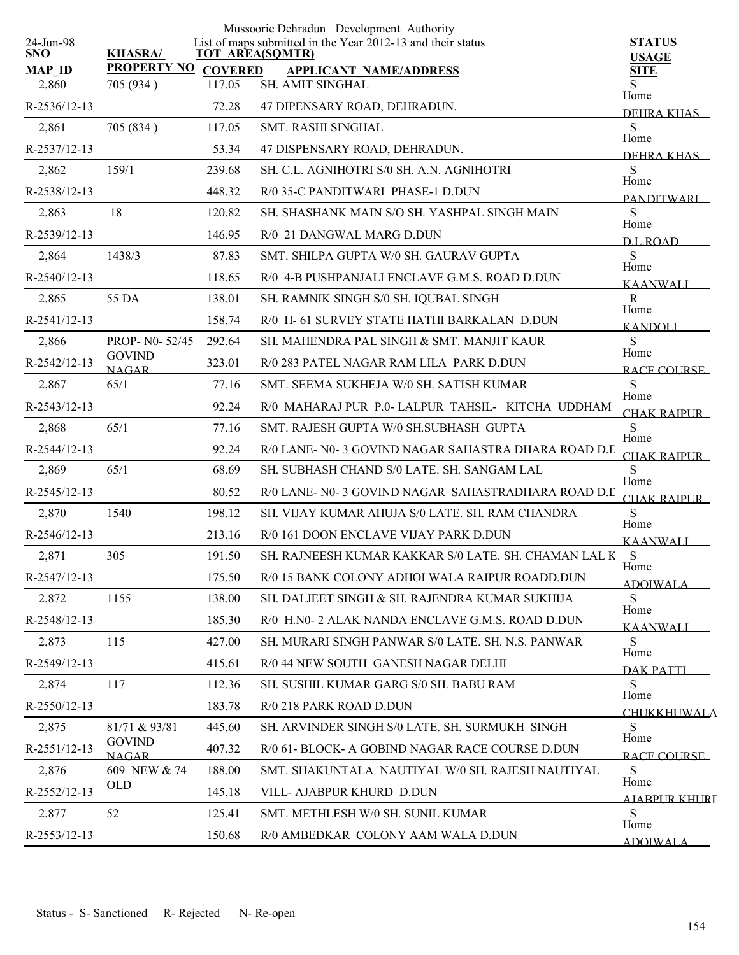|                         |                               |                | Mussoorie Dehradun Development Authority                                              |                             |
|-------------------------|-------------------------------|----------------|---------------------------------------------------------------------------------------|-----------------------------|
| 24-Jun-98<br><b>SNO</b> | <b>KHASRA/</b>                |                | List of maps submitted in the Year 2012-13 and their status<br><b>TOT AREA(SQMTR)</b> | <b>STATUS</b>               |
| <b>MAP ID</b>           | <b>PROPERTY NO</b>            | <b>COVERED</b> | <b>APPLICANT NAME/ADDRESS</b>                                                         | <b>USAGE</b><br><b>SITE</b> |
| 2,860                   | 705 (934)                     | 117.05         | SH. AMIT SINGHAL                                                                      | S                           |
| $R-2536/12-13$          |                               | 72.28          | 47 DIPENSARY ROAD, DEHRADUN.                                                          | Home<br>DEHRA KHAS          |
| 2,861                   | 705 (834)                     | 117.05         | <b>SMT. RASHI SINGHAL</b>                                                             | S                           |
| R-2537/12-13            |                               | 53.34          | 47 DISPENSARY ROAD, DEHRADUN.                                                         | Home<br>DEHRA KHAS          |
| 2,862                   | 159/1                         | 239.68         | SH. C.L. AGNIHOTRI S/0 SH. A.N. AGNIHOTRI                                             | S                           |
| R-2538/12-13            |                               | 448.32         | R/0 35-C PANDITWARI PHASE-1 D.DUN                                                     | Home<br><b>PANDITWARI</b>   |
| 2,863                   | 18                            | 120.82         | SH. SHASHANK MAIN S/O SH. YASHPAL SINGH MAIN                                          | S<br>Home                   |
| R-2539/12-13            |                               | 146.95         | R/0 21 DANGWAL MARG D.DUN                                                             | D.L. ROAD                   |
| 2,864                   | 1438/3                        | 87.83          | SMT. SHILPA GUPTA W/0 SH. GAURAV GUPTA                                                | S                           |
| R-2540/12-13            |                               | 118.65         | R/0 4-B PUSHPANJALI ENCLAVE G.M.S. ROAD D.DUN                                         | Home<br><b>KAANWALI</b>     |
| 2,865                   | 55 DA                         | 138.01         | SH. RAMNIK SINGH S/0 SH. IQUBAL SINGH                                                 | $\mathbf R$                 |
| R-2541/12-13            |                               | 158.74         | R/0 H- 61 SURVEY STATE HATHI BARKALAN D.DUN                                           | Home<br><b>KANDOLI</b>      |
| 2,866                   | PROP- N0-52/45                | 292.64         | SH. MAHENDRA PAL SINGH & SMT. MANJIT KAUR                                             | S                           |
| R-2542/12-13            | <b>GOVIND</b><br><b>NAGAR</b> | 323.01         | R/0 283 PATEL NAGAR RAM LILA PARK D.DUN                                               | Home<br>RACE COURSE         |
| 2,867                   | 65/1                          | 77.16          | SMT. SEEMA SUKHEJA W/0 SH. SATISH KUMAR                                               | S                           |
| R-2543/12-13            |                               | 92.24          | R/0 MAHARAJ PUR P.0-LALPUR TAHSIL- KITCHA UDDHAM                                      | Home<br>CHAK RAIPUR         |
| 2,868                   | 65/1                          | 77.16          | SMT. RAJESH GUPTA W/0 SH.SUBHASH GUPTA                                                | <sub>S</sub>                |
| R-2544/12-13            |                               | 92.24          | R/0 LANE- N0-3 GOVIND NAGAR SAHASTRA DHARA ROAD D.C                                   | Home<br>CHAK RAIPUR         |
| 2,869                   | 65/1                          | 68.69          | SH. SUBHASH CHAND S/0 LATE. SH. SANGAM LAL                                            | S<br>Home                   |
| R-2545/12-13            |                               | 80.52          | R/0 LANE- N0-3 GOVIND NAGAR SAHASTRADHARA ROAD D.C                                    | CHAK RAIPUR                 |
| 2,870                   | 1540                          | 198.12         | SH. VIJAY KUMAR AHUJA S/0 LATE. SH. RAM CHANDRA                                       | S                           |
| $R-2546/12-13$          |                               | 213.16         | R/0 161 DOON ENCLAVE VIJAY PARK D.DUN                                                 | Home<br><b>KAANWALI</b>     |
| 2,871                   | 305                           | 191.50         | SH. RAJNEESH KUMAR KAKKAR S/0 LATE. SH. CHAMAN LAL K                                  | <sub>S</sub>                |
| R-2547/12-13            |                               | 175.50         | R/0 15 BANK COLONY ADHOI WALA RAIPUR ROADD.DUN                                        | Home<br><b>ADOIWALA</b>     |
| 2,872                   | 1155                          | 138.00         | SH. DALJEET SINGH & SH. RAJENDRA KUMAR SUKHIJA                                        | S<br>Home                   |
| R-2548/12-13            |                               | 185.30         | R/0 H.N0-2 ALAK NANDA ENCLAVE G.M.S. ROAD D.DUN                                       | <b>KAANWALI</b>             |
| 2,873                   | 115                           | 427.00         | SH. MURARI SINGH PANWAR S/0 LATE, SH. N.S. PANWAR                                     | S<br>Home                   |
| R-2549/12-13            |                               | 415.61         | R/0 44 NEW SOUTH GANESH NAGAR DELHI                                                   | <b>DAK PATTL</b>            |
| 2,874                   | 117                           | 112.36         | SH. SUSHIL KUMAR GARG S/0 SH. BABU RAM                                                | S<br>Home                   |
| R-2550/12-13            |                               | 183.78         | R/0 218 PARK ROAD D.DUN                                                               | <b>CHUKKHUWALA</b>          |
| 2,875                   | 81/71 & 93/81                 | 445.60         | SH. ARVINDER SINGH S/0 LATE. SH. SURMUKH SINGH                                        | S                           |
| R-2551/12-13            | <b>GOVIND</b><br><b>NAGAR</b> | 407.32         | R/0 61- BLOCK- A GOBIND NAGAR RACE COURSE D.DUN                                       | Home<br>RACE COURSE         |
| 2,876                   | 609 NEW & 74                  | 188.00         | SMT. SHAKUNTALA NAUTIYAL W/0 SH. RAJESH NAUTIYAL                                      | S                           |
| R-2552/12-13            | OLD                           | 145.18         | VILL- AJABPUR KHURD D.DUN                                                             | Home<br>AJARPUR KHURI       |
| 2,877                   | 52                            | 125.41         | SMT. METHLESH W/0 SH. SUNIL KUMAR                                                     | S.                          |
| R-2553/12-13            |                               | 150.68         | R/0 AMBEDKAR COLONY AAM WALA D.DUN                                                    | Home<br><b>ADOIWALA</b>     |
|                         |                               |                |                                                                                       |                             |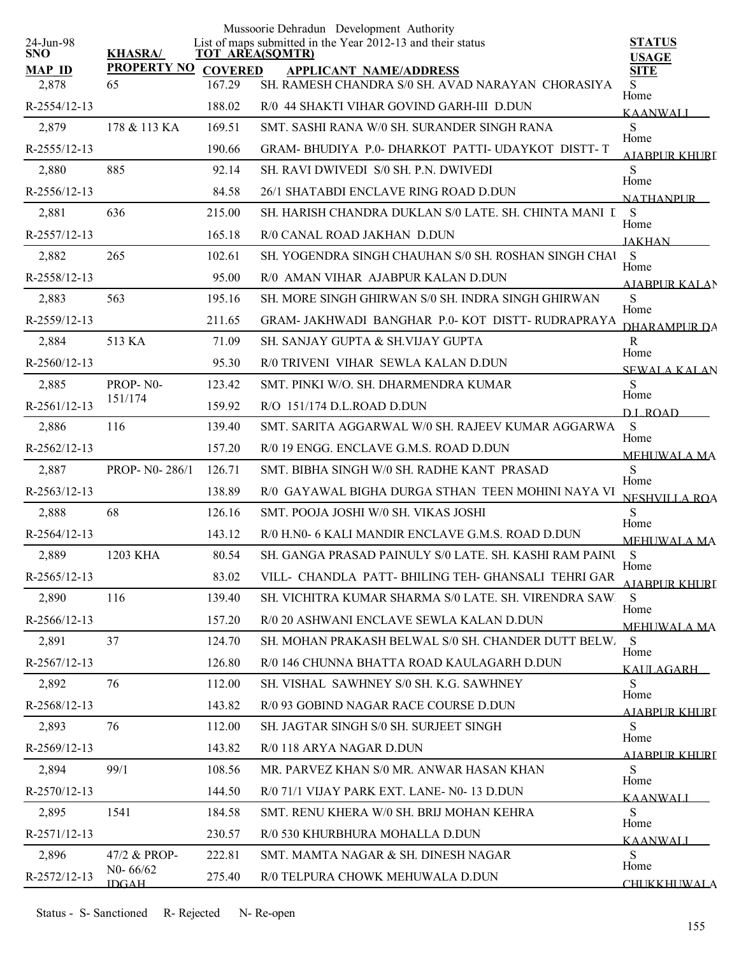|                         |                    |                | Mussoorie Dehradun Development Authority<br>List of maps submitted in the Year 2012-13 and their status |                               |
|-------------------------|--------------------|----------------|---------------------------------------------------------------------------------------------------------|-------------------------------|
| 24-Jun-98<br><b>SNO</b> | <b>KHASRA/</b>     |                | <b>TOT AREA(SQMTR)</b>                                                                                  | <b>STATUS</b><br><b>USAGE</b> |
| <b>MAP ID</b>           | <b>PROPERTY NO</b> | <b>COVERED</b> | <b>APPLICANT NAME/ADDRESS</b>                                                                           | <b>SITE</b>                   |
| 2,878                   | 65                 | 167.29         | SH. RAMESH CHANDRA S/0 SH. AVAD NARAYAN CHORASIYA                                                       | S<br>Home                     |
| R-2554/12-13            |                    | 188.02         | R/0 44 SHAKTI VIHAR GOVIND GARH-III D.DUN                                                               | <b>KAANWALI</b>               |
| 2,879                   | 178 & 113 KA       | 169.51         | SMT, SASHI RANA W/0 SH, SURANDER SINGH RANA                                                             | ${\bf S}$<br>Home             |
| R-2555/12-13            |                    | 190.66         | GRAM-BHUDIYA P.0-DHARKOT PATTI-UDAYKOT DISTT-T                                                          | AIARPUR KHURI                 |
| 2,880                   | 885                | 92.14          | SH. RAVI DWIVEDI S/0 SH. P.N. DWIVEDI                                                                   | S<br>Home                     |
| R-2556/12-13            |                    | 84.58          | 26/1 SHATABDI ENCLAVE RING ROAD D.DUN                                                                   | NATHANPUR                     |
| 2,881                   | 636                | 215.00         | SH. HARISH CHANDRA DUKLAN S/0 LATE. SH. CHINTA MANI I S                                                 | Home                          |
| R-2557/12-13            |                    | 165.18         | R/0 CANAL ROAD JAKHAN D.DUN                                                                             | <b>JAKHAN</b>                 |
| 2,882                   | 265                | 102.61         | SH. YOGENDRA SINGH CHAUHAN S/0 SH. ROSHAN SINGH CHAI                                                    | $\mathbf S$<br>Home           |
| R-2558/12-13            |                    | 95.00          | R/0 AMAN VIHAR AJABPUR KALAN D.DUN                                                                      | <b>AIABPURKALAN</b>           |
| 2,883                   | 563                | 195.16         | SH. MORE SINGH GHIRWAN S/0 SH. INDRA SINGH GHIRWAN                                                      | S<br>Home                     |
| R-2559/12-13            |                    | 211.65         | GRAM- JAKHWADI BANGHAR P.0-KOT DISTT-RUDRAPRAYA                                                         | <b>DHARAMPUR DA</b>           |
| 2,884                   | 513 KA             | 71.09          | SH. SANJAY GUPTA & SH.VIJAY GUPTA                                                                       | $\mathbf R$<br>Home           |
| $R-2560/12-13$          |                    | 95.30          | R/0 TRIVENI VIHAR SEWLA KALAN D.DUN                                                                     | <b>SEWALA KALAN</b>           |
| 2,885                   | PROP-N0-           | 123.42         | SMT. PINKI W/O. SH. DHARMENDRA KUMAR                                                                    | S<br>Home                     |
| R-2561/12-13            | 151/174            | 159.92         | R/O 151/174 D.L.ROAD D.DUN                                                                              | D.L.ROAD                      |
| 2,886                   | 116                | 139.40         | SMT. SARITA AGGARWAL W/0 SH. RAJEEV KUMAR AGGARWA                                                       | S<br>Home                     |
| R-2562/12-13            |                    | 157.20         | R/0 19 ENGG. ENCLAVE G.M.S. ROAD D.DUN                                                                  | <b>MEHUWALA MA</b>            |
| 2,887                   | PROP- N0-286/1     | 126.71         | SMT. BIBHA SINGH W/0 SH. RADHE KANT PRASAD                                                              | S                             |
| $R-2563/12-13$          |                    | 138.89         | R/0 GAYAWAL BIGHA DURGA STHAN TEEN MOHINI NAYA VI                                                       | Home<br><b>NESHVILLA ROA</b>  |
| 2,888                   | 68                 | 126.16         | SMT. POOJA JOSHI W/0 SH. VIKAS JOSHI                                                                    | S                             |
| R-2564/12-13            |                    | 143.12         | R/0 H.N0- 6 KALI MANDIR ENCLAVE G.M.S. ROAD D.DUN                                                       | Home<br><b>MEHUWALA MA</b>    |
| 2,889                   | 1203 KHA           | 80.54          | SH. GANGA PRASAD PAINULY S/0 LATE. SH. KASHI RAM PAINU                                                  | S                             |
| $R-2565/12-13$          |                    | 83.02          | VILL- CHANDLA PATT- BHILING TEH- GHANSALI TEHRI GAR                                                     | Home<br><u>AJABPUR KHURI</u>  |
| 2,890                   | 116                | 139.40         | SH. VICHITRA KUMAR SHARMA S/0 LATE. SH. VIRENDRA SAW.                                                   | S                             |
| $R-2566/12-13$          |                    | 157.20         | R/0 20 ASHWANI ENCLAVE SEWLA KALAN D.DUN                                                                | Home<br><b>MEHUWALA MA</b>    |
| 2,891                   | 37                 | 124.70         | SH. MOHAN PRAKASH BELWAL S/0 SH. CHANDER DUTT BELW.                                                     | S                             |
| $R-2567/12-13$          |                    | 126.80         | R/0 146 CHUNNA BHATTA ROAD KAULAGARH D.DUN                                                              | Home<br>KALILAGARH L          |
| 2,892                   | 76                 | 112.00         | SH. VISHAL SAWHNEY S/0 SH. K.G. SAWHNEY                                                                 | S                             |
| R-2568/12-13            |                    | 143.82         | R/0 93 GOBIND NAGAR RACE COURSE D.DUN                                                                   | Home<br>AIABPUR KHURT         |
| 2,893                   | 76                 | 112.00         | SH. JAGTAR SINGH S/0 SH. SURJEET SINGH                                                                  | S                             |
| R-2569/12-13            |                    | 143.82         | R/0 118 ARYA NAGAR D.DUN                                                                                | Home                          |
| 2,894                   | 99/1               | 108.56         | MR. PARVEZ KHAN S/0 MR. ANWAR HASAN KHAN                                                                | AIABPUR KHURI<br>S            |
| $R-2570/12-13$          |                    | 144.50         | R/0 71/1 VIJAY PARK EXT. LANE- N0-13 D.DUN                                                              | Home                          |
| 2,895                   | 1541               | 184.58         | SMT. RENU KHERA W/0 SH. BRIJ MOHAN KEHRA                                                                | <b>KAANWALI</b><br>S          |
| R-2571/12-13            |                    | 230.57         | R/0 530 KHURBHURA MOHALLA D.DUN                                                                         | Home                          |
| 2,896                   | 47/2 & PROP-       | 222.81         | SMT. MAMTA NAGAR & SH. DINESH NAGAR                                                                     | <b>KAANWALI</b><br>S          |
| R-2572/12-13            | $N0 - 66/62$       | 275.40         | R/0 TELPURA CHOWK MEHUWALA D.DUN                                                                        | Home                          |
|                         | <b>IDGAH</b>       |                |                                                                                                         | <b>CHUKKHUWALA</b>            |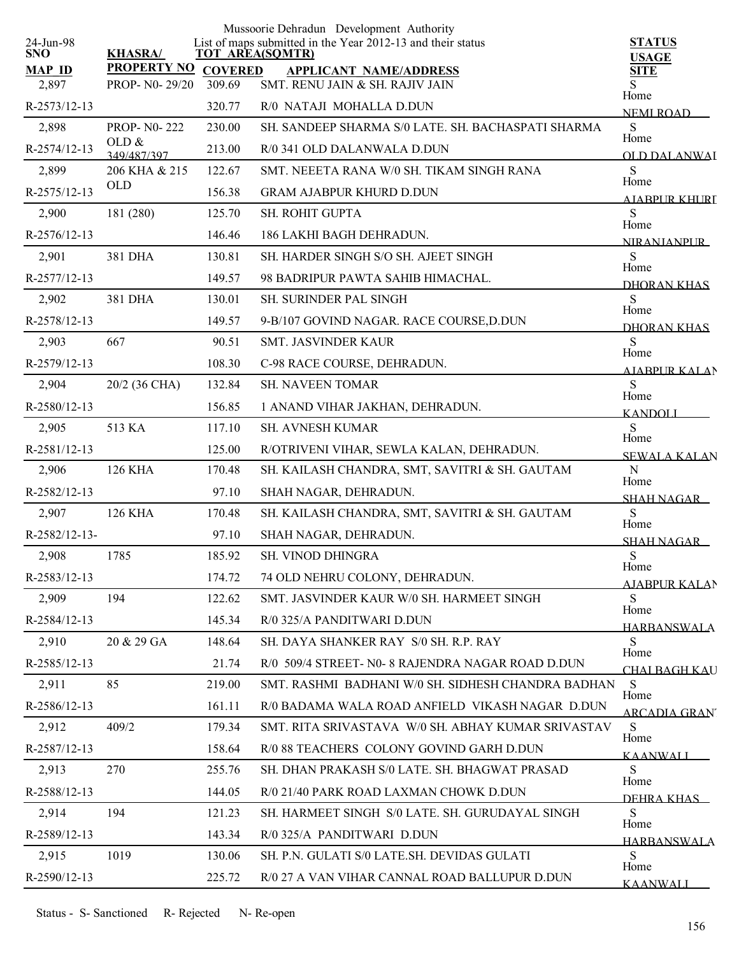|                         |                         |                | Mussoorie Dehradun Development Authority                                              |                               |
|-------------------------|-------------------------|----------------|---------------------------------------------------------------------------------------|-------------------------------|
| 24-Jun-98<br><b>SNO</b> | <b>KHASRA/</b>          |                | List of maps submitted in the Year 2012-13 and their status<br><b>TOT AREA(SQMTR)</b> | <b>STATUS</b><br><b>USAGE</b> |
| <b>MAP ID</b>           | <b>PROPERTY NO</b>      | <b>COVERED</b> | <b>APPLICANT NAME/ADDRESS</b>                                                         | <b>SITE</b>                   |
| 2,897                   | PROP- N0-29/20          | 309.69         | SMT. RENU JAIN & SH. RAJIV JAIN                                                       | Home                          |
| R-2573/12-13            |                         | 320.77         | R/0 NATAJI MOHALLA D.DUN                                                              | <b>NEMI ROAD</b>              |
| 2,898                   | <b>PROP-NO-222</b>      | 230.00         | SH. SANDEEP SHARMA S/0 LATE, SH. BACHASPATI SHARMA                                    | S<br>Home                     |
| R-2574/12-13            | OLD $\&$<br>349/487/397 | 213.00         | R/0 341 OLD DALANWALA D.DUN                                                           | OLD DALANWAI                  |
| 2,899                   | 206 KHA & 215           | 122.67         | SMT. NEEETA RANA W/0 SH. TIKAM SINGH RANA                                             | S<br>Home                     |
| R-2575/12-13            | <b>OLD</b>              | 156.38         | <b>GRAM AJABPUR KHURD D.DUN</b>                                                       | AJABPUR KHURI                 |
| 2,900                   | 181 (280)               | 125.70         | SH. ROHIT GUPTA                                                                       | S<br>Home                     |
| R-2576/12-13            |                         | 146.46         | 186 LAKHI BAGH DEHRADUN.                                                              | <b>NIRANIANPUR</b>            |
| 2,901                   | 381 DHA                 | 130.81         | SH. HARDER SINGH S/O SH. AJEET SINGH                                                  | S<br>Home                     |
| R-2577/12-13            |                         | 149.57         | 98 BADRIPUR PAWTA SAHIB HIMACHAL.                                                     | DHORAN KHAS                   |
| 2,902                   | 381 DHA                 | 130.01         | <b>SH. SURINDER PAL SINGH</b>                                                         | S                             |
| R-2578/12-13            |                         | 149.57         | 9-B/107 GOVIND NAGAR. RACE COURSE, D.DUN                                              | Home<br>DHORAN KHAS           |
| 2,903                   | 667                     | 90.51          | SMT. JASVINDER KAUR                                                                   | S                             |
| R-2579/12-13            |                         | 108.30         | C-98 RACE COURSE, DEHRADUN.                                                           | Home<br><b>AJABPUR KALAN</b>  |
| 2,904                   | 20/2 (36 CHA)           | 132.84         | <b>SH. NAVEEN TOMAR</b>                                                               | S                             |
| R-2580/12-13            |                         | 156.85         | 1 ANAND VIHAR JAKHAN, DEHRADUN.                                                       | Home<br><b>KANDOLI</b>        |
| 2,905                   | 513 KA                  | 117.10         | SH. AVNESH KUMAR                                                                      | S                             |
| R-2581/12-13            |                         | 125.00         | R/OTRIVENI VIHAR, SEWLA KALAN, DEHRADUN.                                              | Home<br><b>SEWALA KALAN</b>   |
| 2,906                   | <b>126 KHA</b>          | 170.48         | SH. KAILASH CHANDRA, SMT, SAVITRI & SH. GAUTAM                                        | $\mathbf N$                   |
| R-2582/12-13            |                         | 97.10          | SHAH NAGAR, DEHRADUN.                                                                 | Home<br><b>SHAH NAGAR</b>     |
| 2,907                   | <b>126 KHA</b>          | 170.48         | SH. KAILASH CHANDRA, SMT, SAVITRI & SH. GAUTAM                                        | ${\bf S}$                     |
| R-2582/12-13-           |                         | 97.10          | SHAH NAGAR, DEHRADUN.                                                                 | Home<br><b>SHAH NAGAR</b>     |
| 2,908                   | 1785                    | 185.92         | SH. VINOD DHINGRA                                                                     | S                             |
| R-2583/12-13            |                         | 174.72         | 74 OLD NEHRU COLONY, DEHRADUN.                                                        | Home<br>AJABPUR KALAN         |
| 2,909                   | 194                     | 122.62         | SMT. JASVINDER KAUR W/0 SH. HARMEET SINGH                                             | S                             |
| R-2584/12-13            |                         | 145.34         | R/0 325/A PANDITWARI D.DUN                                                            | Home<br><b>HARBANSWALA</b>    |
| 2,910                   | 20 & 29 GA              | 148.64         | SH. DAYA SHANKER RAY S/0 SH. R.P. RAY                                                 | S                             |
| R-2585/12-13            |                         | 21.74          | R/0 509/4 STREET- N0- 8 RAJENDRA NAGAR ROAD D.DUN                                     | Home<br>CHAI BAGH KAU         |
| 2,911                   | 85                      | 219.00         | SMT. RASHMI BADHANI W/0 SH. SIDHESH CHANDRA BADHAN                                    | S                             |
| R-2586/12-13            |                         | 161.11         | R/0 BADAMA WALA ROAD ANFIELD VIKASH NAGAR D.DUN                                       | Home                          |
| 2,912                   | 409/2                   | 179.34         | SMT. RITA SRIVASTAVA W/0 SH. ABHAY KUMAR SRIVASTAV                                    | ARCADIA GRAN"<br>S            |
| R-2587/12-13            |                         | 158.64         | R/0 88 TEACHERS COLONY GOVIND GARH D.DUN                                              | Home<br><b>KAANWALI</b>       |
| 2,913                   | 270                     | 255.76         | SH. DHAN PRAKASH S/0 LATE. SH. BHAGWAT PRASAD                                         | S                             |
| R-2588/12-13            |                         | 144.05         | R/0 21/40 PARK ROAD LAXMAN CHOWK D.DUN                                                | Home                          |
| 2,914                   | 194                     | 121.23         | SH. HARMEET SINGH S/0 LATE. SH. GURUDAYAL SINGH                                       | DEHRA KHAS<br>S               |
| R-2589/12-13            |                         | 143.34         | R/0 325/A PANDITWARI D.DUN                                                            | Home                          |
| 2,915                   | 1019                    | 130.06         | SH. P.N. GULATI S/0 LATE.SH. DEVIDAS GULATI                                           | <b>HARRANSWALA</b><br>S       |
| R-2590/12-13            |                         | 225.72         | R/0 27 A VAN VIHAR CANNAL ROAD BALLUPUR D.DUN                                         | Home                          |
|                         |                         |                |                                                                                       | <b>KAANWALI</b>               |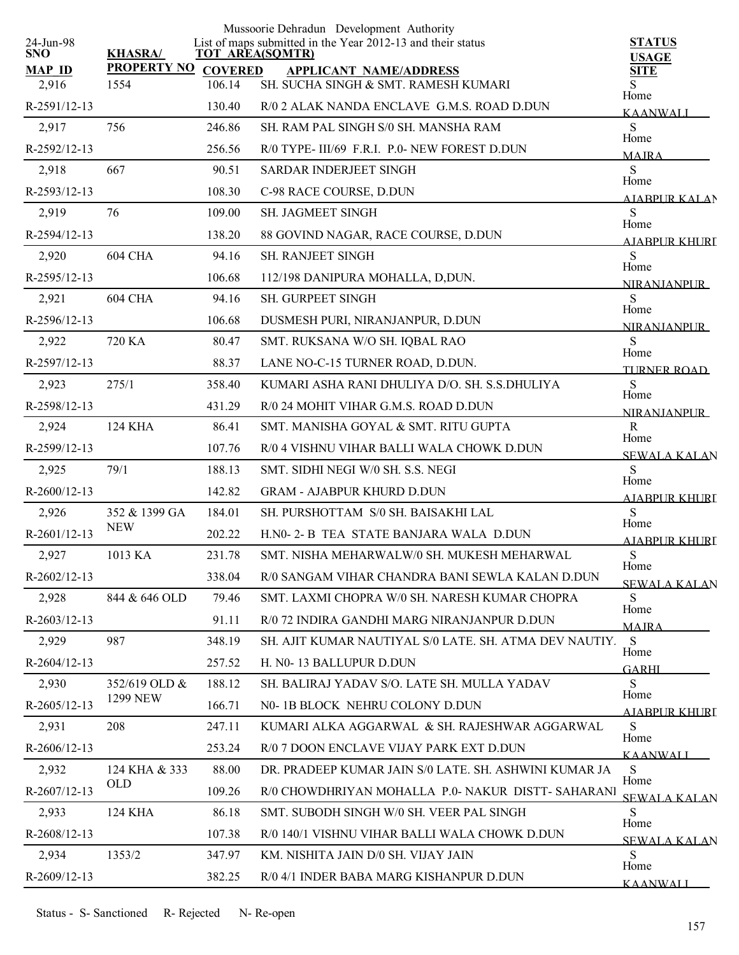| 24-Jun-98      |                     |                        | Mussoorie Dehradun Development Authority<br>List of maps submitted in the Year 2012-13 and their status | <b>STATUS</b>                |
|----------------|---------------------|------------------------|---------------------------------------------------------------------------------------------------------|------------------------------|
| <b>SNO</b>     | <b>KHASRA/</b>      | <b>TOT AREA(SQMTR)</b> |                                                                                                         | <b>USAGE</b>                 |
| <b>MAP ID</b>  | PROPERTY NO COVERED |                        | <b>APPLICANT NAME/ADDRESS</b>                                                                           | <b>SITE</b>                  |
| 2,916          | 1554                | 106.14                 | SH. SUCHA SINGH & SMT. RAMESH KUMARI                                                                    | S<br>Home                    |
| R-2591/12-13   |                     | 130.40                 | R/0 2 ALAK NANDA ENCLAVE G.M.S. ROAD D.DUN                                                              | <b>KAANWALI</b>              |
| 2,917          | 756                 | 246.86                 | SH. RAM PAL SINGH S/0 SH. MANSHA RAM                                                                    | ${\bf S}$<br>Home            |
| R-2592/12-13   |                     | 256.56                 | R/0 TYPE-III/69 F.R.I. P.0- NEW FOREST D.DUN                                                            | <b>MAIRA</b>                 |
| 2,918          | 667                 | 90.51                  | SARDAR INDERJEET SINGH                                                                                  | S<br>Home                    |
| R-2593/12-13   |                     | 108.30                 | C-98 RACE COURSE, D.DUN                                                                                 | <b>AIABPURKALAN</b>          |
| 2,919          | 76                  | 109.00                 | <b>SH. JAGMEET SINGH</b>                                                                                | S<br>Home                    |
| R-2594/12-13   |                     | 138.20                 | 88 GOVIND NAGAR, RACE COURSE, D.DUN                                                                     | AIABPUR KHURT                |
| 2,920          | 604 CHA             | 94.16                  | <b>SH. RANJEET SINGH</b>                                                                                | S<br>Home                    |
| R-2595/12-13   |                     | 106.68                 | 112/198 DANIPURA MOHALLA, D,DUN.                                                                        | <b>NIRANIANPLIR</b>          |
| 2,921          | 604 CHA             | 94.16                  | SH. GURPEET SINGH                                                                                       | S<br>Home                    |
| R-2596/12-13   |                     | 106.68                 | DUSMESH PURI, NIRANJANPUR, D.DUN                                                                        | <b>NIRANJANPUR</b>           |
| 2,922          | 720 KA              | 80.47                  | SMT. RUKSANA W/O SH. IQBAL RAO                                                                          | S                            |
| R-2597/12-13   |                     | 88.37                  | LANE NO-C-15 TURNER ROAD, D.DUN.                                                                        | Home<br><b>TURNER ROAD</b>   |
| 2,923          | 275/1               | 358.40                 | KUMARI ASHA RANI DHULIYA D/O. SH. S.S.DHULIYA                                                           | S                            |
| R-2598/12-13   |                     | 431.29                 | R/0 24 MOHIT VIHAR G.M.S. ROAD D.DUN                                                                    | Home<br><b>NIRANIANPUR</b>   |
| 2,924          | <b>124 KHA</b>      | 86.41                  | SMT. MANISHA GOYAL & SMT. RITU GUPTA                                                                    | R                            |
| R-2599/12-13   |                     | 107.76                 | R/0 4 VISHNU VIHAR BALLI WALA CHOWK D.DUN                                                               | Home<br><b>SEWALA KALAN</b>  |
| 2,925          | 79/1                | 188.13                 | SMT. SIDHI NEGI W/0 SH. S.S. NEGI                                                                       | S                            |
| R-2600/12-13   |                     | 142.82                 | <b>GRAM - AJABPUR KHURD D.DUN</b>                                                                       | Home<br><b>AJABPUR KHURI</b> |
| 2,926          | 352 & 1399 GA       | 184.01                 | SH. PURSHOTTAM S/0 SH. BAISAKHI LAL                                                                     | S                            |
| R-2601/12-13   | <b>NEW</b>          | 202.22                 | H.NO- 2- B TEA STATE BANJARA WALA D.DUN                                                                 | Home<br>AJABPUR KHURI        |
| 2,927          | 1013 KA             | 231.78                 | SMT. NISHA MEHARWALW/0 SH. MUKESH MEHARWAL                                                              | S                            |
| $R-2602/12-13$ |                     | 338.04                 | R/0 SANGAM VIHAR CHANDRA BANI SEWLA KALAN D.DUN                                                         | Home<br>SEWALA KALAN         |
| 2,928          | 844 & 646 OLD       | 79.46                  | SMT. LAXMI CHOPRA W/0 SH. NARESH KUMAR CHOPRA                                                           | S                            |
| $R-2603/12-13$ |                     | 91.11                  | R/0 72 INDIRA GANDHI MARG NIRANJANPUR D.DUN                                                             | Home<br><b>MAJRA</b>         |
| 2,929          | 987                 | 348.19                 | SH. AJIT KUMAR NAUTIYAL S/0 LATE. SH. ATMA DEV NAUTIY.                                                  | <sub>S</sub>                 |
| $R-2604/12-13$ |                     | 257.52                 | H. N0-13 BALLUPUR D.DUN                                                                                 | Home<br><b>GARHI</b>         |
| 2,930          | 352/619 OLD &       | 188.12                 | SH. BALIRAJ YADAV S/O. LATE SH. MULLA YADAV                                                             | S                            |
| R-2605/12-13   | <b>1299 NEW</b>     | 166.71                 | N0-1B BLOCK NEHRU COLONY D.DUN                                                                          | Home                         |
| 2,931          | 208                 | 247.11                 | KUMARI ALKA AGGARWAL & SH. RAJESHWAR AGGARWAL                                                           | <b>AIABPURKHURI</b><br>S     |
| $R-2606/12-13$ |                     | 253.24                 | R/0 7 DOON ENCLAVE VIJAY PARK EXT D.DUN                                                                 | Home                         |
| 2,932          | 124 KHA & 333       | 88.00                  | DR. PRADEEP KUMAR JAIN S/0 LATE. SH. ASHWINI KUMAR JA                                                   | <b>KAANWALI</b><br>S         |
| R-2607/12-13   | <b>OLD</b>          | 109.26                 | R/0 CHOWDHRIYAN MOHALLA P.0- NAKUR DISTT- SAHARANI                                                      | Home                         |
| 2,933          | 124 KHA             | 86.18                  | SMT. SUBODH SINGH W/0 SH. VEER PAL SINGH                                                                | <b>SEWALA KALAN</b><br>S     |
| $R-2608/12-13$ |                     | 107.38                 | R/0 140/1 VISHNU VIHAR BALLI WALA CHOWK D.DUN                                                           | Home                         |
| 2,934          | 1353/2              | 347.97                 | KM. NISHITA JAIN D/0 SH. VIJAY JAIN                                                                     | <b>SEWALA KALAN</b><br>S     |
| R-2609/12-13   |                     | 382.25                 | R/0 4/1 INDER BABA MARG KISHANPUR D.DUN                                                                 | Home                         |
|                |                     |                        |                                                                                                         | <b>KAANWALI</b>              |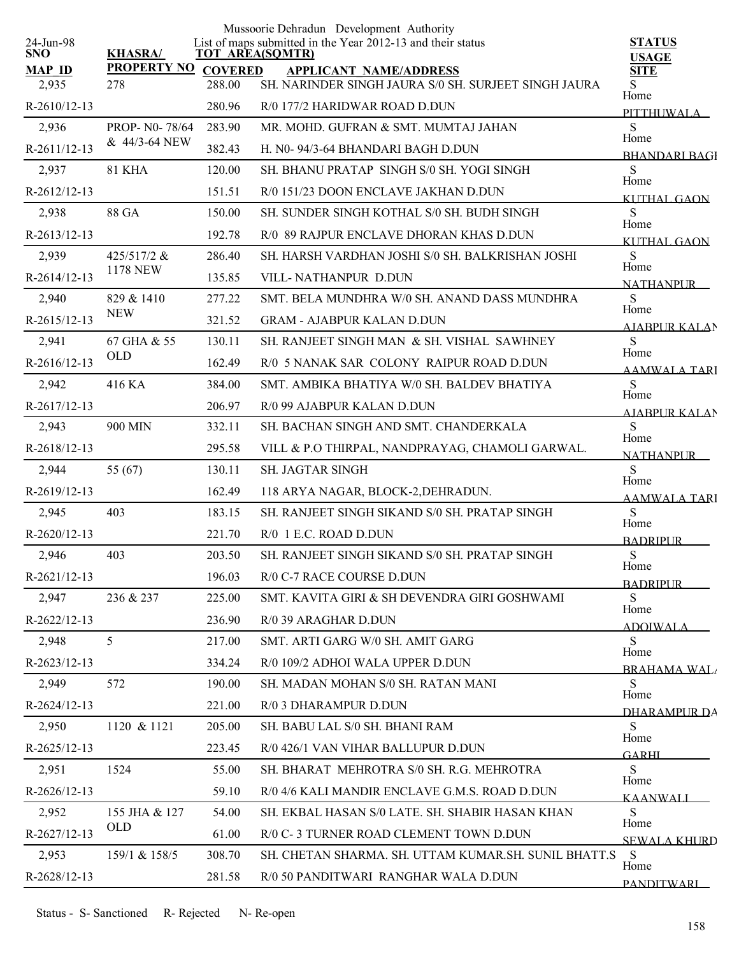|                         |                                 |                | Mussoorie Dehradun Development Authority                                              |                               |
|-------------------------|---------------------------------|----------------|---------------------------------------------------------------------------------------|-------------------------------|
| 24-Jun-98<br><b>SNO</b> | <b>KHASRA/</b>                  |                | List of maps submitted in the Year 2012-13 and their status<br><b>TOT AREA(SQMTR)</b> | <b>STATUS</b><br><b>USAGE</b> |
| <b>MAP ID</b>           | <b>PROPERTY NO</b>              | <b>COVERED</b> | <b>APPLICANT NAME/ADDRESS</b>                                                         | <b>SITE</b>                   |
| 2,935                   | 278                             | 288.00         | SH. NARINDER SINGH JAURA S/0 SH. SURJEET SINGH JAURA                                  | S<br>Home                     |
| $R-2610/12-13$          |                                 | 280.96         | R/0 177/2 HARIDWAR ROAD D.DUN                                                         | <b>PITTHUWALA</b>             |
| 2,936                   | PROP- N0-78/64<br>& 44/3-64 NEW | 283.90         | MR. MOHD. GUFRAN & SMT. MUMTAJ JAHAN                                                  | ${\bf S}$<br>Home             |
| R-2611/12-13            |                                 | 382.43         | H. N0-94/3-64 BHANDARI BAGH D.DUN                                                     | <b>BHANDARI BAGI</b>          |
| 2,937                   | <b>81 KHA</b>                   | 120.00         | SH. BHANU PRATAP SINGH S/0 SH. YOGI SINGH                                             | S<br>Home                     |
| R-2612/12-13            |                                 | 151.51         | R/0 151/23 DOON ENCLAVE JAKHAN D.DUN                                                  | <b>KUTHAL GAON</b>            |
| 2,938                   | 88 GA                           | 150.00         | SH. SUNDER SINGH KOTHAL S/0 SH. BUDH SINGH                                            | S<br>Home                     |
| R-2613/12-13            |                                 | 192.78         | R/0 89 RAJPUR ENCLAVE DHORAN KHAS D.DUN                                               | <b>KUTHAL GAON</b>            |
| 2,939                   | 425/517/2 &                     | 286.40         | SH. HARSH VARDHAN JOSHI S/0 SH. BALKRISHAN JOSHI                                      | S<br>Home                     |
| R-2614/12-13            | <b>1178 NEW</b>                 | 135.85         | VILL-NATHANPUR D.DUN                                                                  | <b>NATHANPLIR</b>             |
| 2,940                   | 829 & 1410                      | 277.22         | SMT. BELA MUNDHRA W/0 SH. ANAND DASS MUNDHRA                                          | S<br>Home                     |
| $R-2615/12-13$          | <b>NEW</b>                      | 321.52         | <b>GRAM - AJABPUR KALAN D.DUN</b>                                                     | AJABPUR KALAN                 |
| 2,941                   | 67 GHA & 55                     | 130.11         | SH. RANJEET SINGH MAN & SH. VISHAL SAWHNEY                                            | S                             |
| R-2616/12-13            | <b>OLD</b>                      | 162.49         | R/0 5 NANAK SAR COLONY RAIPUR ROAD D.DUN                                              | Home<br><b>AAMWALA TARI</b>   |
| 2,942                   | 416 KA                          | 384.00         | SMT. AMBIKA BHATIYA W/0 SH. BALDEV BHATIYA                                            | S                             |
| R-2617/12-13            |                                 | 206.97         | R/0 99 AJABPUR KALAN D.DUN                                                            | Home<br><b>AIABPURKALAN</b>   |
| 2,943                   | 900 MIN                         | 332.11         | SH. BACHAN SINGH AND SMT. CHANDERKALA                                                 | S                             |
| R-2618/12-13            |                                 | 295.58         | VILL & P.O THIRPAL, NANDPRAYAG, CHAMOLI GARWAL.                                       | Home<br><b>NATHANPUR</b>      |
| 2,944                   | 55 (67)                         | 130.11         | <b>SH. JAGTAR SINGH</b>                                                               | ${\bf S}$                     |
| R-2619/12-13            |                                 | 162.49         | 118 ARYA NAGAR, BLOCK-2, DEHRADUN.                                                    | Home<br><b>AAMWALA TARI</b>   |
| 2,945                   | 403                             | 183.15         | SH. RANJEET SINGH SIKAND S/0 SH. PRATAP SINGH                                         | S                             |
| $R-2620/12-13$          |                                 | 221.70         | $R/0$ 1 E.C. ROAD D.DUN                                                               | Home<br><b>BADRIPUR</b>       |
| 2,946                   | 403                             | 203.50         | SH. RANJEET SINGH SIKAND S/0 SH. PRATAP SINGH                                         | S                             |
| R-2621/12-13            |                                 | 196.03         | R/0 C-7 RACE COURSE D.DUN                                                             | Home<br><b>BADRIPUR</b>       |
| 2,947                   | 236 & 237                       | 225.00         | SMT. KAVITA GIRI & SH DEVENDRA GIRI GOSHWAMI                                          | S                             |
| $R-2622/12-13$          |                                 | 236.90         | R/0 39 ARAGHAR D.DUN                                                                  | Home<br><u>ADOIWALA</u>       |
| 2,948                   | 5                               | 217.00         | SMT. ARTI GARG W/0 SH. AMIT GARG                                                      | S                             |
| R-2623/12-13            |                                 | 334.24         | R/0 109/2 ADHOI WALA UPPER D.DUN                                                      | Home<br><b>BRAHAMA WAL</b>    |
| 2,949                   | 572                             | 190.00         | SH. MADAN MOHAN S/0 SH. RATAN MANI                                                    | S                             |
| R-2624/12-13            |                                 | 221.00         | R/0 3 DHARAMPUR D.DUN                                                                 | Home<br>DHARAMPLIR DA         |
| 2,950                   | 1120 & 1121                     | 205.00         | SH. BABU LAL S/0 SH. BHANI RAM                                                        | S                             |
| R-2625/12-13            |                                 | 223.45         | R/0 426/1 VAN VIHAR BALLUPUR D.DUN                                                    | Home                          |
| 2,951                   | 1524                            | 55.00          | SH. BHARAT MEHROTRA S/0 SH. R.G. MEHROTRA                                             | <b>GARHI</b><br>S             |
| R-2626/12-13            |                                 | 59.10          | R/0 4/6 KALI MANDIR ENCLAVE G.M.S. ROAD D.DUN                                         | Home                          |
| 2,952                   | 155 JHA & 127                   | 54.00          | SH. EKBAL HASAN S/0 LATE. SH. SHABIR HASAN KHAN                                       | <b>KAANWALI</b><br>S          |
| R-2627/12-13            | OLD                             | 61.00          | R/0 C- 3 TURNER ROAD CLEMENT TOWN D.DUN                                               | Home                          |
| 2,953                   | 159/1 & 158/5                   | 308.70         | SH. CHETAN SHARMA. SH. UTTAM KUMAR.SH. SUNIL BHATT.S                                  | <b>SEWALA KHURD</b><br>S      |
| R-2628/12-13            |                                 | 281.58         | R/0 50 PANDITWARI RANGHAR WALA D.DUN                                                  | Home                          |
|                         |                                 |                |                                                                                       | <b>PANDITWARI</b>             |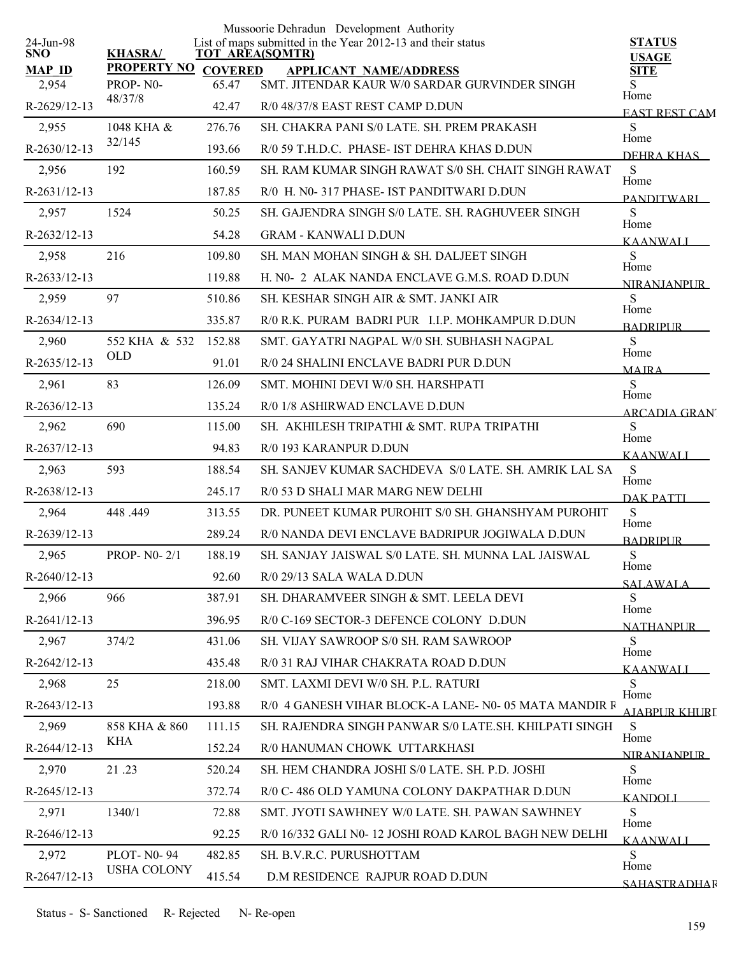|                         |                    |                | Mussoorie Dehradun Development Authority                                              |                               |
|-------------------------|--------------------|----------------|---------------------------------------------------------------------------------------|-------------------------------|
| 24-Jun-98<br><b>SNO</b> | <b>KHASRA/</b>     |                | List of maps submitted in the Year 2012-13 and their status<br><b>TOT AREA(SQMTR)</b> | <b>STATUS</b><br><b>USAGE</b> |
| <b>MAP ID</b>           | <b>PROPERTY NO</b> | <b>COVERED</b> | <b>APPLICANT NAME/ADDRESS</b>                                                         | <b>SITE</b>                   |
| 2,954                   | PROP-N0-           | 65.47          | SMT. JITENDAR KAUR W/0 SARDAR GURVINDER SINGH                                         | S.<br>Home                    |
| R-2629/12-13            | 48/37/8            | 42.47          | R/0 48/37/8 EAST REST CAMP D.DUN                                                      | <b>EAST REST CAM</b>          |
| 2,955                   | 1048 KHA &         | 276.76         | SH. CHAKRA PANI S/0 LATE. SH. PREM PRAKASH                                            | S<br>Home                     |
| R-2630/12-13            | 32/145             | 193.66         | R/0 59 T.H.D.C. PHASE- IST DEHRA KHAS D.DUN                                           | DEHRA KHAS                    |
| 2,956                   | 192                | 160.59         | SH. RAM KUMAR SINGH RAWAT S/0 SH. CHAIT SINGH RAWAT                                   | S<br>Home                     |
| $R-2631/12-13$          |                    | 187.85         | R/0 H. N0-317 PHASE-IST PANDITWARI D.DUN                                              | <b>PANDITWARI</b>             |
| 2,957                   | 1524               | 50.25          | SH. GAJENDRA SINGH S/0 LATE. SH. RAGHUVEER SINGH                                      | S<br>Home                     |
| R-2632/12-13            |                    | 54.28          | <b>GRAM - KANWALI D.DUN</b>                                                           | <b>KAANWALI</b>               |
| 2,958                   | 216                | 109.80         | SH. MAN MOHAN SINGH & SH. DALJEET SINGH                                               | S<br>Home                     |
| R-2633/12-13            |                    | 119.88         | H. N0- 2 ALAK NANDA ENCLAVE G.M.S. ROAD D.DUN                                         | <b>NIRANIANPUR</b>            |
| 2,959                   | 97                 | 510.86         | SH. KESHAR SINGH AIR & SMT. JANKI AIR                                                 | S<br>Home                     |
| R-2634/12-13            |                    | 335.87         | R/0 R.K. PURAM BADRI PUR I.I.P. MOHKAMPUR D.DUN                                       | <b>BADRIPUR</b>               |
| 2,960                   | 552 KHA & 532      | 152.88         | SMT. GAYATRI NAGPAL W/0 SH. SUBHASH NAGPAL                                            | S                             |
| R-2635/12-13            | <b>OLD</b>         | 91.01          | R/0 24 SHALINI ENCLAVE BADRI PUR D.DUN                                                | Home<br><b>MAIRA</b>          |
| 2,961                   | 83                 | 126.09         | SMT. MOHINI DEVI W/0 SH. HARSHPATI                                                    | S                             |
| R-2636/12-13            |                    | 135.24         | R/0 1/8 ASHIRWAD ENCLAVE D.DUN                                                        | Home<br><b>ARCADIA GRAN</b>   |
| 2,962                   | 690                | 115.00         | SH. AKHILESH TRIPATHI & SMT. RUPA TRIPATHI                                            | S                             |
| R-2637/12-13            |                    | 94.83          | R/0 193 KARANPUR D.DUN                                                                | Home<br><b>KAANWALI</b>       |
| 2,963                   | 593                | 188.54         | SH. SANJEV KUMAR SACHDEVA S/0 LATE. SH. AMRIK LAL SA                                  | ${\bf S}$                     |
| R-2638/12-13            |                    | 245.17         | R/0 53 D SHALI MAR MARG NEW DELHI                                                     | Home<br><b>DAK PATTI</b>      |
| 2,964                   | 448.449            | 313.55         | DR. PUNEET KUMAR PUROHIT S/0 SH. GHANSHYAM PUROHIT                                    | S                             |
| R-2639/12-13            |                    | 289.24         | R/0 NANDA DEVI ENCLAVE BADRIPUR JOGIWALA D.DUN                                        | Home<br><b>BADRIPUR</b>       |
| 2,965                   | PROP- $N0-2/1$     | 188.19         | SH. SANJAY JAISWAL S/0 LATE. SH. MUNNA LAL JAISWAL                                    | S                             |
| R-2640/12-13            |                    | 92.60          | R/0 29/13 SALA WALA D.DUN                                                             | Home<br><b>SALAWALA</b>       |
| 2,966                   | 966                | 387.91         | SH. DHARAMVEER SINGH & SMT. LEELA DEVI                                                | S                             |
| $R-2641/12-13$          |                    | 396.95         | R/0 C-169 SECTOR-3 DEFENCE COLONY D.DUN                                               | Home<br><b>NATHANPUR</b>      |
| 2,967                   | 374/2              | 431.06         | <b>SH. VIJAY SAWROOP S/0 SH. RAM SAWROOP</b>                                          | S                             |
| $R-2642/12-13$          |                    | 435.48         | R/0 31 RAJ VIHAR CHAKRATA ROAD D.DUN                                                  | Home<br><b>KAANWALI</b>       |
| 2,968                   | 25                 | 218.00         | SMT. LAXMI DEVI W/0 SH. P.L. RATURI                                                   | S                             |
| R-2643/12-13            |                    | 193.88         | R/0 4 GANESH VIHAR BLOCK-A LANE- N0-05 MATA MANDIR F                                  | Home<br>AIABPUR KHURT         |
| 2,969                   | 858 KHA & 860      | 111.15         | SH. RAJENDRA SINGH PANWAR S/0 LATE.SH. KHILPATI SINGH                                 | S                             |
| R-2644/12-13            | <b>KHA</b>         | 152.24         | R/0 HANUMAN CHOWK UTTARKHASI                                                          | Home<br><b>NIRANIANPUR</b>    |
| 2,970                   | 21.23              | 520.24         | SH. HEM CHANDRA JOSHI S/0 LATE. SH. P.D. JOSHI                                        | S                             |
| $R-2645/12-13$          |                    | 372.74         | R/0 C-486 OLD YAMUNA COLONY DAKPATHAR D.DUN                                           | Home<br><b>KANDOLI</b>        |
| 2,971                   | 1340/1             | 72.88          | SMT. JYOTI SAWHNEY W/0 LATE. SH. PAWAN SAWHNEY                                        | S                             |
| $R-2646/12-13$          |                    | 92.25          | R/0 16/332 GALI N0-12 JOSHI ROAD KAROL BAGH NEW DELHI                                 | Home                          |
| 2,972                   | <b>PLOT-N0-94</b>  | 482.85         | SH. B.V.R.C. PURUSHOTTAM                                                              | <b>KAANWALI</b><br>S          |
| R-2647/12-13            | <b>USHA COLONY</b> | 415.54         | D.M RESIDENCE RAJPUR ROAD D.DUN                                                       | Home                          |
|                         |                    |                |                                                                                       | <b>SAHASTRADHAR</b>           |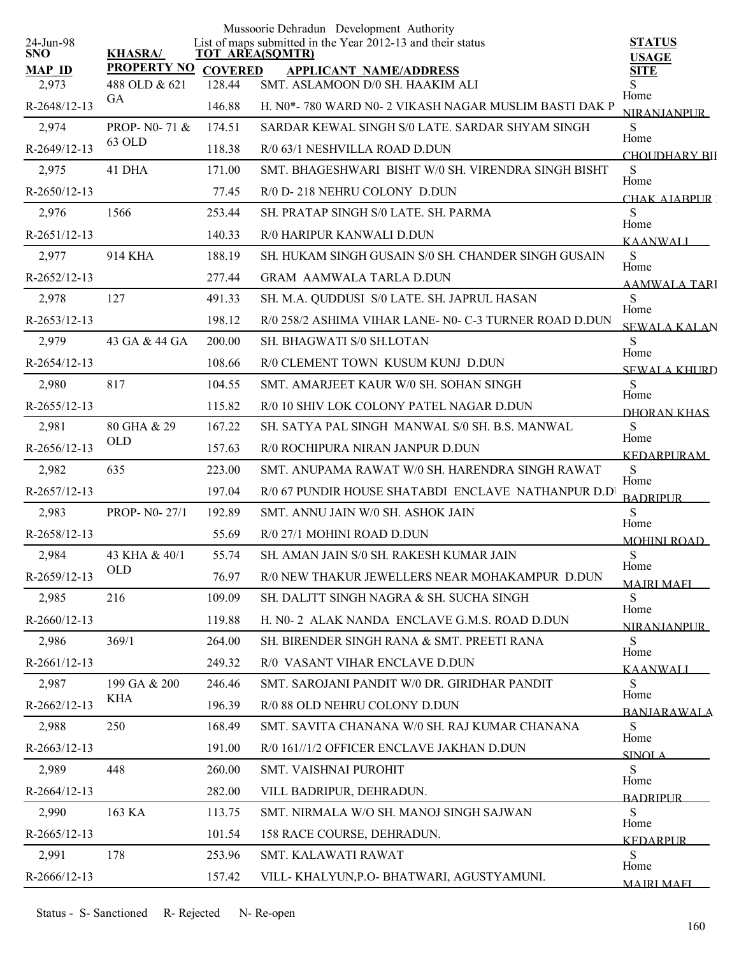|                         |                            |                | Mussoorie Dehradun Development Authority                                              |                               |
|-------------------------|----------------------------|----------------|---------------------------------------------------------------------------------------|-------------------------------|
| 24-Jun-98<br><b>SNO</b> | <b>KHASRA/</b>             |                | List of maps submitted in the Year 2012-13 and their status<br><b>TOT AREA(SQMTR)</b> | <b>STATUS</b><br><b>USAGE</b> |
| <b>MAP ID</b>           | <b>PROPERTY NO</b>         | <b>COVERED</b> | <b>APPLICANT NAME/ADDRESS</b>                                                         | <b>SITE</b>                   |
| 2,973                   | 488 OLD & 621<br><b>GA</b> | 128.44         | SMT. ASLAMOON D/0 SH. HAAKIM ALI                                                      | S<br>Home                     |
| R-2648/12-13            |                            | 146.88         | H. N0*- 780 WARD N0- 2 VIKASH NAGAR MUSLIM BASTI DAK P                                | <b>NIRANJANPUR</b>            |
| 2,974                   | PROP- N0-71 &              | 174.51         | SARDAR KEWAL SINGH S/0 LATE. SARDAR SHYAM SINGH                                       | S<br>Home                     |
| R-2649/12-13            | 63 OLD                     | 118.38         | R/0 63/1 NESHVILLA ROAD D.DUN                                                         | CHOLIDHARY BII                |
| 2,975                   | 41 DHA                     | 171.00         | SMT. BHAGESHWARI BISHT W/0 SH. VIRENDRA SINGH BISHT                                   | S<br>Home                     |
| R-2650/12-13            |                            | 77.45          | R/0 D-218 NEHRU COLONY D.DUN                                                          | CHAK AIARPUR T                |
| 2,976                   | 1566                       | 253.44         | SH. PRATAP SINGH S/0 LATE. SH. PARMA                                                  | ${\bf S}$<br>Home             |
| R-2651/12-13            |                            | 140.33         | R/0 HARIPUR KANWALI D.DUN                                                             | <b>KAANWALI</b>               |
| 2,977                   | 914 KHA                    | 188.19         | SH. HUKAM SINGH GUSAIN S/0 SH. CHANDER SINGH GUSAIN                                   | ${\bf S}$                     |
| R-2652/12-13            |                            | 277.44         | <b>GRAM AAMWALA TARLA D.DUN</b>                                                       | Home<br><b>AAMWALA TARI</b>   |
| 2,978                   | 127                        | 491.33         | SH. M.A. QUDDUSI S/0 LATE. SH. JAPRUL HASAN                                           | S                             |
| R-2653/12-13            |                            | 198.12         | R/0 258/2 ASHIMA VIHAR LANE- N0- C-3 TURNER ROAD D.DUN                                | Home<br><b>SEWALA KALAN</b>   |
| 2,979                   | 43 GA & 44 GA              | 200.00         | SH. BHAGWATI S/0 SH.LOTAN                                                             | S                             |
| R-2654/12-13            |                            | 108.66         | R/0 CLEMENT TOWN KUSUM KUNJ D.DUN                                                     | Home<br><b>SEWALA KHURD</b>   |
| 2,980                   | 817                        | 104.55         | SMT. AMARJEET KAUR W/0 SH. SOHAN SINGH                                                | S                             |
| R-2655/12-13            |                            | 115.82         | R/0 10 SHIV LOK COLONY PATEL NAGAR D.DUN                                              | Home<br>DHORAN KHAS           |
| 2,981                   | 80 GHA & 29                | 167.22         | SH. SATYA PAL SINGH MANWAL S/0 SH. B.S. MANWAL                                        | S                             |
| R-2656/12-13            | <b>OLD</b>                 | 157.63         | R/0 ROCHIPURA NIRAN JANPUR D.DUN                                                      | Home<br><b>KEDARPURAM</b>     |
| 2,982                   | 635                        | 223.00         | SMT. ANUPAMA RAWAT W/0 SH. HARENDRA SINGH RAWAT                                       | S                             |
| R-2657/12-13            |                            | 197.04         | R/0 67 PUNDIR HOUSE SHATABDI ENCLAVE NATHANPUR D.D                                    | Home<br><b>BADRIPUR</b>       |
| 2,983                   | PROP- N0-27/1              | 192.89         | SMT. ANNU JAIN W/0 SH. ASHOK JAIN                                                     | S                             |
| R-2658/12-13            |                            | 55.69          | R/0 27/1 MOHINI ROAD D.DUN                                                            | Home<br><b>MOHINI ROAD</b>    |
| 2,984                   | 43 KHA & 40/1              | 55.74          | SH. AMAN JAIN S/0 SH. RAKESH KUMAR JAIN                                               | ${\bf S}$                     |
| R-2659/12-13            | <b>OLD</b>                 | 76.97          | R/0 NEW THAKUR JEWELLERS NEAR MOHAKAMPUR D.DUN                                        | Home<br><b>MAJRI MAFI</b>     |
| 2,985                   | 216                        | 109.09         | SH. DALJTT SINGH NAGRA & SH. SUCHA SINGH                                              | S                             |
| R-2660/12-13            |                            | 119.88         | H. N0-2 ALAK NANDA ENCLAVE G.M.S. ROAD D.DUN                                          | Home                          |
| 2,986                   | 369/1                      | 264.00         | SH. BIRENDER SINGH RANA & SMT. PREETI RANA                                            | <b>NIRANJANPUR</b><br>S       |
| R-2661/12-13            |                            | 249.32         | R/0 VASANT VIHAR ENCLAVE D.DUN                                                        | Home                          |
| 2,987                   | 199 GA & 200               | 246.46         | SMT. SAROJANI PANDIT W/0 DR. GIRIDHAR PANDIT                                          | <b>KAANWALI</b><br>S.         |
| R-2662/12-13            | KHA                        | 196.39         | R/0 88 OLD NEHRU COLONY D.DUN                                                         | Home                          |
| 2,988                   | 250                        | 168.49         | SMT. SAVITA CHANANA W/0 SH. RAJ KUMAR CHANANA                                         | <b>BANIARAWALA</b><br>S       |
| R-2663/12-13            |                            | 191.00         | R/0 161//1/2 OFFICER ENCLAVE JAKHAN D.DUN                                             | Home                          |
| 2,989                   | 448                        | 260.00         | <b>SMT. VAISHNAI PUROHIT</b>                                                          | <b>SINOLA</b><br>S            |
| R-2664/12-13            |                            | 282.00         | VILL BADRIPUR, DEHRADUN.                                                              | Home                          |
| 2,990                   | 163 KA                     | 113.75         | SMT. NIRMALA W/O SH. MANOJ SINGH SAJWAN                                               | <b>BADRIPLIR</b><br>S         |
| R-2665/12-13            |                            | 101.54         | 158 RACE COURSE, DEHRADUN.                                                            | Home                          |
| 2,991                   | 178                        | 253.96         | SMT. KALAWATI RAWAT                                                                   | <b>KEDARPUR</b><br>S          |
| R-2666/12-13            |                            | 157.42         | VILL- KHALYUN, P.O- BHATWARI, AGUSTYAMUNI.                                            | Home                          |
|                         |                            |                |                                                                                       | <b>MAIRI MAFI</b>             |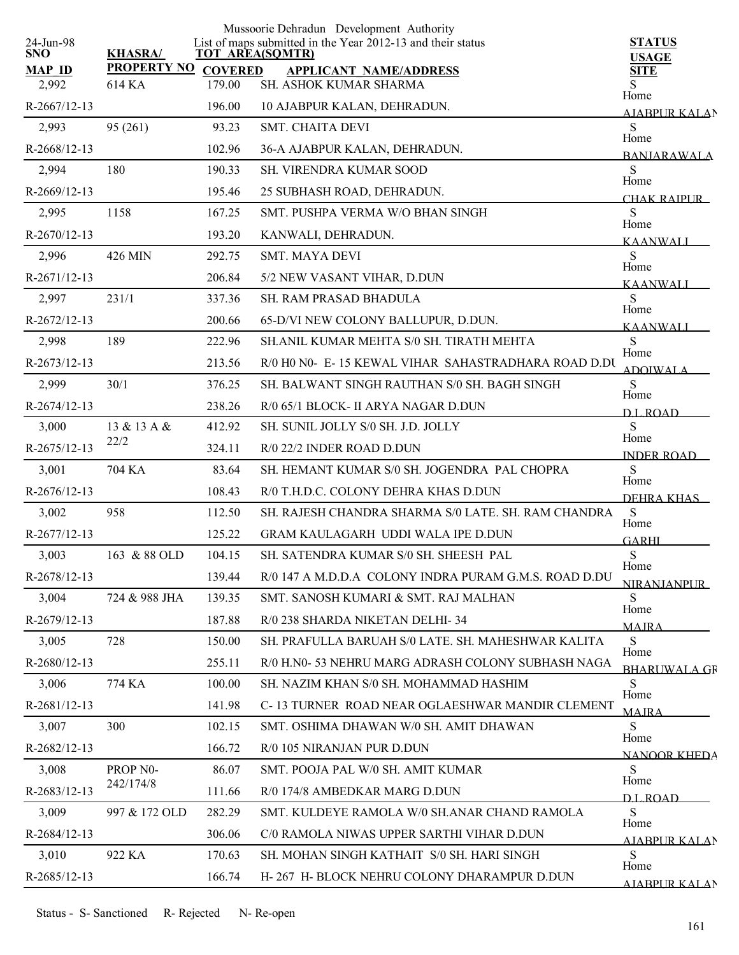|                         |                      |                        | Mussoorie Dehradun Development Authority                    |                               |
|-------------------------|----------------------|------------------------|-------------------------------------------------------------|-------------------------------|
| 24-Jun-98<br><b>SNO</b> | <b>KHASRA/</b>       | <b>TOT AREA(SQMTR)</b> | List of maps submitted in the Year 2012-13 and their status | <b>STATUS</b><br><b>USAGE</b> |
| <b>MAP ID</b>           | <b>PROPERTY NO</b>   | <b>COVERED</b>         | <b>APPLICANT NAME/ADDRESS</b>                               | <b>SITE</b>                   |
| 2,992                   | 614 KA               | 179.00                 | SH. ASHOK KUMAR SHARMA                                      | S<br>Home                     |
| $R-2667/12-13$          |                      | 196.00                 | 10 AJABPUR KALAN, DEHRADUN.                                 | <b>AJABPUR KALAN</b>          |
| 2,993                   | 95 (261)             | 93.23                  | <b>SMT. CHAITA DEVI</b>                                     | S<br>Home                     |
| R-2668/12-13            |                      | 102.96                 | 36-A AJABPUR KALAN, DEHRADUN.                               | <b>BANIARAWALA</b>            |
| 2,994                   | 180                  | 190.33                 | <b>SH. VIRENDRA KUMAR SOOD</b>                              | S<br>Home                     |
| R-2669/12-13            |                      | 195.46                 | 25 SUBHASH ROAD, DEHRADUN.                                  | CHAK RAIPUR-                  |
| 2,995                   | 1158                 | 167.25                 | SMT. PUSHPA VERMA W/O BHAN SINGH                            | ${\bf S}$<br>Home             |
| R-2670/12-13            |                      | 193.20                 | KANWALI, DEHRADUN.                                          | <b>KAANWALI</b>               |
| 2,996                   | 426 MIN              | 292.75                 | <b>SMT. MAYA DEVI</b>                                       | S<br>Home                     |
| R-2671/12-13            |                      | 206.84                 | 5/2 NEW VASANT VIHAR, D.DUN                                 | <b>KAANWALI</b>               |
| 2,997                   | 231/1                | 337.36                 | SH. RAM PRASAD BHADULA                                      | S<br>Home                     |
| R-2672/12-13            |                      | 200.66                 | 65-D/VI NEW COLONY BALLUPUR, D.DUN.                         | <b>KAANWALI</b>               |
| 2,998                   | 189                  | 222.96                 | SH.ANIL KUMAR MEHTA S/0 SH. TIRATH MEHTA                    | ${\bf S}$                     |
| $R-2673/12-13$          |                      | 213.56                 | R/0 H0 N0- E-15 KEWAL VIHAR SAHASTRADHARA ROAD D.DU         | Home<br><b>ADOIWALA</b>       |
| 2,999                   | 30/1                 | 376.25                 | SH. BALWANT SINGH RAUTHAN S/0 SH. BAGH SINGH                | S                             |
| R-2674/12-13            |                      | 238.26                 | R/0 65/1 BLOCK- II ARYA NAGAR D.DUN                         | Home<br>D.L.ROAD              |
| 3,000                   | 13 & 13 A &          | 412.92                 | SH. SUNIL JOLLY S/0 SH. J.D. JOLLY                          | S                             |
| R-2675/12-13            | 22/2                 | 324.11                 | R/0 22/2 INDER ROAD D.DUN                                   | Home<br><b>INDER ROAD</b>     |
| 3,001                   | 704 KA               | 83.64                  | SH. HEMANT KUMAR S/0 SH. JOGENDRA PAL CHOPRA                | S                             |
| $R-2676/12-13$          |                      | 108.43                 | R/0 T.H.D.C. COLONY DEHRA KHAS D.DUN                        | Home<br>DEHRA KHAS            |
| 3,002                   | 958                  | 112.50                 | SH. RAJESH CHANDRA SHARMA S/0 LATE, SH. RAM CHANDRA         | S                             |
| R-2677/12-13            |                      | 125.22                 | <b>GRAM KAULAGARH UDDI WALA IPE D.DUN</b>                   | Home<br><b>GARHI</b>          |
| 3,003                   | 163 & 88 OLD         | 104.15                 | SH. SATENDRA KUMAR S/0 SH. SHEESH PAL                       | S                             |
| R-2678/12-13            |                      | 139.44                 | R/0 147 A M.D.D.A COLONY INDRA PURAM G.M.S. ROAD D.DU       | Home<br><b>NIRANJANPUR</b>    |
| 3,004                   | 724 & 988 JHA        | 139.35                 | SMT. SANOSH KUMARI & SMT. RAJ MALHAN                        | S                             |
| $R-2679/12-13$          |                      | 187.88                 | R/0 238 SHARDA NIKETAN DELHI-34                             | Home<br><b>MAJRA</b>          |
| 3,005                   | 728                  | 150.00                 | SH. PRAFULLA BARUAH S/0 LATE. SH. MAHESHWAR KALITA          | S                             |
| R-2680/12-13            |                      | 255.11                 | R/0 H.N0- 53 NEHRU MARG ADRASH COLONY SUBHASH NAGA          | Home<br><b>BHARLIWALA GR</b>  |
| 3,006                   | 774 KA               | 100.00                 | SH. NAZIM KHAN S/0 SH. MOHAMMAD HASHIM                      | S                             |
| R-2681/12-13            |                      | 141.98                 | C-13 TURNER ROAD NEAR OGLAESHWAR MANDIR CLEMENT             | Home<br><b>MAIRA</b>          |
| 3,007                   | 300                  | 102.15                 | SMT. OSHIMA DHAWAN W/0 SH. AMIT DHAWAN                      | S                             |
| R-2682/12-13            |                      | 166.72                 | R/0 105 NIRANJAN PUR D.DUN                                  | Home                          |
| 3,008                   | PROP <sub>NO</sub> - | 86.07                  | SMT. POOJA PAL W/0 SH. AMIT KUMAR                           | NANOOR KHEDA<br>S             |
| R-2683/12-13            | 242/174/8            | 111.66                 | R/0 174/8 AMBEDKAR MARG D.DUN                               | Home                          |
| 3,009                   | 997 & 172 OLD        | 282.29                 | SMT. KULDEYE RAMOLA W/0 SH.ANAR CHAND RAMOLA                | D L ROAD.<br>S                |
| R-2684/12-13            |                      | 306.06                 | C/0 RAMOLA NIWAS UPPER SARTHI VIHAR D.DUN                   | Home                          |
| 3,010                   | 922 KA               | 170.63                 | SH. MOHAN SINGH KATHAIT S/0 SH. HARI SINGH                  | <b>AJABPUR KALAN</b><br>S     |
| R-2685/12-13            |                      | 166.74                 | H- 267 H- BLOCK NEHRU COLONY DHARAMPUR D.DUN                | Home                          |
|                         |                      |                        |                                                             | <b>AIABPUR KALAN</b>          |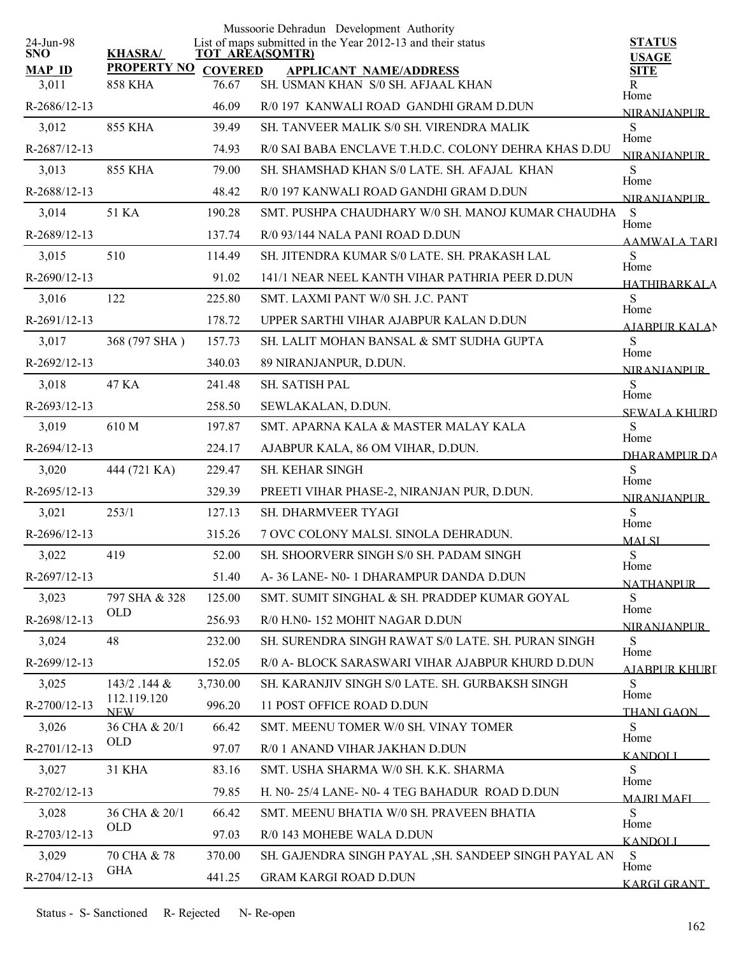|                         |                           |          | Mussoorie Dehradun Development Authority                                              |                                  |
|-------------------------|---------------------------|----------|---------------------------------------------------------------------------------------|----------------------------------|
| 24-Jun-98<br><b>SNO</b> | <b>KHASRA/</b>            |          | List of maps submitted in the Year 2012-13 and their status<br><b>TOT AREA(SQMTR)</b> | <b>STATUS</b><br><b>USAGE</b>    |
| <b>MAP ID</b>           | PROPERTY NO COVERED       |          | <b>APPLICANT NAME/ADDRESS</b>                                                         | <b>SITE</b>                      |
| 3,011                   | <b>858 KHA</b>            | 76.67    | SH. USMAN KHAN S/0 SH. AFJAAL KHAN                                                    | R<br>Home                        |
| R-2686/12-13            |                           | 46.09    | R/0 197 KANWALI ROAD GANDHI GRAM D.DUN                                                | <b>NIRANJANPUR</b>               |
| 3,012                   | 855 KHA                   | 39.49    | SH. TANVEER MALIK S/0 SH. VIRENDRA MALIK                                              | S<br>Home                        |
| R-2687/12-13            |                           | 74.93    | R/0 SAI BABA ENCLAVE T.H.D.C. COLONY DEHRA KHAS D.DU                                  | <b>NIRANIANPUR</b>               |
| 3,013                   | <b>855 KHA</b>            | 79.00    | SH. SHAMSHAD KHAN S/0 LATE. SH. AFAJAL KHAN                                           | S<br>Home                        |
| R-2688/12-13            |                           | 48.42    | R/0 197 KANWALI ROAD GANDHI GRAM D.DUN                                                | <b>NIRANIANPUR</b>               |
| 3,014                   | 51 KA                     | 190.28   | SMT. PUSHPA CHAUDHARY W/0 SH. MANOJ KUMAR CHAUDHA                                     | S<br>Home                        |
| R-2689/12-13            |                           | 137.74   | R/0 93/144 NALA PANI ROAD D.DUN                                                       | <b>AAMWALA TARI</b>              |
| 3,015                   | 510                       | 114.49   | SH. JITENDRA KUMAR S/0 LATE. SH. PRAKASH LAL                                          | S<br>Home                        |
| R-2690/12-13            |                           | 91.02    | 141/1 NEAR NEEL KANTH VIHAR PATHRIA PEER D.DUN                                        | <b>HATHIRARKALA</b>              |
| 3,016                   | 122                       | 225.80   | SMT. LAXMI PANT W/0 SH. J.C. PANT                                                     | S<br>Home                        |
| R-2691/12-13            |                           | 178.72   | UPPER SARTHI VIHAR AJABPUR KALAN D.DUN                                                | <b>AJABPUR KALAN</b>             |
| 3,017                   | 368 (797 SHA)             | 157.73   | SH. LALIT MOHAN BANSAL & SMT SUDHA GUPTA                                              | S                                |
| R-2692/12-13            |                           | 340.03   | 89 NIRANJANPUR, D.DUN.                                                                | Home<br>NIRANIANPUR              |
| 3,018                   | 47 KA                     | 241.48   | SH. SATISH PAL                                                                        | S                                |
| R-2693/12-13            |                           | 258.50   | SEWLAKALAN, D.DUN.                                                                    | Home<br><b>SEWALA KHURD</b>      |
| 3,019                   | 610 M                     | 197.87   | SMT. APARNA KALA & MASTER MALAY KALA                                                  | S                                |
| R-2694/12-13            |                           | 224.17   | AJABPUR KALA, 86 OM VIHAR, D.DUN.                                                     | Home<br>DHARAMPUR DA             |
| 3,020                   | 444 (721 KA)              | 229.47   | SH. KEHAR SINGH                                                                       | S                                |
| R-2695/12-13            |                           | 329.39   | PREETI VIHAR PHASE-2, NIRANJAN PUR, D.DUN.                                            | Home<br><b>NIRANJANPUR</b>       |
| 3,021                   | 253/1                     | 127.13   | SH. DHARMVEER TYAGI                                                                   | S                                |
| R-2696/12-13            |                           | 315.26   | 7 OVC COLONY MALSI. SINOLA DEHRADUN.                                                  | Home<br><b>MALSI</b>             |
| 3,022                   | 419                       | 52.00    | <b>SH. SHOORVERR SINGH S/0 SH. PADAM SINGH</b>                                        | ${\bf S}$                        |
| R-2697/12-13            |                           | 51.40    | A-36 LANE- N0-1 DHARAMPUR DANDA D.DUN                                                 | Home<br><b>NATHANPUR</b>         |
| 3,023                   | 797 SHA & 328             | 125.00   | SMT. SUMIT SINGHAL & SH. PRADDEP KUMAR GOYAL                                          | S                                |
| R-2698/12-13            | <b>OLD</b>                | 256.93   | R/0 H.N0-152 MOHIT NAGAR D.DUN                                                        | Home<br><b>NIRANJANPUR</b>       |
| 3,024                   | 48                        | 232.00   | SH. SURENDRA SINGH RAWAT S/0 LATE, SH. PURAN SINGH                                    | S                                |
| R-2699/12-13            |                           | 152.05   | R/0 A- BLOCK SARASWARI VIHAR AJABPUR KHURD D.DUN                                      | Home<br><u>A JARPI IR KHLIRT</u> |
| 3,025                   | 143/2 .144 &              | 3,730.00 | SH. KARANJIV SINGH S/0 LATE. SH. GURBAKSH SINGH                                       | S                                |
| R-2700/12-13            | 112.119.120<br><b>NEW</b> | 996.20   | 11 POST OFFICE ROAD D.DUN                                                             | Home<br><b>THANI GAON</b>        |
| 3,026                   | 36 CHA & 20/1             | 66.42    | SMT. MEENU TOMER W/0 SH. VINAY TOMER                                                  | S                                |
| R-2701/12-13            | OLD                       | 97.07    | R/0 1 ANAND VIHAR JAKHAN D.DUN                                                        | Home<br><b>KANDOLI</b>           |
| 3,027                   | <b>31 KHA</b>             | 83.16    | SMT. USHA SHARMA W/0 SH. K.K. SHARMA                                                  | S                                |
| R-2702/12-13            |                           | 79.85    | H. N0-25/4 LANE- N0-4 TEG BAHADUR ROAD D.DUN                                          | Home<br><b>MAIRI MAFI</b>        |
| 3,028                   | 36 CHA & 20/1             | 66.42    | SMT. MEENU BHATIA W/0 SH. PRAVEEN BHATIA                                              | S                                |
| R-2703/12-13            | OLD                       | 97.03    | R/0 143 MOHEBE WALA D.DUN                                                             | Home                             |
| 3,029                   | 70 CHA & 78               | 370.00   | SH. GAJENDRA SINGH PAYAL, SH. SANDEEP SINGH PAYAL AN                                  | <b>KANDOLI</b><br>S              |
| R-2704/12-13            | <b>GHA</b>                | 441.25   | <b>GRAM KARGI ROAD D.DUN</b>                                                          | Home                             |
|                         |                           |          |                                                                                       | <b>KARGI GRANT</b>               |